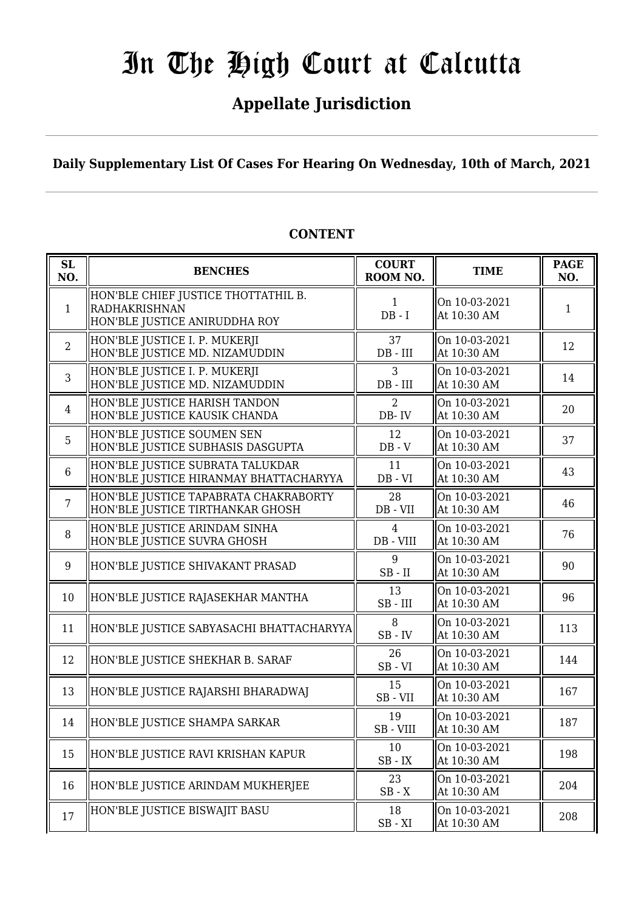# **Appellate Jurisdiction**

**Daily Supplementary List Of Cases For Hearing On Wednesday, 10th of March, 2021**

| SL<br>NO.       | <b>BENCHES</b>                                                                               | <b>COURT</b><br>ROOM NO.    | <b>TIME</b>                  | <b>PAGE</b><br>NO. |
|-----------------|----------------------------------------------------------------------------------------------|-----------------------------|------------------------------|--------------------|
| $\mathbf{1}$    | HON'BLE CHIEF JUSTICE THOTTATHIL B.<br><b>RADHAKRISHNAN</b><br>HON'BLE JUSTICE ANIRUDDHA ROY | 1<br>$DB - I$               | On 10-03-2021<br>At 10:30 AM | 1                  |
| $\overline{2}$  | HON'BLE JUSTICE I. P. MUKERJI<br>HON'BLE JUSTICE MD. NIZAMUDDIN                              | 37<br>$DB$ - $III$          | On 10-03-2021<br>At 10:30 AM | 12                 |
| 3               | HON'BLE JUSTICE I. P. MUKERJI<br>HON'BLE JUSTICE MD. NIZAMUDDIN                              | 3<br>DB - III               | On 10-03-2021<br>At 10:30 AM | 14                 |
| $\overline{4}$  | HON'BLE JUSTICE HARISH TANDON<br>HON'BLE JUSTICE KAUSIK CHANDA                               | 2<br>$DB - IV$              | On 10-03-2021<br>At 10:30 AM | 20                 |
| 5               | HON'BLE JUSTICE SOUMEN SEN<br>HON'BLE JUSTICE SUBHASIS DASGUPTA                              | 12<br>$DB - V$              | On 10-03-2021<br>At 10:30 AM | 37                 |
| $6\phantom{1}6$ | HON'BLE JUSTICE SUBRATA TALUKDAR<br>HON'BLE JUSTICE HIRANMAY BHATTACHARYYA                   | 11<br>$DB - VI$             | On 10-03-2021<br>At 10:30 AM | 43                 |
| $\overline{7}$  | HON'BLE JUSTICE TAPABRATA CHAKRABORTY<br>HON'BLE JUSTICE TIRTHANKAR GHOSH                    | 28<br>DB - VII              | On 10-03-2021<br>At 10:30 AM | 46                 |
| 8               | HON'BLE JUSTICE ARINDAM SINHA<br>HON'BLE JUSTICE SUVRA GHOSH                                 | $\overline{4}$<br>DB - VIII | On 10-03-2021<br>At 10:30 AM | 76                 |
| 9               | HON'BLE JUSTICE SHIVAKANT PRASAD                                                             | 9<br>$SB$ - $II$            | On 10-03-2021<br>At 10:30 AM | 90                 |
| 10              | HON'BLE JUSTICE RAJASEKHAR MANTHA                                                            | 13<br>$SB$ - $III$          | On 10-03-2021<br>At 10:30 AM | 96                 |
| 11              | HON'BLE JUSTICE SABYASACHI BHATTACHARYYA                                                     | 8<br>$SB$ - $IV$            | On 10-03-2021<br>At 10:30 AM | 113                |
| 12              | HON'BLE JUSTICE SHEKHAR B. SARAF                                                             | 26<br>$SB - VI$             | On 10-03-2021<br>At 10:30 AM | 144                |
| 13              | HON'BLE JUSTICE RAJARSHI BHARADWAJ                                                           | 15<br>SB-VII                | On 10-03-2021<br>At 10:30 AM | 167                |
| 14              | HON'BLE JUSTICE SHAMPA SARKAR                                                                | 19<br>SB - VIII             | On 10-03-2021<br>At 10:30 AM | 187                |
| 15              | HON'BLE JUSTICE RAVI KRISHAN KAPUR                                                           | 10<br>$SB$ - $IX$           | On 10-03-2021<br>At 10:30 AM | 198                |
| 16              | HON'BLE JUSTICE ARINDAM MUKHERJEE                                                            | 23<br>$SB - X$              | On 10-03-2021<br>At 10:30 AM | 204                |
| 17              | HON'BLE JUSTICE BISWAJIT BASU                                                                | 18<br>$SB - XI$             | On 10-03-2021<br>At 10:30 AM | 208                |

## **CONTENT**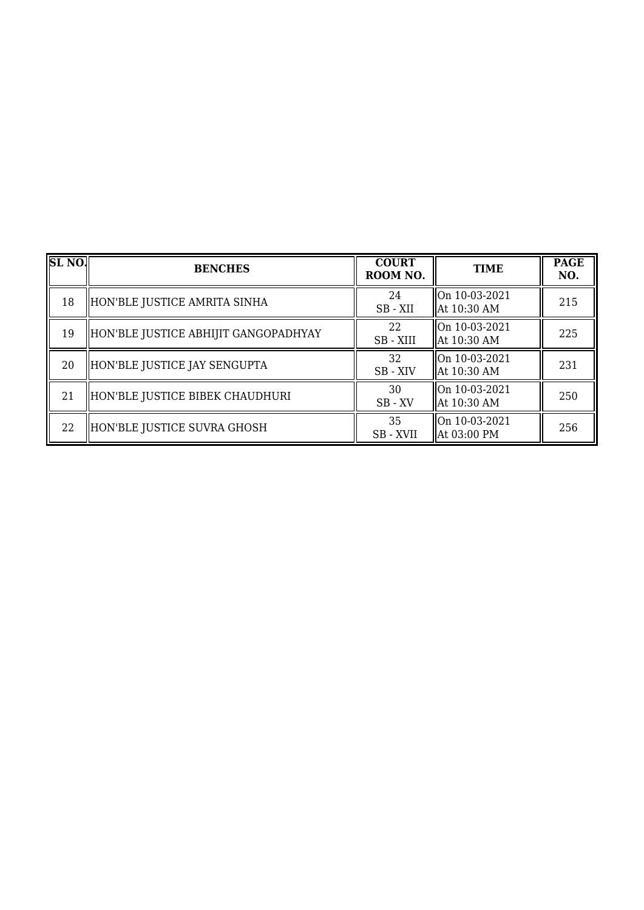| <b>SL NO.</b> | <b>BENCHES</b>                       | <b>COURT</b><br>ROOM NO. | <b>TIME</b>                    | <b>PAGE</b><br>NO. |
|---------------|--------------------------------------|--------------------------|--------------------------------|--------------------|
| 18            | HON'BLE JUSTICE AMRITA SINHA         | 24<br>SB-XII             | On 10-03-2021<br>  At 10:30 AM | 215                |
| 19            | HON'BLE JUSTICE ABHIJIT GANGOPADHYAY | 22<br>SB - XIII          | On 10-03-2021<br>  At 10:30 AM | 225                |
| 20            | HON'BLE JUSTICE JAY SENGUPTA         | 32<br>SB - XIV           | On 10-03-2021<br>  At 10:30 AM | 231                |
| 21            | HON'BLE JUSTICE BIBEK CHAUDHURI      | 30<br>$SB$ - $XV$        | On 10-03-2021<br>  At 10:30 AM | 250                |
| 22            | HON'BLE JUSTICE SUVRA GHOSH          | 35<br>SB - XVII          | On 10-03-2021<br>  At 03:00 PM | 256                |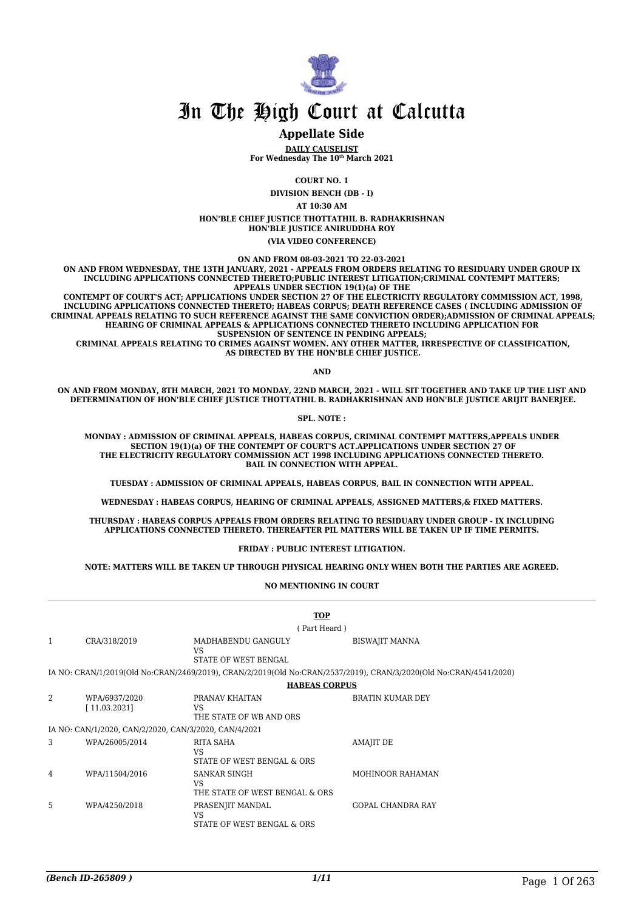

#### **Appellate Side**

**DAILY CAUSELIST For Wednesday The 10th March 2021**

**COURT NO. 1**

**DIVISION BENCH (DB - I)**

**AT 10:30 AM**

**HON'BLE CHIEF JUSTICE THOTTATHIL B. RADHAKRISHNAN HON'BLE JUSTICE ANIRUDDHA ROY**

**(VIA VIDEO CONFERENCE)**

**ON AND FROM 08-03-2021 TO 22-03-2021**

**ON AND FROM WEDNESDAY, THE 13TH JANUARY, 2021 - APPEALS FROM ORDERS RELATING TO RESIDUARY UNDER GROUP IX INCLUDING APPLICATIONS CONNECTED THERETO;PUBLIC INTEREST LITIGATION;CRIMINAL CONTEMPT MATTERS; APPEALS UNDER SECTION 19(1)(a) OF THE**

 **CONTEMPT OF COURT'S ACT; APPLICATIONS UNDER SECTION 27 OF THE ELECTRICITY REGULATORY COMMISSION ACT, 1998, INCLUDING APPLICATIONS CONNECTED THERETO; HABEAS CORPUS; DEATH REFERENCE CASES ( INCLUDING ADMISSION OF CRIMINAL APPEALS RELATING TO SUCH REFERENCE AGAINST THE SAME CONVICTION ORDER);ADMISSION OF CRIMINAL APPEALS; HEARING OF CRIMINAL APPEALS & APPLICATIONS CONNECTED THERETO INCLUDING APPLICATION FOR SUSPENSION OF SENTENCE IN PENDING APPEALS;**

 **CRIMINAL APPEALS RELATING TO CRIMES AGAINST WOMEN. ANY OTHER MATTER, IRRESPECTIVE OF CLASSIFICATION, AS DIRECTED BY THE HON'BLE CHIEF JUSTICE.**

**AND**

**ON AND FROM MONDAY, 8TH MARCH, 2021 TO MONDAY, 22ND MARCH, 2021 - WILL SIT TOGETHER AND TAKE UP THE LIST AND DETERMINATION OF HON'BLE CHIEF JUSTICE THOTTATHIL B. RADHAKRISHNAN AND HON'BLE JUSTICE ARIJIT BANERJEE.**

**SPL. NOTE :**

**MONDAY : ADMISSION OF CRIMINAL APPEALS, HABEAS CORPUS, CRIMINAL CONTEMPT MATTERS,APPEALS UNDER SECTION 19(1)(a) OF THE CONTEMPT OF COURT'S ACT.APPLICATIONS UNDER SECTION 27 OF THE ELECTRICITY REGULATORY COMMISSION ACT 1998 INCLUDING APPLICATIONS CONNECTED THERETO. BAIL IN CONNECTION WITH APPEAL.**

**TUESDAY : ADMISSION OF CRIMINAL APPEALS, HABEAS CORPUS, BAIL IN CONNECTION WITH APPEAL.**

**WEDNESDAY : HABEAS CORPUS, HEARING OF CRIMINAL APPEALS, ASSIGNED MATTERS,& FIXED MATTERS.**

**THURSDAY : HABEAS CORPUS APPEALS FROM ORDERS RELATING TO RESIDUARY UNDER GROUP - IX INCLUDING APPLICATIONS CONNECTED THERETO. THEREAFTER PIL MATTERS WILL BE TAKEN UP IF TIME PERMITS.**

**FRIDAY : PUBLIC INTEREST LITIGATION.**

**NOTE: MATTERS WILL BE TAKEN UP THROUGH PHYSICAL HEARING ONLY WHEN BOTH THE PARTIES ARE AGREED.**

**NO MENTIONING IN COURT**

|   |                                                       |                                                       | <b>TOP</b>                                                                                                        |
|---|-------------------------------------------------------|-------------------------------------------------------|-------------------------------------------------------------------------------------------------------------------|
|   |                                                       |                                                       | (Part Heard)                                                                                                      |
| 1 | CRA/318/2019                                          | MADHABENDU GANGULY<br>VS.<br>STATE OF WEST BENGAL     | <b>BISWAJIT MANNA</b>                                                                                             |
|   |                                                       |                                                       | IA NO: CRAN/1/2019(Old No:CRAN/2469/2019), CRAN/2/2019(Old No:CRAN/2537/2019), CRAN/3/2020(Old No:CRAN/4541/2020) |
|   |                                                       |                                                       | <b>HABEAS CORPUS</b>                                                                                              |
| 2 | WPA/6937/2020<br>[11.03.2021]                         | PRANAV KHAITAN<br>VS<br>THE STATE OF WB AND ORS       | <b>BRATIN KUMAR DEY</b>                                                                                           |
|   | IA NO: CAN/1/2020, CAN/2/2020, CAN/3/2020, CAN/4/2021 |                                                       |                                                                                                                   |
| 3 | WPA/26005/2014                                        | RITA SAHA<br>VS<br>STATE OF WEST BENGAL & ORS         | <b>AMAJIT DE</b>                                                                                                  |
| 4 | WPA/11504/2016                                        | SANKAR SINGH<br>VS<br>THE STATE OF WEST BENGAL & ORS  | <b>MOHINOOR RAHAMAN</b>                                                                                           |
| 5 | WPA/4250/2018                                         | PRASENJIT MANDAL<br>VS.<br>STATE OF WEST BENGAL & ORS | <b>GOPAL CHANDRA RAY</b>                                                                                          |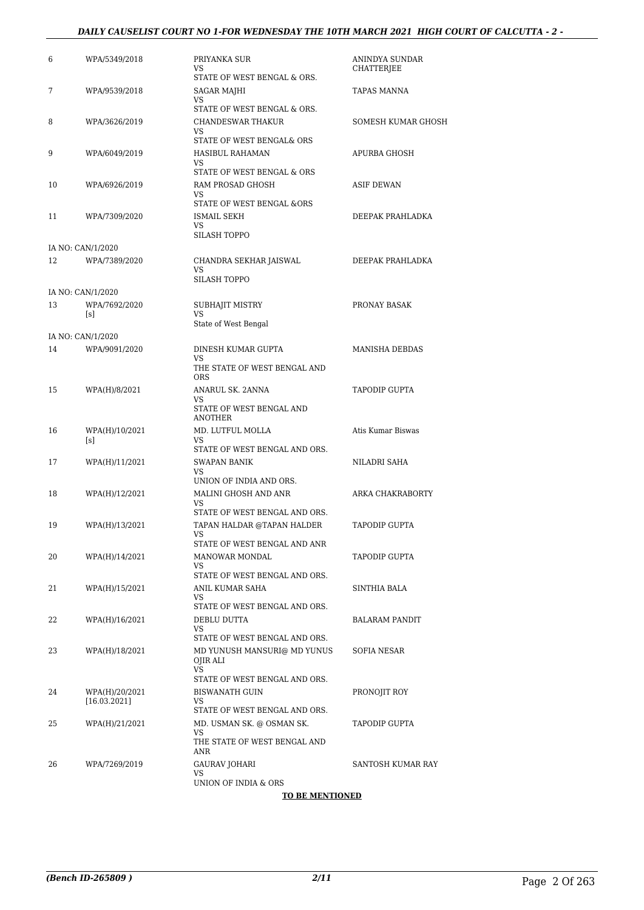### *DAILY CAUSELIST COURT NO 1-FOR WEDNESDAY THE 10TH MARCH 2021 HIGH COURT OF CALCUTTA - 2 -*

| 6  | WPA/5349/2018         | PRIYANKA SUR<br>VS<br>STATE OF WEST BENGAL & ORS.                  | ANINDYA SUNDAR<br>CHATTERJEE |
|----|-----------------------|--------------------------------------------------------------------|------------------------------|
| 7  | WPA/9539/2018         | SAGAR MAJHI<br>VS                                                  | <b>TAPAS MANNA</b>           |
| 8  | WPA/3626/2019         | STATE OF WEST BENGAL & ORS.<br><b>CHANDESWAR THAKUR</b><br>VS      | SOMESH KUMAR GHOSH           |
| 9  | WPA/6049/2019         | STATE OF WEST BENGAL& ORS<br>HASIBUL RAHAMAN<br>VS                 | APURBA GHOSH                 |
| 10 | WPA/6926/2019         | STATE OF WEST BENGAL & ORS<br>RAM PROSAD GHOSH<br>VS               | ASIF DEWAN                   |
| 11 | WPA/7309/2020         | STATE OF WEST BENGAL &ORS<br>ISMAIL SEKH<br>VS                     | DEEPAK PRAHLADKA             |
|    | IA NO: CAN/1/2020     | <b>SILASH TOPPO</b>                                                |                              |
| 12 | WPA/7389/2020         | CHANDRA SEKHAR JAISWAL<br>VS<br>SILASH TOPPO                       | DEEPAK PRAHLADKA             |
|    | IA NO: CAN/1/2020     |                                                                    |                              |
| 13 | WPA/7692/2020<br>[s]  | SUBHAJIT MISTRY<br>VS                                              | PRONAY BASAK                 |
|    | IA NO: CAN/1/2020     | State of West Bengal                                               |                              |
| 14 | WPA/9091/2020         | DINESH KUMAR GUPTA                                                 | MANISHA DEBDAS               |
|    |                       | VS<br>THE STATE OF WEST BENGAL AND<br><b>ORS</b>                   |                              |
| 15 | WPA(H)/8/2021         | ANARUL SK. 2ANNA<br>VS<br>STATE OF WEST BENGAL AND                 | <b>TAPODIP GUPTA</b>         |
| 16 | WPA(H)/10/2021<br>[s] | <b>ANOTHER</b><br>MD. LUTFUL MOLLA<br>VS                           | Atis Kumar Biswas            |
|    |                       | STATE OF WEST BENGAL AND ORS.                                      |                              |
| 17 | WPA(H)/11/2021        | <b>SWAPAN BANIK</b><br>VS                                          | NILADRI SAHA                 |
|    |                       | UNION OF INDIA AND ORS.                                            |                              |
| 18 | WPA(H)/12/2021        | MALINI GHOSH AND ANR<br>VS                                         | ARKA CHAKRABORTY             |
| 19 | WPA(H)/13/2021        | STATE OF WEST BENGAL AND ORS.<br>TAPAN HALDAR @TAPAN HALDER<br>VS. | <b>TAPODIP GUPTA</b>         |
|    |                       | STATE OF WEST BENGAL AND ANR                                       |                              |
| 20 | WPA(H)/14/2021        | <b>MANOWAR MONDAL</b><br>VS                                        | <b>TAPODIP GUPTA</b>         |
|    |                       | STATE OF WEST BENGAL AND ORS.                                      |                              |
| 21 | WPA(H)/15/2021        | ANIL KUMAR SAHA<br>VS                                              | SINTHIA BALA                 |
|    |                       | STATE OF WEST BENGAL AND ORS.                                      |                              |
| 22 | WPA(H)/16/2021        | DEBLU DUTTA<br>VS                                                  | <b>BALARAM PANDIT</b>        |
|    |                       | STATE OF WEST BENGAL AND ORS.                                      |                              |
| 23 | WPA(H)/18/2021        | MD YUNUSH MANSURI@ MD YUNUS<br>OJIR ALI<br>VS                      | SOFIA NESAR                  |
| 24 | WPA(H)/20/2021        | STATE OF WEST BENGAL AND ORS.<br><b>BISWANATH GUIN</b>             | PRONOJIT ROY                 |
|    | [16.03.2021]          | VS                                                                 |                              |
| 25 | WPA(H)/21/2021        | STATE OF WEST BENGAL AND ORS.<br>MD. USMAN SK. @ OSMAN SK.         | TAPODIP GUPTA                |
|    |                       | VS<br>THE STATE OF WEST BENGAL AND<br>ANR                          |                              |
| 26 | WPA/7269/2019         | <b>GAURAV JOHARI</b>                                               | SANTOSH KUMAR RAY            |
|    |                       | VS<br>UNION OF INDIA & ORS                                         |                              |
|    |                       | <b>TO BE MENTIONED</b>                                             |                              |
|    |                       |                                                                    |                              |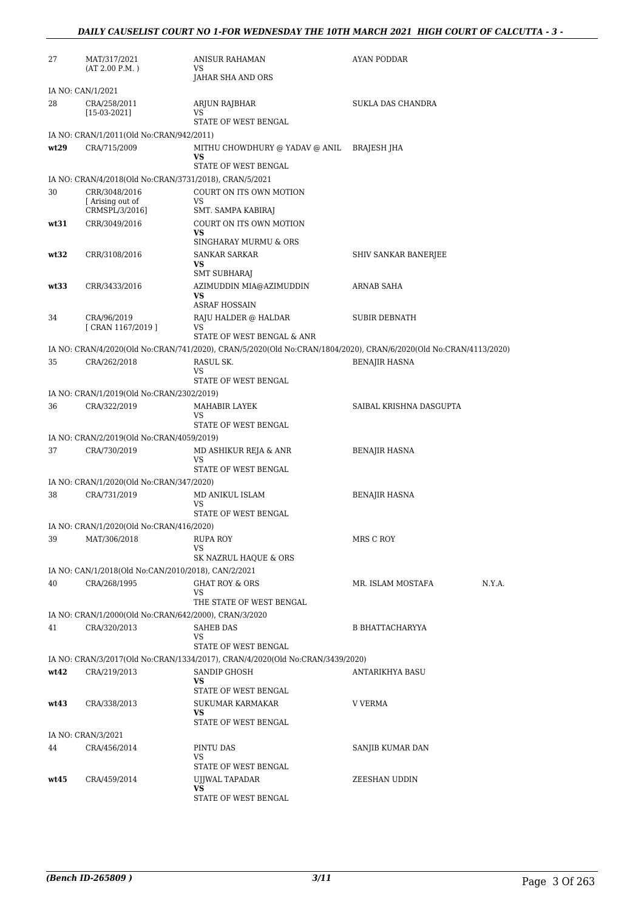### *DAILY CAUSELIST COURT NO 1-FOR WEDNESDAY THE 10TH MARCH 2021 HIGH COURT OF CALCUTTA - 3 -*

| 27   | MAT/317/2021                                           | ANISUR RAHAMAN<br>VS                                                          | AYAN PODDAR                                                                                                      |
|------|--------------------------------------------------------|-------------------------------------------------------------------------------|------------------------------------------------------------------------------------------------------------------|
|      | (AT 2.00 P.M.)                                         | JAHAR SHA AND ORS                                                             |                                                                                                                  |
|      | IA NO: CAN/1/2021                                      |                                                                               |                                                                                                                  |
| 28   | CRA/258/2011<br>$[15-03-2021]$                         | ARJUN RAJBHAR<br>VS                                                           | SUKLA DAS CHANDRA                                                                                                |
|      |                                                        | STATE OF WEST BENGAL                                                          |                                                                                                                  |
|      | IA NO: CRAN/1/2011(Old No:CRAN/942/2011)               |                                                                               |                                                                                                                  |
| wt29 | CRA/715/2009                                           | MITHU CHOWDHURY @ YADAV @ ANIL<br>VS                                          | BRAJESH JHA                                                                                                      |
|      |                                                        | STATE OF WEST BENGAL                                                          |                                                                                                                  |
|      | IA NO: CRAN/4/2018(Old No:CRAN/3731/2018), CRAN/5/2021 |                                                                               |                                                                                                                  |
| 30   | CRR/3048/2016<br>Arising out of                        | COURT ON ITS OWN MOTION<br>VS                                                 |                                                                                                                  |
|      | CRMSPL/3/2016]                                         | SMT. SAMPA KABIRAJ                                                            |                                                                                                                  |
| wt31 | CRR/3049/2016                                          | COURT ON ITS OWN MOTION                                                       |                                                                                                                  |
|      |                                                        | VS                                                                            |                                                                                                                  |
|      |                                                        | SINGHARAY MURMU & ORS                                                         |                                                                                                                  |
| wt32 | CRR/3108/2016                                          | SANKAR SARKAR<br>VS                                                           | SHIV SANKAR BANERJEE                                                                                             |
|      |                                                        | SMT SUBHARAJ                                                                  |                                                                                                                  |
| wt33 | CRR/3433/2016                                          | AZIMUDDIN MIA@AZIMUDDIN                                                       | ARNAB SAHA                                                                                                       |
|      |                                                        | VS<br><b>ASRAF HOSSAIN</b>                                                    |                                                                                                                  |
| 34   | CRA/96/2019                                            | RAJU HALDER @ HALDAR                                                          | <b>SUBIR DEBNATH</b>                                                                                             |
|      | [ CRAN 1167/2019 ]                                     | VS                                                                            |                                                                                                                  |
|      |                                                        | STATE OF WEST BENGAL & ANR                                                    |                                                                                                                  |
|      |                                                        |                                                                               | IA NO: CRAN/4/2020(Old No:CRAN/741/2020), CRAN/5/2020(Old No:CRAN/1804/2020), CRAN/6/2020(Old No:CRAN/4113/2020) |
| 35   | CRA/262/2018                                           | RASUL SK.                                                                     | <b>BENAJIR HASNA</b>                                                                                             |
|      |                                                        | VS<br>STATE OF WEST BENGAL                                                    |                                                                                                                  |
|      | IA NO: CRAN/1/2019(Old No:CRAN/2302/2019)              |                                                                               |                                                                                                                  |
| 36   | CRA/322/2019                                           | MAHABIR LAYEK                                                                 | SAIBAL KRISHNA DASGUPTA                                                                                          |
|      |                                                        | VS<br>STATE OF WEST BENGAL                                                    |                                                                                                                  |
|      | IA NO: CRAN/2/2019(Old No:CRAN/4059/2019)              |                                                                               |                                                                                                                  |
| 37   | CRA/730/2019                                           | MD ASHIKUR REJA & ANR                                                         | <b>BENAJIR HASNA</b>                                                                                             |
|      |                                                        | VS                                                                            |                                                                                                                  |
|      |                                                        | STATE OF WEST BENGAL                                                          |                                                                                                                  |
|      | IA NO: CRAN/1/2020(Old No:CRAN/347/2020)               |                                                                               |                                                                                                                  |
| 38   | CRA/731/2019                                           | MD ANIKUL ISLAM<br>VS                                                         | <b>BENAJIR HASNA</b>                                                                                             |
|      |                                                        | STATE OF WEST BENGAL                                                          |                                                                                                                  |
|      | IA NO: CRAN/1/2020(Old No:CRAN/416/2020)               |                                                                               |                                                                                                                  |
| 39   | MAT/306/2018                                           | <b>RUPA ROY</b>                                                               | MRS C ROY                                                                                                        |
|      |                                                        | VS<br>SK NAZRUL HAQUE & ORS                                                   |                                                                                                                  |
|      | IA NO: CAN/1/2018(Old No:CAN/2010/2018), CAN/2/2021    |                                                                               |                                                                                                                  |
| 40   | CRA/268/1995                                           | <b>GHAT ROY &amp; ORS</b>                                                     | MR. ISLAM MOSTAFA<br>N.Y.A.                                                                                      |
|      |                                                        | VS                                                                            |                                                                                                                  |
|      |                                                        | THE STATE OF WEST BENGAL                                                      |                                                                                                                  |
|      | IA NO: CRAN/1/2000(Old No:CRAN/642/2000), CRAN/3/2020  |                                                                               |                                                                                                                  |
| 41   | CRA/320/2013                                           | SAHEB DAS<br>VS                                                               | B BHATTACHARYYA                                                                                                  |
|      |                                                        | STATE OF WEST BENGAL                                                          |                                                                                                                  |
|      |                                                        | IA NO: CRAN/3/2017(Old No:CRAN/1334/2017), CRAN/4/2020(Old No:CRAN/3439/2020) |                                                                                                                  |
| wt42 | CRA/219/2013                                           | <b>SANDIP GHOSH</b>                                                           | <b>ANTARIKHYA BASU</b>                                                                                           |
|      |                                                        | VS                                                                            |                                                                                                                  |
| wt43 | CRA/338/2013                                           | STATE OF WEST BENGAL<br>SUKUMAR KARMAKAR                                      | V VERMA                                                                                                          |
|      |                                                        | VS                                                                            |                                                                                                                  |
|      |                                                        | STATE OF WEST BENGAL                                                          |                                                                                                                  |
|      | IA NO: CRAN/3/2021                                     |                                                                               |                                                                                                                  |
| 44   | CRA/456/2014                                           | PINTU DAS                                                                     | SANJIB KUMAR DAN                                                                                                 |
|      |                                                        | VS<br>STATE OF WEST BENGAL                                                    |                                                                                                                  |
| wt45 | CRA/459/2014                                           | UJJWAL TAPADAR                                                                | ZEESHAN UDDIN                                                                                                    |
|      |                                                        | VS                                                                            |                                                                                                                  |
|      |                                                        | STATE OF WEST BENGAL                                                          |                                                                                                                  |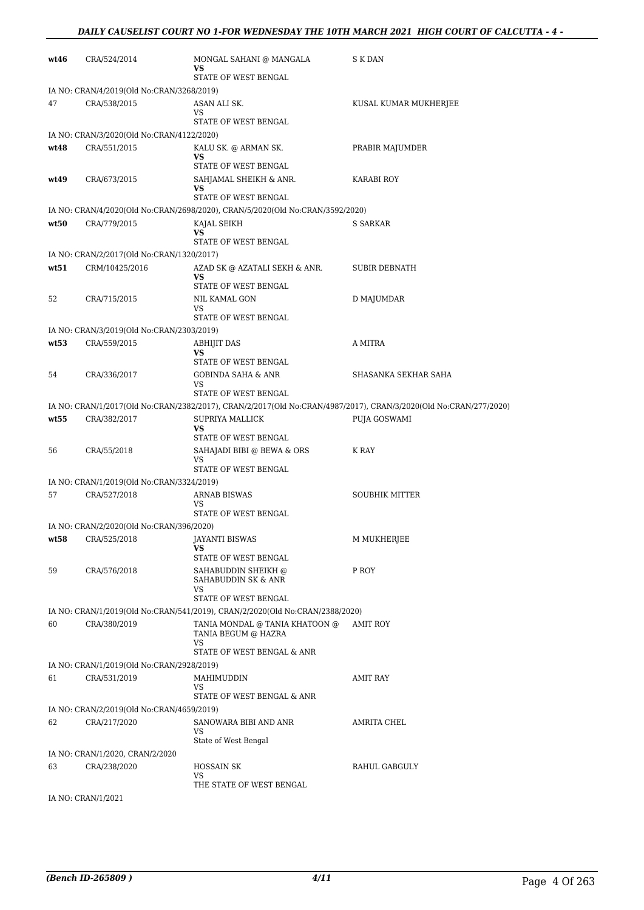| wt46 | CRA/524/2014                              | MONGAL SAHANI @ MANGALA<br>VS                                                 | S K DAN                                                                                                          |
|------|-------------------------------------------|-------------------------------------------------------------------------------|------------------------------------------------------------------------------------------------------------------|
|      |                                           | STATE OF WEST BENGAL                                                          |                                                                                                                  |
|      | IA NO: CRAN/4/2019(Old No:CRAN/3268/2019) |                                                                               |                                                                                                                  |
| 47   | CRA/538/2015                              | ASAN ALI SK.<br>VS                                                            | KUSAL KUMAR MUKHERJEE                                                                                            |
|      |                                           | STATE OF WEST BENGAL                                                          |                                                                                                                  |
|      | IA NO: CRAN/3/2020(Old No:CRAN/4122/2020) |                                                                               |                                                                                                                  |
| wt48 | CRA/551/2015                              | KALU SK. @ ARMAN SK.<br>VS                                                    | PRABIR MAJUMDER                                                                                                  |
|      |                                           | STATE OF WEST BENGAL                                                          |                                                                                                                  |
| wt49 | CRA/673/2015                              | SAHJAMAL SHEIKH & ANR.<br>VS                                                  | KARABI ROY                                                                                                       |
|      |                                           | STATE OF WEST BENGAL                                                          |                                                                                                                  |
|      |                                           | IA NO: CRAN/4/2020(Old No:CRAN/2698/2020), CRAN/5/2020(Old No:CRAN/3592/2020) |                                                                                                                  |
| wt50 | CRA/779/2015                              | KAJAL SEIKH<br>VS                                                             | S SARKAR                                                                                                         |
|      |                                           | STATE OF WEST BENGAL                                                          |                                                                                                                  |
|      | IA NO: CRAN/2/2017(Old No:CRAN/1320/2017) |                                                                               |                                                                                                                  |
| wt51 | CRM/10425/2016                            | AZAD SK @ AZATALI SEKH & ANR.<br>VS<br>STATE OF WEST BENGAL                   | <b>SUBIR DEBNATH</b>                                                                                             |
| 52   | CRA/715/2015                              | NIL KAMAL GON                                                                 | D MAJUMDAR                                                                                                       |
|      |                                           | VS<br>STATE OF WEST BENGAL                                                    |                                                                                                                  |
|      | IA NO: CRAN/3/2019(Old No:CRAN/2303/2019) |                                                                               |                                                                                                                  |
| wt53 | CRA/559/2015                              | ABHIJIT DAS                                                                   | A MITRA                                                                                                          |
|      |                                           | VS<br>STATE OF WEST BENGAL                                                    |                                                                                                                  |
| 54   | CRA/336/2017                              | GOBINDA SAHA & ANR                                                            | SHASANKA SEKHAR SAHA                                                                                             |
|      |                                           | VS<br>STATE OF WEST BENGAL                                                    |                                                                                                                  |
|      |                                           |                                                                               | IA NO: CRAN/1/2017(Old No:CRAN/2382/2017), CRAN/2/2017(Old No:CRAN/4987/2017), CRAN/3/2020(Old No:CRAN/277/2020) |
| wt55 | CRA/382/2017                              | <b>SUPRIYA MALLICK</b>                                                        | <b>PUJA GOSWAMI</b>                                                                                              |
|      |                                           | VS<br>STATE OF WEST BENGAL                                                    |                                                                                                                  |
| 56   | CRA/55/2018                               | SAHAJADI BIBI @ BEWA & ORS                                                    | K RAY                                                                                                            |
|      |                                           | VS                                                                            |                                                                                                                  |
|      | IA NO: CRAN/1/2019(Old No:CRAN/3324/2019) | STATE OF WEST BENGAL                                                          |                                                                                                                  |
| 57   | CRA/527/2018                              | <b>ARNAB BISWAS</b>                                                           | <b>SOUBHIK MITTER</b>                                                                                            |
|      |                                           | VS                                                                            |                                                                                                                  |
|      | IA NO: CRAN/2/2020(Old No:CRAN/396/2020)  | STATE OF WEST BENGAL                                                          |                                                                                                                  |
| wt58 | CRA/525/2018                              | <b>JAYANTI BISWAS</b>                                                         | M MUKHERJEE                                                                                                      |
|      |                                           | VS                                                                            |                                                                                                                  |
| 59   |                                           | STATE OF WEST BENGAL<br>SAHABUDDIN SHEIKH @                                   | P ROY                                                                                                            |
|      | CRA/576/2018                              | SAHABUDDIN SK & ANR<br>VS                                                     |                                                                                                                  |
|      |                                           | STATE OF WEST BENGAL                                                          |                                                                                                                  |
|      |                                           | IA NO: CRAN/1/2019(Old No:CRAN/541/2019), CRAN/2/2020(Old No:CRAN/2388/2020)  |                                                                                                                  |
| 60   | CRA/380/2019                              | TANIA MONDAL @ TANIA KHATOON @<br>TANIA BEGUM @ HAZRA<br>VS                   | AMIT ROY                                                                                                         |
|      |                                           | STATE OF WEST BENGAL & ANR                                                    |                                                                                                                  |
|      | IA NO: CRAN/1/2019(Old No:CRAN/2928/2019) |                                                                               |                                                                                                                  |
| 61   | CRA/531/2019                              | MAHIMUDDIN<br>VS                                                              | AMIT RAY                                                                                                         |
|      |                                           | STATE OF WEST BENGAL & ANR                                                    |                                                                                                                  |
|      | IA NO: CRAN/2/2019(Old No:CRAN/4659/2019) |                                                                               |                                                                                                                  |
| 62   | CRA/217/2020                              | SANOWARA BIBI AND ANR<br>VS<br>State of West Bengal                           | AMRITA CHEL                                                                                                      |
|      | IA NO: CRAN/1/2020, CRAN/2/2020           |                                                                               |                                                                                                                  |
| 63   | CRA/238/2020                              | <b>HOSSAIN SK</b><br>VS                                                       | RAHUL GABGULY                                                                                                    |
|      | IA NO: CRAN/1/2021                        | THE STATE OF WEST BENGAL                                                      |                                                                                                                  |
|      |                                           |                                                                               |                                                                                                                  |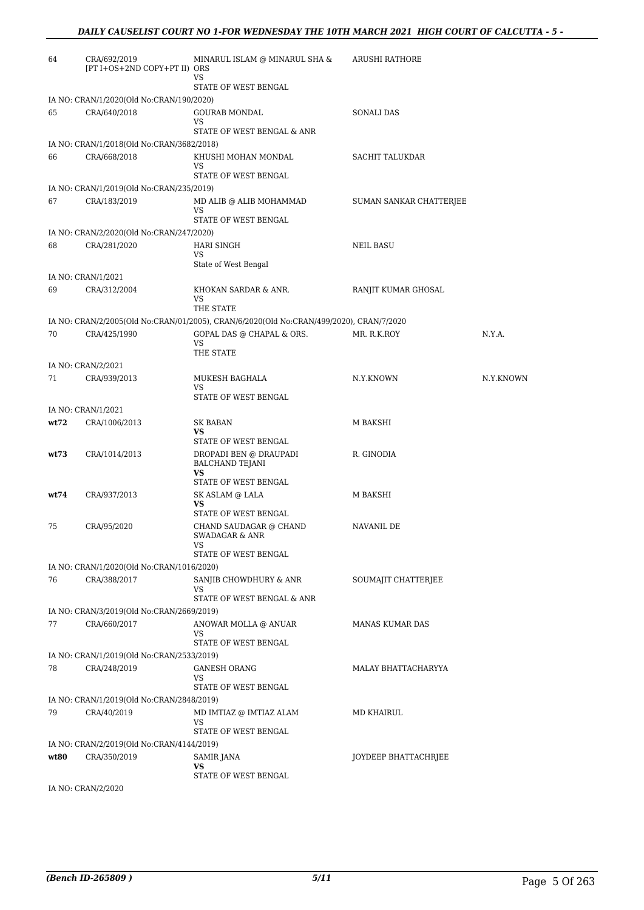| 64   | CRA/692/2019<br>[PT I+OS+2ND COPY+PT II) ORS | MINARUL ISLAM @ MINARUL SHA &<br>VS                                                                  | <b>ARUSHI RATHORE</b>   |           |
|------|----------------------------------------------|------------------------------------------------------------------------------------------------------|-------------------------|-----------|
|      |                                              | STATE OF WEST BENGAL                                                                                 |                         |           |
|      | IA NO: CRAN/1/2020(Old No:CRAN/190/2020)     |                                                                                                      |                         |           |
| 65   | CRA/640/2018                                 | <b>GOURAB MONDAL</b><br>VS<br>STATE OF WEST BENGAL & ANR                                             | SONALI DAS              |           |
|      | IA NO: CRAN/1/2018(Old No:CRAN/3682/2018)    |                                                                                                      |                         |           |
| 66   | CRA/668/2018                                 | KHUSHI MOHAN MONDAL                                                                                  | SACHIT TALUKDAR         |           |
|      |                                              | VS<br>STATE OF WEST BENGAL                                                                           |                         |           |
|      | IA NO: CRAN/1/2019(Old No:CRAN/235/2019)     |                                                                                                      |                         |           |
| 67   | CRA/183/2019                                 | MD ALIB @ ALIB MOHAMMAD<br>VS                                                                        | SUMAN SANKAR CHATTERJEE |           |
|      |                                              | STATE OF WEST BENGAL                                                                                 |                         |           |
|      | IA NO: CRAN/2/2020(Old No:CRAN/247/2020)     |                                                                                                      |                         |           |
| 68   | CRA/281/2020                                 | <b>HARI SINGH</b><br>VS<br>State of West Bengal                                                      | NEIL BASU               |           |
|      | IA NO: CRAN/1/2021                           |                                                                                                      |                         |           |
| 69   | CRA/312/2004                                 | KHOKAN SARDAR & ANR.                                                                                 | RANJIT KUMAR GHOSAL     |           |
|      |                                              | VS                                                                                                   |                         |           |
|      |                                              | THE STATE<br>IA NO: CRAN/2/2005(Old No:CRAN/01/2005), CRAN/6/2020(Old No:CRAN/499/2020), CRAN/7/2020 |                         |           |
|      |                                              |                                                                                                      |                         |           |
| 70   | CRA/425/1990                                 | GOPAL DAS @ CHAPAL & ORS.<br>VS                                                                      | MR. R.K.ROY             | N.Y.A.    |
|      |                                              | THE STATE                                                                                            |                         |           |
|      | IA NO: CRAN/2/2021                           |                                                                                                      |                         |           |
| 71   | CRA/939/2013                                 | MUKESH BAGHALA                                                                                       | N.Y.KNOWN               | N.Y.KNOWN |
|      |                                              | VS<br>STATE OF WEST BENGAL                                                                           |                         |           |
|      | IA NO: CRAN/1/2021                           |                                                                                                      |                         |           |
| wt72 | CRA/1006/2013                                | SK BABAN                                                                                             | M BAKSHI                |           |
|      |                                              | VS                                                                                                   |                         |           |
| wt73 | CRA/1014/2013                                | STATE OF WEST BENGAL                                                                                 | R. GINODIA              |           |
|      |                                              | DROPADI BEN @ DRAUPADI<br><b>BALCHAND TEJANI</b><br><b>VS</b>                                        |                         |           |
|      |                                              | STATE OF WEST BENGAL                                                                                 |                         |           |
| wt74 | CRA/937/2013                                 | SK ASLAM @ LALA<br>VS<br>STATE OF WEST BENGAL                                                        | M BAKSHI                |           |
| 75   | CRA/95/2020                                  | CHAND SAUDAGAR @ CHAND<br>SWADAGAR & ANR                                                             | NAVANIL DE              |           |
|      |                                              | VS                                                                                                   |                         |           |
|      |                                              | STATE OF WEST BENGAL                                                                                 |                         |           |
|      | IA NO: CRAN/1/2020(Old No:CRAN/1016/2020)    |                                                                                                      |                         |           |
| 76   | CRA/388/2017                                 | SANJIB CHOWDHURY & ANR<br>VS                                                                         | SOUMAJIT CHATTERJEE     |           |
|      |                                              | STATE OF WEST BENGAL & ANR                                                                           |                         |           |
|      | IA NO: CRAN/3/2019(Old No:CRAN/2669/2019)    |                                                                                                      |                         |           |
| 77   | CRA/660/2017                                 | ANOWAR MOLLA @ ANUAR<br>VS                                                                           | MANAS KUMAR DAS         |           |
|      |                                              | STATE OF WEST BENGAL                                                                                 |                         |           |
|      | IA NO: CRAN/1/2019(Old No:CRAN/2533/2019)    |                                                                                                      |                         |           |
| 78   | CRA/248/2019                                 | <b>GANESH ORANG</b><br>VS                                                                            | MALAY BHATTACHARYYA     |           |
|      |                                              | STATE OF WEST BENGAL                                                                                 |                         |           |
|      | IA NO: CRAN/1/2019(Old No:CRAN/2848/2019)    |                                                                                                      |                         |           |
| 79   | CRA/40/2019                                  | MD IMTIAZ @ IMTIAZ ALAM<br>VS                                                                        | MD KHAIRUL              |           |
|      |                                              | STATE OF WEST BENGAL                                                                                 |                         |           |
|      | IA NO: CRAN/2/2019(Old No:CRAN/4144/2019)    |                                                                                                      |                         |           |
| wt80 | CRA/350/2019                                 | SAMIR JANA<br>VS                                                                                     | JOYDEEP BHATTACHRJEE    |           |
|      |                                              | STATE OF WEST BENGAL                                                                                 |                         |           |
|      | IA NO: CRAN/2/2020                           |                                                                                                      |                         |           |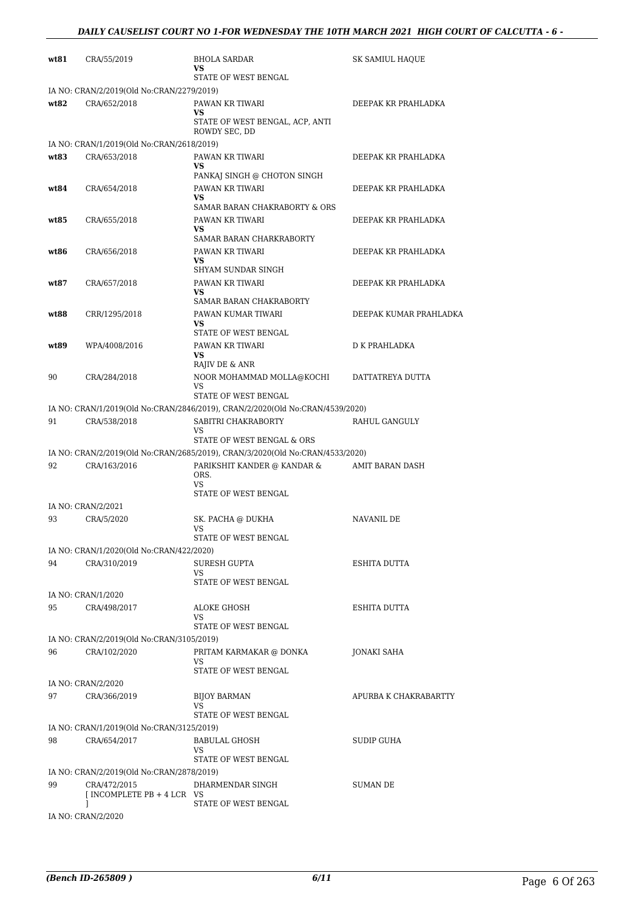| wt81 | CRA/55/2019                                | <b>BHOLA SARDAR</b>                                                           | SK SAMIUL HAQUE        |
|------|--------------------------------------------|-------------------------------------------------------------------------------|------------------------|
|      |                                            | VS<br>STATE OF WEST BENGAL                                                    |                        |
|      | IA NO: CRAN/2/2019(Old No:CRAN/2279/2019)  |                                                                               |                        |
| wt82 | CRA/652/2018                               | PAWAN KR TIWARI<br>VS                                                         | DEEPAK KR PRAHLADKA    |
|      |                                            | STATE OF WEST BENGAL, ACP, ANTI<br>ROWDY SEC, DD                              |                        |
|      | IA NO: CRAN/1/2019(Old No:CRAN/2618/2019)  |                                                                               |                        |
| wt83 | CRA/653/2018                               | PAWAN KR TIWARI<br>VS<br>PANKAJ SINGH @ CHOTON SINGH                          | DEEPAK KR PRAHLADKA    |
| wt84 | CRA/654/2018                               | PAWAN KR TIWARI<br><b>VS</b><br>SAMAR BARAN CHAKRABORTY & ORS                 | DEEPAK KR PRAHLADKA    |
| wt85 | CRA/655/2018                               | PAWAN KR TIWARI<br>VS<br>SAMAR BARAN CHARKRABORTY                             | DEEPAK KR PRAHLADKA    |
| wt86 | CRA/656/2018                               | PAWAN KR TIWARI<br>VS<br>SHYAM SUNDAR SINGH                                   | DEEPAK KR PRAHLADKA    |
| wt87 | CRA/657/2018                               | PAWAN KR TIWARI<br>VS<br>SAMAR BARAN CHAKRABORTY                              | DEEPAK KR PRAHLADKA    |
| wt88 | CRR/1295/2018                              | PAWAN KUMAR TIWARI<br>VS.<br>STATE OF WEST BENGAL                             | DEEPAK KUMAR PRAHLADKA |
| wt89 | WPA/4008/2016                              | PAWAN KR TIWARI<br>VS<br>RAJIV DE & ANR                                       | <b>D K PRAHLADKA</b>   |
| 90   | CRA/284/2018                               | NOOR MOHAMMAD MOLLA@KOCHI<br>VS<br>STATE OF WEST BENGAL                       | DATTATREYA DUTTA       |
|      |                                            | IA NO: CRAN/1/2019(Old No:CRAN/2846/2019), CRAN/2/2020(Old No:CRAN/4539/2020) |                        |
| 91   | CRA/538/2018                               | SABITRI CHAKRABORTY                                                           | RAHUL GANGULY          |
|      |                                            | VS<br>STATE OF WEST BENGAL & ORS                                              |                        |
|      |                                            | IA NO: CRAN/2/2019(Old No:CRAN/2685/2019), CRAN/3/2020(Old No:CRAN/4533/2020) |                        |
| 92   | CRA/163/2016                               | PARIKSHIT KANDER @ KANDAR &<br>ORS.<br>VS<br>STATE OF WEST BENGAL             | AMIT BARAN DASH        |
|      | IA NO: CRAN/2/2021                         |                                                                               |                        |
| 93   | CRA/5/2020                                 | SK. PACHA @ DUKHA<br>VS                                                       | NAVANIL DE             |
|      | IA NO: CRAN/1/2020(Old No:CRAN/422/2020)   | STATE OF WEST BENGAL                                                          |                        |
| 94   | CRA/310/2019                               | <b>SURESH GUPTA</b><br>VS<br>STATE OF WEST BENGAL                             | ESHITA DUTTA           |
|      | IA NO: CRAN/1/2020                         |                                                                               |                        |
| 95   | CRA/498/2017                               | <b>ALOKE GHOSH</b><br>VS<br>STATE OF WEST BENGAL                              | ESHITA DUTTA           |
|      | IA NO: CRAN/2/2019(Old No:CRAN/3105/2019)  |                                                                               |                        |
| 96   | CRA/102/2020                               | PRITAM KARMAKAR @ DONKA<br>VS<br>STATE OF WEST BENGAL                         | JONAKI SAHA            |
|      | IA NO: CRAN/2/2020                         |                                                                               |                        |
| 97   | CRA/366/2019                               | <b>BIJOY BARMAN</b><br>VS<br>STATE OF WEST BENGAL                             | APURBA K CHAKRABARTTY  |
|      | IA NO: CRAN/1/2019(Old No:CRAN/3125/2019)  |                                                                               |                        |
| 98   | CRA/654/2017                               | <b>BABULAL GHOSH</b><br>VS<br>STATE OF WEST BENGAL                            | SUDIP GUHA             |
|      | IA NO: CRAN/2/2019(Old No:CRAN/2878/2019)  |                                                                               |                        |
| 99   | CRA/472/2015<br>$INCOMPLETE PB + 4 LCR VS$ | DHARMENDAR SINGH                                                              | <b>SUMAN DE</b>        |
|      | 1<br>IA NO: CRAN/2/2020                    | STATE OF WEST BENGAL                                                          |                        |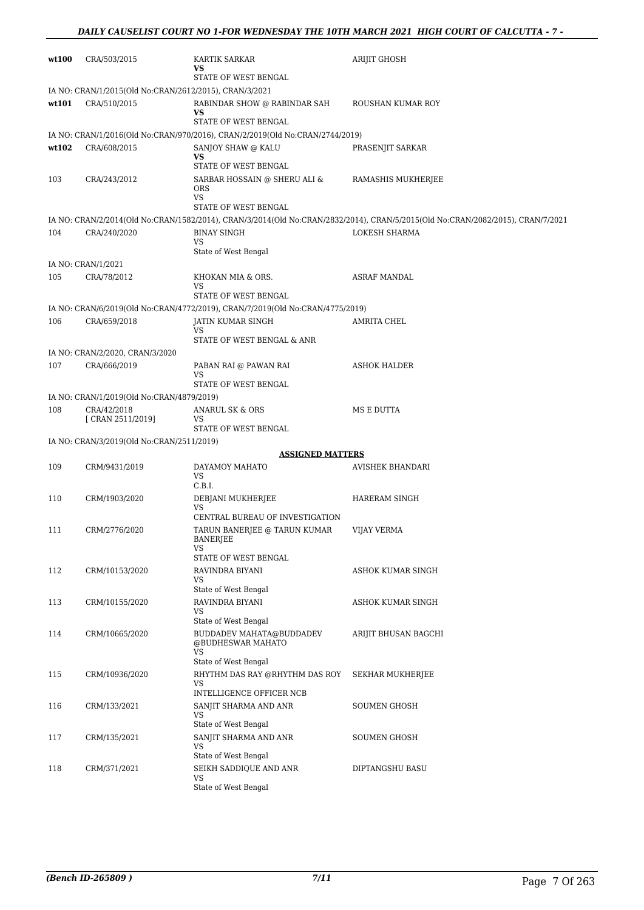| wt100 | CRA/503/2015                                           | <b>KARTIK SARKAR</b><br>VS<br>STATE OF WEST BENGAL                              | <b>ARIJIT GHOSH</b>                                                                                                            |
|-------|--------------------------------------------------------|---------------------------------------------------------------------------------|--------------------------------------------------------------------------------------------------------------------------------|
|       | IA NO: CRAN/1/2015(Old No:CRAN/2612/2015), CRAN/3/2021 |                                                                                 |                                                                                                                                |
| wt101 | CRA/510/2015                                           | RABINDAR SHOW @ RABINDAR SAH                                                    | ROUSHAN KUMAR ROY                                                                                                              |
|       |                                                        | VS                                                                              |                                                                                                                                |
|       |                                                        | STATE OF WEST BENGAL                                                            |                                                                                                                                |
|       |                                                        | IA NO: CRAN/1/2016(Old No:CRAN/970/2016), CRAN/2/2019(Old No:CRAN/2744/2019)    |                                                                                                                                |
| wt102 | CRA/608/2015                                           | SANJOY SHAW @ KALU<br>VS                                                        | PRASENJIT SARKAR                                                                                                               |
|       |                                                        | STATE OF WEST BENGAL                                                            |                                                                                                                                |
| 103   | CRA/243/2012                                           | SARBAR HOSSAIN @ SHERU ALI &<br><b>ORS</b><br><b>VS</b><br>STATE OF WEST BENGAL | RAMASHIS MUKHERJEE                                                                                                             |
|       |                                                        |                                                                                 | IA NO: CRAN/2/2014(Old No:CRAN/1582/2014), CRAN/3/2014(Old No:CRAN/2832/2014), CRAN/5/2015(Old No:CRAN/2082/2015), CRAN/7/2021 |
| 104   | CRA/240/2020                                           | <b>BINAY SINGH</b><br>VS<br>State of West Bengal                                | <b>LOKESH SHARMA</b>                                                                                                           |
|       | IA NO: CRAN/1/2021                                     |                                                                                 |                                                                                                                                |
| 105   | CRA/78/2012                                            | KHOKAN MIA & ORS.<br>VS                                                         | ASRAF MANDAL                                                                                                                   |
|       |                                                        | STATE OF WEST BENGAL                                                            |                                                                                                                                |
|       |                                                        | IA NO: CRAN/6/2019(Old No:CRAN/4772/2019), CRAN/7/2019(Old No:CRAN/4775/2019)   |                                                                                                                                |
| 106   | CRA/659/2018                                           | JATIN KUMAR SINGH<br>VS                                                         | AMRITA CHEL                                                                                                                    |
|       |                                                        | STATE OF WEST BENGAL & ANR                                                      |                                                                                                                                |
|       | IA NO: CRAN/2/2020, CRAN/3/2020                        |                                                                                 |                                                                                                                                |
| 107   | CRA/666/2019                                           | PABAN RAI @ PAWAN RAI                                                           | <b>ASHOK HALDER</b>                                                                                                            |
|       |                                                        | VS<br>STATE OF WEST BENGAL                                                      |                                                                                                                                |
|       | IA NO: CRAN/1/2019(Old No:CRAN/4879/2019)              |                                                                                 |                                                                                                                                |
| 108   | CRA/42/2018                                            | ANARUL SK & ORS                                                                 | MS E DUTTA                                                                                                                     |
|       | [ CRAN 2511/2019]                                      | VS<br>STATE OF WEST BENGAL                                                      |                                                                                                                                |
|       | IA NO: CRAN/3/2019(Old No:CRAN/2511/2019)              |                                                                                 |                                                                                                                                |
|       |                                                        | <b>ASSIGNED MATTERS</b>                                                         |                                                                                                                                |
| 109   | CRM/9431/2019                                          | DAYAMOY MAHATO                                                                  | AVISHEK BHANDARI                                                                                                               |
|       |                                                        | VS.<br>C.B.I.                                                                   |                                                                                                                                |
| 110   | CRM/1903/2020                                          | DEBJANI MUKHERJEE<br>VS                                                         | HARERAM SINGH                                                                                                                  |
|       |                                                        | CENTRAL BUREAU OF INVESTIGATION                                                 |                                                                                                                                |
| 111   | CRM/2776/2020                                          | TARUN BANERJEE @ TARUN KUMAR<br><b>BANERJEE</b><br>VS                           | <b>VIJAY VERMA</b>                                                                                                             |
|       |                                                        | STATE OF WEST BENGAL                                                            |                                                                                                                                |
| 112   | CRM/10153/2020                                         | RAVINDRA BIYANI<br>VS.<br>State of West Bengal                                  | ASHOK KUMAR SINGH                                                                                                              |
| 113   | CRM/10155/2020                                         | RAVINDRA BIYANI                                                                 | ASHOK KUMAR SINGH                                                                                                              |
|       |                                                        | VS<br>State of West Bengal                                                      |                                                                                                                                |
| 114   | CRM/10665/2020                                         | BUDDADEV MAHATA@BUDDADEV<br>@BUDHESWAR MAHATO<br>VS                             | ARIJIT BHUSAN BAGCHI                                                                                                           |
|       |                                                        | State of West Bengal                                                            |                                                                                                                                |
| 115   | CRM/10936/2020                                         | RHYTHM DAS RAY @RHYTHM DAS ROY<br>VS.                                           | SEKHAR MUKHERJEE                                                                                                               |
|       |                                                        | INTELLIGENCE OFFICER NCB                                                        |                                                                                                                                |
| 116   | CRM/133/2021                                           | SANJIT SHARMA AND ANR<br>VS<br>State of West Bengal                             | SOUMEN GHOSH                                                                                                                   |
| 117   | CRM/135/2021                                           | SANJIT SHARMA AND ANR                                                           | <b>SOUMEN GHOSH</b>                                                                                                            |
|       |                                                        | VS                                                                              |                                                                                                                                |
|       |                                                        | State of West Bengal                                                            |                                                                                                                                |
|       |                                                        | VS                                                                              |                                                                                                                                |
| 118   | CRM/371/2021                                           | SEIKH SADDIQUE AND ANR                                                          | DIPTANGSHU BASU                                                                                                                |
|       |                                                        | State of West Bengal                                                            |                                                                                                                                |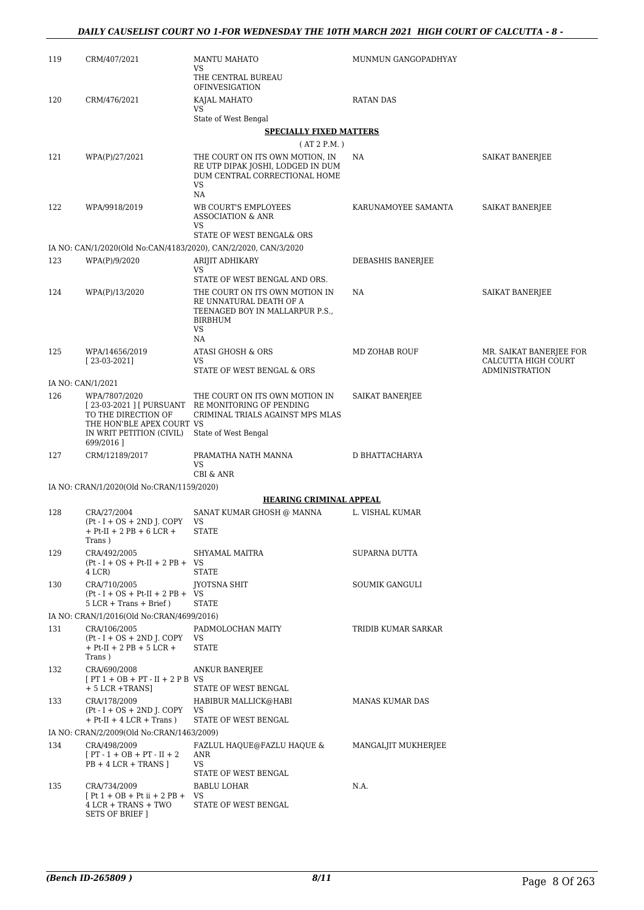| 119 | CRM/407/2021                                                                                  | <b>MANTU MAHATO</b><br>VS                                                                                                                             | MUNMUN GANGOPADHYAY      |                                                                         |
|-----|-----------------------------------------------------------------------------------------------|-------------------------------------------------------------------------------------------------------------------------------------------------------|--------------------------|-------------------------------------------------------------------------|
|     |                                                                                               | THE CENTRAL BUREAU<br>OFINVESIGATION                                                                                                                  |                          |                                                                         |
| 120 | CRM/476/2021                                                                                  | KAJAL MAHATO<br>VS                                                                                                                                    | RATAN DAS                |                                                                         |
|     |                                                                                               | State of West Bengal                                                                                                                                  |                          |                                                                         |
|     |                                                                                               | <b>SPECIALLY FIXED MATTERS</b><br>(AT 2 P.M.)                                                                                                         |                          |                                                                         |
| 121 | WPA(P)/27/2021                                                                                | THE COURT ON ITS OWN MOTION, IN<br>RE UTP DIPAK JOSHI, LODGED IN DUM<br>DUM CENTRAL CORRECTIONAL HOME                                                 | NA                       | SAIKAT BANERJEE                                                         |
| 122 | WPA/9918/2019                                                                                 | VS<br>NA<br>WB COURT'S EMPLOYEES<br><b>ASSOCIATION &amp; ANR</b>                                                                                      | KARUNAMOYEE SAMANTA      | SAIKAT BANERJEE                                                         |
|     |                                                                                               | VS<br>STATE OF WEST BENGAL& ORS                                                                                                                       |                          |                                                                         |
|     |                                                                                               | IA NO: CAN/1/2020(Old No:CAN/4183/2020), CAN/2/2020, CAN/3/2020                                                                                       |                          |                                                                         |
| 123 | WPA(P)/9/2020                                                                                 | ARIJIT ADHIKARY                                                                                                                                       | <b>DEBASHIS BANERJEE</b> |                                                                         |
|     |                                                                                               | VS                                                                                                                                                    |                          |                                                                         |
| 124 | WPA(P)/13/2020                                                                                | STATE OF WEST BENGAL AND ORS.<br>THE COURT ON ITS OWN MOTION IN<br>RE UNNATURAL DEATH OF A<br>TEENAGED BOY IN MALLARPUR P.S.,<br><b>BIRBHUM</b><br>VS | <b>NA</b>                | SAIKAT BANERJEE                                                         |
| 125 | WPA/14656/2019<br>$[23-03-2021]$                                                              | NA<br><b>ATASI GHOSH &amp; ORS</b><br>VS<br>STATE OF WEST BENGAL & ORS                                                                                | MD ZOHAB ROUF            | MR. SAIKAT BANERJEE FOR<br>CALCUTTA HIGH COURT<br><b>ADMINISTRATION</b> |
|     | IA NO: CAN/1/2021                                                                             |                                                                                                                                                       |                          |                                                                         |
| 126 | WPA/7807/2020<br>TO THE DIRECTION OF<br>THE HON'BLE APEX COURT VS<br>IN WRIT PETITION (CIVIL) | THE COURT ON ITS OWN MOTION IN<br>[23-03-2021 ] [ PURSUANT RE MONITORING OF PENDING<br>CRIMINAL TRIALS AGAINST MPS MLAS<br>State of West Bengal       | SAIKAT BANERJEE          |                                                                         |
| 127 | 699/2016]<br>CRM/12189/2017                                                                   | PRAMATHA NATH MANNA                                                                                                                                   | D BHATTACHARYA           |                                                                         |
|     |                                                                                               | VS<br>CBI & ANR                                                                                                                                       |                          |                                                                         |
|     | IA NO: CRAN/1/2020(Old No:CRAN/1159/2020)                                                     |                                                                                                                                                       |                          |                                                                         |
|     |                                                                                               | <b>HEARING CRIMINAL APPEAL</b>                                                                                                                        |                          |                                                                         |
| 128 | CRA/27/2004<br>$Pt - I + OS + 2ND$ J. COPY<br>+ Pt-II + 2 PB + 6 LCR +<br>Trans)              | SANAT KUMAR GHOSH @ MANNA<br>VS<br><b>STATE</b>                                                                                                       | L. VISHAL KUMAR          |                                                                         |
| 129 | CRA/492/2005<br>$Pt-I + OS + Pt-II + 2 PB + VS$<br>4 LCR)                                     | SHYAMAL MAITRA<br><b>STATE</b>                                                                                                                        | SUPARNA DUTTA            |                                                                         |
| 130 | CRA/710/2005<br>$Pt-I + OS + Pt-II + 2 PB +$<br>$5$ LCR + Trans + Brief)                      | <b>IYOTSNA SHIT</b><br>VS<br><b>STATE</b>                                                                                                             | SOUMIK GANGULI           |                                                                         |
|     | IA NO: CRAN/1/2016(Old No:CRAN/4699/2016)                                                     |                                                                                                                                                       |                          |                                                                         |
| 131 | CRA/106/2005<br>$Pt - I + OS + 2ND$ J. COPY<br>$+$ Pt-II $+$ 2 PB $+$ 5 LCR $+$<br>Trans)     | PADMOLOCHAN MAITY<br>VS<br><b>STATE</b>                                                                                                               | TRIDIB KUMAR SARKAR      |                                                                         |
| 132 | CRA/690/2008<br>$[PT 1 + OB + PT - II + 2 PB$ VS<br>$+5$ LCR $+TRANS$ ]                       | <b>ANKUR BANERJEE</b><br>STATE OF WEST BENGAL                                                                                                         |                          |                                                                         |
| 133 | CRA/178/2009<br>$Pt - I + OS + 2ND$ J. COPY<br>$+$ Pt-II $+$ 4 LCR $+$ Trans)                 | HABIBUR MALLICK@HABI<br>VS<br>STATE OF WEST BENGAL                                                                                                    | MANAS KUMAR DAS          |                                                                         |
|     | IA NO: CRAN/2/2009(Old No:CRAN/1463/2009)                                                     |                                                                                                                                                       |                          |                                                                         |
| 134 | CRA/498/2009<br>$[PT - 1 + OB + PT - II + 2]$<br>$PB + 4 LCR + TRANS$                         | FAZLUL HAQUE@FAZLU HAQUE &<br>ANR<br><b>VS</b><br>STATE OF WEST BENGAL                                                                                | MANGALJIT MUKHERJEE      |                                                                         |
| 135 | CRA/734/2009<br>$[Pt 1 + OB + Pt ii + 2 PB +$<br>4 LCR + TRANS + TWO<br>SETS OF BRIEF ]       | BABLU LOHAR<br>VS<br>STATE OF WEST BENGAL                                                                                                             | N.A.                     |                                                                         |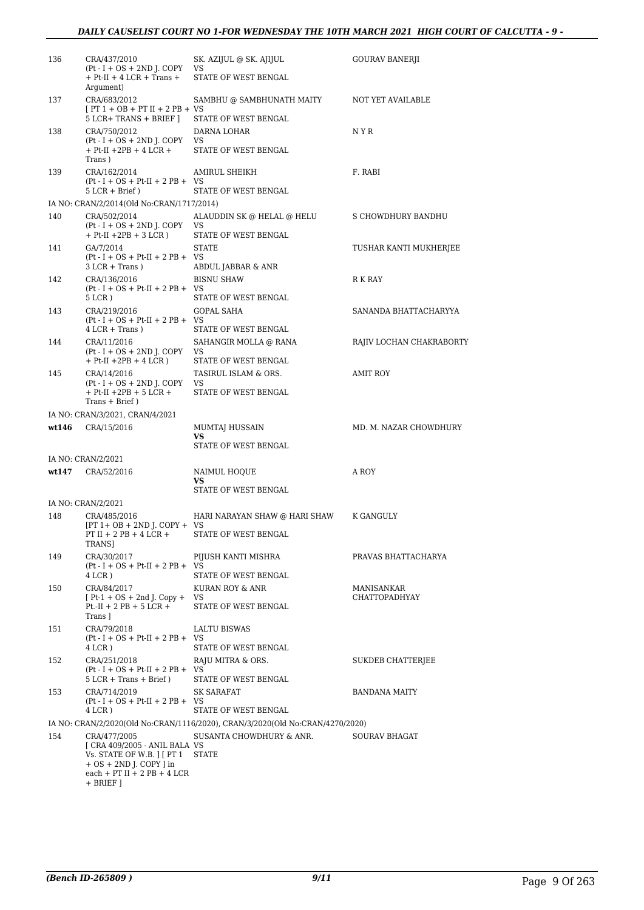| 136   | CRA/437/2010<br>$Pt-I + OS + 2ND$ J. COPY<br>$+$ Pt-II $+$ 4 LCR $+$ Trans $+$<br>Argument)                                                              | SK. AZIJUL @ SK. AJIJUL<br>VS<br>STATE OF WEST BENGAL                         | GOURAV BANERJI              |
|-------|----------------------------------------------------------------------------------------------------------------------------------------------------------|-------------------------------------------------------------------------------|-----------------------------|
| 137   | CRA/683/2012<br>$[PT 1 + OB + PT II + 2 PB + VS$<br>5 LCR+ TRANS + BRIEF 1                                                                               | SAMBHU @ SAMBHUNATH MAITY<br>STATE OF WEST BENGAL                             | NOT YET AVAILABLE           |
| 138   | CRA/750/2012<br>$Pt-I + OS + 2ND$ J. COPY<br>$+$ Pt-II $+2PB + 4$ LCR $+$<br>Trans)                                                                      | DARNA LOHAR<br>VS<br>STATE OF WEST BENGAL                                     | N Y R                       |
| 139   | CRA/162/2014<br>$Pt-I + OS + Pt-II + 2 PB + VS$<br>$5 LCR + Brief)$                                                                                      | <b>AMIRUL SHEIKH</b><br>STATE OF WEST BENGAL                                  | F. RABI                     |
|       | IA NO: CRAN/2/2014(Old No:CRAN/1717/2014)                                                                                                                |                                                                               |                             |
| 140   | CRA/502/2014<br>$(Pt - I + OS + 2ND J. COPY)$<br>$+$ Pt-II $+2PB + 3$ LCR)                                                                               | ALAUDDIN SK @ HELAL @ HELU<br>VS<br>STATE OF WEST BENGAL                      | S CHOWDHURY BANDHU          |
| 141   | GA/7/2014<br>$Pt-I + OS + Pt-II + 2 PB + VS$<br>$3 LCR + Trans$ )                                                                                        | <b>STATE</b><br>ABDUL JABBAR & ANR                                            | TUSHAR KANTI MUKHERJEE      |
| 142   | CRA/136/2016<br>$Pt-I + OS + Pt-II + 2 PB + VS$<br>$5$ LCR $)$                                                                                           | <b>BISNU SHAW</b><br>STATE OF WEST BENGAL                                     | R K RAY                     |
| 143   | CRA/219/2016<br>$Pt - I + OS + Pt-II + 2 PB + VS$<br>$4$ LCR + Trans)                                                                                    | <b>GOPAL SAHA</b><br>STATE OF WEST BENGAL                                     | SANANDA BHATTACHARYYA       |
| 144   | CRA/11/2016<br>$Pt - I + OS + 2ND$ J. COPY<br>$+ Pt$ -II $+2PB + 4 LCR$ )                                                                                | SAHANGIR MOLLA @ RANA<br>VS<br>STATE OF WEST BENGAL                           | RAJIV LOCHAN CHAKRABORTY    |
| 145   | CRA/14/2016<br>$(Pt - I + OS + 2ND J$ . COPY<br>$+$ Pt-II $+2PB + 5$ LCR $+$<br>Trans + Brief)                                                           | TASIRUL ISLAM & ORS.<br>VS<br>STATE OF WEST BENGAL                            | AMIT ROY                    |
|       | IA NO: CRAN/3/2021, CRAN/4/2021                                                                                                                          |                                                                               |                             |
| wt146 | CRA/15/2016                                                                                                                                              | MUMTAJ HUSSAIN<br>VS<br>STATE OF WEST BENGAL                                  | MD. M. NAZAR CHOWDHURY      |
|       | IA NO: CRAN/2/2021                                                                                                                                       |                                                                               |                             |
| wt147 | CRA/52/2016                                                                                                                                              | NAIMUL HOQUE<br>VS<br>STATE OF WEST BENGAL                                    | A ROY                       |
|       | IA NO: CRAN/2/2021                                                                                                                                       |                                                                               |                             |
| 148   | CRA/485/2016<br>$[PT 1 + OB + 2ND J$ . COPY + VS<br>PT II + 2 PB + 4 LCR +                                                                               | HARI NARAYAN SHAW @ HARI SHAW<br>STATE OF WEST BENGAL                         | K GANGULY                   |
|       | TRANS]                                                                                                                                                   |                                                                               |                             |
| 149   | CRA/30/2017<br>$Pt-I + OS + Pt-II + 2 PB + VS$<br>4 LCR)                                                                                                 | PIJUSH KANTI MISHRA<br>STATE OF WEST BENGAL                                   | PRAVAS BHATTACHARYA         |
| 150   | CRA/84/2017<br>$[Pt-1 + OS + 2nd]$ . Copy +<br>$Pt.-II + 2 PB + 5 LCR +$<br>Trans ]                                                                      | KURAN ROY & ANR<br>VS<br>STATE OF WEST BENGAL                                 | MANISANKAR<br>CHATTOPADHYAY |
| 151   | CRA/79/2018<br>$Pt-I + OS + Pt-II + 2 PB + VS$<br>4 LCR)                                                                                                 | LALTU BISWAS<br>STATE OF WEST BENGAL                                          |                             |
| 152   | CRA/251/2018<br>$Pt-I + OS + Pt-II + 2 PB + VS$<br>$5$ LCR + Trans + Brief $)$                                                                           | RAJU MITRA & ORS.<br>STATE OF WEST BENGAL                                     | <b>SUKDEB CHATTERJEE</b>    |
| 153   | CRA/714/2019<br>$Pt-I + OS + Pt-II + 2 PB + VS$<br>4 LCR)                                                                                                | SK SARAFAT<br>STATE OF WEST BENGAL                                            | BANDANA MAITY               |
|       |                                                                                                                                                          | IA NO: CRAN/2/2020(Old No:CRAN/1116/2020), CRAN/3/2020(Old No:CRAN/4270/2020) |                             |
| 154   | CRA/477/2005<br>[ CRA 409/2005 - ANIL BALA VS<br>Vs. STATE OF W.B. J [ PT 1<br>$+ OS + 2ND$ J. COPY ] in<br>$each + PT II + 2 PB + 4 LCR$<br>$+$ BRIEF ] | SUSANTA CHOWDHURY & ANR.<br><b>STATE</b>                                      | <b>SOURAV BHAGAT</b>        |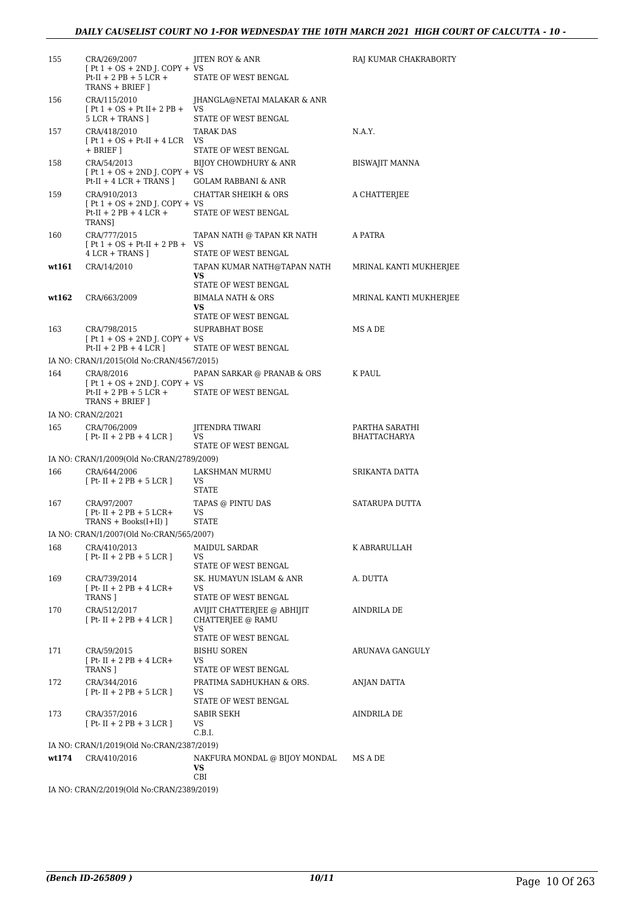| 155   | CRA/269/2007<br>$[Pt 1 + OS + 2ND J$ . COPY + VS                                              | <b>IITEN ROY &amp; ANR</b>                                       | RAJ KUMAR CHAKRABORTY  |
|-------|-----------------------------------------------------------------------------------------------|------------------------------------------------------------------|------------------------|
|       | $Pt-II + 2 PB + 5 LCR +$<br>TRANS + BRIEF ]                                                   | STATE OF WEST BENGAL                                             |                        |
| 156   | CRA/115/2010<br>$[Pt 1 + OS + Pt II + 2 PB + VS$<br>$5$ LCR + TRANS $]$                       | JHANGLA@NETAI MALAKAR & ANR<br>STATE OF WEST BENGAL              |                        |
| 157   | CRA/418/2010                                                                                  | TARAK DAS                                                        | N.A.Y.                 |
|       | $[Pt 1 + OS + Pt-II + 4 LCR$ VS                                                               |                                                                  |                        |
|       | $+$ BRIEF $\vert$                                                                             | STATE OF WEST BENGAL                                             |                        |
| 158   | CRA/54/2013<br>$[Pt 1 + OS + 2ND I$ . COPY + VS                                               | BIJOY CHOWDHURY & ANR                                            | BISWAJIT MANNA         |
|       | $Pt-II + 4 LCR + TRANS$ ]                                                                     | GOLAM RABBANI & ANR                                              |                        |
| 159   | CRA/910/2013                                                                                  | CHATTAR SHEIKH & ORS                                             | A CHATTERJEE           |
|       | $[Pt 1 + OS + 2ND J$ . COPY + VS<br>$Pt-II + 2 PB + 4 LCR +$<br>TRANS]                        | STATE OF WEST BENGAL                                             |                        |
| 160   | CRA/777/2015<br>$[Pt 1 + OS + Pt-II + 2 PB + VS$                                              | TAPAN NATH @ TAPAN KR NATH                                       | A PATRA                |
|       | $4$ LCR + TRANS $\vert$                                                                       | STATE OF WEST BENGAL                                             |                        |
| wt161 | CRA/14/2010                                                                                   | TAPAN KUMAR NATH@TAPAN NATH<br><b>VS</b><br>STATE OF WEST BENGAL | MRINAL KANTI MUKHERJEE |
| wt162 | CRA/663/2009                                                                                  | <b>BIMALA NATH &amp; ORS</b>                                     | MRINAL KANTI MUKHERJEE |
|       |                                                                                               | VS.                                                              |                        |
| 163   | CRA/798/2015                                                                                  | STATE OF WEST BENGAL<br>SUPRABHAT BOSE                           | MS A DE                |
|       | $[Pt 1 + OS + 2ND J$ . COPY + VS                                                              |                                                                  |                        |
|       | $Pt-II + 2 PB + 4 LCR$ ]                                                                      | STATE OF WEST BENGAL                                             |                        |
|       | IA NO: CRAN/1/2015(Old No:CRAN/4567/2015)                                                     |                                                                  |                        |
| 164   | CRA/8/2016<br>$[Pt 1 + OS + 2ND J$ . COPY + VS<br>$Pt-II + 2 PB + 5 LCR +$<br>TRANS + BRIEF ] | PAPAN SARKAR @ PRANAB & ORS<br>STATE OF WEST BENGAL              | K PAUL                 |
|       | IA NO: CRAN/2/2021                                                                            |                                                                  |                        |
| 165   | CRA/706/2009                                                                                  | JITENDRA TIWARI                                                  | PARTHA SARATHI         |
|       | $[Pt-II + 2 PB + 4 LCR]$                                                                      | VS<br>STATE OF WEST BENGAL                                       | BHATTACHARYA           |
|       | IA NO: CRAN/1/2009(Old No:CRAN/2789/2009)                                                     |                                                                  |                        |
| 166   | CRA/644/2006                                                                                  | LAKSHMAN MURMU                                                   | SRIKANTA DATTA         |
|       | $[Pt-II + 2 PB + 5 LCR]$                                                                      | VS.<br><b>STATE</b>                                              |                        |
| 167   | CRA/97/2007<br>$[Pt-II + 2 PB + 5 LCR +$                                                      | TAPAS @ PINTU DAS<br>VS                                          | SATARUPA DUTTA         |
|       | TRANS + Books(I+II) ]                                                                         | <b>STATE</b>                                                     |                        |
|       | IA NO: CRAN/1/2007(Old No:CRAN/565/2007)                                                      |                                                                  |                        |
| 168   | CRA/410/2013                                                                                  | MAIDUL SARDAR                                                    | K ABRARULLAH           |
|       | $[Pt-II + 2 PB + 5 LCR]$                                                                      | VS<br>STATE OF WEST BENGAL                                       |                        |
| 169   | CRA/739/2014                                                                                  | SK. HUMAYUN ISLAM & ANR                                          | A. DUTTA               |
|       | $[$ Pt-II + 2 PB + 4 LCR+<br>TRANS ]                                                          | VS<br>STATE OF WEST BENGAL                                       |                        |
| 170   | CRA/512/2017                                                                                  | AVIJIT CHATTERJEE @ ABHIJIT                                      | AINDRILA DE            |
|       | $[Pt-II + 2 PB + 4 LCR]$                                                                      | CHATTERJEE @ RAMU<br>VS                                          |                        |
|       | CRA/59/2015                                                                                   | STATE OF WEST BENGAL                                             | ARUNAVA GANGULY        |
| 171   | $[Pt-II + 2 PB + 4 LCR+$<br>TRANS ]                                                           | BISHU SOREN<br>VS<br>STATE OF WEST BENGAL                        |                        |
| 172   | CRA/344/2016                                                                                  | PRATIMA SADHUKHAN & ORS.                                         | ANJAN DATTA            |
|       | $[Pt-II + 2 PB + 5 LCR]$                                                                      | VS<br>STATE OF WEST BENGAL                                       |                        |
| 173   | CRA/357/2016<br>$[Pt-II + 2 PB + 3 LCR]$                                                      | SABIR SEKH<br>VS<br>C.B.I.                                       | AINDRILA DE            |
|       | IA NO: CRAN/1/2019(Old No:CRAN/2387/2019)                                                     |                                                                  |                        |
| wt174 | CRA/410/2016                                                                                  | NAKFURA MONDAL @ BIJOY MONDAL                                    | MS A DE                |
|       |                                                                                               | VS<br>CBI                                                        |                        |
|       | IA NO: CRAN/2/2019(Old No:CRAN/2389/2019)                                                     |                                                                  |                        |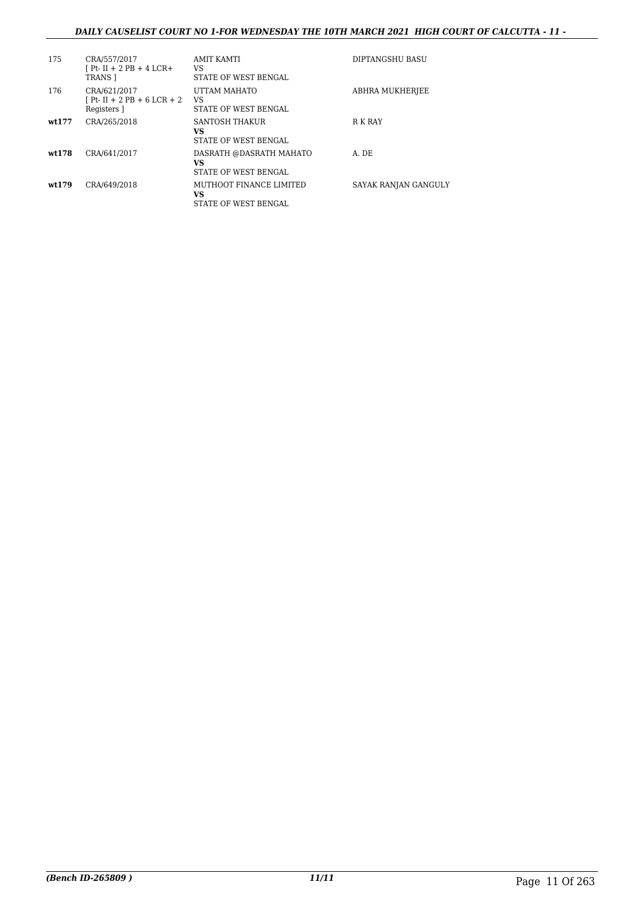## *DAILY CAUSELIST COURT NO 1-FOR WEDNESDAY THE 10TH MARCH 2021 HIGH COURT OF CALCUTTA - 11 -*

| 175    | CRA/557/2017<br>[ Pt- II + 2 PB + 4 LCR+<br>TRANS 1           | AMIT KAMTI<br>VS<br>STATE OF WEST BENGAL                     | DIPTANGSHU BASU      |
|--------|---------------------------------------------------------------|--------------------------------------------------------------|----------------------|
| 176    | CRA/621/2017<br>$[Pt - II + 2 PB + 6 LCR + 2]$<br>Registers 1 | UTTAM MAHATO<br>VS<br><b>STATE OF WEST BENGAL</b>            | ABHRA MUKHERJEE      |
| wt.177 | CRA/265/2018                                                  | SANTOSH THAKUR<br>VS<br><b>STATE OF WEST BENGAL</b>          | R K RAY              |
| wt.178 | CRA/641/2017                                                  | DASRATH @DASRATH MAHATO<br>VS<br><b>STATE OF WEST BENGAL</b> | A. DE                |
| wt.179 | CRA/649/2018                                                  | MUTHOOT FINANCE LIMITED<br>VS<br>STATE OF WEST BENGAL        | SAYAK RANJAN GANGULY |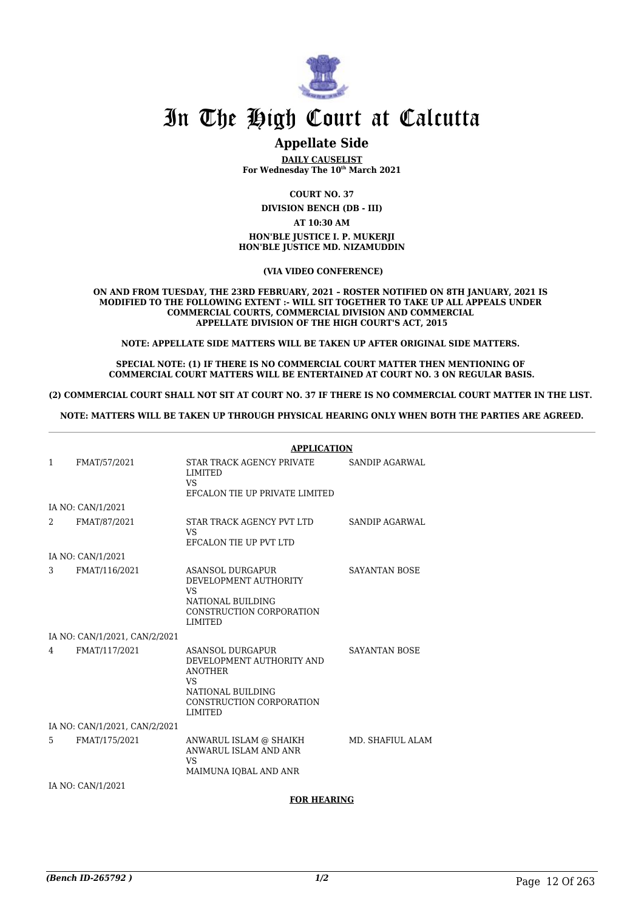

# **Appellate Side**

**DAILY CAUSELIST For Wednesday The 10th March 2021**

**COURT NO. 37**

**DIVISION BENCH (DB - III)**

**AT 10:30 AM**

**HON'BLE JUSTICE I. P. MUKERJI HON'BLE JUSTICE MD. NIZAMUDDIN**

 **(VIA VIDEO CONFERENCE)**

**ON AND FROM TUESDAY, THE 23RD FEBRUARY, 2021 – ROSTER NOTIFIED ON 8TH JANUARY, 2021 IS MODIFIED TO THE FOLLOWING EXTENT :- WILL SIT TOGETHER TO TAKE UP ALL APPEALS UNDER COMMERCIAL COURTS, COMMERCIAL DIVISION AND COMMERCIAL APPELLATE DIVISION OF THE HIGH COURT'S ACT, 2015**

**NOTE: APPELLATE SIDE MATTERS WILL BE TAKEN UP AFTER ORIGINAL SIDE MATTERS.** 

**SPECIAL NOTE: (1) IF THERE IS NO COMMERCIAL COURT MATTER THEN MENTIONING OF COMMERCIAL COURT MATTERS WILL BE ENTERTAINED AT COURT NO. 3 ON REGULAR BASIS.**

**(2) COMMERCIAL COURT SHALL NOT SIT AT COURT NO. 37 IF THERE IS NO COMMERCIAL COURT MATTER IN THE LIST.** 

**NOTE: MATTERS WILL BE TAKEN UP THROUGH PHYSICAL HEARING ONLY WHEN BOTH THE PARTIES ARE AGREED.**

|              |                               | <b>APPLICATION</b>                                                                                                                                    |                      |  |
|--------------|-------------------------------|-------------------------------------------------------------------------------------------------------------------------------------------------------|----------------------|--|
| $\mathbf{1}$ | FMAT/57/2021                  | STAR TRACK AGENCY PRIVATE<br><b>LIMITED</b><br><b>VS</b><br>EFCALON TIE UP PRIVATE LIMITED                                                            | SANDIP AGARWAL       |  |
|              | IA NO: CAN/1/2021             |                                                                                                                                                       |                      |  |
| 2            | FMAT/87/2021                  | STAR TRACK AGENCY PVT LTD<br>VS.<br>EFCALON TIE UP PVT LTD                                                                                            | SANDIP AGARWAL       |  |
|              | IA NO: CAN/1/2021             |                                                                                                                                                       |                      |  |
| 3            | FMAT/116/2021                 | ASANSOL DURGAPUR<br>DEVELOPMENT AUTHORITY<br><b>VS</b><br>NATIONAL BUILDING<br>CONSTRUCTION CORPORATION<br><b>LIMITED</b>                             | SAYANTAN BOSE        |  |
|              | IA NO: CAN/1/2021, CAN/2/2021 |                                                                                                                                                       |                      |  |
| 4            | FMAT/117/2021                 | ASANSOL DURGAPUR<br>DEVELOPMENT AUTHORITY AND<br><b>ANOTHER</b><br>VS <sub>1</sub><br>NATIONAL BUILDING<br>CONSTRUCTION CORPORATION<br><b>LIMITED</b> | <b>SAYANTAN BOSE</b> |  |
|              | IA NO: CAN/1/2021, CAN/2/2021 |                                                                                                                                                       |                      |  |
| 5            | FMAT/175/2021                 | ANWARUL ISLAM @ SHAIKH<br>ANWARUL ISLAM AND ANR<br>VS <sub>1</sub><br>MAIMUNA IOBAL AND ANR                                                           | MD. SHAFIUL ALAM     |  |
|              | IA NO: CAN/1/2021             |                                                                                                                                                       |                      |  |

#### **FOR HEARING**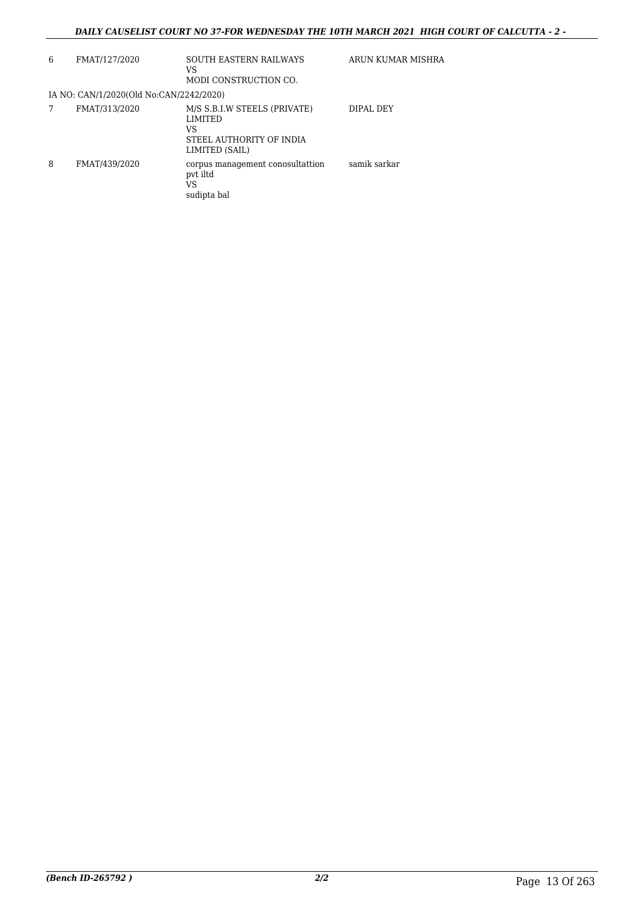## *DAILY CAUSELIST COURT NO 37-FOR WEDNESDAY THE 10TH MARCH 2021 HIGH COURT OF CALCUTTA - 2 -*

| 6 | FMAT/127/2020                           | <b>SOUTH EASTERN RAILWAYS</b><br>VS<br>MODI CONSTRUCTION CO.                                       | ARUN KUMAR MISHRA |
|---|-----------------------------------------|----------------------------------------------------------------------------------------------------|-------------------|
|   | IA NO: CAN/1/2020(Old No:CAN/2242/2020) |                                                                                                    |                   |
|   | FMAT/313/2020                           | M/S S.B.I.W STEELS (PRIVATE)<br><b>LIMITED</b><br>VS<br>STEEL AUTHORITY OF INDIA<br>LIMITED (SAIL) | DIPAL DEY         |
| 8 | FMAT/439/2020                           | corpus management conosultattion<br>pvt iltd<br>VS<br>sudipta bal                                  | samik sarkar      |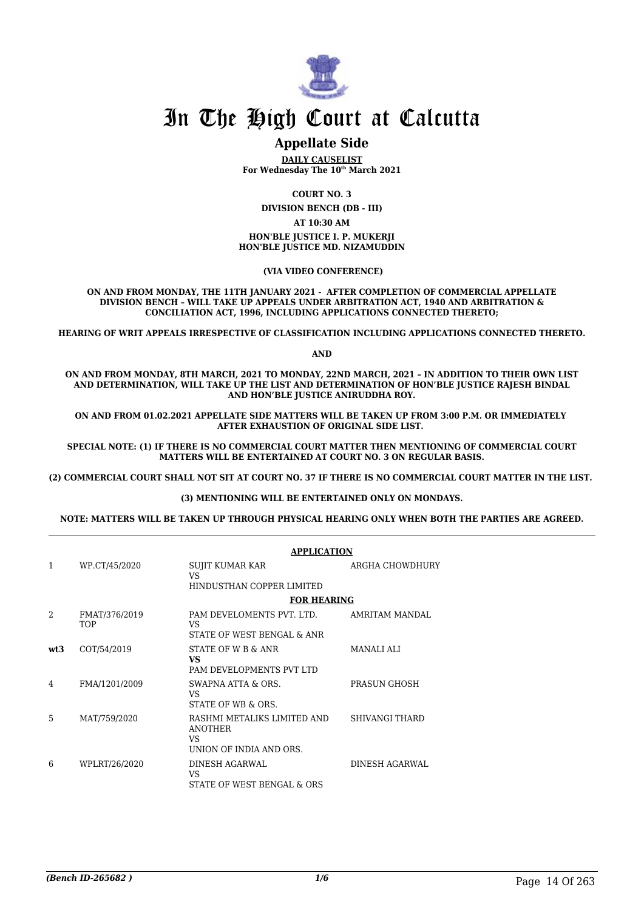

# **Appellate Side**

**DAILY CAUSELIST For Wednesday The 10th March 2021**

**COURT NO. 3**

**DIVISION BENCH (DB - III)**

**AT 10:30 AM**

**HON'BLE JUSTICE I. P. MUKERJI HON'BLE JUSTICE MD. NIZAMUDDIN**

 **(VIA VIDEO CONFERENCE)**

**ON AND FROM MONDAY, THE 11TH JANUARY 2021 - AFTER COMPLETION OF COMMERCIAL APPELLATE DIVISION BENCH – WILL TAKE UP APPEALS UNDER ARBITRATION ACT, 1940 AND ARBITRATION & CONCILIATION ACT, 1996, INCLUDING APPLICATIONS CONNECTED THERETO;**

**HEARING OF WRIT APPEALS IRRESPECTIVE OF CLASSIFICATION INCLUDING APPLICATIONS CONNECTED THERETO.**

**AND**

**ON AND FROM MONDAY, 8TH MARCH, 2021 TO MONDAY, 22ND MARCH, 2021 – IN ADDITION TO THEIR OWN LIST AND DETERMINATION, WILL TAKE UP THE LIST AND DETERMINATION OF HON'BLE JUSTICE RAJESH BINDAL AND HON'BLE JUSTICE ANIRUDDHA ROY.**

**ON AND FROM 01.02.2021 APPELLATE SIDE MATTERS WILL BE TAKEN UP FROM 3:00 P.M. OR IMMEDIATELY AFTER EXHAUSTION OF ORIGINAL SIDE LIST.** 

**SPECIAL NOTE: (1) IF THERE IS NO COMMERCIAL COURT MATTER THEN MENTIONING OF COMMERCIAL COURT MATTERS WILL BE ENTERTAINED AT COURT NO. 3 ON REGULAR BASIS.**

**(2) COMMERCIAL COURT SHALL NOT SIT AT COURT NO. 37 IF THERE IS NO COMMERCIAL COURT MATTER IN THE LIST.** 

#### **(3) MENTIONING WILL BE ENTERTAINED ONLY ON MONDAYS.**

**NOTE: MATTERS WILL BE TAKEN UP THROUGH PHYSICAL HEARING ONLY WHEN BOTH THE PARTIES ARE AGREED.**

|                |                             | <b>APPLICATION</b>                                                              |                   |  |
|----------------|-----------------------------|---------------------------------------------------------------------------------|-------------------|--|
| 1              | WP.CT/45/2020               | SUJIT KUMAR KAR<br><b>VS</b><br>HINDUSTHAN COPPER LIMITED                       | ARGHA CHOWDHURY   |  |
|                |                             | <b>FOR HEARING</b>                                                              |                   |  |
| $\overline{2}$ | FMAT/376/2019<br><b>TOP</b> | PAM DEVELOMENTS PVT. LTD.<br>VS.<br>STATE OF WEST BENGAL & ANR                  | AMRITAM MANDAL    |  |
| wt3            | COT/54/2019                 | STATE OF W B & ANR<br><b>VS</b><br>PAM DEVELOPMENTS PVT LTD                     | <b>MANALI ALI</b> |  |
| 4              | FMA/1201/2009               | SWAPNA ATTA & ORS.<br>VS.<br>STATE OF WB & ORS.                                 | PRASUN GHOSH      |  |
| 5              | MAT/759/2020                | RASHMI METALIKS LIMITED AND<br><b>ANOTHER</b><br>VS.<br>UNION OF INDIA AND ORS. | SHIVANGI THARD    |  |
| 6              | WPLRT/26/2020               | DINESH AGARWAL<br>VS<br>STATE OF WEST BENGAL & ORS                              | DINESH AGARWAL    |  |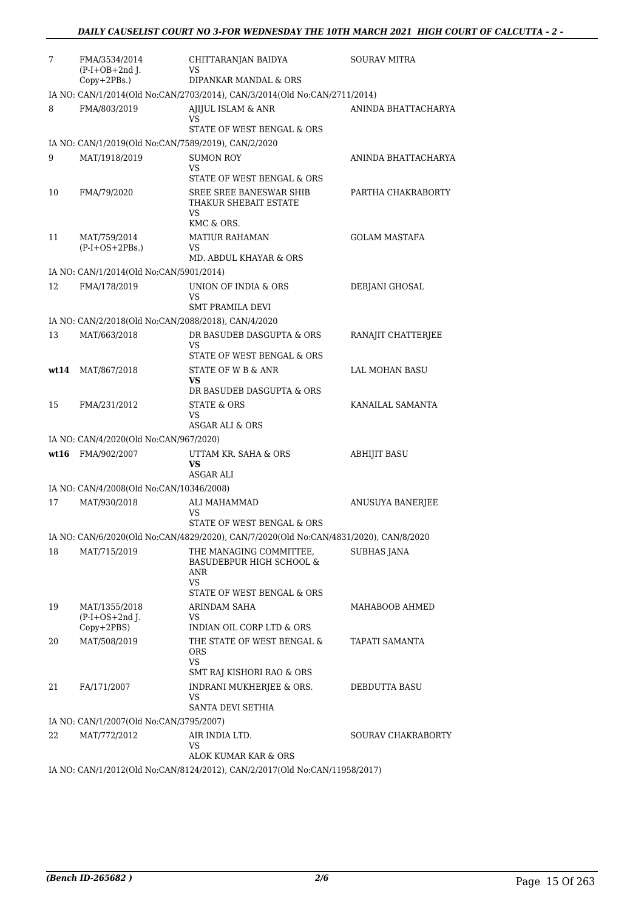| 7  | FMA/3534/2014<br>$(P-I+OB+2nd J.$                   | CHITTARANJAN BAIDYA<br>VS                                                             | <b>SOURAV MITRA</b>       |
|----|-----------------------------------------------------|---------------------------------------------------------------------------------------|---------------------------|
|    | Copy+2PBs.)                                         | DIPANKAR MANDAL & ORS                                                                 |                           |
|    | FMA/803/2019                                        | IA NO: CAN/1/2014(Old No:CAN/2703/2014), CAN/3/2014(Old No:CAN/2711/2014)             |                           |
| 8  |                                                     | AJIJUL ISLAM & ANR<br>VS<br>STATE OF WEST BENGAL & ORS                                | ANINDA BHATTACHARYA       |
|    | IA NO: CAN/1/2019(Old No:CAN/7589/2019), CAN/2/2020 |                                                                                       |                           |
| 9  | MAT/1918/2019                                       | <b>SUMON ROY</b>                                                                      | ANINDA BHATTACHARYA       |
|    |                                                     | VS                                                                                    |                           |
| 10 | FMA/79/2020                                         | STATE OF WEST BENGAL & ORS<br>SREE SREE BANESWAR SHIB<br>THAKUR SHEBAIT ESTATE        | PARTHA CHAKRABORTY        |
|    |                                                     | VS                                                                                    |                           |
|    |                                                     | KMC & ORS.                                                                            |                           |
| 11 | MAT/759/2014<br>$(P-I+OS+2PBs.)$                    | <b>MATIUR RAHAMAN</b><br>VS<br>MD. ABDUL KHAYAR & ORS                                 | <b>GOLAM MASTAFA</b>      |
|    | IA NO: CAN/1/2014(Old No:CAN/5901/2014)             |                                                                                       |                           |
| 12 | FMA/178/2019                                        | UNION OF INDIA & ORS                                                                  | DEBJANI GHOSAL            |
|    |                                                     | VS                                                                                    |                           |
|    |                                                     | <b>SMT PRAMILA DEVI</b>                                                               |                           |
|    | IA NO: CAN/2/2018(Old No:CAN/2088/2018), CAN/4/2020 |                                                                                       |                           |
| 13 | MAT/663/2018                                        | DR BASUDEB DASGUPTA & ORS<br>VS                                                       | RANAJIT CHATTERJEE        |
|    |                                                     | STATE OF WEST BENGAL & ORS                                                            |                           |
|    | wt14 MAT/867/2018                                   | STATE OF W B & ANR                                                                    | LAL MOHAN BASU            |
|    |                                                     | VS                                                                                    |                           |
|    |                                                     | DR BASUDEB DASGUPTA & ORS                                                             | KANAILAL SAMANTA          |
| 15 | FMA/231/2012                                        | <b>STATE &amp; ORS</b><br>VS                                                          |                           |
|    |                                                     | ASGAR ALI & ORS                                                                       |                           |
|    | IA NO: CAN/4/2020(Old No:CAN/967/2020)              |                                                                                       |                           |
|    | wt16 FMA/902/2007                                   | UTTAM KR. SAHA & ORS<br>VS<br>ASGAR ALI                                               | <b>ABHIJIT BASU</b>       |
|    | IA NO: CAN/4/2008(Old No:CAN/10346/2008)            |                                                                                       |                           |
| 17 | MAT/930/2018                                        | ALI MAHAMMAD                                                                          | ANUSUYA BANERJEE          |
|    |                                                     | VS                                                                                    |                           |
|    |                                                     | STATE OF WEST BENGAL & ORS                                                            |                           |
|    |                                                     | IA NO: CAN/6/2020(Old No:CAN/4829/2020), CAN/7/2020(Old No:CAN/4831/2020), CAN/8/2020 |                           |
| 18 | MAT/715/2019                                        | THE MANAGING COMMITTEE,<br><b>BASUDEBPUR HIGH SCHOOL &amp;</b><br>ANR<br>VS           | <b>SUBHAS JANA</b>        |
|    |                                                     | STATE OF WEST BENGAL & ORS                                                            |                           |
| 19 | MAT/1355/2018                                       | ARINDAM SAHA                                                                          | MAHABOOB AHMED            |
|    | $(P-I+OS+2nd$ J.                                    | VS<br>INDIAN OIL CORP LTD & ORS                                                       |                           |
| 20 | Copy+2PBS)<br>MAT/508/2019                          | THE STATE OF WEST BENGAL &                                                            | TAPATI SAMANTA            |
|    |                                                     | ORS<br>VS.                                                                            |                           |
|    |                                                     | SMT RAJ KISHORI RAO & ORS                                                             |                           |
| 21 | FA/171/2007                                         | INDRANI MUKHERJEE & ORS.<br>VS                                                        | DEBDUTTA BASU             |
|    |                                                     | SANTA DEVI SETHIA                                                                     |                           |
|    | IA NO: CAN/1/2007(Old No:CAN/3795/2007)             |                                                                                       |                           |
| 22 | MAT/772/2012                                        | AIR INDIA LTD.<br>VS                                                                  | <b>SOURAV CHAKRABORTY</b> |
|    |                                                     | ALOK KUMAR KAR & ORS                                                                  |                           |
|    |                                                     | IA NO: CAN/1/2012(Old No:CAN/8124/2012), CAN/2/2017(Old No:CAN/11958/2017)            |                           |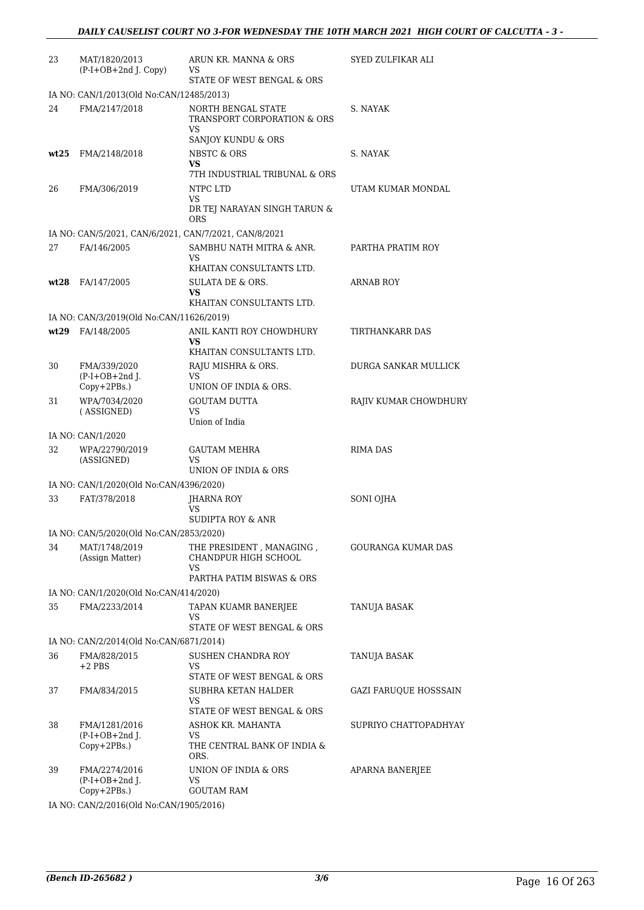| 23   | MAT/1820/2013<br>$(P-I+OB+2nd$ J. Copy)                   | ARUN KR. MANNA & ORS<br>VS                                    | <b>SYED ZULFIKAR ALI</b>     |
|------|-----------------------------------------------------------|---------------------------------------------------------------|------------------------------|
|      |                                                           | STATE OF WEST BENGAL & ORS                                    |                              |
| 24   | IA NO: CAN/1/2013(Old No:CAN/12485/2013)<br>FMA/2147/2018 | NORTH BENGAL STATE<br><b>TRANSPORT CORPORATION &amp; ORS</b>  | S. NAYAK                     |
|      |                                                           | VS.<br>SANJOY KUNDU & ORS                                     |                              |
| wt25 | FMA/2148/2018                                             | <b>NBSTC &amp; ORS</b><br>VS<br>7TH INDUSTRIAL TRIBUNAL & ORS | S. NAYAK                     |
| 26   | FMA/306/2019                                              | NTPC LTD<br><b>VS</b><br>DR TEJ NARAYAN SINGH TARUN &<br>ORS  | UTAM KUMAR MONDAL            |
|      | IA NO: CAN/5/2021, CAN/6/2021, CAN/7/2021, CAN/8/2021     |                                                               |                              |
| 27   | FA/146/2005                                               | SAMBHU NATH MITRA & ANR.<br>VS                                | PARTHA PRATIM ROY            |
|      | $wt28$ FA/147/2005                                        | KHAITAN CONSULTANTS LTD.<br>SULATA DE & ORS.<br>VS            | ARNAB ROY                    |
|      | IA NO: CAN/3/2019(Old No:CAN/11626/2019)                  | KHAITAN CONSULTANTS LTD.                                      |                              |
|      | wt29 FA/148/2005                                          | ANIL KANTI ROY CHOWDHURY<br>VS                                | TIRTHANKARR DAS              |
|      |                                                           | KHAITAN CONSULTANTS LTD.                                      |                              |
| 30   | FMA/339/2020<br>$(P-I+OB+2nd J.$<br>Copy+2PBs.)           | RAJU MISHRA & ORS.<br>VS<br>UNION OF INDIA & ORS.             | DURGA SANKAR MULLICK         |
| 31   | WPA/7034/2020<br>(ASSIGNED)                               | <b>GOUTAM DUTTA</b><br><b>VS</b>                              | RAJIV KUMAR CHOWDHURY        |
|      |                                                           | Union of India                                                |                              |
|      | IA NO: CAN/1/2020                                         |                                                               |                              |
| 32   | WPA/22790/2019<br>(ASSIGNED)                              | <b>GAUTAM MEHRA</b><br>VS<br>UNION OF INDIA & ORS             | <b>RIMA DAS</b>              |
|      | IA NO: CAN/1/2020(Old No:CAN/4396/2020)                   |                                                               |                              |
| 33   | FAT/378/2018                                              | JHARNA ROY<br><b>VS</b>                                       | SONI OJHA                    |
|      |                                                           | <b>SUDIPTA ROY &amp; ANR</b>                                  |                              |
|      | IA NO: CAN/5/2020(Old No:CAN/2853/2020)                   |                                                               |                              |
| 34   | MAT/1748/2019<br>(Assign Matter)                          | THE PRESIDENT, MANAGING,<br>CHANDPUR HIGH SCHOOL<br>VS        | GOURANGA KUMAR DAS           |
|      |                                                           | PARTHA PATIM BISWAS & ORS                                     |                              |
|      | IA NO: CAN/1/2020(Old No:CAN/414/2020)                    |                                                               |                              |
| 35   | FMA/2233/2014                                             | TAPAN KUAMR BANERJEE<br>VS<br>STATE OF WEST BENGAL & ORS      | TANUJA BASAK                 |
|      | IA NO: CAN/2/2014(Old No:CAN/6871/2014)                   |                                                               |                              |
| 36   | FMA/828/2015<br>$+2$ PBS                                  | SUSHEN CHANDRA ROY<br>VS.                                     | TANUJA BASAK                 |
| 37   | FMA/834/2015                                              | STATE OF WEST BENGAL & ORS<br>SUBHRA KETAN HALDER<br>VS       | <b>GAZI FARUQUE HOSSSAIN</b> |
|      |                                                           | STATE OF WEST BENGAL & ORS                                    |                              |
| 38   | FMA/1281/2016<br>$(P-I+OB+2nd J.$<br>Copy+2PBs.)          | ASHOK KR. MAHANTA<br>VS<br>THE CENTRAL BANK OF INDIA &        | SUPRIYO CHATTOPADHYAY        |
| 39   | FMA/2274/2016<br>$(P-I+OB+2nd$ J.                         | ORS.<br>UNION OF INDIA & ORS<br>VS                            | APARNA BANERJEE              |
|      | Copy+2PBs.)<br>$0.1337 + 0.137/1005/001C$                 | <b>GOUTAM RAM</b>                                             |                              |

IA NO: CAN/2/2016(Old No:CAN/1905/2016)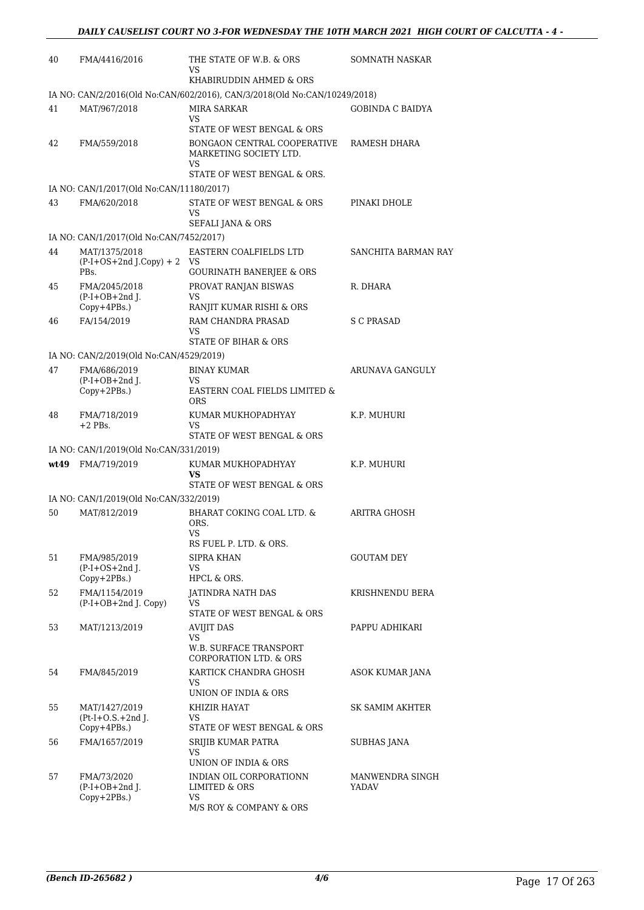| 40 | FMA/4416/2016                                       | THE STATE OF W.B. & ORS<br>VS.                                            | SOMNATH NASKAR          |
|----|-----------------------------------------------------|---------------------------------------------------------------------------|-------------------------|
|    |                                                     | KHABIRUDDIN AHMED & ORS                                                   |                         |
|    |                                                     | IA NO: CAN/2/2016(Old No:CAN/602/2016), CAN/3/2018(Old No:CAN/10249/2018) |                         |
| 41 | MAT/967/2018                                        | MIRA SARKAR<br><b>VS</b><br>STATE OF WEST BENGAL & ORS                    | <b>GOBINDA C BAIDYA</b> |
| 42 | FMA/559/2018                                        | BONGAON CENTRAL COOPERATIVE<br>MARKETING SOCIETY LTD.                     | RAMESH DHARA            |
|    |                                                     | <b>VS</b><br>STATE OF WEST BENGAL & ORS.                                  |                         |
|    | IA NO: CAN/1/2017(Old No:CAN/11180/2017)            |                                                                           |                         |
| 43 | FMA/620/2018                                        | STATE OF WEST BENGAL & ORS<br>VS<br>SEFALI JANA & ORS                     | PINAKI DHOLE            |
|    | IA NO: CAN/1/2017(Old No:CAN/7452/2017)             |                                                                           |                         |
| 44 | MAT/1375/2018<br>$(P-I+OS+2nd J.Copy) + 2 VS$       | EASTERN COALFIELDS LTD                                                    | SANCHITA BARMAN RAY     |
|    | PBs.                                                | <b>GOURINATH BANERJEE &amp; ORS</b>                                       |                         |
| 45 | FMA/2045/2018<br>$(P-I+OB+2nd$ J.<br>$Copy+4PBs.$ ) | PROVAT RANJAN BISWAS<br>VS<br>RANJIT KUMAR RISHI & ORS                    | R. DHARA                |
| 46 | FA/154/2019                                         | RAM CHANDRA PRASAD                                                        | S C PRASAD              |
|    |                                                     | VS<br>STATE OF BIHAR & ORS                                                |                         |
|    | IA NO: CAN/2/2019(Old No:CAN/4529/2019)             |                                                                           |                         |
| 47 | FMA/686/2019                                        | <b>BINAY KUMAR</b>                                                        | ARUNAVA GANGULY         |
|    | $(P-I+OB+2nd$ J.<br>Copy+2PBs.)                     | VS.<br>EASTERN COAL FIELDS LIMITED &<br><b>ORS</b>                        |                         |
| 48 | FMA/718/2019<br>$+2$ PBs.                           | KUMAR MUKHOPADHYAY<br>VS<br>STATE OF WEST BENGAL & ORS                    | K.P. MUHURI             |
|    | IA NO: CAN/1/2019(Old No:CAN/331/2019)              |                                                                           |                         |
|    | wt49 FMA/719/2019                                   | KUMAR MUKHOPADHYAY<br>VS                                                  | K.P. MUHURI             |
|    | IA NO: CAN/1/2019(Old No:CAN/332/2019)              | STATE OF WEST BENGAL & ORS                                                |                         |
| 50 | MAT/812/2019                                        | BHARAT COKING COAL LTD. &                                                 | ARITRA GHOSH            |
|    |                                                     | ORS.<br>VS<br>RS FUEL P. LTD. & ORS.                                      |                         |
| 51 | FMA/985/2019                                        | SIPRA KHAN                                                                | <b>GOUTAM DEY</b>       |
|    | $(P-I+OS+2nd J.$<br>Copy+2PBs.)                     | VS<br>HPCL & ORS.                                                         |                         |
| 52 | FMA/1154/2019<br>(P-I+OB+2nd J. Copy)               | <b>JATINDRA NATH DAS</b><br>VS                                            | KRISHNENDU BERA         |
|    |                                                     | STATE OF WEST BENGAL & ORS                                                |                         |
| 53 | MAT/1213/2019                                       | <b>AVIJIT DAS</b><br><b>VS</b>                                            | PAPPU ADHIKARI          |
|    |                                                     | W.B. SURFACE TRANSPORT<br><b>CORPORATION LTD. &amp; ORS</b>               |                         |
| 54 | FMA/845/2019                                        | KARTICK CHANDRA GHOSH<br>VS                                               | ASOK KUMAR JANA         |
|    |                                                     | UNION OF INDIA & ORS                                                      |                         |
| 55 | MAT/1427/2019<br>$Pt-I+O.S.+2nd$ J.                 | KHIZIR HAYAT<br>VS.                                                       | SK SAMIM AKHTER         |
|    | $Copy+4PBs.$ )                                      | STATE OF WEST BENGAL & ORS                                                |                         |
| 56 | FMA/1657/2019                                       | SRIJIB KUMAR PATRA<br>VS<br>UNION OF INDIA & ORS                          | <b>SUBHAS JANA</b>      |
| 57 | FMA/73/2020                                         | INDIAN OIL CORPORATIONN                                                   | MANWENDRA SINGH         |
|    | $(P-I+OB+2nd$ J.<br>Copy+2PBs.)                     | LIMITED & ORS<br>VS                                                       | YADAV                   |
|    |                                                     | M/S ROY & COMPANY & ORS                                                   |                         |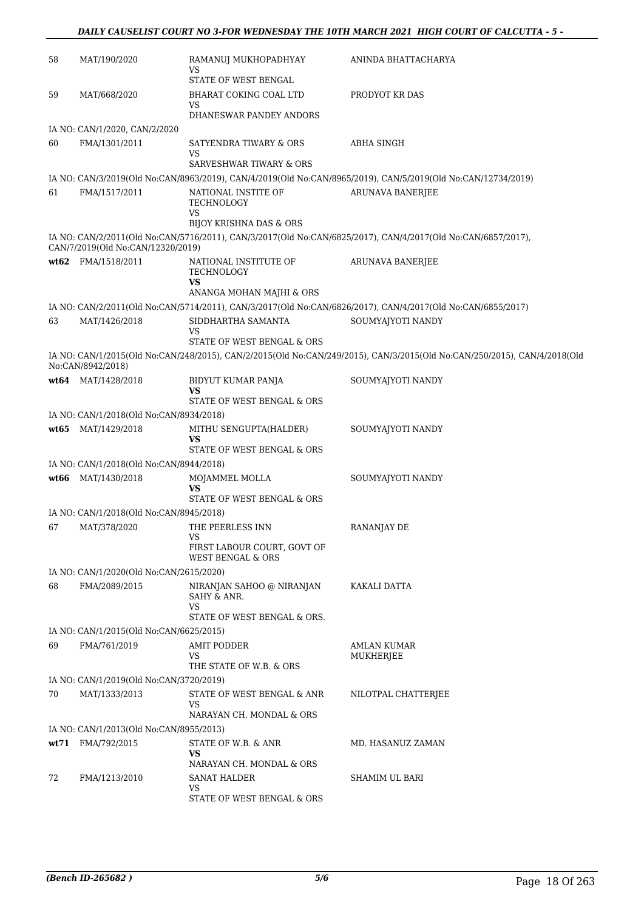| 58   | MAT/190/2020                            | RAMANUJ MUKHOPADHYAY<br>VS                                     | ANINDA BHATTACHARYA                                                                                                      |
|------|-----------------------------------------|----------------------------------------------------------------|--------------------------------------------------------------------------------------------------------------------------|
|      |                                         | <b>STATE OF WEST BENGAL</b>                                    |                                                                                                                          |
| 59   | MAT/668/2020                            | BHARAT COKING COAL LTD<br><b>VS</b><br>DHANESWAR PANDEY ANDORS | PRODYOT KR DAS                                                                                                           |
|      | IA NO: CAN/1/2020, CAN/2/2020           |                                                                |                                                                                                                          |
| 60   | FMA/1301/2011                           | SATYENDRA TIWARY & ORS<br>VS                                   | <b>ABHA SINGH</b>                                                                                                        |
|      |                                         | SARVESHWAR TIWARY & ORS                                        |                                                                                                                          |
|      |                                         |                                                                | IA NO: CAN/3/2019(Old No:CAN/8963/2019), CAN/4/2019(Old No:CAN/8965/2019), CAN/5/2019(Old No:CAN/12734/2019)             |
| 61   | FMA/1517/2011                           | NATIONAL INSTITE OF<br>TECHNOLOGY<br><b>VS</b>                 | <b>ARUNAVA BANERJEE</b>                                                                                                  |
|      |                                         | BIJOY KRISHNA DAS & ORS                                        |                                                                                                                          |
|      | CAN/7/2019(Old No:CAN/12320/2019)       |                                                                | IA NO: CAN/2/2011(Old No:CAN/5716/2011), CAN/3/2017(Old No:CAN/6825/2017), CAN/4/2017(Old No:CAN/6857/2017),             |
|      | wt62 FMA/1518/2011                      | NATIONAL INSTITUTE OF<br>TECHNOLOGY<br>VS                      | <b>ARUNAVA BANERJEE</b>                                                                                                  |
|      |                                         | ANANGA MOHAN MAJHI & ORS                                       |                                                                                                                          |
|      |                                         |                                                                | IA NO: CAN/2/2011(Old No:CAN/5714/2011), CAN/3/2017(Old No:CAN/6826/2017), CAN/4/2017(Old No:CAN/6855/2017)              |
| 63   | MAT/1426/2018                           | SIDDHARTHA SAMANTA<br>VS                                       | SOUMYAJYOTI NANDY                                                                                                        |
|      |                                         | STATE OF WEST BENGAL & ORS                                     |                                                                                                                          |
|      | No:CAN/8942/2018)                       |                                                                | IA NO: CAN/1/2015(Old No:CAN/248/2015), CAN/2/2015(Old No:CAN/249/2015), CAN/3/2015(Old No:CAN/250/2015), CAN/4/2018(Old |
|      | wt64 MAT/1428/2018                      | BIDYUT KUMAR PANJA<br>VS                                       | SOUMYAJYOTI NANDY                                                                                                        |
|      |                                         | STATE OF WEST BENGAL & ORS                                     |                                                                                                                          |
|      | IA NO: CAN/1/2018(Old No:CAN/8934/2018) |                                                                |                                                                                                                          |
| wt65 | MAT/1429/2018                           | MITHU SENGUPTA(HALDER)                                         | SOUMYAJYOTI NANDY                                                                                                        |
|      |                                         | VS<br>STATE OF WEST BENGAL & ORS                               |                                                                                                                          |
|      | IA NO: CAN/1/2018(Old No:CAN/8944/2018) |                                                                |                                                                                                                          |
| wt66 | MAT/1430/2018                           | MOJAMMEL MOLLA<br>VS                                           | SOUMYAJYOTI NANDY                                                                                                        |
|      |                                         | STATE OF WEST BENGAL & ORS                                     |                                                                                                                          |
|      | IA NO: CAN/1/2018(Old No:CAN/8945/2018) |                                                                |                                                                                                                          |
| 67   | MAT/378/2020                            | THE PEERLESS INN<br>VS<br>FIRST LABOUR COURT, GOVT OF          | RANANJAY DE                                                                                                              |
|      |                                         | <b>WEST BENGAL &amp; ORS</b>                                   |                                                                                                                          |
|      | IA NO: CAN/1/2020(Old No:CAN/2615/2020) |                                                                |                                                                                                                          |
| 68   | FMA/2089/2015                           | NIRANJAN SAHOO @ NIRANJAN<br>SAHY & ANR.<br><b>VS</b>          | KAKALI DATTA                                                                                                             |
|      |                                         | STATE OF WEST BENGAL & ORS.                                    |                                                                                                                          |
|      | IA NO: CAN/1/2015(Old No:CAN/6625/2015) |                                                                |                                                                                                                          |
| 69   | FMA/761/2019                            | <b>AMIT PODDER</b><br>VS                                       | AMLAN KUMAR<br><b>MUKHERJEE</b>                                                                                          |
|      |                                         | THE STATE OF W.B. & ORS                                        |                                                                                                                          |
|      | IA NO: CAN/1/2019(Old No:CAN/3720/2019) |                                                                |                                                                                                                          |
| 70   | MAT/1333/2013                           | STATE OF WEST BENGAL & ANR<br>VS<br>NARAYAN CH. MONDAL & ORS   | NILOTPAL CHATTERJEE                                                                                                      |
|      | IA NO: CAN/1/2013(Old No:CAN/8955/2013) |                                                                |                                                                                                                          |
|      | wt71 FMA/792/2015                       | STATE OF W.B. & ANR                                            | MD. HASANUZ ZAMAN                                                                                                        |
|      |                                         | VS<br>NARAYAN CH. MONDAL & ORS                                 |                                                                                                                          |
| 72   | FMA/1213/2010                           | SANAT HALDER                                                   | SHAMIM UL BARI                                                                                                           |
|      |                                         | VS<br>STATE OF WEST BENGAL & ORS                               |                                                                                                                          |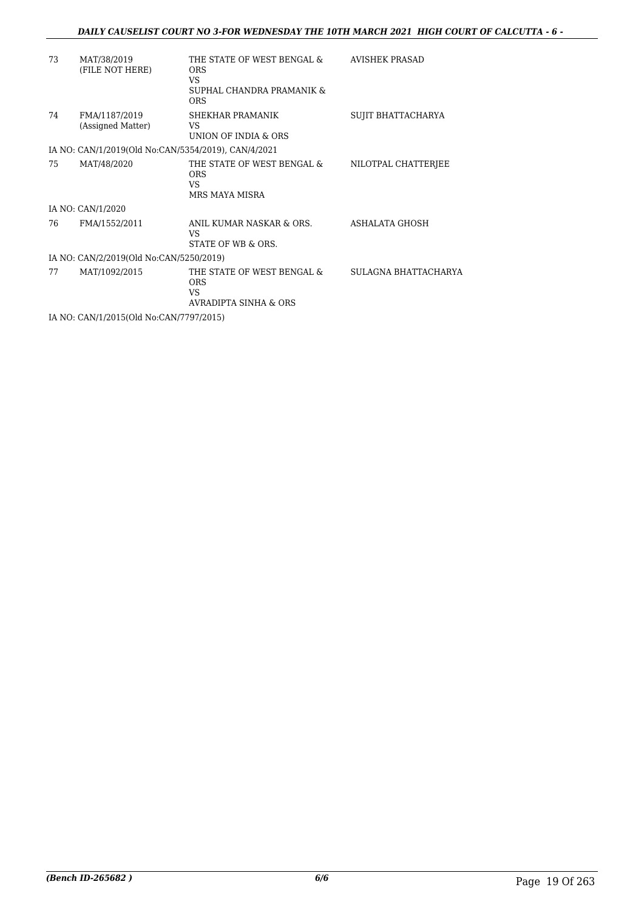### *DAILY CAUSELIST COURT NO 3-FOR WEDNESDAY THE 10TH MARCH 2021 HIGH COURT OF CALCUTTA - 6 -*

| 73 | MAT/38/2019<br>(FILE NOT HERE)                      | THE STATE OF WEST BENGAL &<br><b>ORS</b><br>VS.<br>SUPHAL CHANDRA PRAMANIK &<br><b>ORS</b> | AVISHEK PRASAD       |
|----|-----------------------------------------------------|--------------------------------------------------------------------------------------------|----------------------|
| 74 | FMA/1187/2019<br>(Assigned Matter)                  | SHEKHAR PRAMANIK<br>VS.<br>UNION OF INDIA & ORS                                            | SUJIT BHATTACHARYA   |
|    | IA NO: CAN/1/2019(Old No:CAN/5354/2019), CAN/4/2021 |                                                                                            |                      |
| 75 | MAT/48/2020                                         | THE STATE OF WEST BENGAL &<br><b>ORS</b><br>VS.<br>MRS MAYA MISRA                          | NILOTPAL CHATTERJEE  |
|    | IA NO: CAN/1/2020                                   |                                                                                            |                      |
| 76 | FMA/1552/2011                                       | ANIL KUMAR NASKAR & ORS.<br>VS.<br>STATE OF WB & ORS.                                      | ASHALATA GHOSH       |
|    | IA NO: CAN/2/2019(Old No:CAN/5250/2019)             |                                                                                            |                      |
| 77 | MAT/1092/2015                                       | THE STATE OF WEST BENGAL &<br><b>ORS</b><br>VS.<br><b>AVRADIPTA SINHA &amp; ORS</b>        | SULAGNA BHATTACHARYA |
|    | IA NO: CAN/1/2015(Old No:CAN/7797/2015)             |                                                                                            |                      |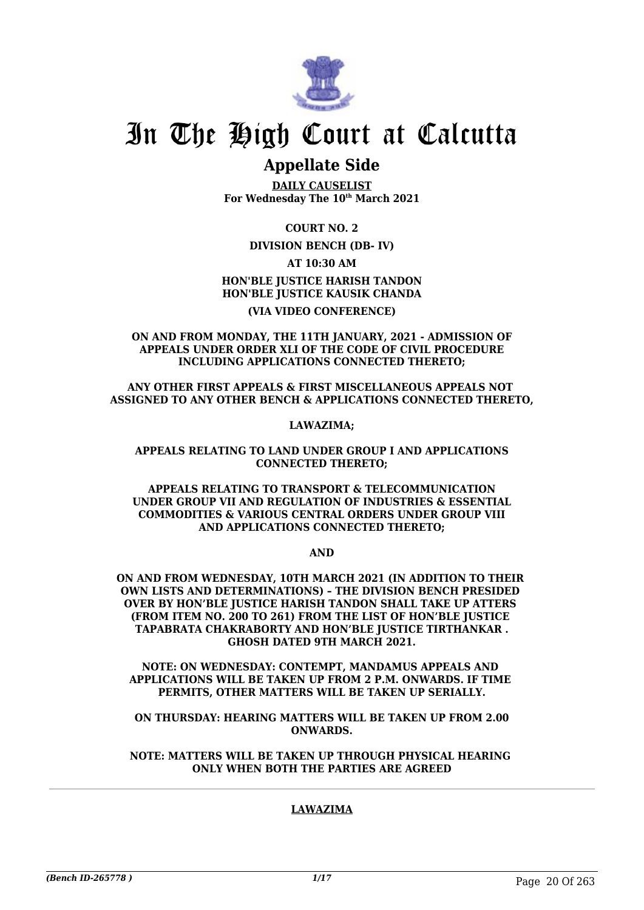

# **Appellate Side**

**DAILY CAUSELIST For Wednesday The 10th March 2021**

**COURT NO. 2**

**DIVISION BENCH (DB- IV)**

**AT 10:30 AM HON'BLE JUSTICE HARISH TANDON HON'BLE JUSTICE KAUSIK CHANDA**

### **(VIA VIDEO CONFERENCE)**

#### **ON AND FROM MONDAY, THE 11TH JANUARY, 2021 - ADMISSION OF APPEALS UNDER ORDER XLI OF THE CODE OF CIVIL PROCEDURE INCLUDING APPLICATIONS CONNECTED THERETO;**

**ANY OTHER FIRST APPEALS & FIRST MISCELLANEOUS APPEALS NOT ASSIGNED TO ANY OTHER BENCH & APPLICATIONS CONNECTED THERETO,**

**LAWAZIMA;**

#### **APPEALS RELATING TO LAND UNDER GROUP I AND APPLICATIONS CONNECTED THERETO;**

#### **APPEALS RELATING TO TRANSPORT & TELECOMMUNICATION UNDER GROUP VII AND REGULATION OF INDUSTRIES & ESSENTIAL COMMODITIES & VARIOUS CENTRAL ORDERS UNDER GROUP VIII AND APPLICATIONS CONNECTED THERETO;**

**AND**

**ON AND FROM WEDNESDAY, 10TH MARCH 2021 (IN ADDITION TO THEIR OWN LISTS AND DETERMINATIONS) – THE DIVISION BENCH PRESIDED OVER BY HON'BLE JUSTICE HARISH TANDON SHALL TAKE UP ATTERS (FROM ITEM NO. 200 TO 261) FROM THE LIST OF HON'BLE JUSTICE TAPABRATA CHAKRABORTY AND HON'BLE JUSTICE TIRTHANKAR . GHOSH DATED 9TH MARCH 2021.**

**NOTE: ON WEDNESDAY: CONTEMPT, MANDAMUS APPEALS AND APPLICATIONS WILL BE TAKEN UP FROM 2 P.M. ONWARDS. IF TIME PERMITS, OTHER MATTERS WILL BE TAKEN UP SERIALLY.**

**ON THURSDAY: HEARING MATTERS WILL BE TAKEN UP FROM 2.00 ONWARDS.**

**NOTE: MATTERS WILL BE TAKEN UP THROUGH PHYSICAL HEARING ONLY WHEN BOTH THE PARTIES ARE AGREED**

## **LAWAZIMA**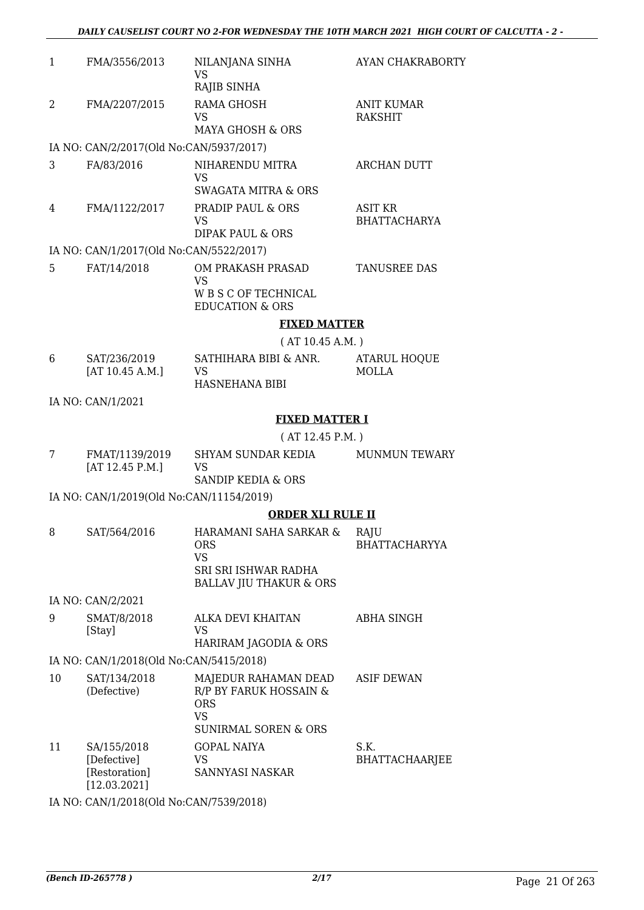| $\mathbf{1}$ | FMA/3556/2013                            | NILANJANA SINHA<br><b>VS</b>                                  | <b>AYAN CHAKRABORTY</b>               |
|--------------|------------------------------------------|---------------------------------------------------------------|---------------------------------------|
|              |                                          | RAJIB SINHA                                                   |                                       |
| 2            | FMA/2207/2015                            | <b>RAMA GHOSH</b><br>VS                                       | <b>ANIT KUMAR</b><br><b>RAKSHIT</b>   |
|              |                                          | <b>MAYA GHOSH &amp; ORS</b>                                   |                                       |
|              | IA NO: CAN/2/2017(Old No:CAN/5937/2017)  |                                                               |                                       |
| 3            | FA/83/2016                               | NIHARENDU MITRA<br><b>VS</b>                                  | <b>ARCHAN DUTT</b>                    |
|              |                                          | <b>SWAGATA MITRA &amp; ORS</b>                                |                                       |
| 4            | FMA/1122/2017                            | <b>PRADIP PAUL &amp; ORS</b><br><b>VS</b><br>DIPAK PAUL & ORS | <b>ASIT KR</b><br><b>BHATTACHARYA</b> |
|              |                                          |                                                               |                                       |
|              | IA NO: CAN/1/2017(Old No:CAN/5522/2017)  |                                                               |                                       |
| 5            | FAT/14/2018                              | OM PRAKASH PRASAD<br><b>VS</b><br>W B S C OF TECHNICAL        | TANUSREE DAS                          |
|              |                                          | <b>EDUCATION &amp; ORS</b>                                    |                                       |
|              |                                          | <b>FIXED MATTER</b>                                           |                                       |
|              |                                          | (AT 10.45 A.M.)                                               |                                       |
|              |                                          |                                                               |                                       |
| 6            | SAT/236/2019<br>[AT 10.45 A.M.]          | SATHIHARA BIBI & ANR.<br><b>VS</b>                            | <b>ATARUL HOQUE</b><br><b>MOLLA</b>   |
|              |                                          | <b>HASNEHANA BIBI</b>                                         |                                       |
|              | IA NO: CAN/1/2021                        |                                                               |                                       |
|              |                                          |                                                               |                                       |
|              |                                          | <b>FIXED MATTER I</b>                                         |                                       |
|              |                                          | (AT 12.45 P.M. )                                              |                                       |
| 7            | FMAT/1139/2019<br>[AT 12.45 P.M.]        | SHYAM SUNDAR KEDIA<br><b>VS</b>                               | <b>MUNMUN TEWARY</b>                  |
|              |                                          | SANDIP KEDIA & ORS                                            |                                       |
|              | IA NO: CAN/1/2019(Old No:CAN/11154/2019) |                                                               |                                       |
|              |                                          |                                                               |                                       |

#### **ORDER XLI RULE II**

| 8 | SAT/564/2016      | HARAMANI SAHA SARKAR &<br>ORS<br>VS<br>SRI SRI ISHWAR RADHA<br><b>BALLAV JIU THAKUR &amp; ORS</b> | RAIU<br><b>BHATTACHARYYA</b> |
|---|-------------------|---------------------------------------------------------------------------------------------------|------------------------------|
|   | IA NO: CAN/2/2021 |                                                                                                   |                              |

| SMAT/8/2018 | ALKA DEVI KHAITAN     | ABHA SINGH |
|-------------|-----------------------|------------|
| [Stay]      | VS                    |            |
|             | HARIRAM JAGODIA & ORS |            |

IA NO: CAN/1/2018(Old No:CAN/5415/2018)

| 10 | SAT/134/2018<br>(Defective)                                 | MAJEDUR RAHAMAN DEAD<br>R/P BY FARUK HOSSAIN &<br><b>ORS</b><br>VS<br><b>SUNIRMAL SOREN &amp; ORS</b> | <b>ASIF DEWAN</b>             |
|----|-------------------------------------------------------------|-------------------------------------------------------------------------------------------------------|-------------------------------|
| 11 | SA/155/2018<br>[Defective]<br>[Restoration]<br>[12.03.2021] | <b>GOPAL NAIYA</b><br>VS<br>SANNYASI NASKAR                                                           | S.K.<br><b>BHATTACHAARJEE</b> |

IA NO: CAN/1/2018(Old No:CAN/7539/2018)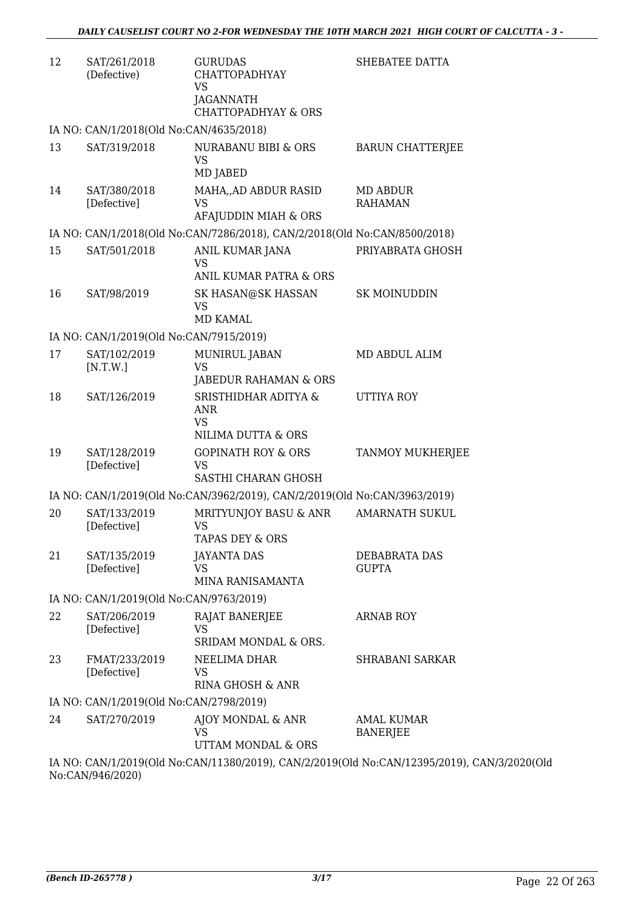| 12 | SAT/261/2018<br>(Defective)             | <b>GURUDAS</b><br><b>CHATTOPADHYAY</b><br><b>VS</b><br><b>JAGANNATH</b><br><b>CHATTOPADHYAY &amp; ORS</b> | SHEBATEE DATTA                       |
|----|-----------------------------------------|-----------------------------------------------------------------------------------------------------------|--------------------------------------|
|    | IA NO: CAN/1/2018(Old No:CAN/4635/2018) |                                                                                                           |                                      |
| 13 | SAT/319/2018                            | NURABANU BIBI & ORS<br><b>VS</b><br>MD JABED                                                              | <b>BARUN CHATTERJEE</b>              |
| 14 | SAT/380/2018<br>[Defective]             | MAHA, AD ABDUR RASID<br>VS<br>AFAJUDDIN MIAH & ORS                                                        | MD ABDUR<br><b>RAHAMAN</b>           |
|    |                                         | IA NO: CAN/1/2018(Old No:CAN/7286/2018), CAN/2/2018(Old No:CAN/8500/2018)                                 |                                      |
| 15 | SAT/501/2018                            | ANIL KUMAR JANA<br><b>VS</b><br>ANIL KUMAR PATRA & ORS                                                    | PRIYABRATA GHOSH                     |
| 16 | SAT/98/2019                             | SK HASAN@SK HASSAN<br><b>VS</b><br><b>MD KAMAL</b>                                                        | <b>SK MOINUDDIN</b>                  |
|    | IA NO: CAN/1/2019(Old No:CAN/7915/2019) |                                                                                                           |                                      |
| 17 | SAT/102/2019<br>[N.T.W.]                | MUNIRUL JABAN<br><b>VS</b><br>JABEDUR RAHAMAN & ORS                                                       | MD ABDUL ALIM                        |
| 18 | SAT/126/2019                            | SRISTHIDHAR ADITYA &<br><b>ANR</b><br><b>VS</b><br>NILIMA DUTTA & ORS                                     | UTTIYA ROY                           |
| 19 | SAT/128/2019<br>[Defective]             | <b>GOPINATH ROY &amp; ORS</b><br>VS<br>SASTHI CHARAN GHOSH                                                | TANMOY MUKHERJEE                     |
|    |                                         | IA NO: CAN/1/2019(Old No:CAN/3962/2019), CAN/2/2019(Old No:CAN/3963/2019)                                 |                                      |
| 20 | SAT/133/2019<br>[Defective]             | MRITYUNJOY BASU & ANR<br>VS<br><b>TAPAS DEY &amp; ORS</b>                                                 | <b>AMARNATH SUKUL</b>                |
| 21 | SAT/135/2019<br>[Defective]             | <b>JAYANTA DAS</b><br>VS<br>MINA RANISAMANTA                                                              | DEBABRATA DAS<br><b>GUPTA</b>        |
|    | IA NO: CAN/1/2019(Old No:CAN/9763/2019) |                                                                                                           |                                      |
| 22 | SAT/206/2019<br>[Defective]             | RAJAT BANERJEE<br>VS                                                                                      | <b>ARNAB ROY</b>                     |
| 23 | FMAT/233/2019<br>[Defective]            | SRIDAM MONDAL & ORS.<br>NEELIMA DHAR<br>VS.<br>RINA GHOSH & ANR                                           | <b>SHRABANI SARKAR</b>               |
|    | IA NO: CAN/1/2019(Old No:CAN/2798/2019) |                                                                                                           |                                      |
| 24 | SAT/270/2019                            | AJOY MONDAL & ANR<br>VS<br>UTTAM MONDAL & ORS                                                             | <b>AMAL KUMAR</b><br><b>BANERJEE</b> |
|    |                                         | IA NO: CAN/1/2019(Old No:CAN/11380/2019) CAN/2/2019(Old No:CAN/12395/2019) CAN/                           |                                      |

IA NO: CAN/1/2019(Old No:CAN/11380/2019), CAN/2/2019(Old No:CAN/12395/2019), CAN/3/2020(Old No:CAN/946/2020)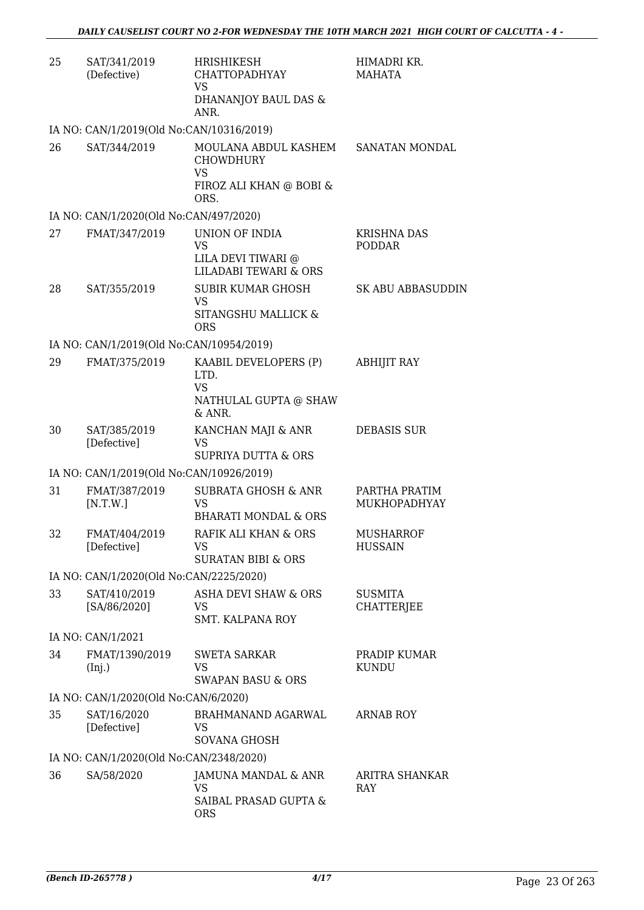| 25 | SAT/341/2019<br>(Defective)              | <b>HRISHIKESH</b><br><b>CHATTOPADHYAY</b><br><b>VS</b><br>DHANANJOY BAUL DAS &<br>ANR.                  | HIMADRI KR.<br>MAHATA               |
|----|------------------------------------------|---------------------------------------------------------------------------------------------------------|-------------------------------------|
|    | IA NO: CAN/1/2019(Old No:CAN/10316/2019) |                                                                                                         |                                     |
| 26 | SAT/344/2019                             | MOULANA ABDUL KASHEM SANATAN MONDAL<br><b>CHOWDHURY</b><br><b>VS</b><br>FIROZ ALI KHAN @ BOBI &<br>ORS. |                                     |
|    | IA NO: CAN/1/2020(Old No:CAN/497/2020)   |                                                                                                         |                                     |
| 27 | FMAT/347/2019                            | UNION OF INDIA<br><b>VS</b><br>LILA DEVI TIWARI @<br><b>LILADABI TEWARI &amp; ORS</b>                   | <b>KRISHNA DAS</b><br><b>PODDAR</b> |
| 28 | SAT/355/2019                             | <b>SUBIR KUMAR GHOSH</b><br><b>VS</b><br>SITANGSHU MALLICK &<br><b>ORS</b>                              | <b>SK ABU ABBASUDDIN</b>            |
|    | IA NO: CAN/1/2019(Old No:CAN/10954/2019) |                                                                                                         |                                     |
| 29 | FMAT/375/2019                            | KAABIL DEVELOPERS (P)<br>LTD.<br><b>VS</b><br>NATHULAL GUPTA @ SHAW                                     | <b>ABHIJIT RAY</b>                  |
| 30 | SAT/385/2019<br>[Defective]              | & ANR.<br>KANCHAN MAJI & ANR<br>VS<br><b>SUPRIYA DUTTA &amp; ORS</b>                                    | <b>DEBASIS SUR</b>                  |
|    | IA NO: CAN/1/2019(Old No:CAN/10926/2019) |                                                                                                         |                                     |
| 31 | FMAT/387/2019<br>[N.T.W.]                | <b>SUBRATA GHOSH &amp; ANR</b><br>VS<br><b>BHARATI MONDAL &amp; ORS</b>                                 | PARTHA PRATIM<br>MUKHOPADHYAY       |
| 32 | FMAT/404/2019<br>[Defective]             | RAFIK ALI KHAN & ORS<br>VS<br><b>SURATAN BIBI &amp; ORS</b>                                             | MUSHARROF<br><b>HUSSAIN</b>         |
|    | IA NO: CAN/1/2020(Old No:CAN/2225/2020)  |                                                                                                         |                                     |
| 33 | SAT/410/2019<br>[SA/86/2020]             | <b>ASHA DEVI SHAW &amp; ORS</b><br>VS<br><b>SMT. KALPANA ROY</b>                                        | <b>SUSMITA</b><br><b>CHATTERJEE</b> |
|    | IA NO: CAN/1/2021                        |                                                                                                         |                                     |
| 34 | FMAT/1390/2019<br>(Inj.)                 | <b>SWETA SARKAR</b><br>VS<br><b>SWAPAN BASU &amp; ORS</b>                                               | PRADIP KUMAR<br><b>KUNDU</b>        |
|    | IA NO: CAN/1/2020(Old No:CAN/6/2020)     |                                                                                                         |                                     |
| 35 | SAT/16/2020<br>[Defective]               | BRAHMANAND AGARWAL<br>VS<br>SOVANA GHOSH                                                                | ARNAB ROY                           |
|    | IA NO: CAN/1/2020(Old No:CAN/2348/2020)  |                                                                                                         |                                     |
| 36 | SA/58/2020                               | JAMUNA MANDAL & ANR<br>VS<br>SAIBAL PRASAD GUPTA &                                                      | ARITRA SHANKAR<br>RAY               |
|    |                                          | <b>ORS</b>                                                                                              |                                     |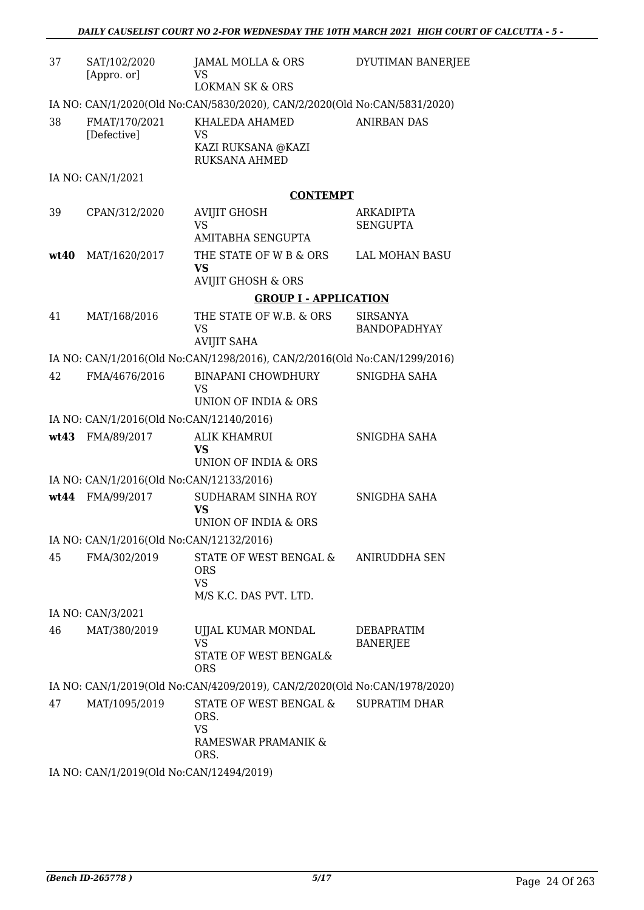| 37   | SAT/102/2020<br>[Appro. or]              | JAMAL MOLLA & ORS<br>VS<br><b>LOKMAN SK &amp; ORS</b>                       | DYUTIMAN BANERJEE                   |
|------|------------------------------------------|-----------------------------------------------------------------------------|-------------------------------------|
|      |                                          | IA NO: CAN/1/2020(Old No:CAN/5830/2020), CAN/2/2020(Old No:CAN/5831/2020)   |                                     |
| 38   | FMAT/170/2021<br>[Defective]             | KHALEDA AHAMED<br><b>VS</b><br>KAZI RUKSANA @KAZI<br><b>RUKSANA AHMED</b>   | <b>ANIRBAN DAS</b>                  |
|      | IA NO: CAN/1/2021                        |                                                                             |                                     |
|      |                                          | <b>CONTEMPT</b>                                                             |                                     |
| 39   | CPAN/312/2020                            | <b>AVIJIT GHOSH</b><br><b>VS</b><br>AMITABHA SENGUPTA                       | <b>ARKADIPTA</b><br><b>SENGUPTA</b> |
| wt40 | MAT/1620/2017                            | THE STATE OF W B & ORS<br>VS<br><b>AVIJIT GHOSH &amp; ORS</b>               | <b>LAL MOHAN BASU</b>               |
|      |                                          | <b>GROUP I - APPLICATION</b>                                                |                                     |
| 41   | MAT/168/2016                             | THE STATE OF W.B. & ORS                                                     | <b>SIRSANYA</b>                     |
|      |                                          | <b>VS</b><br><b>AVIJIT SAHA</b>                                             | BANDOPADHYAY                        |
|      |                                          | IA NO: CAN/1/2016(Old No:CAN/1298/2016), CAN/2/2016(Old No:CAN/1299/2016)   |                                     |
| 42   | FMA/4676/2016                            | BINAPANI CHOWDHURY<br><b>VS</b><br>UNION OF INDIA & ORS                     | SNIGDHA SAHA                        |
|      | IA NO: CAN/1/2016(Old No:CAN/12140/2016) |                                                                             |                                     |
|      | wt43 FMA/89/2017                         | <b>ALIK KHAMRUI</b><br>VS<br><b>UNION OF INDIA &amp; ORS</b>                | SNIGDHA SAHA                        |
|      | IA NO: CAN/1/2016(Old No:CAN/12133/2016) |                                                                             |                                     |
|      | wt44 FMA/99/2017                         | SUDHARAM SINHA ROY                                                          | SNIGDHA SAHA                        |
|      |                                          | <b>VS</b><br>UNION OF INDIA & ORS                                           |                                     |
|      | IA NO: CAN/1/2016(Old No:CAN/12132/2016) |                                                                             |                                     |
| 45   | FMA/302/2019                             | STATE OF WEST BENGAL &<br><b>ORS</b><br><b>VS</b><br>M/S K.C. DAS PVT. LTD. | ANIRUDDHA SEN                       |
|      | IA NO: CAN/3/2021                        |                                                                             |                                     |
| 46   | MAT/380/2019                             | UJJAL KUMAR MONDAL<br><b>VS</b>                                             | DEBAPRATIM<br><b>BANERJEE</b>       |
|      |                                          | STATE OF WEST BENGAL&<br><b>ORS</b>                                         |                                     |
|      |                                          | IA NO: CAN/1/2019(Old No:CAN/4209/2019), CAN/2/2020(Old No:CAN/1978/2020)   |                                     |
| 47   | MAT/1095/2019                            | STATE OF WEST BENGAL &<br>ORS.<br><b>VS</b><br>RAMESWAR PRAMANIK &<br>ORS.  | <b>SUPRATIM DHAR</b>                |
|      | IA NO: CAN/1/2019(Old No:CAN/12494/2019) |                                                                             |                                     |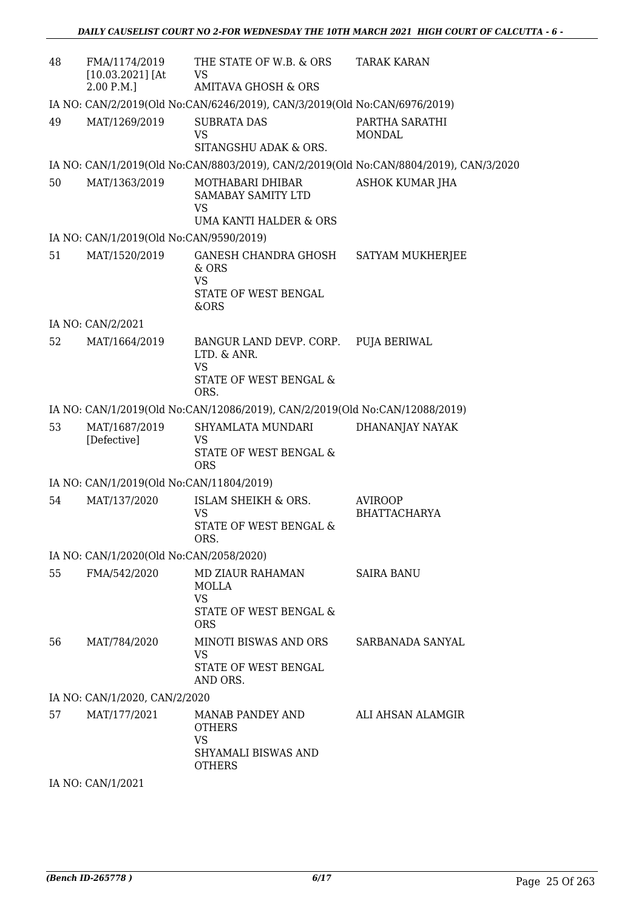| 48 | FMA/1174/2019<br>$[10.03.2021]$ [At      | THE STATE OF W.B. & ORS<br>VS                                                                | <b>TARAK KARAN</b>                                                                    |
|----|------------------------------------------|----------------------------------------------------------------------------------------------|---------------------------------------------------------------------------------------|
|    | 2.00 P.M.                                | <b>AMITAVA GHOSH &amp; ORS</b>                                                               |                                                                                       |
|    |                                          | IA NO: CAN/2/2019(Old No:CAN/6246/2019), CAN/3/2019(Old No:CAN/6976/2019)                    |                                                                                       |
| 49 | MAT/1269/2019                            | <b>SUBRATA DAS</b><br>VS<br>SITANGSHU ADAK & ORS.                                            | PARTHA SARATHI<br>MONDAL                                                              |
|    |                                          |                                                                                              | IA NO: CAN/1/2019(Old No:CAN/8803/2019), CAN/2/2019(Old No:CAN/8804/2019), CAN/3/2020 |
| 50 | MAT/1363/2019                            | MOTHABARI DHIBAR                                                                             | ASHOK KUMAR JHA                                                                       |
|    |                                          | <b>SAMABAY SAMITY LTD</b><br><b>VS</b><br>UMA KANTI HALDER & ORS                             |                                                                                       |
|    | IA NO: CAN/1/2019(Old No:CAN/9590/2019)  |                                                                                              |                                                                                       |
| 51 | MAT/1520/2019                            | GANESH CHANDRA GHOSH<br>$&$ ORS<br><b>VS</b><br>STATE OF WEST BENGAL                         | SATYAM MUKHERJEE                                                                      |
|    |                                          | &ORS                                                                                         |                                                                                       |
|    | IA NO: CAN/2/2021                        |                                                                                              |                                                                                       |
| 52 | MAT/1664/2019                            | BANGUR LAND DEVP. CORP.<br>LTD. & ANR.<br><b>VS</b>                                          | <b>PUJA BERIWAL</b>                                                                   |
|    |                                          | STATE OF WEST BENGAL &<br>ORS.                                                               |                                                                                       |
|    |                                          | IA NO: CAN/1/2019(Old No:CAN/12086/2019), CAN/2/2019(Old No:CAN/12088/2019)                  |                                                                                       |
| 53 | MAT/1687/2019<br>[Defective]             | SHYAMLATA MUNDARI<br>VS<br>STATE OF WEST BENGAL &<br><b>ORS</b>                              | DHANANJAY NAYAK                                                                       |
|    | IA NO: CAN/1/2019(Old No:CAN/11804/2019) |                                                                                              |                                                                                       |
| 54 | MAT/137/2020                             | ISLAM SHEIKH & ORS.<br>VS<br>STATE OF WEST BENGAL &<br>ORS.                                  | <b>AVIROOP</b><br><b>BHATTACHARYA</b>                                                 |
|    | IA NO: CAN/1/2020(Old No:CAN/2058/2020)  |                                                                                              |                                                                                       |
| 55 | FMA/542/2020                             | <b>MD ZIAUR RAHAMAN</b><br><b>MOLLA</b><br><b>VS</b><br>STATE OF WEST BENGAL &<br><b>ORS</b> | <b>SAIRA BANU</b>                                                                     |
| 56 | MAT/784/2020                             | MINOTI BISWAS AND ORS<br>VS<br>STATE OF WEST BENGAL<br>AND ORS.                              | SARBANADA SANYAL                                                                      |
|    | IA NO: CAN/1/2020, CAN/2/2020            |                                                                                              |                                                                                       |
| 57 | MAT/177/2021                             | MANAB PANDEY AND<br><b>OTHERS</b><br><b>VS</b><br>SHYAMALI BISWAS AND<br><b>OTHERS</b>       | ALI AHSAN ALAMGIR                                                                     |

IA NO: CAN/1/2021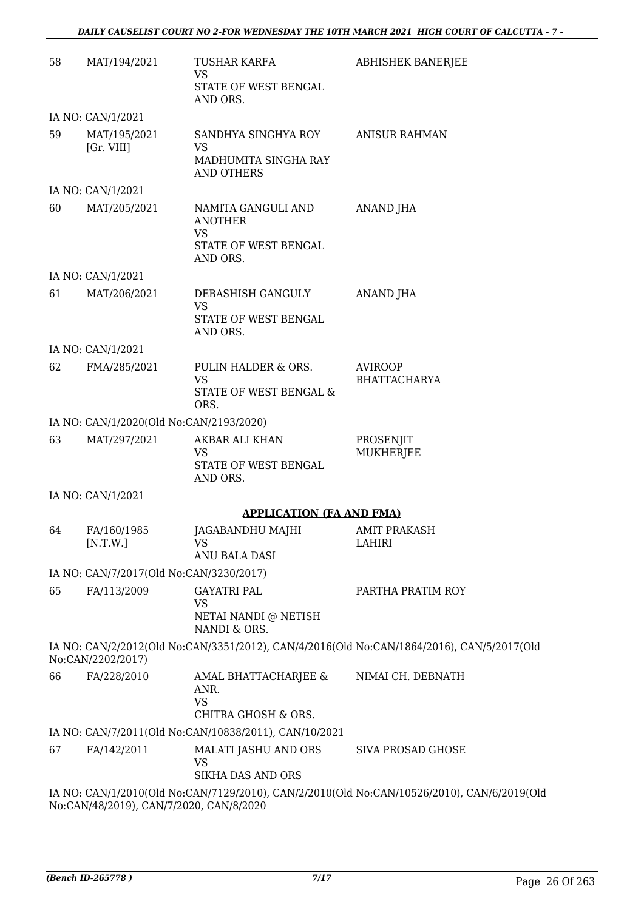| 58 | MAT/194/2021                            | TUSHAR KARFA<br>VS<br>STATE OF WEST BENGAL                                            | <b>ABHISHEK BANERJEE</b>                                                                   |
|----|-----------------------------------------|---------------------------------------------------------------------------------------|--------------------------------------------------------------------------------------------|
|    |                                         | AND ORS.                                                                              |                                                                                            |
|    | IA NO: CAN/1/2021                       |                                                                                       |                                                                                            |
| 59 | MAT/195/2021<br>[Gr. VIII]              | SANDHYA SINGHYA ROY<br><b>VS</b>                                                      | <b>ANISUR RAHMAN</b>                                                                       |
|    |                                         | MADHUMITA SINGHA RAY<br><b>AND OTHERS</b>                                             |                                                                                            |
|    | IA NO: CAN/1/2021                       |                                                                                       |                                                                                            |
| 60 | MAT/205/2021                            | NAMITA GANGULI AND<br><b>ANOTHER</b><br><b>VS</b><br>STATE OF WEST BENGAL<br>AND ORS. | ANAND JHA                                                                                  |
|    | IA NO: CAN/1/2021                       |                                                                                       |                                                                                            |
| 61 | MAT/206/2021                            | DEBASHISH GANGULY                                                                     | ANAND JHA                                                                                  |
|    |                                         | <b>VS</b><br>STATE OF WEST BENGAL<br>AND ORS.                                         |                                                                                            |
|    | IA NO: CAN/1/2021                       |                                                                                       |                                                                                            |
| 62 | FMA/285/2021                            | PULIN HALDER & ORS.<br><b>VS</b>                                                      | <b>AVIROOP</b><br><b>BHATTACHARYA</b>                                                      |
|    |                                         | STATE OF WEST BENGAL &<br>ORS.                                                        |                                                                                            |
|    | IA NO: CAN/1/2020(Old No:CAN/2193/2020) |                                                                                       |                                                                                            |
| 63 | MAT/297/2021                            | AKBAR ALI KHAN<br>VS<br>STATE OF WEST BENGAL<br>AND ORS.                              | PROSENJIT<br>MUKHERJEE                                                                     |
|    | IA NO: CAN/1/2021                       |                                                                                       |                                                                                            |
|    |                                         | <b>APPLICATION (FA AND FMA)</b>                                                       |                                                                                            |
| 64 | FA/160/1985<br>[N.T.W.]                 | JAGABANDHU MAJHI<br><b>VS</b>                                                         | <b>AMIT PRAKASH</b><br><b>LAHIRI</b>                                                       |
|    |                                         | ANU BALA DASI                                                                         |                                                                                            |
|    | IA NO: CAN/7/2017(Old No:CAN/3230/2017) |                                                                                       |                                                                                            |
| 65 | FA/113/2009                             | <b>GAYATRI PAL</b><br>VS                                                              | PARTHA PRATIM ROY                                                                          |
|    |                                         | NETAI NANDI @ NETISH<br>NANDI & ORS.                                                  |                                                                                            |
|    | No:CAN/2202/2017)                       |                                                                                       | IA NO: CAN/2/2012(Old No:CAN/3351/2012), CAN/4/2016(Old No:CAN/1864/2016), CAN/5/2017(Old  |
| 66 | FA/228/2010                             | AMAL BHATTACHARJEE &<br>ANR.<br><b>VS</b>                                             | NIMAI CH. DEBNATH                                                                          |
|    |                                         | CHITRA GHOSH & ORS.                                                                   |                                                                                            |
|    |                                         | IA NO: CAN/7/2011(Old No:CAN/10838/2011), CAN/10/2021                                 |                                                                                            |
| 67 | FA/142/2011                             | MALATI JASHU AND ORS<br><b>VS</b><br>SIKHA DAS AND ORS                                | SIVA PROSAD GHOSE                                                                          |
|    |                                         |                                                                                       | IA NO: CAN/1/2010(Old No:CAN/7129/2010), CAN/2/2010(Old No:CAN/10526/2010), CAN/6/2019(Old |
|    | No:CAN/48/2019), CAN/7/2020, CAN/8/2020 |                                                                                       |                                                                                            |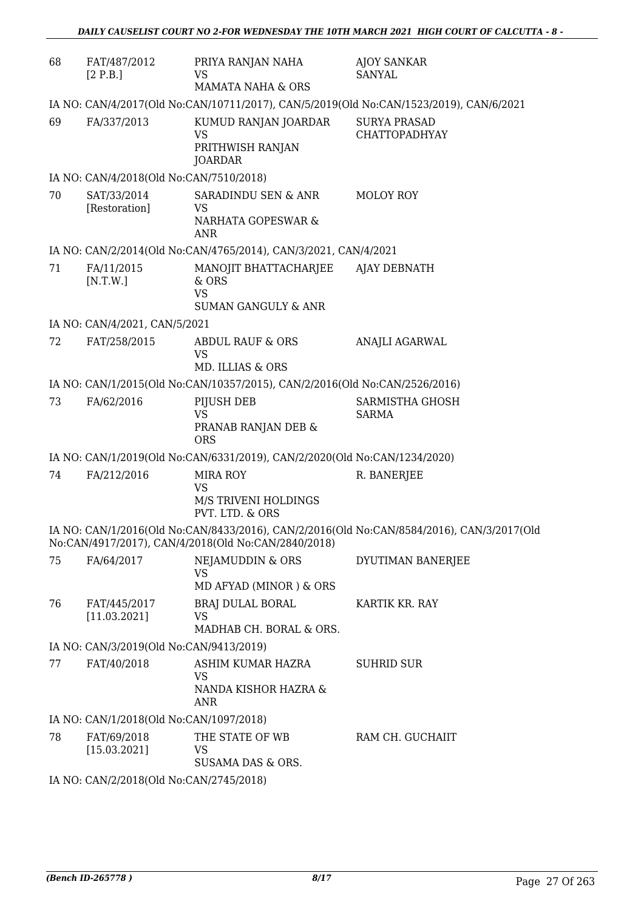| 68 | FAT/487/2012<br>[2 P.B.]                | PRIYA RANJAN NAHA<br>VS<br><b>MAMATA NAHA &amp; ORS</b>                       | <b>AJOY SANKAR</b><br><b>SANYAL</b>                                                       |  |
|----|-----------------------------------------|-------------------------------------------------------------------------------|-------------------------------------------------------------------------------------------|--|
|    |                                         |                                                                               | IA NO: CAN/4/2017(Old No:CAN/10711/2017), CAN/5/2019(Old No:CAN/1523/2019), CAN/6/2021    |  |
| 69 | FA/337/2013                             | KUMUD RANJAN JOARDAR<br><b>VS</b><br>PRITHWISH RANJAN<br><b>JOARDAR</b>       | <b>SURYA PRASAD</b><br><b>CHATTOPADHYAY</b>                                               |  |
|    | IA NO: CAN/4/2018(Old No:CAN/7510/2018) |                                                                               |                                                                                           |  |
| 70 | SAT/33/2014<br>[Restoration]            | SARADINDU SEN & ANR<br>VS<br>NARHATA GOPESWAR &<br><b>ANR</b>                 | MOLOY ROY                                                                                 |  |
|    |                                         | IA NO: CAN/2/2014(Old No:CAN/4765/2014), CAN/3/2021, CAN/4/2021               |                                                                                           |  |
| 71 | FA/11/2015<br>[N.T.W.]                  | MANOJIT BHATTACHARJEE<br>& ORS<br><b>VS</b><br><b>SUMAN GANGULY &amp; ANR</b> | AJAY DEBNATH                                                                              |  |
|    | IA NO: CAN/4/2021, CAN/5/2021           |                                                                               |                                                                                           |  |
| 72 | FAT/258/2015                            | <b>ABDUL RAUF &amp; ORS</b><br><b>VS</b><br>MD. ILLIAS & ORS                  | ANAJLI AGARWAL                                                                            |  |
|    |                                         | IA NO: CAN/1/2015(Old No:CAN/10357/2015), CAN/2/2016(Old No:CAN/2526/2016)    |                                                                                           |  |
| 73 | FA/62/2016                              | PIJUSH DEB<br><b>VS</b><br>PRANAB RANJAN DEB &<br><b>ORS</b>                  | SARMISTHA GHOSH<br>SARMA                                                                  |  |
|    |                                         | IA NO: CAN/1/2019(Old No:CAN/6331/2019), CAN/2/2020(Old No:CAN/1234/2020)     |                                                                                           |  |
| 74 | FA/212/2016                             | <b>MIRA ROY</b><br><b>VS</b><br>M/S TRIVENI HOLDINGS<br>PVT. LTD. & ORS       | R. BANERJEE                                                                               |  |
|    |                                         | No:CAN/4917/2017), CAN/4/2018(Old No:CAN/2840/2018)                           | IA NO: CAN/1/2016(Old No:CAN/8433/2016), CAN/2/2016(Old No:CAN/8584/2016), CAN/3/2017(Old |  |
| 75 | FA/64/2017                              | <b>NEJAMUDDIN &amp; ORS</b><br><b>VS</b><br>MD AFYAD (MINOR) & ORS            | DYUTIMAN BANERJEE                                                                         |  |
| 76 | FAT/445/2017<br>[11.03.2021]            | <b>BRAJ DULAL BORAL</b><br><b>VS</b><br>MADHAB CH. BORAL & ORS.               | KARTIK KR. RAY                                                                            |  |
|    | IA NO: CAN/3/2019(Old No:CAN/9413/2019) |                                                                               |                                                                                           |  |
| 77 | FAT/40/2018                             | ASHIM KUMAR HAZRA<br><b>VS</b><br>NANDA KISHOR HAZRA &<br>ANR                 | <b>SUHRID SUR</b>                                                                         |  |
|    | IA NO: CAN/1/2018(Old No:CAN/1097/2018) |                                                                               |                                                                                           |  |
| 78 | FAT/69/2018<br>[15.03.2021]             | THE STATE OF WB<br>VS<br>SUSAMA DAS & ORS.                                    | RAM CH. GUCHAIIT                                                                          |  |
|    | IA NO: CAN/2/2018(Old No:CAN/2745/2018) |                                                                               |                                                                                           |  |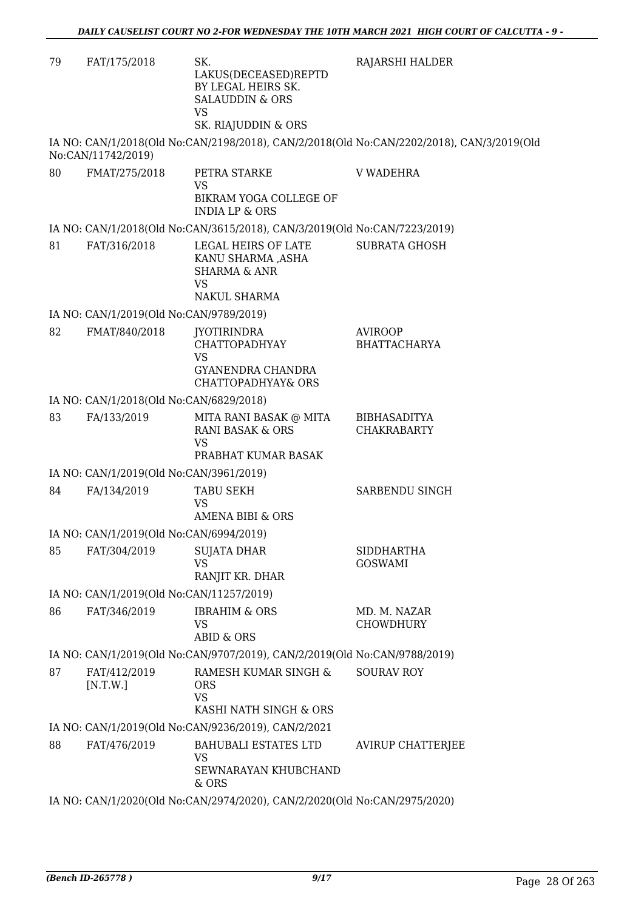| 79 | FAT/175/2018                             | SK.<br>LAKUS(DECEASED)REPTD<br>BY LEGAL HEIRS SK.<br><b>SALAUDDIN &amp; ORS</b><br><b>VS</b><br>SK. RIAJUDDIN & ORS | RAJARSHI HALDER                                                                           |
|----|------------------------------------------|---------------------------------------------------------------------------------------------------------------------|-------------------------------------------------------------------------------------------|
|    | No:CAN/11742/2019)                       |                                                                                                                     | IA NO: CAN/1/2018(Old No:CAN/2198/2018), CAN/2/2018(Old No:CAN/2202/2018), CAN/3/2019(Old |
| 80 | FMAT/275/2018                            | PETRA STARKE<br>VS<br>BIKRAM YOGA COLLEGE OF<br><b>INDIA LP &amp; ORS</b>                                           | <b>V WADEHRA</b>                                                                          |
|    |                                          | IA NO: CAN/1/2018(Old No:CAN/3615/2018), CAN/3/2019(Old No:CAN/7223/2019)                                           |                                                                                           |
| 81 | FAT/316/2018                             | LEGAL HEIRS OF LATE<br>KANU SHARMA ,ASHA<br><b>SHARMA &amp; ANR</b><br><b>VS</b><br>NAKUL SHARMA                    | <b>SUBRATA GHOSH</b>                                                                      |
|    | IA NO: CAN/1/2019(Old No:CAN/9789/2019)  |                                                                                                                     |                                                                                           |
| 82 | FMAT/840/2018                            | <b>JYOTIRINDRA</b><br>CHATTOPADHYAY<br>VS<br>GYANENDRA CHANDRA<br><b>CHATTOPADHYAY&amp; ORS</b>                     | <b>AVIROOP</b><br><b>BHATTACHARYA</b>                                                     |
|    | IA NO: CAN/1/2018(Old No:CAN/6829/2018)  |                                                                                                                     |                                                                                           |
| 83 | FA/133/2019                              | MITA RANI BASAK @ MITA<br><b>RANI BASAK &amp; ORS</b><br><b>VS</b>                                                  | <b>BIBHASADITYA</b><br><b>CHAKRABARTY</b>                                                 |
|    |                                          | PRABHAT KUMAR BASAK                                                                                                 |                                                                                           |
|    | IA NO: CAN/1/2019(Old No:CAN/3961/2019)  |                                                                                                                     |                                                                                           |
| 84 | FA/134/2019                              | <b>TABU SEKH</b><br>VS<br>AMENA BIBI & ORS                                                                          | SARBENDU SINGH                                                                            |
|    | IA NO: CAN/1/2019(Old No:CAN/6994/2019)  |                                                                                                                     |                                                                                           |
| 85 | FAT/304/2019                             | <b>SUJATA DHAR</b><br><b>VS</b><br>RANJIT KR. DHAR                                                                  | SIDDHARTHA<br><b>GOSWAMI</b>                                                              |
|    | IA NO: CAN/1/2019(Old No:CAN/11257/2019) |                                                                                                                     |                                                                                           |
| 86 | FAT/346/2019                             | <b>IBRAHIM &amp; ORS</b><br><b>VS</b><br><b>ABID &amp; ORS</b>                                                      | MD. M. NAZAR<br><b>CHOWDHURY</b>                                                          |
|    |                                          | IA NO: CAN/1/2019(Old No:CAN/9707/2019), CAN/2/2019(Old No:CAN/9788/2019)                                           |                                                                                           |
| 87 | FAT/412/2019<br>[N.T.W.]                 | RAMESH KUMAR SINGH &<br><b>ORS</b><br><b>VS</b>                                                                     | <b>SOURAV ROY</b>                                                                         |
|    |                                          | KASHI NATH SINGH & ORS                                                                                              |                                                                                           |
|    |                                          | IA NO: CAN/1/2019(Old No:CAN/9236/2019), CAN/2/2021                                                                 |                                                                                           |
| 88 | FAT/476/2019                             | <b>BAHUBALI ESTATES LTD</b><br><b>VS</b><br>SEWNARAYAN KHUBCHAND<br>& ORS                                           | <b>AVIRUP CHATTERJEE</b>                                                                  |
|    |                                          | IA NO: CAN/1/2020(Old No:CAN/2974/2020), CAN/2/2020(Old No:CAN/2975/2020)                                           |                                                                                           |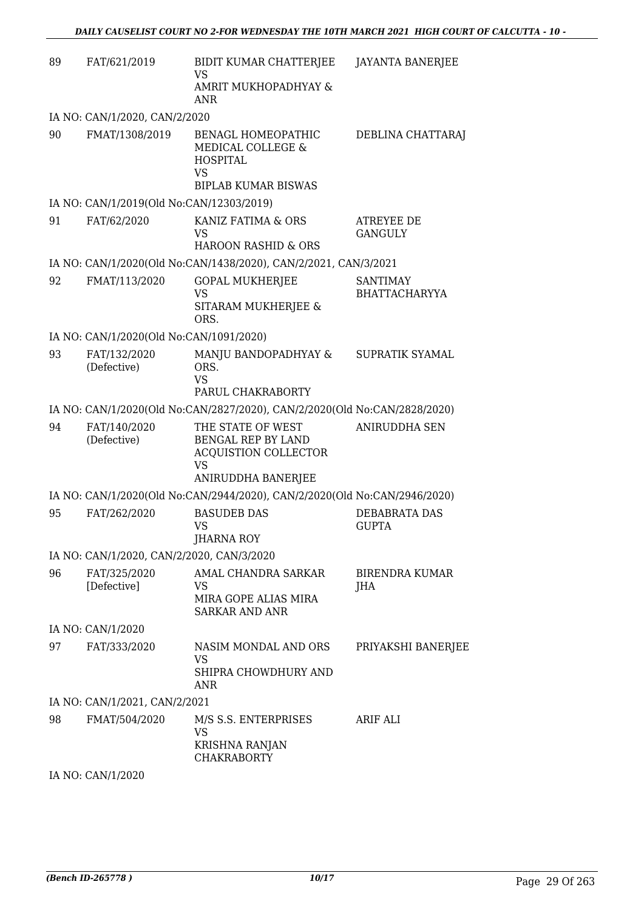| 89 | FAT/621/2019                              | BIDIT KUMAR CHATTERJEE<br>VS<br>AMRIT MUKHOPADHYAY &<br>ANR                                               | <b>JAYANTA BANERJEE</b>                 |
|----|-------------------------------------------|-----------------------------------------------------------------------------------------------------------|-----------------------------------------|
|    | IA NO: CAN/1/2020, CAN/2/2020             |                                                                                                           |                                         |
| 90 | FMAT/1308/2019                            | BENAGL HOMEOPATHIC<br>MEDICAL COLLEGE &<br><b>HOSPITAL</b><br>VS<br><b>BIPLAB KUMAR BISWAS</b>            | DEBLINA CHATTARAJ                       |
|    | IA NO: CAN/1/2019(Old No:CAN/12303/2019)  |                                                                                                           |                                         |
| 91 | FAT/62/2020                               | KANIZ FATIMA & ORS<br>VS<br><b>HAROON RASHID &amp; ORS</b>                                                | ATREYEE DE<br><b>GANGULY</b>            |
|    |                                           | IA NO: CAN/1/2020(Old No:CAN/1438/2020), CAN/2/2021, CAN/3/2021                                           |                                         |
| 92 | FMAT/113/2020                             | <b>GOPAL MUKHERJEE</b><br><b>VS</b><br>SITARAM MUKHERJEE &<br>ORS.                                        | <b>SANTIMAY</b><br><b>BHATTACHARYYA</b> |
|    | IA NO: CAN/1/2020(Old No:CAN/1091/2020)   |                                                                                                           |                                         |
| 93 | FAT/132/2020<br>(Defective)               | MANJU BANDOPADHYAY &<br>ORS.<br><b>VS</b><br>PARUL CHAKRABORTY                                            | SUPRATIK SYAMAL                         |
|    |                                           | IA NO: CAN/1/2020(Old No:CAN/2827/2020), CAN/2/2020(Old No:CAN/2828/2020)                                 |                                         |
| 94 | FAT/140/2020<br>(Defective)               | THE STATE OF WEST<br>BENGAL REP BY LAND<br><b>ACQUISTION COLLECTOR</b><br><b>VS</b><br>ANIRUDDHA BANERJEE | <b>ANIRUDDHA SEN</b>                    |
|    |                                           | IA NO: CAN/1/2020(Old No:CAN/2944/2020), CAN/2/2020(Old No:CAN/2946/2020)                                 |                                         |
| 95 | FAT/262/2020                              | <b>BASUDEB DAS</b><br><b>VS</b><br><b>JHARNA ROY</b>                                                      | DEBABRATA DAS<br><b>GUPTA</b>           |
|    | IA NO: CAN/1/2020, CAN/2/2020, CAN/3/2020 |                                                                                                           |                                         |
| 96 | FAT/325/2020<br>[Defective]               | AMAL CHANDRA SARKAR<br>VS<br>MIRA GOPE ALIAS MIRA<br><b>SARKAR AND ANR</b>                                | BIRENDRA KUMAR<br>JHA                   |
|    | IA NO: CAN/1/2020                         |                                                                                                           |                                         |
| 97 | FAT/333/2020                              | NASIM MONDAL AND ORS<br>VS.<br>SHIPRA CHOWDHURY AND<br><b>ANR</b>                                         | PRIYAKSHI BANERJEE                      |
|    | IA NO: CAN/1/2021, CAN/2/2021             |                                                                                                           |                                         |
| 98 | FMAT/504/2020                             | M/S S.S. ENTERPRISES<br>VS<br>KRISHNA RANJAN<br><b>CHAKRABORTY</b>                                        | ARIF ALI                                |

IA NO: CAN/1/2020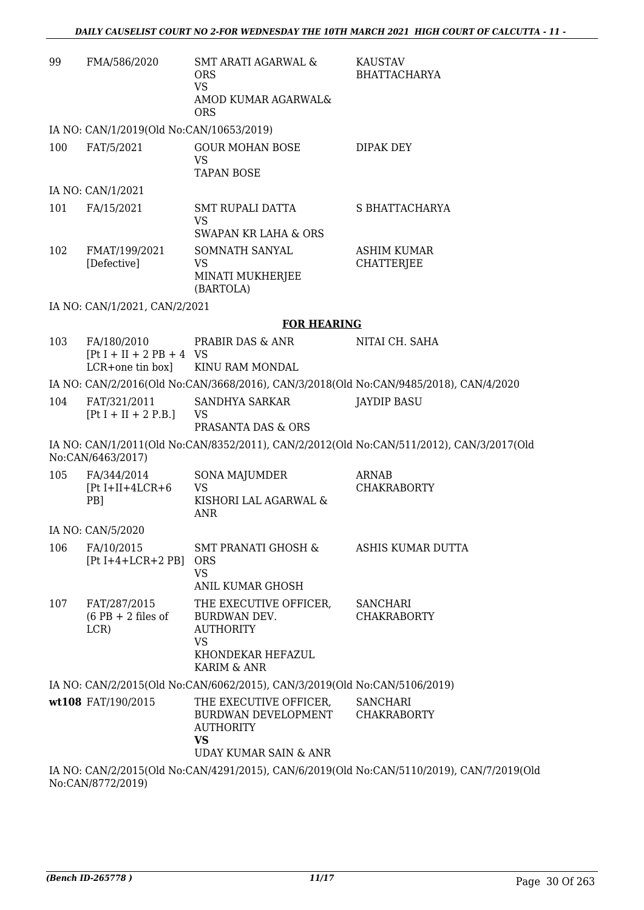| 99  | FMA/586/2020                                                   | <b>SMT ARATI AGARWAL &amp;</b><br><b>ORS</b><br><b>VS</b><br>AMOD KUMAR AGARWAL&<br><b>ORS</b>          | <b>KAUSTAV</b><br><b>BHATTACHARYA</b>                                                     |
|-----|----------------------------------------------------------------|---------------------------------------------------------------------------------------------------------|-------------------------------------------------------------------------------------------|
|     | IA NO: CAN/1/2019(Old No:CAN/10653/2019)                       |                                                                                                         |                                                                                           |
| 100 | FAT/5/2021                                                     | <b>GOUR MOHAN BOSE</b><br><b>VS</b><br><b>TAPAN BOSE</b>                                                | DIPAK DEY                                                                                 |
|     | IA NO: CAN/1/2021                                              |                                                                                                         |                                                                                           |
| 101 | FA/15/2021                                                     | SMT RUPALI DATTA<br>VS<br>SWAPAN KR LAHA & ORS                                                          | S BHATTACHARYA                                                                            |
| 102 | FMAT/199/2021                                                  | SOMNATH SANYAL                                                                                          | <b>ASHIM KUMAR</b>                                                                        |
|     | [Defective]                                                    | <b>VS</b><br>MINATI MUKHERJEE<br>(BARTOLA)                                                              | <b>CHATTERJEE</b>                                                                         |
|     | IA NO: CAN/1/2021, CAN/2/2021                                  |                                                                                                         |                                                                                           |
|     |                                                                | <b>FOR HEARING</b>                                                                                      |                                                                                           |
| 103 | FA/180/2010<br>$[Pt I + II + 2 PB + 4 VS]$<br>LCR+one tin box] | PRABIR DAS & ANR<br>KINU RAM MONDAL                                                                     | NITAI CH. SAHA                                                                            |
|     |                                                                |                                                                                                         | IA NO: CAN/2/2016(Old No:CAN/3668/2016), CAN/3/2018(Old No:CAN/9485/2018), CAN/4/2020     |
| 104 | FAT/321/2011<br>$[Pt I + II + 2 P.B.]$                         | SANDHYA SARKAR<br>VS<br>PRASANTA DAS & ORS                                                              | <b>JAYDIP BASU</b>                                                                        |
|     | No:CAN/6463/2017)                                              |                                                                                                         | IA NO: CAN/1/2011(Old No:CAN/8352/2011), CAN/2/2012(Old No:CAN/511/2012), CAN/3/2017(Old  |
| 105 | FA/344/2014<br>$[Pt I+II+4LCR+6]$<br>PB]                       | <b>SONA MAJUMDER</b><br>VS<br>KISHORI LAL AGARWAL &<br><b>ANR</b>                                       | <b>ARNAB</b><br><b>CHAKRABORTY</b>                                                        |
|     | IA NO: CAN/5/2020                                              |                                                                                                         |                                                                                           |
| 106 | FA/10/2015<br>$[Pt I+4+LCR+2 PB]$ ORS                          | SMT PRANATI GHOSH &<br><b>VS</b><br><b>ANIL KUMAR GHOSH</b>                                             | ASHIS KUMAR DUTTA                                                                         |
| 107 | FAT/287/2015<br>$(6$ PB + 2 files of<br>LCR)                   | THE EXECUTIVE OFFICER,<br>BURDWAN DEV.<br><b>AUTHORITY</b><br>VS                                        | <b>SANCHARI</b><br><b>CHAKRABORTY</b>                                                     |
|     |                                                                | KHONDEKAR HEFAZUL<br>KARIM & ANR                                                                        |                                                                                           |
|     |                                                                | IA NO: CAN/2/2015(Old No:CAN/6062/2015), CAN/3/2019(Old No:CAN/5106/2019)                               |                                                                                           |
|     | wt108 FAT/190/2015                                             | THE EXECUTIVE OFFICER,<br>BURDWAN DEVELOPMENT<br><b>AUTHORITY</b><br><b>VS</b><br>UDAY KUMAR SAIN & ANR | <b>SANCHARI</b><br><b>CHAKRABORTY</b>                                                     |
|     |                                                                |                                                                                                         | IA NO: CAN/2/2015(Old No:CAN/4291/2015), CAN/6/2019(Old No:CAN/5110/2019), CAN/7/2019(Old |

No:CAN/8772/2019)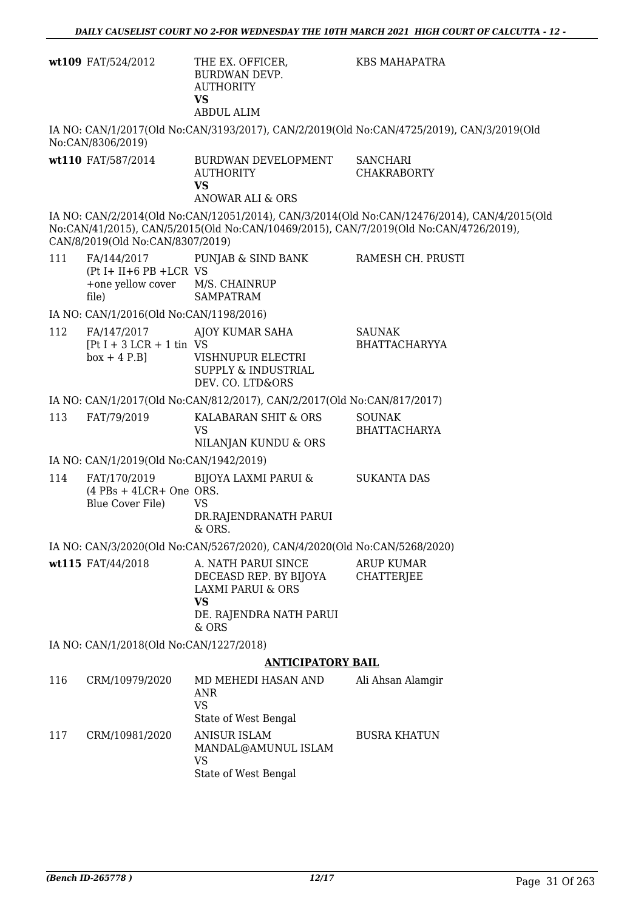|     | wt109 FAT/524/2012                                                         | THE EX. OFFICER,<br>BURDWAN DEVP.<br><b>AUTHORITY</b><br><b>VS</b><br><b>ABDUL ALIM</b>                                        | <b>KBS MAHAPATRA</b>                                                                                                                                                                 |
|-----|----------------------------------------------------------------------------|--------------------------------------------------------------------------------------------------------------------------------|--------------------------------------------------------------------------------------------------------------------------------------------------------------------------------------|
|     | No:CAN/8306/2019)                                                          |                                                                                                                                | IA NO: CAN/1/2017(Old No:CAN/3193/2017), CAN/2/2019(Old No:CAN/4725/2019), CAN/3/2019(Old                                                                                            |
|     | wt110 FAT/587/2014                                                         | BURDWAN DEVELOPMENT<br><b>AUTHORITY</b><br><b>VS</b><br>ANOWAR ALI & ORS                                                       | <b>SANCHARI</b><br><b>CHAKRABORTY</b>                                                                                                                                                |
|     | CAN/8/2019(Old No:CAN/8307/2019)                                           |                                                                                                                                | IA NO: CAN/2/2014(Old No:CAN/12051/2014), CAN/3/2014(Old No:CAN/12476/2014), CAN/4/2015(Old<br>No:CAN/41/2015), CAN/5/2015(Old No:CAN/10469/2015), CAN/7/2019(Old No:CAN/4726/2019), |
| 111 | FA/144/2017<br>$(Pt I + II + 6 PB + LCR VS)$<br>+one yellow cover<br>file) | PUNJAB & SIND BANK<br>M/S. CHAINRUP<br><b>SAMPATRAM</b>                                                                        | RAMESH CH. PRUSTI                                                                                                                                                                    |
|     | IA NO: CAN/1/2016(Old No:CAN/1198/2016)                                    |                                                                                                                                |                                                                                                                                                                                      |
| 112 | FA/147/2017<br>$[Pt I + 3 LCR + 1 tin VS]$<br>$box + 4 P.B]$               | AJOY KUMAR SAHA<br>VISHNUPUR ELECTRI<br><b>SUPPLY &amp; INDUSTRIAL</b><br>DEV. CO. LTD&ORS                                     | <b>SAUNAK</b><br><b>BHATTACHARYYA</b>                                                                                                                                                |
|     |                                                                            | IA NO: CAN/1/2017(Old No:CAN/812/2017), CAN/2/2017(Old No:CAN/817/2017)                                                        |                                                                                                                                                                                      |
| 113 | FAT/79/2019                                                                | KALABARAN SHIT & ORS<br><b>VS</b><br>NILANJAN KUNDU & ORS                                                                      | <b>SOUNAK</b><br><b>BHATTACHARYA</b>                                                                                                                                                 |
|     | IA NO: CAN/1/2019(Old No:CAN/1942/2019)                                    |                                                                                                                                |                                                                                                                                                                                      |
| 114 | FAT/170/2019<br>$(4$ PBs + 4LCR+ One ORS.<br>Blue Cover File)              | BIJOYA LAXMI PARUI &<br><b>VS</b><br>DR.RAJENDRANATH PARUI<br>& ORS.                                                           | <b>SUKANTA DAS</b>                                                                                                                                                                   |
|     |                                                                            | IA NO: CAN/3/2020(Old No:CAN/5267/2020), CAN/4/2020(Old No:CAN/5268/2020)                                                      |                                                                                                                                                                                      |
|     | wt115 FAT/44/2018                                                          | A. NATH PARUI SINCE<br>DECEASD REP. BY BIJOYA<br><b>LAXMI PARUI &amp; ORS</b><br><b>VS</b><br>DE. RAJENDRA NATH PARUI<br>& ORS | <b>ARUP KUMAR</b><br><b>CHATTERJEE</b>                                                                                                                                               |
|     | IA NO: CAN/1/2018(Old No:CAN/1227/2018)                                    |                                                                                                                                |                                                                                                                                                                                      |
|     |                                                                            | <b>ANTICIPATORY BAIL</b>                                                                                                       |                                                                                                                                                                                      |
| 116 | CRM/10979/2020                                                             | MD MEHEDI HASAN AND<br>ANR<br><b>VS</b><br>State of West Bengal                                                                | Ali Ahsan Alamgir                                                                                                                                                                    |
| 117 | CRM/10981/2020                                                             | <b>ANISUR ISLAM</b><br>MANDAL@AMUNUL ISLAM<br><b>VS</b><br>State of West Bengal                                                | <b>BUSRA KHATUN</b>                                                                                                                                                                  |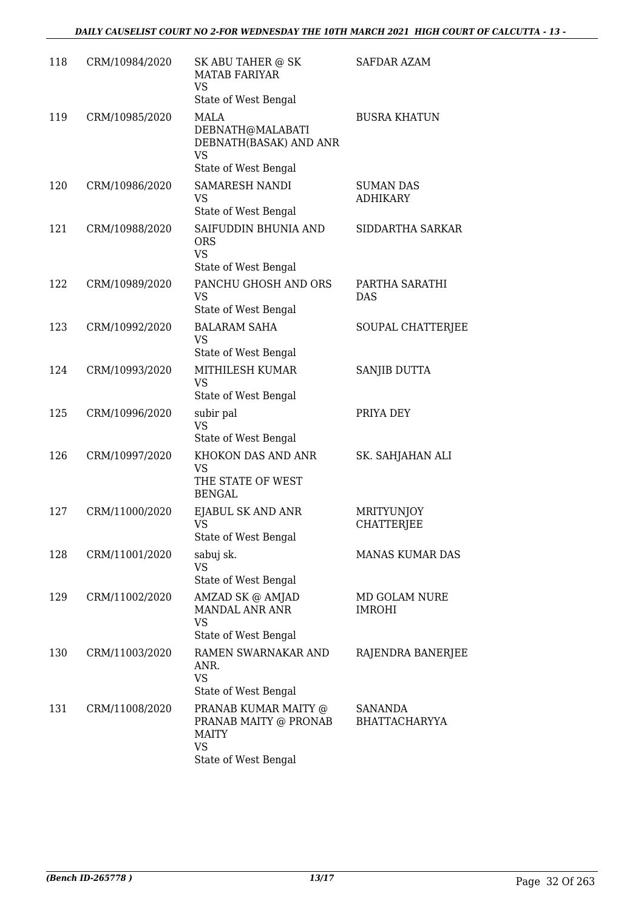| 118 | CRM/10984/2020 | SK ABU TAHER @ SK<br><b>MATAB FARIYAR</b><br>VS<br>State of West Bengal                     | <b>SAFDAR AZAM</b>                  |
|-----|----------------|---------------------------------------------------------------------------------------------|-------------------------------------|
| 119 | CRM/10985/2020 | MALA<br>DEBNATH@MALABATI<br>DEBNATH(BASAK) AND ANR<br><b>VS</b><br>State of West Bengal     | <b>BUSRA KHATUN</b>                 |
| 120 | CRM/10986/2020 | <b>SAMARESH NANDI</b><br><b>VS</b><br>State of West Bengal                                  | <b>SUMAN DAS</b><br><b>ADHIKARY</b> |
| 121 | CRM/10988/2020 | SAIFUDDIN BHUNIA AND<br><b>ORS</b><br><b>VS</b><br>State of West Bengal                     | SIDDARTHA SARKAR                    |
| 122 | CRM/10989/2020 | PANCHU GHOSH AND ORS<br><b>VS</b><br>State of West Bengal                                   | PARTHA SARATHI<br><b>DAS</b>        |
| 123 | CRM/10992/2020 | <b>BALARAM SAHA</b><br><b>VS</b><br>State of West Bengal                                    | SOUPAL CHATTERJEE                   |
| 124 | CRM/10993/2020 | MITHILESH KUMAR<br><b>VS</b><br>State of West Bengal                                        | SANJIB DUTTA                        |
| 125 | CRM/10996/2020 | subir pal<br><b>VS</b><br>State of West Bengal                                              | PRIYA DEY                           |
| 126 | CRM/10997/2020 | KHOKON DAS AND ANR<br><b>VS</b><br>THE STATE OF WEST<br><b>BENGAL</b>                       | SK. SAHJAHAN ALI                    |
| 127 | CRM/11000/2020 | EJABUL SK AND ANR<br>VS<br>State of West Bengal                                             | MRITYUNJOY<br><b>CHATTERJEE</b>     |
| 128 | CRM/11001/2020 | sabuj sk.<br>VS<br>State of West Bengal                                                     | <b>MANAS KUMAR DAS</b>              |
| 129 | CRM/11002/2020 | AMZAD SK @ AMJAD<br><b>MANDAL ANR ANR</b><br><b>VS</b><br>State of West Bengal              | MD GOLAM NURE<br><b>IMROHI</b>      |
| 130 | CRM/11003/2020 | RAMEN SWARNAKAR AND<br>ANR.<br><b>VS</b><br>State of West Bengal                            | RAJENDRA BANERJEE                   |
| 131 | CRM/11008/2020 | PRANAB KUMAR MAITY @<br>PRANAB MAITY @ PRONAB<br><b>MAITY</b><br>VS<br>State of West Bengal | SANANDA<br><b>BHATTACHARYYA</b>     |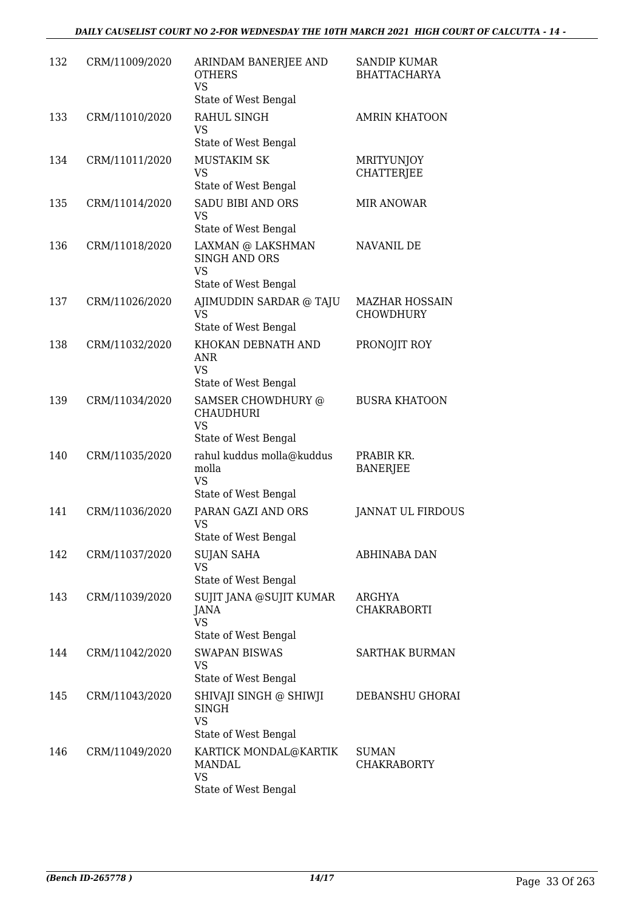| 132 | CRM/11009/2020 | ARINDAM BANERJEE AND<br><b>OTHERS</b><br><b>VS</b><br>State of West Bengal     | <b>SANDIP KUMAR</b><br><b>BHATTACHARYA</b> |
|-----|----------------|--------------------------------------------------------------------------------|--------------------------------------------|
| 133 | CRM/11010/2020 | RAHUL SINGH<br>VS<br>State of West Bengal                                      | <b>AMRIN KHATOON</b>                       |
| 134 | CRM/11011/2020 | <b>MUSTAKIM SK</b><br><b>VS</b><br>State of West Bengal                        | MRITYUNJOY<br><b>CHATTERJEE</b>            |
| 135 | CRM/11014/2020 | <b>SADU BIBI AND ORS</b><br>VS<br>State of West Bengal                         | <b>MIR ANOWAR</b>                          |
| 136 | CRM/11018/2020 | LAXMAN @ LAKSHMAN<br><b>SINGH AND ORS</b><br><b>VS</b><br>State of West Bengal | NAVANIL DE                                 |
| 137 | CRM/11026/2020 | AJIMUDDIN SARDAR @ TAJU<br><b>VS</b><br>State of West Bengal                   | <b>MAZHAR HOSSAIN</b><br>CHOWDHURY         |
| 138 | CRM/11032/2020 | KHOKAN DEBNATH AND<br><b>ANR</b><br><b>VS</b><br>State of West Bengal          | PRONOJIT ROY                               |
| 139 | CRM/11034/2020 | SAMSER CHOWDHURY @<br><b>CHAUDHURI</b><br><b>VS</b><br>State of West Bengal    | <b>BUSRA KHATOON</b>                       |
| 140 | CRM/11035/2020 | rahul kuddus molla@kuddus<br>molla<br><b>VS</b><br>State of West Bengal        | PRABIR KR.<br><b>BANERJEE</b>              |
| 141 | CRM/11036/2020 | PARAN GAZI AND ORS<br><b>VS</b><br>State of West Bengal                        | <b>JANNAT UL FIRDOUS</b>                   |
| 142 | CRM/11037/2020 | <b>SUJAN SAHA</b><br>VS<br>State of West Bengal                                | ABHINABA DAN                               |
| 143 | CRM/11039/2020 | SUJIT JANA @SUJIT KUMAR<br><b>JANA</b><br><b>VS</b><br>State of West Bengal    | ARGHYA<br>CHAKRABORTI                      |
| 144 | CRM/11042/2020 | <b>SWAPAN BISWAS</b><br>VS<br>State of West Bengal                             | <b>SARTHAK BURMAN</b>                      |
| 145 | CRM/11043/2020 | SHIVAJI SINGH @ SHIWJI<br><b>SINGH</b><br><b>VS</b><br>State of West Bengal    | DEBANSHU GHORAI                            |
| 146 | CRM/11049/2020 | KARTICK MONDAL@KARTIK<br><b>MANDAL</b><br><b>VS</b><br>State of West Bengal    | <b>SUMAN</b><br><b>CHAKRABORTY</b>         |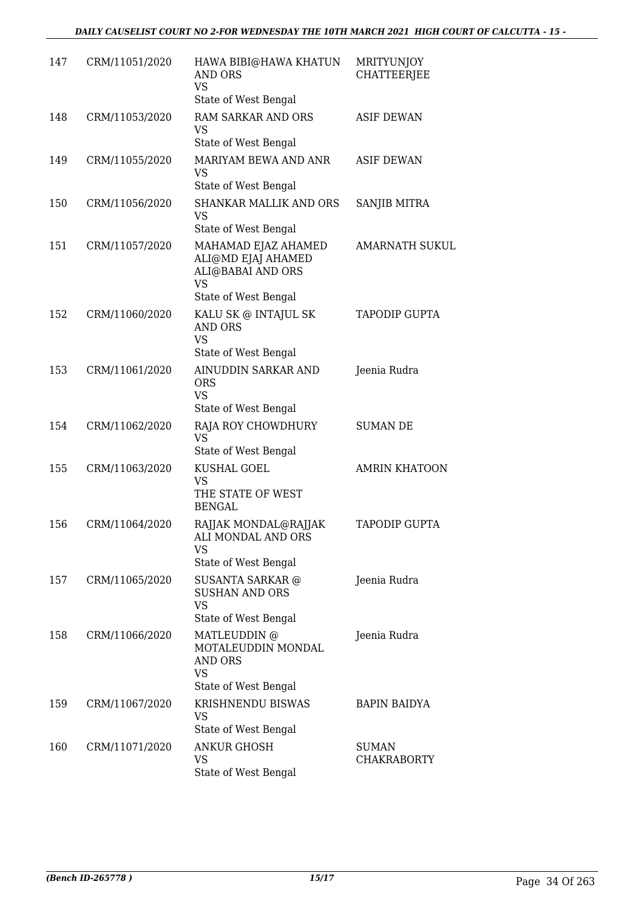| 147 | CRM/11051/2020 | HAWA BIBI@HAWA KHATUN<br><b>AND ORS</b><br><b>VS</b><br>State of West Bengal                        | <b>MRITYUNJOY</b><br><b>CHATTEERJEE</b> |
|-----|----------------|-----------------------------------------------------------------------------------------------------|-----------------------------------------|
| 148 | CRM/11053/2020 | <b>RAM SARKAR AND ORS</b><br>VS<br>State of West Bengal                                             | <b>ASIF DEWAN</b>                       |
| 149 | CRM/11055/2020 | MARIYAM BEWA AND ANR<br><b>VS</b><br>State of West Bengal                                           | <b>ASIF DEWAN</b>                       |
| 150 | CRM/11056/2020 | <b>SHANKAR MALLIK AND ORS</b><br><b>VS</b><br>State of West Bengal                                  | <b>SANJIB MITRA</b>                     |
| 151 | CRM/11057/2020 | MAHAMAD EJAZ AHAMED<br>ALI@MD EJAJ AHAMED<br>ALI@BABAI AND ORS<br><b>VS</b><br>State of West Bengal | <b>AMARNATH SUKUL</b>                   |
| 152 | CRM/11060/2020 | KALU SK @ INTAJUL SK<br><b>AND ORS</b><br><b>VS</b><br>State of West Bengal                         | <b>TAPODIP GUPTA</b>                    |
| 153 | CRM/11061/2020 | AINUDDIN SARKAR AND<br><b>ORS</b><br><b>VS</b><br>State of West Bengal                              | Jeenia Rudra                            |
| 154 | CRM/11062/2020 | RAJA ROY CHOWDHURY<br><b>VS</b><br>State of West Bengal                                             | <b>SUMAN DE</b>                         |
| 155 | CRM/11063/2020 | KUSHAL GOEL<br><b>VS</b><br>THE STATE OF WEST<br><b>BENGAL</b>                                      | <b>AMRIN KHATOON</b>                    |
| 156 | CRM/11064/2020 | RAJJAK MONDAL@RAJJAK<br>ALI MONDAL AND ORS<br>VS<br>State of West Bengal                            | TAPODIP GUPTA                           |
| 157 | CRM/11065/2020 | <b>SUSANTA SARKAR @</b><br><b>SUSHAN AND ORS</b><br><b>VS</b><br>State of West Bengal               | Jeenia Rudra                            |
| 158 | CRM/11066/2020 | MATLEUDDIN @<br>MOTALEUDDIN MONDAL<br>AND ORS<br><b>VS</b><br>State of West Bengal                  | Jeenia Rudra                            |
| 159 | CRM/11067/2020 | KRISHNENDU BISWAS<br>VS<br>State of West Bengal                                                     | BAPIN BAIDYA                            |
| 160 | CRM/11071/2020 | ANKUR GHOSH<br><b>VS</b><br>State of West Bengal                                                    | <b>SUMAN</b><br><b>CHAKRABORTY</b>      |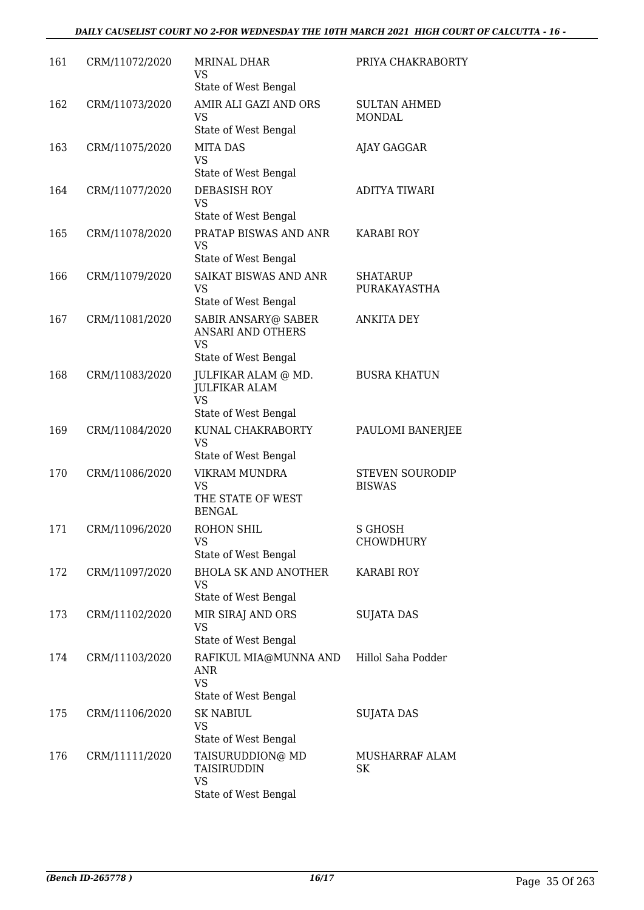#### *DAILY CAUSELIST COURT NO 2-FOR WEDNESDAY THE 10TH MARCH 2021 HIGH COURT OF CALCUTTA - 16 -*

| 161 | CRM/11072/2020 | <b>MRINAL DHAR</b><br>VS<br>State of West Bengal                                                         | PRIYA CHAKRABORTY                       |
|-----|----------------|----------------------------------------------------------------------------------------------------------|-----------------------------------------|
| 162 | CRM/11073/2020 | AMIR ALI GAZI AND ORS<br>VS<br>State of West Bengal                                                      | <b>SULTAN AHMED</b><br>MONDAL           |
| 163 | CRM/11075/2020 | <b>MITA DAS</b><br><b>VS</b><br>State of West Bengal                                                     | AJAY GAGGAR                             |
| 164 | CRM/11077/2020 | DEBASISH ROY<br><b>VS</b><br>State of West Bengal                                                        | <b>ADITYA TIWARI</b>                    |
| 165 | CRM/11078/2020 | PRATAP BISWAS AND ANR<br><b>VS</b><br>State of West Bengal                                               | <b>KARABI ROY</b>                       |
| 166 | CRM/11079/2020 | SAIKAT BISWAS AND ANR<br><b>VS</b><br>State of West Bengal                                               | <b>SHATARUP</b><br>PURAKAYASTHA         |
| 167 | CRM/11081/2020 | SABIR ANSARY@ SABER<br><b>ANSARI AND OTHERS</b><br><b>VS</b>                                             | <b>ANKITA DEY</b>                       |
| 168 | CRM/11083/2020 | State of West Bengal<br>JULFIKAR ALAM @ MD.<br><b>JULFIKAR ALAM</b><br><b>VS</b><br>State of West Bengal | <b>BUSRA KHATUN</b>                     |
| 169 | CRM/11084/2020 | KUNAL CHAKRABORTY<br><b>VS</b><br>State of West Bengal                                                   | PAULOMI BANERJEE                        |
| 170 | CRM/11086/2020 | VIKRAM MUNDRA<br>VS<br>THE STATE OF WEST<br><b>BENGAL</b>                                                | <b>STEVEN SOURODIP</b><br><b>BISWAS</b> |
| 171 | CRM/11096/2020 | <b>ROHON SHIL</b><br>VS<br>State of West Bengal                                                          | S GHOSH<br>CHOWDHURY                    |
| 172 | CRM/11097/2020 | <b>BHOLA SK AND ANOTHER</b><br>VS<br>State of West Bengal                                                | <b>KARABI ROY</b>                       |
| 173 | CRM/11102/2020 | MIR SIRAJ AND ORS<br>VS<br>State of West Bengal                                                          | <b>SUJATA DAS</b>                       |
| 174 | CRM/11103/2020 | RAFIKUL MIA@MUNNA AND<br>ANR<br><b>VS</b><br>State of West Bengal                                        | Hillol Saha Podder                      |
| 175 | CRM/11106/2020 | <b>SK NABIUL</b><br>VS<br>State of West Bengal                                                           | SUJATA DAS                              |
| 176 | CRM/11111/2020 | TAISURUDDION@ MD<br>TAISIRUDDIN<br>VS<br>State of West Bengal                                            | MUSHARRAF ALAM<br>SK                    |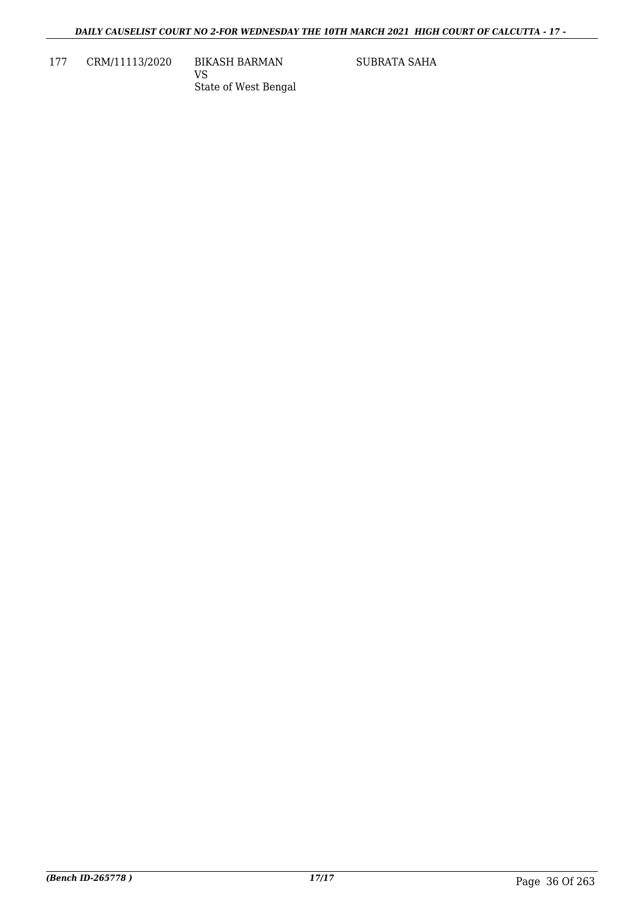177 CRM/11113/2020 BIKASH BARMAN

VS State of West Bengal SUBRATA SAHA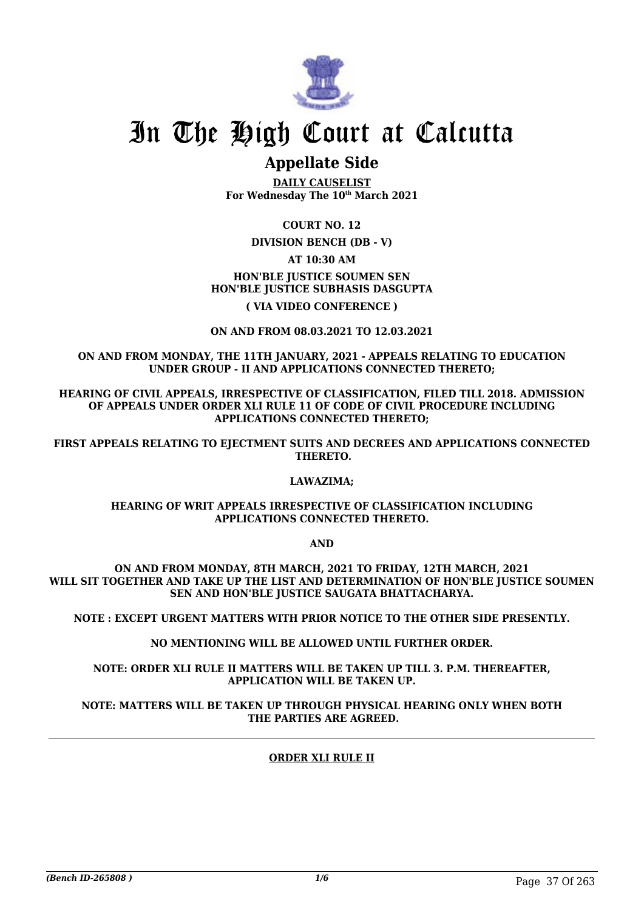

## In The High Court at Calcutta

### **Appellate Side**

**DAILY CAUSELIST For Wednesday The 10th March 2021**

**COURT NO. 12**

**DIVISION BENCH (DB - V)**

**AT 10:30 AM**

**HON'BLE JUSTICE SOUMEN SEN HON'BLE JUSTICE SUBHASIS DASGUPTA**

**( VIA VIDEO CONFERENCE )**

**ON AND FROM 08.03.2021 TO 12.03.2021**

**ON AND FROM MONDAY, THE 11TH JANUARY, 2021 - APPEALS RELATING TO EDUCATION UNDER GROUP - II AND APPLICATIONS CONNECTED THERETO;**

**HEARING OF CIVIL APPEALS, IRRESPECTIVE OF CLASSIFICATION, FILED TILL 2018. ADMISSION OF APPEALS UNDER ORDER XLI RULE 11 OF CODE OF CIVIL PROCEDURE INCLUDING APPLICATIONS CONNECTED THERETO;**

**FIRST APPEALS RELATING TO EJECTMENT SUITS AND DECREES AND APPLICATIONS CONNECTED THERETO.**

#### **LAWAZIMA;**

#### **HEARING OF WRIT APPEALS IRRESPECTIVE OF CLASSIFICATION INCLUDING APPLICATIONS CONNECTED THERETO.**

**AND**

**ON AND FROM MONDAY, 8TH MARCH, 2021 TO FRIDAY, 12TH MARCH, 2021 WILL SIT TOGETHER AND TAKE UP THE LIST AND DETERMINATION OF HON'BLE JUSTICE SOUMEN SEN AND HON'BLE JUSTICE SAUGATA BHATTACHARYA.**

**NOTE : EXCEPT URGENT MATTERS WITH PRIOR NOTICE TO THE OTHER SIDE PRESENTLY.**

**NO MENTIONING WILL BE ALLOWED UNTIL FURTHER ORDER.**

**NOTE: ORDER XLI RULE II MATTERS WILL BE TAKEN UP TILL 3. P.M. THEREAFTER, APPLICATION WILL BE TAKEN UP.**

**NOTE: MATTERS WILL BE TAKEN UP THROUGH PHYSICAL HEARING ONLY WHEN BOTH THE PARTIES ARE AGREED.**

#### **ORDER XLI RULE II**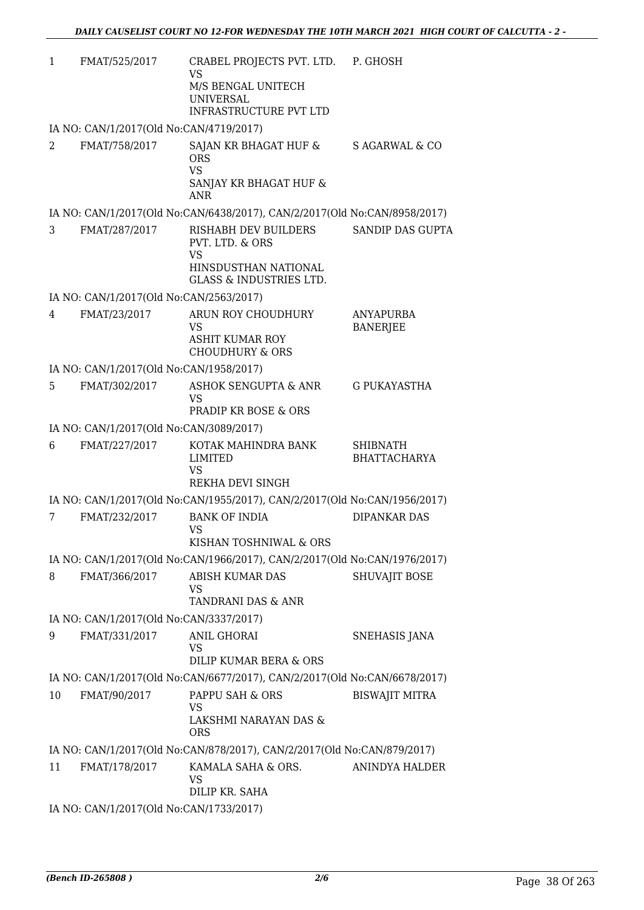| 1  | FMAT/525/2017                           | CRABEL PROJECTS PVT. LTD. P. GHOSH<br><b>VS</b>                                          |                                        |
|----|-----------------------------------------|------------------------------------------------------------------------------------------|----------------------------------------|
|    |                                         | M/S BENGAL UNITECH<br><b>UNIVERSAL</b><br><b>INFRASTRUCTURE PVT LTD</b>                  |                                        |
|    | IA NO: CAN/1/2017(Old No:CAN/4719/2017) |                                                                                          |                                        |
| 2  | FMAT/758/2017                           | SAJAN KR BHAGAT HUF &<br><b>ORS</b><br><b>VS</b><br>SANJAY KR BHAGAT HUF &<br><b>ANR</b> | S AGARWAL & CO                         |
|    |                                         | IA NO: CAN/1/2017(Old No:CAN/6438/2017), CAN/2/2017(Old No:CAN/8958/2017)                |                                        |
| 3  | FMAT/287/2017                           | RISHABH DEV BUILDERS<br>PVT. LTD. & ORS                                                  | SANDIP DAS GUPTA                       |
|    |                                         | <b>VS</b><br>HINSDUSTHAN NATIONAL<br><b>GLASS &amp; INDUSTRIES LTD.</b>                  |                                        |
|    | IA NO: CAN/1/2017(Old No:CAN/2563/2017) |                                                                                          |                                        |
| 4  | FMAT/23/2017                            | ARUN ROY CHOUDHURY<br>VS<br><b>ASHIT KUMAR ROY</b><br><b>CHOUDHURY &amp; ORS</b>         | <b>ANYAPURBA</b><br><b>BANERJEE</b>    |
|    | IA NO: CAN/1/2017(Old No:CAN/1958/2017) |                                                                                          |                                        |
| 5  | FMAT/302/2017                           | ASHOK SENGUPTA & ANR<br><b>VS</b><br><b>PRADIP KR BOSE &amp; ORS</b>                     | <b>G PUKAYASTHA</b>                    |
|    | IA NO: CAN/1/2017(Old No:CAN/3089/2017) |                                                                                          |                                        |
| 6  | FMAT/227/2017                           | KOTAK MAHINDRA BANK<br>LIMITED<br><b>VS</b><br>REKHA DEVI SINGH                          | <b>SHIBNATH</b><br><b>BHATTACHARYA</b> |
|    |                                         | IA NO: CAN/1/2017(Old No:CAN/1955/2017), CAN/2/2017(Old No:CAN/1956/2017)                |                                        |
| 7  | FMAT/232/2017                           | <b>BANK OF INDIA</b><br><b>VS</b><br>KISHAN TOSHNIWAL & ORS                              | <b>DIPANKAR DAS</b>                    |
|    |                                         | IA NO: CAN/1/2017(Old No:CAN/1966/2017), CAN/2/2017(Old No:CAN/1976/2017)                |                                        |
| 8  | FMAT/366/2017                           | ABISH KUMAR DAS<br>VS<br>TANDRANI DAS & ANR                                              | <b>SHUVAJIT BOSE</b>                   |
|    | IA NO: CAN/1/2017(Old No:CAN/3337/2017) |                                                                                          |                                        |
| 9  | FMAT/331/2017                           | <b>ANIL GHORAI</b><br>VS<br>DILIP KUMAR BERA & ORS                                       | SNEHASIS JANA                          |
|    |                                         | IA NO: CAN/1/2017(Old No:CAN/6677/2017), CAN/2/2017(Old No:CAN/6678/2017)                |                                        |
| 10 | FMAT/90/2017                            | PAPPU SAH & ORS<br>VS<br>LAKSHMI NARAYAN DAS &<br><b>ORS</b>                             | <b>BISWAJIT MITRA</b>                  |
|    |                                         | IA NO: CAN/1/2017(Old No:CAN/878/2017), CAN/2/2017(Old No:CAN/879/2017)                  |                                        |
| 11 | FMAT/178/2017                           | KAMALA SAHA & ORS.<br>VS.<br>DILIP KR. SAHA                                              | ANINDYA HALDER                         |
|    | IA NO: CAN/1/2017(Old No:CAN/1733/2017) |                                                                                          |                                        |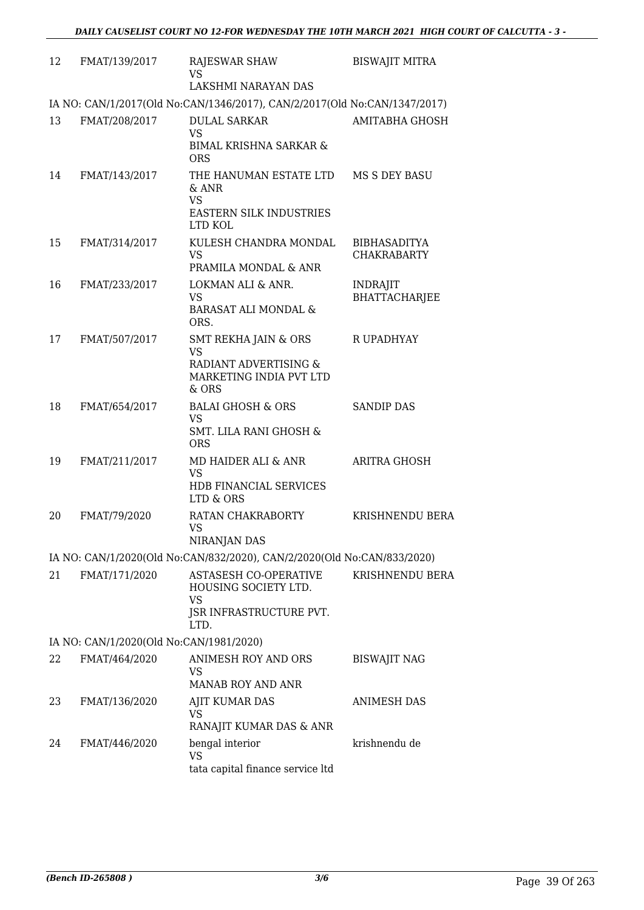| 12 | FMAT/139/2017                           | RAJESWAR SHAW<br><b>VS</b>                                                                                | <b>BISWAJIT MITRA</b>                   |
|----|-----------------------------------------|-----------------------------------------------------------------------------------------------------------|-----------------------------------------|
|    |                                         | LAKSHMI NARAYAN DAS                                                                                       |                                         |
|    |                                         | IA NO: CAN/1/2017(Old No:CAN/1346/2017), CAN/2/2017(Old No:CAN/1347/2017)                                 |                                         |
| 13 | FMAT/208/2017                           | <b>DULAL SARKAR</b><br><b>VS</b><br><b>BIMAL KRISHNA SARKAR &amp;</b>                                     | AMITABHA GHOSH                          |
| 14 | FMAT/143/2017                           | <b>ORS</b><br>THE HANUMAN ESTATE LTD MS S DEY BASU<br>$&$ ANR<br><b>VS</b>                                |                                         |
|    |                                         | <b>EASTERN SILK INDUSTRIES</b><br>LTD KOL                                                                 |                                         |
| 15 | FMAT/314/2017                           | KULESH CHANDRA MONDAL<br><b>VS</b><br>PRAMILA MONDAL & ANR                                                | BIBHASADITYA<br><b>CHAKRABARTY</b>      |
| 16 | FMAT/233/2017                           | LOKMAN ALI & ANR.<br>VS<br><b>BARASAT ALI MONDAL &amp;</b><br>ORS.                                        | <b>INDRAJIT</b><br><b>BHATTACHARJEE</b> |
| 17 | FMAT/507/2017                           | <b>SMT REKHA JAIN &amp; ORS</b><br><b>VS</b><br>RADIANT ADVERTISING &<br>MARKETING INDIA PVT LTD<br>& ORS | R UPADHYAY                              |
| 18 | FMAT/654/2017                           | <b>BALAI GHOSH &amp; ORS</b><br><b>VS</b><br><b>SMT. LILA RANI GHOSH &amp;</b><br><b>ORS</b>              | <b>SANDIP DAS</b>                       |
| 19 | FMAT/211/2017                           | MD HAIDER ALI & ANR<br><b>VS</b><br>HDB FINANCIAL SERVICES<br>LTD & ORS                                   | <b>ARITRA GHOSH</b>                     |
| 20 | FMAT/79/2020                            | RATAN CHAKRABORTY<br><b>VS</b><br><b>NIRANJAN DAS</b>                                                     | <b>KRISHNENDU BERA</b>                  |
|    |                                         | IA NO: CAN/1/2020(Old No:CAN/832/2020), CAN/2/2020(Old No:CAN/833/2020)                                   |                                         |
| 21 | FMAT/171/2020                           | <b>ASTASESH CO-OPERATIVE</b><br>HOUSING SOCIETY LTD.<br>VS<br>JSR INFRASTRUCTURE PVT.<br>LTD.             | <b>KRISHNENDU BERA</b>                  |
|    | IA NO: CAN/1/2020(Old No:CAN/1981/2020) |                                                                                                           |                                         |
| 22 | FMAT/464/2020                           | ANIMESH ROY AND ORS<br>VS.<br><b>MANAB ROY AND ANR</b>                                                    | <b>BISWAJIT NAG</b>                     |
| 23 | FMAT/136/2020                           | AJIT KUMAR DAS<br>VS<br>RANAJIT KUMAR DAS & ANR                                                           | ANIMESH DAS                             |
| 24 | FMAT/446/2020                           | bengal interior<br>VS<br>tata capital finance service ltd                                                 | krishnendu de                           |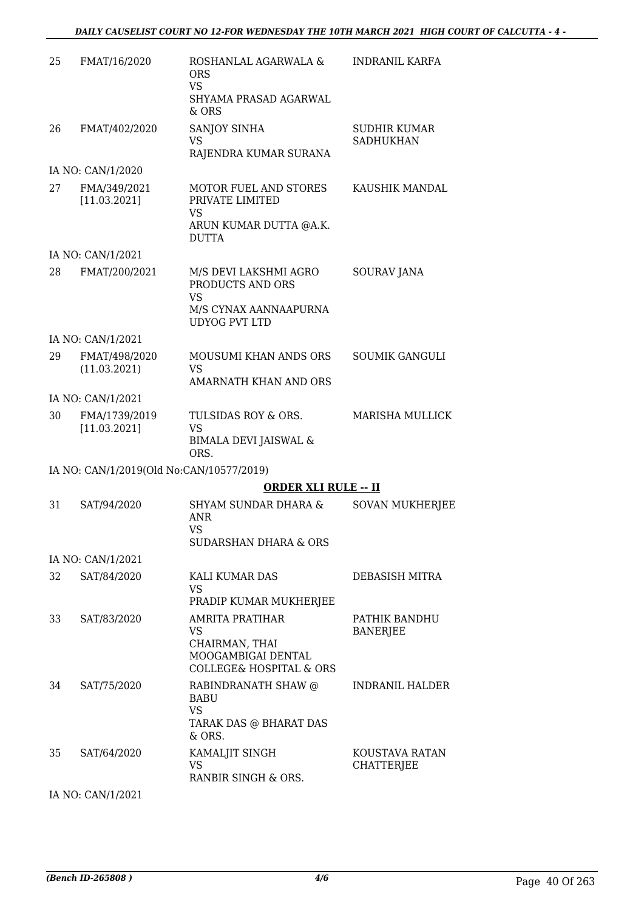| 25 | FMAT/16/2020                             | ROSHANLAL AGARWALA &<br><b>ORS</b><br><b>VS</b><br>SHYAMA PRASAD AGARWAL<br>& ORS                                       | <b>INDRANIL KARFA</b>                   |
|----|------------------------------------------|-------------------------------------------------------------------------------------------------------------------------|-----------------------------------------|
| 26 | FMAT/402/2020                            | SANJOY SINHA<br>VS<br>RAJENDRA KUMAR SURANA                                                                             | <b>SUDHIR KUMAR</b><br><b>SADHUKHAN</b> |
|    | IA NO: CAN/1/2020                        |                                                                                                                         |                                         |
| 27 | FMA/349/2021<br>[11.03.2021]             | <b>MOTOR FUEL AND STORES</b><br>PRIVATE LIMITED<br><b>VS</b><br>ARUN KUMAR DUTTA @A.K.<br><b>DUTTA</b>                  | KAUSHIK MANDAL                          |
|    | IA NO: CAN/1/2021                        |                                                                                                                         |                                         |
| 28 | FMAT/200/2021                            | M/S DEVI LAKSHMI AGRO<br>PRODUCTS AND ORS<br><b>VS</b>                                                                  | <b>SOURAV JANA</b>                      |
|    |                                          | M/S CYNAX AANNAAPURNA<br><b>UDYOG PVT LTD</b>                                                                           |                                         |
|    | IA NO: CAN/1/2021                        |                                                                                                                         |                                         |
| 29 | FMAT/498/2020<br>(11.03.2021)            | <b>MOUSUMI KHAN ANDS ORS</b><br><b>VS</b>                                                                               | <b>SOUMIK GANGULI</b>                   |
|    |                                          | AMARNATH KHAN AND ORS                                                                                                   |                                         |
| 30 | IA NO: CAN/1/2021<br>FMA/1739/2019       | TULSIDAS ROY & ORS.                                                                                                     | <b>MARISHA MULLICK</b>                  |
|    | [11.03.2021]                             | VS<br><b>BIMALA DEVI JAISWAL &amp;</b><br>ORS.                                                                          |                                         |
|    | IA NO: CAN/1/2019(Old No:CAN/10577/2019) |                                                                                                                         |                                         |
|    |                                          | <b>ORDER XLI RULE -- II</b>                                                                                             |                                         |
| 31 | SAT/94/2020                              | <b>SHYAM SUNDAR DHARA &amp;</b><br>ANR<br><b>VS</b>                                                                     | <b>SOVAN MUKHERJEE</b>                  |
|    |                                          | <b>SUDARSHAN DHARA &amp; ORS</b>                                                                                        |                                         |
|    | IA NO: CAN/1/2021                        |                                                                                                                         |                                         |
| 32 | SAT/84/2020                              | KALI KUMAR DAS<br>VS<br>PRADIP KUMAR MUKHERJEE                                                                          | DEBASISH MITRA                          |
| 33 | SAT/83/2020                              | AMRITA PRATIHAR<br>VS<br>CHAIRMAN, THAI<br>MOOGAMBIGAI DENTAL                                                           | PATHIK BANDHU<br><b>BANERJEE</b>        |
| 34 | SAT/75/2020                              | <b>COLLEGE&amp; HOSPITAL &amp; ORS</b><br>RABINDRANATH SHAW @<br><b>BABU</b><br>VS.<br>TARAK DAS @ BHARAT DAS<br>& ORS. | <b>INDRANIL HALDER</b>                  |
| 35 | SAT/64/2020                              | KAMALJIT SINGH<br><b>VS</b><br>RANBIR SINGH & ORS.                                                                      | KOUSTAVA RATAN<br>CHATTERJEE            |

IA NO: CAN/1/2021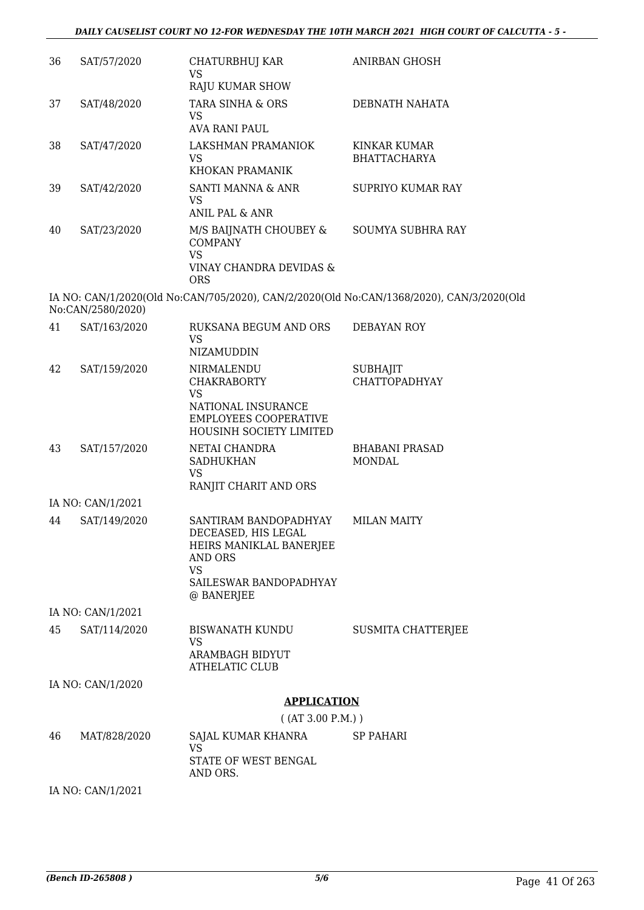| 36 | SAT/57/2020       | CHATURBHUJ KAR<br><b>VS</b>                                                                                                             | <b>ANIRBAN GHOSH</b>                                                                     |
|----|-------------------|-----------------------------------------------------------------------------------------------------------------------------------------|------------------------------------------------------------------------------------------|
|    |                   | RAJU KUMAR SHOW                                                                                                                         |                                                                                          |
| 37 | SAT/48/2020       | TARA SINHA & ORS<br><b>VS</b><br>AVA RANI PAUL                                                                                          | DEBNATH NAHATA                                                                           |
| 38 | SAT/47/2020       | LAKSHMAN PRAMANIOK                                                                                                                      | <b>KINKAR KUMAR</b>                                                                      |
|    |                   | <b>VS</b><br>KHOKAN PRAMANIK                                                                                                            | <b>BHATTACHARYA</b>                                                                      |
| 39 | SAT/42/2020       | SANTI MANNA & ANR<br><b>VS</b>                                                                                                          | <b>SUPRIYO KUMAR RAY</b>                                                                 |
|    |                   | ANIL PAL & ANR                                                                                                                          |                                                                                          |
| 40 | SAT/23/2020       | M/S BAIJNATH CHOUBEY &<br><b>COMPANY</b><br><b>VS</b><br>VINAY CHANDRA DEVIDAS &<br><b>ORS</b>                                          | <b>SOUMYA SUBHRA RAY</b>                                                                 |
|    | No:CAN/2580/2020) |                                                                                                                                         | IA NO: CAN/1/2020(Old No:CAN/705/2020), CAN/2/2020(Old No:CAN/1368/2020), CAN/3/2020(Old |
| 41 | SAT/163/2020      | RUKSANA BEGUM AND ORS<br>VS                                                                                                             | <b>DEBAYAN ROY</b>                                                                       |
|    |                   | NIZAMUDDIN                                                                                                                              |                                                                                          |
| 42 | SAT/159/2020      | NIRMALENDU<br><b>CHAKRABORTY</b><br><b>VS</b><br>NATIONAL INSURANCE<br>EMPLOYEES COOPERATIVE<br>HOUSINH SOCIETY LIMITED                 | <b>SUBHAJIT</b><br><b>CHATTOPADHYAY</b>                                                  |
| 43 | SAT/157/2020      | NETAI CHANDRA<br><b>SADHUKHAN</b><br>VS<br>RANJIT CHARIT AND ORS                                                                        | <b>BHABANI PRASAD</b><br><b>MONDAL</b>                                                   |
|    | IA NO: CAN/1/2021 |                                                                                                                                         |                                                                                          |
| 44 | SAT/149/2020      | SANTIRAM BANDOPADHYAY<br>DECEASED, HIS LEGAL<br>HEIRS MANIKLAL BANERJEE<br>AND ORS<br><b>VS</b><br>SAILESWAR BANDOPADHYAY<br>@ BANERJEE | <b>MILAN MAITY</b>                                                                       |
|    | IA NO: CAN/1/2021 |                                                                                                                                         |                                                                                          |
| 45 | SAT/114/2020      | BISWANATH KUNDU<br>VS.<br><b>ARAMBAGH BIDYUT</b><br><b>ATHELATIC CLUB</b>                                                               | SUSMITA CHATTERJEE                                                                       |
|    | IA NO: CAN/1/2020 |                                                                                                                                         |                                                                                          |
|    |                   | <b>APPLICATION</b>                                                                                                                      |                                                                                          |
|    |                   | ( (AT 3.00 P.M.) )                                                                                                                      |                                                                                          |
| 46 | MAT/828/2020      | SAJAL KUMAR KHANRA<br>VS<br>STATE OF WEST BENGAL                                                                                        | <b>SP PAHARI</b>                                                                         |
|    |                   | AND ORS.                                                                                                                                |                                                                                          |
|    | IA NO: CAN/1/2021 |                                                                                                                                         |                                                                                          |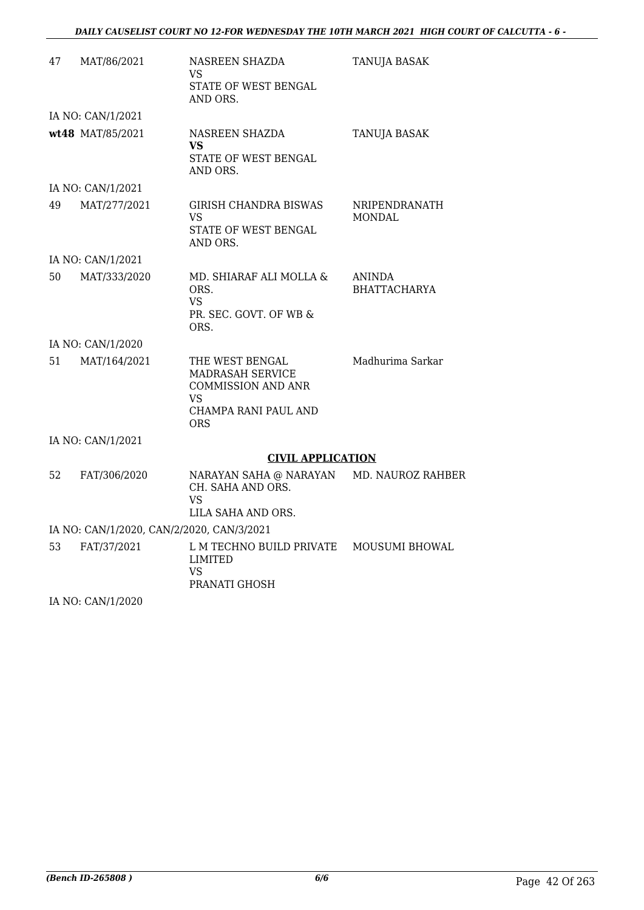| 47 | MAT/86/2021                               | NASREEN SHAZDA<br>VS<br>STATE OF WEST BENGAL<br>AND ORS.                                              | <b>TANUJA BASAK</b>                  |
|----|-------------------------------------------|-------------------------------------------------------------------------------------------------------|--------------------------------------|
|    | IA NO: CAN/1/2021                         |                                                                                                       |                                      |
|    | wt48 MAT/85/2021                          | <b>NASREEN SHAZDA</b><br>VS<br>STATE OF WEST BENGAL<br>AND ORS.                                       | TANUJA BASAK                         |
|    | IA NO: CAN/1/2021                         |                                                                                                       |                                      |
| 49 | MAT/277/2021                              | <b>GIRISH CHANDRA BISWAS</b><br>VS<br>STATE OF WEST BENGAL<br>AND ORS.                                | NRIPENDRANATH<br><b>MONDAL</b>       |
|    | IA NO: CAN/1/2021                         |                                                                                                       |                                      |
| 50 | MAT/333/2020                              | MD. SHIARAF ALI MOLLA &<br>ORS.<br><b>VS</b><br>PR. SEC. GOVT. OF WB &<br>ORS.                        | <b>ANINDA</b><br><b>BHATTACHARYA</b> |
|    | IA NO: CAN/1/2020                         |                                                                                                       |                                      |
| 51 | MAT/164/2021                              | THE WEST BENGAL<br>MADRASAH SERVICE<br><b>COMMISSION AND ANR</b><br>VS<br>CHAMPA RANI PAUL AND<br>ORS | Madhurima Sarkar                     |
|    | IA NO: CAN/1/2021                         |                                                                                                       |                                      |
|    |                                           | <b>CIVIL APPLICATION</b>                                                                              |                                      |
| 52 | FAT/306/2020                              | NARAYAN SAHA @ NARAYAN MD. NAUROZ RAHBER<br>CH. SAHA AND ORS.<br>VS<br>LILA SAHA AND ORS.             |                                      |
|    | IA NO: CAN/1/2020, CAN/2/2020, CAN/3/2021 |                                                                                                       |                                      |
| 53 | FAT/37/2021                               | L M TECHNO BUILD PRIVATE<br>LIMITED<br>VS<br>PRANATI GHOSH                                            | MOUSUMI BHOWAL                       |

IA NO: CAN/1/2020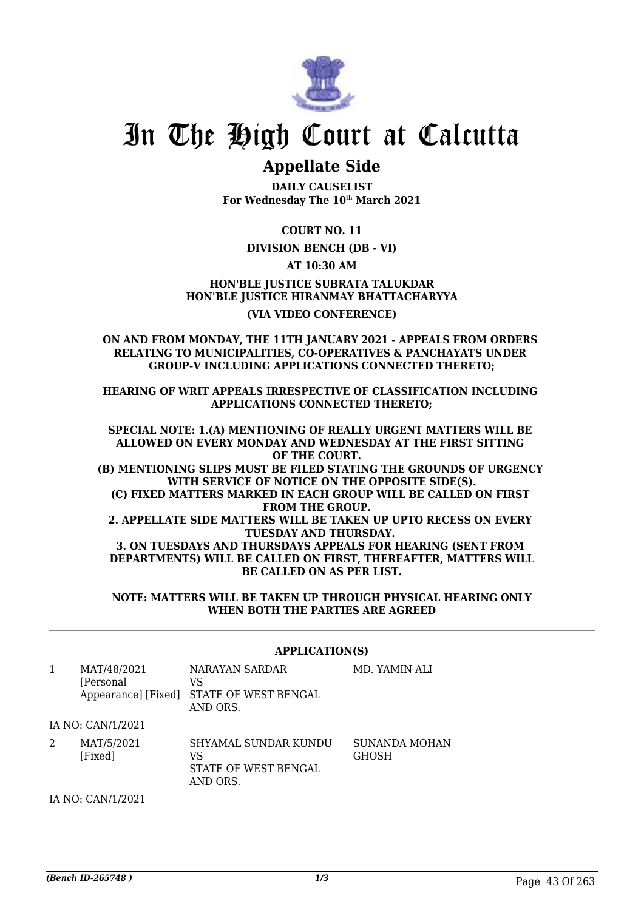

# In The High Court at Calcutta

### **Appellate Side**

**DAILY CAUSELIST For Wednesday The 10th March 2021**

**COURT NO. 11**

#### **DIVISION BENCH (DB - VI)**

**AT 10:30 AM**

**HON'BLE JUSTICE SUBRATA TALUKDAR HON'BLE JUSTICE HIRANMAY BHATTACHARYYA (VIA VIDEO CONFERENCE)**

#### **ON AND FROM MONDAY, THE 11TH JANUARY 2021 - APPEALS FROM ORDERS RELATING TO MUNICIPALITIES, CO-OPERATIVES & PANCHAYATS UNDER GROUP-V INCLUDING APPLICATIONS CONNECTED THERETO;**

**HEARING OF WRIT APPEALS IRRESPECTIVE OF CLASSIFICATION INCLUDING APPLICATIONS CONNECTED THERETO;**

**SPECIAL NOTE: 1.(A) MENTIONING OF REALLY URGENT MATTERS WILL BE ALLOWED ON EVERY MONDAY AND WEDNESDAY AT THE FIRST SITTING OF THE COURT. (B) MENTIONING SLIPS MUST BE FILED STATING THE GROUNDS OF URGENCY WITH SERVICE OF NOTICE ON THE OPPOSITE SIDE(S). (C) FIXED MATTERS MARKED IN EACH GROUP WILL BE CALLED ON FIRST FROM THE GROUP. 2. APPELLATE SIDE MATTERS WILL BE TAKEN UP UPTO RECESS ON EVERY TUESDAY AND THURSDAY. 3. ON TUESDAYS AND THURSDAYS APPEALS FOR HEARING (SENT FROM DEPARTMENTS) WILL BE CALLED ON FIRST, THEREAFTER, MATTERS WILL BE CALLED ON AS PER LIST.**

**NOTE: MATTERS WILL BE TAKEN UP THROUGH PHYSICAL HEARING ONLY WHEN BOTH THE PARTIES ARE AGREED**

|   | <b>APPLICATION(S)</b>    |                                                                              |                               |
|---|--------------------------|------------------------------------------------------------------------------|-------------------------------|
| 1 | MAT/48/2021<br>[Personal | NARAYAN SARDAR<br>VS<br>Appearance] [Fixed] STATE OF WEST BENGAL<br>AND ORS. | MD. YAMIN ALI                 |
|   | IA NO: CAN/1/2021        |                                                                              |                               |
|   | MAT/5/2021<br>[Fixed]    | SHYAMAL SUNDAR KUNDU<br>VS<br>STATE OF WEST BENGAL<br>AND ORS.               | SUNANDA MOHAN<br><b>GHOSH</b> |

IA NO: CAN/1/2021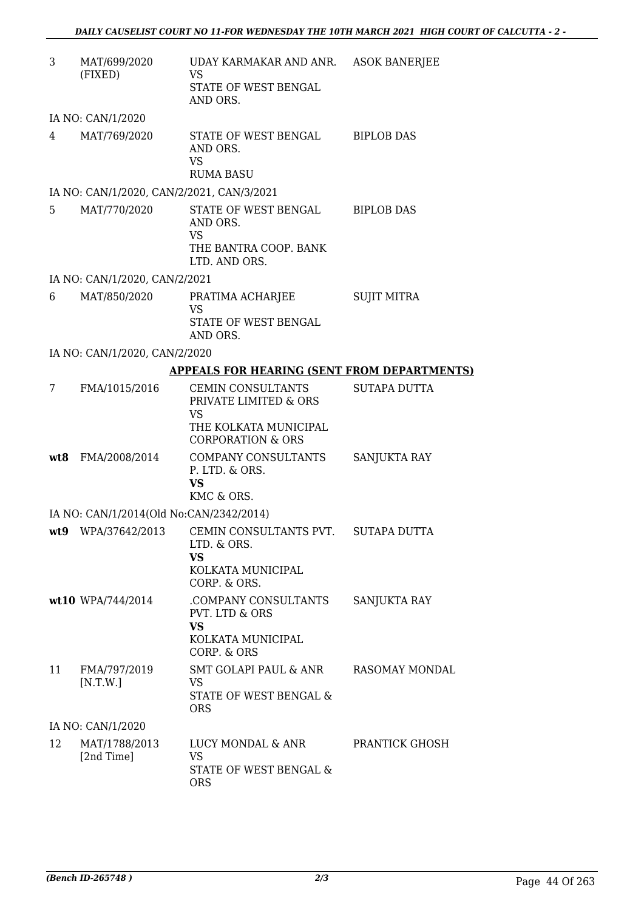| 3              | MAT/699/2020<br>(FIXED)                   | UDAY KARMAKAR AND ANR. ASOK BANERJEE<br><b>VS</b>                                                                       |                     |
|----------------|-------------------------------------------|-------------------------------------------------------------------------------------------------------------------------|---------------------|
|                |                                           | STATE OF WEST BENGAL<br>AND ORS.                                                                                        |                     |
|                | IA NO: CAN/1/2020                         |                                                                                                                         |                     |
| $4\degree$     | MAT/769/2020                              | STATE OF WEST BENGAL BIPLOB DAS<br>AND ORS.<br>VS<br><b>RUMA BASU</b>                                                   |                     |
|                | IA NO: CAN/1/2020, CAN/2/2021, CAN/3/2021 |                                                                                                                         |                     |
| 5 <sup>5</sup> | MAT/770/2020                              | STATE OF WEST BENGAL BIPLOB DAS<br>AND ORS.<br><b>VS</b><br>THE BANTRA COOP. BANK<br>LTD. AND ORS.                      |                     |
|                | IA NO: CAN/1/2020, CAN/2/2021             |                                                                                                                         |                     |
| 6              | MAT/850/2020                              | PRATIMA ACHARJEE                                                                                                        | <b>SUJIT MITRA</b>  |
|                |                                           | <b>VS</b><br>STATE OF WEST BENGAL<br>AND ORS.                                                                           |                     |
|                | IA NO: CAN/1/2020, CAN/2/2020             |                                                                                                                         |                     |
|                |                                           | <b>APPEALS FOR HEARING (SENT FROM DEPARTMENTS)</b>                                                                      |                     |
| 7              | FMA/1015/2016                             | CEMIN CONSULTANTS<br>PRIVATE LIMITED & ORS<br><b>VS</b><br>THE KOLKATA MUNICIPAL<br><b>CORPORATION &amp; ORS</b>        | <b>SUTAPA DUTTA</b> |
|                | wt8 FMA/2008/2014                         | COMPANY CONSULTANTS<br>P. LTD. & ORS.<br><b>VS</b><br>KMC & ORS.                                                        | SANJUKTA RAY        |
|                | IA NO: CAN/1/2014(Old No:CAN/2342/2014)   |                                                                                                                         |                     |
|                |                                           | wt9 WPA/37642/2013 CEMIN CONSULTANTS PVT. SUTAPA DUTTA<br>LTD. & ORS.<br><b>VS</b><br>KOLKATA MUNICIPAL<br>CORP. & ORS. |                     |
|                | wt10 WPA/744/2014                         | COMPANY CONSULTANTS<br>PVT. LTD & ORS<br><b>VS</b><br>KOLKATA MUNICIPAL<br>CORP. & ORS                                  | SANJUKTA RAY        |
| 11             | FMA/797/2019<br>[N.T.W.]                  | SMT GOLAPI PAUL & ANR<br>VS.<br>STATE OF WEST BENGAL &<br><b>ORS</b>                                                    | RASOMAY MONDAL      |
|                | IA NO: CAN/1/2020                         |                                                                                                                         |                     |
| 12             | MAT/1788/2013<br>[2nd Time]               | LUCY MONDAL & ANR<br><b>VS</b><br>STATE OF WEST BENGAL &<br><b>ORS</b>                                                  | PRANTICK GHOSH      |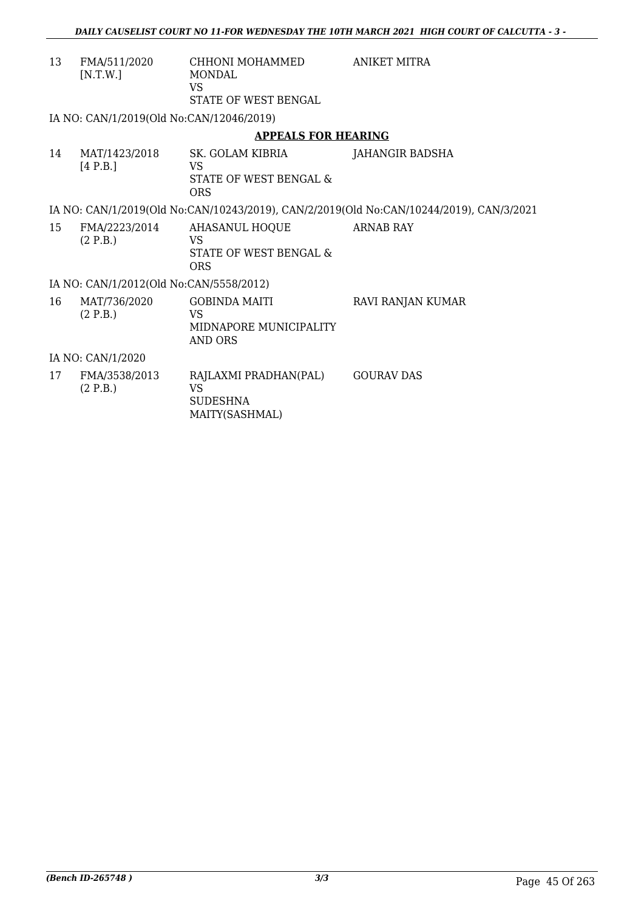| 13                | FMA/511/2020<br>[N.T.W.]                 | CHHONI MOHAMMED<br><b>MONDAL</b><br>VS.<br>STATE OF WEST BENGAL         | ANIKET MITRA                                                                            |  |
|-------------------|------------------------------------------|-------------------------------------------------------------------------|-----------------------------------------------------------------------------------------|--|
|                   | IA NO: CAN/1/2019(Old No:CAN/12046/2019) |                                                                         |                                                                                         |  |
|                   |                                          | <b>APPEALS FOR HEARING</b>                                              |                                                                                         |  |
| 14                | MAT/1423/2018<br>[4 P.B.]                | SK. GOLAM KIBRIA<br><b>VS</b><br>STATE OF WEST BENGAL &<br><b>ORS</b>   | <b>JAHANGIR BADSHA</b>                                                                  |  |
|                   |                                          |                                                                         | IA NO: CAN/1/2019(Old No:CAN/10243/2019), CAN/2/2019(Old No:CAN/10244/2019), CAN/3/2021 |  |
| 15                | FMA/2223/2014<br>(2 P.B.)                | AHASANUL HOQUE<br>VS<br>STATE OF WEST BENGAL &<br><b>ORS</b>            | ARNAB RAY                                                                               |  |
|                   | IA NO: CAN/1/2012(Old No:CAN/5558/2012)  |                                                                         |                                                                                         |  |
| 16                | MAT/736/2020<br>(2 P.B.)                 | <b>GOBINDA MAITI</b><br><b>VS</b><br>MIDNAPORE MUNICIPALITY<br>AND ORS  | RAVI RANJAN KUMAR                                                                       |  |
| IA NO: CAN/1/2020 |                                          |                                                                         |                                                                                         |  |
| 17                | FMA/3538/2013<br>(2 P.B.)                | RAJLAXMI PRADHAN(PAL)<br><b>VS</b><br><b>SUDESHNA</b><br>MAITY(SASHMAL) | <b>GOURAV DAS</b>                                                                       |  |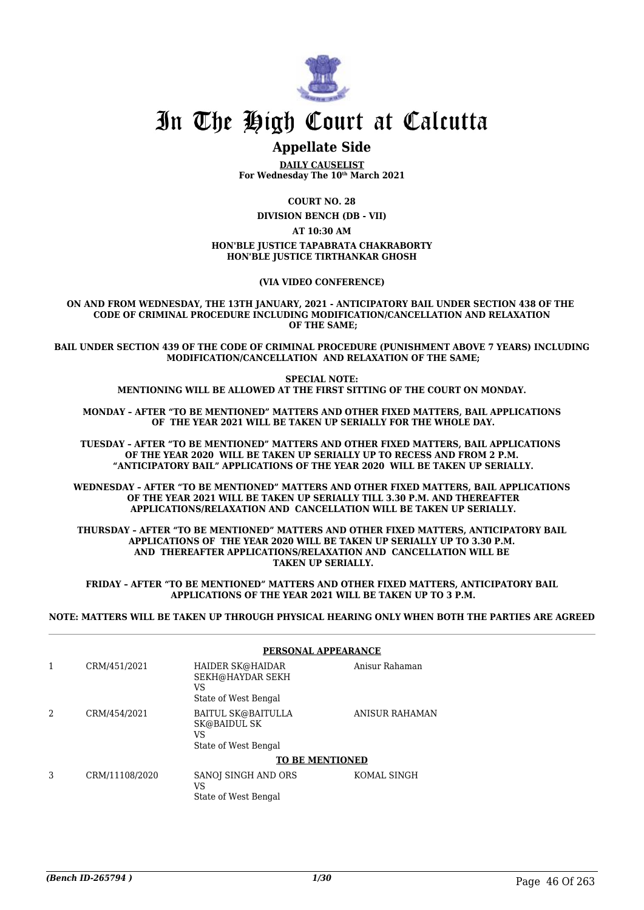

## In The High Court at Calcutta

## **Appellate Side**

**DAILY CAUSELIST For Wednesday The 10th March 2021**

**COURT NO. 28**

**DIVISION BENCH (DB - VII)**

**AT 10:30 AM**

#### **HON'BLE JUSTICE TAPABRATA CHAKRABORTY HON'BLE JUSTICE TIRTHANKAR GHOSH**

**(VIA VIDEO CONFERENCE)**

**ON AND FROM WEDNESDAY, THE 13TH JANUARY, 2021 - ANTICIPATORY BAIL UNDER SECTION 438 OF THE CODE OF CRIMINAL PROCEDURE INCLUDING MODIFICATION/CANCELLATION AND RELAXATION OF THE SAME;**

**BAIL UNDER SECTION 439 OF THE CODE OF CRIMINAL PROCEDURE (PUNISHMENT ABOVE 7 YEARS) INCLUDING MODIFICATION/CANCELLATION AND RELAXATION OF THE SAME;**

> **SPECIAL NOTE: MENTIONING WILL BE ALLOWED AT THE FIRST SITTING OF THE COURT ON MONDAY.**

**MONDAY – AFTER "TO BE MENTIONED" MATTERS AND OTHER FIXED MATTERS, BAIL APPLICATIONS OF THE YEAR 2021 WILL BE TAKEN UP SERIALLY FOR THE WHOLE DAY.**

**TUESDAY – AFTER "TO BE MENTIONED" MATTERS AND OTHER FIXED MATTERS, BAIL APPLICATIONS OF THE YEAR 2020 WILL BE TAKEN UP SERIALLY UP TO RECESS AND FROM 2 P.M. "ANTICIPATORY BAIL" APPLICATIONS OF THE YEAR 2020 WILL BE TAKEN UP SERIALLY.**

**WEDNESDAY – AFTER "TO BE MENTIONED" MATTERS AND OTHER FIXED MATTERS, BAIL APPLICATIONS OF THE YEAR 2021 WILL BE TAKEN UP SERIALLY TILL 3.30 P.M. AND THEREAFTER APPLICATIONS/RELAXATION AND CANCELLATION WILL BE TAKEN UP SERIALLY.**

**THURSDAY – AFTER "TO BE MENTIONED" MATTERS AND OTHER FIXED MATTERS, ANTICIPATORY BAIL APPLICATIONS OF THE YEAR 2020 WILL BE TAKEN UP SERIALLY UP TO 3.30 P.M. AND THEREAFTER APPLICATIONS/RELAXATION AND CANCELLATION WILL BE TAKEN UP SERIALLY.**

**FRIDAY – AFTER "TO BE MENTIONED" MATTERS AND OTHER FIXED MATTERS, ANTICIPATORY BAIL APPLICATIONS OF THE YEAR 2021 WILL BE TAKEN UP TO 3 P.M.**

**NOTE: MATTERS WILL BE TAKEN UP THROUGH PHYSICAL HEARING ONLY WHEN BOTH THE PARTIES ARE AGREED**

|   |                | PERSONAL APPEARANCE                                                            |                |
|---|----------------|--------------------------------------------------------------------------------|----------------|
| 1 | CRM/451/2021   | HAIDER SK@HAIDAR<br>SEKH@HAYDAR SEKH<br>VS<br>State of West Bengal             | Anisur Rahaman |
| 2 | CRM/454/2021   | <b>BAITUL SK@BAITULLA</b><br><b>SK@BAIDUL SK</b><br>VS<br>State of West Bengal | ANISUR RAHAMAN |
|   |                | <b>TO BE MENTIONED</b>                                                         |                |
| 3 | CRM/11108/2020 | SANOJ SINGH AND ORS<br>VS<br>State of West Bengal                              | KOMAL SINGH    |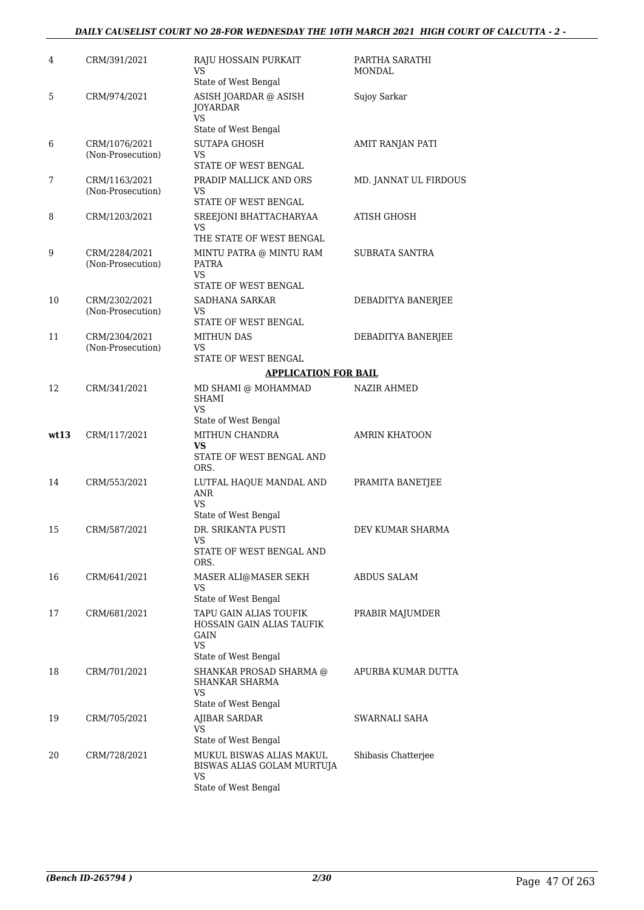#### *DAILY CAUSELIST COURT NO 28-FOR WEDNESDAY THE 10TH MARCH 2021 HIGH COURT OF CALCUTTA - 2 -*

| 4    | CRM/391/2021                       | RAJU HOSSAIN PURKAIT<br>VS<br>State of West Bengal                                               | PARTHA SARATHI<br>MONDAL |
|------|------------------------------------|--------------------------------------------------------------------------------------------------|--------------------------|
| 5    | CRM/974/2021                       | ASISH JOARDAR @ ASISH<br><b>JOYARDAR</b><br><b>VS</b><br>State of West Bengal                    | Sujoy Sarkar             |
| 6    | CRM/1076/2021<br>(Non-Prosecution) | SUTAPA GHOSH<br>VS<br>STATE OF WEST BENGAL                                                       | AMIT RANJAN PATI         |
| 7    | CRM/1163/2021<br>(Non-Prosecution) | PRADIP MALLICK AND ORS<br>VS<br>STATE OF WEST BENGAL                                             | MD. JANNAT UL FIRDOUS    |
| 8    | CRM/1203/2021                      | SREEJONI BHATTACHARYAA<br>VS<br>THE STATE OF WEST BENGAL                                         | ATISH GHOSH              |
| 9    | CRM/2284/2021<br>(Non-Prosecution) | MINTU PATRA @ MINTU RAM<br><b>PATRA</b><br>VS<br>STATE OF WEST BENGAL                            | SUBRATA SANTRA           |
| 10   | CRM/2302/2021<br>(Non-Prosecution) | SADHANA SARKAR<br>VS.<br>STATE OF WEST BENGAL                                                    | DEBADITYA BANERJEE       |
| 11   | CRM/2304/2021<br>(Non-Prosecution) | <b>MITHUN DAS</b><br>VS<br>STATE OF WEST BENGAL                                                  | DEBADITYA BANERJEE       |
|      |                                    | <b>APPLICATION FOR BAIL</b>                                                                      |                          |
| 12   | CRM/341/2021                       | MD SHAMI @ MOHAMMAD<br><b>SHAMI</b><br>VS<br>State of West Bengal                                | <b>NAZIR AHMED</b>       |
| wt13 | CRM/117/2021                       | MITHUN CHANDRA<br>VS<br>STATE OF WEST BENGAL AND                                                 | <b>AMRIN KHATOON</b>     |
| 14   | CRM/553/2021                       | ORS.<br>LUTFAL HAQUE MANDAL AND<br><b>ANR</b><br><b>VS</b><br>State of West Bengal               | PRAMITA BANETJEE         |
| 15   | CRM/587/2021                       | DR. SRIKANTA PUSTI<br>VS<br>STATE OF WEST BENGAL AND                                             | DEV KUMAR SHARMA         |
| 16   | CRM/641/2021                       | ORS.<br>MASER ALI@MASER SEKH<br><b>VS</b><br>State of West Bengal                                | <b>ABDUS SALAM</b>       |
| 17   | CRM/681/2021                       | TAPU GAIN ALIAS TOUFIK<br>HOSSAIN GAIN ALIAS TAUFIK<br><b>GAIN</b><br>VS<br>State of West Bengal | PRABIR MAJUMDER          |
| 18   | CRM/701/2021                       | SHANKAR PROSAD SHARMA @<br><b>SHANKAR SHARMA</b><br>VS<br>State of West Bengal                   | APURBA KUMAR DUTTA       |
| 19   | CRM/705/2021                       | AJIBAR SARDAR<br>VS<br>State of West Bengal                                                      | SWARNALI SAHA            |
| 20   | CRM/728/2021                       | MUKUL BISWAS ALIAS MAKUL<br>BISWAS ALIAS GOLAM MURTUJA<br>VS                                     | Shibasis Chatterjee      |
|      |                                    | State of West Bengal                                                                             |                          |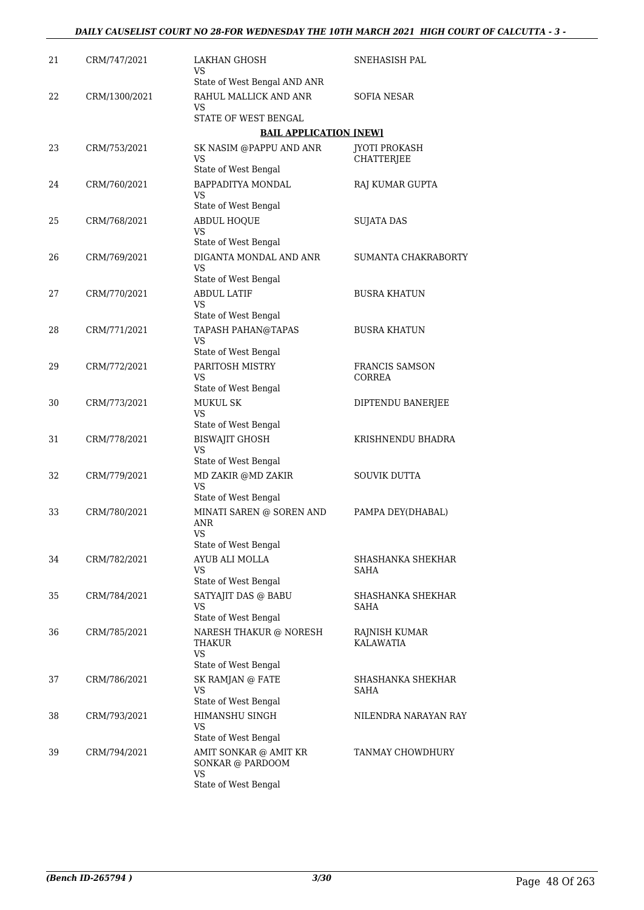| 21 | CRM/747/2021  | LAKHAN GHOSH<br>VS                                                   | SNEHASISH PAL                             |
|----|---------------|----------------------------------------------------------------------|-------------------------------------------|
|    |               | State of West Bengal AND ANR                                         |                                           |
| 22 | CRM/1300/2021 | RAHUL MALLICK AND ANR<br>VS                                          | SOFIA NESAR                               |
|    |               | STATE OF WEST BENGAL                                                 |                                           |
|    |               | <b>BAIL APPLICATION [NEW]</b>                                        |                                           |
| 23 | CRM/753/2021  | SK NASIM @PAPPU AND ANR<br>VS                                        | <b>JYOTI PROKASH</b><br><b>CHATTERJEE</b> |
|    |               | State of West Bengal                                                 |                                           |
| 24 | CRM/760/2021  | BAPPADITYA MONDAL<br><b>VS</b><br>State of West Bengal               | RAJ KUMAR GUPTA                           |
| 25 | CRM/768/2021  | <b>ABDUL HOQUE</b><br><b>VS</b>                                      | SUJATA DAS                                |
|    |               | State of West Bengal                                                 |                                           |
| 26 | CRM/769/2021  | DIGANTA MONDAL AND ANR<br><b>VS</b><br>State of West Bengal          | SUMANTA CHAKRABORTY                       |
|    |               |                                                                      |                                           |
| 27 | CRM/770/2021  | <b>ABDUL LATIF</b><br>VS<br>State of West Bengal                     | <b>BUSRA KHATUN</b>                       |
| 28 | CRM/771/2021  | TAPASH PAHAN@TAPAS<br>VS                                             | <b>BUSRA KHATUN</b>                       |
|    |               | State of West Bengal                                                 |                                           |
| 29 | CRM/772/2021  | PARITOSH MISTRY<br>VS                                                | <b>FRANCIS SAMSON</b><br>CORREA           |
|    |               | State of West Bengal                                                 |                                           |
| 30 | CRM/773/2021  | MUKUL SK<br>VS<br>State of West Bengal                               | DIPTENDU BANERJEE                         |
| 31 | CRM/778/2021  | <b>BISWAJIT GHOSH</b>                                                | KRISHNENDU BHADRA                         |
|    |               | VS<br>State of West Bengal                                           |                                           |
| 32 | CRM/779/2021  | MD ZAKIR @MD ZAKIR<br>VS                                             | <b>SOUVIK DUTTA</b>                       |
|    |               | State of West Bengal                                                 |                                           |
| 33 | CRM/780/2021  | MINATI SAREN @ SOREN AND<br>ANR<br><b>VS</b><br>State of West Bengal | PAMPA DEY(DHABAL)                         |
| 34 | CRM/782/2021  | AYUB ALI MOLLA                                                       | SHASHANKA SHEKHAR                         |
|    |               | VS<br>State of West Bengal                                           | SAHA                                      |
| 35 | CRM/784/2021  | SATYAJIT DAS @ BABU<br>VS                                            | SHASHANKA SHEKHAR<br>SAHA                 |
|    |               | State of West Bengal                                                 |                                           |
| 36 | CRM/785/2021  | NARESH THAKUR @ NORESH<br>THAKUR<br><b>VS</b>                        | RAJNISH KUMAR<br>KALAWATIA                |
|    |               | State of West Bengal                                                 |                                           |
| 37 | CRM/786/2021  | SK RAMJAN @ FATE<br>VS                                               | SHASHANKA SHEKHAR<br>SAHA                 |
|    |               | State of West Bengal                                                 |                                           |
| 38 | CRM/793/2021  | HIMANSHU SINGH<br>VS                                                 | NILENDRA NARAYAN RAY                      |
|    |               | State of West Bengal                                                 |                                           |
| 39 | CRM/794/2021  | AMIT SONKAR @ AMIT KR<br>SONKAR @ PARDOOM<br><b>VS</b>               | TANMAY CHOWDHURY                          |
|    |               | State of West Bengal                                                 |                                           |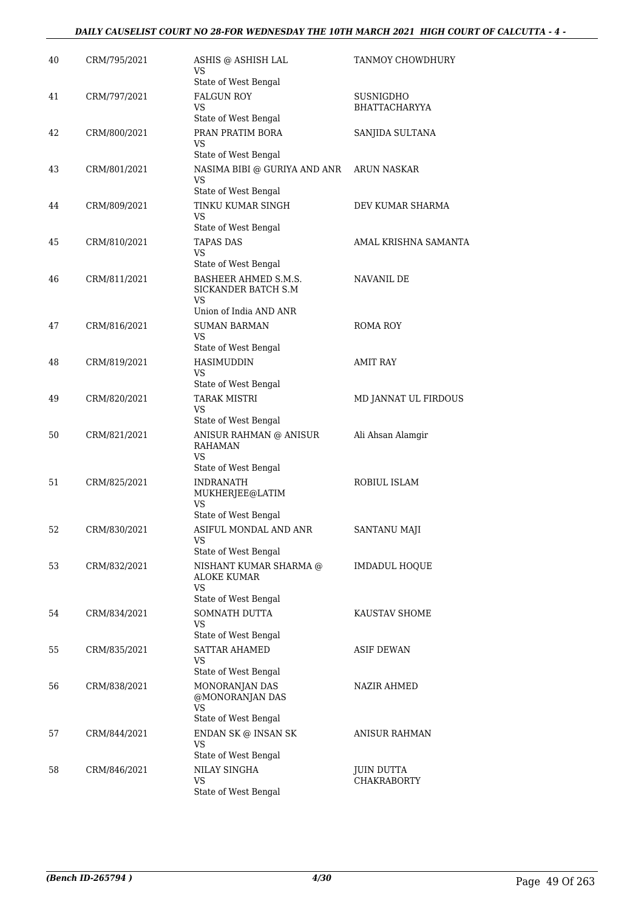| 40 | CRM/795/2021 | ASHIS @ ASHISH LAL<br>VS<br>State of West Bengal                                | TANMOY CHOWDHURY                        |
|----|--------------|---------------------------------------------------------------------------------|-----------------------------------------|
| 41 | CRM/797/2021 | <b>FALGUN ROY</b><br>VS<br>State of West Bengal                                 | SUSNIGDHO<br><b>BHATTACHARYYA</b>       |
| 42 | CRM/800/2021 | PRAN PRATIM BORA<br>VS<br>State of West Bengal                                  | SANJIDA SULTANA                         |
| 43 | CRM/801/2021 | NASIMA BIBI @ GURIYA AND ANR<br>VS                                              | <b>ARUN NASKAR</b>                      |
| 44 | CRM/809/2021 | State of West Bengal<br>TINKU KUMAR SINGH<br>VS                                 | DEV KUMAR SHARMA                        |
| 45 | CRM/810/2021 | State of West Bengal<br><b>TAPAS DAS</b><br>VS<br>State of West Bengal          | AMAL KRISHNA SAMANTA                    |
| 46 | CRM/811/2021 | BASHEER AHMED S.M.S.<br>SICKANDER BATCH S.M<br>VS                               | NAVANIL DE                              |
| 47 | CRM/816/2021 | Union of India AND ANR<br><b>SUMAN BARMAN</b><br>VS                             | ROMA ROY                                |
| 48 | CRM/819/2021 | State of West Bengal<br><b>HASIMUDDIN</b><br>VS                                 | <b>AMIT RAY</b>                         |
| 49 | CRM/820/2021 | State of West Bengal<br><b>TARAK MISTRI</b><br>VS<br>State of West Bengal       | MD JANNAT UL FIRDOUS                    |
| 50 | CRM/821/2021 | ANISUR RAHMAN @ ANISUR<br><b>RAHAMAN</b><br>VS                                  | Ali Ahsan Alamgir                       |
| 51 | CRM/825/2021 | State of West Bengal<br><b>INDRANATH</b><br>MUKHERJEE@LATIM<br>VS               | ROBIUL ISLAM                            |
| 52 | CRM/830/2021 | State of West Bengal<br>ASIFUL MONDAL AND ANR<br>VS<br>State of West Bengal     | SANTANU MAJI                            |
| 53 | CRM/832/2021 | NISHANT KUMAR SHARMA @<br>ALOKE KUMAR<br>VS                                     | <b>IMDADUL HOQUE</b>                    |
| 54 | CRM/834/2021 | State of West Bengal<br>SOMNATH DUTTA<br>VS<br>State of West Bengal             | KAUSTAV SHOME                           |
| 55 | CRM/835/2021 | SATTAR AHAMED<br>VS<br>State of West Bengal                                     | <b>ASIF DEWAN</b>                       |
| 56 | CRM/838/2021 | MONORANJAN DAS<br>@MONORANJAN DAS<br>VS                                         | NAZIR AHMED                             |
| 57 | CRM/844/2021 | State of West Bengal<br>$\operatorname{ENDAN}$ SK $\circledcirc$ INSAN SK<br>VS | ANISUR RAHMAN                           |
| 58 | CRM/846/2021 | State of West Bengal<br>NILAY SINGHA<br>VS<br>State of West Bengal              | <b>JUIN DUTTA</b><br><b>CHAKRABORTY</b> |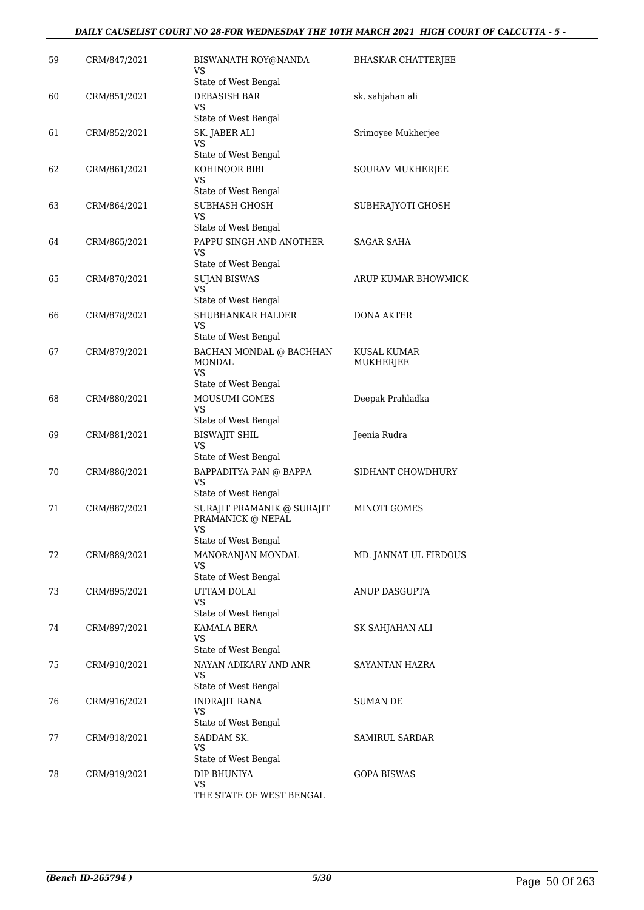| 59 | CRM/847/2021 | BISWANATH ROY@NANDA                                                           | <b>BHASKAR CHATTERJEE</b> |
|----|--------------|-------------------------------------------------------------------------------|---------------------------|
|    |              | VS<br>State of West Bengal                                                    |                           |
| 60 | CRM/851/2021 | DEBASISH BAR<br>VS                                                            | sk. sahjahan ali          |
|    |              | State of West Bengal                                                          |                           |
| 61 | CRM/852/2021 | SK. JABER ALI<br>VS<br>State of West Bengal                                   | Srimoyee Mukherjee        |
| 62 | CRM/861/2021 | KOHINOOR BIBI                                                                 | SOURAV MUKHERJEE          |
|    |              | VS<br>State of West Bengal                                                    |                           |
| 63 | CRM/864/2021 | SUBHASH GHOSH                                                                 | SUBHRAJYOTI GHOSH         |
|    |              | VS                                                                            |                           |
|    |              | State of West Bengal<br>PAPPU SINGH AND ANOTHER                               | <b>SAGAR SAHA</b>         |
| 64 | CRM/865/2021 | VS<br>State of West Bengal                                                    |                           |
| 65 | CRM/870/2021 | <b>SUJAN BISWAS</b>                                                           | ARUP KUMAR BHOWMICK       |
|    |              | <b>VS</b><br>State of West Bengal                                             |                           |
| 66 | CRM/878/2021 | SHUBHANKAR HALDER                                                             | <b>DONA AKTER</b>         |
|    |              | VS<br>State of West Bengal                                                    |                           |
| 67 | CRM/879/2021 | BACHAN MONDAL @ BACHHAN                                                       | KUSAL KUMAR               |
|    |              | <b>MONDAL</b><br>VS                                                           | MUKHERJEE                 |
|    |              | State of West Bengal                                                          |                           |
| 68 | CRM/880/2021 | <b>MOUSUMI GOMES</b><br>VS                                                    | Deepak Prahladka          |
|    |              | State of West Bengal                                                          |                           |
| 69 | CRM/881/2021 | <b>BISWAJIT SHIL</b><br>VS<br>State of West Bengal                            | Jeenia Rudra              |
| 70 | CRM/886/2021 | BAPPADITYA PAN @ BAPPA                                                        | SIDHANT CHOWDHURY         |
|    |              | <b>VS</b><br>State of West Bengal                                             |                           |
| 71 | CRM/887/2021 | SURAJIT PRAMANIK @ SURAJIT<br>PRAMANICK @ NEPAL<br>VS<br>State of West Bengal | MINOTI GOMES              |
| 72 | CRM/889/2021 | MANORANJAN MONDAL                                                             | MD. JANNAT UL FIRDOUS     |
|    |              | VS<br>State of West Bengal                                                    |                           |
| 73 | CRM/895/2021 | UTTAM DOLAI                                                                   | ANUP DASGUPTA             |
|    |              | VS<br>State of West Bengal                                                    |                           |
| 74 | CRM/897/2021 | KAMALA BERA                                                                   | SK SAHJAHAN ALI           |
|    |              | VS<br>State of West Bengal                                                    |                           |
| 75 | CRM/910/2021 | NAYAN ADIKARY AND ANR                                                         | SAYANTAN HAZRA            |
|    |              | VS                                                                            |                           |
|    |              | State of West Bengal                                                          |                           |
| 76 | CRM/916/2021 | <b>INDRAJIT RANA</b><br>VS<br>State of West Bengal                            | SUMAN DE                  |
| 77 | CRM/918/2021 | SADDAM SK.                                                                    | <b>SAMIRUL SARDAR</b>     |
|    |              | VS                                                                            |                           |
|    |              | State of West Bengal                                                          |                           |
| 78 | CRM/919/2021 | DIP BHUNIYA<br>VS                                                             | <b>GOPA BISWAS</b>        |
|    |              | THE STATE OF WEST BENGAL                                                      |                           |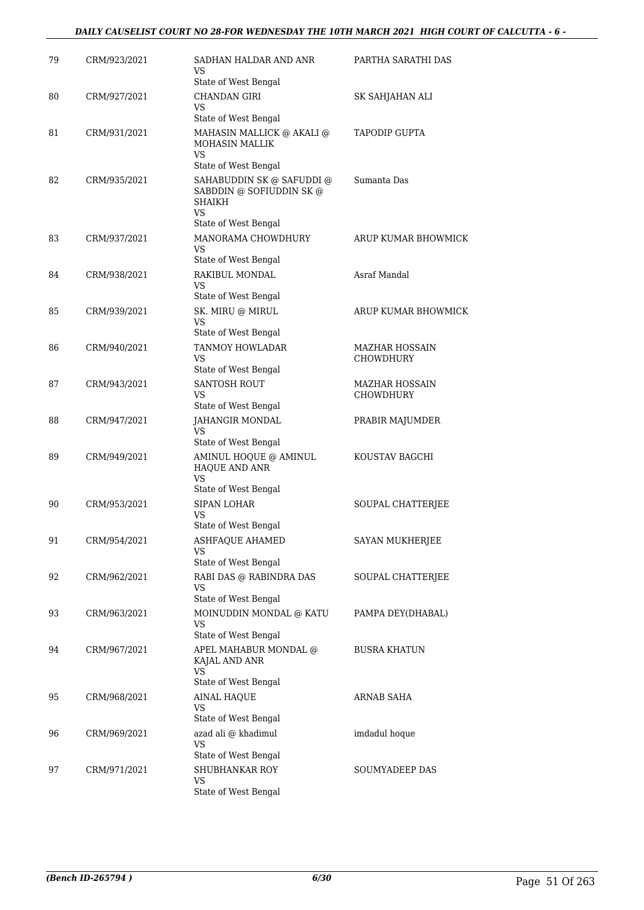| 79 | CRM/923/2021 | SADHAN HALDAR AND ANR<br>VS<br>State of West Bengal                                                         | PARTHA SARATHI DAS                 |
|----|--------------|-------------------------------------------------------------------------------------------------------------|------------------------------------|
| 80 | CRM/927/2021 | <b>CHANDAN GIRI</b><br>VS                                                                                   | SK SAHJAHAN ALI                    |
| 81 | CRM/931/2021 | State of West Bengal<br>MAHASIN MALLICK @ AKALI @<br>MOHASIN MALLIK<br>VS                                   | <b>TAPODIP GUPTA</b>               |
| 82 | CRM/935/2021 | State of West Bengal<br>SAHABUDDIN SK @ SAFUDDI @<br>SABDDIN @ SOFIUDDIN SK @<br><b>SHAIKH</b><br><b>VS</b> | Sumanta Das                        |
| 83 | CRM/937/2021 | State of West Bengal<br>MANORAMA CHOWDHURY<br>VS                                                            | ARUP KUMAR BHOWMICK                |
| 84 | CRM/938/2021 | State of West Bengal<br>RAKIBUL MONDAL<br>VS                                                                | Asraf Mandal                       |
| 85 | CRM/939/2021 | State of West Bengal<br>SK. MIRU @ MIRUL<br>VS<br>State of West Bengal                                      | <b>ARUP KUMAR BHOWMICK</b>         |
| 86 | CRM/940/2021 | TANMOY HOWLADAR<br>VS<br>State of West Bengal                                                               | MAZHAR HOSSAIN<br>CHOWDHURY        |
| 87 | CRM/943/2021 | <b>SANTOSH ROUT</b><br>VS<br>State of West Bengal                                                           | MAZHAR HOSSAIN<br><b>CHOWDHURY</b> |
| 88 | CRM/947/2021 | JAHANGIR MONDAL<br>VS<br>State of West Bengal                                                               | PRABIR MAJUMDER                    |
| 89 | CRM/949/2021 | AMINUL HOQUE @ AMINUL<br>HAQUE AND ANR<br>VS<br>State of West Bengal                                        | KOUSTAV BAGCHI                     |
| 90 | CRM/953/2021 | <b>SIPAN LOHAR</b><br>VS<br>State of West Bengal                                                            | SOUPAL CHATTERJEE                  |
| 91 | CRM/954/2021 | ASHFAQUE AHAMED<br>VS<br>State of West Bengal                                                               | SAYAN MUKHERJEE                    |
| 92 | CRM/962/2021 | RABI DAS @ RABINDRA DAS<br>VS<br>State of West Bengal                                                       | SOUPAL CHATTERJEE                  |
| 93 | CRM/963/2021 | MOINUDDIN MONDAL @ KATU<br>VS<br>State of West Bengal                                                       | PAMPA DEY(DHABAL)                  |
| 94 | CRM/967/2021 | APEL MAHABUR MONDAL @<br>KAJAL AND ANR<br>VS                                                                | <b>BUSRA KHATUN</b>                |
| 95 | CRM/968/2021 | State of West Bengal<br><b>AINAL HAQUE</b><br>VS<br>State of West Bengal                                    | ARNAB SAHA                         |
| 96 | CRM/969/2021 | azad ali @ khadimul<br>VS<br>State of West Bengal                                                           | imdadul hoque                      |
| 97 | CRM/971/2021 | SHUBHANKAR ROY<br>VS<br>State of West Bengal                                                                | SOUMYADEEP DAS                     |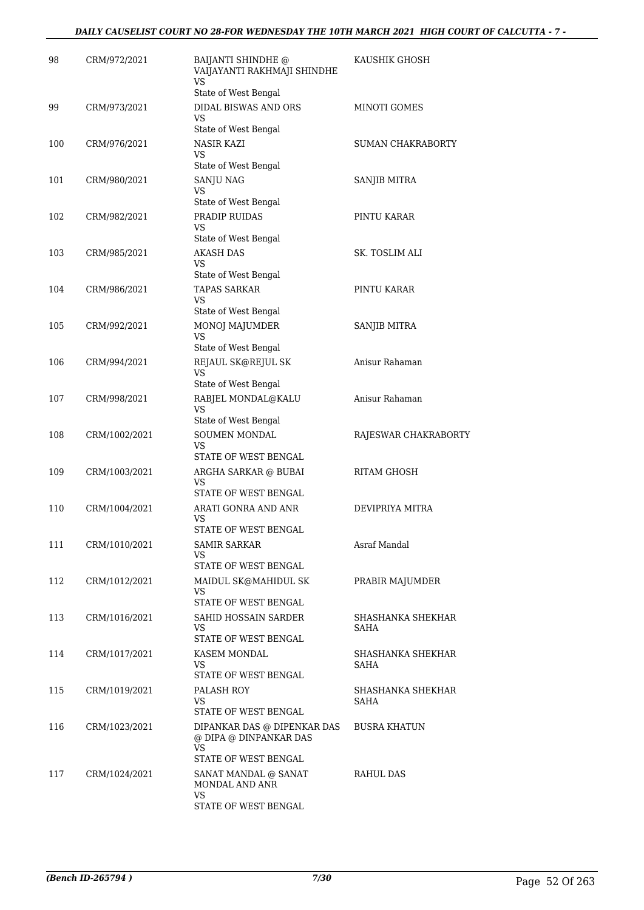| 98  | CRM/972/2021  | <b>BAIJANTI SHINDHE @</b><br>VAIJAYANTI RAKHMAJI SHINDHE<br><b>VS</b> | KAUSHIK GHOSH             |
|-----|---------------|-----------------------------------------------------------------------|---------------------------|
|     |               | State of West Bengal                                                  |                           |
| 99  | CRM/973/2021  | <b>DIDAL BISWAS AND ORS</b><br>VS                                     | MINOTI GOMES              |
|     |               | State of West Bengal                                                  |                           |
| 100 | CRM/976/2021  | <b>NASIR KAZI</b><br>VS                                               | SUMAN CHAKRABORTY         |
|     |               | State of West Bengal                                                  |                           |
| 101 | CRM/980/2021  | SANJU NAG<br>VS                                                       | SANJIB MITRA              |
|     |               | State of West Bengal                                                  |                           |
| 102 | CRM/982/2021  | PRADIP RUIDAS<br>VS<br>State of West Bengal                           | PINTU KARAR               |
| 103 | CRM/985/2021  | AKASH DAS                                                             | SK. TOSLIM ALI            |
|     |               | VS<br>State of West Bengal                                            |                           |
| 104 | CRM/986/2021  | <b>TAPAS SARKAR</b>                                                   | PINTU KARAR               |
|     |               | VS                                                                    |                           |
| 105 | CRM/992/2021  | State of West Bengal<br>MONOJ MAJUMDER                                | SANJIB MITRA              |
|     |               | <b>VS</b>                                                             |                           |
|     |               | State of West Bengal                                                  |                           |
| 106 | CRM/994/2021  | REJAUL SK@REJUL SK<br>VS                                              | Anisur Rahaman            |
| 107 |               | State of West Bengal                                                  | Anisur Rahaman            |
|     | CRM/998/2021  | RABJEL MONDAL@KALU<br>VS<br>State of West Bengal                      |                           |
| 108 | CRM/1002/2021 | SOUMEN MONDAL                                                         | RAJESWAR CHAKRABORTY      |
|     |               | VS                                                                    |                           |
|     |               | STATE OF WEST BENGAL                                                  |                           |
| 109 | CRM/1003/2021 | ARGHA SARKAR @ BUBAI<br><b>VS</b><br>STATE OF WEST BENGAL             | <b>RITAM GHOSH</b>        |
| 110 | CRM/1004/2021 | ARATI GONRA AND ANR                                                   | DEVIPRIYA MITRA           |
|     |               | VS<br>STATE OF WEST BENGAL                                            |                           |
| 111 | CRM/1010/2021 | <b>SAMIR SARKAR</b>                                                   | Asraf Mandal              |
|     |               | VS<br>STATE OF WEST BENGAL                                            |                           |
| 112 | CRM/1012/2021 | MAIDUL SK@MAHIDUL SK                                                  | PRABIR MAJUMDER           |
|     |               | VS<br>STATE OF WEST BENGAL                                            |                           |
| 113 | CRM/1016/2021 | SAHID HOSSAIN SARDER                                                  | SHASHANKA SHEKHAR         |
|     |               | VS                                                                    | SAHA                      |
|     |               | STATE OF WEST BENGAL                                                  |                           |
| 114 | CRM/1017/2021 | KASEM MONDAL<br>VS.                                                   | SHASHANKA SHEKHAR<br>SAHA |
|     |               | STATE OF WEST BENGAL                                                  |                           |
| 115 | CRM/1019/2021 | PALASH ROY<br>VS                                                      | SHASHANKA SHEKHAR<br>SAHA |
|     |               | STATE OF WEST BENGAL                                                  |                           |
| 116 | CRM/1023/2021 | DIPANKAR DAS @ DIPENKAR DAS<br>@ DIPA @ DINPANKAR DAS<br><b>VS</b>    | <b>BUSRA KHATUN</b>       |
|     |               | STATE OF WEST BENGAL                                                  |                           |
| 117 | CRM/1024/2021 | SANAT MANDAL @ SANAT<br>MONDAL AND ANR                                | RAHUL DAS                 |
|     |               | VS<br>STATE OF WEST BENGAL                                            |                           |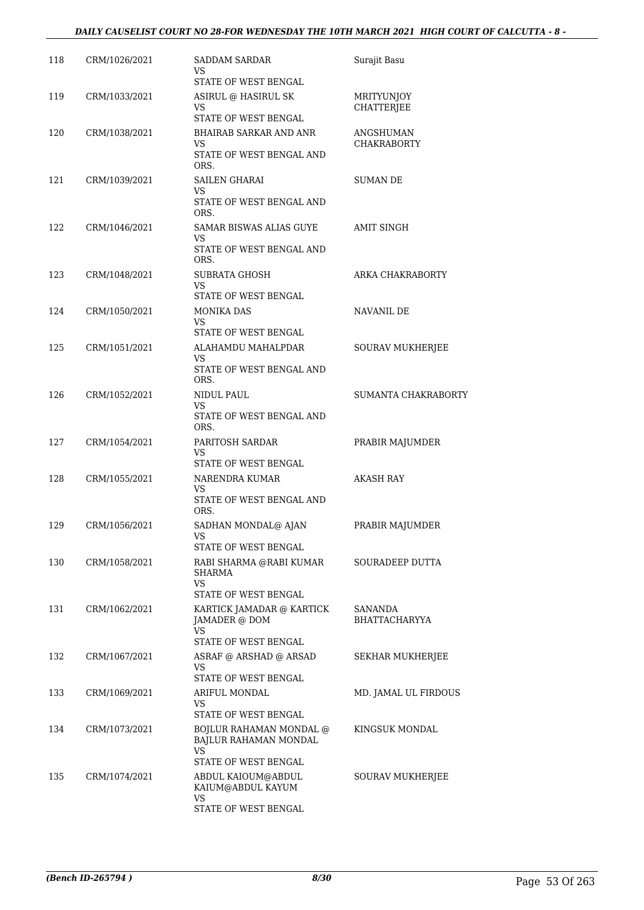#### *DAILY CAUSELIST COURT NO 28-FOR WEDNESDAY THE 10TH MARCH 2021 HIGH COURT OF CALCUTTA - 8 -*

| 118 | CRM/1026/2021 | SADDAM SARDAR<br>VS                                            | Surajit Basu                    |
|-----|---------------|----------------------------------------------------------------|---------------------------------|
| 119 | CRM/1033/2021 | STATE OF WEST BENGAL<br>ASIRUL @ HASIRUL SK                    | MRITYUNJOY                      |
|     |               | VS<br>STATE OF WEST BENGAL                                     | CHATTERJEE                      |
| 120 | CRM/1038/2021 | <b>BHAIRAB SARKAR AND ANR</b><br>VS.                           | ANGSHUMAN<br><b>CHAKRABORTY</b> |
|     |               | STATE OF WEST BENGAL AND<br>ORS.                               |                                 |
| 121 | CRM/1039/2021 | <b>SAILEN GHARAI</b>                                           | <b>SUMAN DE</b>                 |
|     |               | VS<br>STATE OF WEST BENGAL AND<br>ORS.                         |                                 |
| 122 | CRM/1046/2021 | SAMAR BISWAS ALIAS GUYE                                        | AMIT SINGH                      |
|     |               | VS.<br>STATE OF WEST BENGAL AND<br>ORS.                        |                                 |
| 123 | CRM/1048/2021 | SUBRATA GHOSH                                                  | ARKA CHAKRABORTY                |
|     |               | <b>VS</b><br>STATE OF WEST BENGAL                              |                                 |
| 124 | CRM/1050/2021 | <b>MONIKA DAS</b>                                              | NAVANIL DE                      |
|     |               | VS.<br>STATE OF WEST BENGAL                                    |                                 |
| 125 | CRM/1051/2021 | ALAHAMDU MAHALPDAR                                             | <b>SOURAV MUKHERJEE</b>         |
|     |               | VS<br>STATE OF WEST BENGAL AND<br>ORS.                         |                                 |
| 126 | CRM/1052/2021 | NIDUL PAUL<br>VS                                               | SUMANTA CHAKRABORTY             |
|     |               | STATE OF WEST BENGAL AND<br>ORS.                               |                                 |
| 127 | CRM/1054/2021 | PARITOSH SARDAR<br><b>VS</b><br>STATE OF WEST BENGAL           | PRABIR MAJUMDER                 |
| 128 | CRM/1055/2021 | NARENDRA KUMAR                                                 | <b>AKASH RAY</b>                |
|     |               | VS<br>STATE OF WEST BENGAL AND<br>ORS.                         |                                 |
| 129 | CRM/1056/2021 | SADHAN MONDAL@ AJAN<br>VS                                      | PRABIR MAJUMDER                 |
| 130 |               | STATE OF WEST BENGAL                                           | SOURADEEP DUTTA                 |
|     | CRM/1058/2021 | RABI SHARMA @RABI KUMAR<br>SHARMA<br><b>VS</b>                 |                                 |
| 131 | CRM/1062/2021 | STATE OF WEST BENGAL<br>KARTICK JAMADAR @ KARTICK              | SANANDA                         |
|     |               | JAMADER @ DOM<br><b>VS</b>                                     | <b>BHATTACHARYYA</b>            |
| 132 | CRM/1067/2021 | STATE OF WEST BENGAL<br>ASRAF @ ARSHAD @ ARSAD                 | SEKHAR MUKHERJEE                |
|     |               | VS                                                             |                                 |
| 133 | CRM/1069/2021 | STATE OF WEST BENGAL<br>ARIFUL MONDAL                          | MD. JAMAL UL FIRDOUS            |
|     |               | VS<br>STATE OF WEST BENGAL                                     |                                 |
| 134 | CRM/1073/2021 | <b>BOJLUR RAHAMAN MONDAL @</b><br>BAJLUR RAHAMAN MONDAL<br>VS. | KINGSUK MONDAL                  |
|     |               | STATE OF WEST BENGAL                                           |                                 |
| 135 | CRM/1074/2021 | ABDUL KAIOUM@ABDUL<br>KAIUM@ABDUL KAYUM<br>VS                  | SOURAV MUKHERJEE                |
|     |               | STATE OF WEST BENGAL                                           |                                 |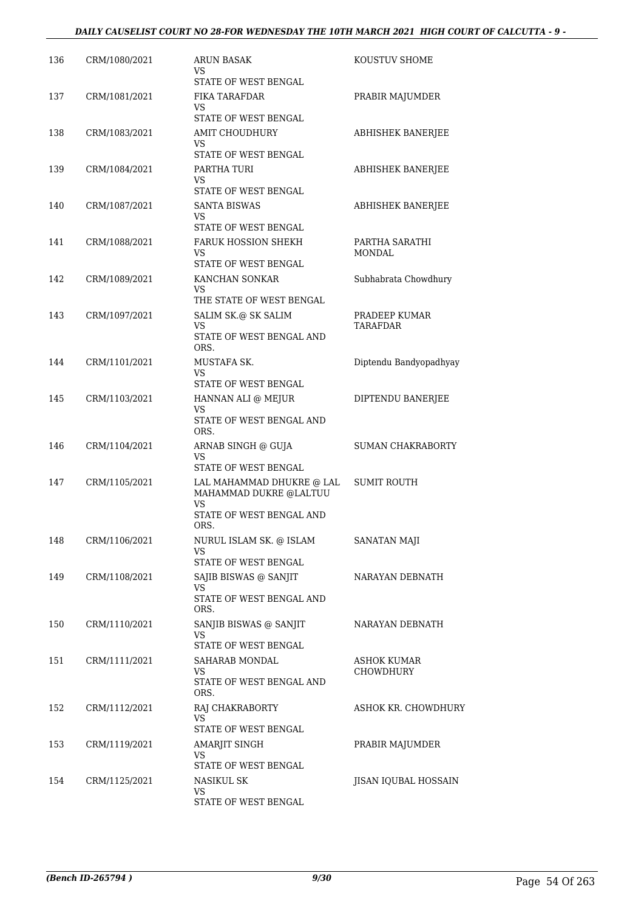#### *DAILY CAUSELIST COURT NO 28-FOR WEDNESDAY THE 10TH MARCH 2021 HIGH COURT OF CALCUTTA - 9 -*

| 136 | CRM/1080/2021 | <b>ARUN BASAK</b><br>VS<br>STATE OF WEST BENGAL                                               | KOUSTUV SHOME                   |
|-----|---------------|-----------------------------------------------------------------------------------------------|---------------------------------|
| 137 | CRM/1081/2021 | FIKA TARAFDAR<br>VS.<br>STATE OF WEST BENGAL                                                  | PRABIR MAJUMDER                 |
| 138 | CRM/1083/2021 | <b>AMIT CHOUDHURY</b><br>VS<br>STATE OF WEST BENGAL                                           | ABHISHEK BANERJEE               |
| 139 | CRM/1084/2021 | PARTHA TURI<br>VS<br>STATE OF WEST BENGAL                                                     | ABHISHEK BANERJEE               |
| 140 | CRM/1087/2021 | <b>SANTA BISWAS</b><br>VS<br>STATE OF WEST BENGAL                                             | ABHISHEK BANERJEE               |
| 141 | CRM/1088/2021 | <b>FARUK HOSSION SHEKH</b><br>VS<br>STATE OF WEST BENGAL                                      | PARTHA SARATHI<br><b>MONDAL</b> |
| 142 | CRM/1089/2021 | KANCHAN SONKAR<br>VS<br>THE STATE OF WEST BENGAL                                              | Subhabrata Chowdhury            |
| 143 | CRM/1097/2021 | SALIM SK.@ SK SALIM<br>VS.<br>STATE OF WEST BENGAL AND<br>ORS.                                | PRADEEP KUMAR<br>TARAFDAR       |
| 144 | CRM/1101/2021 | MUSTAFA SK.<br>VS.<br>STATE OF WEST BENGAL                                                    | Diptendu Bandyopadhyay          |
| 145 | CRM/1103/2021 | HANNAN ALI @ MEJUR<br>VS<br>STATE OF WEST BENGAL AND<br>ORS.                                  | DIPTENDU BANERJEE               |
| 146 | CRM/1104/2021 | ARNAB SINGH @ GUJA<br>VS<br>STATE OF WEST BENGAL                                              | <b>SUMAN CHAKRABORTY</b>        |
| 147 | CRM/1105/2021 | LAL MAHAMMAD DHUKRE @ LAL<br>MAHAMMAD DUKRE @LALTUU<br>VS<br>STATE OF WEST BENGAL AND<br>ORS. | <b>SUMIT ROUTH</b>              |
| 148 | CRM/1106/2021 | NURUL ISLAM SK. @ ISLAM<br>VS                                                                 | SANATAN MAJI                    |
| 149 | CRM/1108/2021 | STATE OF WEST BENGAL<br>SAJIB BISWAS @ SANJIT<br>VS<br>STATE OF WEST BENGAL AND<br>ORS.       | NARAYAN DEBNATH                 |
| 150 | CRM/1110/2021 | SANJIB BISWAS @ SANJIT<br>VS<br>STATE OF WEST BENGAL                                          | NARAYAN DEBNATH                 |
| 151 | CRM/1111/2021 | SAHARAB MONDAL<br>VS<br>STATE OF WEST BENGAL AND<br>ORS.                                      | ASHOK KUMAR<br>CHOWDHURY        |
| 152 | CRM/1112/2021 | RAJ CHAKRABORTY<br>VS<br>STATE OF WEST BENGAL                                                 | ASHOK KR. CHOWDHURY             |
| 153 | CRM/1119/2021 | AMARJIT SINGH<br>VS<br>STATE OF WEST BENGAL                                                   | PRABIR MAJUMDER                 |
| 154 | CRM/1125/2021 | NASIKUL SK<br>VS<br>STATE OF WEST BENGAL                                                      | JISAN IQUBAL HOSSAIN            |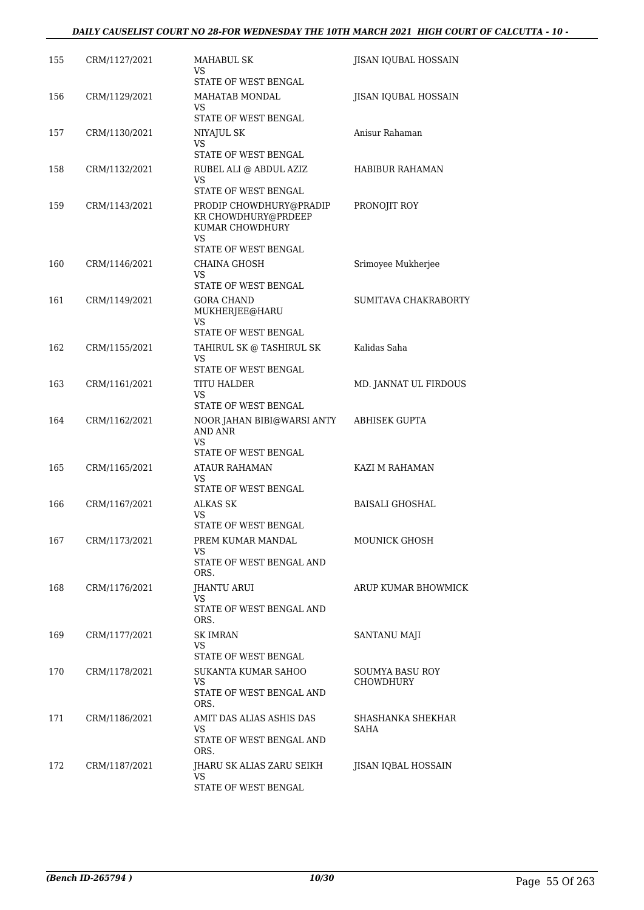| 155 | CRM/1127/2021 | <b>MAHABUL SK</b><br>VS<br>STATE OF WEST BENGAL                                           | JISAN IQUBAL HOSSAIN                |
|-----|---------------|-------------------------------------------------------------------------------------------|-------------------------------------|
| 156 | CRM/1129/2021 | MAHATAB MONDAL<br>VS                                                                      | JISAN IQUBAL HOSSAIN                |
| 157 | CRM/1130/2021 | STATE OF WEST BENGAL<br>NIYAJUL SK<br>VS                                                  | Anisur Rahaman                      |
| 158 | CRM/1132/2021 | STATE OF WEST BENGAL<br>RUBEL ALI @ ABDUL AZIZ<br>VS                                      | <b>HABIBUR RAHAMAN</b>              |
| 159 | CRM/1143/2021 | STATE OF WEST BENGAL<br>PRODIP CHOWDHURY@PRADIP<br>KR CHOWDHURY@PRDEEP<br>KUMAR CHOWDHURY | PRONOJIT ROY                        |
| 160 | CRM/1146/2021 | VS.<br>STATE OF WEST BENGAL<br><b>CHAINA GHOSH</b>                                        | Srimoyee Mukherjee                  |
|     |               | VS<br>STATE OF WEST BENGAL                                                                |                                     |
| 161 | CRM/1149/2021 | <b>GORA CHAND</b><br>MUKHERJEE@HARU<br>VS<br>STATE OF WEST BENGAL                         | SUMITAVA CHAKRABORTY                |
| 162 | CRM/1155/2021 | TAHIRUL SK @ TASHIRUL SK<br>VS<br>STATE OF WEST BENGAL                                    | Kalidas Saha                        |
| 163 | CRM/1161/2021 | <b>TITU HALDER</b><br>VS<br>STATE OF WEST BENGAL                                          | MD. JANNAT UL FIRDOUS               |
| 164 | CRM/1162/2021 | NOOR JAHAN BIBI@WARSI ANTY<br><b>AND ANR</b><br>VS<br>STATE OF WEST BENGAL                | ABHISEK GUPTA                       |
| 165 | CRM/1165/2021 | ATAUR RAHAMAN<br>VS<br>STATE OF WEST BENGAL                                               | KAZI M RAHAMAN                      |
| 166 | CRM/1167/2021 | <b>ALKAS SK</b><br>VS                                                                     | <b>BAISALI GHOSHAL</b>              |
| 167 | CRM/1173/2021 | STATE OF WEST BENGAL<br>PREM KUMAR MANDAL<br>VS<br>STATE OF WEST BENGAL AND<br>ORS.       | MOUNICK GHOSH                       |
| 168 | CRM/1176/2021 | JHANTU ARUI<br>VS<br>STATE OF WEST BENGAL AND<br>ORS.                                     | ARUP KUMAR BHOWMICK                 |
| 169 | CRM/1177/2021 | <b>SK IMRAN</b><br>VS<br>STATE OF WEST BENGAL                                             | SANTANU MAJI                        |
| 170 | CRM/1178/2021 | SUKANTA KUMAR SAHOO<br>VS.<br>STATE OF WEST BENGAL AND<br>ORS.                            | SOUMYA BASU ROY<br><b>CHOWDHURY</b> |
| 171 | CRM/1186/2021 | AMIT DAS ALIAS ASHIS DAS<br>VS.<br>STATE OF WEST BENGAL AND<br>ORS.                       | SHASHANKA SHEKHAR<br>SAHA           |
| 172 | CRM/1187/2021 | JHARU SK ALIAS ZARU SEIKH<br>VS<br>STATE OF WEST BENGAL                                   | JISAN IQBAL HOSSAIN                 |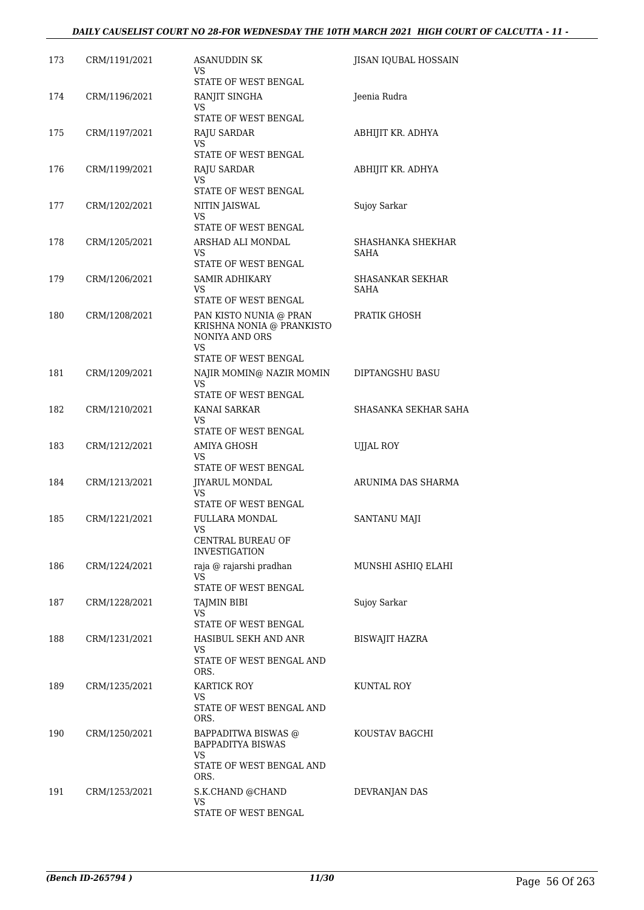| 173 | CRM/1191/2021 | <b>ASANUDDIN SK</b><br>VS.<br>STATE OF WEST BENGAL                                                         | JISAN IQUBAL HOSSAIN                   |
|-----|---------------|------------------------------------------------------------------------------------------------------------|----------------------------------------|
| 174 | CRM/1196/2021 | RANJIT SINGHA<br>VS<br>STATE OF WEST BENGAL                                                                | Jeenia Rudra                           |
| 175 | CRM/1197/2021 | <b>RAJU SARDAR</b><br>VS.<br>STATE OF WEST BENGAL                                                          | ABHIJIT KR. ADHYA                      |
| 176 | CRM/1199/2021 | RAJU SARDAR<br>VS.<br>STATE OF WEST BENGAL                                                                 | ABHIJIT KR. ADHYA                      |
| 177 | CRM/1202/2021 | NITIN JAISWAL<br>VS.<br>STATE OF WEST BENGAL                                                               | Sujoy Sarkar                           |
| 178 | CRM/1205/2021 | ARSHAD ALI MONDAL<br>VS<br>STATE OF WEST BENGAL                                                            | SHASHANKA SHEKHAR<br><b>SAHA</b>       |
| 179 | CRM/1206/2021 | <b>SAMIR ADHIKARY</b><br>VS.<br>STATE OF WEST BENGAL                                                       | <b>SHASANKAR SEKHAR</b><br><b>SAHA</b> |
| 180 | CRM/1208/2021 | PAN KISTO NUNIA @ PRAN<br>KRISHNA NONIA @ PRANKISTO<br>NONIYA AND ORS<br><b>VS</b><br>STATE OF WEST BENGAL | PRATIK GHOSH                           |
| 181 | CRM/1209/2021 | NAJIR MOMIN@ NAZIR MOMIN<br>VS<br>STATE OF WEST BENGAL                                                     | DIPTANGSHU BASU                        |
| 182 | CRM/1210/2021 | KANAI SARKAR<br>VS<br>STATE OF WEST BENGAL                                                                 | SHASANKA SEKHAR SAHA                   |
| 183 | CRM/1212/2021 | <b>AMIYA GHOSH</b><br><b>VS</b><br>STATE OF WEST BENGAL                                                    | <b>UJJAL ROY</b>                       |
| 184 | CRM/1213/2021 | <b>JIYARUL MONDAL</b><br><b>VS</b><br>STATE OF WEST BENGAL                                                 | ARUNIMA DAS SHARMA                     |
| 185 | CRM/1221/2021 | <b>FULLARA MONDAL</b><br>VS<br>CENTRAL BUREAU OF<br><b>INVESTIGATION</b>                                   | SANTANU MAJI                           |
| 186 | CRM/1224/2021 | raja @ rajarshi pradhan<br>VS.<br>STATE OF WEST BENGAL                                                     | MUNSHI ASHIO ELAHI                     |
| 187 | CRM/1228/2021 | <b>TAJMIN BIBI</b><br><b>VS</b><br>STATE OF WEST BENGAL                                                    | Sujoy Sarkar                           |
| 188 | CRM/1231/2021 | HASIBUL SEKH AND ANR<br>VS.<br>STATE OF WEST BENGAL AND<br>ORS.                                            | BISWAJIT HAZRA                         |
| 189 | CRM/1235/2021 | KARTICK ROY<br>VS.<br>STATE OF WEST BENGAL AND<br>ORS.                                                     | KUNTAL ROY                             |
| 190 | CRM/1250/2021 | BAPPADITWA BISWAS @<br><b>BAPPADITYA BISWAS</b><br>VS.<br>STATE OF WEST BENGAL AND                         | KOUSTAV BAGCHI                         |
| 191 | CRM/1253/2021 | ORS.<br>S.K.CHAND @CHAND<br>VS.<br>STATE OF WEST BENGAL                                                    | DEVRANJAN DAS                          |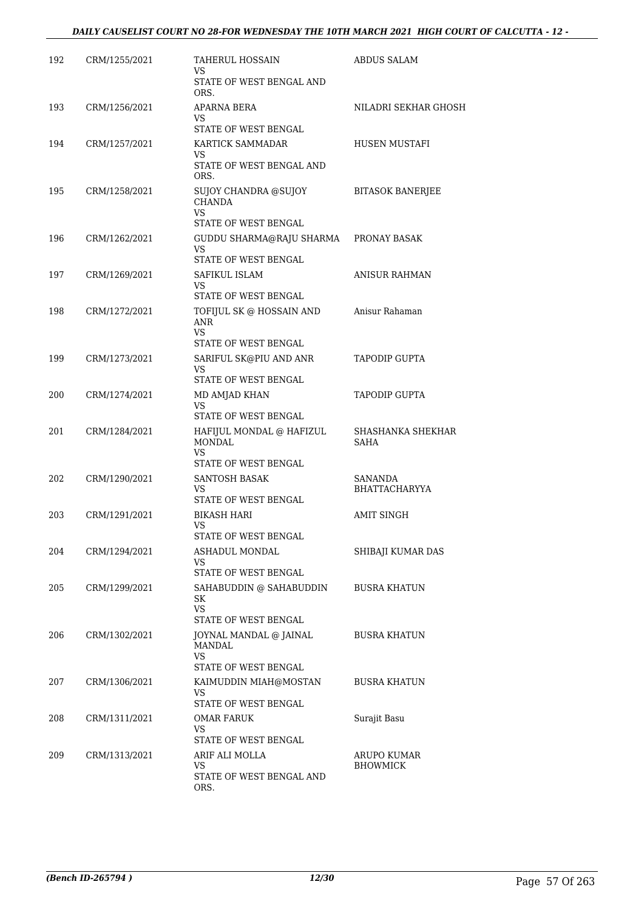| 192 | CRM/1255/2021 | TAHERUL HOSSAIN<br>VS<br>STATE OF WEST BENGAL AND<br>ORS.                | <b>ABDUS SALAM</b>              |
|-----|---------------|--------------------------------------------------------------------------|---------------------------------|
| 193 | CRM/1256/2021 | APARNA BERA<br>VS<br>STATE OF WEST BENGAL                                | NILADRI SEKHAR GHOSH            |
| 194 | CRM/1257/2021 | KARTICK SAMMADAR<br>VS<br>STATE OF WEST BENGAL AND<br>ORS.               | HUSEN MUSTAFI                   |
| 195 | CRM/1258/2021 | SUJOY CHANDRA @SUJOY<br><b>CHANDA</b><br>VS.<br>STATE OF WEST BENGAL     | <b>BITASOK BANERJEE</b>         |
| 196 | CRM/1262/2021 | GUDDU SHARMA@RAJU SHARMA<br>VS.<br>STATE OF WEST BENGAL                  | PRONAY BASAK                    |
| 197 | CRM/1269/2021 | SAFIKUL ISLAM<br>VS.<br>STATE OF WEST BENGAL                             | <b>ANISUR RAHMAN</b>            |
| 198 | CRM/1272/2021 | TOFIJUL SK @ HOSSAIN AND<br>ANR<br>VS.<br>STATE OF WEST BENGAL           | Anisur Rahaman                  |
| 199 | CRM/1273/2021 | SARIFUL SK@PIU AND ANR<br>VS<br>STATE OF WEST BENGAL                     | <b>TAPODIP GUPTA</b>            |
| 200 | CRM/1274/2021 | MD AMJAD KHAN<br>VS<br>STATE OF WEST BENGAL                              | <b>TAPODIP GUPTA</b>            |
| 201 | CRM/1284/2021 | HAFIJUL MONDAL @ HAFIZUL<br><b>MONDAL</b><br>VS.<br>STATE OF WEST BENGAL | SHASHANKA SHEKHAR<br>SAHA       |
| 202 | CRM/1290/2021 | <b>SANTOSH BASAK</b><br>VS<br>STATE OF WEST BENGAL                       | SANANDA<br><b>BHATTACHARYYA</b> |
| 203 | CRM/1291/2021 | BIKASH HARI<br>VS<br>STATE OF WEST BENGAL                                | <b>AMIT SINGH</b>               |
| 204 | CRM/1294/2021 | ASHADUL MONDAL<br>VS<br>STATE OF WEST BENGAL                             | SHIBAJI KUMAR DAS               |
| 205 | CRM/1299/2021 | SAHABUDDIN @ SAHABUDDIN<br>SK<br>VS.<br>STATE OF WEST BENGAL             | <b>BUSRA KHATUN</b>             |
| 206 | CRM/1302/2021 | JOYNAL MANDAL @ JAINAL<br>MANDAL<br><b>VS</b><br>STATE OF WEST BENGAL    | <b>BUSRA KHATUN</b>             |
| 207 | CRM/1306/2021 | KAIMUDDIN MIAH@MOSTAN<br>VS<br>STATE OF WEST BENGAL                      | <b>BUSRA KHATUN</b>             |
| 208 | CRM/1311/2021 | OMAR FARUK<br>VS.<br>STATE OF WEST BENGAL                                | Surajit Basu                    |
| 209 | CRM/1313/2021 | ARIF ALI MOLLA<br>VS<br>STATE OF WEST BENGAL AND<br>ORS.                 | ARUPO KUMAR<br><b>BHOWMICK</b>  |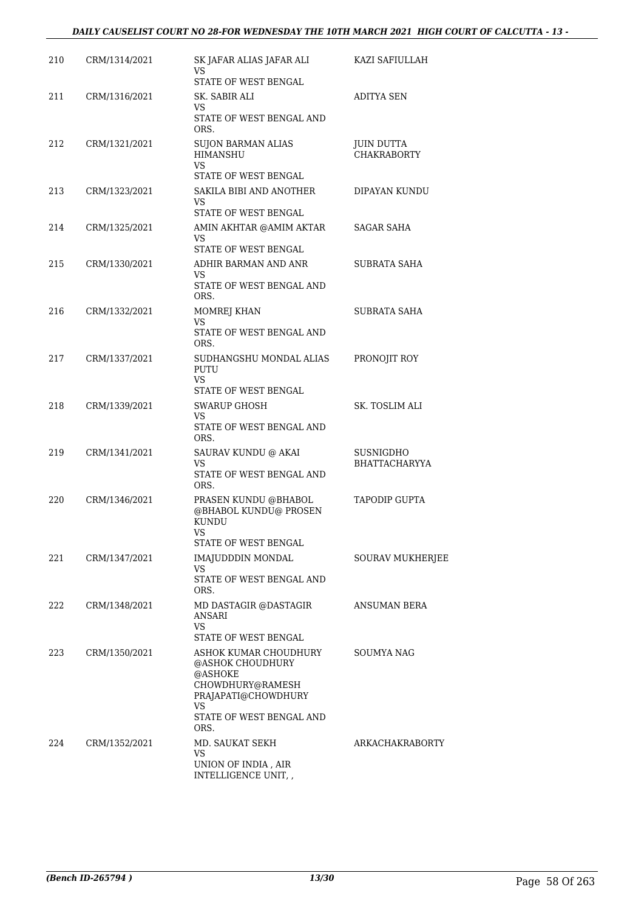| 210 | CRM/1314/2021 | SK JAFAR ALIAS JAFAR ALI<br>VS<br>STATE OF WEST BENGAL                   | KAZI SAFIULLAH                          |
|-----|---------------|--------------------------------------------------------------------------|-----------------------------------------|
| 211 | CRM/1316/2021 | SK. SABIR ALI                                                            | <b>ADITYA SEN</b>                       |
|     |               | VS<br>STATE OF WEST BENGAL AND<br>ORS.                                   |                                         |
| 212 | CRM/1321/2021 | <b>SUJON BARMAN ALIAS</b><br><b>HIMANSHU</b><br>VS                       | <b>JUIN DUTTA</b><br><b>CHAKRABORTY</b> |
| 213 | CRM/1323/2021 | STATE OF WEST BENGAL<br>SAKILA BIBI AND ANOTHER                          | DIPAYAN KUNDU                           |
|     |               | VS<br>STATE OF WEST BENGAL                                               |                                         |
| 214 | CRM/1325/2021 | AMIN AKHTAR @AMIM AKTAR<br>VS                                            | SAGAR SAHA                              |
|     | CRM/1330/2021 | STATE OF WEST BENGAL<br>ADHIR BARMAN AND ANR                             | SUBRATA SAHA                            |
| 215 |               | VS                                                                       |                                         |
|     |               | STATE OF WEST BENGAL AND<br>ORS.                                         |                                         |
| 216 | CRM/1332/2021 | MOMREJ KHAN<br>VS                                                        | SUBRATA SAHA                            |
|     |               | STATE OF WEST BENGAL AND<br>ORS.                                         |                                         |
| 217 | CRM/1337/2021 | SUDHANGSHU MONDAL ALIAS<br>PUTU<br>VS                                    | PRONOJIT ROY                            |
|     |               | STATE OF WEST BENGAL                                                     |                                         |
| 218 | CRM/1339/2021 | <b>SWARUP GHOSH</b><br>VS<br>STATE OF WEST BENGAL AND<br>ORS.            | SK. TOSLIM ALI                          |
| 219 | CRM/1341/2021 | SAURAV KUNDU @ AKAI<br>VS                                                | SUSNIGDHO<br>BHATTACHARYYA              |
|     |               | STATE OF WEST BENGAL AND<br>ORS.                                         |                                         |
| 220 | CRM/1346/2021 | PRASEN KUNDU @BHABOL<br>@BHABOL KUNDU@ PROSEN<br><b>KUNDU</b><br>VS —    | <b>TAPODIP GUPTA</b>                    |
|     |               | STATE OF WEST BENGAL                                                     |                                         |
| 221 | CRM/1347/2021 | IMAJUDDDIN MONDAL<br>VS.<br>STATE OF WEST BENGAL AND                     | <b>SOURAV MUKHERJEE</b>                 |
| 222 | CRM/1348/2021 | ORS.<br>MD DASTAGIR @DASTAGIR                                            | ANSUMAN BERA                            |
|     |               | ANSARI<br>VS                                                             |                                         |
|     |               | STATE OF WEST BENGAL                                                     |                                         |
| 223 | CRM/1350/2021 | ASHOK KUMAR CHOUDHURY<br>@ASHOK CHOUDHURY<br>@ASHOKE<br>CHOWDHURY@RAMESH | SOUMYA NAG                              |
|     |               | PRAJAPATI@CHOWDHURY<br>VS                                                |                                         |
|     |               | STATE OF WEST BENGAL AND<br>ORS.                                         |                                         |
| 224 | CRM/1352/2021 | MD. SAUKAT SEKH<br>VS                                                    | ARKACHAKRABORTY                         |
|     |               | UNION OF INDIA, AIR<br>INTELLIGENCE UNIT,,                               |                                         |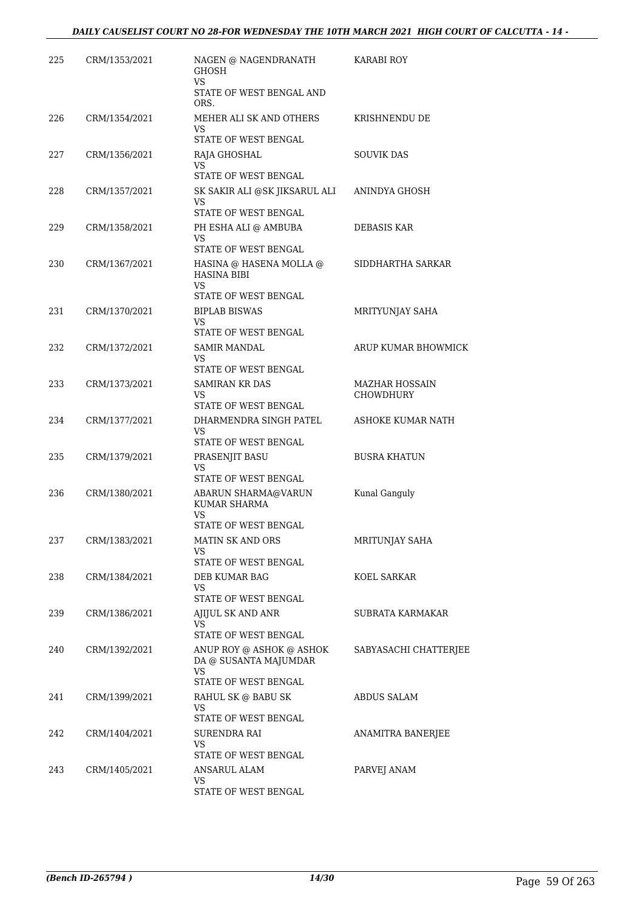| 225 | CRM/1353/2021 | NAGEN @ NAGENDRANATH<br><b>GHOSH</b><br>VS.                                      | KARABI ROY                                |
|-----|---------------|----------------------------------------------------------------------------------|-------------------------------------------|
|     |               | STATE OF WEST BENGAL AND<br>ORS.                                                 |                                           |
| 226 | CRM/1354/2021 | MEHER ALI SK AND OTHERS<br>VS.<br>STATE OF WEST BENGAL                           | KRISHNENDU DE                             |
| 227 | CRM/1356/2021 | RAJA GHOSHAL<br><b>VS</b><br>STATE OF WEST BENGAL                                | <b>SOUVIK DAS</b>                         |
| 228 | CRM/1357/2021 | SK SAKIR ALI @SK JIKSARUL ALI<br>VS<br>STATE OF WEST BENGAL                      | ANINDYA GHOSH                             |
| 229 | CRM/1358/2021 | PH ESHA ALI @ AMBUBA<br><b>VS</b><br>STATE OF WEST BENGAL                        | DEBASIS KAR                               |
| 230 | CRM/1367/2021 | HASINA @ HASENA MOLLA @<br><b>HASINA BIBI</b><br>VS<br>STATE OF WEST BENGAL      | SIDDHARTHA SARKAR                         |
| 231 | CRM/1370/2021 | <b>BIPLAB BISWAS</b><br>VS.<br>STATE OF WEST BENGAL                              | MRITYUNJAY SAHA                           |
| 232 | CRM/1372/2021 | SAMIR MANDAL<br>VS<br>STATE OF WEST BENGAL                                       | ARUP KUMAR BHOWMICK                       |
| 233 | CRM/1373/2021 | <b>SAMIRAN KR DAS</b><br>VS.<br>STATE OF WEST BENGAL                             | <b>MAZHAR HOSSAIN</b><br><b>CHOWDHURY</b> |
| 234 | CRM/1377/2021 | DHARMENDRA SINGH PATEL<br><b>VS</b><br>STATE OF WEST BENGAL                      | ASHOKE KUMAR NATH                         |
| 235 | CRM/1379/2021 | PRASENJIT BASU<br>VS<br>STATE OF WEST BENGAL                                     | <b>BUSRA KHATUN</b>                       |
| 236 | CRM/1380/2021 | ABARUN SHARMA@VARUN<br>KUMAR SHARMA<br>VS<br>STATE OF WEST BENGAL                | Kunal Ganguly                             |
| 237 | CRM/1383/2021 | <b>MATIN SK AND ORS</b><br>VS<br>STATE OF WEST BENGAL                            | MRITUNJAY SAHA                            |
| 238 | CRM/1384/2021 | DEB KUMAR BAG<br>VS.<br>STATE OF WEST BENGAL                                     | KOEL SARKAR                               |
| 239 | CRM/1386/2021 | AJIJUL SK AND ANR<br>VS.<br>STATE OF WEST BENGAL                                 | SUBRATA KARMAKAR                          |
| 240 | CRM/1392/2021 | ANUP ROY @ ASHOK @ ASHOK<br>DA @ SUSANTA MAJUMDAR<br>VS.<br>STATE OF WEST BENGAL | SABYASACHI CHATTERJEE                     |
| 241 | CRM/1399/2021 | RAHUL SK @ BABU SK<br>VS.<br>STATE OF WEST BENGAL                                | <b>ABDUS SALAM</b>                        |
| 242 | CRM/1404/2021 | SURENDRA RAI<br>VS.<br>STATE OF WEST BENGAL                                      | ANAMITRA BANERJEE                         |
| 243 | CRM/1405/2021 | ANSARUL ALAM<br>VS.<br>STATE OF WEST BENGAL                                      | PARVEJ ANAM                               |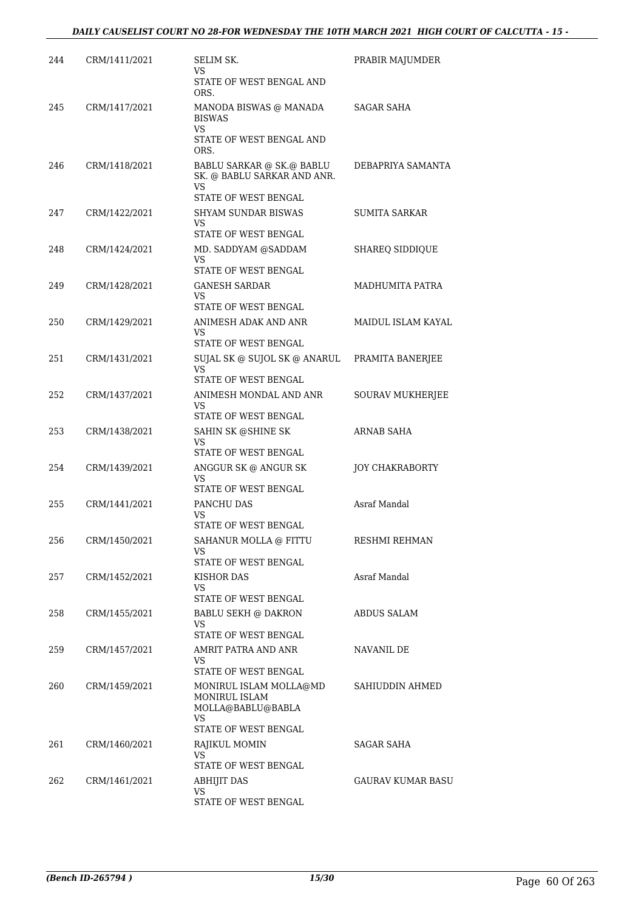| 244 | CRM/1411/2021 | SELIM SK.<br>VS                                                                         | PRABIR MAJUMDER          |
|-----|---------------|-----------------------------------------------------------------------------------------|--------------------------|
|     |               | STATE OF WEST BENGAL AND<br>ORS.                                                        |                          |
| 245 | CRM/1417/2021 | MANODA BISWAS @ MANADA<br><b>BISWAS</b><br>VS.                                          | <b>SAGAR SAHA</b>        |
|     |               | STATE OF WEST BENGAL AND<br>ORS.                                                        |                          |
| 246 | CRM/1418/2021 | BABLU SARKAR @ SK.@ BABLU<br>SK. @ BABLU SARKAR AND ANR.<br>VS.<br>STATE OF WEST BENGAL | DEBAPRIYA SAMANTA        |
| 247 | CRM/1422/2021 | <b>SHYAM SUNDAR BISWAS</b>                                                              | <b>SUMITA SARKAR</b>     |
|     |               | VS<br>STATE OF WEST BENGAL                                                              |                          |
| 248 | CRM/1424/2021 | MD. SADDYAM @SADDAM<br>VS.<br>STATE OF WEST BENGAL                                      | SHAREQ SIDDIQUE          |
| 249 | CRM/1428/2021 | <b>GANESH SARDAR</b><br>VS.                                                             | MADHUMITA PATRA          |
| 250 | CRM/1429/2021 | STATE OF WEST BENGAL<br>ANIMESH ADAK AND ANR                                            | MAIDUL ISLAM KAYAL       |
|     |               | VS                                                                                      |                          |
|     |               | STATE OF WEST BENGAL                                                                    |                          |
| 251 | CRM/1431/2021 | SUJAL SK @ SUJOL SK @ ANARUL<br>VS<br>STATE OF WEST BENGAL                              | PRAMITA BANERJEE         |
| 252 | CRM/1437/2021 | ANIMESH MONDAL AND ANR<br><b>VS</b><br>STATE OF WEST BENGAL                             | SOURAV MUKHERJEE         |
| 253 | CRM/1438/2021 | SAHIN SK @SHINE SK<br><b>VS</b>                                                         | ARNAB SAHA               |
|     |               | STATE OF WEST BENGAL                                                                    |                          |
| 254 | CRM/1439/2021 | ANGGUR SK @ ANGUR SK<br>VS<br>STATE OF WEST BENGAL                                      | JOY CHAKRABORTY          |
| 255 | CRM/1441/2021 | PANCHU DAS<br>VS                                                                        | Asraf Mandal             |
| 256 | CRM/1450/2021 | STATE OF WEST BENGAL<br>SAHANUR MOLLA @ FITTU<br>VS                                     | RESHMI REHMAN            |
|     |               | STATE OF WEST BENGAL                                                                    |                          |
| 257 | CRM/1452/2021 | KISHOR DAS<br><b>VS</b><br>STATE OF WEST BENGAL                                         | Asraf Mandal             |
| 258 | CRM/1455/2021 | <b>BABLU SEKH @ DAKRON</b>                                                              | <b>ABDUS SALAM</b>       |
|     |               | VS<br>STATE OF WEST BENGAL                                                              |                          |
| 259 | CRM/1457/2021 | AMRIT PATRA AND ANR<br><b>VS</b><br>STATE OF WEST BENGAL                                | NAVANIL DE               |
| 260 | CRM/1459/2021 | MONIRUL ISLAM MOLLA@MD<br>MONIRUL ISLAM<br>MOLLA@BABLU@BABLA<br>VS.                     | SAHIUDDIN AHMED          |
| 261 | CRM/1460/2021 | STATE OF WEST BENGAL<br>RAJIKUL MOMIN                                                   | <b>SAGAR SAHA</b>        |
|     |               | VS.                                                                                     |                          |
|     |               | STATE OF WEST BENGAL                                                                    | <b>GAURAV KUMAR BASU</b> |
| 262 | CRM/1461/2021 | ABHIJIT DAS<br>VS<br>STATE OF WEST BENGAL                                               |                          |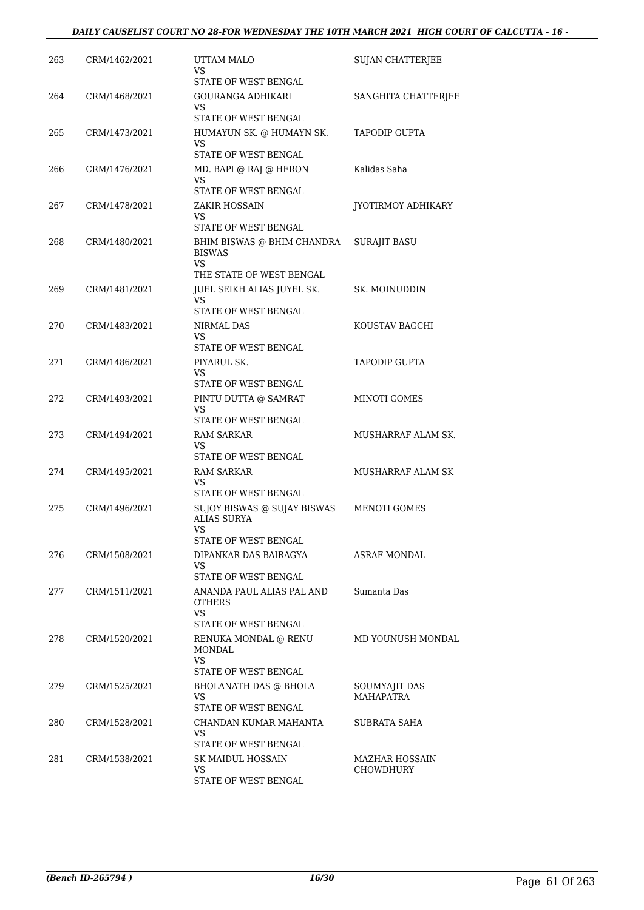| 263 | CRM/1462/2021 | UTTAM MALO<br>VS                                                                | <b>SUJAN CHATTERJEE</b>           |
|-----|---------------|---------------------------------------------------------------------------------|-----------------------------------|
|     |               | STATE OF WEST BENGAL                                                            |                                   |
| 264 | CRM/1468/2021 | <b>GOURANGA ADHIKARI</b><br>VS.                                                 | SANGHITA CHATTERJEE               |
|     |               | STATE OF WEST BENGAL                                                            |                                   |
| 265 | CRM/1473/2021 | HUMAYUN SK. @ HUMAYN SK.<br>VS                                                  | <b>TAPODIP GUPTA</b>              |
|     |               | STATE OF WEST BENGAL                                                            |                                   |
| 266 | CRM/1476/2021 | MD. BAPI @ RAJ @ HERON<br>VS<br>STATE OF WEST BENGAL                            | Kalidas Saha                      |
| 267 | CRM/1478/2021 | ZAKIR HOSSAIN                                                                   | JYOTIRMOY ADHIKARY                |
|     |               | VS.<br>STATE OF WEST BENGAL                                                     |                                   |
| 268 | CRM/1480/2021 | BHIM BISWAS @ BHIM CHANDRA<br><b>BISWAS</b><br><b>VS</b>                        | <b>SURAJIT BASU</b>               |
|     |               | THE STATE OF WEST BENGAL                                                        |                                   |
| 269 | CRM/1481/2021 | JUEL SEIKH ALIAS JUYEL SK.<br><b>VS</b>                                         | SK. MOINUDDIN                     |
| 270 | CRM/1483/2021 | STATE OF WEST BENGAL<br>NIRMAL DAS                                              | KOUSTAV BAGCHI                    |
|     |               | VS.                                                                             |                                   |
|     |               | STATE OF WEST BENGAL                                                            |                                   |
| 271 | CRM/1486/2021 | PIYARUL SK.<br>VS.                                                              | TAPODIP GUPTA                     |
|     |               | STATE OF WEST BENGAL                                                            |                                   |
| 272 | CRM/1493/2021 | PINTU DUTTA @ SAMRAT<br>VS                                                      | MINOTI GOMES                      |
|     |               | STATE OF WEST BENGAL                                                            |                                   |
| 273 | CRM/1494/2021 | RAM SARKAR<br>VS                                                                | MUSHARRAF ALAM SK.                |
|     |               | STATE OF WEST BENGAL                                                            |                                   |
| 274 | CRM/1495/2021 | RAM SARKAR<br>VS                                                                | MUSHARRAF ALAM SK                 |
|     |               | STATE OF WEST BENGAL                                                            |                                   |
| 275 | CRM/1496/2021 | SUJOY BISWAS @ SUJAY BISWAS<br><b>ALIAS SURYA</b><br>VS<br>STATE OF WEST BENGAL | MENOTI GOMES                      |
| 276 | CRM/1508/2021 | DIPANKAR DAS BAIRAGYA                                                           | ASRAF MONDAL                      |
|     |               | VS.<br>STATE OF WEST BENGAL                                                     |                                   |
| 277 | CRM/1511/2021 | ANANDA PAUL ALIAS PAL AND<br><b>OTHERS</b><br><b>VS</b>                         | Sumanta Das                       |
|     |               | STATE OF WEST BENGAL                                                            |                                   |
| 278 | CRM/1520/2021 | RENUKA MONDAL @ RENU<br>MONDAL<br>VS.                                           | MD YOUNUSH MONDAL                 |
|     |               | STATE OF WEST BENGAL                                                            |                                   |
| 279 | CRM/1525/2021 | <b>BHOLANATH DAS @ BHOLA</b><br>VS<br>STATE OF WEST BENGAL                      | SOUMYAJIT DAS<br><b>MAHAPATRA</b> |
| 280 | CRM/1528/2021 | CHANDAN KUMAR MAHANTA                                                           | SUBRATA SAHA                      |
|     |               | VS<br>STATE OF WEST BENGAL                                                      |                                   |
| 281 | CRM/1538/2021 | SK MAIDUL HOSSAIN                                                               | MAZHAR HOSSAIN                    |
|     |               | VS<br>STATE OF WEST BENGAL                                                      | <b>CHOWDHURY</b>                  |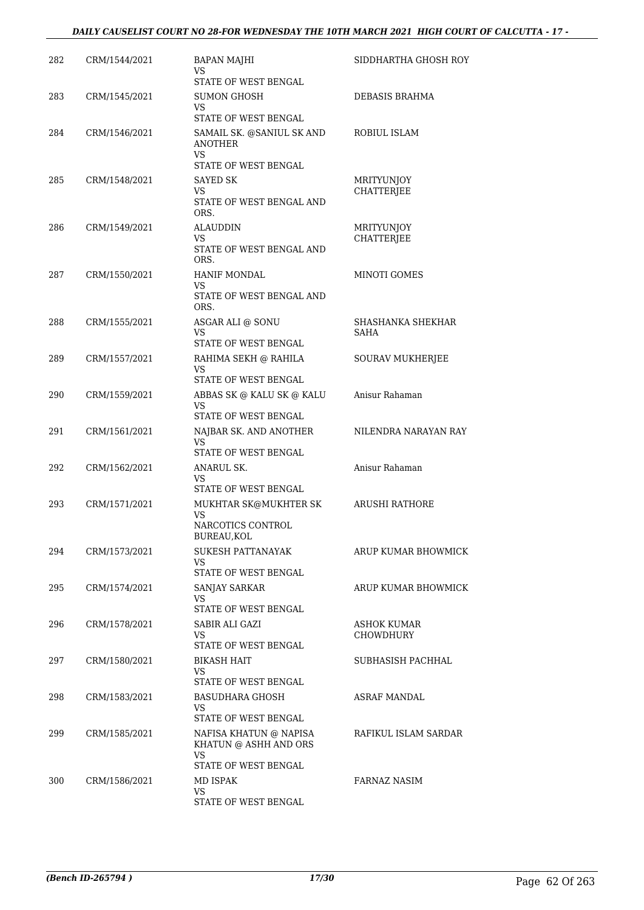#### *DAILY CAUSELIST COURT NO 28-FOR WEDNESDAY THE 10TH MARCH 2021 HIGH COURT OF CALCUTTA - 17 -*

| 282 | CRM/1544/2021 | <b>BAPAN MAJHI</b><br>VS                                                       | SIDDHARTHA GHOSH ROY            |
|-----|---------------|--------------------------------------------------------------------------------|---------------------------------|
|     |               | STATE OF WEST BENGAL                                                           |                                 |
| 283 | CRM/1545/2021 | SUMON GHOSH<br><b>VS</b><br>STATE OF WEST BENGAL                               | DEBASIS BRAHMA                  |
| 284 | CRM/1546/2021 | SAMAIL SK. @SANIUL SK AND<br><b>ANOTHER</b><br>VS                              | ROBIUL ISLAM                    |
|     |               | STATE OF WEST BENGAL                                                           |                                 |
| 285 | CRM/1548/2021 | SAYED SK                                                                       | MRITYUNJOY                      |
|     |               | VS.<br>STATE OF WEST BENGAL AND<br>ORS.                                        | <b>CHATTERJEE</b>               |
| 286 | CRM/1549/2021 | ALAUDDIN                                                                       | MRITYUNJOY                      |
|     |               | VS<br>STATE OF WEST BENGAL AND<br>ORS.                                         | CHATTERJEE                      |
| 287 | CRM/1550/2021 | <b>HANIF MONDAL</b>                                                            | MINOTI GOMES                    |
|     |               | <b>VS</b><br>STATE OF WEST BENGAL AND<br>ORS.                                  |                                 |
| 288 | CRM/1555/2021 | ASGAR ALI @ SONU                                                               | SHASHANKA SHEKHAR               |
|     |               | VS                                                                             | SAHA                            |
|     |               | STATE OF WEST BENGAL                                                           |                                 |
| 289 | CRM/1557/2021 | RAHIMA SEKH @ RAHILA<br>VS<br>STATE OF WEST BENGAL                             | SOURAV MUKHERJEE                |
| 290 | CRM/1559/2021 | ABBAS SK @ KALU SK @ KALU<br>VS                                                | Anisur Rahaman                  |
|     |               | STATE OF WEST BENGAL                                                           |                                 |
| 291 | CRM/1561/2021 | NAJBAR SK. AND ANOTHER<br><b>VS</b><br>STATE OF WEST BENGAL                    | NILENDRA NARAYAN RAY            |
| 292 | CRM/1562/2021 | ANARUL SK.                                                                     | Anisur Rahaman                  |
|     |               | VS<br>STATE OF WEST BENGAL                                                     |                                 |
| 293 | CRM/1571/2021 | MUKHTAR SK@MUKHTER SK<br>VS                                                    | ARUSHI RATHORE                  |
|     |               | NARCOTICS CONTROL<br>BUREAU,KOL                                                |                                 |
| 294 | CRM/1573/2021 | SUKESH PATTANAYAK<br>VS.<br>STATE OF WEST BENGAL                               | ARUP KUMAR BHOWMICK             |
| 295 | CRM/1574/2021 | SANJAY SARKAR                                                                  | ARUP KUMAR BHOWMICK             |
|     |               | VS                                                                             |                                 |
|     |               | STATE OF WEST BENGAL                                                           |                                 |
| 296 | CRM/1578/2021 | SABIR ALI GAZI<br>VS<br>STATE OF WEST BENGAL                                   | ASHOK KUMAR<br><b>CHOWDHURY</b> |
| 297 | CRM/1580/2021 | BIKASH HAIT                                                                    | SUBHASISH PACHHAL               |
|     |               | VS<br>STATE OF WEST BENGAL                                                     |                                 |
| 298 | CRM/1583/2021 | BASUDHARA GHOSH<br>VS                                                          | <b>ASRAF MANDAL</b>             |
| 299 | CRM/1585/2021 | STATE OF WEST BENGAL<br>NAFISA KHATUN @ NAPISA<br>KHATUN @ ASHH AND ORS<br>VS. | RAFIKUL ISLAM SARDAR            |
|     |               | STATE OF WEST BENGAL                                                           |                                 |
| 300 | CRM/1586/2021 | MD ISPAK                                                                       | FARNAZ NASIM                    |
|     |               | VS<br>STATE OF WEST BENGAL                                                     |                                 |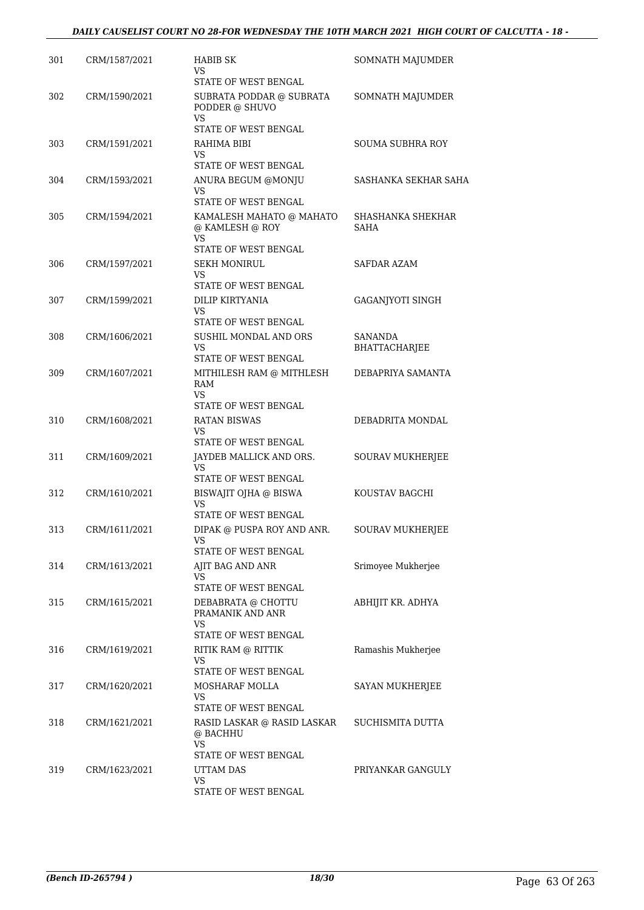| 301 | CRM/1587/2021 | <b>HABIB SK</b><br>VS<br>STATE OF WEST BENGAL                             | SOMNATH MAJUMDER                |
|-----|---------------|---------------------------------------------------------------------------|---------------------------------|
| 302 | CRM/1590/2021 | SUBRATA PODDAR @ SUBRATA<br>PODDER @ SHUVO<br>VS<br>STATE OF WEST BENGAL  | SOMNATH MAJUMDER                |
| 303 | CRM/1591/2021 | RAHIMA BIBI<br>VS<br>STATE OF WEST BENGAL                                 | SOUMA SUBHRA ROY                |
| 304 | CRM/1593/2021 | ANURA BEGUM @MONJU<br>VS.<br>STATE OF WEST BENGAL                         | SASHANKA SEKHAR SAHA            |
| 305 | CRM/1594/2021 | KAMALESH MAHATO @ MAHATO<br>@ KAMLESH @ ROY<br>VS.                        | SHASHANKA SHEKHAR<br>SAHA       |
| 306 | CRM/1597/2021 | STATE OF WEST BENGAL<br><b>SEKH MONIRUL</b><br>VS<br>STATE OF WEST BENGAL | SAFDAR AZAM                     |
| 307 | CRM/1599/2021 | <b>DILIP KIRTYANIA</b><br>VS<br>STATE OF WEST BENGAL                      | GAGANJYOTI SINGH                |
| 308 | CRM/1606/2021 | SUSHIL MONDAL AND ORS<br>VS<br>STATE OF WEST BENGAL                       | <b>SANANDA</b><br>BHATTACHARJEE |
| 309 | CRM/1607/2021 | MITHILESH RAM @ MITHLESH<br>RAM<br>VS.<br>STATE OF WEST BENGAL            | DEBAPRIYA SAMANTA               |
| 310 | CRM/1608/2021 | <b>RATAN BISWAS</b><br><b>VS</b><br>STATE OF WEST BENGAL                  | DEBADRITA MONDAL                |
| 311 | CRM/1609/2021 | JAYDEB MALLICK AND ORS.<br>VS<br>STATE OF WEST BENGAL                     | SOURAV MUKHERJEE                |
| 312 | CRM/1610/2021 | BISWAJIT OJHA @ BISWA<br>VS.<br>STATE OF WEST BENGAL                      | KOUSTAV BAGCHI                  |
| 313 | CRM/1611/2021 | DIPAK @ PUSPA ROY AND ANR.<br>VS<br>STATE OF WEST BENGAL                  | <b>SOURAV MUKHERJEE</b>         |
| 314 | CRM/1613/2021 | AJIT BAG AND ANR<br>VS.<br>STATE OF WEST BENGAL                           | Srimoyee Mukherjee              |
| 315 | CRM/1615/2021 | DEBABRATA @ CHOTTU<br>PRAMANIK AND ANR<br>VS                              | ABHIJIT KR. ADHYA               |
| 316 | CRM/1619/2021 | STATE OF WEST BENGAL<br>RITIK RAM @ RITTIK<br>VS<br>STATE OF WEST BENGAL  | Ramashis Mukherjee              |
| 317 | CRM/1620/2021 | MOSHARAF MOLLA<br>VS.<br>STATE OF WEST BENGAL                             | SAYAN MUKHERJEE                 |
| 318 | CRM/1621/2021 | RASID LASKAR @ RASID LASKAR<br>@ BACHHU<br><b>VS</b>                      | SUCHISMITA DUTTA                |
| 319 | CRM/1623/2021 | STATE OF WEST BENGAL<br>UTTAM DAS<br>VS.<br>STATE OF WEST BENGAL          | PRIYANKAR GANGULY               |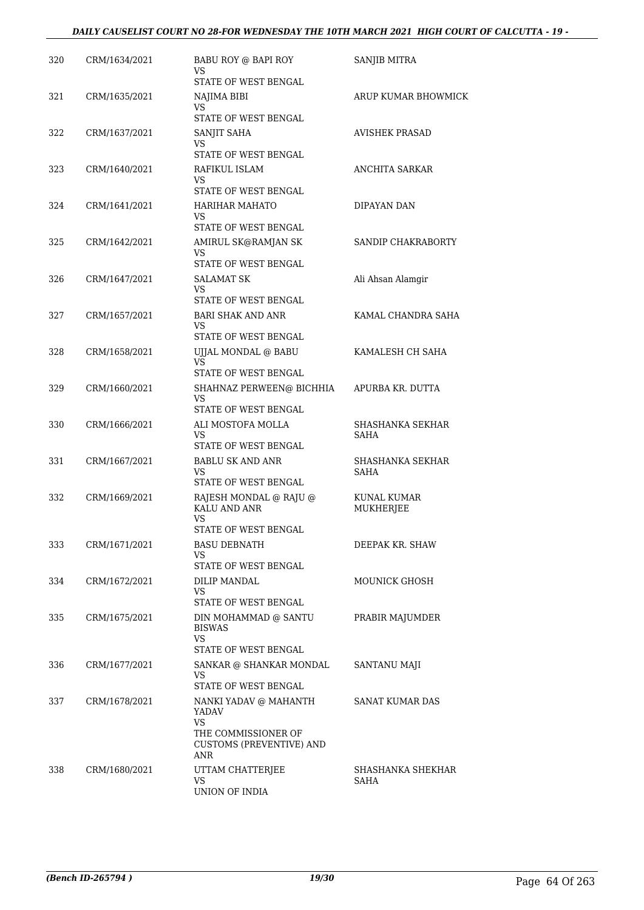| 320 | CRM/1634/2021 | BABU ROY @ BAPI ROY<br>VS                                                      | <b>SANJIB MITRA</b>             |
|-----|---------------|--------------------------------------------------------------------------------|---------------------------------|
| 321 | CRM/1635/2021 | STATE OF WEST BENGAL<br>NAJIMA BIBI                                            | ARUP KUMAR BHOWMICK             |
|     |               | VS<br>STATE OF WEST BENGAL                                                     |                                 |
| 322 | CRM/1637/2021 | SANJIT SAHA<br>VS                                                              | <b>AVISHEK PRASAD</b>           |
|     |               | STATE OF WEST BENGAL                                                           |                                 |
| 323 | CRM/1640/2021 | RAFIKUL ISLAM<br>VS<br>STATE OF WEST BENGAL                                    | ANCHITA SARKAR                  |
| 324 | CRM/1641/2021 | HARIHAR MAHATO<br>VS                                                           | DIPAYAN DAN                     |
|     |               | STATE OF WEST BENGAL                                                           |                                 |
| 325 | CRM/1642/2021 | AMIRUL SK@RAMJAN SK<br>VS<br>STATE OF WEST BENGAL                              | SANDIP CHAKRABORTY              |
| 326 | CRM/1647/2021 | SALAMAT SK<br>VS.<br>STATE OF WEST BENGAL                                      | Ali Ahsan Alamgir               |
| 327 | CRM/1657/2021 | <b>BARI SHAK AND ANR</b><br>VS<br>STATE OF WEST BENGAL                         | KAMAL CHANDRA SAHA              |
| 328 | CRM/1658/2021 | UJJAL MONDAL @ BABU<br><b>VS</b>                                               | KAMALESH CH SAHA                |
| 329 | CRM/1660/2021 | STATE OF WEST BENGAL<br>SHAHNAZ PERWEEN@ BICHHIA<br>VS<br>STATE OF WEST BENGAL | APURBA KR. DUTTA                |
| 330 | CRM/1666/2021 | ALI MOSTOFA MOLLA<br>VS<br>STATE OF WEST BENGAL                                | SHASHANKA SEKHAR<br><b>SAHA</b> |
| 331 | CRM/1667/2021 | <b>BABLU SK AND ANR</b><br>VS<br>STATE OF WEST BENGAL                          | SHASHANKA SEKHAR<br><b>SAHA</b> |
| 332 | CRM/1669/2021 | RAJESH MONDAL @ RAJU @<br>KALU AND ANR<br>VS                                   | KUNAL KUMAR<br>MUKHERJEE        |
| 333 | CRM/1671/2021 | STATE OF WEST BENGAL<br><b>BASU DEBNATH</b><br>VS<br>STATE OF WEST BENGAL      | DEEPAK KR. SHAW                 |
| 334 | CRM/1672/2021 | <b>DILIP MANDAL</b><br>VS.<br>STATE OF WEST BENGAL                             | MOUNICK GHOSH                   |
| 335 | CRM/1675/2021 | DIN MOHAMMAD @ SANTU<br><b>BISWAS</b><br>VS<br>STATE OF WEST BENGAL            | PRABIR MAJUMDER                 |
| 336 | CRM/1677/2021 | SANKAR @ SHANKAR MONDAL<br>VS.<br>STATE OF WEST BENGAL                         | SANTANU MAJI                    |
| 337 | CRM/1678/2021 | NANKI YADAV @ MAHANTH<br>YADAV<br>VS                                           | SANAT KUMAR DAS                 |
|     |               | THE COMMISSIONER OF<br><b>CUSTOMS (PREVENTIVE) AND</b><br>ANR                  |                                 |
| 338 | CRM/1680/2021 | UTTAM CHATTERJEE<br>VS<br>UNION OF INDIA                                       | SHASHANKA SHEKHAR<br>SAHA       |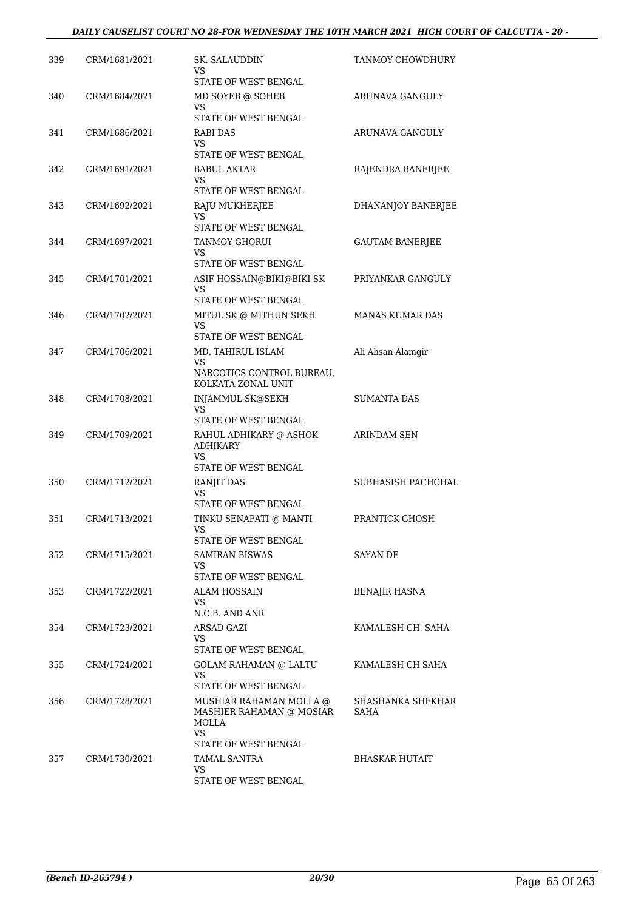| 339 | CRM/1681/2021 | SK. SALAUDDIN<br>VS                                                       | TANMOY CHOWDHURY          |
|-----|---------------|---------------------------------------------------------------------------|---------------------------|
| 340 | CRM/1684/2021 | STATE OF WEST BENGAL<br>MD SOYEB @ SOHEB<br>VS.                           | ARUNAVA GANGULY           |
|     |               | STATE OF WEST BENGAL                                                      |                           |
| 341 | CRM/1686/2021 | RABI DAS<br>VS                                                            | ARUNAVA GANGULY           |
|     |               | STATE OF WEST BENGAL                                                      |                           |
| 342 | CRM/1691/2021 | <b>BABUL AKTAR</b><br>VS<br>STATE OF WEST BENGAL                          | RAJENDRA BANERJEE         |
| 343 | CRM/1692/2021 | RAJU MUKHERJEE                                                            | DHANANJOY BANERJEE        |
|     |               | VS<br>STATE OF WEST BENGAL                                                |                           |
| 344 | CRM/1697/2021 | <b>TANMOY GHORUI</b><br>VS                                                | <b>GAUTAM BANERJEE</b>    |
| 345 | CRM/1701/2021 | STATE OF WEST BENGAL<br>ASIF HOSSAIN@BIKI@BIKI SK                         | PRIYANKAR GANGULY         |
|     |               | VS<br><b>STATE OF WEST BENGAL</b>                                         |                           |
| 346 | CRM/1702/2021 | MITUL SK @ MITHUN SEKH                                                    | <b>MANAS KUMAR DAS</b>    |
|     |               | <b>VS</b><br>STATE OF WEST BENGAL                                         |                           |
| 347 | CRM/1706/2021 | MD. TAHIRUL ISLAM                                                         | Ali Ahsan Alamgir         |
|     |               | VS<br>NARCOTICS CONTROL BUREAU,<br>KOLKATA ZONAL UNIT                     |                           |
| 348 | CRM/1708/2021 | <b>INJAMMUL SK@SEKH</b>                                                   | <b>SUMANTA DAS</b>        |
|     |               | <b>VS</b><br>STATE OF WEST BENGAL                                         |                           |
| 349 | CRM/1709/2021 | RAHUL ADHIKARY @ ASHOK<br><b>ADHIKARY</b><br>VS.                          | <b>ARINDAM SEN</b>        |
| 350 | CRM/1712/2021 | STATE OF WEST BENGAL<br>RANJIT DAS                                        | SUBHASISH PACHCHAL        |
|     |               | VS                                                                        |                           |
| 351 | CRM/1713/2021 | STATE OF WEST BENGAL<br>TINKU SENAPATI @ MANTI                            | PRANTICK GHOSH            |
|     |               | <b>VS</b><br>STATE OF WEST BENGAL                                         |                           |
| 352 | CRM/1715/2021 | <b>SAMIRAN BISWAS</b>                                                     | SAYAN DE                  |
|     |               | VS.<br>STATE OF WEST BENGAL                                               |                           |
| 353 | CRM/1722/2021 | ALAM HOSSAIN                                                              | <b>BENAJIR HASNA</b>      |
|     |               | VS                                                                        |                           |
| 354 | CRM/1723/2021 | N.C.B. AND ANR<br>ARSAD GAZI                                              | KAMALESH CH. SAHA         |
|     |               | VS.<br>STATE OF WEST BENGAL                                               |                           |
| 355 | CRM/1724/2021 | <b>GOLAM RAHAMAN @ LALTU</b>                                              | KAMALESH CH SAHA          |
|     |               | VS<br>STATE OF WEST BENGAL                                                |                           |
| 356 | CRM/1728/2021 | MUSHIAR RAHAMAN MOLLA @<br>MASHIER RAHAMAN @ MOSIAR<br>MOLLA<br><b>VS</b> | SHASHANKA SHEKHAR<br>SAHA |
| 357 | CRM/1730/2021 | STATE OF WEST BENGAL<br><b>TAMAL SANTRA</b>                               | <b>BHASKAR HUTAIT</b>     |
|     |               | VS.                                                                       |                           |
|     |               | STATE OF WEST BENGAL                                                      |                           |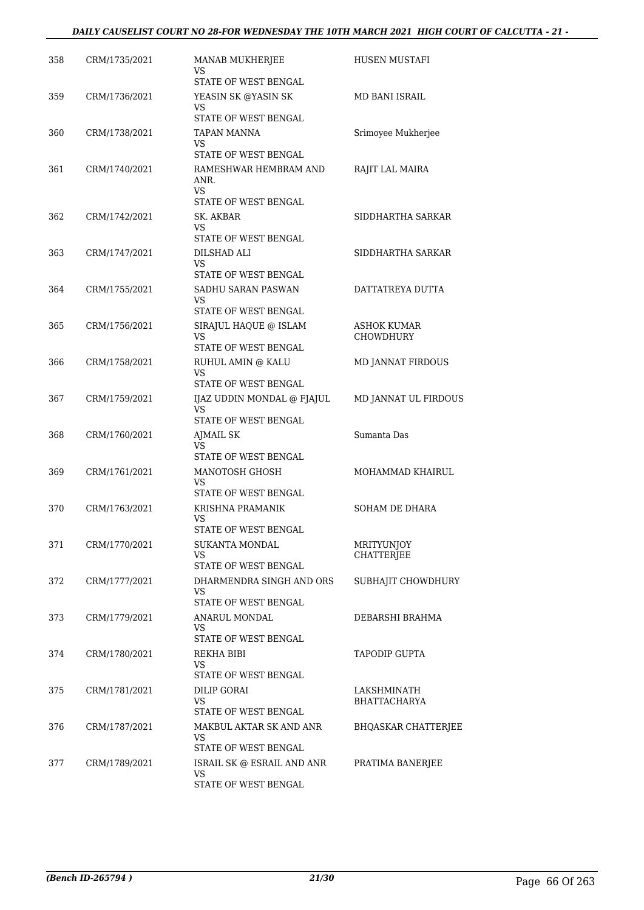#### *DAILY CAUSELIST COURT NO 28-FOR WEDNESDAY THE 10TH MARCH 2021 HIGH COURT OF CALCUTTA - 21 -*

| 358 | CRM/1735/2021 | MANAB MUKHERJEE<br>VS                                    | HUSEN MUSTAFI              |
|-----|---------------|----------------------------------------------------------|----------------------------|
| 359 | CRM/1736/2021 | STATE OF WEST BENGAL<br>YEASIN SK @YASIN SK              | MD BANI ISRAIL             |
|     |               | VS<br>STATE OF WEST BENGAL                               |                            |
| 360 | CRM/1738/2021 | <b>TAPAN MANNA</b>                                       | Srimoyee Mukherjee         |
|     |               | VS<br>STATE OF WEST BENGAL                               |                            |
| 361 | CRM/1740/2021 | RAMESHWAR HEMBRAM AND<br>ANR.<br>VS                      | RAJIT LAL MAIRA            |
|     |               | STATE OF WEST BENGAL                                     |                            |
| 362 | CRM/1742/2021 | SK. AKBAR<br>VS<br>STATE OF WEST BENGAL                  | SIDDHARTHA SARKAR          |
| 363 | CRM/1747/2021 | DILSHAD ALI                                              | SIDDHARTHA SARKAR          |
|     |               | <b>VS</b><br>STATE OF WEST BENGAL                        |                            |
| 364 | CRM/1755/2021 | SADHU SARAN PASWAN                                       | DATTATREYA DUTTA           |
|     |               | <b>VS</b><br>STATE OF WEST BENGAL                        |                            |
| 365 | CRM/1756/2021 | SIRAJUL HAQUE @ ISLAM                                    | <b>ASHOK KUMAR</b>         |
|     |               | VS                                                       | <b>CHOWDHURY</b>           |
| 366 | CRM/1758/2021 | STATE OF WEST BENGAL<br>RUHUL AMIN @ KALU                | MD JANNAT FIRDOUS          |
|     |               | VS.                                                      |                            |
|     |               | STATE OF WEST BENGAL                                     |                            |
| 367 | CRM/1759/2021 | IJAZ UDDIN MONDAL @ FJAJUL<br>VS<br>STATE OF WEST BENGAL | MD JANNAT UL FIRDOUS       |
| 368 | CRM/1760/2021 | AJMAIL SK                                                | Sumanta Das                |
|     |               | VS<br>STATE OF WEST BENGAL                               |                            |
| 369 | CRM/1761/2021 | MANOTOSH GHOSH                                           | MOHAMMAD KHAIRUL           |
|     |               | VS<br>STATE OF WEST BENGAL                               |                            |
| 370 | CRM/1763/2021 | KRISHNA PRAMANIK                                         | <b>SOHAM DE DHARA</b>      |
|     |               | VS<br>STATE OF WEST BENGAL                               |                            |
| 371 | CRM/1770/2021 | <b>SUKANTA MONDAL</b>                                    | MRITYUNJOY                 |
|     |               | VS                                                       | CHATTERJEE                 |
| 372 | CRM/1777/2021 | STATE OF WEST BENGAL<br>DHARMENDRA SINGH AND ORS         | SUBHAJIT CHOWDHURY         |
|     |               | <b>VS</b>                                                |                            |
| 373 | CRM/1779/2021 | STATE OF WEST BENGAL<br>ANARUL MONDAL                    | DEBARSHI BRAHMA            |
|     |               | VS<br>STATE OF WEST BENGAL                               |                            |
| 374 | CRM/1780/2021 | REKHA BIBI                                               | <b>TAPODIP GUPTA</b>       |
|     |               | VS.<br>STATE OF WEST BENGAL                              |                            |
| 375 | CRM/1781/2021 | DILIP GORAI                                              | LAKSHMINATH                |
|     |               | VS<br>STATE OF WEST BENGAL                               | <b>BHATTACHARYA</b>        |
| 376 | CRM/1787/2021 | MAKBUL AKTAR SK AND ANR                                  | <b>BHQASKAR CHATTERJEE</b> |
|     |               | VS                                                       |                            |
| 377 | CRM/1789/2021 | STATE OF WEST BENGAL<br>ISRAIL SK @ ESRAIL AND ANR       | PRATIMA BANERJEE           |
|     |               | VS                                                       |                            |
|     |               | STATE OF WEST BENGAL                                     |                            |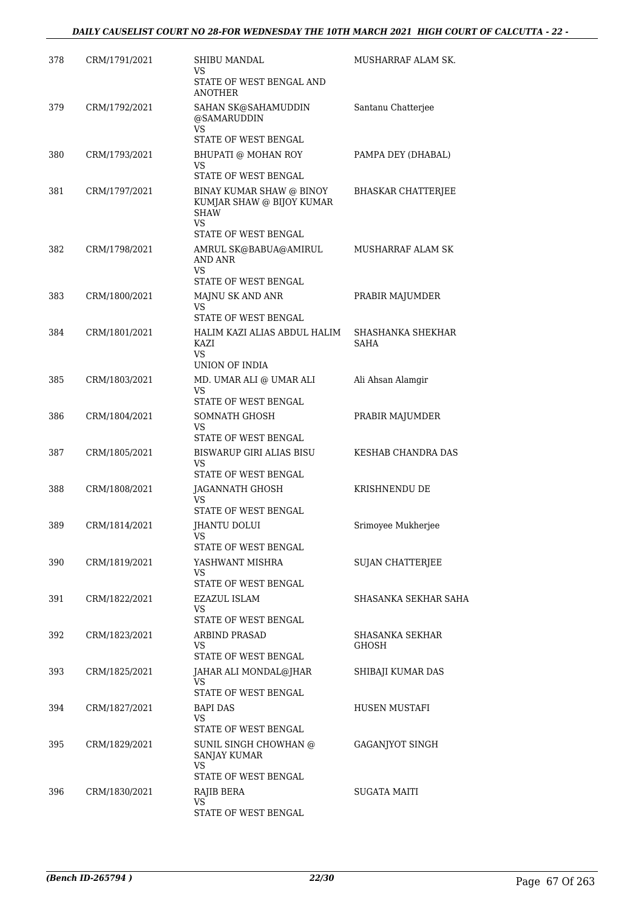| 378 | CRM/1791/2021 | SHIBU MANDAL<br>VS<br>STATE OF WEST BENGAL AND                              | MUSHARRAF ALAM SK.              |
|-----|---------------|-----------------------------------------------------------------------------|---------------------------------|
| 379 | CRM/1792/2021 | <b>ANOTHER</b><br>SAHAN SK@SAHAMUDDIN                                       | Santanu Chatterjee              |
|     |               | @SAMARUDDIN<br><b>VS</b>                                                    |                                 |
|     |               | STATE OF WEST BENGAL                                                        |                                 |
| 380 | CRM/1793/2021 | BHUPATI @ MOHAN ROY<br>VS.<br>STATE OF WEST BENGAL                          | PAMPA DEY (DHABAL)              |
| 381 | CRM/1797/2021 | BINAY KUMAR SHAW @ BINOY<br>KUMJAR SHAW @ BIJOY KUMAR<br><b>SHAW</b><br>VS. | <b>BHASKAR CHATTERJEE</b>       |
|     |               | STATE OF WEST BENGAL                                                        |                                 |
| 382 | CRM/1798/2021 | AMRUL SK@BABUA@AMIRUL<br>AND ANR<br>VS                                      | MUSHARRAF ALAM SK               |
|     |               | STATE OF WEST BENGAL                                                        |                                 |
| 383 | CRM/1800/2021 | MAJNU SK AND ANR<br><b>VS</b>                                               | PRABIR MAJUMDER                 |
| 384 |               | STATE OF WEST BENGAL<br>HALIM KAZI ALIAS ABDUL HALIM                        | SHASHANKA SHEKHAR               |
|     | CRM/1801/2021 | KAZI<br>VS.                                                                 | <b>SAHA</b>                     |
|     |               | UNION OF INDIA                                                              |                                 |
| 385 | CRM/1803/2021 | MD. UMAR ALI @ UMAR ALI<br><b>VS</b><br>STATE OF WEST BENGAL                | Ali Ahsan Alamgir               |
| 386 | CRM/1804/2021 | SOMNATH GHOSH<br>VS<br>STATE OF WEST BENGAL                                 | PRABIR MAJUMDER                 |
| 387 | CRM/1805/2021 | <b>BISWARUP GIRI ALIAS BISU</b><br>VS                                       | KESHAB CHANDRA DAS              |
|     |               | STATE OF WEST BENGAL                                                        |                                 |
| 388 | CRM/1808/2021 | JAGANNATH GHOSH<br>VS<br>STATE OF WEST BENGAL                               | KRISHNENDU DE                   |
| 389 | CRM/1814/2021 | <b>JHANTU DOLUI</b>                                                         | Srimoyee Mukherjee              |
|     |               | STATE OF WEST BENGAL                                                        |                                 |
| 390 | CRM/1819/2021 | YASHWANT MISHRA<br>VS<br>STATE OF WEST BENGAL                               | <b>SUJAN CHATTERJEE</b>         |
| 391 | CRM/1822/2021 | EZAZUL ISLAM                                                                | SHASANKA SEKHAR SAHA            |
|     |               | VS<br>STATE OF WEST BENGAL                                                  |                                 |
| 392 | CRM/1823/2021 | ARBIND PRASAD<br>VS                                                         | SHASANKA SEKHAR<br><b>GHOSH</b> |
|     |               | STATE OF WEST BENGAL                                                        |                                 |
| 393 | CRM/1825/2021 | JAHAR ALI MONDAL@JHAR<br>VS.<br>STATE OF WEST BENGAL                        | SHIBAJI KUMAR DAS               |
| 394 | CRM/1827/2021 | BAPI DAS                                                                    | HUSEN MUSTAFI                   |
|     |               | VS                                                                          |                                 |
| 395 | CRM/1829/2021 | STATE OF WEST BENGAL<br>SUNIL SINGH CHOWHAN @<br><b>SANJAY KUMAR</b>        | GAGANJYOT SINGH                 |
|     |               | VS<br>STATE OF WEST BENGAL                                                  |                                 |
| 396 | CRM/1830/2021 | RAJIB BERA                                                                  | <b>SUGATA MAITI</b>             |
|     |               | VS<br>STATE OF WEST BENGAL                                                  |                                 |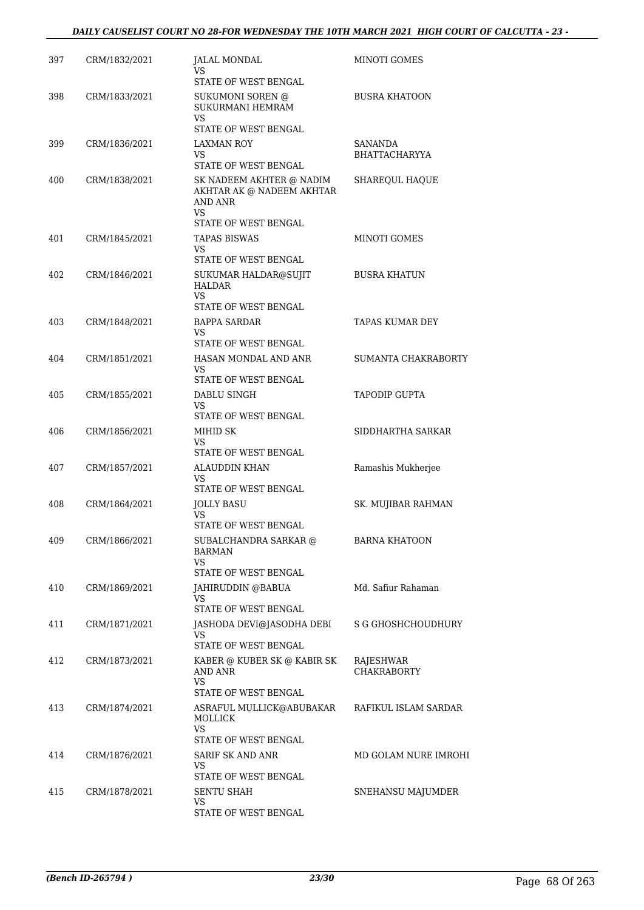| 397 | CRM/1832/2021 | JALAL MONDAL<br>VS<br>STATE OF WEST BENGAL                                            | MINOTI GOMES                    |
|-----|---------------|---------------------------------------------------------------------------------------|---------------------------------|
| 398 | CRM/1833/2021 | SUKUMONI SOREN @<br><b>SUKURMANI HEMRAM</b><br><b>VS</b><br>STATE OF WEST BENGAL      | <b>BUSRA KHATOON</b>            |
| 399 | CRM/1836/2021 | <b>LAXMAN ROY</b><br>VS<br>STATE OF WEST BENGAL                                       | SANANDA<br><b>BHATTACHARYYA</b> |
| 400 | CRM/1838/2021 | SK NADEEM AKHTER @ NADIM<br>AKHTAR AK @ NADEEM AKHTAR<br><b>AND ANR</b><br>VS.        | SHAREQUL HAQUE                  |
| 401 | CRM/1845/2021 | STATE OF WEST BENGAL<br><b>TAPAS BISWAS</b><br><b>VS</b>                              | MINOTI GOMES                    |
| 402 | CRM/1846/2021 | STATE OF WEST BENGAL<br>SUKUMAR HALDAR@SUJIT<br>HALDAR<br>VS.<br>STATE OF WEST BENGAL | <b>BUSRA KHATUN</b>             |
| 403 | CRM/1848/2021 | BAPPA SARDAR<br>VS<br>STATE OF WEST BENGAL                                            | <b>TAPAS KUMAR DEY</b>          |
| 404 | CRM/1851/2021 | HASAN MONDAL AND ANR<br>VS<br>STATE OF WEST BENGAL                                    | SUMANTA CHAKRABORTY             |
| 405 | CRM/1855/2021 | DABLU SINGH<br>VS<br>STATE OF WEST BENGAL                                             | <b>TAPODIP GUPTA</b>            |
| 406 | CRM/1856/2021 | MIHID SK<br><b>VS</b><br>STATE OF WEST BENGAL                                         | SIDDHARTHA SARKAR               |
| 407 | CRM/1857/2021 | <b>ALAUDDIN KHAN</b><br>VS<br>STATE OF WEST BENGAL                                    | Ramashis Mukherjee              |
| 408 | CRM/1864/2021 | <b>JOLLY BASU</b><br>VS<br>STATE OF WEST BENGAL                                       | SK. MUJIBAR RAHMAN              |
| 409 | CRM/1866/2021 | SUBALCHANDRA SARKAR @<br><b>BARMAN</b><br>VS                                          | <b>BARNA KHATOON</b>            |
| 410 | CRM/1869/2021 | STATE OF WEST BENGAL<br>JAHIRUDDIN @BABUA<br>VS<br>STATE OF WEST BENGAL               | Md. Safiur Rahaman              |
| 411 | CRM/1871/2021 | JASHODA DEVI@JASODHA DEBI<br>VS<br>STATE OF WEST BENGAL                               | S G GHOSHCHOUDHURY              |
| 412 | CRM/1873/2021 | KABER @ KUBER SK @ KABIR SK<br>AND ANR<br><b>VS</b>                                   | RAJESHWAR<br><b>CHAKRABORTY</b> |
| 413 | CRM/1874/2021 | STATE OF WEST BENGAL<br>ASRAFUL MULLICK@ABUBAKAR<br><b>MOLLICK</b><br><b>VS</b>       | RAFIKUL ISLAM SARDAR            |
| 414 | CRM/1876/2021 | STATE OF WEST BENGAL<br>SARIF SK AND ANR<br>VS<br>STATE OF WEST BENGAL                | MD GOLAM NURE IMROHI            |
| 415 | CRM/1878/2021 | SENTU SHAH<br>VS<br>STATE OF WEST BENGAL                                              | SNEHANSU MAJUMDER               |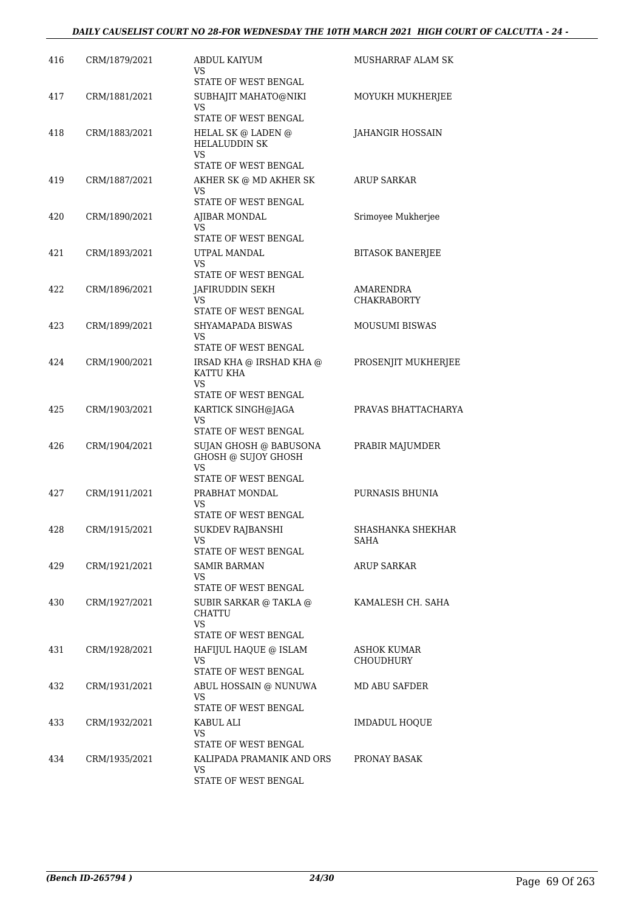| 416 | CRM/1879/2021 | ABDUL KAIYUM<br>VS                                                    | <b>MUSHARRAF ALAM SK</b>         |
|-----|---------------|-----------------------------------------------------------------------|----------------------------------|
|     |               | STATE OF WEST BENGAL                                                  |                                  |
| 417 | CRM/1881/2021 | SUBHAJIT MAHATO@NIKI<br>VS<br>STATE OF WEST BENGAL                    | MOYUKH MUKHERJEE                 |
| 418 | CRM/1883/2021 | HELAL SK @ LADEN @<br><b>HELALUDDIN SK</b><br><b>VS</b>               | JAHANGIR HOSSAIN                 |
|     |               | STATE OF WEST BENGAL                                                  |                                  |
| 419 | CRM/1887/2021 | AKHER SK @ MD AKHER SK<br>VS<br>STATE OF WEST BENGAL                  | <b>ARUP SARKAR</b>               |
| 420 | CRM/1890/2021 | AJIBAR MONDAL<br>VS<br>STATE OF WEST BENGAL                           | Srimoyee Mukherjee               |
| 421 | CRM/1893/2021 | UTPAL MANDAL<br><b>VS</b>                                             | <b>BITASOK BANERJEE</b>          |
| 422 | CRM/1896/2021 | STATE OF WEST BENGAL<br>JAFIRUDDIN SEKH<br><b>VS</b>                  | AMARENDRA<br><b>CHAKRABORTY</b>  |
|     |               | STATE OF WEST BENGAL                                                  |                                  |
| 423 | CRM/1899/2021 | SHYAMAPADA BISWAS<br>VS<br>STATE OF WEST BENGAL                       | <b>MOUSUMI BISWAS</b>            |
| 424 | CRM/1900/2021 | IRSAD KHA @ IRSHAD KHA @<br>KATTU KHA<br><b>VS</b>                    | PROSENJIT MUKHERJEE              |
|     |               | STATE OF WEST BENGAL                                                  |                                  |
| 425 | CRM/1903/2021 | KARTICK SINGH@JAGA<br>VS<br>STATE OF WEST BENGAL                      | PRAVAS BHATTACHARYA              |
| 426 | CRM/1904/2021 | SUJAN GHOSH @ BABUSONA<br>GHOSH @ SUJOY GHOSH<br><b>VS</b>            | PRABIR MAJUMDER                  |
| 427 | CRM/1911/2021 | STATE OF WEST BENGAL<br>PRABHAT MONDAL<br>VS                          | PURNASIS BHUNIA                  |
| 428 | CRM/1915/2021 | STATE OF WEST BENGAL<br>SUKDEV RAJBANSHI<br>VS                        | SHASHANKA SHEKHAR<br><b>SAHA</b> |
|     |               | STATE OF WEST BENGAL                                                  |                                  |
| 429 | CRM/1921/2021 | SAMIR BARMAN<br>VS<br>STATE OF WEST BENGAL                            | <b>ARUP SARKAR</b>               |
| 430 | CRM/1927/2021 | SUBIR SARKAR @ TAKLA @<br>CHATTU<br><b>VS</b><br>STATE OF WEST BENGAL | KAMALESH CH. SAHA                |
| 431 | CRM/1928/2021 | HAFIJUL HAQUE @ ISLAM<br>VS<br>STATE OF WEST BENGAL                   | ASHOK KUMAR<br><b>CHOUDHURY</b>  |
| 432 | CRM/1931/2021 | ABUL HOSSAIN @ NUNUWA<br>VS<br>STATE OF WEST BENGAL                   | MD ABU SAFDER                    |
| 433 | CRM/1932/2021 | KABUL ALI<br>VS<br>STATE OF WEST BENGAL                               | <b>IMDADUL HOQUE</b>             |
| 434 | CRM/1935/2021 | KALIPADA PRAMANIK AND ORS<br>VS.<br>STATE OF WEST BENGAL              | PRONAY BASAK                     |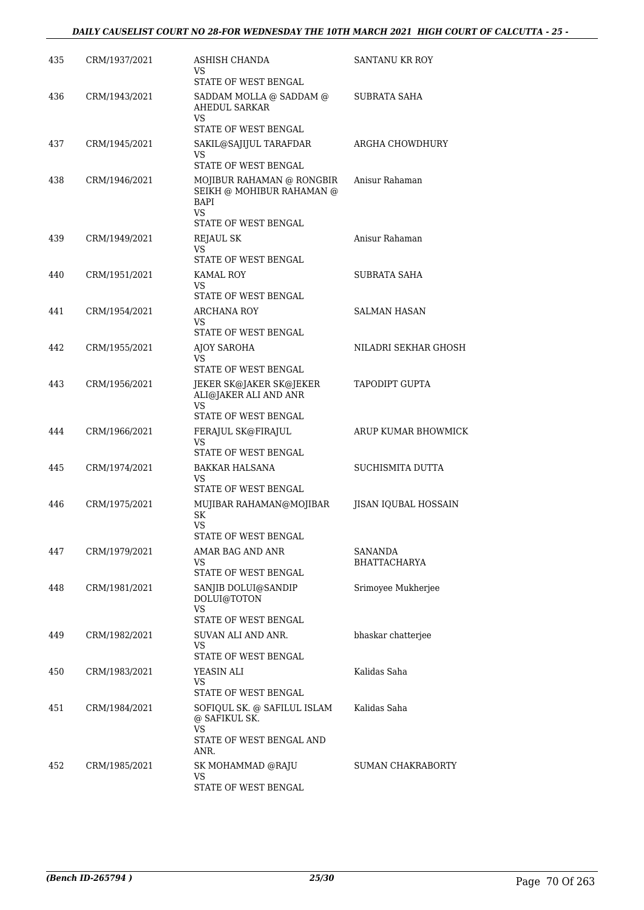| 435 | CRM/1937/2021 | ASHISH CHANDA<br>VS                                                     | SANTANU KR ROY                        |
|-----|---------------|-------------------------------------------------------------------------|---------------------------------------|
| 436 | CRM/1943/2021 | STATE OF WEST BENGAL<br>SADDAM MOLLA @ SADDAM @<br><b>AHEDUL SARKAR</b> | SUBRATA SAHA                          |
|     |               | VS<br><b>STATE OF WEST BENGAL</b>                                       |                                       |
| 437 | CRM/1945/2021 | SAKIL@SAJIJUL TARAFDAR<br>VS                                            | ARGHA CHOWDHURY                       |
|     |               | STATE OF WEST BENGAL                                                    |                                       |
| 438 | CRM/1946/2021 | MOJIBUR RAHAMAN @ RONGBIR<br>SEIKH @ MOHIBUR RAHAMAN @<br>BAPI<br>VS    | Anisur Rahaman                        |
|     |               | STATE OF WEST BENGAL                                                    |                                       |
| 439 | CRM/1949/2021 | REJAUL SK<br>VS                                                         | Anisur Rahaman                        |
|     |               | STATE OF WEST BENGAL                                                    |                                       |
| 440 | CRM/1951/2021 | <b>KAMAL ROY</b><br>VS<br>STATE OF WEST BENGAL                          | SUBRATA SAHA                          |
| 441 | CRM/1954/2021 | <b>ARCHANA ROY</b>                                                      | <b>SALMAN HASAN</b>                   |
|     |               | VS<br>STATE OF WEST BENGAL                                              |                                       |
| 442 | CRM/1955/2021 | AJOY SAROHA                                                             | NILADRI SEKHAR GHOSH                  |
|     |               | VS<br>STATE OF WEST BENGAL                                              |                                       |
| 443 | CRM/1956/2021 | JEKER SK@JAKER SK@JEKER                                                 | TAPODIPT GUPTA                        |
|     |               | ALI@JAKER ALI AND ANR<br>VS                                             |                                       |
|     |               | STATE OF WEST BENGAL                                                    |                                       |
| 444 | CRM/1966/2021 | FERAJUL SK@FIRAJUL<br><b>VS</b><br>STATE OF WEST BENGAL                 | ARUP KUMAR BHOWMICK                   |
| 445 | CRM/1974/2021 | <b>BAKKAR HALSANA</b><br>VS                                             | SUCHISMITA DUTTA                      |
|     |               | STATE OF WEST BENGAL                                                    |                                       |
| 446 | CRM/1975/2021 | MUJIBAR RAHAMAN@MOJIBAR<br><b>SK</b><br><b>VS</b>                       | JISAN IQUBAL HOSSAIN                  |
|     |               | STATE OF WEST BENGAL                                                    |                                       |
| 447 | CRM/1979/2021 | AMAR BAG AND ANR<br>VS                                                  | <b>SANANDA</b><br><b>BHATTACHARYA</b> |
|     |               | STATE OF WEST BENGAL                                                    |                                       |
| 448 | CRM/1981/2021 | SANJIB DOLUI@SANDIP<br>DOLUI@TOTON<br>VS.                               | Srimoyee Mukherjee                    |
|     |               | STATE OF WEST BENGAL                                                    |                                       |
| 449 | CRM/1982/2021 | SUVAN ALI AND ANR.<br>VS.<br>STATE OF WEST BENGAL                       | bhaskar chatterjee                    |
| 450 | CRM/1983/2021 | YEASIN ALI                                                              | Kalidas Saha                          |
|     |               | VS.                                                                     |                                       |
| 451 | CRM/1984/2021 | STATE OF WEST BENGAL<br>SOFIQUL SK. @ SAFILUL ISLAM                     | Kalidas Saha                          |
|     |               | @ SAFIKUL SK.<br>VS                                                     |                                       |
|     |               | STATE OF WEST BENGAL AND<br>ANR.                                        |                                       |
| 452 | CRM/1985/2021 | SK MOHAMMAD @RAJU                                                       | SUMAN CHAKRABORTY                     |
|     |               | VS<br>STATE OF WEST BENGAL                                              |                                       |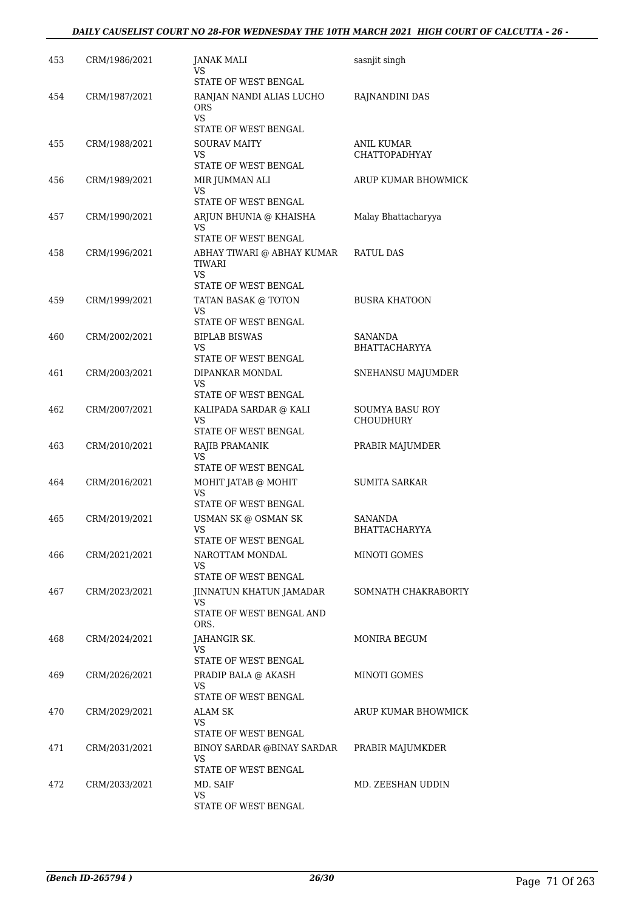## *DAILY CAUSELIST COURT NO 28-FOR WEDNESDAY THE 10TH MARCH 2021 HIGH COURT OF CALCUTTA - 26 -*

| 453 | CRM/1986/2021 | <b>JANAK MALI</b><br>VS<br>STATE OF WEST BENGAL                               | sasnjit singh                             |
|-----|---------------|-------------------------------------------------------------------------------|-------------------------------------------|
| 454 | CRM/1987/2021 | RANJAN NANDI ALIAS LUCHO<br><b>ORS</b><br>VS.<br>STATE OF WEST BENGAL         | RAJNANDINI DAS                            |
| 455 | CRM/1988/2021 | <b>SOURAV MAITY</b><br>VS<br>STATE OF WEST BENGAL                             | <b>ANIL KUMAR</b><br><b>CHATTOPADHYAY</b> |
| 456 | CRM/1989/2021 | MIR JUMMAN ALI<br>VS                                                          | ARUP KUMAR BHOWMICK                       |
| 457 | CRM/1990/2021 | STATE OF WEST BENGAL<br>ARJUN BHUNIA @ KHAISHA<br>VS.<br>STATE OF WEST BENGAL | Malay Bhattacharyya                       |
| 458 | CRM/1996/2021 | ABHAY TIWARI @ ABHAY KUMAR<br><b>TIWARI</b><br>VS.                            | <b>RATUL DAS</b>                          |
| 459 | CRM/1999/2021 | STATE OF WEST BENGAL<br>TATAN BASAK @ TOTON<br>VS<br>STATE OF WEST BENGAL     | <b>BUSRA KHATOON</b>                      |
| 460 | CRM/2002/2021 | <b>BIPLAB BISWAS</b><br>VS.<br>STATE OF WEST BENGAL                           | <b>SANANDA</b><br><b>BHATTACHARYYA</b>    |
| 461 | CRM/2003/2021 | DIPANKAR MONDAL<br>VS.<br>STATE OF WEST BENGAL                                | SNEHANSU MAJUMDER                         |
| 462 | CRM/2007/2021 | KALIPADA SARDAR @ KALI<br>VS<br>STATE OF WEST BENGAL                          | SOUMYA BASU ROY<br><b>CHOUDHURY</b>       |
| 463 | CRM/2010/2021 | RAJIB PRAMANIK<br>VS<br>STATE OF WEST BENGAL                                  | PRABIR MAJUMDER                           |
| 464 | CRM/2016/2021 | MOHIT JATAB @ MOHIT<br>VS.<br>STATE OF WEST BENGAL                            | <b>SUMITA SARKAR</b>                      |
| 465 | CRM/2019/2021 | USMAN SK @ OSMAN SK<br><b>VS</b><br>STATE OF WEST BENGAL                      | <b>SANANDA</b><br>BHATTACHARYYA           |
| 466 | CRM/2021/2021 | NAROTTAM MONDAL<br>VS.<br>STATE OF WEST BENGAL                                | MINOTI GOMES                              |
| 467 | CRM/2023/2021 | JINNATUN KHATUN JAMADAR<br>VS<br>STATE OF WEST BENGAL AND<br>ORS.             | SOMNATH CHAKRABORTY                       |
| 468 | CRM/2024/2021 | JAHANGIR SK.<br>VS                                                            | MONIRA BEGUM                              |
| 469 | CRM/2026/2021 | STATE OF WEST BENGAL<br>PRADIP BALA @ AKASH<br>VS<br>STATE OF WEST BENGAL     | MINOTI GOMES                              |
| 470 | CRM/2029/2021 | ALAM SK<br>VS<br>STATE OF WEST BENGAL                                         | ARUP KUMAR BHOWMICK                       |
| 471 | CRM/2031/2021 | BINOY SARDAR @BINAY SARDAR<br>VS.<br>STATE OF WEST BENGAL                     | PRABIR MAJUMKDER                          |
| 472 | CRM/2033/2021 | MD. SAIF<br>VS.<br>STATE OF WEST BENGAL                                       | MD. ZEESHAN UDDIN                         |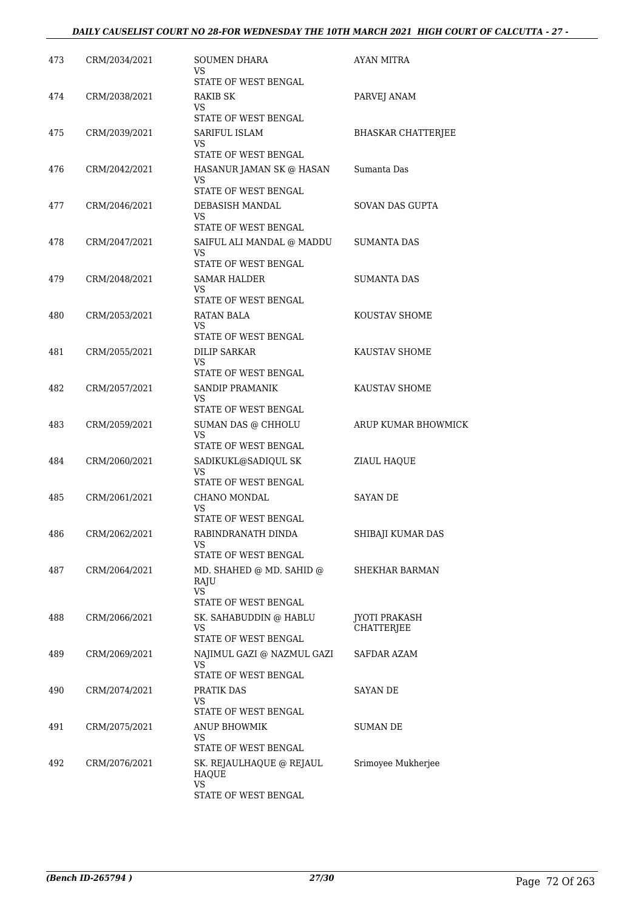| 473 | CRM/2034/2021 | SOUMEN DHARA<br>VS<br>STATE OF WEST BENGAL              | AYAN MITRA                |
|-----|---------------|---------------------------------------------------------|---------------------------|
| 474 | CRM/2038/2021 | RAKIB SK<br>VS                                          | PARVEJ ANAM               |
|     |               | STATE OF WEST BENGAL                                    |                           |
| 475 | CRM/2039/2021 | SARIFUL ISLAM<br>VS<br>STATE OF WEST BENGAL             | <b>BHASKAR CHATTERJEE</b> |
| 476 |               | HASANUR JAMAN SK @ HASAN                                | Sumanta Das               |
|     | CRM/2042/2021 | VS<br>STATE OF WEST BENGAL                              |                           |
| 477 | CRM/2046/2021 | DEBASISH MANDAL                                         | <b>SOVAN DAS GUPTA</b>    |
|     |               | VS                                                      |                           |
|     |               | STATE OF WEST BENGAL                                    |                           |
| 478 | CRM/2047/2021 | SAIFUL ALI MANDAL @ MADDU<br>VS<br>STATE OF WEST BENGAL | SUMANTA DAS               |
| 479 | CRM/2048/2021 | SAMAR HALDER                                            | <b>SUMANTA DAS</b>        |
|     |               | VS<br>STATE OF WEST BENGAL                              |                           |
| 480 | CRM/2053/2021 | RATAN BALA                                              | KOUSTAV SHOME             |
|     |               | <b>VS</b><br>STATE OF WEST BENGAL                       |                           |
| 481 | CRM/2055/2021 | <b>DILIP SARKAR</b>                                     | KAUSTAV SHOME             |
|     |               | VS                                                      |                           |
|     |               | STATE OF WEST BENGAL                                    |                           |
| 482 | CRM/2057/2021 | SANDIP PRAMANIK<br>VS<br>STATE OF WEST BENGAL           | KAUSTAV SHOME             |
| 483 | CRM/2059/2021 | SUMAN DAS @ CHHOLU                                      | ARUP KUMAR BHOWMICK       |
|     |               | VS                                                      |                           |
|     |               | STATE OF WEST BENGAL                                    |                           |
| 484 | CRM/2060/2021 | SADIKUKL@SADIQUL SK<br>VS<br>STATE OF WEST BENGAL       | ZIAUL HAQUE               |
| 485 | CRM/2061/2021 | CHANO MONDAL                                            | <b>SAYAN DE</b>           |
|     |               | VS<br>STATE OF WEST BENGAL                              |                           |
| 486 | CRM/2062/2021 | RABINDRANATH DINDA                                      | SHIBAJI KUMAR DAS         |
|     |               | VS<br>STATE OF WEST BENGAL                              |                           |
| 487 | CRM/2064/2021 | MD. SHAHED @ MD. SAHID @<br>RAJU<br><b>VS</b>           | SHEKHAR BARMAN            |
|     |               | STATE OF WEST BENGAL                                    |                           |
| 488 | CRM/2066/2021 | SK. SAHABUDDIN @ HABLU                                  | <b>JYOTI PRAKASH</b>      |
|     |               | VS<br>STATE OF WEST BENGAL                              | <b>CHATTERJEE</b>         |
| 489 | CRM/2069/2021 | NAJIMUL GAZI @ NAZMUL GAZI                              | SAFDAR AZAM               |
|     |               | VS<br>STATE OF WEST BENGAL                              |                           |
| 490 | CRM/2074/2021 | PRATIK DAS                                              | SAYAN DE                  |
|     |               | VS<br>STATE OF WEST BENGAL                              |                           |
| 491 | CRM/2075/2021 | ANUP BHOWMIK                                            | SUMAN DE                  |
|     |               | VS.                                                     |                           |
|     |               | STATE OF WEST BENGAL                                    |                           |
| 492 | CRM/2076/2021 | SK. REJAULHAQUE @ REJAUL<br>HAQUE<br><b>VS</b>          | Srimoyee Mukherjee        |
|     |               | STATE OF WEST BENGAL                                    |                           |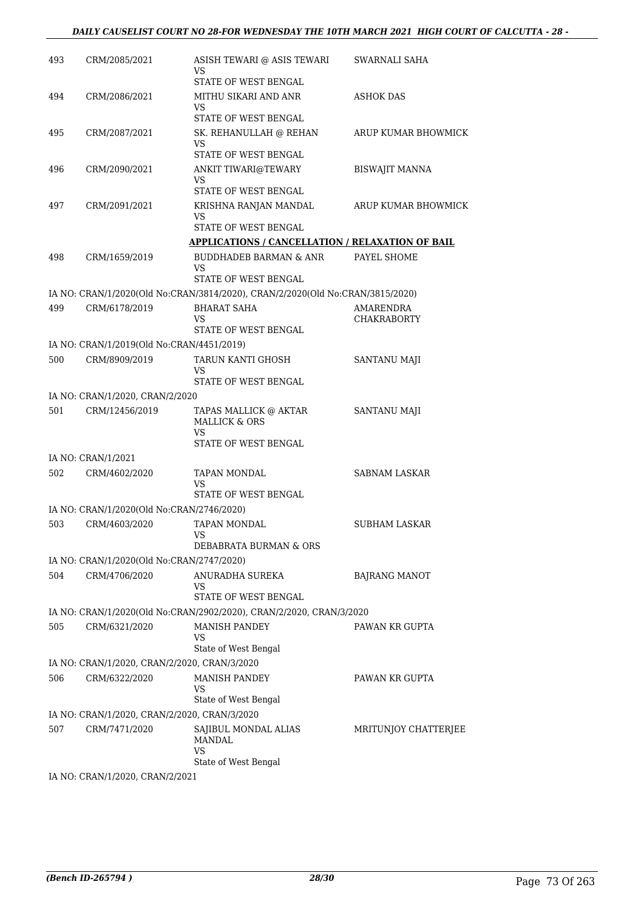## *DAILY CAUSELIST COURT NO 28-FOR WEDNESDAY THE 10TH MARCH 2021 HIGH COURT OF CALCUTTA - 28 -*

| 493 | CRM/2085/2021                                | ASISH TEWARI @ ASIS TEWARI<br>VS<br>STATE OF WEST BENGAL                      | SWARNALI SAHA                          |
|-----|----------------------------------------------|-------------------------------------------------------------------------------|----------------------------------------|
| 494 | CRM/2086/2021                                | MITHU SIKARI AND ANR                                                          | ASHOK DAS                              |
|     |                                              | VS<br>STATE OF WEST BENGAL                                                    |                                        |
| 495 | CRM/2087/2021                                | SK. REHANULLAH @ REHAN<br>VS                                                  | ARUP KUMAR BHOWMICK                    |
|     |                                              | <b>STATE OF WEST BENGAL</b>                                                   |                                        |
| 496 | CRM/2090/2021                                | ANKIT TIWARI@TEWARY<br>VS                                                     | <b>BISWAJIT MANNA</b>                  |
|     |                                              | STATE OF WEST BENGAL                                                          |                                        |
| 497 | CRM/2091/2021                                | KRISHNA RANJAN MANDAL<br>VS<br>STATE OF WEST BENGAL                           | ARUP KUMAR BHOWMICK                    |
|     |                                              | <b>APPLICATIONS / CANCELLATION / RELAXATION OF BAIL</b>                       |                                        |
| 498 | CRM/1659/2019                                | <b>BUDDHADEB BARMAN &amp; ANR</b>                                             | PAYEL SHOME                            |
|     |                                              | VS<br>STATE OF WEST BENGAL                                                    |                                        |
|     |                                              | IA NO: CRAN/1/2020(Old No:CRAN/3814/2020), CRAN/2/2020(Old No:CRAN/3815/2020) |                                        |
| 499 | CRM/6178/2019                                | <b>BHARAT SAHA</b><br>VS.                                                     | <b>AMARENDRA</b><br><b>CHAKRABORTY</b> |
|     |                                              | STATE OF WEST BENGAL                                                          |                                        |
|     | IA NO: CRAN/1/2019(Old No:CRAN/4451/2019)    |                                                                               |                                        |
| 500 | CRM/8909/2019                                | TARUN KANTI GHOSH<br>VS<br>STATE OF WEST BENGAL                               | SANTANU MAJI                           |
|     | IA NO: CRAN/1/2020, CRAN/2/2020              |                                                                               |                                        |
| 501 | CRM/12456/2019                               | TAPAS MALLICK @ AKTAR<br><b>MALLICK &amp; ORS</b><br><b>VS</b>                | SANTANU MAJI                           |
|     |                                              | STATE OF WEST BENGAL                                                          |                                        |
|     | IA NO: CRAN/1/2021                           |                                                                               |                                        |
| 502 | CRM/4602/2020                                | <b>TAPAN MONDAL</b><br>VS<br>STATE OF WEST BENGAL                             | <b>SABNAM LASKAR</b>                   |
|     | IA NO: CRAN/1/2020(Old No:CRAN/2746/2020)    |                                                                               |                                        |
| 503 | CRM/4603/2020                                | <b>TAPAN MONDAL</b>                                                           | SUBHAM LASKAR                          |
|     |                                              | DEBABRATA BURMAN & ORS                                                        |                                        |
|     | IA NO: CRAN/1/2020(Old No:CRAN/2747/2020)    |                                                                               |                                        |
| 504 | CRM/4706/2020                                | ANURADHA SUREKA<br>VS<br>STATE OF WEST BENGAL                                 | <b>BAJRANG MANOT</b>                   |
|     |                                              | IA NO: CRAN/1/2020(Old No:CRAN/2902/2020), CRAN/2/2020, CRAN/3/2020           |                                        |
| 505 | CRM/6321/2020                                | <b>MANISH PANDEY</b>                                                          | PAWAN KR GUPTA                         |
|     |                                              | VS<br>State of West Bengal                                                    |                                        |
|     | IA NO: CRAN/1/2020, CRAN/2/2020, CRAN/3/2020 |                                                                               |                                        |
| 506 | CRM/6322/2020                                | <b>MANISH PANDEY</b><br>VS                                                    | PAWAN KR GUPTA                         |
|     |                                              | State of West Bengal                                                          |                                        |
|     | IA NO: CRAN/1/2020, CRAN/2/2020, CRAN/3/2020 |                                                                               |                                        |
| 507 | CRM/7471/2020                                | SAJIBUL MONDAL ALIAS<br><b>MANDAL</b><br>VS                                   | MRITUNJOY CHATTERJEE                   |
|     |                                              | State of West Bengal                                                          |                                        |
|     | IA NO: CRAN/1/2020, CRAN/2/2021              |                                                                               |                                        |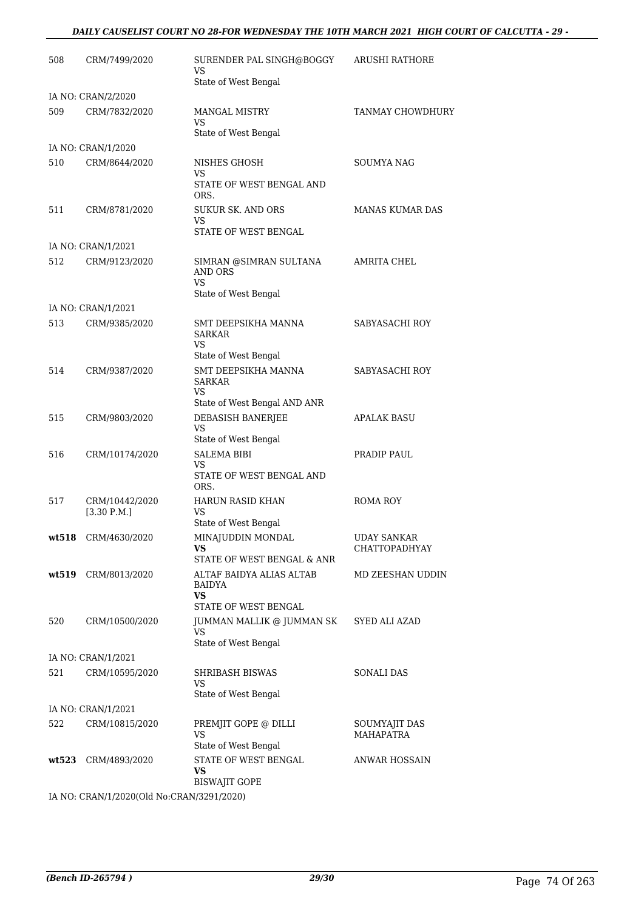#### *DAILY CAUSELIST COURT NO 28-FOR WEDNESDAY THE 10TH MARCH 2021 HIGH COURT OF CALCUTTA - 29 -*

| 508   | CRM/7499/2020                 | SURENDER PAL SINGH@BOGGY<br>VS                            | ARUSHI RATHORE                    |
|-------|-------------------------------|-----------------------------------------------------------|-----------------------------------|
|       |                               | State of West Bengal                                      |                                   |
| 509   | IA NO: CRAN/2/2020            |                                                           | <b>TANMAY CHOWDHURY</b>           |
|       | CRM/7832/2020                 | <b>MANGAL MISTRY</b><br>VS                                |                                   |
|       |                               | State of West Bengal                                      |                                   |
|       | IA NO: CRAN/1/2020            |                                                           |                                   |
| 510   | CRM/8644/2020                 | NISHES GHOSH<br>VS                                        | <b>SOUMYA NAG</b>                 |
|       |                               | STATE OF WEST BENGAL AND<br>ORS.                          |                                   |
| 511   | CRM/8781/2020                 | <b>SUKUR SK. AND ORS</b><br>VS                            | <b>MANAS KUMAR DAS</b>            |
|       | IA NO: CRAN/1/2021            | STATE OF WEST BENGAL                                      |                                   |
| 512   | CRM/9123/2020                 | SIMRAN @SIMRAN SULTANA                                    | AMRITA CHEL                       |
|       |                               | <b>AND ORS</b><br>VS                                      |                                   |
|       |                               | State of West Bengal                                      |                                   |
|       | IA NO: CRAN/1/2021            |                                                           |                                   |
| 513   | CRM/9385/2020                 | SMT DEEPSIKHA MANNA<br><b>SARKAR</b><br>VS                | SABYASACHI ROY                    |
|       |                               | State of West Bengal                                      |                                   |
| 514   | CRM/9387/2020                 | SMT DEEPSIKHA MANNA<br><b>SARKAR</b><br>VS                | SABYASACHI ROY                    |
|       |                               | State of West Bengal AND ANR                              |                                   |
| 515   | CRM/9803/2020                 | DEBASISH BANERJEE<br><b>VS</b>                            | <b>APALAK BASU</b>                |
| 516   | CRM/10174/2020                | State of West Bengal<br><b>SALEMA BIBI</b>                | PRADIP PAUL                       |
|       |                               | <b>VS</b>                                                 |                                   |
|       |                               | STATE OF WEST BENGAL AND<br>ORS.                          |                                   |
| 517   | CRM/10442/2020<br>[3.30 P.M.] | <b>HARUN RASID KHAN</b><br>VS<br>State of West Bengal     | ROMA ROY                          |
| wt518 | CRM/4630/2020                 | MINAJUDDIN MONDAL                                         | <b>UDAY SANKAR</b>                |
|       |                               | VS                                                        | <b>CHATTOPADHYAY</b>              |
|       |                               | STATE OF WEST BENGAL & ANR                                |                                   |
|       | wt519 CRM/8013/2020           | ALTAF BAIDYA ALIAS ALTAB<br>BAIDYA<br>VS                  | MD ZEESHAN UDDIN                  |
|       |                               | STATE OF WEST BENGAL                                      |                                   |
| 520   | CRM/10500/2020                | JUMMAN MALLIK @ JUMMAN SK<br>VS<br>State of West Bengal   | SYED ALI AZAD                     |
|       | IA NO: CRAN/1/2021            |                                                           |                                   |
| 521   | CRM/10595/2020                | SHRIBASH BISWAS                                           | SONALI DAS                        |
|       |                               | <b>VS</b><br>State of West Bengal                         |                                   |
|       | IA NO: CRAN/1/2021            |                                                           |                                   |
| 522   | CRM/10815/2020                | PREMJIT GOPE @ DILLI<br><b>VS</b>                         | SOUMYAJIT DAS<br><b>MAHAPATRA</b> |
|       |                               | State of West Bengal                                      |                                   |
|       | wt523 CRM/4893/2020           | STATE OF WEST BENGAL<br><b>VS</b><br><b>BISWAJIT GOPE</b> | ANWAR HOSSAIN                     |
|       | 1000010111                    |                                                           |                                   |

IA NO: CRAN/1/2020(Old No:CRAN/3291/2020)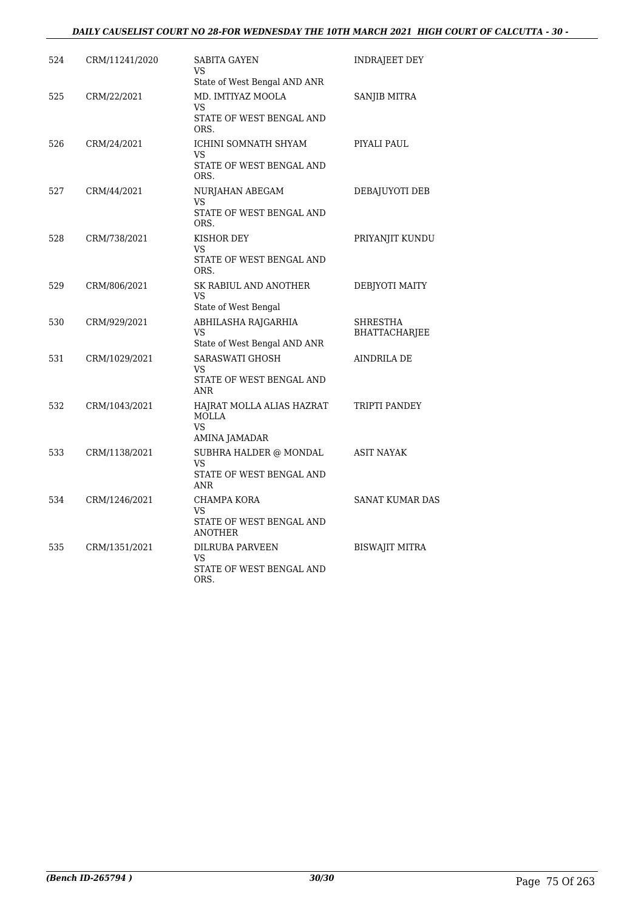## *DAILY CAUSELIST COURT NO 28-FOR WEDNESDAY THE 10TH MARCH 2021 HIGH COURT OF CALCUTTA - 30 -*

| 524 | CRM/11241/2020 | SABITA GAYEN<br>VS                                                            | <b>INDRAJEET DEY</b>                    |
|-----|----------------|-------------------------------------------------------------------------------|-----------------------------------------|
|     |                | State of West Bengal AND ANR                                                  |                                         |
| 525 | CRM/22/2021    | MD. IMTIYAZ MOOLA<br>VS<br>STATE OF WEST BENGAL AND<br>ORS.                   | <b>SANJIB MITRA</b>                     |
| 526 | CRM/24/2021    | ICHINI SOMNATH SHYAM<br><b>VS</b><br>STATE OF WEST BENGAL AND<br>ORS.         | PIYALI PAUL                             |
| 527 | CRM/44/2021    | NURJAHAN ABEGAM<br>VS<br>STATE OF WEST BENGAL AND<br>ORS.                     | DEBAJUYOTI DEB                          |
| 528 | CRM/738/2021   | KISHOR DEY<br>VS<br>STATE OF WEST BENGAL AND<br>ORS.                          | PRIYANJIT KUNDU                         |
| 529 | CRM/806/2021   | SK RABIUL AND ANOTHER<br><b>VS</b><br>State of West Bengal                    | DEBJYOTI MAITY                          |
| 530 | CRM/929/2021   | ABHILASHA RAJGARHIA<br><b>VS</b><br>State of West Bengal AND ANR              | <b>SHRESTHA</b><br><b>BHATTACHARJEE</b> |
| 531 | CRM/1029/2021  | <b>SARASWATI GHOSH</b><br><b>VS</b><br>STATE OF WEST BENGAL AND<br><b>ANR</b> | AINDRILA DE                             |
| 532 | CRM/1043/2021  | HAJRAT MOLLA ALIAS HAZRAT<br>MOLLA<br><b>VS</b><br>AMINA JAMADAR              | TRIPTI PANDEY                           |
| 533 | CRM/1138/2021  | SUBHRA HALDER @ MONDAL<br><b>VS</b><br>STATE OF WEST BENGAL AND<br>ANR        | <b>ASIT NAYAK</b>                       |
| 534 | CRM/1246/2021  | CHAMPA KORA<br><b>VS</b><br>STATE OF WEST BENGAL AND<br><b>ANOTHER</b>        | SANAT KUMAR DAS                         |
| 535 | CRM/1351/2021  | DILRUBA PARVEEN<br>VS<br>STATE OF WEST BENGAL AND<br>ORS.                     | <b>BISWAJIT MITRA</b>                   |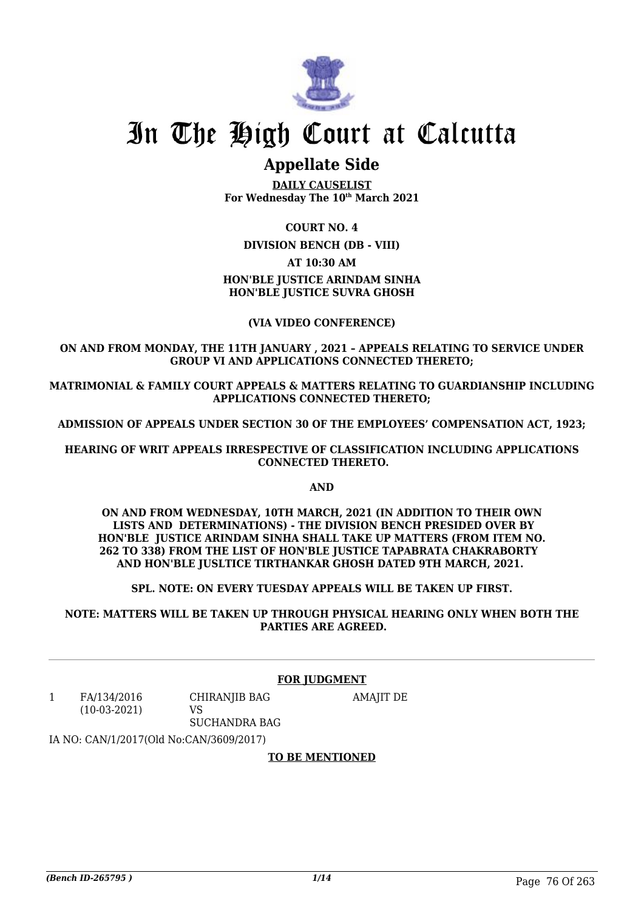

# In The High Court at Calcutta

# **Appellate Side**

**DAILY CAUSELIST For Wednesday The 10th March 2021**

# **COURT NO. 4**

**DIVISION BENCH (DB - VIII)**

# **AT 10:30 AM**

# **HON'BLE JUSTICE ARINDAM SINHA HON'BLE JUSTICE SUVRA GHOSH**

# **(VIA VIDEO CONFERENCE)**

### **ON AND FROM MONDAY, THE 11TH JANUARY , 2021 – APPEALS RELATING TO SERVICE UNDER GROUP VI AND APPLICATIONS CONNECTED THERETO;**

**MATRIMONIAL & FAMILY COURT APPEALS & MATTERS RELATING TO GUARDIANSHIP INCLUDING APPLICATIONS CONNECTED THERETO;**

**ADMISSION OF APPEALS UNDER SECTION 30 OF THE EMPLOYEES' COMPENSATION ACT, 1923;**

**HEARING OF WRIT APPEALS IRRESPECTIVE OF CLASSIFICATION INCLUDING APPLICATIONS CONNECTED THERETO.**

**AND**

**ON AND FROM WEDNESDAY, 10TH MARCH, 2021 (IN ADDITION TO THEIR OWN LISTS AND DETERMINATIONS) - THE DIVISION BENCH PRESIDED OVER BY HON'BLE JUSTICE ARINDAM SINHA SHALL TAKE UP MATTERS (FROM ITEM NO. 262 TO 338) FROM THE LIST OF HON'BLE JUSTICE TAPABRATA CHAKRABORTY AND HON'BLE JUSLTICE TIRTHANKAR GHOSH DATED 9TH MARCH, 2021.** 

**SPL. NOTE: ON EVERY TUESDAY APPEALS WILL BE TAKEN UP FIRST.**

**NOTE: MATTERS WILL BE TAKEN UP THROUGH PHYSICAL HEARING ONLY WHEN BOTH THE PARTIES ARE AGREED.**

### **FOR JUDGMENT**

AMAJIT DE

1 FA/134/2016 (10-03-2021) CHIRANJIB BAG VS SUCHANDRA BAG

IA NO: CAN/1/2017(Old No:CAN/3609/2017)

# **TO BE MENTIONED**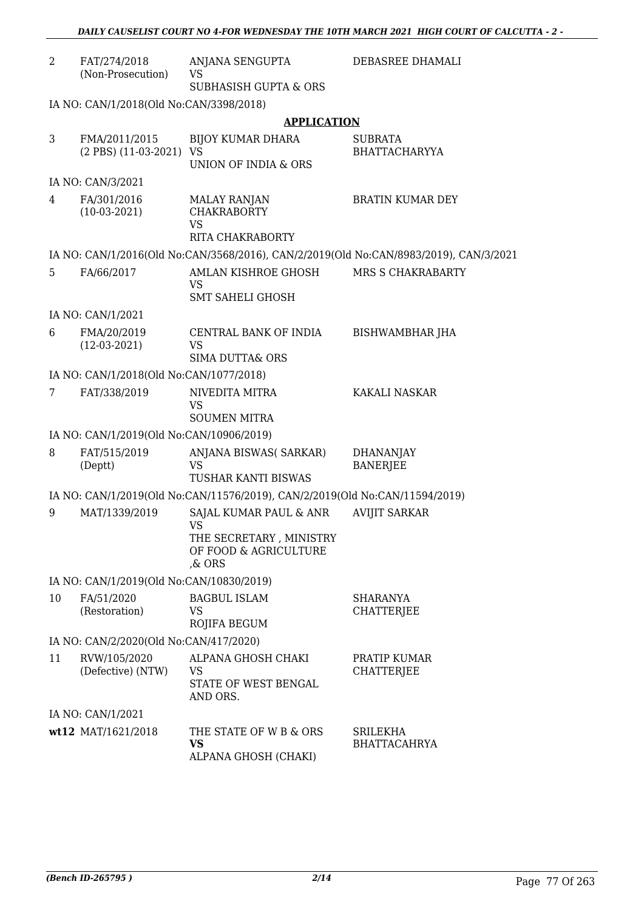| $\overline{2}$ | FAT/274/2018<br>(Non-Prosecution)        | ANJANA SENGUPTA<br><b>VS</b>                                                               | DEBASREE DHAMALI                                                                      |
|----------------|------------------------------------------|--------------------------------------------------------------------------------------------|---------------------------------------------------------------------------------------|
|                |                                          | <b>SUBHASISH GUPTA &amp; ORS</b>                                                           |                                                                                       |
|                | IA NO: CAN/1/2018(Old No:CAN/3398/2018)  |                                                                                            |                                                                                       |
|                |                                          | <b>APPLICATION</b>                                                                         |                                                                                       |
| 3              | FMA/2011/2015<br>(2 PBS) (11-03-2021) VS | <b>BIJOY KUMAR DHARA</b><br>UNION OF INDIA & ORS                                           | SUBRATA<br><b>BHATTACHARYYA</b>                                                       |
|                | IA NO: CAN/3/2021                        |                                                                                            |                                                                                       |
| 4              | FA/301/2016<br>$(10-03-2021)$            | <b>MALAY RANJAN</b><br><b>CHAKRABORTY</b><br><b>VS</b><br>RITA CHAKRABORTY                 | <b>BRATIN KUMAR DEY</b>                                                               |
|                |                                          |                                                                                            | IA NO: CAN/1/2016(Old No:CAN/3568/2016), CAN/2/2019(Old No:CAN/8983/2019), CAN/3/2021 |
| 5.             | FA/66/2017                               | AMLAN KISHROE GHOSH<br><b>VS</b><br>SMT SAHELI GHOSH                                       | MRS S CHAKRABARTY                                                                     |
|                | IA NO: CAN/1/2021                        |                                                                                            |                                                                                       |
| 6              | FMA/20/2019<br>$(12-03-2021)$            | CENTRAL BANK OF INDIA<br>VS<br>SIMA DUTTA& ORS                                             | BISHWAMBHAR JHA                                                                       |
|                | IA NO: CAN/1/2018(Old No:CAN/1077/2018)  |                                                                                            |                                                                                       |
| 7              | FAT/338/2019                             | NIVEDITA MITRA<br>VS                                                                       | KAKALI NASKAR                                                                         |
|                |                                          | <b>SOUMEN MITRA</b>                                                                        |                                                                                       |
|                | IA NO: CAN/1/2019(Old No:CAN/10906/2019) |                                                                                            |                                                                                       |
| 8              | FAT/515/2019<br>(Deptt)                  | ANJANA BISWAS( SARKAR)<br>VS<br>TUSHAR KANTI BISWAS                                        | <b>DHANANJAY</b><br><b>BANERJEE</b>                                                   |
|                |                                          | IA NO: CAN/1/2019(Old No:CAN/11576/2019), CAN/2/2019(Old No:CAN/11594/2019)                |                                                                                       |
| 9              | MAT/1339/2019                            | SAJAL KUMAR PAUL & ANR<br>vs<br>THE SECRETARY, MINISTRY<br>OF FOOD & AGRICULTURE<br>,& ORS | <b>AVIJIT SARKAR</b>                                                                  |
|                | IA NO: CAN/1/2019(Old No:CAN/10830/2019) |                                                                                            |                                                                                       |
| 10             | FA/51/2020<br>(Restoration)              | <b>BAGBUL ISLAM</b><br>VS<br>ROJIFA BEGUM                                                  | <b>SHARANYA</b><br><b>CHATTERJEE</b>                                                  |
|                | IA NO: CAN/2/2020(Old No:CAN/417/2020)   |                                                                                            |                                                                                       |
| 11             | RVW/105/2020<br>(Defective) (NTW)        | ALPANA GHOSH CHAKI<br>VS<br>STATE OF WEST BENGAL<br>AND ORS.                               | PRATIP KUMAR<br><b>CHATTERJEE</b>                                                     |
|                | IA NO: CAN/1/2021                        |                                                                                            |                                                                                       |
|                | wt12 MAT/1621/2018                       | THE STATE OF W B & ORS<br>VS<br>ALPANA GHOSH (CHAKI)                                       | SRILEKHA<br><b>BHATTACAHRYA</b>                                                       |

*DAILY CAUSELIST COURT NO 4-FOR WEDNESDAY THE 10TH MARCH 2021 HIGH COURT OF CALCUTTA - 2 -*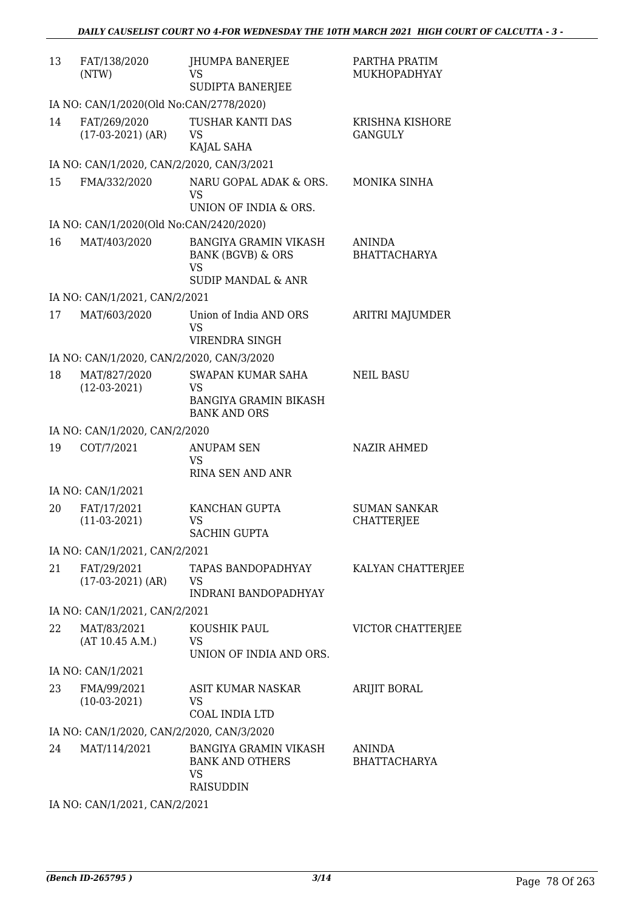| 13 | FAT/138/2020<br>(NTW)                     | JHUMPA BANERJEE<br>VS<br>SUDIPTA BANERJEE                                                                  | PARTHA PRATIM<br>MUKHOPADHYAY            |
|----|-------------------------------------------|------------------------------------------------------------------------------------------------------------|------------------------------------------|
|    | IA NO: CAN/1/2020(Old No:CAN/2778/2020)   |                                                                                                            |                                          |
| 14 | FAT/269/2020<br>$(17-03-2021)$ (AR)       | TUSHAR KANTI DAS<br>VS<br>KAJAL SAHA                                                                       | <b>KRISHNA KISHORE</b><br><b>GANGULY</b> |
|    | IA NO: CAN/1/2020, CAN/2/2020, CAN/3/2021 |                                                                                                            |                                          |
| 15 | FMA/332/2020                              | NARU GOPAL ADAK & ORS.<br>VS<br>UNION OF INDIA & ORS.                                                      | MONIKA SINHA                             |
|    | IA NO: CAN/1/2020(Old No:CAN/2420/2020)   |                                                                                                            |                                          |
| 16 | MAT/403/2020                              | <b>BANGIYA GRAMIN VIKASH</b><br><b>BANK (BGVB) &amp; ORS</b><br><b>VS</b><br><b>SUDIP MANDAL &amp; ANR</b> | ANINDA<br><b>BHATTACHARYA</b>            |
|    | IA NO: CAN/1/2021, CAN/2/2021             |                                                                                                            |                                          |
| 17 | MAT/603/2020                              | Union of India AND ORS<br><b>VS</b><br>VIRENDRA SINGH                                                      | ARITRI MAJUMDER                          |
|    | IA NO: CAN/1/2020, CAN/2/2020, CAN/3/2020 |                                                                                                            |                                          |
| 18 | MAT/827/2020<br>$(12-03-2021)$            | <b>SWAPAN KUMAR SAHA</b><br>VS<br><b>BANGIYA GRAMIN BIKASH</b><br><b>BANK AND ORS</b>                      | <b>NEIL BASU</b>                         |
|    | IA NO: CAN/1/2020, CAN/2/2020             |                                                                                                            |                                          |
| 19 | COT/7/2021                                | <b>ANUPAM SEN</b><br>VS<br>RINA SEN AND ANR                                                                | <b>NAZIR AHMED</b>                       |
|    | IA NO: CAN/1/2021                         |                                                                                                            |                                          |
| 20 | FAT/17/2021<br>$(11-03-2021)$             | KANCHAN GUPTA<br><b>VS</b><br>SACHIN GUPTA                                                                 | <b>SUMAN SANKAR</b><br><b>CHATTERJEE</b> |
|    | IA NO: CAN/1/2021, CAN/2/2021             |                                                                                                            |                                          |
| 21 | FAT/29/2021<br>$(17-03-2021)$ (AR)        | TAPAS BANDOPADHYAY<br>VS<br><b>INDRANI BANDOPADHYAY</b>                                                    | KALYAN CHATTERJEE                        |
|    | IA NO: CAN/1/2021, CAN/2/2021             |                                                                                                            |                                          |
| 22 | MAT/83/2021<br>(AT 10.45 A.M.)            | KOUSHIK PAUL<br>VS<br>UNION OF INDIA AND ORS.                                                              | VICTOR CHATTERJEE                        |
|    | IA NO: CAN/1/2021                         |                                                                                                            |                                          |
| 23 | FMA/99/2021<br>$(10-03-2021)$             | ASIT KUMAR NASKAR<br>VS<br>COAL INDIA LTD                                                                  | ARIJIT BORAL                             |
|    | IA NO: CAN/1/2020, CAN/2/2020, CAN/3/2020 |                                                                                                            |                                          |
| 24 | MAT/114/2021                              | <b>BANGIYA GRAMIN VIKASH</b><br><b>BANK AND OTHERS</b><br>VS<br><b>RAISUDDIN</b>                           | <b>ANINDA</b><br><b>BHATTACHARYA</b>     |
|    | N111100010111100001                       |                                                                                                            |                                          |

IA NO: CAN/1/2021, CAN/2/2021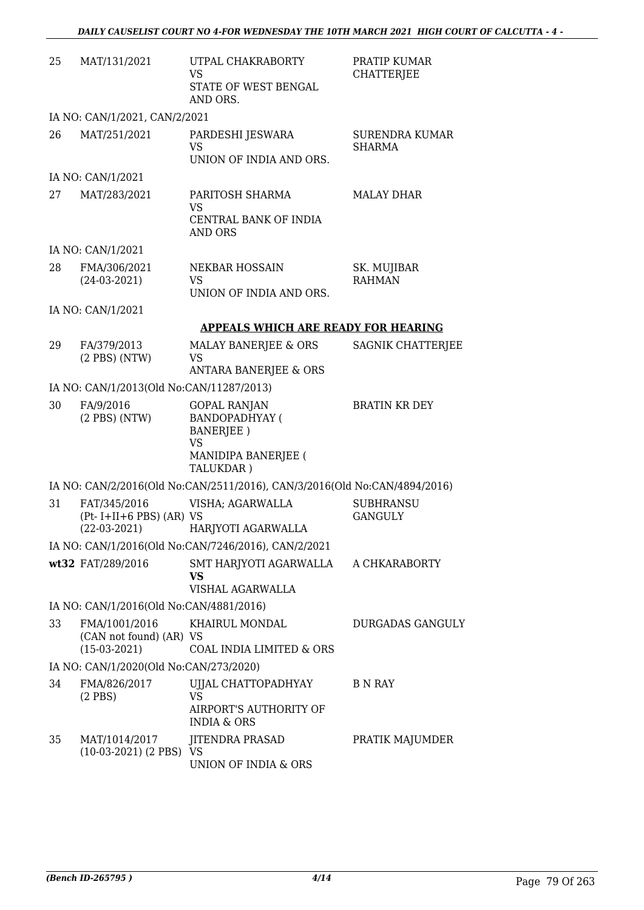| 25 | MAT/131/2021                                                | UTPAL CHAKRABORTY<br>VS<br>STATE OF WEST BENGAL<br>AND ORS.                                   | PRATIP KUMAR<br><b>CHATTERJEE</b>  |
|----|-------------------------------------------------------------|-----------------------------------------------------------------------------------------------|------------------------------------|
|    | IA NO: CAN/1/2021, CAN/2/2021                               |                                                                                               |                                    |
| 26 | MAT/251/2021                                                | PARDESHI JESWARA<br><b>VS</b><br>UNION OF INDIA AND ORS.                                      | SURENDRA KUMAR<br><b>SHARMA</b>    |
|    | IA NO: CAN/1/2021                                           |                                                                                               |                                    |
| 27 | MAT/283/2021                                                | PARITOSH SHARMA<br>VS<br>CENTRAL BANK OF INDIA<br>AND ORS                                     | <b>MALAY DHAR</b>                  |
|    | IA NO: CAN/1/2021                                           |                                                                                               |                                    |
| 28 | FMA/306/2021<br>$(24-03-2021)$                              | <b>NEKBAR HOSSAIN</b><br>VS.<br>UNION OF INDIA AND ORS.                                       | SK. MUJIBAR<br><b>RAHMAN</b>       |
|    | IA NO: CAN/1/2021                                           |                                                                                               |                                    |
|    |                                                             | APPEALS WHICH ARE READY FOR HEARING                                                           |                                    |
| 29 | FA/379/2013<br>$(2$ PBS $)$ (NTW)                           | MALAY BANERJEE & ORS<br>VS<br><b>ANTARA BANERJEE &amp; ORS</b>                                | SAGNIK CHATTERJEE                  |
|    | IA NO: CAN/1/2013(Old No:CAN/11287/2013)                    |                                                                                               |                                    |
| 30 | FA/9/2016<br>$(2$ PBS $)$ (NTW)                             | <b>GOPAL RANJAN</b><br><b>BANDOPADHYAY (</b><br>BANERJEE)<br><b>VS</b><br>MANIDIPA BANERJEE ( | <b>BRATIN KR DEY</b>               |
|    |                                                             | TALUKDAR)<br>IA NO: CAN/2/2016(Old No:CAN/2511/2016), CAN/3/2016(Old No:CAN/4894/2016)        |                                    |
| 31 | FAT/345/2016<br>$(Pt-I+II+6 PBS) (AR) VS$<br>$(22-03-2021)$ | VISHA; AGARWALLA<br>HARJYOTI AGARWALLA                                                        | <b>SUBHRANSU</b><br><b>GANGULY</b> |
|    |                                                             | IA NO: CAN/1/2016(Old No:CAN/7246/2016), CAN/2/2021                                           |                                    |
|    | wt32 FAT/289/2016                                           | SMT HARJYOTI AGARWALLA<br>VS<br>VISHAL AGARWALLA                                              | A CHKARABORTY                      |
|    | IA NO: CAN/1/2016(Old No:CAN/4881/2016)                     |                                                                                               |                                    |
| 33 | FMA/1001/2016<br>(CAN not found) (AR) VS<br>$(15-03-2021)$  | KHAIRUL MONDAL<br>COAL INDIA LIMITED & ORS                                                    | <b>DURGADAS GANGULY</b>            |
|    | IA NO: CAN/1/2020(Old No:CAN/273/2020)                      |                                                                                               |                                    |
| 34 | FMA/826/2017<br>$(2$ PBS)                                   | UJJAL CHATTOPADHYAY<br>VS<br>AIRPORT'S AUTHORITY OF<br><b>INDIA &amp; ORS</b>                 | B N RAY                            |
| 35 | MAT/1014/2017<br>$(10-03-2021)$ $(2$ PBS $)$ VS             | <b>JITENDRA PRASAD</b><br>UNION OF INDIA & ORS                                                | PRATIK MAJUMDER                    |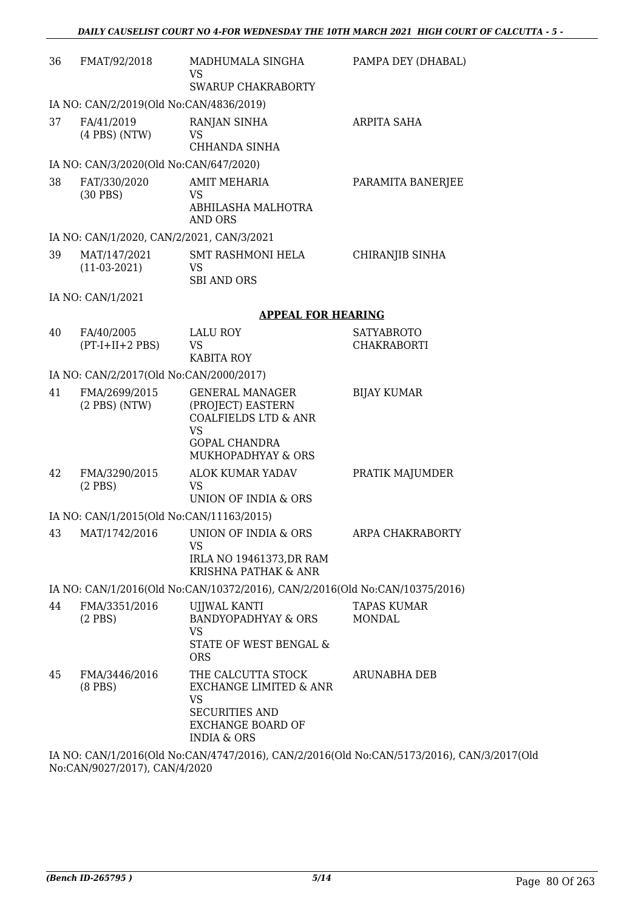| 36 | FMAT/92/2018                              | MADHUMALA SINGHA<br>VS<br><b>SWARUP CHAKRABORTY</b>                                                                               | PAMPA DEY (DHABAL)               |
|----|-------------------------------------------|-----------------------------------------------------------------------------------------------------------------------------------|----------------------------------|
|    | IA NO: CAN/2/2019(Old No:CAN/4836/2019)   |                                                                                                                                   |                                  |
| 37 | FA/41/2019<br>$(4$ PBS $)$ (NTW)          | RANJAN SINHA<br>VS<br>CHHANDA SINHA                                                                                               | ARPITA SAHA                      |
|    | IA NO: CAN/3/2020(Old No:CAN/647/2020)    |                                                                                                                                   |                                  |
| 38 | FAT/330/2020<br>$(30$ PBS)                | <b>AMIT MEHARIA</b><br>VS.<br>ABHILASHA MALHOTRA                                                                                  | PARAMITA BANERJEE                |
|    |                                           | AND ORS                                                                                                                           |                                  |
|    | IA NO: CAN/1/2020, CAN/2/2021, CAN/3/2021 |                                                                                                                                   |                                  |
| 39 | MAT/147/2021<br>$(11-03-2021)$            | SMT RASHMONI HELA<br>VS<br><b>SBI AND ORS</b>                                                                                     | CHIRANJIB SINHA                  |
|    | IA NO: CAN/1/2021                         |                                                                                                                                   |                                  |
|    |                                           | <b>APPEAL FOR HEARING</b>                                                                                                         |                                  |
| 40 | FA/40/2005<br>$(PT-I+II+2 PBS)$           | <b>LALU ROY</b><br>VS<br><b>KABITA ROY</b>                                                                                        | <b>SATYABROTO</b><br>CHAKRABORTI |
|    | IA NO: CAN/2/2017(Old No:CAN/2000/2017)   |                                                                                                                                   |                                  |
| 41 | FMA/2699/2015<br>$(2$ PBS $)$ (NTW)       | <b>GENERAL MANAGER</b><br>(PROJECT) EASTERN<br><b>COALFIELDS LTD &amp; ANR</b><br><b>VS</b><br><b>GOPAL CHANDRA</b>               | <b>BIJAY KUMAR</b>               |
|    |                                           | MUKHOPADHYAY & ORS                                                                                                                |                                  |
| 42 | FMA/3290/2015<br>$(2$ PBS $)$             | <b>ALOK KUMAR YADAV</b><br>VS<br>UNION OF INDIA & ORS                                                                             | PRATIK MAJUMDER                  |
|    | IA NO: CAN/1/2015(Old No:CAN/11163/2015)  |                                                                                                                                   |                                  |
|    |                                           | 43 MAT/1742/2016 UNION OF INDIA & ORS<br>VS.<br>IRLA NO 19461373, DR RAM<br>KRISHNA PATHAK & ANR                                  | ARPA CHAKRABORTY                 |
|    |                                           | IA NO: CAN/1/2016(Old No:CAN/10372/2016), CAN/2/2016(Old No:CAN/10375/2016)                                                       |                                  |
| 44 | FMA/3351/2016<br>$(2$ PBS $)$             | UJJWAL KANTI<br><b>BANDYOPADHYAY &amp; ORS</b><br><b>VS</b><br>STATE OF WEST BENGAL &<br><b>ORS</b>                               | <b>TAPAS KUMAR</b><br>MONDAL     |
| 45 | FMA/3446/2016<br>$(8$ PBS $)$             | THE CALCUTTA STOCK<br>EXCHANGE LIMITED & ANR<br>VS<br><b>SECURITIES AND</b><br><b>EXCHANGE BOARD OF</b><br><b>INDIA &amp; ORS</b> | ARUNABHA DEB                     |
|    |                                           | IA NO: CAN/1/2016(Old No:CAN/4747/2016) CAN/2/2016(Old No:CAN/5173/2016) CAN/3                                                    |                                  |

IA NO: CAN/1/2016(Old No:CAN/4747/2016), CAN/2/2016(Old No:CAN/5173/2016), CAN/3/2017(Old No:CAN/9027/2017), CAN/4/2020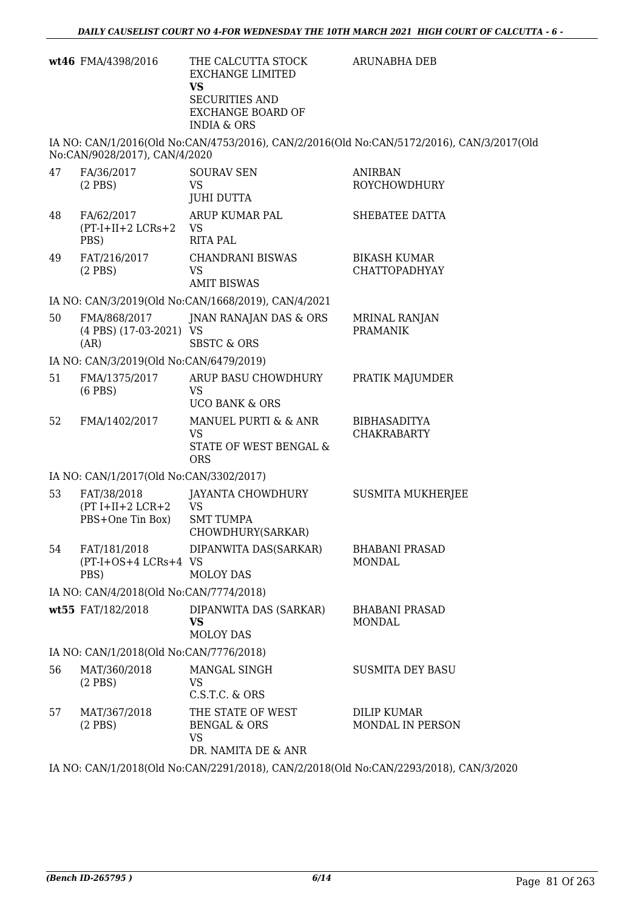|    | wt46 FMA/4398/2016                                    | THE CALCUTTA STOCK<br><b>EXCHANGE LIMITED</b><br><b>VS</b><br><b>SECURITIES AND</b><br><b>EXCHANGE BOARD OF</b><br><b>INDIA &amp; ORS</b> | ARUNABHA DEB                                                                              |
|----|-------------------------------------------------------|-------------------------------------------------------------------------------------------------------------------------------------------|-------------------------------------------------------------------------------------------|
|    | No:CAN/9028/2017), CAN/4/2020                         |                                                                                                                                           | IA NO: CAN/1/2016(Old No:CAN/4753/2016), CAN/2/2016(Old No:CAN/5172/2016), CAN/3/2017(Old |
| 47 | FA/36/2017<br>$(2$ PBS $)$                            | <b>SOURAV SEN</b><br>VS<br><b>JUHI DUTTA</b>                                                                                              | <b>ANIRBAN</b><br>ROYCHOWDHURY                                                            |
| 48 | FA/62/2017<br>$(PT-I+II+2 LCRs+2)$<br>PBS)            | ARUP KUMAR PAL<br>VS<br><b>RITA PAL</b>                                                                                                   | SHEBATEE DATTA                                                                            |
| 49 | FAT/216/2017<br>$(2$ PBS $)$                          | <b>CHANDRANI BISWAS</b><br><b>VS</b><br><b>AMIT BISWAS</b>                                                                                | <b>BIKASH KUMAR</b><br><b>CHATTOPADHYAY</b>                                               |
|    |                                                       | IA NO: CAN/3/2019(Old No:CAN/1668/2019), CAN/4/2021                                                                                       |                                                                                           |
| 50 | FMA/868/2017<br>(4 PBS) (17-03-2021) VS<br>(AR)       | JNAN RANAJAN DAS & ORS<br><b>SBSTC &amp; ORS</b>                                                                                          | <b>MRINAL RANJAN</b><br><b>PRAMANIK</b>                                                   |
|    | IA NO: CAN/3/2019(Old No:CAN/6479/2019)               |                                                                                                                                           |                                                                                           |
| 51 | FMA/1375/2017<br>$(6$ PBS $)$                         | ARUP BASU CHOWDHURY<br><b>VS</b><br><b>UCO BANK &amp; ORS</b>                                                                             | PRATIK MAJUMDER                                                                           |
| 52 | FMA/1402/2017                                         | MANUEL PURTI & & ANR<br><b>VS</b><br>STATE OF WEST BENGAL &<br><b>ORS</b>                                                                 | <b>BIBHASADITYA</b><br><b>CHAKRABARTY</b>                                                 |
|    | IA NO: CAN/1/2017(Old No:CAN/3302/2017)               |                                                                                                                                           |                                                                                           |
| 53 | FAT/38/2018<br>$(PT I+II+2 LCR+2$<br>PBS+One Tin Box) | JAYANTA CHOWDHURY<br><b>VS</b><br><b>SMT TUMPA</b><br>CHOWDHURY(SARKAR)                                                                   | <b>SUSMITA MUKHERJEE</b>                                                                  |
| 54 | FAT/181/2018<br>(PT-I+OS+4 LCRs+4 VS<br>PBS)          | DIPANWITA DAS(SARKAR)<br><b>MOLOY DAS</b>                                                                                                 | <b>BHABANI PRASAD</b><br><b>MONDAL</b>                                                    |
|    | IA NO: CAN/4/2018(Old No:CAN/7774/2018)               |                                                                                                                                           |                                                                                           |
|    | wt55 FAT/182/2018                                     | DIPANWITA DAS (SARKAR)<br><b>VS</b><br><b>MOLOY DAS</b>                                                                                   | <b>BHABANI PRASAD</b><br><b>MONDAL</b>                                                    |
|    | IA NO: CAN/1/2018(Old No:CAN/7776/2018)               |                                                                                                                                           |                                                                                           |
| 56 | MAT/360/2018<br>$(2$ PBS $)$                          | MANGAL SINGH<br>VS<br>C.S.T.C. & ORS                                                                                                      | <b>SUSMITA DEY BASU</b>                                                                   |
| 57 | MAT/367/2018<br>$(2$ PBS $)$                          | THE STATE OF WEST<br><b>BENGAL &amp; ORS</b><br>VS<br>DR. NAMITA DE & ANR                                                                 | DILIP KUMAR<br>MONDAL IN PERSON                                                           |
|    |                                                       |                                                                                                                                           | IA NO: CAN/1/2018(Old No:CAN/2291/2018), CAN/2/2018(Old No:CAN/2293/2018), CAN/3/2020     |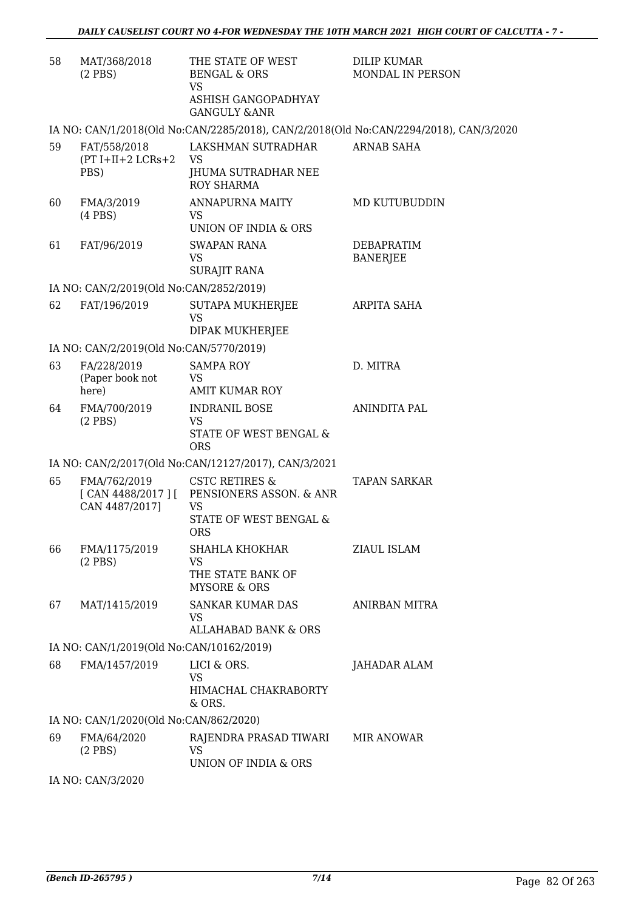| 58 | MAT/368/2018<br>$(2$ PBS)                   | THE STATE OF WEST<br><b>BENGAL &amp; ORS</b><br>VS.                                                                  | <b>DILIP KUMAR</b><br>MONDAL IN PERSON                                                |
|----|---------------------------------------------|----------------------------------------------------------------------------------------------------------------------|---------------------------------------------------------------------------------------|
|    |                                             | ASHISH GANGOPADHYAY<br><b>GANGULY &amp;ANR</b>                                                                       |                                                                                       |
|    |                                             |                                                                                                                      | IA NO: CAN/1/2018(Old No:CAN/2285/2018), CAN/2/2018(Old No:CAN/2294/2018), CAN/3/2020 |
| 59 | FAT/558/2018<br>$(PT I+II+2 LCRs+2$<br>PBS) | LAKSHMAN SUTRADHAR<br>VS<br>JHUMA SUTRADHAR NEE<br><b>ROY SHARMA</b>                                                 | ARNAB SAHA                                                                            |
| 60 | FMA/3/2019<br>$(4$ PBS $)$                  | ANNAPURNA MAITY<br>VS.                                                                                               | MD KUTUBUDDIN                                                                         |
| 61 | FAT/96/2019                                 | UNION OF INDIA & ORS<br><b>SWAPAN RANA</b><br>VS<br><b>SURAJIT RANA</b>                                              | DEBAPRATIM<br><b>BANERJEE</b>                                                         |
|    | IA NO: CAN/2/2019(Old No:CAN/2852/2019)     |                                                                                                                      |                                                                                       |
| 62 | FAT/196/2019                                | <b>SUTAPA MUKHERJEE</b><br><b>VS</b><br>DIPAK MUKHERJEE                                                              | ARPITA SAHA                                                                           |
|    | IA NO: CAN/2/2019(Old No:CAN/5770/2019)     |                                                                                                                      |                                                                                       |
| 63 | FA/228/2019<br>(Paper book not<br>here)     | <b>SAMPA ROY</b><br><b>VS</b><br><b>AMIT KUMAR ROY</b>                                                               | D. MITRA                                                                              |
| 64 | FMA/700/2019<br>$(2$ PBS)                   | <b>INDRANIL BOSE</b><br>VS<br>STATE OF WEST BENGAL &<br><b>ORS</b>                                                   | ANINDITA PAL                                                                          |
|    |                                             | IA NO: CAN/2/2017(Old No:CAN/12127/2017), CAN/3/2021                                                                 |                                                                                       |
| 65 | FMA/762/2019<br>CAN 4487/2017]              | <b>CSTC RETIRES &amp;</b><br>[CAN 4488/2017] [ PENSIONERS ASSON. & ANR<br>VS<br>STATE OF WEST BENGAL &<br><b>ORS</b> | <b>TAPAN SARKAR</b>                                                                   |
| 66 | FMA/1175/2019<br>$(2$ PBS)                  | SHAHLA KHOKHAR<br>VS<br>THE STATE BANK OF<br><b>MYSORE &amp; ORS</b>                                                 | ZIAUL ISLAM                                                                           |
| 67 | MAT/1415/2019                               | <b>SANKAR KUMAR DAS</b><br>VS<br><b>ALLAHABAD BANK &amp; ORS</b>                                                     | ANIRBAN MITRA                                                                         |
|    | IA NO: CAN/1/2019(Old No:CAN/10162/2019)    |                                                                                                                      |                                                                                       |
| 68 | FMA/1457/2019                               | LICI & ORS.<br>VS<br>HIMACHAL CHAKRABORTY<br>& ORS.                                                                  | JAHADAR ALAM                                                                          |
|    | IA NO: CAN/1/2020(Old No:CAN/862/2020)      |                                                                                                                      |                                                                                       |
| 69 | FMA/64/2020<br>$(2$ PBS $)$                 | RAJENDRA PRASAD TIWARI<br><b>VS</b><br>UNION OF INDIA & ORS                                                          | MIR ANOWAR                                                                            |
|    |                                             |                                                                                                                      |                                                                                       |

IA NO: CAN/3/2020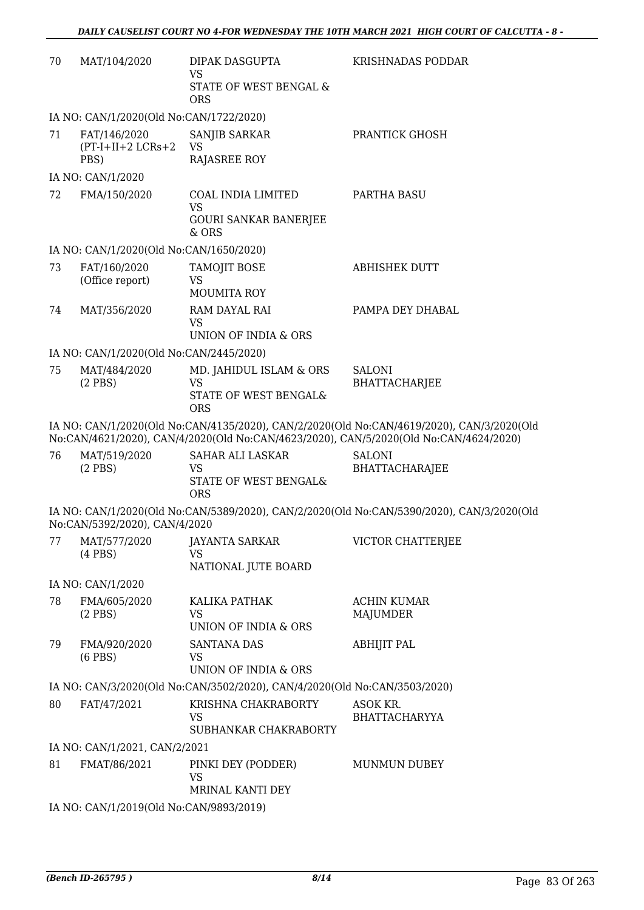| 70 | MAT/104/2020                                 | DIPAK DASGUPTA<br><b>VS</b>                                                 | KRISHNADAS PODDAR                                                                                                                                                                  |
|----|----------------------------------------------|-----------------------------------------------------------------------------|------------------------------------------------------------------------------------------------------------------------------------------------------------------------------------|
|    |                                              | STATE OF WEST BENGAL &<br><b>ORS</b>                                        |                                                                                                                                                                                    |
|    | IA NO: CAN/1/2020(Old No:CAN/1722/2020)      |                                                                             |                                                                                                                                                                                    |
| 71 | FAT/146/2020<br>$(PT-I+II+2 LCRs+2)$<br>PBS) | SANJIB SARKAR<br><b>VS</b><br><b>RAJASREE ROY</b>                           | PRANTICK GHOSH                                                                                                                                                                     |
|    | IA NO: CAN/1/2020                            |                                                                             |                                                                                                                                                                                    |
| 72 | FMA/150/2020                                 | <b>COAL INDIA LIMITED</b><br><b>VS</b>                                      | <b>PARTHA BASU</b>                                                                                                                                                                 |
|    |                                              | <b>GOURI SANKAR BANERJEE</b><br>& ORS                                       |                                                                                                                                                                                    |
|    | IA NO: CAN/1/2020(Old No:CAN/1650/2020)      |                                                                             |                                                                                                                                                                                    |
| 73 | FAT/160/2020<br>(Office report)              | TAMOJIT BOSE<br><b>VS</b><br><b>MOUMITA ROY</b>                             | <b>ABHISHEK DUTT</b>                                                                                                                                                               |
| 74 | MAT/356/2020                                 | RAM DAYAL RAI<br><b>VS</b>                                                  | PAMPA DEY DHABAL                                                                                                                                                                   |
|    |                                              | UNION OF INDIA & ORS                                                        |                                                                                                                                                                                    |
|    | IA NO: CAN/1/2020(Old No:CAN/2445/2020)      |                                                                             |                                                                                                                                                                                    |
| 75 | MAT/484/2020<br>$(2$ PBS $)$                 | MD. JAHIDUL ISLAM & ORS<br>VS                                               | <b>SALONI</b><br><b>BHATTACHARJEE</b>                                                                                                                                              |
|    |                                              | STATE OF WEST BENGAL&<br><b>ORS</b>                                         |                                                                                                                                                                                    |
|    |                                              |                                                                             | IA NO: CAN/1/2020(Old No:CAN/4135/2020), CAN/2/2020(Old No:CAN/4619/2020), CAN/3/2020(Old<br>No:CAN/4621/2020), CAN/4/2020(Old No:CAN/4623/2020), CAN/5/2020(Old No:CAN/4624/2020) |
| 76 | MAT/519/2020<br>$(2$ PBS $)$                 | <b>SAHAR ALI LASKAR</b><br><b>VS</b><br>STATE OF WEST BENGAL&<br><b>ORS</b> | <b>SALONI</b><br>BHATTACHARAJEE                                                                                                                                                    |
|    | No:CAN/5392/2020), CAN/4/2020                |                                                                             | IA NO: CAN/1/2020(Old No:CAN/5389/2020), CAN/2/2020(Old No:CAN/5390/2020), CAN/3/2020(Old                                                                                          |
| 77 | MAT/577/2020<br>$(4$ PBS $)$                 | <b>JAYANTA SARKAR</b><br><b>VS</b>                                          | VICTOR CHATTERJEE                                                                                                                                                                  |
|    |                                              | NATIONAL JUTE BOARD                                                         |                                                                                                                                                                                    |
| 78 | IA NO: CAN/1/2020<br>FMA/605/2020            | KALIKA PATHAK                                                               | <b>ACHIN KUMAR</b>                                                                                                                                                                 |
|    | $(2$ PBS $)$                                 | VS<br>UNION OF INDIA & ORS                                                  | <b>MAJUMDER</b>                                                                                                                                                                    |
| 79 | FMA/920/2020<br>$(6$ PBS $)$                 | <b>SANTANA DAS</b><br><b>VS</b>                                             | <b>ABHIJIT PAL</b>                                                                                                                                                                 |
|    |                                              | UNION OF INDIA & ORS                                                        |                                                                                                                                                                                    |
|    |                                              | IA NO: CAN/3/2020(Old No:CAN/3502/2020), CAN/4/2020(Old No:CAN/3503/2020)   |                                                                                                                                                                                    |
| 80 | FAT/47/2021                                  | KRISHNA CHAKRABORTY<br>VS<br>SUBHANKAR CHAKRABORTY                          | ASOK KR.<br><b>BHATTACHARYYA</b>                                                                                                                                                   |
|    | IA NO: CAN/1/2021, CAN/2/2021                |                                                                             |                                                                                                                                                                                    |
| 81 | FMAT/86/2021                                 | PINKI DEY (PODDER)<br>VS                                                    | MUNMUN DUBEY                                                                                                                                                                       |
|    |                                              | MRINAL KANTI DEY                                                            |                                                                                                                                                                                    |
|    | IA NO: CAN/1/2019(Old No:CAN/9893/2019)      |                                                                             |                                                                                                                                                                                    |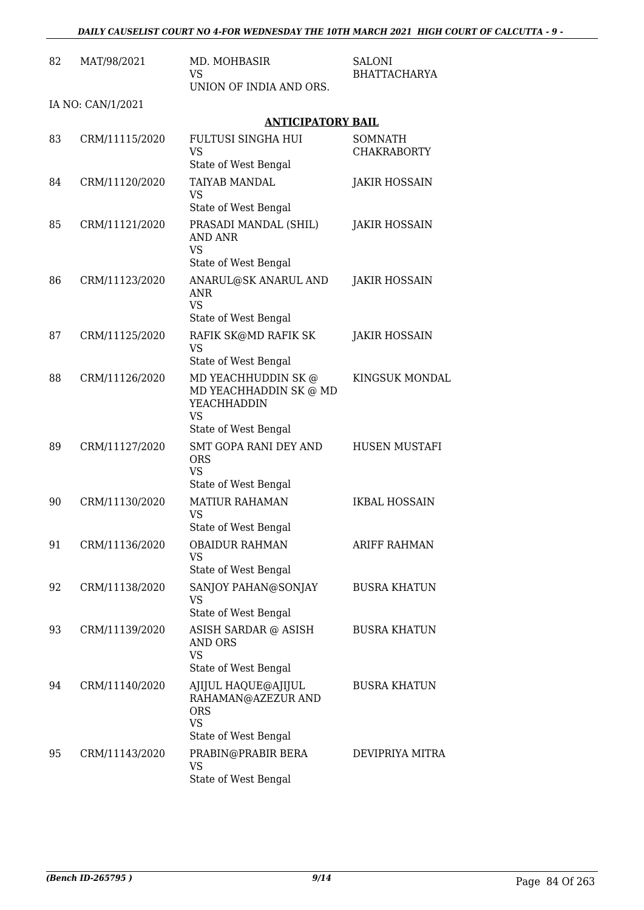| 82 | MAT/98/2021       | MD. MOHBASIR<br>VS<br>UNION OF INDIA AND ORS.                                                       | SALONI<br><b>BHATTACHARYA</b>        |
|----|-------------------|-----------------------------------------------------------------------------------------------------|--------------------------------------|
|    | IA NO: CAN/1/2021 |                                                                                                     |                                      |
|    |                   | <b>ANTICIPATORY BAIL</b>                                                                            |                                      |
| 83 | CRM/11115/2020    | FULTUSI SINGHA HUI<br>VS<br>State of West Bengal                                                    | <b>SOMNATH</b><br><b>CHAKRABORTY</b> |
| 84 | CRM/11120/2020    | <b>TAIYAB MANDAL</b><br><b>VS</b><br>State of West Bengal                                           | <b>JAKIR HOSSAIN</b>                 |
| 85 | CRM/11121/2020    | PRASADI MANDAL (SHIL)<br>AND ANR<br><b>VS</b>                                                       | JAKIR HOSSAIN                        |
|    |                   | State of West Bengal                                                                                |                                      |
| 86 | CRM/11123/2020    | ANARUL@SK ANARUL AND<br>ANR<br><b>VS</b>                                                            | <b>JAKIR HOSSAIN</b>                 |
|    |                   | State of West Bengal                                                                                |                                      |
| 87 | CRM/11125/2020    | RAFIK SK@MD RAFIK SK<br><b>VS</b><br>State of West Bengal                                           | <b>JAKIR HOSSAIN</b>                 |
| 88 | CRM/11126/2020    | MD YEACHHUDDIN SK @<br>MD YEACHHADDIN SK @ MD<br>YEACHHADDIN<br><b>VS</b><br>State of West Bengal   | KINGSUK MONDAL                       |
| 89 | CRM/11127/2020    | <b>SMT GOPA RANI DEY AND</b><br><b>ORS</b><br><b>VS</b><br>State of West Bengal                     | <b>HUSEN MUSTAFI</b>                 |
| 90 | CRM/11130/2020    | <b>MATIUR RAHAMAN</b><br>VS<br>State of West Bengal                                                 | <b>IKBAL HOSSAIN</b>                 |
| 91 | CRM/11136/2020    | <b>OBAIDUR RAHMAN</b><br><b>VS</b><br>State of West Bengal                                          | ARIFF RAHMAN                         |
| 92 | CRM/11138/2020    | SANJOY PAHAN@SONJAY<br>VS                                                                           | <b>BUSRA KHATUN</b>                  |
| 93 | CRM/11139/2020    | State of West Bengal<br>ASISH SARDAR @ ASISH<br><b>AND ORS</b><br><b>VS</b><br>State of West Bengal | <b>BUSRA KHATUN</b>                  |
| 94 | CRM/11140/2020    | AJIJUL HAQUE@AJIJUL<br>RAHAMAN@AZEZUR AND<br><b>ORS</b><br><b>VS</b>                                | <b>BUSRA KHATUN</b>                  |
|    |                   | State of West Bengal                                                                                |                                      |
| 95 | CRM/11143/2020    | PRABIN@PRABIR BERA<br>VS<br>State of West Bengal                                                    | DEVIPRIYA MITRA                      |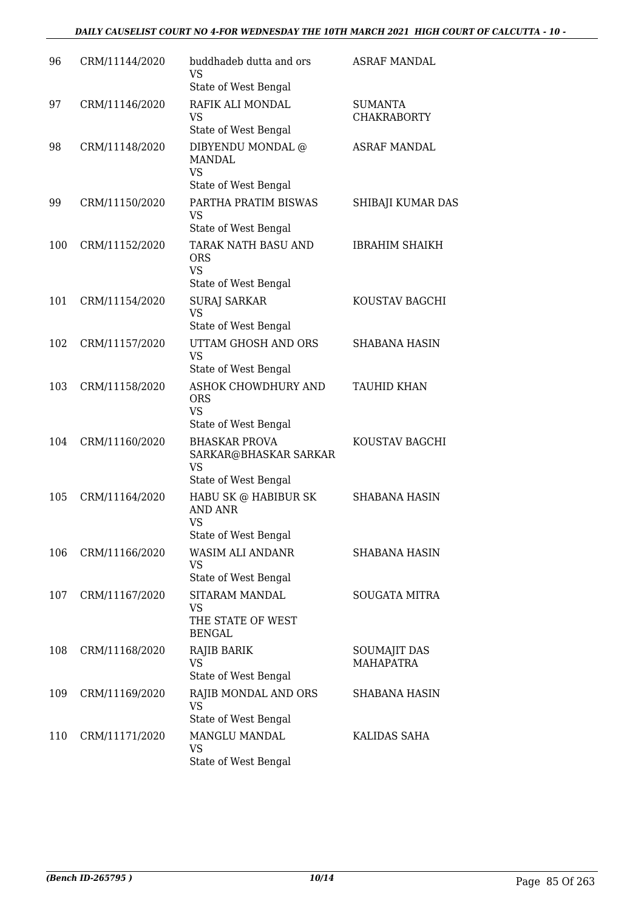| 96  | CRM/11144/2020 | buddhadeb dutta and ors<br>VS<br>State of West Bengal                                          | <b>ASRAF MANDAL</b>                  |
|-----|----------------|------------------------------------------------------------------------------------------------|--------------------------------------|
| 97  | CRM/11146/2020 | RAFIK ALI MONDAL<br>VS<br>State of West Bengal                                                 | <b>SUMANTA</b><br><b>CHAKRABORTY</b> |
| 98  | CRM/11148/2020 | DIBYENDU MONDAL $@$<br>MANDAL<br><b>VS</b>                                                     | <b>ASRAF MANDAL</b>                  |
| 99  | CRM/11150/2020 | State of West Bengal<br>PARTHA PRATIM BISWAS<br><b>VS</b>                                      | SHIBAJI KUMAR DAS                    |
| 100 | CRM/11152/2020 | State of West Bengal<br>TARAK NATH BASU AND<br><b>ORS</b><br><b>VS</b><br>State of West Bengal | <b>IBRAHIM SHAIKH</b>                |
| 101 | CRM/11154/2020 | <b>SURAJ SARKAR</b><br><b>VS</b><br>State of West Bengal                                       | KOUSTAV BAGCHI                       |
| 102 | CRM/11157/2020 | UTTAM GHOSH AND ORS<br><b>VS</b><br>State of West Bengal                                       | <b>SHABANA HASIN</b>                 |
| 103 | CRM/11158/2020 | ASHOK CHOWDHURY AND<br><b>ORS</b><br><b>VS</b><br>State of West Bengal                         | TAUHID KHAN                          |
| 104 | CRM/11160/2020 | <b>BHASKAR PROVA</b><br>SARKAR@BHASKAR SARKAR<br>VS<br>State of West Bengal                    | KOUSTAV BAGCHI                       |
| 105 | CRM/11164/2020 | HABU SK @ HABIBUR SK<br><b>AND ANR</b><br><b>VS</b><br>State of West Bengal                    | <b>SHABANA HASIN</b>                 |
| 106 | CRM/11166/2020 | WASIM ALI ANDANR<br>VS<br>State of West Bengal                                                 | SHABANA HASIN                        |
| 107 | CRM/11167/2020 | SITARAM MANDAL<br>VS<br>THE STATE OF WEST<br><b>BENGAL</b>                                     | <b>SOUGATA MITRA</b>                 |
| 108 | CRM/11168/2020 | RAJIB BARIK<br><b>VS</b><br>State of West Bengal                                               | SOUMAJIT DAS<br><b>MAHAPATRA</b>     |
| 109 | CRM/11169/2020 | RAJIB MONDAL AND ORS<br>VS<br>State of West Bengal                                             | SHABANA HASIN                        |
| 110 | CRM/11171/2020 | MANGLU MANDAL<br>VS<br>State of West Bengal                                                    | KALIDAS SAHA                         |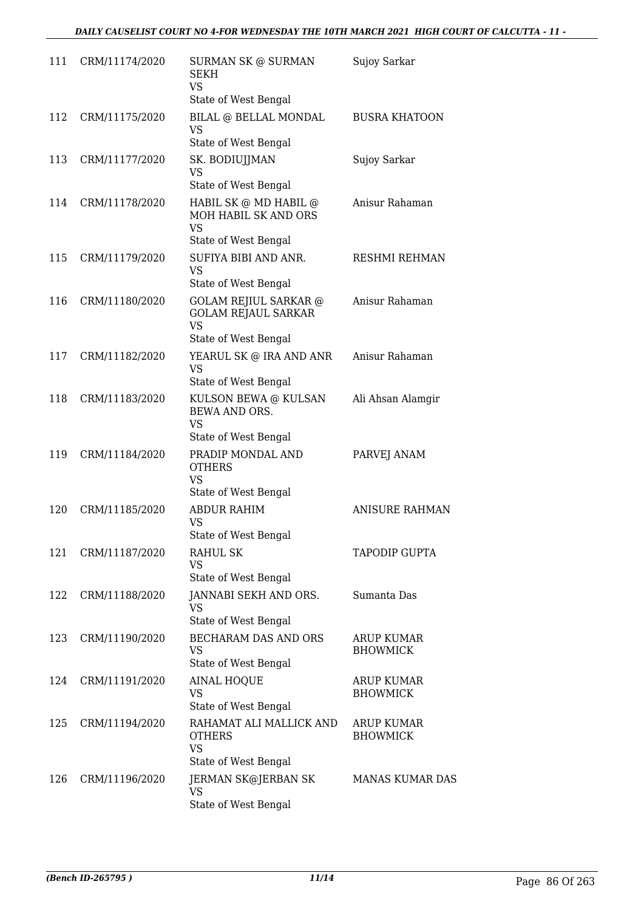| 111 | CRM/11174/2020 | SURMAN SK @ SURMAN<br>SEKH<br><b>VS</b>                                            | Sujoy Sarkar                         |
|-----|----------------|------------------------------------------------------------------------------------|--------------------------------------|
| 112 | CRM/11175/2020 | State of West Bengal<br>BILAL @ BELLAL MONDAL<br>VS                                | <b>BUSRA KHATOON</b>                 |
|     |                | State of West Bengal                                                               |                                      |
| 113 | CRM/11177/2020 | SK. BODIUJJMAN<br><b>VS</b>                                                        | Sujoy Sarkar                         |
| 114 | CRM/11178/2020 | State of West Bengal<br>HABIL SK @ MD HABIL @<br>MOH HABIL SK AND ORS<br><b>VS</b> | Anisur Rahaman                       |
| 115 | CRM/11179/2020 | State of West Bengal<br>SUFIYA BIBI AND ANR.<br>VS.<br>State of West Bengal        | RESHMI REHMAN                        |
| 116 | CRM/11180/2020 | GOLAM REJIUL SARKAR @<br><b>GOLAM REJAUL SARKAR</b><br>VS<br>State of West Bengal  | Anisur Rahaman                       |
| 117 | CRM/11182/2020 | YEARUL SK @ IRA AND ANR<br><b>VS</b><br>State of West Bengal                       | Anisur Rahaman                       |
| 118 | CRM/11183/2020 | KULSON BEWA @ KULSAN<br>BEWA AND ORS.<br>VS<br>State of West Bengal                | Ali Ahsan Alamgir                    |
| 119 | CRM/11184/2020 | PRADIP MONDAL AND<br><b>OTHERS</b><br><b>VS</b><br>State of West Bengal            | PARVEJ ANAM                          |
| 120 | CRM/11185/2020 | ABDUR RAHIM<br>VS<br>State of West Bengal                                          | <b>ANISURE RAHMAN</b>                |
| 121 | CRM/11187/2020 | RAHUL SK<br>VS<br>State of West Bengal                                             | <b>TAPODIP GUPTA</b>                 |
| 122 | CRM/11188/2020 | JANNABI SEKH AND ORS.<br>VS.<br>State of West Bengal                               | Sumanta Das                          |
| 123 | CRM/11190/2020 | <b>BECHARAM DAS AND ORS</b><br>VS<br>State of West Bengal                          | <b>ARUP KUMAR</b><br><b>BHOWMICK</b> |
| 124 | CRM/11191/2020 | <b>AINAL HOQUE</b><br>VS<br>State of West Bengal                                   | <b>ARUP KUMAR</b><br><b>BHOWMICK</b> |
| 125 | CRM/11194/2020 | RAHAMAT ALI MALLICK AND<br><b>OTHERS</b><br>VS                                     | <b>ARUP KUMAR</b><br><b>BHOWMICK</b> |
| 126 | CRM/11196/2020 | State of West Bengal<br>JERMAN SK@JERBAN SK<br>VS<br>State of West Bengal          | MANAS KUMAR DAS                      |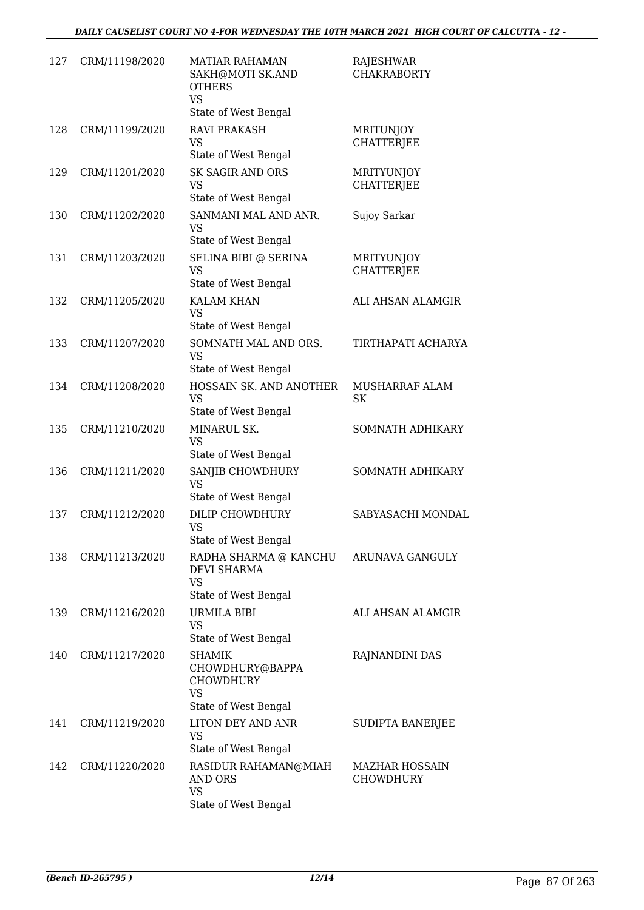| 127 | CRM/11198/2020 | <b>MATIAR RAHAMAN</b><br>SAKH@MOTI SK.AND<br><b>OTHERS</b><br><b>VS</b>                   | RAJESHWAR<br><b>CHAKRABORTY</b>           |
|-----|----------------|-------------------------------------------------------------------------------------------|-------------------------------------------|
|     |                | State of West Bengal                                                                      |                                           |
| 128 | CRM/11199/2020 | <b>RAVI PRAKASH</b><br>VS<br>State of West Bengal                                         | MRITUNJOY<br><b>CHATTERJEE</b>            |
| 129 | CRM/11201/2020 | <b>SK SAGIR AND ORS</b><br><b>VS</b><br>State of West Bengal                              | <b>MRITYUNJOY</b><br><b>CHATTERJEE</b>    |
| 130 | CRM/11202/2020 | SANMANI MAL AND ANR.<br><b>VS</b><br>State of West Bengal                                 | Sujoy Sarkar                              |
| 131 | CRM/11203/2020 | SELINA BIBI @ SERINA<br>VS<br>State of West Bengal                                        | <b>MRITYUNJOY</b><br><b>CHATTERJEE</b>    |
| 132 | CRM/11205/2020 | <b>KALAM KHAN</b><br><b>VS</b><br>State of West Bengal                                    | ALI AHSAN ALAMGIR                         |
| 133 | CRM/11207/2020 | SOMNATH MAL AND ORS.<br><b>VS</b><br>State of West Bengal                                 | TIRTHAPATI ACHARYA                        |
| 134 | CRM/11208/2020 | HOSSAIN SK. AND ANOTHER<br><b>VS</b><br>State of West Bengal                              | MUSHARRAF ALAM<br>SK                      |
| 135 | CRM/11210/2020 | MINARUL SK.<br><b>VS</b><br>State of West Bengal                                          | SOMNATH ADHIKARY                          |
| 136 | CRM/11211/2020 | SANJIB CHOWDHURY<br><b>VS</b><br>State of West Bengal                                     | SOMNATH ADHIKARY                          |
| 137 | CRM/11212/2020 | DILIP CHOWDHURY<br>VS<br>State of West Bengal                                             | SABYASACHI MONDAL                         |
| 138 | CRM/11213/2020 | RADHA SHARMA @ KANCHU<br><b>DEVI SHARMA</b><br>VS<br>State of West Bengal                 | ARUNAVA GANGULY                           |
| 139 | CRM/11216/2020 | URMILA BIBI<br><b>VS</b><br>State of West Bengal                                          | ALI AHSAN ALAMGIR                         |
| 140 | CRM/11217/2020 | <b>SHAMIK</b><br>CHOWDHURY@BAPPA<br><b>CHOWDHURY</b><br><b>VS</b><br>State of West Bengal | RAJNANDINI DAS                            |
| 141 | CRM/11219/2020 | LITON DEY AND ANR<br>VS<br>State of West Bengal                                           | SUDIPTA BANERJEE                          |
| 142 | CRM/11220/2020 | RASIDUR RAHAMAN@MIAH<br><b>AND ORS</b><br><b>VS</b><br>State of West Bengal               | <b>MAZHAR HOSSAIN</b><br><b>CHOWDHURY</b> |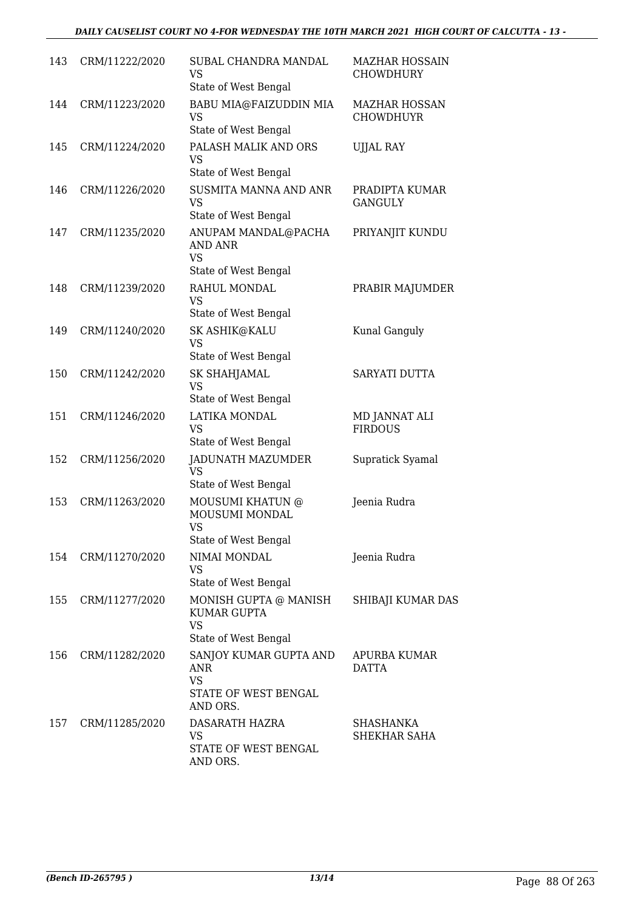| 143 | CRM/11222/2020 | SUBAL CHANDRA MANDAL<br>VS<br>State of West Bengal                             | <b>MAZHAR HOSSAIN</b><br>CHOWDHURY       |
|-----|----------------|--------------------------------------------------------------------------------|------------------------------------------|
| 144 | CRM/11223/2020 | BABU MIA@FAIZUDDIN MIA<br>VS<br>State of West Bengal                           | <b>MAZHAR HOSSAN</b><br><b>CHOWDHUYR</b> |
| 145 | CRM/11224/2020 | PALASH MALIK AND ORS<br>VS<br>State of West Bengal                             | <b>UJJAL RAY</b>                         |
| 146 | CRM/11226/2020 | SUSMITA MANNA AND ANR<br>VS<br>State of West Bengal                            | PRADIPTA KUMAR<br><b>GANGULY</b>         |
| 147 | CRM/11235/2020 | ANUPAM MANDAL@PACHA<br>AND ANR<br><b>VS</b>                                    | PRIYANJIT KUNDU                          |
|     |                | State of West Bengal                                                           |                                          |
| 148 | CRM/11239/2020 | RAHUL MONDAL<br><b>VS</b><br>State of West Bengal                              | PRABIR MAJUMDER                          |
| 149 | CRM/11240/2020 | SK ASHIK@KALU                                                                  |                                          |
|     |                | <b>VS</b>                                                                      | Kunal Ganguly                            |
|     |                | State of West Bengal                                                           |                                          |
| 150 | CRM/11242/2020 | SK SHAHJAMAL<br>VS<br>State of West Bengal                                     | SARYATI DUTTA                            |
| 151 | CRM/11246/2020 | LATIKA MONDAL<br><b>VS</b><br>State of West Bengal                             | MD JANNAT ALI<br><b>FIRDOUS</b>          |
| 152 | CRM/11256/2020 | JADUNATH MAZUMDER<br>VS<br>State of West Bengal                                | Supratick Syamal                         |
| 153 | CRM/11263/2020 | MOUSUMI KHATUN @<br>MOUSUMI MONDAL<br><b>VS</b>                                | Jeenia Rudra                             |
| 154 | CRM/11270/2020 | State of West Bengal<br>NIMAI MONDAL<br>VS<br>State of West Bengal             | Jeenia Rudra                             |
| 155 | CRM/11277/2020 | MONISH GUPTA @ MANISH<br>KUMAR GUPTA<br><b>VS</b><br>State of West Bengal      | SHIBAJI KUMAR DAS                        |
| 156 | CRM/11282/2020 | SANJOY KUMAR GUPTA AND<br>ANR<br><b>VS</b><br>STATE OF WEST BENGAL<br>AND ORS. | APURBA KUMAR<br>DATTA                    |
| 157 | CRM/11285/2020 | DASARATH HAZRA<br><b>VS</b><br>STATE OF WEST BENGAL<br>AND ORS.                | SHASHANKA<br>SHEKHAR SAHA                |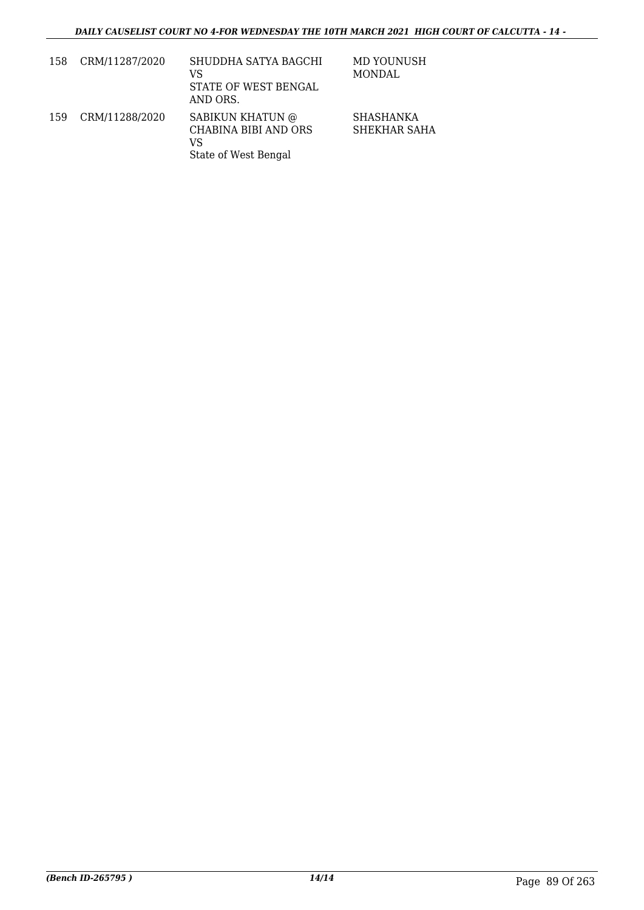| 158 | CRM/11287/2020 | SHUDDHA SATYA BAGCHI<br>VS<br>STATE OF WEST BENGAL<br>AND ORS.         | MD YOUNUSH<br>MONDAL             |
|-----|----------------|------------------------------------------------------------------------|----------------------------------|
| 159 | CRM/11288/2020 | SABIKUN KHATUN @<br>CHABINA BIBI AND ORS<br>VS<br>State of West Bengal | <b>SHASHANKA</b><br>SHEKHAR SAHA |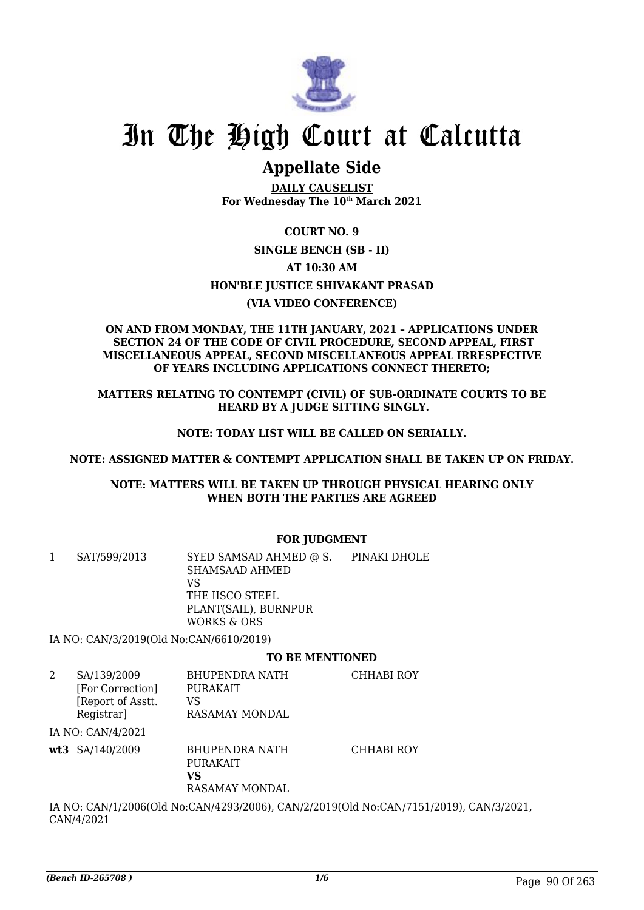

# In The High Court at Calcutta

# **Appellate Side**

**DAILY CAUSELIST For Wednesday The 10th March 2021**

**COURT NO. 9 SINGLE BENCH (SB - II) AT 10:30 AM HON'BLE JUSTICE SHIVAKANT PRASAD (VIA VIDEO CONFERENCE)**

### **ON AND FROM MONDAY, THE 11TH JANUARY, 2021 – APPLICATIONS UNDER SECTION 24 OF THE CODE OF CIVIL PROCEDURE, SECOND APPEAL, FIRST MISCELLANEOUS APPEAL, SECOND MISCELLANEOUS APPEAL IRRESPECTIVE OF YEARS INCLUDING APPLICATIONS CONNECT THERETO;**

**MATTERS RELATING TO CONTEMPT (CIVIL) OF SUB-ORDINATE COURTS TO BE HEARD BY A JUDGE SITTING SINGLY.**

### **NOTE: TODAY LIST WILL BE CALLED ON SERIALLY.**

**NOTE: ASSIGNED MATTER & CONTEMPT APPLICATION SHALL BE TAKEN UP ON FRIDAY.**

### **NOTE: MATTERS WILL BE TAKEN UP THROUGH PHYSICAL HEARING ONLY WHEN BOTH THE PARTIES ARE AGREED**

# **FOR JUDGMENT**

1 SAT/599/2013 SYED SAMSAD AHMED @ S. SHAMSAAD AHMED VS THE IISCO STEEL PLANT(SAIL), BURNPUR WORKS & ORS PINAKI DHOLE

IA NO: CAN/3/2019(Old No:CAN/6610/2019)

### **TO BE MENTIONED**

2 SA/139/2009 [For Correction] [Report of Asstt. Registrar] BHUPENDRA NATH PURAKAIT VS RASAMAY MONDAL CHHABI ROY IA NO: CAN/4/2021 **wt3** SA/140/2009 BHUPENDRA NATH CHHABI ROY

PURAKAIT **VS** RASAMAY MONDAL

IA NO: CAN/1/2006(Old No:CAN/4293/2006), CAN/2/2019(Old No:CAN/7151/2019), CAN/3/2021, CAN/4/2021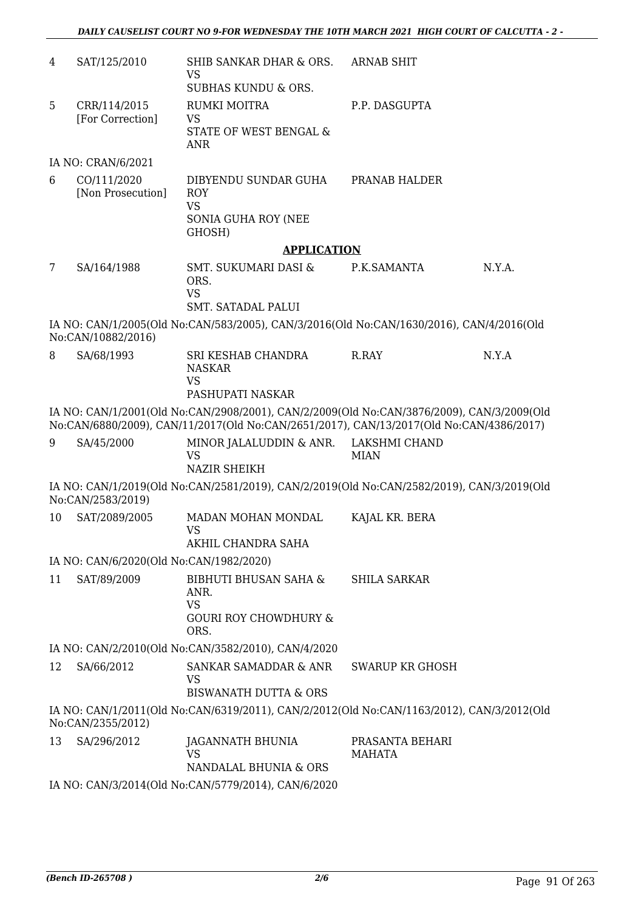| 4  | SAT/125/2010                            | SHIB SANKAR DHAR & ORS.<br>VS<br><b>SUBHAS KUNDU &amp; ORS.</b>                                   | <b>ARNAB SHIT</b>                |        |
|----|-----------------------------------------|---------------------------------------------------------------------------------------------------|----------------------------------|--------|
| 5  | CRR/114/2015<br>[For Correction]        | RUMKI MOITRA<br><b>VS</b><br>STATE OF WEST BENGAL &<br><b>ANR</b>                                 | P.P. DASGUPTA                    |        |
|    | IA NO: CRAN/6/2021                      |                                                                                                   |                                  |        |
| 6  | CO/111/2020<br>[Non Prosecution]        | DIBYENDU SUNDAR GUHA<br><b>ROY</b><br><b>VS</b><br>SONIA GUHA ROY (NEE<br>GHOSH)                  | PRANAB HALDER                    |        |
|    |                                         | <b>APPLICATION</b>                                                                                |                                  |        |
| 7  | SA/164/1988                             | SMT. SUKUMARI DASI &<br>ORS.<br><b>VS</b>                                                         | P.K.SAMANTA                      | N.Y.A. |
|    |                                         | SMT. SATADAL PALUI                                                                                |                                  |        |
|    | No:CAN/10882/2016)                      | IA NO: CAN/1/2005(Old No:CAN/583/2005), CAN/3/2016(Old No:CAN/1630/2016), CAN/4/2016(Old          |                                  |        |
| 8  | SA/68/1993                              | SRI KESHAB CHANDRA<br><b>NASKAR</b><br><b>VS</b><br>PASHUPATI NASKAR                              | R.RAY                            | N.Y.A  |
|    |                                         | IA NO: CAN/1/2001(Old No:CAN/2908/2001), CAN/2/2009(Old No:CAN/3876/2009), CAN/3/2009(Old         |                                  |        |
|    |                                         | No:CAN/6880/2009), CAN/11/2017(Old No:CAN/2651/2017), CAN/13/2017(Old No:CAN/4386/2017)           |                                  |        |
| 9  | SA/45/2000                              | MINOR JALALUDDIN & ANR. LAKSHMI CHAND<br><b>VS</b><br><b>NAZIR SHEIKH</b>                         | <b>MIAN</b>                      |        |
|    | No:CAN/2583/2019)                       | IA NO: CAN/1/2019(Old No:CAN/2581/2019), CAN/2/2019(Old No:CAN/2582/2019), CAN/3/2019(Old         |                                  |        |
| 10 | SAT/2089/2005                           | MADAN MOHAN MONDAL<br><b>VS</b>                                                                   | KAJAL KR. BERA                   |        |
|    |                                         | AKHIL CHANDRA SAHA                                                                                |                                  |        |
|    | IA NO: CAN/6/2020(Old No:CAN/1982/2020) |                                                                                                   |                                  |        |
| 11 | SAT/89/2009                             | <b>BIBHUTI BHUSAN SAHA &amp;</b><br>ANR.<br><b>VS</b><br><b>GOURI ROY CHOWDHURY &amp;</b><br>ORS. | <b>SHILA SARKAR</b>              |        |
|    |                                         | IA NO: CAN/2/2010(Old No:CAN/3582/2010), CAN/4/2020                                               |                                  |        |
| 12 | SA/66/2012                              | SANKAR SAMADDAR & ANR<br>VS<br><b>BISWANATH DUTTA &amp; ORS</b>                                   | <b>SWARUP KR GHOSH</b>           |        |
|    | No:CAN/2355/2012)                       | IA NO: CAN/1/2011(Old No:CAN/6319/2011), CAN/2/2012(Old No:CAN/1163/2012), CAN/3/2012(Old         |                                  |        |
| 13 | SA/296/2012                             | JAGANNATH BHUNIA<br><b>VS</b><br>NANDALAL BHUNIA & ORS                                            | PRASANTA BEHARI<br><b>MAHATA</b> |        |
|    |                                         | IA NO: CAN/3/2014(Old No:CAN/5779/2014), CAN/6/2020                                               |                                  |        |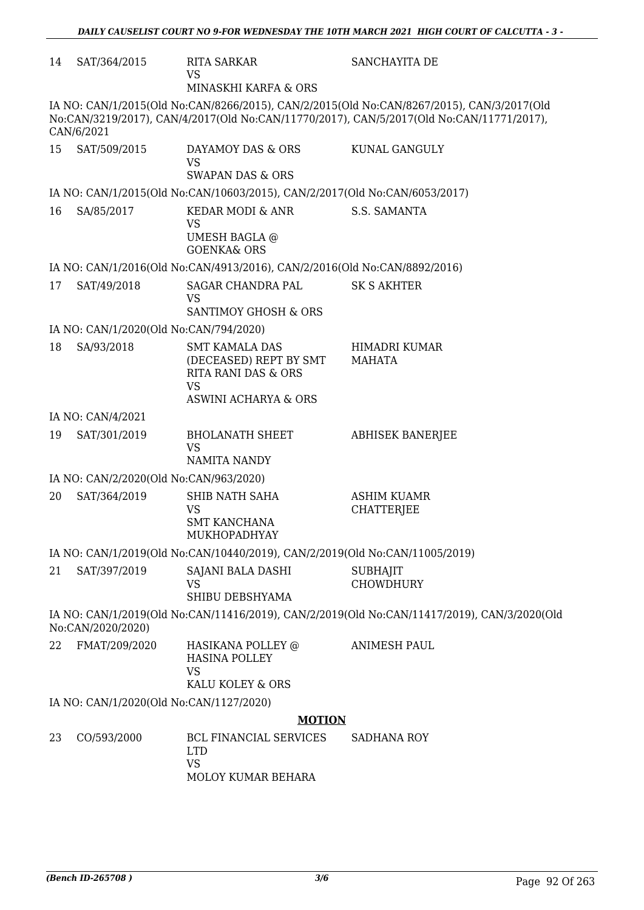| 14 | SAT/364/2015                            | <b>RITA SARKAR</b><br><b>VS</b>                                              | SANCHAYITA DE                                                                                                                                                                         |
|----|-----------------------------------------|------------------------------------------------------------------------------|---------------------------------------------------------------------------------------------------------------------------------------------------------------------------------------|
|    |                                         | MINASKHI KARFA & ORS                                                         |                                                                                                                                                                                       |
|    | CAN/6/2021                              |                                                                              | IA NO: CAN/1/2015(Old No:CAN/8266/2015), CAN/2/2015(Old No:CAN/8267/2015), CAN/3/2017(Old<br>No:CAN/3219/2017), CAN/4/2017(Old No:CAN/11770/2017), CAN/5/2017(Old No:CAN/11771/2017), |
| 15 | SAT/509/2015                            | DAYAMOY DAS & ORS<br><b>VS</b><br><b>SWAPAN DAS &amp; ORS</b>                | KUNAL GANGULY                                                                                                                                                                         |
|    |                                         | IA NO: CAN/1/2015(Old No:CAN/10603/2015), CAN/2/2017(Old No:CAN/6053/2017)   |                                                                                                                                                                                       |
| 16 | SA/85/2017                              | KEDAR MODI & ANR<br>VS<br><b>UMESH BAGLA @</b><br><b>GOENKA&amp; ORS</b>     | S.S. SAMANTA                                                                                                                                                                          |
|    |                                         | IA NO: CAN/1/2016(Old No:CAN/4913/2016), CAN/2/2016(Old No:CAN/8892/2016)    |                                                                                                                                                                                       |
| 17 | SAT/49/2018                             | SAGAR CHANDRA PAL<br><b>VS</b><br>SANTIMOY GHOSH & ORS                       | <b>SK S AKHTER</b>                                                                                                                                                                    |
|    | IA NO: CAN/1/2020(Old No:CAN/794/2020)  |                                                                              |                                                                                                                                                                                       |
| 18 | SA/93/2018                              | <b>SMT KAMALA DAS</b><br>(DECEASED) REPT BY SMT<br>RITA RANI DAS & ORS<br>VS | HIMADRI KUMAR<br>MAHATA                                                                                                                                                               |
|    |                                         | ASWINI ACHARYA & ORS                                                         |                                                                                                                                                                                       |
|    | IA NO: CAN/4/2021                       |                                                                              |                                                                                                                                                                                       |
| 19 | SAT/301/2019                            | <b>BHOLANATH SHEET</b><br><b>VS</b><br>NAMITA NANDY                          | <b>ABHISEK BANERJEE</b>                                                                                                                                                               |
|    | IA NO: CAN/2/2020(Old No:CAN/963/2020)  |                                                                              |                                                                                                                                                                                       |
| 20 | SAT/364/2019                            | SHIB NATH SAHA<br>VS<br><b>SMT KANCHANA</b><br><b>MUKHOPADHYAY</b>           | <b>ASHIM KUAMR</b><br><b>CHATTERJEE</b>                                                                                                                                               |
|    |                                         | IA NO: CAN/1/2019(Old No:CAN/10440/2019), CAN/2/2019(Old No:CAN/11005/2019)  |                                                                                                                                                                                       |
| 21 | SAT/397/2019                            | SAJANI BALA DASHI<br><b>VS</b><br>SHIBU DEBSHYAMA                            | <b>SUBHAJIT</b><br><b>CHOWDHURY</b>                                                                                                                                                   |
|    | No:CAN/2020/2020)                       |                                                                              | IA NO: CAN/1/2019(Old No:CAN/11416/2019), CAN/2/2019(Old No:CAN/11417/2019), CAN/3/2020(Old                                                                                           |
| 22 | FMAT/209/2020                           | HASIKANA POLLEY @<br><b>HASINA POLLEY</b><br><b>VS</b><br>KALU KOLEY & ORS   | <b>ANIMESH PAUL</b>                                                                                                                                                                   |
|    | IA NO: CAN/1/2020(Old No:CAN/1127/2020) |                                                                              |                                                                                                                                                                                       |
|    |                                         | <b>MOTION</b>                                                                |                                                                                                                                                                                       |
| 23 | CO/593/2000                             | BCL FINANCIAL SERVICES<br><b>LTD</b><br><b>VS</b><br>MOLOY KUMAR BEHARA      | <b>SADHANA ROY</b>                                                                                                                                                                    |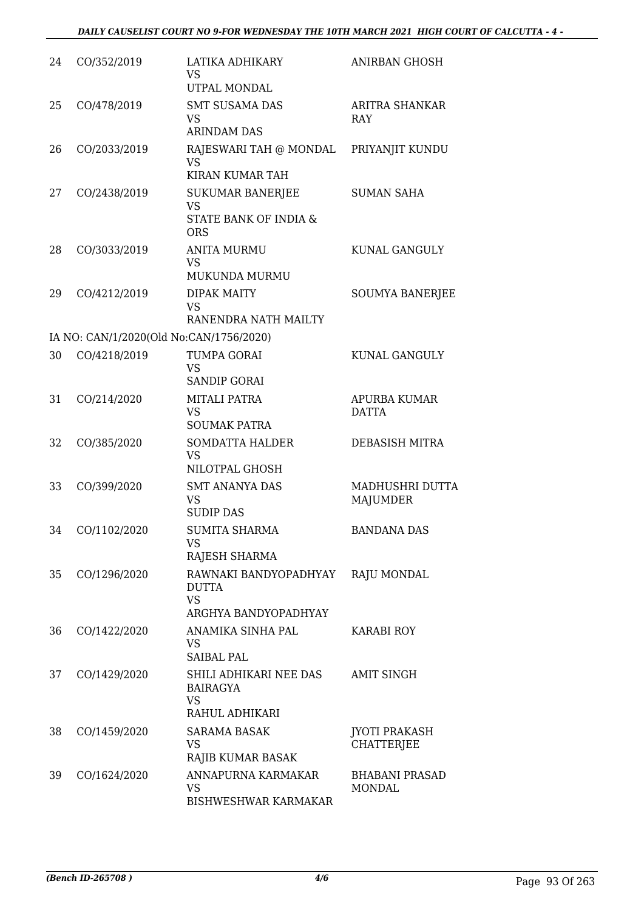| 24 | CO/352/2019                             | LATIKA ADHIKARY<br><b>VS</b><br>UTPAL MONDAL                                | <b>ANIRBAN GHOSH</b>                      |
|----|-----------------------------------------|-----------------------------------------------------------------------------|-------------------------------------------|
| 25 | CO/478/2019                             | <b>SMT SUSAMA DAS</b><br><b>VS</b><br><b>ARINDAM DAS</b>                    | <b>ARITRA SHANKAR</b><br><b>RAY</b>       |
| 26 | CO/2033/2019                            | RAJESWARI TAH @ MONDAL<br><b>VS</b><br>KIRAN KUMAR TAH                      | PRIYANJIT KUNDU                           |
| 27 | CO/2438/2019                            | <b>SUKUMAR BANERJEE</b><br><b>VS</b><br>STATE BANK OF INDIA &<br><b>ORS</b> | <b>SUMAN SAHA</b>                         |
| 28 | CO/3033/2019                            | <b>ANITA MURMU</b><br><b>VS</b><br><b>MUKUNDA MURMU</b>                     | KUNAL GANGULY                             |
| 29 | CO/4212/2019                            | <b>DIPAK MAITY</b><br><b>VS</b><br>RANENDRA NATH MAILTY                     | <b>SOUMYA BANERJEE</b>                    |
|    | IA NO: CAN/1/2020(Old No:CAN/1756/2020) |                                                                             |                                           |
| 30 | CO/4218/2019                            | TUMPA GORAI<br><b>VS</b><br><b>SANDIP GORAI</b>                             | KUNAL GANGULY                             |
| 31 | CO/214/2020                             | MITALI PATRA<br><b>VS</b><br><b>SOUMAK PATRA</b>                            | <b>APURBA KUMAR</b><br><b>DATTA</b>       |
| 32 | CO/385/2020                             | <b>SOMDATTA HALDER</b><br><b>VS</b><br>NILOTPAL GHOSH                       | <b>DEBASISH MITRA</b>                     |
| 33 | CO/399/2020                             | <b>SMT ANANYA DAS</b><br>VS<br><b>SUDIP DAS</b>                             | <b>MADHUSHRI DUTTA</b><br><b>MAJUMDER</b> |
| 34 | CO/1102/2020                            | <b>SUMITA SHARMA</b><br><b>VS</b><br>RAJESH SHARMA                          | <b>BANDANA DAS</b>                        |
| 35 | CO/1296/2020                            | RAWNAKI BANDYOPADHYAY<br><b>DUTTA</b><br><b>VS</b><br>ARGHYA BANDYOPADHYAY  | <b>RAJU MONDAL</b>                        |
| 36 | CO/1422/2020                            | ANAMIKA SINHA PAL<br><b>VS</b><br><b>SAIBAL PAL</b>                         | <b>KARABI ROY</b>                         |
| 37 | CO/1429/2020                            | SHILI ADHIKARI NEE DAS<br><b>BAIRAGYA</b><br><b>VS</b><br>RAHUL ADHIKARI    | <b>AMIT SINGH</b>                         |
| 38 | CO/1459/2020                            | <b>SARAMA BASAK</b><br>VS<br>RAJIB KUMAR BASAK                              | <b>JYOTI PRAKASH</b><br><b>CHATTERJEE</b> |
| 39 | CO/1624/2020                            | ANNAPURNA KARMAKAR<br>VS<br><b>BISHWESHWAR KARMAKAR</b>                     | <b>BHABANI PRASAD</b><br><b>MONDAL</b>    |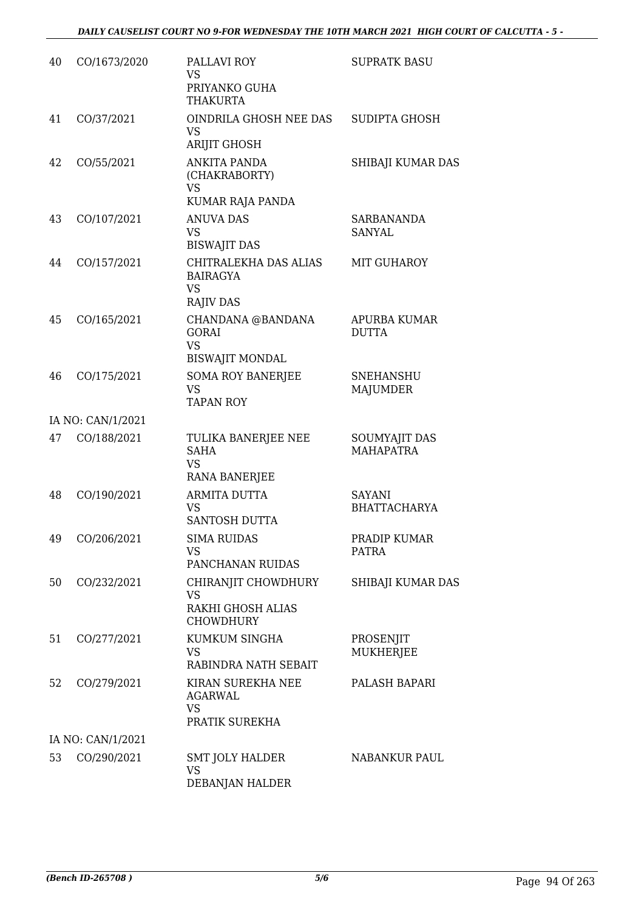| 40 | CO/1673/2020      | PALLAVI ROY<br><b>VS</b><br>PRIYANKO GUHA<br><b>THAKURTA</b>              | <b>SUPRATK BASU</b>                  |
|----|-------------------|---------------------------------------------------------------------------|--------------------------------------|
| 41 | CO/37/2021        | OINDRILA GHOSH NEE DAS<br><b>VS</b><br><b>ARIJIT GHOSH</b>                | <b>SUDIPTA GHOSH</b>                 |
| 42 | CO/55/2021        | <b>ANKITA PANDA</b><br>(CHAKRABORTY)<br><b>VS</b>                         | SHIBAJI KUMAR DAS                    |
| 43 | CO/107/2021       | KUMAR RAJA PANDA<br><b>ANUVA DAS</b><br><b>VS</b><br><b>BISWAJIT DAS</b>  | <b>SARBANANDA</b><br><b>SANYAL</b>   |
| 44 | CO/157/2021       | CHITRALEKHA DAS ALIAS<br><b>BAIRAGYA</b><br><b>VS</b><br><b>RAJIV DAS</b> | MIT GUHAROY                          |
| 45 | CO/165/2021       | CHANDANA @BANDANA<br><b>GORAI</b><br><b>VS</b><br><b>BISWAJIT MONDAL</b>  | APURBA KUMAR<br><b>DUTTA</b>         |
| 46 | CO/175/2021       | <b>SOMA ROY BANERJEE</b><br><b>VS</b><br><b>TAPAN ROY</b>                 | <b>SNEHANSHU</b><br><b>MAJUMDER</b>  |
|    | IA NO: CAN/1/2021 |                                                                           |                                      |
| 47 | CO/188/2021       | TULIKA BANERJEE NEE<br><b>SAHA</b><br><b>VS</b>                           | SOUMYAJIT DAS<br><b>MAHAPATRA</b>    |
| 48 | CO/190/2021       | <b>RANA BANERJEE</b><br><b>ARMITA DUTTA</b><br><b>VS</b><br>SANTOSH DUTTA | <b>SAYANI</b><br><b>BHATTACHARYA</b> |
| 49 | CO/206/2021       | <b>SIMA RUIDAS</b><br><b>VS</b><br>PANCHANAN RUIDAS                       | PRADIP KUMAR<br><b>PATRA</b>         |
| 50 | CO/232/2021       | CHIRANJIT CHOWDHURY<br><b>VS</b><br>RAKHI GHOSH ALIAS<br><b>CHOWDHURY</b> | SHIBAJI KUMAR DAS                    |
| 51 | CO/277/2021       | KUMKUM SINGHA<br><b>VS</b><br>RABINDRA NATH SEBAIT                        | PROSENJIT<br><b>MUKHERJEE</b>        |
| 52 | CO/279/2021       | KIRAN SUREKHA NEE<br><b>AGARWAL</b><br><b>VS</b><br>PRATIK SUREKHA        | PALASH BAPARI                        |
|    | IA NO: CAN/1/2021 |                                                                           |                                      |
| 53 | CO/290/2021       | <b>SMT JOLY HALDER</b><br><b>VS</b><br>DEBANJAN HALDER                    | <b>NABANKUR PAUL</b>                 |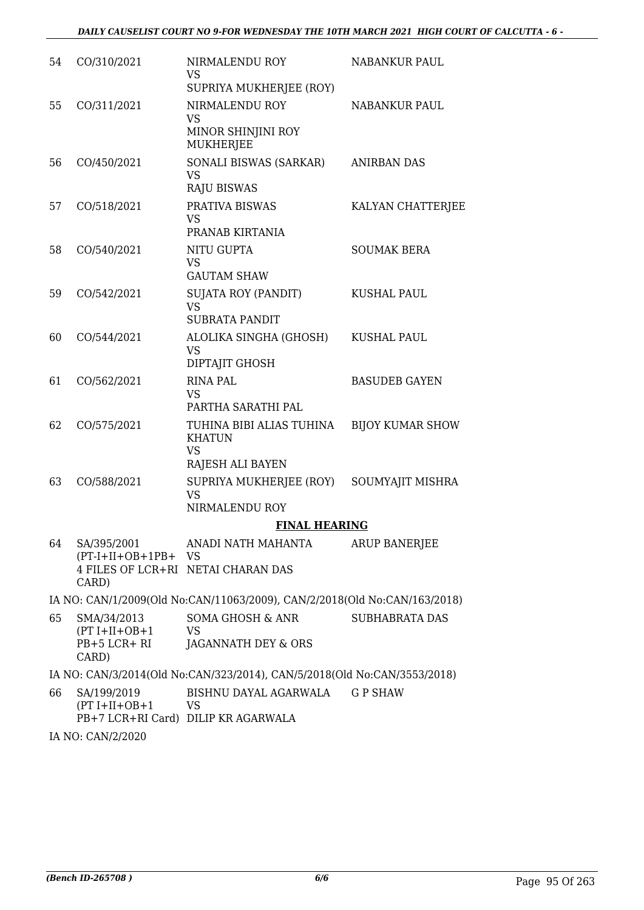| 54 | CO/310/2021                                             | NIRMALENDU ROY<br><b>VS</b>                                                | <b>NABANKUR PAUL</b>    |
|----|---------------------------------------------------------|----------------------------------------------------------------------------|-------------------------|
|    |                                                         | SUPRIYA MUKHERJEE (ROY)                                                    |                         |
| 55 | CO/311/2021                                             | NIRMALENDU ROY<br><b>VS</b><br>MINOR SHINJINI ROY<br><b>MUKHERJEE</b>      | <b>NABANKUR PAUL</b>    |
| 56 | CO/450/2021                                             | SONALI BISWAS (SARKAR)<br><b>VS</b><br><b>RAJU BISWAS</b>                  | <b>ANIRBAN DAS</b>      |
| 57 | CO/518/2021                                             | PRATIVA BISWAS<br><b>VS</b><br>PRANAB KIRTANIA                             | KALYAN CHATTERJEE       |
| 58 | CO/540/2021                                             | NITU GUPTA<br><b>VS</b><br><b>GAUTAM SHAW</b>                              | <b>SOUMAK BERA</b>      |
| 59 | CO/542/2021                                             | <b>SUJATA ROY (PANDIT)</b><br><b>VS</b><br><b>SUBRATA PANDIT</b>           | <b>KUSHAL PAUL</b>      |
| 60 | CO/544/2021                                             | ALOLIKA SINGHA (GHOSH)<br><b>VS</b><br>DIPTAJIT GHOSH                      | <b>KUSHAL PAUL</b>      |
| 61 | CO/562/2021                                             | <b>RINA PAL</b><br><b>VS</b><br>PARTHA SARATHI PAL                         | <b>BASUDEB GAYEN</b>    |
| 62 | CO/575/2021                                             | TUHINA BIBI ALIAS TUHINA<br><b>KHATUN</b><br><b>VS</b><br>RAJESH ALI BAYEN | <b>BIJOY KUMAR SHOW</b> |
| 63 | CO/588/2021                                             | SUPRIYA MUKHERJEE (ROY)<br><b>VS</b><br>NIRMALENDU ROY                     | SOUMYAJIT MISHRA        |
|    |                                                         | <b>FINAL HEARING</b>                                                       |                         |
| 64 | SA/395/2001<br>$(PT-I+II+OB+1PB+VS)$<br>CARD)           | ANADI NATH MAHANTA<br>4 FILES OF LCR+RI NETAI CHARAN DAS                   | <b>ARUP BANERJEE</b>    |
|    |                                                         | IA NO: CAN/1/2009(Old No:CAN/11063/2009), CAN/2/2018(Old No:CAN/163/2018)  |                         |
| 65 | SMA/34/2013<br>$(PT I+II+OB+1$<br>PB+5 LCR+ RI<br>CARD) | SOMA GHOSH & ANR<br><b>VS</b><br>JAGANNATH DEY & ORS                       | <b>SUBHABRATA DAS</b>   |
|    |                                                         | IA NO: CAN/3/2014(Old No:CAN/323/2014), CAN/5/2018(Old No:CAN/3553/2018)   |                         |
| 66 | SA/199/2019<br>$(PT I+II+OB+1$                          | BISHNU DAYAL AGARWALA<br><b>VS</b><br>PB+7 LCR+RI Card) DILIP KR AGARWALA  | <b>GP SHAW</b>          |

IA NO: CAN/2/2020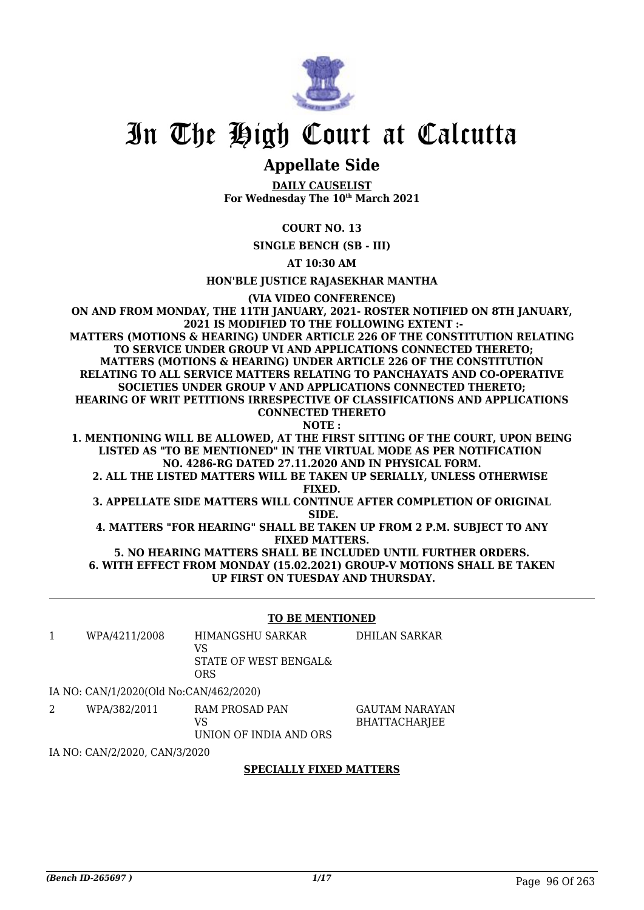

# In The High Court at Calcutta

# **Appellate Side**

**DAILY CAUSELIST For Wednesday The 10th March 2021**

# **COURT NO. 13**

**SINGLE BENCH (SB - III)**

**AT 10:30 AM**

**HON'BLE JUSTICE RAJASEKHAR MANTHA**

**(VIA VIDEO CONFERENCE)**

**ON AND FROM MONDAY, THE 11TH JANUARY, 2021- ROSTER NOTIFIED ON 8TH JANUARY, 2021 IS MODIFIED TO THE FOLLOWING EXTENT :- MATTERS (MOTIONS & HEARING) UNDER ARTICLE 226 OF THE CONSTITUTION RELATING TO SERVICE UNDER GROUP VI AND APPLICATIONS CONNECTED THERETO; MATTERS (MOTIONS & HEARING) UNDER ARTICLE 226 OF THE CONSTITUTION RELATING TO ALL SERVICE MATTERS RELATING TO PANCHAYATS AND CO-OPERATIVE SOCIETIES UNDER GROUP V AND APPLICATIONS CONNECTED THERETO; HEARING OF WRIT PETITIONS IRRESPECTIVE OF CLASSIFICATIONS AND APPLICATIONS CONNECTED THERETO NOTE :**

**1. MENTIONING WILL BE ALLOWED, AT THE FIRST SITTING OF THE COURT, UPON BEING LISTED AS "TO BE MENTIONED" IN THE VIRTUAL MODE AS PER NOTIFICATION NO. 4286-RG DATED 27.11.2020 AND IN PHYSICAL FORM.**

**2. ALL THE LISTED MATTERS WILL BE TAKEN UP SERIALLY, UNLESS OTHERWISE FIXED.**

**3. APPELLATE SIDE MATTERS WILL CONTINUE AFTER COMPLETION OF ORIGINAL SIDE.**

**4. MATTERS "FOR HEARING" SHALL BE TAKEN UP FROM 2 P.M. SUBJECT TO ANY FIXED MATTERS.**

**5. NO HEARING MATTERS SHALL BE INCLUDED UNTIL FURTHER ORDERS. 6. WITH EFFECT FROM MONDAY (15.02.2021) GROUP-V MOTIONS SHALL BE TAKEN UP FIRST ON TUESDAY AND THURSDAY.**

### **TO BE MENTIONED**

1 WPA/4211/2008 HIMANGSHU SARKAR  $V<sup>Q</sup>$ STATE OF WEST BENGAL& ORS DHILAN SARKAR

# IA NO: CAN/1/2020(Old No:CAN/462/2020)

2 WPA/382/2011 RAM PROSAD PAN VS

GAUTAM NARAYAN BHATTACHARJEE

UNION OF INDIA AND ORS

IA NO: CAN/2/2020, CAN/3/2020

### **SPECIALLY FIXED MATTERS**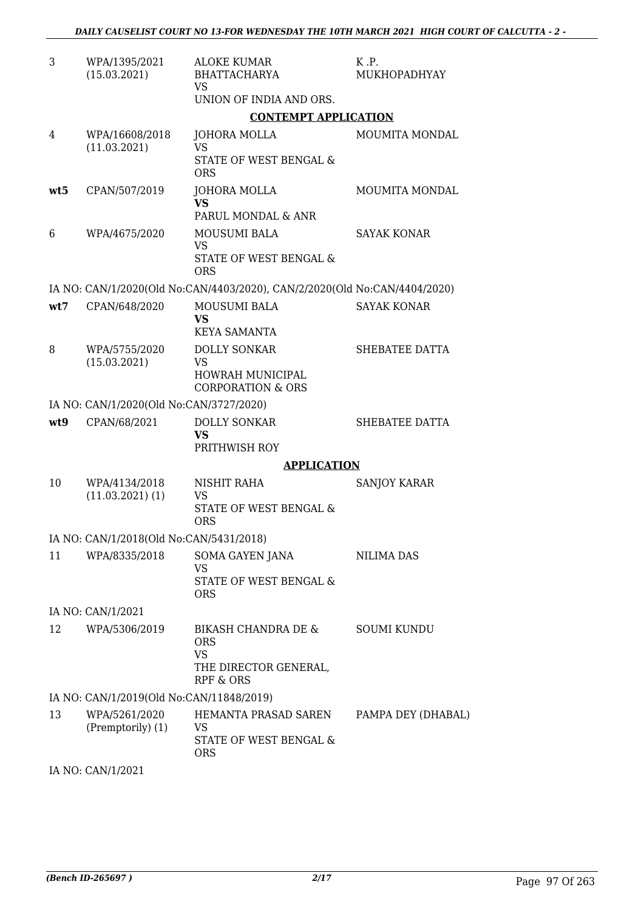| 3   | WPA/1395/2021<br>(15.03.2021)            | <b>ALOKE KUMAR</b><br>BHATTACHARYA<br><b>VS</b>                                      | K.P.<br>MUKHOPADHYAY |
|-----|------------------------------------------|--------------------------------------------------------------------------------------|----------------------|
|     |                                          | UNION OF INDIA AND ORS.                                                              |                      |
|     |                                          | <b>CONTEMPT APPLICATION</b>                                                          |                      |
| 4   | WPA/16608/2018<br>(11.03.2021)           | JOHORA MOLLA<br><b>VS</b><br>STATE OF WEST BENGAL &<br><b>ORS</b>                    | MOUMITA MONDAL       |
| wt5 | CPAN/507/2019                            | JOHORA MOLLA<br><b>VS</b><br>PARUL MONDAL & ANR                                      | MOUMITA MONDAL       |
| 6   | WPA/4675/2020                            | MOUSUMI BALA<br><b>VS</b><br>STATE OF WEST BENGAL &<br><b>ORS</b>                    | <b>SAYAK KONAR</b>   |
|     |                                          | IA NO: CAN/1/2020(Old No:CAN/4403/2020), CAN/2/2020(Old No:CAN/4404/2020)            |                      |
| wt7 | CPAN/648/2020                            | <b>MOUSUMI BALA</b><br><b>VS</b><br><b>KEYA SAMANTA</b>                              | <b>SAYAK KONAR</b>   |
| 8   | WPA/5755/2020<br>(15.03.2021)            | <b>DOLLY SONKAR</b><br>VS<br><b>HOWRAH MUNICIPAL</b>                                 | SHEBATEE DATTA       |
|     |                                          | <b>CORPORATION &amp; ORS</b>                                                         |                      |
|     | IA NO: CAN/1/2020(Old No:CAN/3727/2020)  |                                                                                      |                      |
| wt9 | CPAN/68/2021                             | <b>DOLLY SONKAR</b><br><b>VS</b><br>PRITHWISH ROY                                    | SHEBATEE DATTA       |
|     |                                          | <b>APPLICATION</b>                                                                   |                      |
| 10  | WPA/4134/2018<br>$(11.03.2021)$ $(1)$    | NISHIT RAHA<br><b>VS</b><br>STATE OF WEST BENGAL &                                   | <b>SANJOY KARAR</b>  |
|     |                                          | <b>ORS</b>                                                                           |                      |
|     | IA NO: CAN/1/2018(Old No:CAN/5431/2018)  |                                                                                      |                      |
| 11  | WPA/8335/2018                            | SOMA GAYEN JANA<br><b>VS</b><br>STATE OF WEST BENGAL &<br><b>ORS</b>                 | NILIMA DAS           |
|     | IA NO: CAN/1/2021                        |                                                                                      |                      |
| 12  | WPA/5306/2019                            | BIKASH CHANDRA DE &<br><b>ORS</b><br><b>VS</b><br>THE DIRECTOR GENERAL,<br>RPF & ORS | <b>SOUMI KUNDU</b>   |
|     | IA NO: CAN/1/2019(Old No:CAN/11848/2019) |                                                                                      |                      |
| 13  | WPA/5261/2020<br>(Premptorily) (1)       | HEMANTA PRASAD SAREN<br>VS<br>STATE OF WEST BENGAL &<br><b>ORS</b>                   | PAMPA DEY (DHABAL)   |

IA NO: CAN/1/2021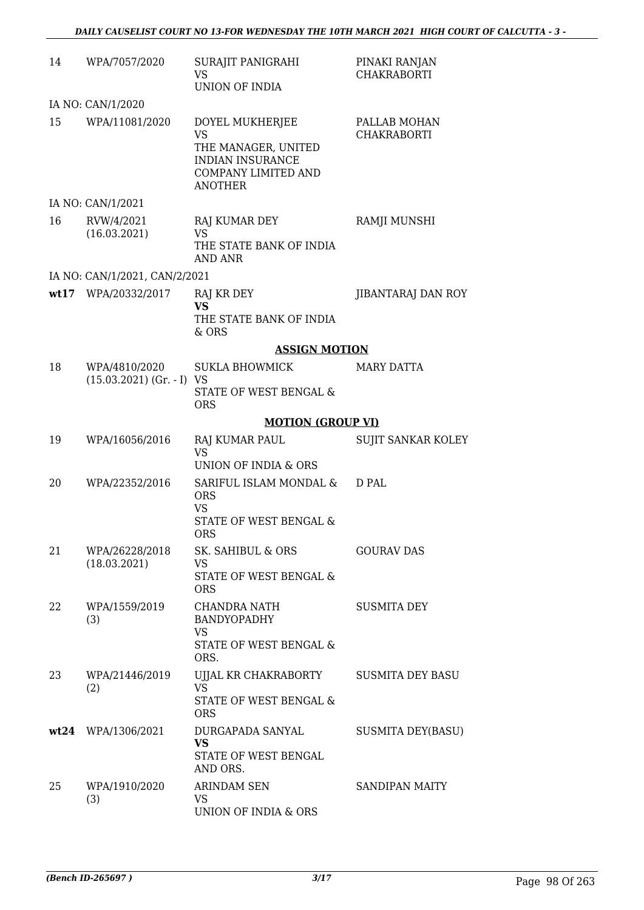| 14 | WPA/7057/2020                                | SURAJIT PANIGRAHI<br><b>VS</b><br>UNION OF INDIA                                                                               | PINAKI RANJAN<br><b>CHAKRABORTI</b> |
|----|----------------------------------------------|--------------------------------------------------------------------------------------------------------------------------------|-------------------------------------|
|    | IA NO: CAN/1/2020                            |                                                                                                                                |                                     |
| 15 | WPA/11081/2020                               | DOYEL MUKHERJEE<br><b>VS</b><br>THE MANAGER, UNITED<br><b>INDIAN INSURANCE</b><br><b>COMPANY LIMITED AND</b><br><b>ANOTHER</b> | PALLAB MOHAN<br><b>CHAKRABORTI</b>  |
|    | IA NO: CAN/1/2021                            |                                                                                                                                |                                     |
| 16 | RVW/4/2021<br>(16.03.2021)                   | RAJ KUMAR DEY<br>VS<br>THE STATE BANK OF INDIA<br>AND ANR                                                                      | RAMJI MUNSHI                        |
|    | IA NO: CAN/1/2021, CAN/2/2021                |                                                                                                                                |                                     |
|    | wt17 WPA/20332/2017                          | RAJ KR DEY<br><b>VS</b><br>THE STATE BANK OF INDIA<br>& ORS                                                                    | JIBANTARAJ DAN ROY                  |
|    |                                              | <b>ASSIGN MOTION</b>                                                                                                           |                                     |
| 18 | WPA/4810/2020<br>$(15.03.2021)$ (Gr. - I) VS | SUKLA BHOWMICK<br>STATE OF WEST BENGAL &<br><b>ORS</b>                                                                         | <b>MARY DATTA</b>                   |
|    |                                              | <b>MOTION (GROUP VI)</b>                                                                                                       |                                     |
| 19 | WPA/16056/2016                               | RAJ KUMAR PAUL<br><b>VS</b><br>UNION OF INDIA & ORS                                                                            | <b>SUJIT SANKAR KOLEY</b>           |
| 20 | WPA/22352/2016                               | SARIFUL ISLAM MONDAL &<br><b>ORS</b><br><b>VS</b><br>STATE OF WEST BENGAL &<br><b>ORS</b>                                      | D PAL                               |
| 21 | WPA/26228/2018<br>(18.03.2021)               | SK. SAHIBUL & ORS<br>VS<br>STATE OF WEST BENGAL &<br><b>ORS</b>                                                                | <b>GOURAV DAS</b>                   |
| 22 | WPA/1559/2019<br>(3)                         | CHANDRA NATH<br><b>BANDYOPADHY</b><br>VS.<br>STATE OF WEST BENGAL &<br>ORS.                                                    | <b>SUSMITA DEY</b>                  |
| 23 | WPA/21446/2019<br>(2)                        | UJJAL KR CHAKRABORTY<br><b>VS</b><br>STATE OF WEST BENGAL &<br><b>ORS</b>                                                      | <b>SUSMITA DEY BASU</b>             |
|    | wt24 WPA/1306/2021                           | DURGAPADA SANYAL<br><b>VS</b><br>STATE OF WEST BENGAL<br>AND ORS.                                                              | <b>SUSMITA DEY(BASU)</b>            |
| 25 | WPA/1910/2020<br>(3)                         | <b>ARINDAM SEN</b><br>VS<br>UNION OF INDIA & ORS                                                                               | <b>SANDIPAN MAITY</b>               |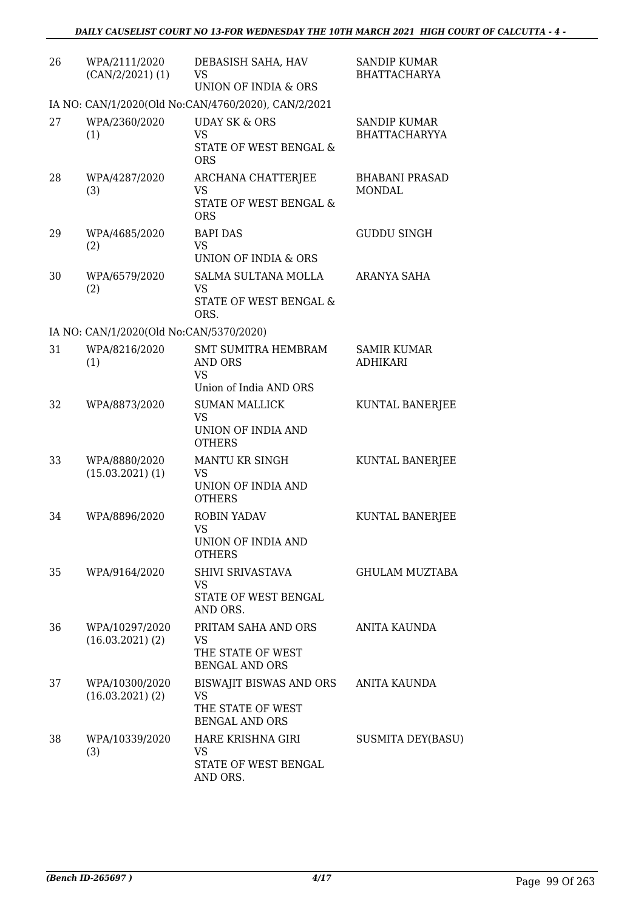| 26 | WPA/2111/2020<br>$(CAN/2/2021)$ (1)     | DEBASISH SAHA, HAV<br><b>VS</b><br>UNION OF INDIA & ORS                            | <b>SANDIP KUMAR</b><br><b>BHATTACHARYA</b>  |
|----|-----------------------------------------|------------------------------------------------------------------------------------|---------------------------------------------|
|    |                                         | IA NO: CAN/1/2020(Old No:CAN/4760/2020), CAN/2/2021                                |                                             |
| 27 | WPA/2360/2020<br>(1)                    | <b>UDAY SK &amp; ORS</b><br><b>VS</b><br>STATE OF WEST BENGAL &<br><b>ORS</b>      | <b>SANDIP KUMAR</b><br><b>BHATTACHARYYA</b> |
| 28 | WPA/4287/2020<br>(3)                    | ARCHANA CHATTERJEE<br><b>VS</b><br><b>STATE OF WEST BENGAL &amp;</b><br><b>ORS</b> | <b>BHABANI PRASAD</b><br><b>MONDAL</b>      |
| 29 | WPA/4685/2020<br>(2)                    | <b>BAPI DAS</b><br><b>VS</b><br>UNION OF INDIA & ORS                               | <b>GUDDU SINGH</b>                          |
| 30 | WPA/6579/2020<br>(2)                    | <b>SALMA SULTANA MOLLA</b><br>VS.<br><b>STATE OF WEST BENGAL &amp;</b><br>ORS.     | ARANYA SAHA                                 |
|    | IA NO: CAN/1/2020(Old No:CAN/5370/2020) |                                                                                    |                                             |
| 31 | WPA/8216/2020<br>(1)                    | <b>SMT SUMITRA HEMBRAM</b><br>AND ORS<br><b>VS</b><br>Union of India AND ORS       | <b>SAMIR KUMAR</b><br><b>ADHIKARI</b>       |
| 32 | WPA/8873/2020                           | <b>SUMAN MALLICK</b><br><b>VS</b><br>UNION OF INDIA AND<br><b>OTHERS</b>           | KUNTAL BANERJEE                             |
| 33 | WPA/8880/2020<br>$(15.03.2021)$ $(1)$   | MANTU KR SINGH<br><b>VS</b><br>UNION OF INDIA AND<br><b>OTHERS</b>                 | KUNTAL BANERJEE                             |
| 34 | WPA/8896/2020                           | ROBIN YADAV<br><b>VS</b><br><b>UNION OF INDIA AND</b><br><b>OTHERS</b>             | KUNTAL BANERJEE                             |
| 35 | WPA/9164/2020                           | SHIVI SRIVASTAVA<br>VS<br>STATE OF WEST BENGAL<br>AND ORS.                         | GHULAM MUZTABA                              |
| 36 | WPA/10297/2020<br>$(16.03.2021)$ (2)    | PRITAM SAHA AND ORS<br>VS<br>THE STATE OF WEST<br><b>BENGAL AND ORS</b>            | <b>ANITA KAUNDA</b>                         |
| 37 | WPA/10300/2020<br>$(16.03.2021)$ $(2)$  | BISWAJIT BISWAS AND ORS<br>VS<br>THE STATE OF WEST<br><b>BENGAL AND ORS</b>        | ANITA KAUNDA                                |
| 38 | WPA/10339/2020<br>(3)                   | HARE KRISHNA GIRI<br>VS<br>STATE OF WEST BENGAL<br>AND ORS.                        | <b>SUSMITA DEY(BASU)</b>                    |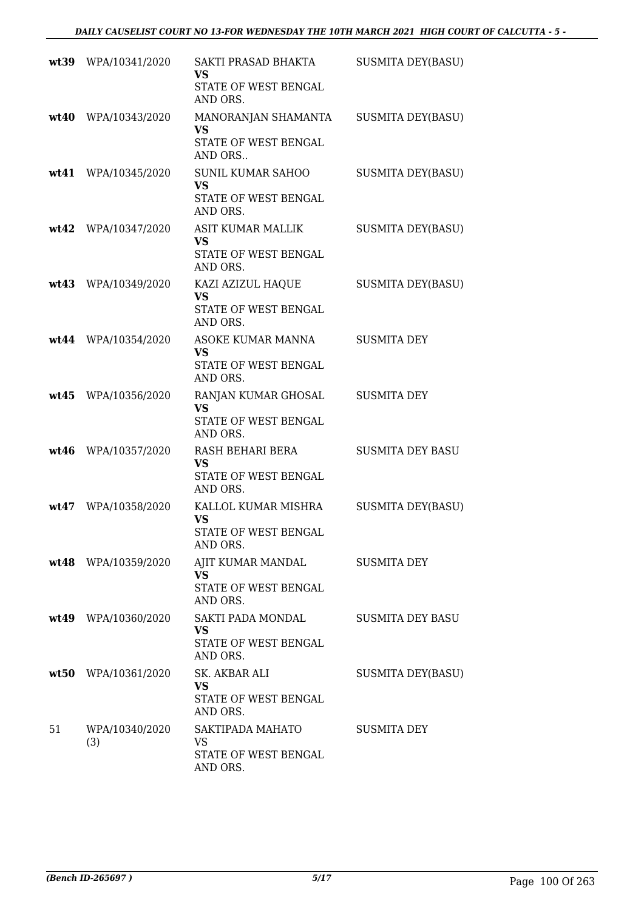|    | wt39 WPA/10341/2020   | SAKTI PRASAD BHAKTA<br>VS<br>STATE OF WEST BENGAL<br>AND ORS.               | <b>SUSMITA DEY(BASU)</b> |
|----|-----------------------|-----------------------------------------------------------------------------|--------------------------|
|    | wt40 WPA/10343/2020   | MANORANJAN SHAMANTA<br><b>VS</b><br>STATE OF WEST BENGAL<br>AND ORS         | <b>SUSMITA DEY(BASU)</b> |
|    | wt41 WPA/10345/2020   | <b>SUNIL KUMAR SAHOO</b><br><b>VS</b><br>STATE OF WEST BENGAL<br>AND ORS.   | <b>SUSMITA DEY(BASU)</b> |
|    | wt42 WPA/10347/2020   | ASIT KUMAR MALLIK<br><b>VS</b><br>STATE OF WEST BENGAL<br>AND ORS.          | <b>SUSMITA DEY(BASU)</b> |
|    | wt43 WPA/10349/2020   | KAZI AZIZUL HAQUE<br><b>VS</b><br>STATE OF WEST BENGAL<br>AND ORS.          | <b>SUSMITA DEY(BASU)</b> |
|    | wt44 WPA/10354/2020   | ASOKE KUMAR MANNA<br><b>VS</b><br>STATE OF WEST BENGAL<br>AND ORS.          | <b>SUSMITA DEY</b>       |
|    | wt45 WPA/10356/2020   | RANJAN KUMAR GHOSAL<br><b>VS</b><br>STATE OF WEST BENGAL<br>AND ORS.        | <b>SUSMITA DEY</b>       |
|    | wt46 WPA/10357/2020   | RASH BEHARI BERA<br><b>VS</b><br>STATE OF WEST BENGAL<br>AND ORS.           | <b>SUSMITA DEY BASU</b>  |
|    | wt47 WPA/10358/2020   | KALLOL KUMAR MISHRA<br><b>VS</b><br><b>STATE OF WEST BENGAL</b><br>AND ORS. | <b>SUSMITA DEY(BASU)</b> |
|    | wt48 WPA/10359/2020   | AJIT KUMAR MANDAL<br><b>VS</b><br>STATE OF WEST BENGAL<br>AND ORS.          | <b>SUSMITA DEY</b>       |
|    | wt49 WPA/10360/2020   | SAKTI PADA MONDAL<br><b>VS</b><br>STATE OF WEST BENGAL<br>AND ORS.          | SUSMITA DEY BASU         |
|    | wt50 WPA/10361/2020   | SK. AKBAR ALI<br><b>VS</b><br>STATE OF WEST BENGAL<br>AND ORS.              | SUSMITA DEY(BASU)        |
| 51 | WPA/10340/2020<br>(3) | SAKTIPADA MAHATO<br>VS<br>STATE OF WEST BENGAL<br>AND ORS.                  | <b>SUSMITA DEY</b>       |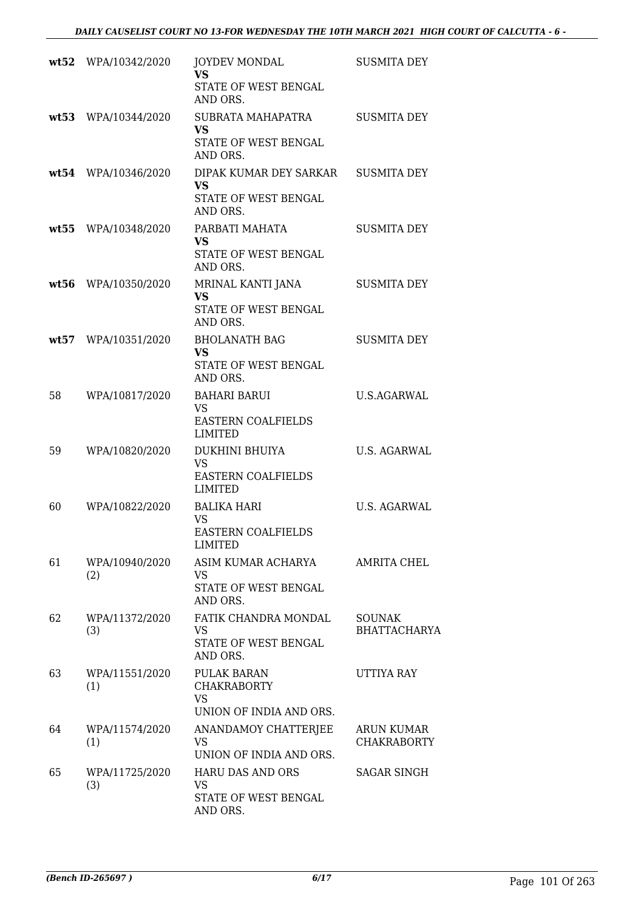|      | wt52 WPA/10342/2020   | <b>JOYDEV MONDAL</b><br><b>VS</b>                                                | <b>SUSMITA DEY</b>                   |
|------|-----------------------|----------------------------------------------------------------------------------|--------------------------------------|
|      |                       | STATE OF WEST BENGAL<br>AND ORS.                                                 |                                      |
| wt53 | WPA/10344/2020        | SUBRATA MAHAPATRA<br><b>VS</b>                                                   | <b>SUSMITA DEY</b>                   |
|      |                       | STATE OF WEST BENGAL<br>AND ORS.                                                 |                                      |
|      | wt54 WPA/10346/2020   | DIPAK KUMAR DEY SARKAR<br><b>VS</b><br>STATE OF WEST BENGAL<br>AND ORS.          | <b>SUSMITA DEY</b>                   |
|      | wt55 WPA/10348/2020   | PARBATI MAHATA<br><b>VS</b>                                                      | <b>SUSMITA DEY</b>                   |
|      |                       | STATE OF WEST BENGAL<br>AND ORS.                                                 |                                      |
| wt56 | WPA/10350/2020        | MRINAL KANTI JANA<br>VS<br>STATE OF WEST BENGAL<br>AND ORS.                      | <b>SUSMITA DEY</b>                   |
| wt57 | WPA/10351/2020        | <b>BHOLANATH BAG</b><br><b>VS</b>                                                | <b>SUSMITA DEY</b>                   |
|      |                       | STATE OF WEST BENGAL<br>AND ORS.                                                 |                                      |
| 58   | WPA/10817/2020        | <b>BAHARI BARUI</b><br><b>VS</b><br><b>EASTERN COALFIELDS</b><br><b>LIMITED</b>  | U.S.AGARWAL                          |
| 59   | WPA/10820/2020        | DUKHINI BHUIYA<br><b>VS</b>                                                      | U.S. AGARWAL                         |
|      |                       | <b>EASTERN COALFIELDS</b><br><b>LIMITED</b>                                      |                                      |
| 60   | WPA/10822/2020        | <b>BALIKA HARI</b><br><b>VS</b>                                                  | U.S. AGARWAL                         |
|      |                       | <b>EASTERN COALFIELDS</b><br>LIMITED                                             |                                      |
| 61   | WPA/10940/2020<br>(2) | ASIM KUMAR ACHARYA<br>VS.                                                        | <b>AMRITA CHEL</b>                   |
|      |                       | STATE OF WEST BENGAL<br>AND ORS.                                                 |                                      |
| 62   | WPA/11372/2020<br>(3) | FATIK CHANDRA MONDAL<br><b>VS</b>                                                | <b>SOUNAK</b><br><b>BHATTACHARYA</b> |
|      |                       | STATE OF WEST BENGAL<br>AND ORS.                                                 |                                      |
| 63   | WPA/11551/2020<br>(1) | <b>PULAK BARAN</b><br><b>CHAKRABORTY</b><br><b>VS</b><br>UNION OF INDIA AND ORS. | UTTIYA RAY                           |
| 64   | WPA/11574/2020        | ANANDAMOY CHATTERJEE                                                             | <b>ARUN KUMAR</b>                    |
|      | (1)                   | VS<br>UNION OF INDIA AND ORS.                                                    | <b>CHAKRABORTY</b>                   |
| 65   | WPA/11725/2020<br>(3) | <b>HARU DAS AND ORS</b><br>VS                                                    | <b>SAGAR SINGH</b>                   |
|      |                       | STATE OF WEST BENGAL<br>AND ORS.                                                 |                                      |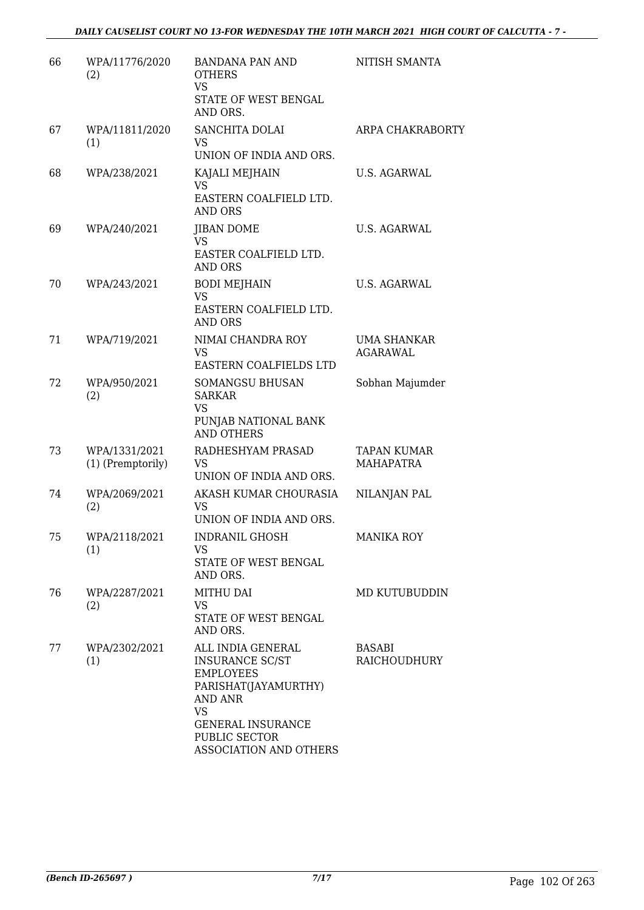| 66 | WPA/11776/2020<br>(2)              | <b>BANDANA PAN AND</b><br><b>OTHERS</b><br><b>VS</b><br>STATE OF WEST BENGAL<br>AND ORS.                                                                                                      | NITISH SMANTA                          |
|----|------------------------------------|-----------------------------------------------------------------------------------------------------------------------------------------------------------------------------------------------|----------------------------------------|
| 67 | WPA/11811/2020<br>(1)              | SANCHITA DOLAI<br>VS<br>UNION OF INDIA AND ORS.                                                                                                                                               | ARPA CHAKRABORTY                       |
| 68 | WPA/238/2021                       | KAJALI MEJHAIN<br><b>VS</b><br>EASTERN COALFIELD LTD.<br><b>AND ORS</b>                                                                                                                       | U.S. AGARWAL                           |
| 69 | WPA/240/2021                       | <b>JIBAN DOME</b><br>VS<br>EASTER COALFIELD LTD.<br><b>AND ORS</b>                                                                                                                            | U.S. AGARWAL                           |
| 70 | WPA/243/2021                       | <b>BODI MEJHAIN</b><br><b>VS</b><br>EASTERN COALFIELD LTD.<br>AND ORS                                                                                                                         | U.S. AGARWAL                           |
| 71 | WPA/719/2021                       | NIMAI CHANDRA ROY<br><b>VS</b><br>EASTERN COALFIELDS LTD                                                                                                                                      | UMA SHANKAR<br><b>AGARAWAL</b>         |
| 72 | WPA/950/2021<br>(2)                | <b>SOMANGSU BHUSAN</b><br><b>SARKAR</b><br><b>VS</b><br>PUNJAB NATIONAL BANK<br><b>AND OTHERS</b>                                                                                             | Sobhan Majumder                        |
| 73 | WPA/1331/2021<br>(1) (Premptorily) | RADHESHYAM PRASAD<br>VS<br>UNION OF INDIA AND ORS.                                                                                                                                            | <b>TAPAN KUMAR</b><br><b>MAHAPATRA</b> |
| 74 | WPA/2069/2021<br>(2)               | AKASH KUMAR CHOURASIA<br><b>VS</b><br>UNION OF INDIA AND ORS.                                                                                                                                 | NILANJAN PAL                           |
| 75 | WPA/2118/2021<br>(1)               | INDRANIL GHOSH<br>VS<br>STATE OF WEST BENGAL<br>AND ORS.                                                                                                                                      | <b>MANIKA ROY</b>                      |
| 76 | WPA/2287/2021<br>(2)               | <b>MITHU DAI</b><br><b>VS</b><br>STATE OF WEST BENGAL<br>AND ORS.                                                                                                                             | MD KUTUBUDDIN                          |
| 77 | WPA/2302/2021<br>(1)               | ALL INDIA GENERAL<br><b>INSURANCE SC/ST</b><br><b>EMPLOYEES</b><br>PARISHAT(JAYAMURTHY)<br><b>AND ANR</b><br><b>VS</b><br><b>GENERAL INSURANCE</b><br>PUBLIC SECTOR<br>ASSOCIATION AND OTHERS | BASABI<br>RAICHOUDHURY                 |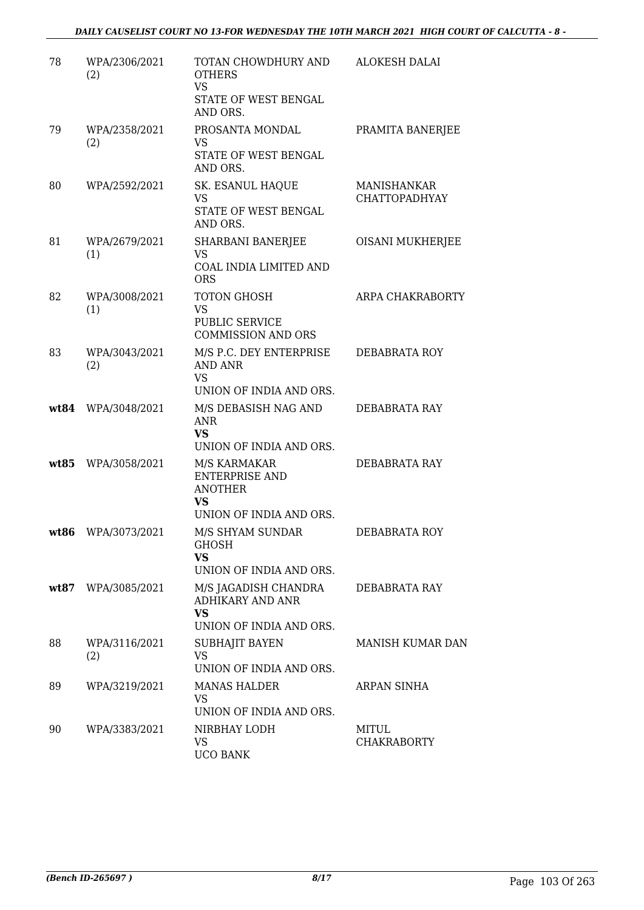| 78   | WPA/2306/2021<br>(2) | TOTAN CHOWDHURY AND<br><b>OTHERS</b><br><b>VS</b><br>STATE OF WEST BENGAL<br>AND ORS.           | <b>ALOKESH DALAI</b>                       |
|------|----------------------|-------------------------------------------------------------------------------------------------|--------------------------------------------|
| 79   | WPA/2358/2021<br>(2) | PROSANTA MONDAL<br><b>VS</b><br>STATE OF WEST BENGAL<br>AND ORS.                                | PRAMITA BANERJEE                           |
| 80   | WPA/2592/2021        | SK. ESANUL HAQUE<br><b>VS</b><br>STATE OF WEST BENGAL<br>AND ORS.                               | <b>MANISHANKAR</b><br><b>CHATTOPADHYAY</b> |
| 81   | WPA/2679/2021<br>(1) | SHARBANI BANERJEE<br>VS<br>COAL INDIA LIMITED AND<br><b>ORS</b>                                 | OISANI MUKHERJEE                           |
| 82   | WPA/3008/2021<br>(1) | TOTON GHOSH<br><b>VS</b><br><b>PUBLIC SERVICE</b><br><b>COMMISSION AND ORS</b>                  | ARPA CHAKRABORTY                           |
| 83   | WPA/3043/2021<br>(2) | M/S P.C. DEY ENTERPRISE<br><b>AND ANR</b><br><b>VS</b><br>UNION OF INDIA AND ORS.               | DEBABRATA ROY                              |
|      | wt84 WPA/3048/2021   | M/S DEBASISH NAG AND<br><b>ANR</b><br><b>VS</b><br>UNION OF INDIA AND ORS.                      | DEBABRATA RAY                              |
|      | wt85 WPA/3058/2021   | M/S KARMAKAR<br><b>ENTERPRISE AND</b><br><b>ANOTHER</b><br><b>VS</b><br>UNION OF INDIA AND ORS. | DEBABRATA RAY                              |
| wt86 | WPA/3073/2021        | M/S SHYAM SUNDAR<br><b>GHOSH</b><br><b>VS</b><br>UNION OF INDIA AND ORS.                        | DEBABRATA ROY                              |
|      | wt87 WPA/3085/2021   | M/S JAGADISH CHANDRA<br><b>ADHIKARY AND ANR</b><br>VS<br>UNION OF INDIA AND ORS.                | DEBABRATA RAY                              |
| 88   | WPA/3116/2021<br>(2) | SUBHAJIT BAYEN<br>VS<br>UNION OF INDIA AND ORS.                                                 | <b>MANISH KUMAR DAN</b>                    |
| 89   | WPA/3219/2021        | <b>MANAS HALDER</b><br><b>VS</b><br>UNION OF INDIA AND ORS.                                     | ARPAN SINHA                                |
| 90   | WPA/3383/2021        | NIRBHAY LODH<br>VS<br><b>UCO BANK</b>                                                           | <b>MITUL</b><br><b>CHAKRABORTY</b>         |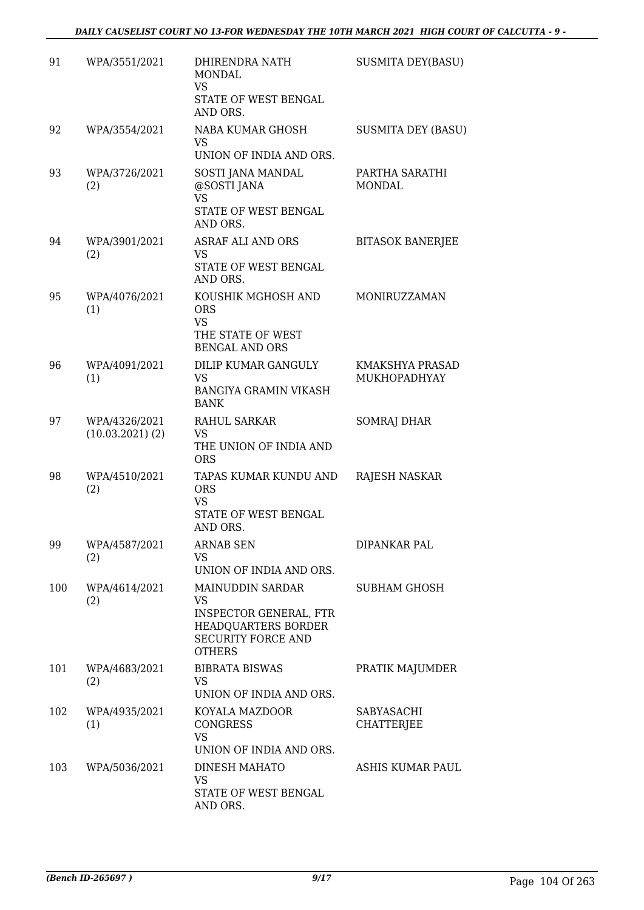| 91  | WPA/3551/2021                    | DHIRENDRA NATH<br>MONDAL<br><b>VS</b><br>STATE OF WEST BENGAL<br>AND ORS.                                                    | <b>SUSMITA DEY(BASU)</b>        |
|-----|----------------------------------|------------------------------------------------------------------------------------------------------------------------------|---------------------------------|
| 92  | WPA/3554/2021                    | NABA KUMAR GHOSH<br><b>VS</b><br>UNION OF INDIA AND ORS.                                                                     | <b>SUSMITA DEY (BASU)</b>       |
| 93  | WPA/3726/2021<br>(2)             | SOSTI JANA MANDAL<br>@SOSTI JANA<br><b>VS</b><br>STATE OF WEST BENGAL<br>AND ORS.                                            | PARTHA SARATHI<br><b>MONDAL</b> |
| 94  | WPA/3901/2021<br>(2)             | <b>ASRAF ALI AND ORS</b><br><b>VS</b><br>STATE OF WEST BENGAL<br>AND ORS.                                                    | <b>BITASOK BANERJEE</b>         |
| 95  | WPA/4076/2021<br>(1)             | KOUSHIK MGHOSH AND<br><b>ORS</b><br><b>VS</b><br>THE STATE OF WEST<br><b>BENGAL AND ORS</b>                                  | MONIRUZZAMAN                    |
| 96  | WPA/4091/2021<br>(1)             | DILIP KUMAR GANGULY<br><b>VS</b><br><b>BANGIYA GRAMIN VIKASH</b><br><b>BANK</b>                                              | KMAKSHYA PRASAD<br>MUKHOPADHYAY |
| 97  | WPA/4326/2021<br>(10.03.2021)(2) | <b>RAHUL SARKAR</b><br>VS<br>THE UNION OF INDIA AND<br><b>ORS</b>                                                            | SOMRAJ DHAR                     |
| 98  | WPA/4510/2021<br>(2)             | TAPAS KUMAR KUNDU AND<br><b>ORS</b><br><b>VS</b><br>STATE OF WEST BENGAL<br>AND ORS.                                         | RAJESH NASKAR                   |
| 99  | WPA/4587/2021<br>(2)             | <b>ARNAB SEN</b><br><b>VS</b><br>UNION OF INDIA AND ORS.                                                                     | DIPANKAR PAL                    |
| 100 | WPA/4614/2021<br>(2)             | MAINUDDIN SARDAR<br>VS<br><b>INSPECTOR GENERAL, FTR</b><br>HEADQUARTERS BORDER<br><b>SECURITY FORCE AND</b><br><b>OTHERS</b> | SUBHAM GHOSH                    |
| 101 | WPA/4683/2021<br>(2)             | <b>BIBRATA BISWAS</b><br><b>VS</b><br>UNION OF INDIA AND ORS.                                                                | PRATIK MAJUMDER                 |
| 102 | WPA/4935/2021<br>(1)             | KOYALA MAZDOOR<br><b>CONGRESS</b><br><b>VS</b><br>UNION OF INDIA AND ORS.                                                    | SABYASACHI<br>CHATTERJEE        |
| 103 | WPA/5036/2021                    | DINESH MAHATO<br>VS<br>STATE OF WEST BENGAL<br>AND ORS.                                                                      | ASHIS KUMAR PAUL                |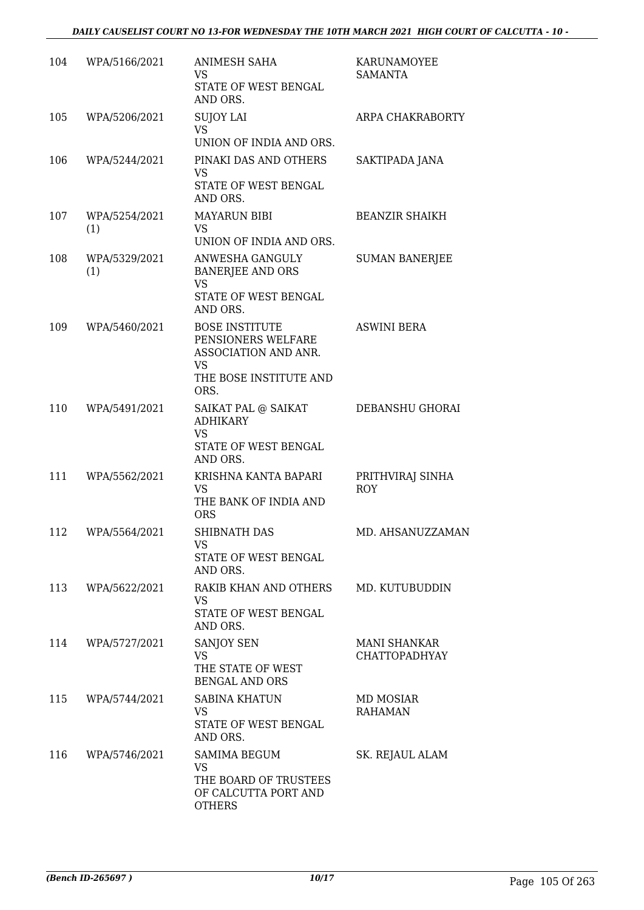| 104 | WPA/5166/2021        | <b>ANIMESH SAHA</b><br>VS<br>STATE OF WEST BENGAL<br>AND ORS.                                                      | KARUNAMOYEE<br>SAMANTA                      |
|-----|----------------------|--------------------------------------------------------------------------------------------------------------------|---------------------------------------------|
| 105 | WPA/5206/2021        | <b>SUJOY LAI</b><br>VS.<br>UNION OF INDIA AND ORS.                                                                 | ARPA CHAKRABORTY                            |
| 106 | WPA/5244/2021        | PINAKI DAS AND OTHERS<br><b>VS</b><br>STATE OF WEST BENGAL<br>AND ORS.                                             | SAKTIPADA JANA                              |
| 107 | WPA/5254/2021<br>(1) | <b>MAYARUN BIBI</b><br><b>VS</b><br>UNION OF INDIA AND ORS.                                                        | <b>BEANZIR SHAIKH</b>                       |
| 108 | WPA/5329/2021<br>(1) | ANWESHA GANGULY<br><b>BANERJEE AND ORS</b><br><b>VS</b><br><b>STATE OF WEST BENGAL</b><br>AND ORS.                 | <b>SUMAN BANERJEE</b>                       |
| 109 | WPA/5460/2021        | <b>BOSE INSTITUTE</b><br>PENSIONERS WELFARE<br>ASSOCIATION AND ANR.<br><b>VS</b><br>THE BOSE INSTITUTE AND<br>ORS. | <b>ASWINI BERA</b>                          |
| 110 | WPA/5491/2021        | SAIKAT PAL @ SAIKAT<br><b>ADHIKARY</b><br><b>VS</b><br>STATE OF WEST BENGAL<br>AND ORS.                            | DEBANSHU GHORAI                             |
| 111 | WPA/5562/2021        | KRISHNA KANTA BAPARI<br>VS.<br>THE BANK OF INDIA AND<br><b>ORS</b>                                                 | PRITHVIRAJ SINHA<br><b>ROY</b>              |
| 112 | WPA/5564/2021        | SHIBNATH DAS<br>VS.<br>STATE OF WEST BENGAL<br>AND ORS.                                                            | MD. AHSANUZZAMAN                            |
| 113 | WPA/5622/2021        | RAKIB KHAN AND OTHERS MD. KUTUBUDDIN<br>VS<br>STATE OF WEST BENGAL<br>AND ORS.                                     |                                             |
| 114 | WPA/5727/2021        | <b>SANJOY SEN</b><br><b>VS</b><br>THE STATE OF WEST<br><b>BENGAL AND ORS</b>                                       | <b>MANI SHANKAR</b><br><b>CHATTOPADHYAY</b> |
| 115 | WPA/5744/2021        | <b>SABINA KHATUN</b><br>VS.<br>STATE OF WEST BENGAL<br>AND ORS.                                                    | MD MOSIAR<br><b>RAHAMAN</b>                 |
| 116 | WPA/5746/2021        | SAMIMA BEGUM<br><b>VS</b><br>THE BOARD OF TRUSTEES<br>OF CALCUTTA PORT AND<br><b>OTHERS</b>                        | SK. REJAUL ALAM                             |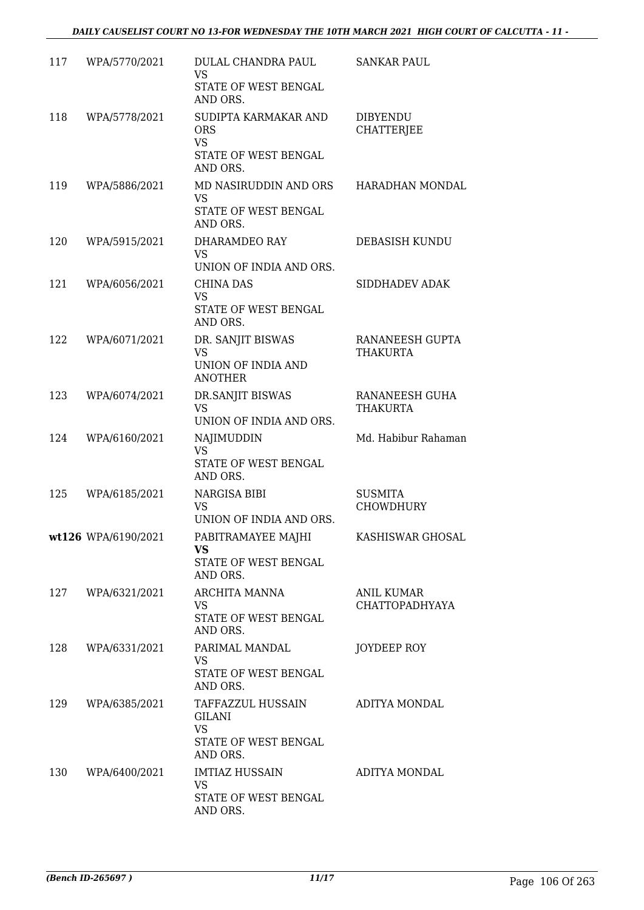| 117 | WPA/5770/2021       | DULAL CHANDRA PAUL<br><b>VS</b><br>STATE OF WEST BENGAL<br>AND ORS.                 | <b>SANKAR PAUL</b>                   |
|-----|---------------------|-------------------------------------------------------------------------------------|--------------------------------------|
| 118 | WPA/5778/2021       | SUDIPTA KARMAKAR AND<br><b>ORS</b><br><b>VS</b><br>STATE OF WEST BENGAL<br>AND ORS. | <b>DIBYENDU</b><br><b>CHATTERJEE</b> |
| 119 | WPA/5886/2021       | MD NASIRUDDIN AND ORS<br><b>VS</b><br>STATE OF WEST BENGAL<br>AND ORS.              | HARADHAN MONDAL                      |
| 120 | WPA/5915/2021       | DHARAMDEO RAY<br><b>VS</b><br>UNION OF INDIA AND ORS.                               | DEBASISH KUNDU                       |
| 121 | WPA/6056/2021       | <b>CHINA DAS</b><br><b>VS</b><br>STATE OF WEST BENGAL<br>AND ORS.                   | SIDDHADEV ADAK                       |
| 122 | WPA/6071/2021       | DR. SANJIT BISWAS<br><b>VS</b><br>UNION OF INDIA AND<br><b>ANOTHER</b>              | RANANEESH GUPTA<br><b>THAKURTA</b>   |
| 123 | WPA/6074/2021       | DR.SANJIT BISWAS<br><b>VS</b><br>UNION OF INDIA AND ORS.                            | RANANEESH GUHA<br><b>THAKURTA</b>    |
| 124 | WPA/6160/2021       | NAJIMUDDIN<br><b>VS</b><br>STATE OF WEST BENGAL<br>AND ORS.                         | Md. Habibur Rahaman                  |
| 125 | WPA/6185/2021       | NARGISA BIBI<br><b>VS</b><br>UNION OF INDIA AND ORS.                                | <b>SUSMITA</b><br><b>CHOWDHURY</b>   |
|     | wt126 WPA/6190/2021 | PABITRAMAYEE MAJHI<br><b>VS</b><br>STATE OF WEST BENGAL<br>AND ORS.                 | KASHISWAR GHOSAL                     |
| 127 | WPA/6321/2021       | <b>ARCHITA MANNA</b><br>VS.<br>STATE OF WEST BENGAL<br>AND ORS.                     | <b>ANIL KUMAR</b><br>CHATTOPADHYAYA  |
| 128 | WPA/6331/2021       | PARIMAL MANDAL<br><b>VS</b><br>STATE OF WEST BENGAL<br>AND ORS.                     | JOYDEEP ROY                          |
| 129 | WPA/6385/2021       | TAFFAZZUL HUSSAIN<br>GILANI<br><b>VS</b><br>STATE OF WEST BENGAL<br>AND ORS.        | ADITYA MONDAL                        |
| 130 | WPA/6400/2021       | <b>IMTIAZ HUSSAIN</b><br><b>VS</b><br>STATE OF WEST BENGAL<br>AND ORS.              | ADITYA MONDAL                        |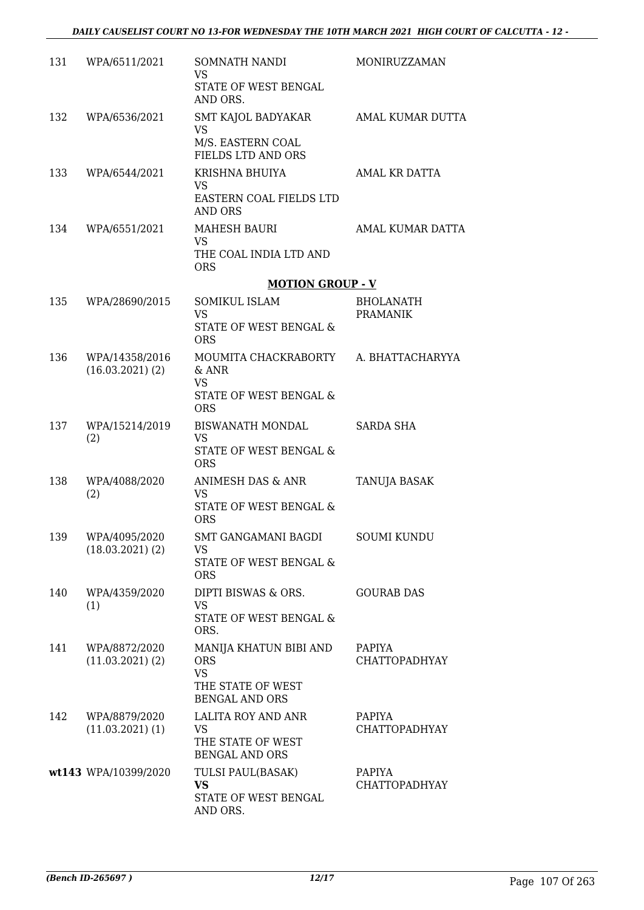| 131 | WPA/6511/2021                         | SOMNATH NANDI<br><b>VS</b><br>STATE OF WEST BENGAL<br>AND ORS.                                  | MONIRUZZAMAN                        |
|-----|---------------------------------------|-------------------------------------------------------------------------------------------------|-------------------------------------|
| 132 | WPA/6536/2021                         | SMT KAJOL BADYAKAR<br><b>VS</b><br>M/S. EASTERN COAL                                            | AMAL KUMAR DUTTA                    |
| 133 | WPA/6544/2021                         | FIELDS LTD AND ORS<br>KRISHNA BHUIYA<br><b>VS</b><br>EASTERN COAL FIELDS LTD                    | AMAL KR DATTA                       |
| 134 | WPA/6551/2021                         | AND ORS<br><b>MAHESH BAURI</b><br><b>VS</b><br>THE COAL INDIA LTD AND<br><b>ORS</b>             | AMAL KUMAR DATTA                    |
|     |                                       | <b>MOTION GROUP - V</b>                                                                         |                                     |
| 135 | WPA/28690/2015                        | SOMIKUL ISLAM<br><b>VS</b><br>STATE OF WEST BENGAL &<br><b>ORS</b>                              | <b>BHOLANATH</b><br><b>PRAMANIK</b> |
| 136 | WPA/14358/2016<br>$(16.03.2021)$ (2)  | MOUMITA CHACKRABORTY A. BHATTACHARYYA<br>$&$ ANR<br><b>VS</b><br>STATE OF WEST BENGAL &         |                                     |
|     |                                       | <b>ORS</b>                                                                                      |                                     |
| 137 | WPA/15214/2019<br>(2)                 | BISWANATH MONDAL<br><b>VS</b><br>STATE OF WEST BENGAL &<br><b>ORS</b>                           | SARDA SHA                           |
| 138 | WPA/4088/2020<br>(2)                  | ANIMESH DAS & ANR<br><b>VS</b><br>STATE OF WEST BENGAL &<br><b>ORS</b>                          | <b>TANUJA BASAK</b>                 |
| 139 | WPA/4095/2020<br>$(18.03.2021)$ $(2)$ | SMT GANGAMANI BAGDI<br>VS<br>STATE OF WEST BENGAL &<br><b>ORS</b>                               | <b>SOUMI KUNDU</b>                  |
| 140 | WPA/4359/2020<br>(1)                  | DIPTI BISWAS & ORS.<br><b>VS</b><br>STATE OF WEST BENGAL &<br>ORS.                              | <b>GOURAB DAS</b>                   |
| 141 | WPA/8872/2020<br>$(11.03.2021)$ $(2)$ | MANIJA KHATUN BIBI AND<br><b>ORS</b><br><b>VS</b><br>THE STATE OF WEST                          | PAPIYA<br><b>CHATTOPADHYAY</b>      |
| 142 | WPA/8879/2020<br>$(11.03.2021)$ (1)   | <b>BENGAL AND ORS</b><br>LALITA ROY AND ANR<br>VS<br>THE STATE OF WEST<br><b>BENGAL AND ORS</b> | PAPIYA<br>CHATTOPADHYAY             |
|     | wt143 WPA/10399/2020                  | TULSI PAUL(BASAK)<br><b>VS</b><br>STATE OF WEST BENGAL<br>AND ORS.                              | PAPIYA<br><b>CHATTOPADHYAY</b>      |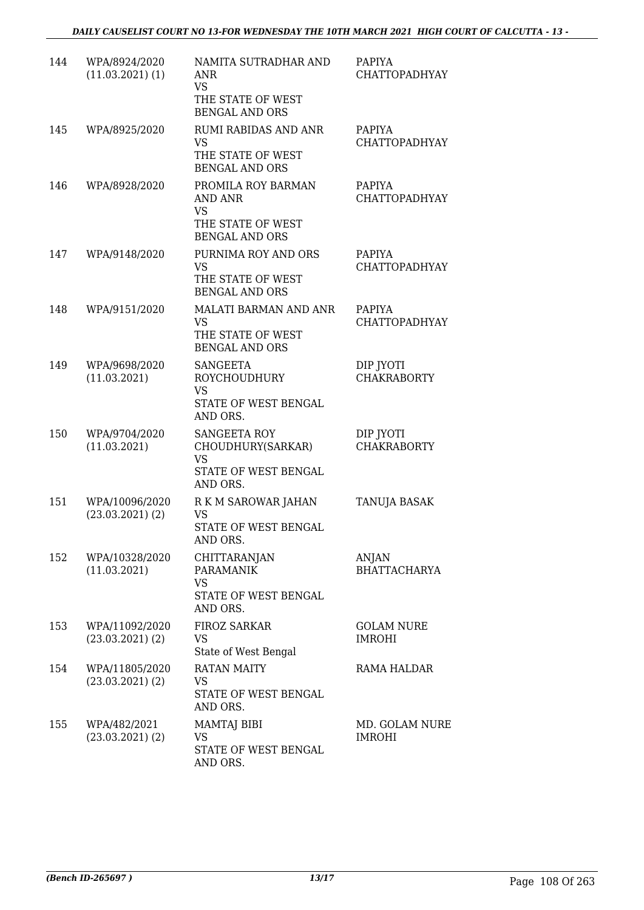| 144 | WPA/8924/2020<br>$(11.03.2021)$ $(1)$  | NAMITA SUTRADHAR AND<br><b>ANR</b><br><b>VS</b><br>THE STATE OF WEST<br><b>BENGAL AND ORS</b> | <b>PAPIYA</b><br><b>CHATTOPADHYAY</b> |
|-----|----------------------------------------|-----------------------------------------------------------------------------------------------|---------------------------------------|
| 145 | WPA/8925/2020                          | <b>RUMI RABIDAS AND ANR</b><br><b>VS</b><br>THE STATE OF WEST<br><b>BENGAL AND ORS</b>        | PAPIYA<br><b>CHATTOPADHYAY</b>        |
| 146 | WPA/8928/2020                          | PROMILA ROY BARMAN<br>AND ANR<br><b>VS</b><br>THE STATE OF WEST<br><b>BENGAL AND ORS</b>      | PAPIYA<br>CHATTOPADHYAY               |
| 147 | WPA/9148/2020                          | PURNIMA ROY AND ORS<br><b>VS</b><br>THE STATE OF WEST<br><b>BENGAL AND ORS</b>                | PAPIYA<br><b>CHATTOPADHYAY</b>        |
| 148 | WPA/9151/2020                          | <b>MALATI BARMAN AND ANR</b><br><b>VS</b><br>THE STATE OF WEST<br><b>BENGAL AND ORS</b>       | <b>PAPIYA</b><br><b>CHATTOPADHYAY</b> |
| 149 | WPA/9698/2020<br>(11.03.2021)          | <b>SANGEETA</b><br><b>ROYCHOUDHURY</b><br><b>VS</b><br>STATE OF WEST BENGAL<br>AND ORS.       | DIP JYOTI<br><b>CHAKRABORTY</b>       |
| 150 | WPA/9704/2020<br>(11.03.2021)          | <b>SANGEETA ROY</b><br>CHOUDHURY(SARKAR)<br><b>VS</b><br>STATE OF WEST BENGAL<br>AND ORS.     | DIP JYOTI<br><b>CHAKRABORTY</b>       |
| 151 | WPA/10096/2020<br>$(23.03.2021)$ $(2)$ | R K M SAROWAR JAHAN<br>VS<br>STATE OF WEST BENGAL<br>AND ORS.                                 | <b>TANUJA BASAK</b>                   |
| 152 | WPA/10328/2020<br>(11.03.2021)         | <b>CHITTARANJAN</b><br><b>PARAMANIK</b><br><b>VS</b><br>STATE OF WEST BENGAL<br>AND ORS.      | ANJAN<br><b>BHATTACHARYA</b>          |
| 153 | WPA/11092/2020<br>$(23.03.2021)$ $(2)$ | <b>FIROZ SARKAR</b><br>VS<br>State of West Bengal                                             | <b>GOLAM NURE</b><br><b>IMROHI</b>    |
| 154 | WPA/11805/2020<br>$(23.03.2021)$ $(2)$ | <b>RATAN MAITY</b><br>VS<br>STATE OF WEST BENGAL<br>AND ORS.                                  | RAMA HALDAR                           |
| 155 | WPA/482/2021<br>$(23.03.2021)$ $(2)$   | <b>MAMTAJ BIBI</b><br><b>VS</b><br>STATE OF WEST BENGAL<br>AND ORS.                           | MD. GOLAM NURE<br><b>IMROHI</b>       |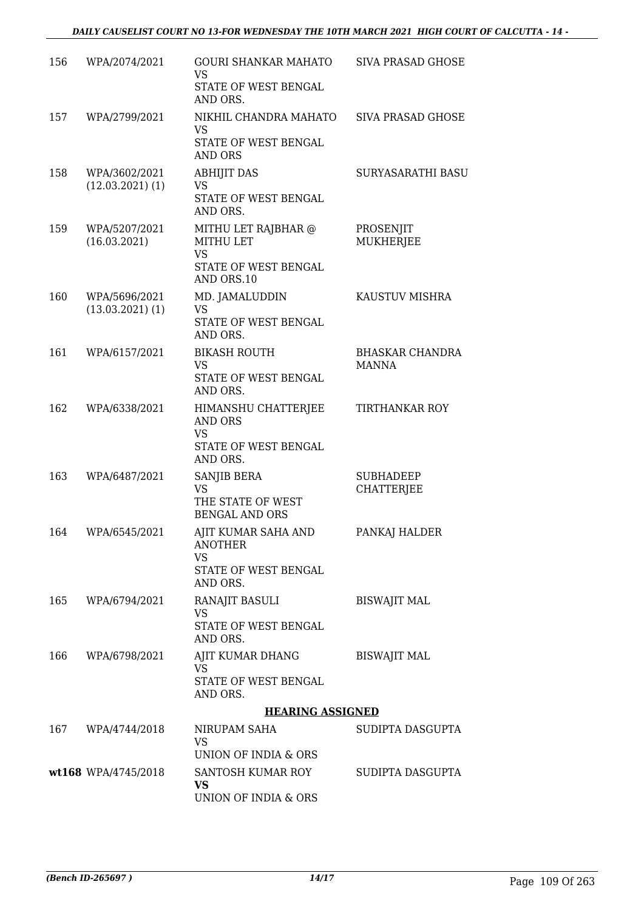| 156 | WPA/2074/2021                         | <b>GOURI SHANKAR MAHATO</b><br>VS                                                      | SIVA PRASAD GHOSE                      |
|-----|---------------------------------------|----------------------------------------------------------------------------------------|----------------------------------------|
|     |                                       | STATE OF WEST BENGAL<br>AND ORS.                                                       |                                        |
| 157 | WPA/2799/2021                         | NIKHIL CHANDRA MAHATO<br>VS<br>STATE OF WEST BENGAL<br>AND ORS                         | SIVA PRASAD GHOSE                      |
| 158 | WPA/3602/2021<br>$(12.03.2021)$ $(1)$ | <b>ABHIJIT DAS</b><br><b>VS</b><br>STATE OF WEST BENGAL<br>AND ORS.                    | SURYASARATHI BASU                      |
| 159 | WPA/5207/2021<br>(16.03.2021)         | MITHU LET RAJBHAR @<br>MITHU LET<br><b>VS</b><br>STATE OF WEST BENGAL<br>AND ORS.10    | PROSENJIT<br><b>MUKHERJEE</b>          |
| 160 | WPA/5696/2021<br>$(13.03.2021)$ $(1)$ | MD. JAMALUDDIN<br>VS<br>STATE OF WEST BENGAL<br>AND ORS.                               | KAUSTUV MISHRA                         |
| 161 | WPA/6157/2021                         | <b>BIKASH ROUTH</b><br>VS<br>STATE OF WEST BENGAL<br>AND ORS.                          | <b>BHASKAR CHANDRA</b><br><b>MANNA</b> |
| 162 | WPA/6338/2021                         | HIMANSHU CHATTERJEE<br>AND ORS<br><b>VS</b><br>STATE OF WEST BENGAL<br>AND ORS.        | TIRTHANKAR ROY                         |
| 163 | WPA/6487/2021                         | SANJIB BERA<br><b>VS</b><br>THE STATE OF WEST<br><b>BENGAL AND ORS</b>                 | <b>SUBHADEEP</b><br><b>CHATTERJEE</b>  |
| 164 | WPA/6545/2021                         | AJIT KUMAR SAHA AND<br><b>ANOTHER</b><br><b>VS</b><br>STATE OF WEST BENGAL<br>AND ORS. | PANKAJ HALDER                          |
| 165 | WPA/6794/2021                         | RANAJIT BASULI<br><b>VS</b><br>STATE OF WEST BENGAL<br>AND ORS.                        | <b>BISWAJIT MAL</b>                    |
| 166 | WPA/6798/2021                         | AJIT KUMAR DHANG<br><b>VS</b><br>STATE OF WEST BENGAL<br>AND ORS.                      | <b>BISWAJIT MAL</b>                    |
|     |                                       | <b>HEARING ASSIGNED</b>                                                                |                                        |
| 167 | WPA/4744/2018                         | NIRUPAM SAHA<br><b>VS</b><br>UNION OF INDIA & ORS                                      | SUDIPTA DASGUPTA                       |
|     | wt168 WPA/4745/2018                   | SANTOSH KUMAR ROY<br><b>VS</b><br>UNION OF INDIA & ORS                                 | SUDIPTA DASGUPTA                       |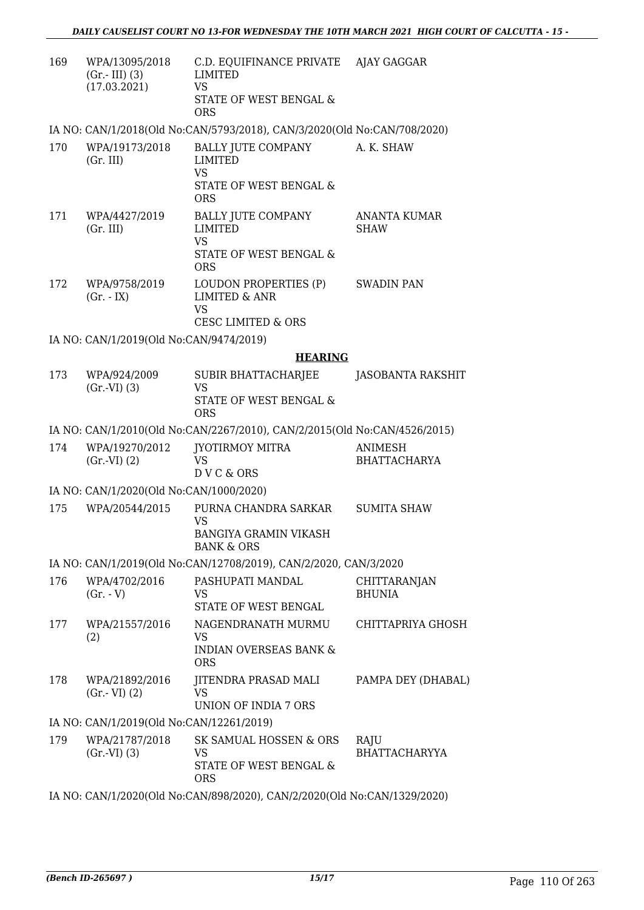| 169 | WPA/13095/2018<br>$(Gr.-III)$ (3)<br>(17.03.2021) | C.D. EQUIFINANCE PRIVATE AJAY GAGGAR<br><b>LIMITED</b><br><b>VS</b><br>STATE OF WEST BENGAL &<br><b>ORS</b> |                                       |
|-----|---------------------------------------------------|-------------------------------------------------------------------------------------------------------------|---------------------------------------|
|     |                                                   | IA NO: CAN/1/2018(Old No:CAN/5793/2018), CAN/3/2020(Old No:CAN/708/2020)                                    |                                       |
| 170 | WPA/19173/2018<br>(Gr. III)                       | <b>BALLY JUTE COMPANY</b><br><b>LIMITED</b><br>VS<br>STATE OF WEST BENGAL &<br><b>ORS</b>                   | A. K. SHAW                            |
| 171 | WPA/4427/2019<br>(Gr. III)                        | <b>BALLY JUTE COMPANY</b><br><b>LIMITED</b><br><b>VS</b><br>STATE OF WEST BENGAL &<br><b>ORS</b>            | ANANTA KUMAR<br><b>SHAW</b>           |
| 172 | WPA/9758/2019<br>$(Gr. - IX)$                     | LOUDON PROPERTIES (P)<br><b>LIMITED &amp; ANR</b><br><b>VS</b><br><b>CESC LIMITED &amp; ORS</b>             | <b>SWADIN PAN</b>                     |
|     | IA NO: CAN/1/2019(Old No:CAN/9474/2019)           |                                                                                                             |                                       |
|     |                                                   | <b>HEARING</b>                                                                                              |                                       |
| 173 | WPA/924/2009<br>(Gr.VI) (3)                       | SUBIR BHATTACHARJEE<br><b>VS</b><br>STATE OF WEST BENGAL &<br><b>ORS</b>                                    | <b>JASOBANTA RAKSHIT</b>              |
|     |                                                   | IA NO: CAN/1/2010(Old No:CAN/2267/2010), CAN/2/2015(Old No:CAN/4526/2015)                                   |                                       |
| 174 | WPA/19270/2012<br>(Gr.VI) (2)                     | JYOTIRMOY MITRA<br><b>VS</b><br>DVC&ORS                                                                     | <b>ANIMESH</b><br><b>BHATTACHARYA</b> |
|     | IA NO: CAN/1/2020(Old No:CAN/1000/2020)           |                                                                                                             |                                       |
| 175 | WPA/20544/2015                                    | PURNA CHANDRA SARKAR<br><b>VS</b><br><b>BANGIYA GRAMIN VIKASH</b><br><b>BANK &amp; ORS</b>                  | <b>SUMITA SHAW</b>                    |
|     |                                                   | IA NO: CAN/1/2019(Old No:CAN/12708/2019), CAN/2/2020, CAN/3/2020                                            |                                       |
| 176 | WPA/4702/2016<br>$(Gr. - V)$                      | PASHUPATI MANDAL<br>VS<br>STATE OF WEST BENGAL                                                              | CHITTARANJAN<br><b>BHUNIA</b>         |
| 177 | WPA/21557/2016<br>(2)                             | NAGENDRANATH MURMU<br><b>VS</b><br><b>INDIAN OVERSEAS BANK &amp;</b><br><b>ORS</b>                          | CHITTAPRIYA GHOSH                     |
| 178 | WPA/21892/2016<br>$(Gr.-VI)$ $(2)$                | JITENDRA PRASAD MALI<br>VS<br>UNION OF INDIA 7 ORS                                                          | PAMPA DEY (DHABAL)                    |
|     | IA NO: CAN/1/2019(Old No:CAN/12261/2019)          |                                                                                                             |                                       |
| 179 | WPA/21787/2018<br>(Gr.VI) (3)                     | SK SAMUAL HOSSEN & ORS<br>VS<br>STATE OF WEST BENGAL &<br><b>ORS</b>                                        | RAJU<br>BHATTACHARYYA                 |
|     |                                                   |                                                                                                             |                                       |

IA NO: CAN/1/2020(Old No:CAN/898/2020), CAN/2/2020(Old No:CAN/1329/2020)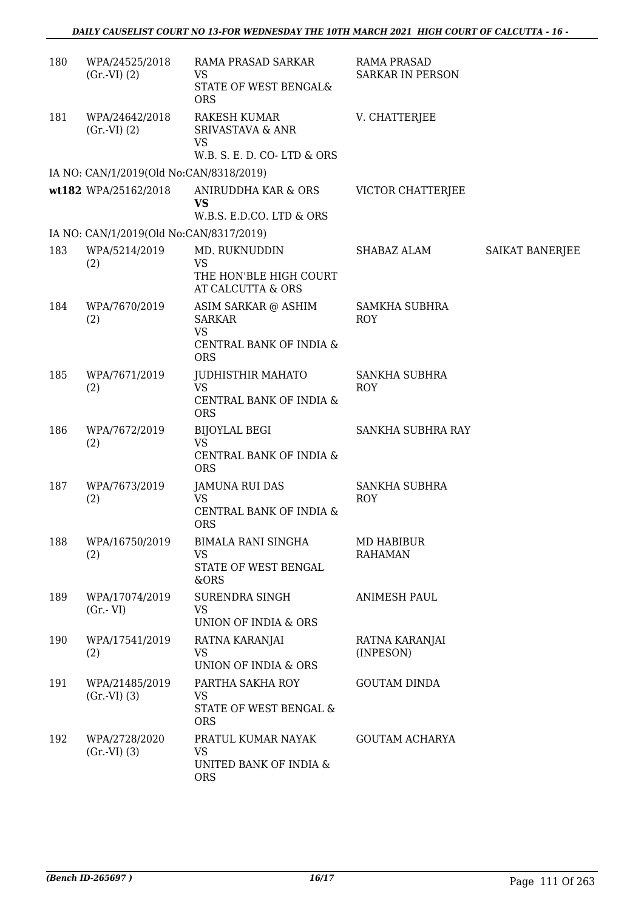| 180 | WPA/24525/2018<br>(Gr.VI) (2)           | RAMA PRASAD SARKAR<br>VS<br>STATE OF WEST BENGAL&<br><b>ORS</b>                            | <b>RAMA PRASAD</b><br><b>SARKAR IN PERSON</b> |                 |
|-----|-----------------------------------------|--------------------------------------------------------------------------------------------|-----------------------------------------------|-----------------|
| 181 | WPA/24642/2018<br>$(Gr.-VI) (2)$        | <b>RAKESH KUMAR</b><br><b>SRIVASTAVA &amp; ANR</b><br>VS<br>W.B. S. E. D. CO-LTD & ORS     | V. CHATTERJEE                                 |                 |
|     | IA NO: CAN/1/2019(Old No:CAN/8318/2019) |                                                                                            |                                               |                 |
|     | wt182 WPA/25162/2018                    | ANIRUDDHA KAR & ORS<br>VS<br>W.B.S. E.D.CO. LTD & ORS                                      | VICTOR CHATTERJEE                             |                 |
|     | IA NO: CAN/1/2019(Old No:CAN/8317/2019) |                                                                                            |                                               |                 |
| 183 | WPA/5214/2019<br>(2)                    | MD. RUKNUDDIN<br><b>VS</b>                                                                 | SHABAZ ALAM                                   | SAIKAT BANERJEE |
|     |                                         | THE HON'BLE HIGH COURT<br>AT CALCUTTA & ORS                                                |                                               |                 |
| 184 | WPA/7670/2019<br>(2)                    | ASIM SARKAR @ ASHIM<br><b>SARKAR</b><br><b>VS</b><br>CENTRAL BANK OF INDIA &<br><b>ORS</b> | <b>SAMKHA SUBHRA</b><br><b>ROY</b>            |                 |
| 185 | WPA/7671/2019<br>(2)                    | JUDHISTHIR MAHATO<br><b>VS</b><br>CENTRAL BANK OF INDIA &<br><b>ORS</b>                    | <b>SANKHA SUBHRA</b><br><b>ROY</b>            |                 |
| 186 | WPA/7672/2019<br>(2)                    | <b>BIJOYLAL BEGI</b><br><b>VS</b><br>CENTRAL BANK OF INDIA &<br><b>ORS</b>                 | SANKHA SUBHRA RAY                             |                 |
| 187 | WPA/7673/2019<br>(2)                    | <b>JAMUNA RUI DAS</b><br><b>VS</b><br>CENTRAL BANK OF INDIA &<br><b>ORS</b>                | <b>SANKHA SUBHRA</b><br><b>ROY</b>            |                 |
| 188 | WPA/16750/2019<br>(2)                   | <b>BIMALA RANI SINGHA</b><br><b>VS</b><br>STATE OF WEST BENGAL<br>&ORS                     | <b>MD HABIBUR</b><br><b>RAHAMAN</b>           |                 |
| 189 | WPA/17074/2019<br>$(Gr.-VI)$            | <b>SURENDRA SINGH</b><br><b>VS</b><br><b>UNION OF INDIA &amp; ORS</b>                      | <b>ANIMESH PAUL</b>                           |                 |
| 190 | WPA/17541/2019<br>(2)                   | RATNA KARANJAI<br><b>VS</b><br>UNION OF INDIA & ORS                                        | RATNA KARANJAI<br>(INPESON)                   |                 |
| 191 | WPA/21485/2019<br>$(Gr.-VI)$ $(3)$      | PARTHA SAKHA ROY<br>VS<br>STATE OF WEST BENGAL &<br><b>ORS</b>                             | <b>GOUTAM DINDA</b>                           |                 |
| 192 | WPA/2728/2020<br>(Gr.VI) (3)            | PRATUL KUMAR NAYAK<br><b>VS</b><br>UNITED BANK OF INDIA &<br><b>ORS</b>                    | <b>GOUTAM ACHARYA</b>                         |                 |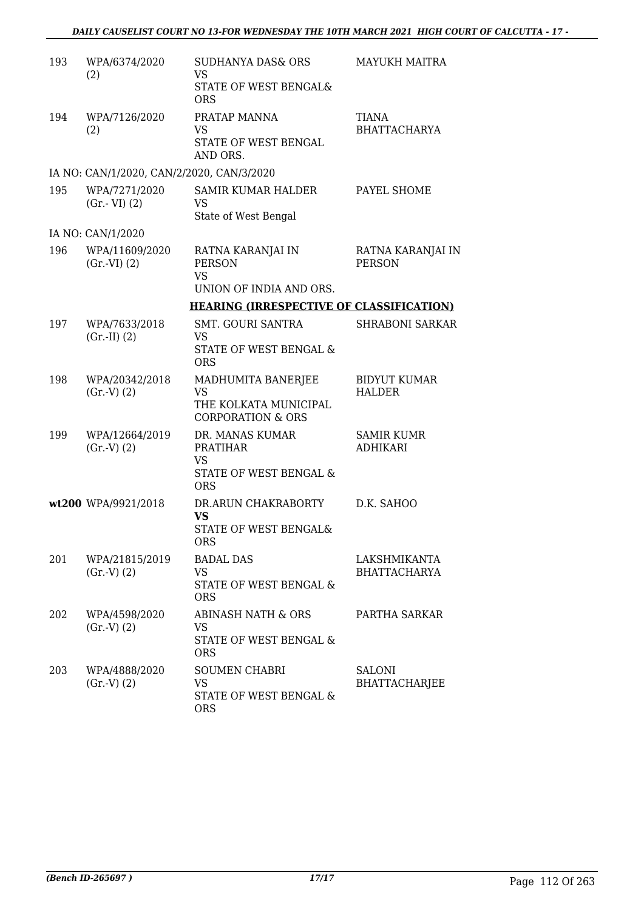| 193 | WPA/6374/2020<br>(2)                      | <b>SUDHANYA DAS&amp; ORS</b><br><b>VS</b><br>STATE OF WEST BENGAL&         | <b>MAYUKH MAITRA</b>                 |
|-----|-------------------------------------------|----------------------------------------------------------------------------|--------------------------------------|
|     |                                           | <b>ORS</b>                                                                 |                                      |
| 194 | WPA/7126/2020<br>(2)                      | PRATAP MANNA<br>VS<br>STATE OF WEST BENGAL                                 | TIANA<br><b>BHATTACHARYA</b>         |
|     |                                           | AND ORS.                                                                   |                                      |
|     | IA NO: CAN/1/2020, CAN/2/2020, CAN/3/2020 |                                                                            |                                      |
| 195 | WPA/7271/2020<br>$(Gr.-VI)$ $(2)$         | SAMIR KUMAR HALDER<br>VS<br>State of West Bengal                           | PAYEL SHOME                          |
|     | IA NO: CAN/1/2020                         |                                                                            |                                      |
| 196 | WPA/11609/2020<br>(Gr.VI) (2)             | RATNA KARANJAI IN<br><b>PERSON</b><br><b>VS</b><br>UNION OF INDIA AND ORS. | RATNA KARANJAI IN<br><b>PERSON</b>   |
|     |                                           | <b>HEARING (IRRESPECTIVE OF CLASSIFICATION)</b>                            |                                      |
| 197 | WPA/7633/2018                             | <b>SMT. GOURI SANTRA</b>                                                   | <b>SHRABONI SARKAR</b>               |
|     | $(Gr.-II) (2)$                            | VS<br>STATE OF WEST BENGAL &                                               |                                      |
|     |                                           | <b>ORS</b>                                                                 |                                      |
| 198 | WPA/20342/2018<br>(Gr.V) (2)              | MADHUMITA BANERJEE<br><b>VS</b><br>THE KOLKATA MUNICIPAL                   | <b>BIDYUT KUMAR</b><br><b>HALDER</b> |
|     |                                           | <b>CORPORATION &amp; ORS</b>                                               |                                      |
| 199 | WPA/12664/2019                            | DR. MANAS KUMAR                                                            | <b>SAMIR KUMR</b>                    |
|     | (Gr.V) (2)                                | <b>PRATIHAR</b><br>VS                                                      | <b>ADHIKARI</b>                      |
|     |                                           | STATE OF WEST BENGAL &<br><b>ORS</b>                                       |                                      |
|     | wt200 WPA/9921/2018                       | DR.ARUN CHAKRABORTY                                                        | D.K. SAHOO                           |
|     |                                           | <b>VS</b><br>STATE OF WEST BENGAL&<br><b>ORS</b>                           |                                      |
| 201 | WPA/21815/2019                            | <b>BADAL DAS</b>                                                           | LAKSHMIKANTA                         |
|     | (Gr.V) (2)                                | VS<br>STATE OF WEST BENGAL &<br><b>ORS</b>                                 | <b>BHATTACHARYA</b>                  |
| 202 | WPA/4598/2020                             | ABINASH NATH & ORS                                                         | PARTHA SARKAR                        |
|     | (Gr.V) (2)                                | VS.<br>STATE OF WEST BENGAL &<br><b>ORS</b>                                |                                      |
| 203 | WPA/4888/2020                             | <b>SOUMEN CHABRI</b>                                                       | <b>SALONI</b>                        |
|     | (Gr.V) (2)                                | VS                                                                         | <b>BHATTACHARJEE</b>                 |
|     |                                           | STATE OF WEST BENGAL &<br><b>ORS</b>                                       |                                      |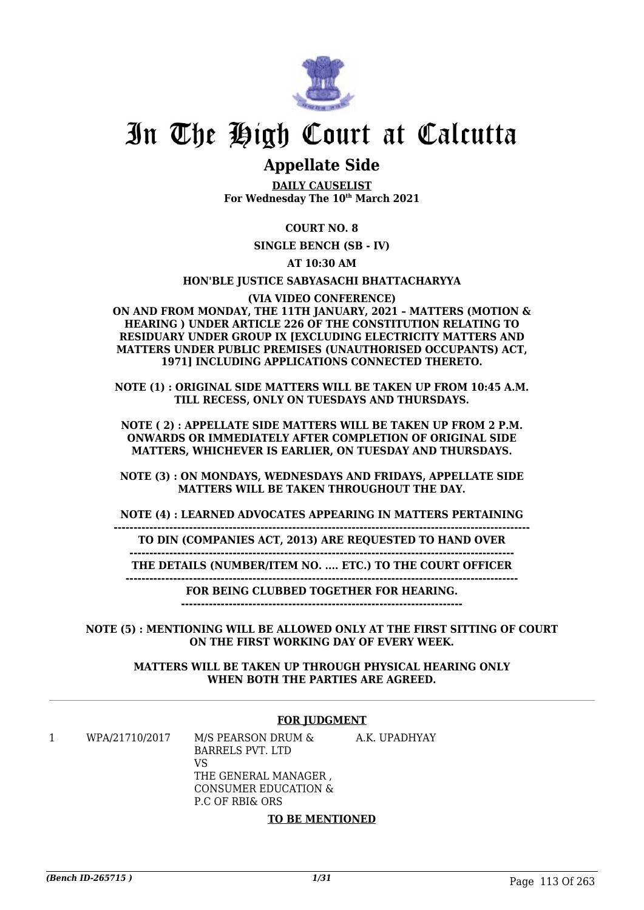

# In The High Court at Calcutta

# **Appellate Side**

**DAILY CAUSELIST For Wednesday The 10th March 2021**

# **COURT NO. 8**

**SINGLE BENCH (SB - IV)**

**AT 10:30 AM**

#### **HON'BLE JUSTICE SABYASACHI BHATTACHARYYA**

#### **(VIA VIDEO CONFERENCE)**

**ON AND FROM MONDAY, THE 11TH JANUARY, 2021 – MATTERS (MOTION & HEARING ) UNDER ARTICLE 226 OF THE CONSTITUTION RELATING TO RESIDUARY UNDER GROUP IX [EXCLUDING ELECTRICITY MATTERS AND MATTERS UNDER PUBLIC PREMISES (UNAUTHORISED OCCUPANTS) ACT, 1971] INCLUDING APPLICATIONS CONNECTED THERETO.**

**NOTE (1) : ORIGINAL SIDE MATTERS WILL BE TAKEN UP FROM 10:45 A.M. TILL RECESS, ONLY ON TUESDAYS AND THURSDAYS.**

**NOTE ( 2) : APPELLATE SIDE MATTERS WILL BE TAKEN UP FROM 2 P.M. ONWARDS OR IMMEDIATELY AFTER COMPLETION OF ORIGINAL SIDE MATTERS, WHICHEVER IS EARLIER, ON TUESDAY AND THURSDAYS.**

**NOTE (3) : ON MONDAYS, WEDNESDAYS AND FRIDAYS, APPELLATE SIDE MATTERS WILL BE TAKEN THROUGHOUT THE DAY.**

**NOTE (4) : LEARNED ADVOCATES APPEARING IN MATTERS PERTAINING**

**--------------------------------------------------------------------------------------------------------- TO DIN (COMPANIES ACT, 2013) ARE REQUESTED TO HAND OVER**

**------------------------------------------------------------------------------------------------- THE DETAILS (NUMBER/ITEM NO. .... ETC.) TO THE COURT OFFICER**

**---------------------------------------------------------------------------------------------------**

**FOR BEING CLUBBED TOGETHER FOR HEARING.**

**-----------------------------------------------------------------------**

**NOTE (5) : MENTIONING WILL BE ALLOWED ONLY AT THE FIRST SITTING OF COURT ON THE FIRST WORKING DAY OF EVERY WEEK.**

**MATTERS WILL BE TAKEN UP THROUGH PHYSICAL HEARING ONLY WHEN BOTH THE PARTIES ARE AGREED.**

#### **FOR JUDGMENT**

1 WPA/21710/2017 M/S PEARSON DRUM & BARRELS PVT. LTD VS THE GENERAL MANAGER , CONSUMER EDUCATION & P.C OF RBI& ORS A.K. UPADHYAY

#### **TO BE MENTIONED**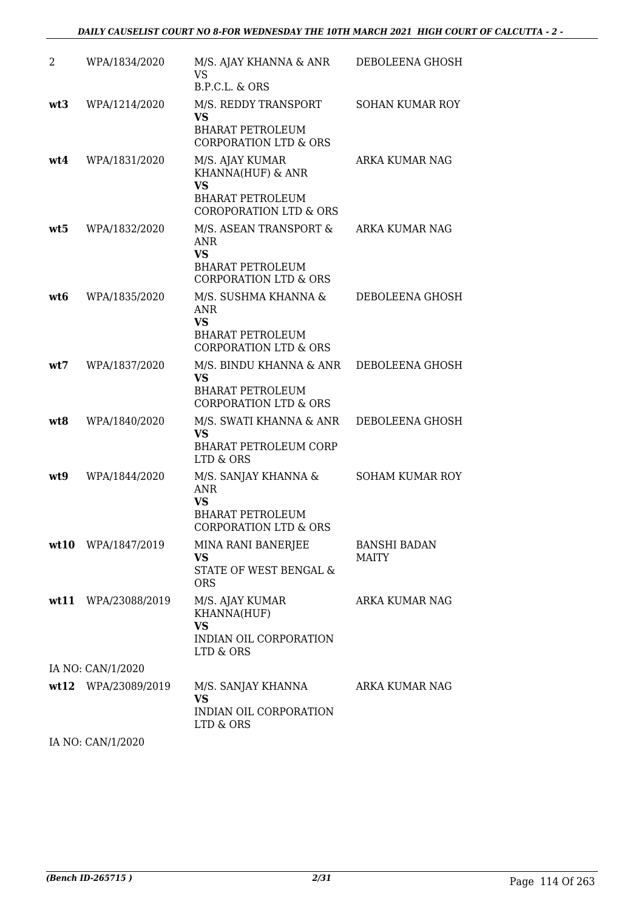| 2   | WPA/1834/2020       | M/S. AJAY KHANNA & ANR<br>VS                                                                                                                          | DEBOLEENA GHOSH              |
|-----|---------------------|-------------------------------------------------------------------------------------------------------------------------------------------------------|------------------------------|
| wt3 | WPA/1214/2020       | B.P.C.L. & ORS<br>M/S. REDDY TRANSPORT<br><b>VS</b><br><b>BHARAT PETROLEUM</b>                                                                        | <b>SOHAN KUMAR ROY</b>       |
| wt4 | WPA/1831/2020       | <b>CORPORATION LTD &amp; ORS</b><br>M/S. AJAY KUMAR<br>KHANNA(HUF) & ANR<br><b>VS</b><br><b>BHARAT PETROLEUM</b><br><b>COROPORATION LTD &amp; ORS</b> | ARKA KUMAR NAG               |
| wt5 | WPA/1832/2020       | M/S. ASEAN TRANSPORT &<br>ANR.<br><b>VS</b><br><b>BHARAT PETROLEUM</b><br><b>CORPORATION LTD &amp; ORS</b>                                            | ARKA KUMAR NAG               |
| wt6 | WPA/1835/2020       | M/S. SUSHMA KHANNA &<br>ANR<br>VS<br><b>BHARAT PETROLEUM</b><br><b>CORPORATION LTD &amp; ORS</b>                                                      | DEBOLEENA GHOSH              |
| wt7 | WPA/1837/2020       | M/S. BINDU KHANNA & ANR<br><b>VS</b><br><b>BHARAT PETROLEUM</b><br><b>CORPORATION LTD &amp; ORS</b>                                                   | DEBOLEENA GHOSH              |
| wt8 | WPA/1840/2020       | M/S. SWATI KHANNA & ANR<br><b>VS</b><br><b>BHARAT PETROLEUM CORP</b><br>LTD & ORS                                                                     | DEBOLEENA GHOSH              |
| wt9 | WPA/1844/2020       | M/S. SANJAY KHANNA &<br>ANR<br><b>VS</b><br><b>BHARAT PETROLEUM</b><br><b>CORPORATION LTD &amp; ORS</b>                                               | <b>SOHAM KUMAR ROY</b>       |
|     | wt10 WPA/1847/2019  | MINA RANI BANERJEE<br>VS<br>STATE OF WEST BENGAL &<br><b>ORS</b>                                                                                      | <b>BANSHI BADAN</b><br>MAITY |
|     | wt11 WPA/23088/2019 | M/S. AJAY KUMAR<br>KHANNA(HUF)<br>VS<br>INDIAN OIL CORPORATION<br>LTD & ORS                                                                           | ARKA KUMAR NAG               |
|     | IA NO: CAN/1/2020   |                                                                                                                                                       |                              |
|     | wt12 WPA/23089/2019 | M/S. SANJAY KHANNA<br>VS<br>INDIAN OIL CORPORATION<br>LTD & ORS                                                                                       | ARKA KUMAR NAG               |

IA NO: CAN/1/2020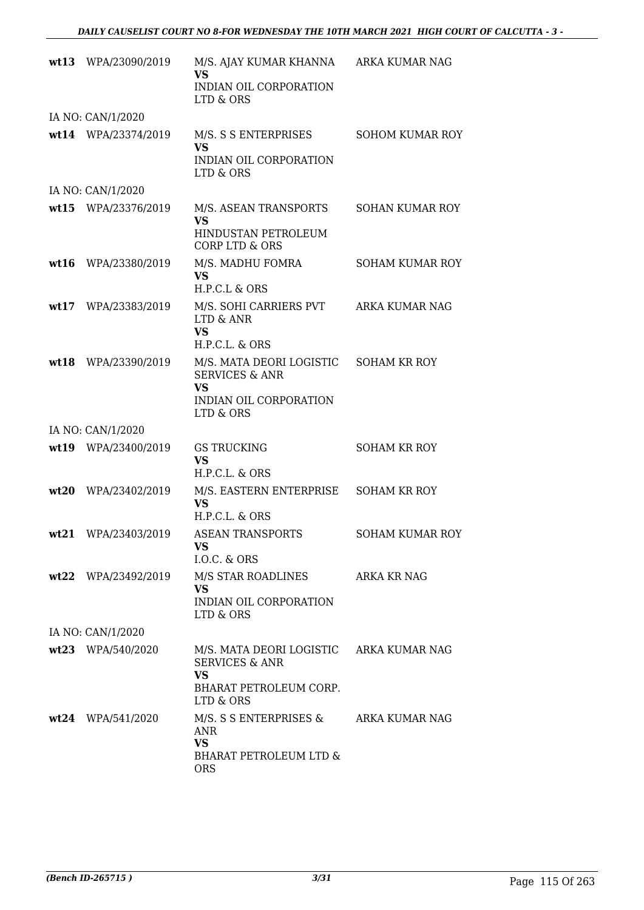|      | wt13 WPA/23090/2019 | M/S. AJAY KUMAR KHANNA<br>VS<br>INDIAN OIL CORPORATION<br>LTD & ORS                                                      | ARKA KUMAR NAG         |
|------|---------------------|--------------------------------------------------------------------------------------------------------------------------|------------------------|
|      | IA NO: CAN/1/2020   |                                                                                                                          |                        |
|      | wt14 WPA/23374/2019 | M/S. S S ENTERPRISES<br><b>VS</b><br>INDIAN OIL CORPORATION<br>LTD & ORS                                                 | <b>SOHOM KUMAR ROY</b> |
|      | IA NO: CAN/1/2020   |                                                                                                                          |                        |
|      | wt15 WPA/23376/2019 | M/S. ASEAN TRANSPORTS<br><b>VS</b><br>HINDUSTAN PETROLEUM<br><b>CORP LTD &amp; ORS</b>                                   | SOHAN KUMAR ROY        |
| wt16 | WPA/23380/2019      | M/S. MADHU FOMRA<br><b>VS</b><br>H.P.C.L & ORS                                                                           | <b>SOHAM KUMAR ROY</b> |
|      | wt17 WPA/23383/2019 | M/S. SOHI CARRIERS PVT<br>LTD & ANR<br><b>VS</b><br>H.P.C.L. & ORS                                                       | ARKA KUMAR NAG         |
|      | wt18 WPA/23390/2019 | M/S. MATA DEORI LOGISTIC<br><b>SERVICES &amp; ANR</b><br><b>VS</b><br>INDIAN OIL CORPORATION<br>LTD & ORS                | <b>SOHAM KR ROY</b>    |
|      | IA NO: CAN/1/2020   |                                                                                                                          |                        |
|      | wt19 WPA/23400/2019 | <b>GS TRUCKING</b><br><b>VS</b><br>H.P.C.L. & ORS                                                                        | <b>SOHAM KR ROY</b>    |
|      | wt20 WPA/23402/2019 | M/S. EASTERN ENTERPRISE<br><b>VS</b><br>H.P.C.L. & ORS                                                                   | <b>SOHAM KR ROY</b>    |
| wt21 | WPA/23403/2019      | <b>ASEAN TRANSPORTS</b><br><b>VS</b><br>I.O.C. & ORS                                                                     | <b>SOHAM KUMAR ROY</b> |
|      | wt22 WPA/23492/2019 | M/S STAR ROADLINES<br><b>VS</b><br>INDIAN OIL CORPORATION<br>LTD & ORS                                                   | ARKA KR NAG            |
|      | IA NO: CAN/1/2020   |                                                                                                                          |                        |
|      | wt23 WPA/540/2020   | M/S. MATA DEORI LOGISTIC ARKA KUMAR NAG<br><b>SERVICES &amp; ANR</b><br><b>VS</b><br>BHARAT PETROLEUM CORP.<br>LTD & ORS |                        |
|      | $wt24$ WPA/541/2020 | M/S. S S ENTERPRISES &<br>ANR<br><b>VS</b><br>BHARAT PETROLEUM LTD &<br><b>ORS</b>                                       | ARKA KUMAR NAG         |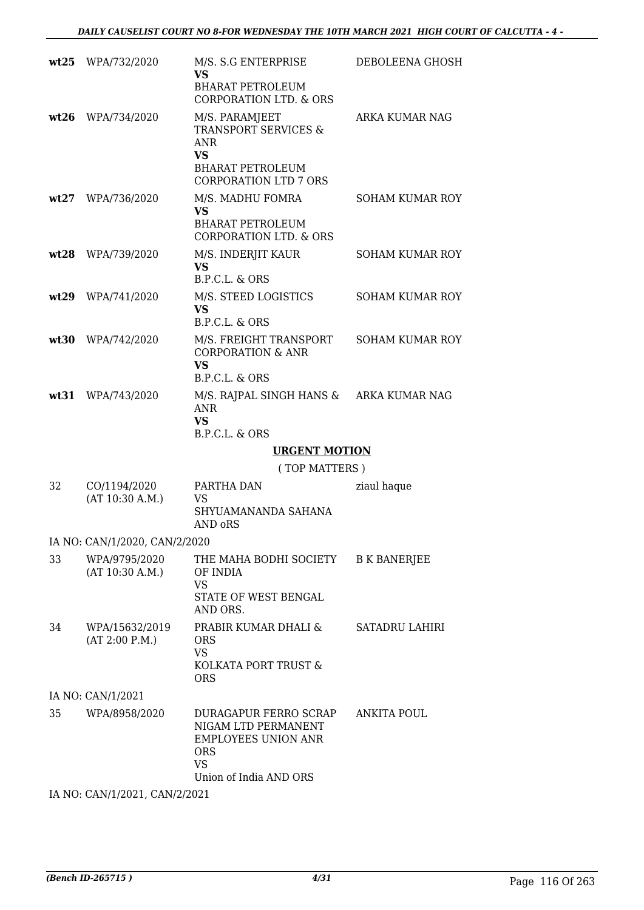| wt25 | WPA/732/2020                     | M/S. S.G ENTERPRISE<br><b>VS</b><br><b>BHARAT PETROLEUM</b><br><b>CORPORATION LTD. &amp; ORS</b>                                        | DEBOLEENA GHOSH        |
|------|----------------------------------|-----------------------------------------------------------------------------------------------------------------------------------------|------------------------|
| wt26 | WPA/734/2020                     | M/S. PARAMJEET<br><b>TRANSPORT SERVICES &amp;</b><br><b>ANR</b><br><b>VS</b><br><b>BHARAT PETROLEUM</b><br><b>CORPORATION LTD 7 ORS</b> | ARKA KUMAR NAG         |
| wt27 | WPA/736/2020                     | M/S. MADHU FOMRA<br><b>VS</b><br><b>BHARAT PETROLEUM</b><br><b>CORPORATION LTD. &amp; ORS</b>                                           | <b>SOHAM KUMAR ROY</b> |
| wt28 | WPA/739/2020                     | M/S. INDERJIT KAUR<br><b>VS</b><br>B.P.C.L. & ORS                                                                                       | <b>SOHAM KUMAR ROY</b> |
| wt29 | WPA/741/2020                     | M/S. STEED LOGISTICS<br><b>VS</b><br>B.P.C.L. & ORS                                                                                     | <b>SOHAM KUMAR ROY</b> |
| wt30 | WPA/742/2020                     | M/S. FREIGHT TRANSPORT<br><b>CORPORATION &amp; ANR</b><br><b>VS</b><br>B.P.C.L. & ORS                                                   | <b>SOHAM KUMAR ROY</b> |
| wt31 | WPA/743/2020                     | M/S. RAJPAL SINGH HANS &<br><b>ANR</b><br><b>VS</b><br>B.P.C.L. & ORS                                                                   | ARKA KUMAR NAG         |
|      |                                  | <b>URGENT MOTION</b>                                                                                                                    |                        |
|      |                                  | (TOP MATTERS)                                                                                                                           |                        |
| 32   | CO/1194/2020<br>(AT 10:30 A.M.)  | PARTHA DAN<br>VS<br>SHYUAMANANDA SAHANA<br>AND oRS                                                                                      | ziaul haque            |
|      | IA NO: CAN/1/2020, CAN/2/2020    |                                                                                                                                         |                        |
| 33   | WPA/9795/2020<br>(AT 10:30 A.M.) | THE MAHA BODHI SOCIETY<br>OF INDIA<br><b>VS</b><br>STATE OF WEST BENGAL<br>AND ORS.                                                     | <b>B K BANERJEE</b>    |
| 34   | WPA/15632/2019<br>(AT 2:00 P.M.) | PRABIR KUMAR DHALI &<br><b>ORS</b><br><b>VS</b><br>KOLKATA PORT TRUST &<br><b>ORS</b>                                                   | SATADRU LAHIRI         |
|      | IA NO: CAN/1/2021                |                                                                                                                                         |                        |
| 35   | WPA/8958/2020                    | DURAGAPUR FERRO SCRAP<br>NIGAM LTD PERMANENT<br><b>EMPLOYEES UNION ANR</b><br><b>ORS</b><br><b>VS</b><br>Union of India AND ORS         | ANKITA POUL            |
|      | IA NO: CAN/1/2021, CAN/2/2021    |                                                                                                                                         |                        |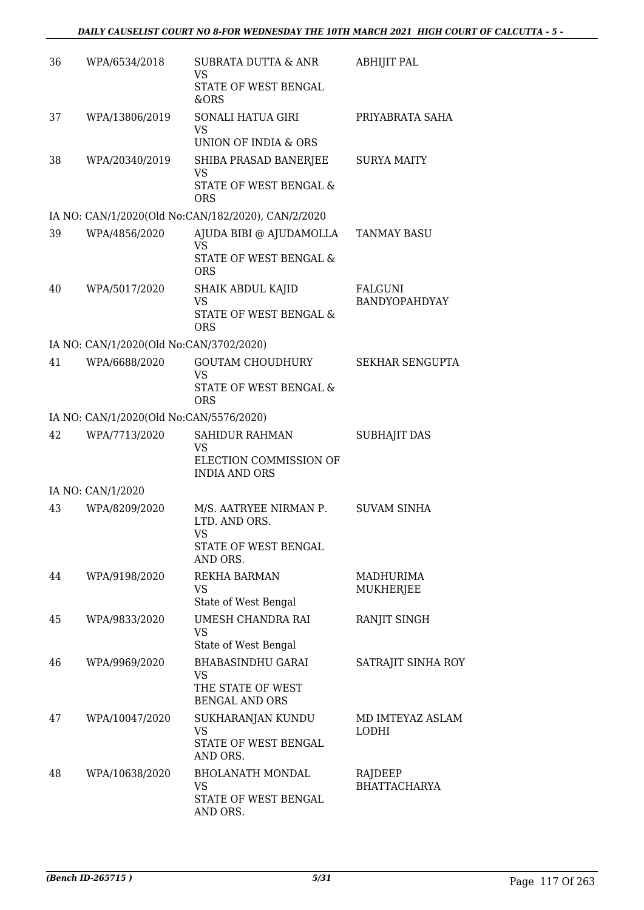| 36 | WPA/6534/2018                           | SUBRATA DUTTA & ANR<br>VS                                              | ABHIJIT PAL                            |
|----|-----------------------------------------|------------------------------------------------------------------------|----------------------------------------|
|    |                                         | STATE OF WEST BENGAL<br>&ORS                                           |                                        |
| 37 | WPA/13806/2019                          | SONALI HATUA GIRI<br>VS                                                | PRIYABRATA SAHA                        |
|    |                                         | UNION OF INDIA & ORS                                                   |                                        |
| 38 | WPA/20340/2019                          | SHIBA PRASAD BANERJEE<br><b>VS</b><br>STATE OF WEST BENGAL &           | <b>SURYA MAITY</b>                     |
|    |                                         | <b>ORS</b>                                                             |                                        |
|    |                                         | IA NO: CAN/1/2020(Old No:CAN/182/2020), CAN/2/2020                     |                                        |
| 39 | WPA/4856/2020                           | AJUDA BIBI @ AJUDAMOLLA<br><b>VS</b><br>STATE OF WEST BENGAL &         | <b>TANMAY BASU</b>                     |
| 40 | WPA/5017/2020                           | <b>ORS</b><br>SHAIK ABDUL KAJID<br><b>VS</b>                           | <b>FALGUNI</b><br><b>BANDYOPAHDYAY</b> |
|    |                                         | STATE OF WEST BENGAL &<br><b>ORS</b>                                   |                                        |
|    | IA NO: CAN/1/2020(Old No:CAN/3702/2020) |                                                                        |                                        |
| 41 | WPA/6688/2020                           | <b>GOUTAM CHOUDHURY</b><br>VS<br>STATE OF WEST BENGAL &                | SEKHAR SENGUPTA                        |
|    |                                         | <b>ORS</b>                                                             |                                        |
|    | IA NO: CAN/1/2020(Old No:CAN/5576/2020) |                                                                        |                                        |
| 42 | WPA/7713/2020                           | SAHIDUR RAHMAN<br>VS                                                   | <b>SUBHAJIT DAS</b>                    |
|    |                                         | ELECTION COMMISSION OF<br><b>INDIA AND ORS</b>                         |                                        |
|    | IA NO: CAN/1/2020                       |                                                                        |                                        |
| 43 | WPA/8209/2020                           | M/S. AATRYEE NIRMAN P.<br>LTD. AND ORS.<br>VS.<br>STATE OF WEST BENGAL | <b>SUVAM SINHA</b>                     |
|    |                                         | AND ORS.                                                               |                                        |
| 44 | WPA/9198/2020                           | REKHA BARMAN<br>VS<br>State of West Bengal                             | <b>MADHURIMA</b><br><b>MUKHERJEE</b>   |
| 45 | WPA/9833/2020                           | UMESH CHANDRA RAI<br><b>VS</b><br>State of West Bengal                 | RANJIT SINGH                           |
| 46 | WPA/9969/2020                           | <b>BHABASINDHU GARAI</b>                                               | SATRAJIT SINHA ROY                     |
|    |                                         | VS<br>THE STATE OF WEST<br><b>BENGAL AND ORS</b>                       |                                        |
| 47 | WPA/10047/2020                          | SUKHARANJAN KUNDU<br>VS                                                | MD IMTEYAZ ASLAM<br>LODHI              |
|    |                                         | STATE OF WEST BENGAL<br>AND ORS.                                       |                                        |
| 48 | WPA/10638/2020                          | <b>BHOLANATH MONDAL</b><br>VS.                                         | RAJDEEP<br><b>BHATTACHARYA</b>         |
|    |                                         | STATE OF WEST BENGAL<br>AND ORS.                                       |                                        |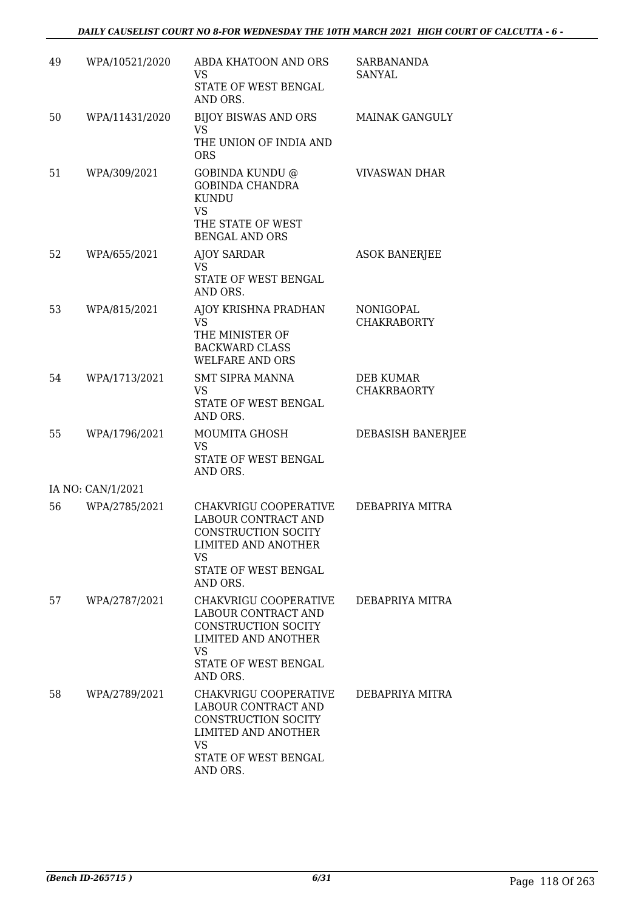| 49 | WPA/10521/2020    | ABDA KHATOON AND ORS<br><b>VS</b><br>STATE OF WEST BENGAL<br>AND ORS.                                                                              | <b>SARBANANDA</b><br>SANYAL     |
|----|-------------------|----------------------------------------------------------------------------------------------------------------------------------------------------|---------------------------------|
| 50 | WPA/11431/2020    | BIJOY BISWAS AND ORS<br>VS.<br>THE UNION OF INDIA AND<br><b>ORS</b>                                                                                | <b>MAINAK GANGULY</b>           |
| 51 | WPA/309/2021      | GOBINDA KUNDU @<br><b>GOBINDA CHANDRA</b><br>KUNDU<br><b>VS</b><br>THE STATE OF WEST<br><b>BENGAL AND ORS</b>                                      | <b>VIVASWAN DHAR</b>            |
| 52 | WPA/655/2021      | <b>AJOY SARDAR</b><br><b>VS</b><br>STATE OF WEST BENGAL<br>AND ORS.                                                                                | <b>ASOK BANERJEE</b>            |
| 53 | WPA/815/2021      | AJOY KRISHNA PRADHAN<br>VS.<br>THE MINISTER OF<br><b>BACKWARD CLASS</b><br>WELFARE AND ORS                                                         | NONIGOPAL<br><b>CHAKRABORTY</b> |
| 54 | WPA/1713/2021     | <b>SMT SIPRA MANNA</b><br><b>VS</b><br>STATE OF WEST BENGAL<br>AND ORS.                                                                            | DEB KUMAR<br><b>CHAKRBAORTY</b> |
| 55 | WPA/1796/2021     | MOUMITA GHOSH<br><b>VS</b><br>STATE OF WEST BENGAL<br>AND ORS.                                                                                     | DEBASISH BANERJEE               |
|    | IA NO: CAN/1/2021 |                                                                                                                                                    |                                 |
| 56 | WPA/2785/2021     | CHAKVRIGU COOPERATIVE<br>LABOUR CONTRACT AND<br>CONSTRUCTION SOCITY<br><b>LIMITED AND ANOTHER</b><br><b>VS</b><br>STATE OF WEST BENGAL<br>AND ORS. | DEBAPRIYA MITRA                 |
| 57 | WPA/2787/2021     | CHAKVRIGU COOPERATIVE<br>LABOUR CONTRACT AND<br>CONSTRUCTION SOCITY<br><b>LIMITED AND ANOTHER</b><br><b>VS</b><br>STATE OF WEST BENGAL<br>AND ORS. | DEBAPRIYA MITRA                 |
| 58 | WPA/2789/2021     | CHAKVRIGU COOPERATIVE<br>LABOUR CONTRACT AND<br>CONSTRUCTION SOCITY<br>LIMITED AND ANOTHER<br><b>VS</b><br>STATE OF WEST BENGAL<br>AND ORS.        | DEBAPRIYA MITRA                 |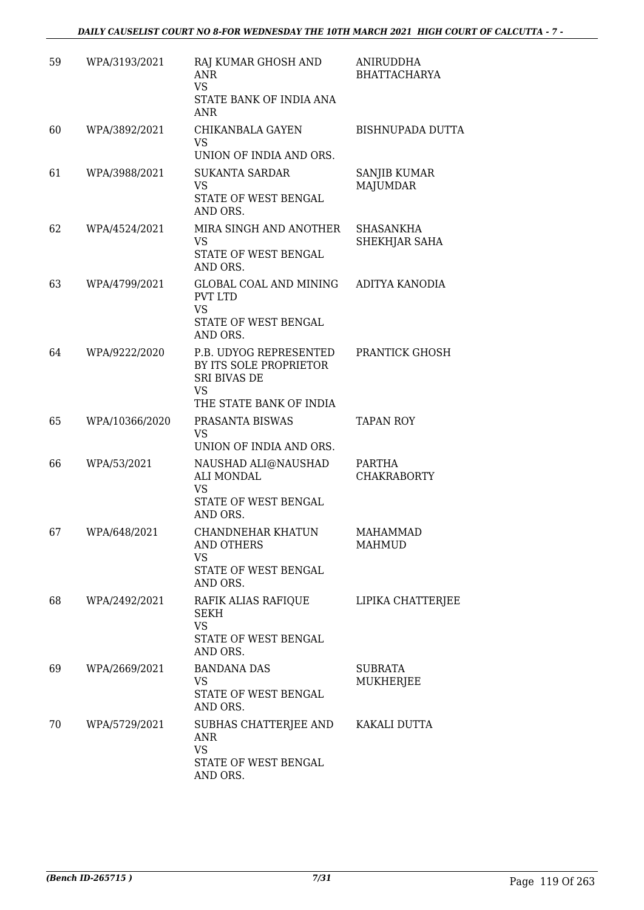| 59 | WPA/3193/2021  | RAJ KUMAR GHOSH AND<br><b>ANR</b><br><b>VS</b><br>STATE BANK OF INDIA ANA<br><b>ANR</b>                  | ANIRUDDHA<br><b>BHATTACHARYA</b> |
|----|----------------|----------------------------------------------------------------------------------------------------------|----------------------------------|
| 60 | WPA/3892/2021  | CHIKANBALA GAYEN<br><b>VS</b><br>UNION OF INDIA AND ORS.                                                 | BISHNUPADA DUTTA                 |
| 61 | WPA/3988/2021  | <b>SUKANTA SARDAR</b><br><b>VS</b><br>STATE OF WEST BENGAL<br>AND ORS.                                   | SANJIB KUMAR<br><b>MAJUMDAR</b>  |
| 62 | WPA/4524/2021  | MIRA SINGH AND ANOTHER<br>VS<br>STATE OF WEST BENGAL<br>AND ORS.                                         | SHASANKHA<br>SHEKHJAR SAHA       |
| 63 | WPA/4799/2021  | GLOBAL COAL AND MINING<br><b>PVT LTD</b><br><b>VS</b><br>STATE OF WEST BENGAL<br>AND ORS.                | ADITYA KANODIA                   |
| 64 | WPA/9222/2020  | P.B. UDYOG REPRESENTED<br>BY ITS SOLE PROPRIETOR<br>SRI BIVAS DE<br><b>VS</b><br>THE STATE BANK OF INDIA | PRANTICK GHOSH                   |
| 65 | WPA/10366/2020 | PRASANTA BISWAS<br><b>VS</b><br>UNION OF INDIA AND ORS.                                                  | <b>TAPAN ROY</b>                 |
| 66 | WPA/53/2021    | NAUSHAD ALI@NAUSHAD<br>ALI MONDAL<br><b>VS</b><br>STATE OF WEST BENGAL<br>AND ORS.                       | PARTHA<br><b>CHAKRABORTY</b>     |
| 67 | WPA/648/2021   | CHANDNEHAR KHATUN<br>AND OTHERS<br><b>VS</b><br>STATE OF WEST BENGAL<br>AND ORS.                         | <b>MAHAMMAD</b><br><b>MAHMUD</b> |
| 68 | WPA/2492/2021  | RAFIK ALIAS RAFIQUE<br><b>SEKH</b><br><b>VS</b><br>STATE OF WEST BENGAL<br>AND ORS.                      | LIPIKA CHATTERJEE                |
| 69 | WPA/2669/2021  | <b>BANDANA DAS</b><br>VS<br>STATE OF WEST BENGAL<br>AND ORS.                                             | SUBRATA<br>MUKHERJEE             |
| 70 | WPA/5729/2021  | SUBHAS CHATTERJEE AND<br>ANR<br><b>VS</b><br>STATE OF WEST BENGAL<br>AND ORS.                            | KAKALI DUTTA                     |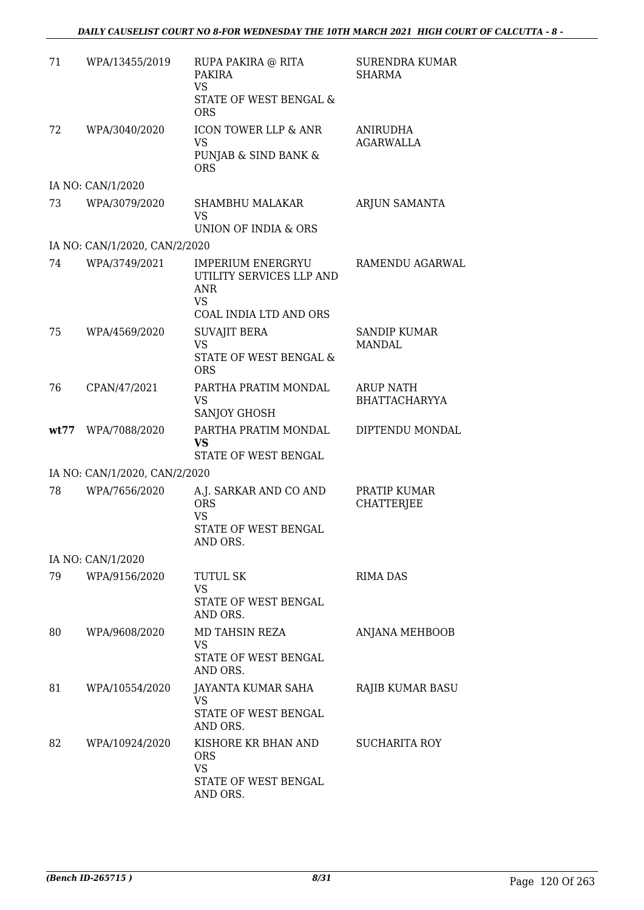| 71   | WPA/13455/2019                | RUPA PAKIRA @ RITA<br><b>PAKIRA</b><br><b>VS</b><br>STATE OF WEST BENGAL &<br><b>ORS</b>           | <b>SURENDRA KUMAR</b><br><b>SHARMA</b>   |
|------|-------------------------------|----------------------------------------------------------------------------------------------------|------------------------------------------|
| 72   | WPA/3040/2020                 | ICON TOWER LLP & ANR<br><b>VS</b><br>PUNJAB & SIND BANK &<br><b>ORS</b>                            | <b>ANIRUDHA</b><br>AGARWALLA             |
|      | IA NO: CAN/1/2020             |                                                                                                    |                                          |
| 73   | WPA/3079/2020                 | <b>SHAMBHU MALAKAR</b><br><b>VS</b><br>UNION OF INDIA & ORS                                        | ARJUN SAMANTA                            |
|      | IA NO: CAN/1/2020, CAN/2/2020 |                                                                                                    |                                          |
| 74   | WPA/3749/2021                 | <b>IMPERIUM ENERGRYU</b><br>UTILITY SERVICES LLP AND<br>ANR<br><b>VS</b><br>COAL INDIA LTD AND ORS | RAMENDU AGARWAL                          |
| 75   | WPA/4569/2020                 | <b>SUVAJIT BERA</b><br><b>VS</b><br>STATE OF WEST BENGAL &<br><b>ORS</b>                           | <b>SANDIP KUMAR</b><br>MANDAL            |
| 76   | CPAN/47/2021                  | PARTHA PRATIM MONDAL<br>VS<br>SANJOY GHOSH                                                         | <b>ARUP NATH</b><br><b>BHATTACHARYYA</b> |
| wt77 | WPA/7088/2020                 | PARTHA PRATIM MONDAL<br><b>VS</b><br>STATE OF WEST BENGAL                                          | DIPTENDU MONDAL                          |
|      | IA NO: CAN/1/2020, CAN/2/2020 |                                                                                                    |                                          |
| 78   | WPA/7656/2020                 | A.J. SARKAR AND CO AND<br><b>ORS</b><br><b>VS</b><br>STATE OF WEST BENGAL<br>AND ORS.              | PRATIP KUMAR<br><b>CHATTERJEE</b>        |
|      | IA NO: CAN/1/2020             |                                                                                                    |                                          |
| 79   | WPA/9156/2020                 | TUTUL SK<br><b>VS</b><br>STATE OF WEST BENGAL<br>AND ORS.                                          | <b>RIMA DAS</b>                          |
| 80   | WPA/9608/2020                 | MD TAHSIN REZA<br><b>VS</b><br>STATE OF WEST BENGAL<br>AND ORS.                                    | <b>ANJANA MEHBOOB</b>                    |
| 81   | WPA/10554/2020                | JAYANTA KUMAR SAHA<br><b>VS</b><br>STATE OF WEST BENGAL<br>AND ORS.                                | RAJIB KUMAR BASU                         |
| 82   | WPA/10924/2020                | KISHORE KR BHAN AND<br><b>ORS</b><br><b>VS</b><br>STATE OF WEST BENGAL<br>AND ORS.                 | <b>SUCHARITA ROY</b>                     |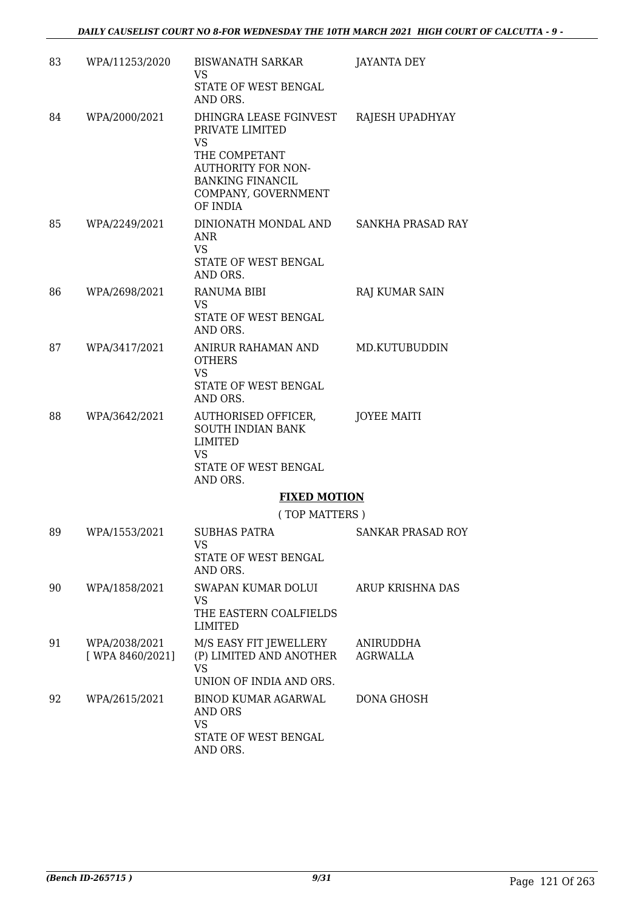| 83 | WPA/11253/2020                    | <b>BISWANATH SARKAR</b><br>VS<br>STATE OF WEST BENGAL<br>AND ORS.                                                                                    | JAYANTA DEY           |
|----|-----------------------------------|------------------------------------------------------------------------------------------------------------------------------------------------------|-----------------------|
| 84 | WPA/2000/2021                     | DHINGRA LEASE FGINVEST<br>PRIVATE LIMITED<br>VS<br>THE COMPETANT<br>AUTHORITY FOR NON-<br><b>BANKING FINANCIL</b><br>COMPANY, GOVERNMENT<br>OF INDIA | RAJESH UPADHYAY       |
| 85 | WPA/2249/2021                     | DINIONATH MONDAL AND<br>ANR<br><b>VS</b><br>STATE OF WEST BENGAL<br>AND ORS.                                                                         | SANKHA PRASAD RAY     |
| 86 | WPA/2698/2021                     | <b>RANUMA BIBI</b><br>VS.<br>STATE OF WEST BENGAL<br>AND ORS.                                                                                        | RAJ KUMAR SAIN        |
| 87 | WPA/3417/2021                     | ANIRUR RAHAMAN AND<br><b>OTHERS</b><br><b>VS</b><br>STATE OF WEST BENGAL<br>AND ORS.                                                                 | MD.KUTUBUDDIN         |
| 88 | WPA/3642/2021                     | AUTHORISED OFFICER,<br>SOUTH INDIAN BANK<br>LIMITED<br>VS<br>STATE OF WEST BENGAL<br>AND ORS.                                                        | <b>JOYEE MAITI</b>    |
|    |                                   | <b>FIXED MOTION</b>                                                                                                                                  |                       |
|    |                                   | (TOP MATTERS)                                                                                                                                        |                       |
| 89 | WPA/1553/2021                     | SUBHAS PATRA<br>VS<br>STATE OF WEST BENGAL<br>AND ORS.                                                                                               | SANKAR PRASAD ROY     |
| 90 | WPA/1858/2021                     | SWAPAN KUMAR DOLUI<br><b>VS</b><br>THE EASTERN COALFIELDS<br>LIMITED                                                                                 | ARUP KRISHNA DAS      |
| 91 | WPA/2038/2021<br>[ WPA 8460/2021] | M/S EASY FIT JEWELLERY<br>(P) LIMITED AND ANOTHER<br>VS<br>UNION OF INDIA AND ORS.                                                                   | ANIRUDDHA<br>AGRWALLA |
| 92 | WPA/2615/2021                     | <b>BINOD KUMAR AGARWAL</b><br>AND ORS<br><b>VS</b><br>STATE OF WEST BENGAL<br>AND ORS.                                                               | DONA GHOSH            |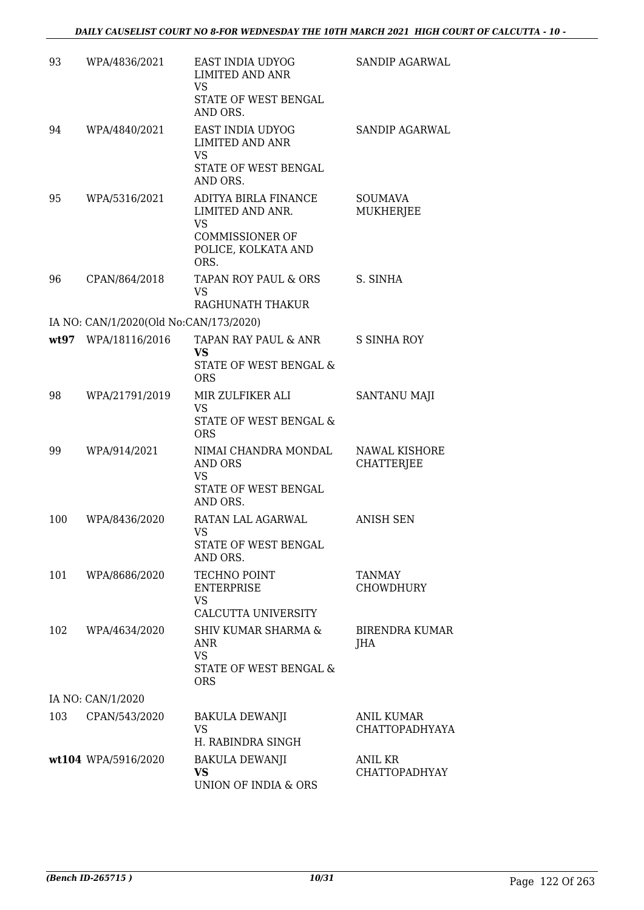| 93  | WPA/4836/2021                          | EAST INDIA UDYOG<br><b>LIMITED AND ANR</b><br><b>VS</b><br>STATE OF WEST BENGAL<br>AND ORS.                    | SANDIP AGARWAL                      |
|-----|----------------------------------------|----------------------------------------------------------------------------------------------------------------|-------------------------------------|
| 94  | WPA/4840/2021                          | EAST INDIA UDYOG<br><b>LIMITED AND ANR</b><br><b>VS</b><br>STATE OF WEST BENGAL<br>AND ORS.                    | <b>SANDIP AGARWAL</b>               |
| 95  | WPA/5316/2021                          | ADITYA BIRLA FINANCE<br>LIMITED AND ANR.<br><b>VS</b><br><b>COMMISSIONER OF</b><br>POLICE, KOLKATA AND<br>ORS. | <b>SOUMAVA</b><br><b>MUKHERJEE</b>  |
| 96  | CPAN/864/2018                          | TAPAN ROY PAUL & ORS<br><b>VS</b><br>RAGHUNATH THAKUR                                                          | S. SINHA                            |
|     | IA NO: CAN/1/2020(Old No:CAN/173/2020) |                                                                                                                |                                     |
|     | wt97 WPA/18116/2016                    | TAPAN RAY PAUL & ANR<br><b>VS</b><br><b>STATE OF WEST BENGAL &amp;</b><br><b>ORS</b>                           | <b>S SINHA ROY</b>                  |
| 98  | WPA/21791/2019                         | MIR ZULFIKER ALI<br><b>VS</b><br>STATE OF WEST BENGAL &<br><b>ORS</b>                                          | <b>SANTANU MAJI</b>                 |
| 99  | WPA/914/2021                           | NIMAI CHANDRA MONDAL<br>AND ORS<br><b>VS</b><br>STATE OF WEST BENGAL<br>AND ORS.                               | NAWAL KISHORE<br><b>CHATTERJEE</b>  |
| 100 | WPA/8436/2020                          | RATAN LAL AGARWAL<br><b>VS</b><br>STATE OF WEST BENGAL<br>AND ORS.                                             | <b>ANISH SEN</b>                    |
| 101 | WPA/8686/2020                          | TECHNO POINT<br><b>ENTERPRISE</b><br>VS.<br>CALCUTTA UNIVERSITY                                                | TANMAY<br><b>CHOWDHURY</b>          |
| 102 | WPA/4634/2020                          | <b>SHIV KUMAR SHARMA &amp;</b><br>ANR<br><b>VS</b><br>STATE OF WEST BENGAL &<br><b>ORS</b>                     | BIRENDRA KUMAR<br>JHA               |
|     | IA NO: CAN/1/2020                      |                                                                                                                |                                     |
| 103 | CPAN/543/2020                          | BAKULA DEWANJI<br><b>VS</b><br>H. RABINDRA SINGH                                                               | <b>ANIL KUMAR</b><br>CHATTOPADHYAYA |
|     | wt104 WPA/5916/2020                    | <b>BAKULA DEWANJI</b><br><b>VS</b><br>UNION OF INDIA & ORS                                                     | ANIL KR<br><b>CHATTOPADHYAY</b>     |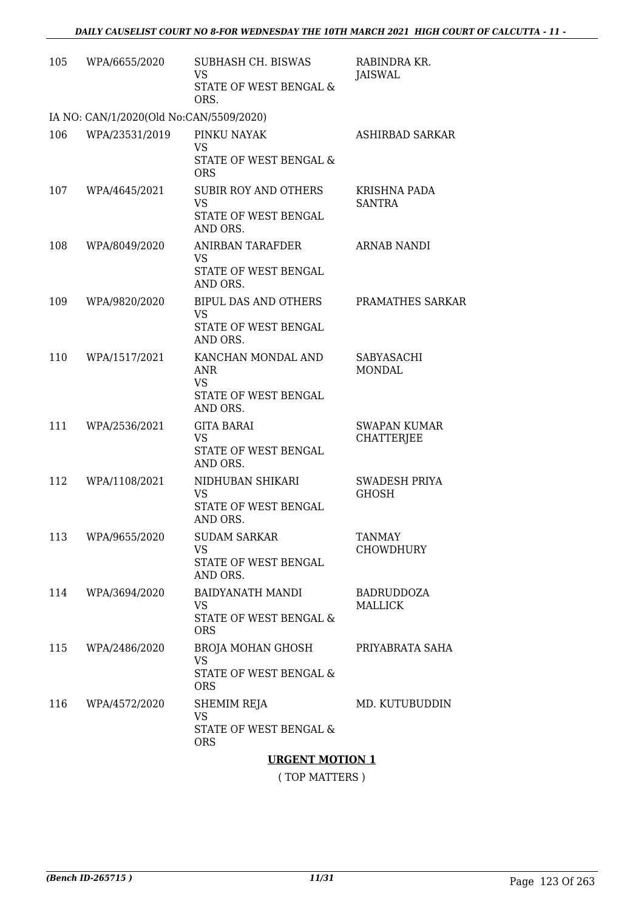| 105 | WPA/6655/2020                           | SUBHASH CH. BISWAS<br>VS.<br>STATE OF WEST BENGAL &                                    | RABINDRA KR.<br>JAISWAL                  |
|-----|-----------------------------------------|----------------------------------------------------------------------------------------|------------------------------------------|
|     |                                         | ORS.                                                                                   |                                          |
|     | IA NO: CAN/1/2020(Old No:CAN/5509/2020) |                                                                                        |                                          |
| 106 | WPA/23531/2019                          | PINKU NAYAK<br><b>VS</b><br>STATE OF WEST BENGAL &<br><b>ORS</b>                       | ASHIRBAD SARKAR                          |
| 107 | WPA/4645/2021                           | <b>SUBIR ROY AND OTHERS</b><br>VS<br>STATE OF WEST BENGAL<br>AND ORS.                  | KRISHNA PADA<br><b>SANTRA</b>            |
| 108 | WPA/8049/2020                           | <b>ANIRBAN TARAFDER</b><br><b>VS</b><br>STATE OF WEST BENGAL<br>AND ORS.               | ARNAB NANDI                              |
| 109 | WPA/9820/2020                           | BIPUL DAS AND OTHERS<br><b>VS</b><br>STATE OF WEST BENGAL<br>AND ORS.                  | PRAMATHES SARKAR                         |
| 110 | WPA/1517/2021                           | KANCHAN MONDAL AND<br><b>ANR</b><br>VS.<br>STATE OF WEST BENGAL<br>AND ORS.            | SABYASACHI<br><b>MONDAL</b>              |
| 111 | WPA/2536/2021                           | <b>GITA BARAI</b><br><b>VS</b><br>STATE OF WEST BENGAL<br>AND ORS.                     | <b>SWAPAN KUMAR</b><br><b>CHATTERJEE</b> |
| 112 | WPA/1108/2021                           | NIDHUBAN SHIKARI<br><b>VS</b><br>STATE OF WEST BENGAL<br>AND ORS.                      | SWADESH PRIYA<br><b>GHOSH</b>            |
| 113 | WPA/9655/2020                           | <b>SUDAM SARKAR</b><br>VS.<br>STATE OF WEST BENGAL<br>AND ORS.                         | <b>TANMAY</b><br><b>CHOWDHURY</b>        |
| 114 | WPA/3694/2020                           | BAIDYANATH MANDI<br>VS.<br>STATE OF WEST BENGAL &<br><b>ORS</b>                        | <b>BADRUDDOZA</b><br>MALLICK             |
| 115 | WPA/2486/2020                           | BROJA MOHAN GHOSH PRIYABRATA SAHA<br><b>VS</b><br>STATE OF WEST BENGAL &<br><b>ORS</b> |                                          |
| 116 | WPA/4572/2020                           | SHEMIM REJA<br><b>VS</b><br>STATE OF WEST BENGAL &<br><b>ORS</b>                       | MD. KUTUBUDDIN                           |
|     |                                         | <b>TIDORN'T MOTION 1</b>                                                               |                                          |

**URGENT MOTION 1**

( TOP MATTERS )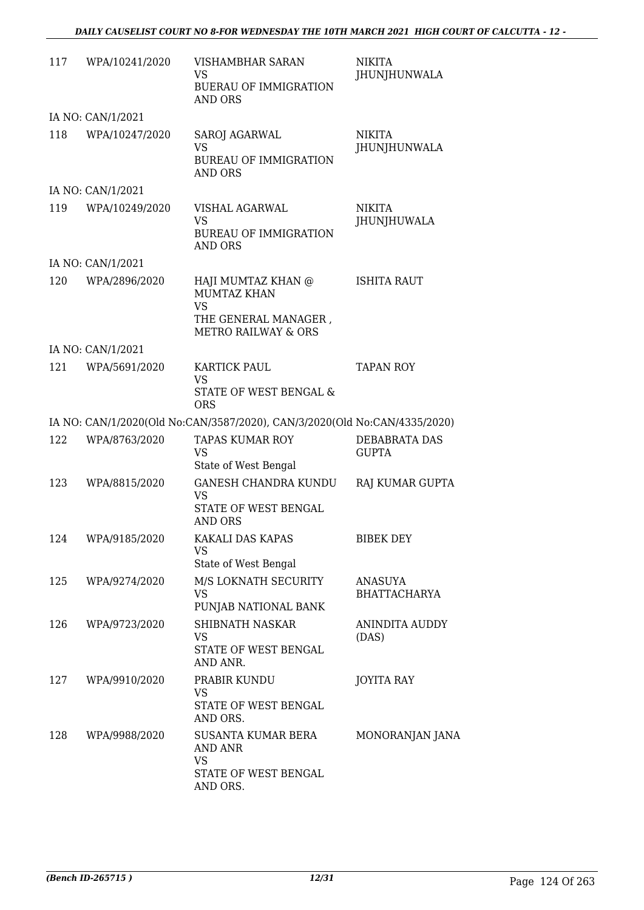| 117 | WPA/10241/2020    | VISHAMBHAR SARAN<br><b>VS</b><br><b>BUERAU OF IMMIGRATION</b><br>AND ORS                                        | <b>NIKITA</b><br>JHUNJHUNWALA         |
|-----|-------------------|-----------------------------------------------------------------------------------------------------------------|---------------------------------------|
|     | IA NO: CAN/1/2021 |                                                                                                                 |                                       |
| 118 | WPA/10247/2020    | SAROJ AGARWAL<br><b>VS</b><br><b>BUREAU OF IMMIGRATION</b><br>AND ORS                                           | <b>NIKITA</b><br>JHUNJHUNWALA         |
|     | IA NO: CAN/1/2021 |                                                                                                                 |                                       |
| 119 | WPA/10249/2020    | VISHAL AGARWAL<br><b>VS</b><br><b>BUREAU OF IMMIGRATION</b><br>AND ORS                                          | <b>NIKITA</b><br>JHUNJHUWALA          |
|     | IA NO: CAN/1/2021 |                                                                                                                 |                                       |
| 120 | WPA/2896/2020     | HAJI MUMTAZ KHAN @<br><b>MUMTAZ KHAN</b><br><b>VS</b><br>THE GENERAL MANAGER,<br><b>METRO RAILWAY &amp; ORS</b> | <b>ISHITA RAUT</b>                    |
|     | IA NO: CAN/1/2021 |                                                                                                                 |                                       |
| 121 | WPA/5691/2020     | KARTICK PAUL<br><b>VS</b><br>STATE OF WEST BENGAL &<br><b>ORS</b>                                               | <b>TAPAN ROY</b>                      |
|     |                   | IA NO: CAN/1/2020(Old No:CAN/3587/2020), CAN/3/2020(Old No:CAN/4335/2020)                                       |                                       |
| 122 | WPA/8763/2020     | <b>TAPAS KUMAR ROY</b><br>VS<br>State of West Bengal                                                            | DEBABRATA DAS<br><b>GUPTA</b>         |
| 123 | WPA/8815/2020     | <b>GANESH CHANDRA KUNDU</b><br><b>VS</b><br>STATE OF WEST BENGAL<br>AND ORS                                     | RAJ KUMAR GUPTA                       |
|     | 124 WPA/9185/2020 | KAKALI DAS KAPAS<br>VS<br>State of West Bengal                                                                  | <b>BIBEK DEY</b>                      |
| 125 | WPA/9274/2020     | M/S LOKNATH SECURITY<br><b>VS</b><br>PUNJAB NATIONAL BANK                                                       | <b>ANASUYA</b><br><b>BHATTACHARYA</b> |
| 126 | WPA/9723/2020     | <b>SHIBNATH NASKAR</b><br>VS<br>STATE OF WEST BENGAL                                                            | ANINDITA AUDDY<br>(DAS)               |
| 127 | WPA/9910/2020     | AND ANR.<br>PRABIR KUNDU<br>VS<br>STATE OF WEST BENGAL<br>AND ORS.                                              | <b>JOYITA RAY</b>                     |
| 128 | WPA/9988/2020     | SUSANTA KUMAR BERA<br>AND ANR<br>VS<br>STATE OF WEST BENGAL<br>AND ORS.                                         | MONORANJAN JANA                       |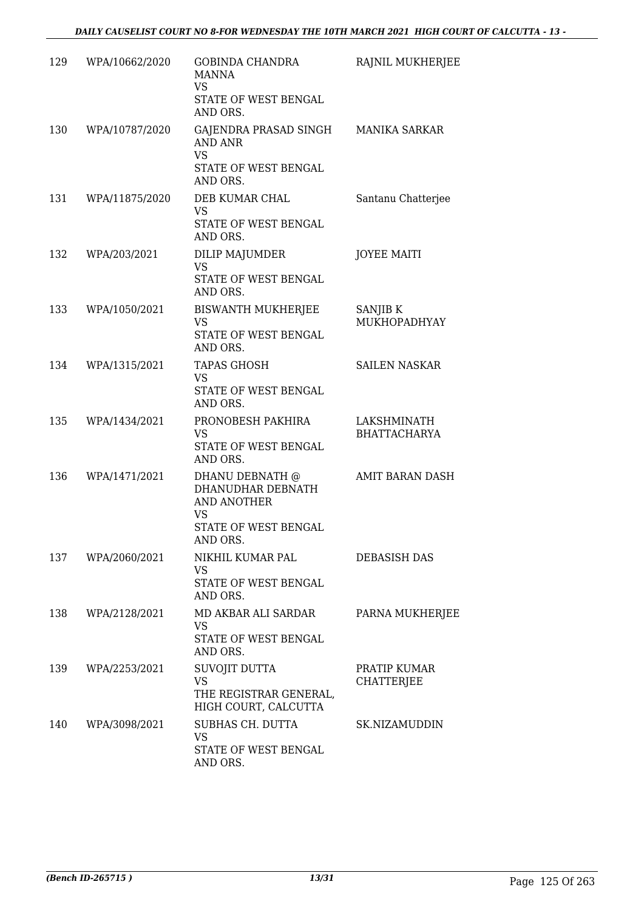| 129 | WPA/10662/2020 | <b>GOBINDA CHANDRA</b><br><b>MANNA</b><br><b>VS</b><br>STATE OF WEST BENGAL<br>AND ORS. | RAJNIL MUKHERJEE                   |
|-----|----------------|-----------------------------------------------------------------------------------------|------------------------------------|
| 130 | WPA/10787/2020 | GAJENDRA PRASAD SINGH<br>AND ANR<br>VS                                                  | <b>MANIKA SARKAR</b>               |
|     |                | STATE OF WEST BENGAL<br>AND ORS.                                                        |                                    |
| 131 | WPA/11875/2020 | DEB KUMAR CHAL<br><b>VS</b><br>STATE OF WEST BENGAL                                     | Santanu Chatterjee                 |
|     |                | AND ORS.                                                                                |                                    |
| 132 | WPA/203/2021   | DILIP MAJUMDER<br><b>VS</b><br>STATE OF WEST BENGAL<br>AND ORS.                         | <b>JOYEE MAITI</b>                 |
| 133 | WPA/1050/2021  | <b>BISWANTH MUKHERJEE</b>                                                               | SANJIB K                           |
|     |                | VS<br>STATE OF WEST BENGAL<br>AND ORS.                                                  | MUKHOPADHYAY                       |
| 134 | WPA/1315/2021  | <b>TAPAS GHOSH</b>                                                                      | <b>SAILEN NASKAR</b>               |
|     |                | <b>VS</b><br>STATE OF WEST BENGAL<br>AND ORS.                                           |                                    |
| 135 | WPA/1434/2021  | PRONOBESH PAKHIRA<br><b>VS</b><br>STATE OF WEST BENGAL                                  | LAKSHMINATH<br><b>BHATTACHARYA</b> |
|     |                | AND ORS.                                                                                |                                    |
| 136 | WPA/1471/2021  | DHANU DEBNATH @<br>DHANUDHAR DEBNATH<br><b>AND ANOTHER</b><br>VS                        | AMIT BARAN DASH                    |
|     |                | STATE OF WEST BENGAL<br>AND ORS.                                                        |                                    |
| 137 | WPA/2060/2021  | NIKHIL KUMAR PAL<br>VS                                                                  | <b>DEBASISH DAS</b>                |
|     |                | STATE OF WEST BENGAL<br>AND ORS.                                                        |                                    |
| 138 | WPA/2128/2021  | MD AKBAR ALI SARDAR<br>VS                                                               | PARNA MUKHERJEE                    |
|     |                | STATE OF WEST BENGAL<br>AND ORS.                                                        |                                    |
| 139 | WPA/2253/2021  | SUVOJIT DUTTA                                                                           | PRATIP KUMAR                       |
|     |                | <b>VS</b><br>THE REGISTRAR GENERAL,<br>HIGH COURT, CALCUTTA                             | CHATTERJEE                         |
| 140 | WPA/3098/2021  | SUBHAS CH. DUTTA<br><b>VS</b>                                                           | SK.NIZAMUDDIN                      |
|     |                | STATE OF WEST BENGAL<br>AND ORS.                                                        |                                    |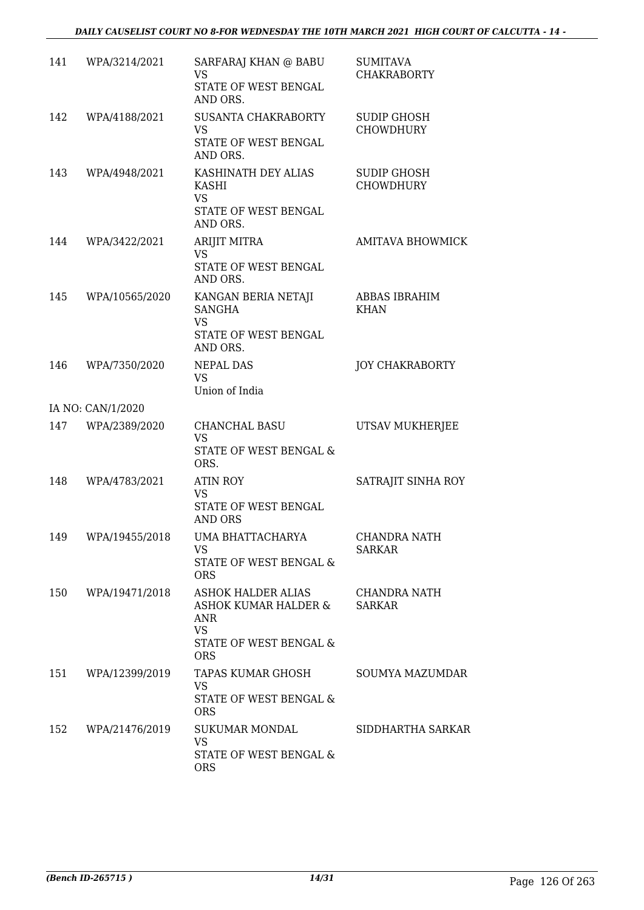| 141 | WPA/3214/2021      | SARFARAJ KHAN @ BABU<br><b>VS</b><br>STATE OF WEST BENGAL<br>AND ORS.                                  | <b>SUMITAVA</b><br><b>CHAKRABORTY</b>  |
|-----|--------------------|--------------------------------------------------------------------------------------------------------|----------------------------------------|
| 142 | WPA/4188/2021      | SUSANTA CHAKRABORTY<br>VS<br>STATE OF WEST BENGAL<br>AND ORS.                                          | <b>SUDIP GHOSH</b><br><b>CHOWDHURY</b> |
| 143 | WPA/4948/2021      | KASHINATH DEY ALIAS<br><b>KASHI</b><br><b>VS</b>                                                       | <b>SUDIP GHOSH</b><br><b>CHOWDHURY</b> |
|     |                    | STATE OF WEST BENGAL<br>AND ORS.                                                                       |                                        |
| 144 | WPA/3422/2021      | <b>ARIJIT MITRA</b><br><b>VS</b><br>STATE OF WEST BENGAL<br>AND ORS.                                   | <b>AMITAVA BHOWMICK</b>                |
| 145 | WPA/10565/2020     | KANGAN BERIA NETAJI<br><b>SANGHA</b><br><b>VS</b><br>STATE OF WEST BENGAL<br>AND ORS.                  | <b>ABBAS IBRAHIM</b><br><b>KHAN</b>    |
| 146 | WPA/7350/2020      | NEPAL DAS<br><b>VS</b><br>Union of India                                                               | JOY CHAKRABORTY                        |
|     | IA NO: CAN/1/2020  |                                                                                                        |                                        |
| 147 | WPA/2389/2020      | CHANCHAL BASU<br><b>VS</b><br>STATE OF WEST BENGAL &<br>ORS.                                           | UTSAV MUKHERJEE                        |
| 148 | WPA/4783/2021      | <b>ATIN ROY</b><br><b>VS</b><br>STATE OF WEST BENGAL<br><b>AND ORS</b>                                 | SATRAJIT SINHA ROY                     |
|     | 149 WPA/19455/2018 | UMA BHATTACHARYA<br>VS<br>STATE OF WEST BENGAL &<br><b>ORS</b>                                         | CHANDRA NATH<br>SARKAR                 |
| 150 | WPA/19471/2018     | ASHOK HALDER ALIAS<br>ASHOK KUMAR HALDER &<br>ANR<br><b>VS</b><br>STATE OF WEST BENGAL &<br><b>ORS</b> | CHANDRA NATH<br><b>SARKAR</b>          |
| 151 | WPA/12399/2019     | TAPAS KUMAR GHOSH<br><b>VS</b><br>STATE OF WEST BENGAL &<br><b>ORS</b>                                 | SOUMYA MAZUMDAR                        |
| 152 | WPA/21476/2019     | SUKUMAR MONDAL<br>VS<br>STATE OF WEST BENGAL &<br><b>ORS</b>                                           | SIDDHARTHA SARKAR                      |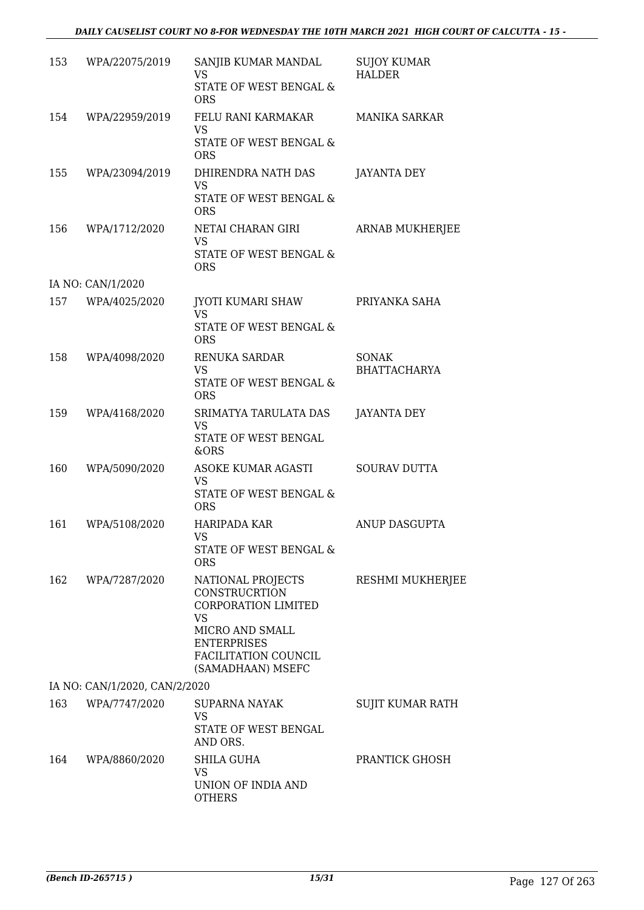| 153 | WPA/22075/2019                | SANJIB KUMAR MANDAL<br>VS<br>STATE OF WEST BENGAL &<br><b>ORS</b>                                                                                                   | <b>SUJOY KUMAR</b><br><b>HALDER</b> |
|-----|-------------------------------|---------------------------------------------------------------------------------------------------------------------------------------------------------------------|-------------------------------------|
| 154 | WPA/22959/2019                | FELU RANI KARMAKAR<br><b>VS</b><br>STATE OF WEST BENGAL &<br><b>ORS</b>                                                                                             | <b>MANIKA SARKAR</b>                |
| 155 | WPA/23094/2019                | DHIRENDRA NATH DAS<br><b>VS</b><br>STATE OF WEST BENGAL &<br><b>ORS</b>                                                                                             | <b>JAYANTA DEY</b>                  |
| 156 | WPA/1712/2020                 | NETAI CHARAN GIRI<br><b>VS</b><br>STATE OF WEST BENGAL &<br><b>ORS</b>                                                                                              | ARNAB MUKHERJEE                     |
|     | IA NO: CAN/1/2020             |                                                                                                                                                                     |                                     |
| 157 | WPA/4025/2020                 | JYOTI KUMARI SHAW<br><b>VS</b><br><b>STATE OF WEST BENGAL &amp;</b><br><b>ORS</b>                                                                                   | PRIYANKA SAHA                       |
| 158 | WPA/4098/2020                 | RENUKA SARDAR<br><b>VS</b><br>STATE OF WEST BENGAL &<br><b>ORS</b>                                                                                                  | <b>SONAK</b><br><b>BHATTACHARYA</b> |
| 159 | WPA/4168/2020                 | SRIMATYA TARULATA DAS<br><b>VS</b><br>STATE OF WEST BENGAL<br>&ORS                                                                                                  | <b>JAYANTA DEY</b>                  |
| 160 | WPA/5090/2020                 | ASOKE KUMAR AGASTI<br>VS<br>STATE OF WEST BENGAL &<br><b>ORS</b>                                                                                                    | <b>SOURAV DUTTA</b>                 |
| 161 | WPA/5108/2020                 | <b>HARIPADA KAR</b><br>VS<br>STATE OF WEST BENGAL &<br><b>ORS</b>                                                                                                   | ANUP DASGUPTA                       |
| 162 | WPA/7287/2020                 | NATIONAL PROJECTS<br><b>CONSTRUCRTION</b><br><b>CORPORATION LIMITED</b><br>VS<br>MICRO AND SMALL<br><b>ENTERPRISES</b><br>FACILITATION COUNCIL<br>(SAMADHAAN) MSEFC | <b>RESHMI MUKHERJEE</b>             |
|     | IA NO: CAN/1/2020, CAN/2/2020 |                                                                                                                                                                     |                                     |
| 163 | WPA/7747/2020                 | SUPARNA NAYAK<br>VS<br>STATE OF WEST BENGAL<br>AND ORS.                                                                                                             | SUJIT KUMAR RATH                    |
| 164 | WPA/8860/2020                 | <b>SHILA GUHA</b><br>VS<br>UNION OF INDIA AND<br><b>OTHERS</b>                                                                                                      | PRANTICK GHOSH                      |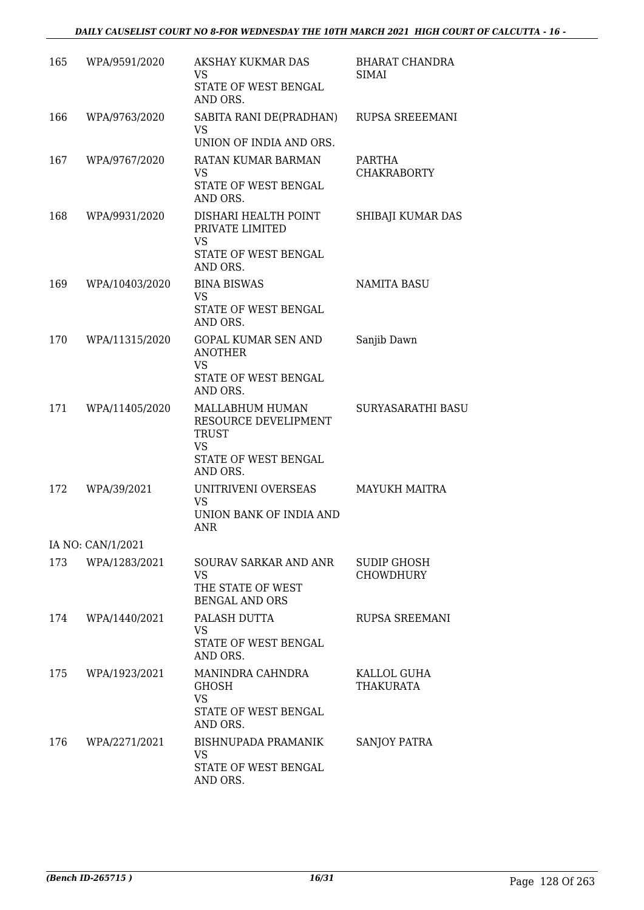| 165 | WPA/9591/2020     | AKSHAY KUKMAR DAS<br>VS.<br>STATE OF WEST BENGAL<br>AND ORS.                                             | <b>BHARAT CHANDRA</b><br><b>SIMAI</b> |
|-----|-------------------|----------------------------------------------------------------------------------------------------------|---------------------------------------|
| 166 | WPA/9763/2020     | SABITA RANI DE(PRADHAN)<br><b>VS</b><br>UNION OF INDIA AND ORS.                                          | RUPSA SREEEMANI                       |
| 167 | WPA/9767/2020     | <b>RATAN KUMAR BARMAN</b><br><b>VS</b><br>STATE OF WEST BENGAL<br>AND ORS.                               | PARTHA<br><b>CHAKRABORTY</b>          |
| 168 | WPA/9931/2020     | DISHARI HEALTH POINT<br>PRIVATE LIMITED<br><b>VS</b><br>STATE OF WEST BENGAL<br>AND ORS.                 | SHIBAJI KUMAR DAS                     |
| 169 | WPA/10403/2020    | <b>BINA BISWAS</b><br><b>VS</b><br>STATE OF WEST BENGAL<br>AND ORS.                                      | <b>NAMITA BASU</b>                    |
| 170 | WPA/11315/2020    | <b>GOPAL KUMAR SEN AND</b><br><b>ANOTHER</b><br><b>VS</b><br>STATE OF WEST BENGAL<br>AND ORS.            | Sanjib Dawn                           |
| 171 | WPA/11405/2020    | MALLABHUM HUMAN<br>RESOURCE DEVELIPMENT<br><b>TRUST</b><br><b>VS</b><br>STATE OF WEST BENGAL<br>AND ORS. | SURYASARATHI BASU                     |
| 172 | WPA/39/2021       | UNITRIVENI OVERSEAS<br><b>VS</b><br>UNION BANK OF INDIA AND<br><b>ANR</b>                                | <b>MAYUKH MAITRA</b>                  |
|     | IA NO: CAN/1/2021 |                                                                                                          |                                       |
| 173 | WPA/1283/2021     | SOURAV SARKAR AND ANR<br>VS<br>THE STATE OF WEST<br><b>BENGAL AND ORS</b>                                | SUDIP GHOSH<br><b>CHOWDHURY</b>       |
| 174 | WPA/1440/2021     | PALASH DUTTA<br>VS<br>STATE OF WEST BENGAL<br>AND ORS.                                                   | <b>RUPSA SREEMANI</b>                 |
| 175 | WPA/1923/2021     | MANINDRA CAHNDRA<br><b>GHOSH</b><br><b>VS</b><br>STATE OF WEST BENGAL<br>AND ORS.                        | KALLOL GUHA<br>THAKURATA              |
| 176 | WPA/2271/2021     | <b>BISHNUPADA PRAMANIK</b><br>VS<br>STATE OF WEST BENGAL<br>AND ORS.                                     | <b>SANJOY PATRA</b>                   |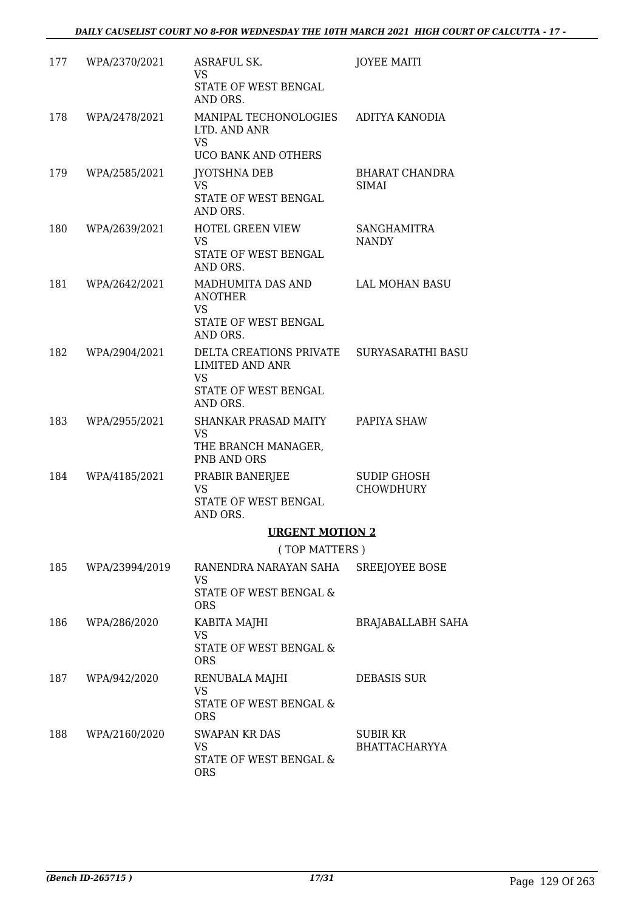| 177 | WPA/2370/2021      | ASRAFUL SK.<br>VS                                                       | <b>JOYEE MAITI</b>                 |
|-----|--------------------|-------------------------------------------------------------------------|------------------------------------|
|     |                    | STATE OF WEST BENGAL<br>AND ORS.                                        |                                    |
| 178 | WPA/2478/2021      | MANIPAL TECHONOLOGIES<br>LTD. AND ANR<br><b>VS</b>                      | ADITYA KANODIA                     |
|     |                    | <b>UCO BANK AND OTHERS</b>                                              |                                    |
| 179 | WPA/2585/2021      | <b>JYOTSHNA DEB</b><br><b>VS</b>                                        | <b>BHARAT CHANDRA</b><br>SIMAI     |
|     |                    | STATE OF WEST BENGAL<br>AND ORS.                                        |                                    |
| 180 | WPA/2639/2021      | HOTEL GREEN VIEW<br>VS.<br>STATE OF WEST BENGAL<br>AND ORS.             | <b>SANGHAMITRA</b><br><b>NANDY</b> |
| 181 | WPA/2642/2021      | MADHUMITA DAS AND<br><b>ANOTHER</b><br><b>VS</b>                        | LAL MOHAN BASU                     |
|     |                    | STATE OF WEST BENGAL<br>AND ORS.                                        |                                    |
| 182 | WPA/2904/2021      | DELTA CREATIONS PRIVATE<br><b>LIMITED AND ANR</b><br><b>VS</b>          | <b>SURYASARATHI BASU</b>           |
|     |                    | STATE OF WEST BENGAL<br>AND ORS.                                        |                                    |
| 183 | WPA/2955/2021      | SHANKAR PRASAD MAITY<br><b>VS</b><br>THE BRANCH MANAGER,<br>PNB AND ORS | PAPIYA SHAW                        |
| 184 | WPA/4185/2021      | PRABIR BANERJEE                                                         | <b>SUDIP GHOSH</b>                 |
|     |                    | <b>VS</b><br>STATE OF WEST BENGAL<br>AND ORS.                           | <b>CHOWDHURY</b>                   |
|     |                    | <b>URGENT MOTION 2</b>                                                  |                                    |
|     |                    | (TOP MATTERS)                                                           |                                    |
|     | 185 WPA/23994/2019 | RANENDRA NARAYAN SAHA SREEJOYEE BOSE<br><b>VS</b>                       |                                    |
|     |                    | STATE OF WEST BENGAL &<br><b>ORS</b>                                    |                                    |
| 186 | WPA/286/2020       | KABITA MAJHI<br>VS<br>STATE OF WEST BENGAL &                            | BRAJABALLABH SAHA                  |
|     |                    | <b>ORS</b>                                                              |                                    |
|     | 187 WPA/942/2020   | RENUBALA MAJHI<br>VS<br>STATE OF WEST BENGAL &<br><b>ORS</b>            | DEBASIS SUR                        |
| 188 | WPA/2160/2020      | <b>SWAPAN KR DAS</b><br>VS.                                             | SUBIR KR<br><b>BHATTACHARYYA</b>   |
|     |                    | STATE OF WEST BENGAL &<br><b>ORS</b>                                    |                                    |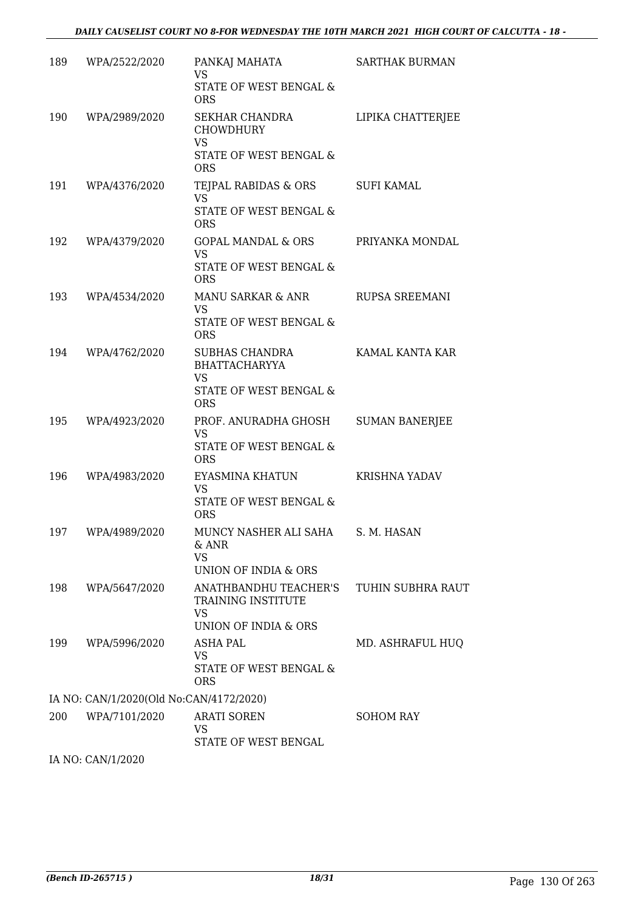| WPA/2522/2020 | PANKAJ MAHATA<br><b>VS</b><br>STATE OF WEST BENGAL &<br><b>ORS</b>                                 | <b>SARTHAK BURMAN</b>                   |
|---------------|----------------------------------------------------------------------------------------------------|-----------------------------------------|
| WPA/2989/2020 | SEKHAR CHANDRA<br><b>CHOWDHURY</b><br><b>VS</b><br>STATE OF WEST BENGAL &<br><b>ORS</b>            | LIPIKA CHATTERJEE                       |
|               | TEJPAL RABIDAS & ORS<br><b>VS</b><br>STATE OF WEST BENGAL &<br><b>ORS</b>                          | SUFI KAMAL                              |
| WPA/4379/2020 | GOPAL MANDAL & ORS<br><b>VS</b><br>STATE OF WEST BENGAL &<br><b>ORS</b>                            | PRIYANKA MONDAL                         |
| WPA/4534/2020 | MANU SARKAR & ANR<br><b>VS</b><br>STATE OF WEST BENGAL &<br><b>ORS</b>                             | <b>RUPSA SREEMANI</b>                   |
| WPA/4762/2020 | <b>SUBHAS CHANDRA</b><br><b>BHATTACHARYYA</b><br><b>VS</b><br>STATE OF WEST BENGAL &<br><b>ORS</b> | KAMAL KANTA KAR                         |
| WPA/4923/2020 | PROF. ANURADHA GHOSH<br><b>VS</b><br>STATE OF WEST BENGAL &<br><b>ORS</b>                          | <b>SUMAN BANERJEE</b>                   |
| WPA/4983/2020 | EYASMINA KHATUN<br><b>VS</b><br>STATE OF WEST BENGAL &<br><b>ORS</b>                               | KRISHNA YADAV                           |
| WPA/4989/2020 | MUNCY NASHER ALI SAHA S. M. HASAN<br>& ANR<br>VS<br>UNION OF INDIA & ORS                           |                                         |
| WPA/5647/2020 | ANATHBANDHU TEACHER'S<br>TRAINING INSTITUTE<br>VS<br>UNION OF INDIA & ORS                          | TUHIN SUBHRA RAUT                       |
| WPA/5996/2020 | ASHA PAL<br><b>VS</b><br>STATE OF WEST BENGAL &<br><b>ORS</b>                                      | MD. ASHRAFUL HUQ                        |
|               |                                                                                                    |                                         |
| WPA/7101/2020 | <b>ARATI SOREN</b><br>VS<br>STATE OF WEST BENGAL                                                   | SOHOM RAY                               |
|               | 189<br>191 WPA/4376/2020                                                                           | IA NO: CAN/1/2020(Old No:CAN/4172/2020) |

IA NO: CAN/1/2020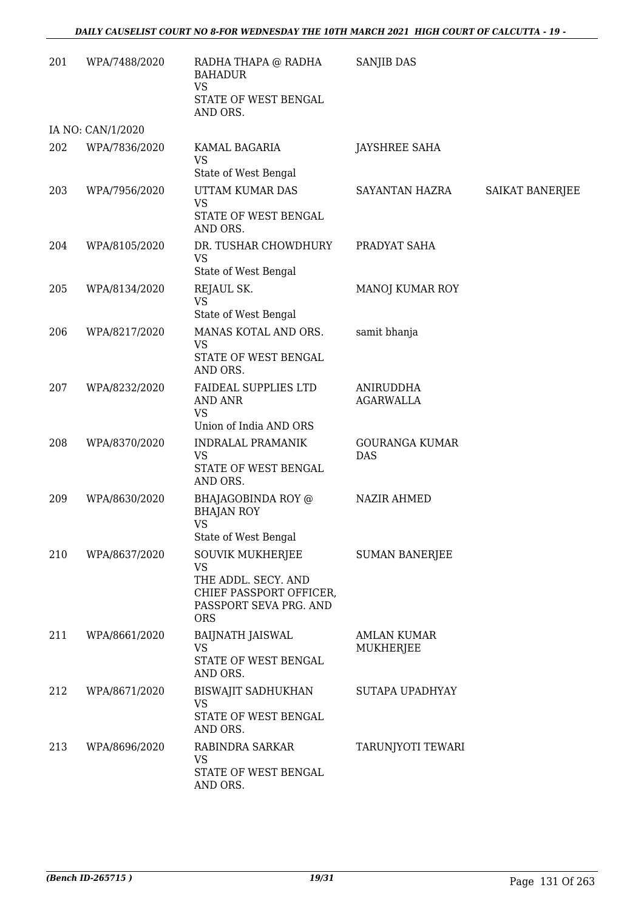| 201 | WPA/7488/2020     | RADHA THAPA @ RADHA<br><b>BAHADUR</b><br><b>VS</b><br>STATE OF WEST BENGAL<br>AND ORS.                           | SANJIB DAS                          |                 |
|-----|-------------------|------------------------------------------------------------------------------------------------------------------|-------------------------------------|-----------------|
|     | IA NO: CAN/1/2020 |                                                                                                                  |                                     |                 |
| 202 | WPA/7836/2020     | KAMAL BAGARIA<br><b>VS</b><br>State of West Bengal                                                               | <b>JAYSHREE SAHA</b>                |                 |
| 203 | WPA/7956/2020     | UTTAM KUMAR DAS<br><b>VS</b><br>STATE OF WEST BENGAL<br>AND ORS.                                                 | SAYANTAN HAZRA                      | SAIKAT BANERJEE |
| 204 | WPA/8105/2020     | DR. TUSHAR CHOWDHURY<br><b>VS</b><br>State of West Bengal                                                        | PRADYAT SAHA                        |                 |
| 205 | WPA/8134/2020     | REJAUL SK.<br><b>VS</b><br>State of West Bengal                                                                  | MANOJ KUMAR ROY                     |                 |
| 206 | WPA/8217/2020     | MANAS KOTAL AND ORS.<br><b>VS</b><br>STATE OF WEST BENGAL<br>AND ORS.                                            | samit bhanja                        |                 |
| 207 | WPA/8232/2020     | FAIDEAL SUPPLIES LTD<br><b>AND ANR</b><br><b>VS</b><br>Union of India AND ORS                                    | ANIRUDDHA<br><b>AGARWALLA</b>       |                 |
| 208 | WPA/8370/2020     | <b>INDRALAL PRAMANIK</b><br><b>VS</b><br>STATE OF WEST BENGAL<br>AND ORS.                                        | <b>GOURANGA KUMAR</b><br><b>DAS</b> |                 |
| 209 | WPA/8630/2020     | BHAJAGOBINDA ROY @<br><b>BHAJAN ROY</b><br><b>VS</b><br>State of West Bengal                                     | <b>NAZIR AHMED</b>                  |                 |
| 210 | WPA/8637/2020     | SOUVIK MUKHERJEE<br>VS<br>THE ADDL. SECY. AND<br>CHIEF PASSPORT OFFICER,<br>PASSPORT SEVA PRG. AND<br><b>ORS</b> | <b>SUMAN BANERJEE</b>               |                 |
| 211 | WPA/8661/2020     | <b>BAIJNATH JAISWAL</b><br><b>VS</b><br>STATE OF WEST BENGAL<br>AND ORS.                                         | <b>AMLAN KUMAR</b><br>MUKHERJEE     |                 |
| 212 | WPA/8671/2020     | <b>BISWAJIT SADHUKHAN</b><br>VS<br>STATE OF WEST BENGAL<br>AND ORS.                                              | SUTAPA UPADHYAY                     |                 |
| 213 | WPA/8696/2020     | RABINDRA SARKAR<br><b>VS</b><br>STATE OF WEST BENGAL<br>AND ORS.                                                 | TARUNJYOTI TEWARI                   |                 |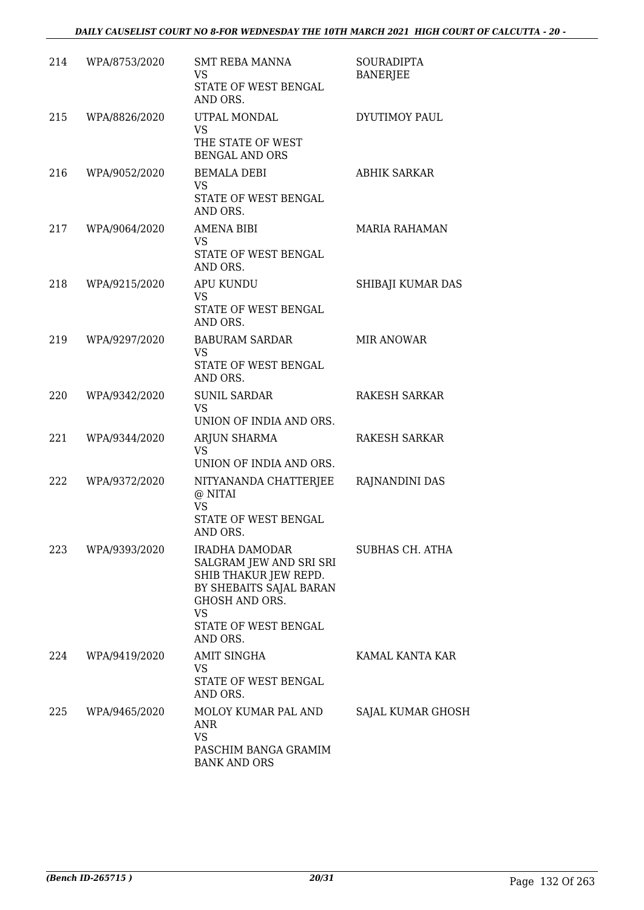| 214 | WPA/8753/2020 | <b>SMT REBA MANNA</b><br>VS<br>STATE OF WEST BENGAL<br>AND ORS.                                                                                                         | <b>SOURADIPTA</b><br><b>BANERJEE</b> |
|-----|---------------|-------------------------------------------------------------------------------------------------------------------------------------------------------------------------|--------------------------------------|
| 215 | WPA/8826/2020 | UTPAL MONDAL<br>VS<br>THE STATE OF WEST<br><b>BENGAL AND ORS</b>                                                                                                        | <b>DYUTIMOY PAUL</b>                 |
| 216 | WPA/9052/2020 | <b>BEMALA DEBI</b><br><b>VS</b><br>STATE OF WEST BENGAL<br>AND ORS.                                                                                                     | <b>ABHIK SARKAR</b>                  |
| 217 | WPA/9064/2020 | AMENA BIBI<br><b>VS</b><br>STATE OF WEST BENGAL<br>AND ORS.                                                                                                             | <b>MARIA RAHAMAN</b>                 |
| 218 | WPA/9215/2020 | <b>APU KUNDU</b><br>VS<br>STATE OF WEST BENGAL<br>AND ORS.                                                                                                              | SHIBAJI KUMAR DAS                    |
| 219 | WPA/9297/2020 | <b>BABURAM SARDAR</b><br><b>VS</b><br>STATE OF WEST BENGAL<br>AND ORS.                                                                                                  | <b>MIR ANOWAR</b>                    |
| 220 | WPA/9342/2020 | <b>SUNIL SARDAR</b><br><b>VS</b><br>UNION OF INDIA AND ORS.                                                                                                             | RAKESH SARKAR                        |
| 221 | WPA/9344/2020 | ARJUN SHARMA<br><b>VS</b><br>UNION OF INDIA AND ORS.                                                                                                                    | RAKESH SARKAR                        |
| 222 | WPA/9372/2020 | NITYANANDA CHATTERJEE<br>@ NITAI<br><b>VS</b><br>STATE OF WEST BENGAL<br>AND ORS.                                                                                       | RAJNANDINI DAS                       |
| 223 | WPA/9393/2020 | <b>IRADHA DAMODAR</b><br>SALGRAM JEW AND SRI SRI<br>SHIB THAKUR JEW REPD.<br>BY SHEBAITS SAJAL BARAN<br>GHOSH AND ORS.<br><b>VS</b><br>STATE OF WEST BENGAL<br>AND ORS. | <b>SUBHAS CH. ATHA</b>               |
| 224 | WPA/9419/2020 | <b>AMIT SINGHA</b><br><b>VS</b><br>STATE OF WEST BENGAL<br>AND ORS.                                                                                                     | KAMAL KANTA KAR                      |
| 225 | WPA/9465/2020 | MOLOY KUMAR PAL AND<br>ANR<br>VS<br>PASCHIM BANGA GRAMIM<br><b>BANK AND ORS</b>                                                                                         | SAJAL KUMAR GHOSH                    |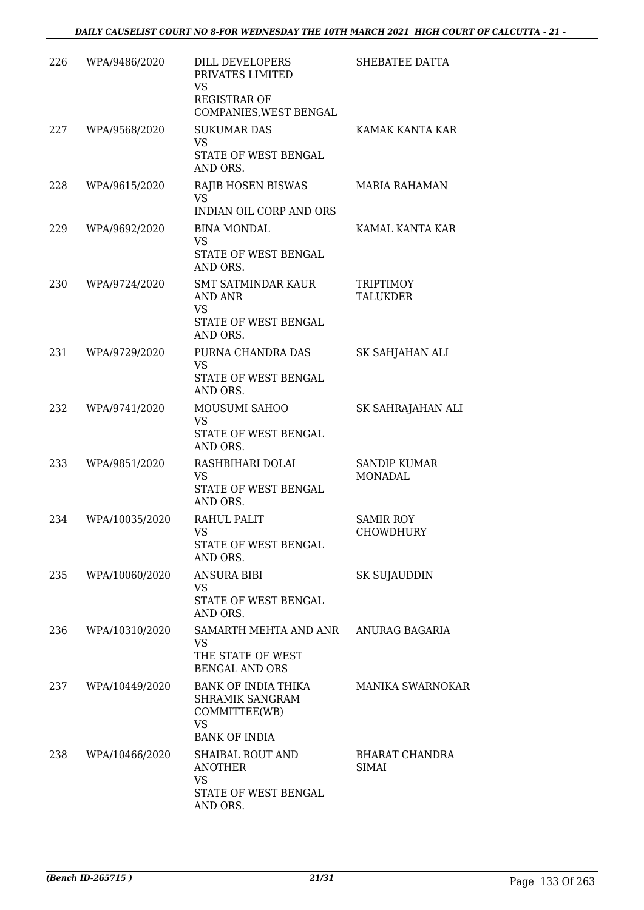| 226 | WPA/9486/2020  | DILL DEVELOPERS<br>PRIVATES LIMITED<br>VS<br><b>REGISTRAR OF</b><br>COMPANIES, WEST BENGAL   | SHEBATEE DATTA                        |
|-----|----------------|----------------------------------------------------------------------------------------------|---------------------------------------|
| 227 | WPA/9568/2020  | <b>SUKUMAR DAS</b><br><b>VS</b><br>STATE OF WEST BENGAL<br>AND ORS.                          | KAMAK KANTA KAR                       |
| 228 | WPA/9615/2020  | RAJIB HOSEN BISWAS<br><b>VS</b><br><b>INDIAN OIL CORP AND ORS</b>                            | <b>MARIA RAHAMAN</b>                  |
| 229 | WPA/9692/2020  | <b>BINA MONDAL</b><br><b>VS</b><br>STATE OF WEST BENGAL<br>AND ORS.                          | KAMAL KANTA KAR                       |
| 230 | WPA/9724/2020  | SMT SATMINDAR KAUR<br>AND ANR<br><b>VS</b><br>STATE OF WEST BENGAL<br>AND ORS.               | <b>TRIPTIMOY</b><br><b>TALUKDER</b>   |
| 231 | WPA/9729/2020  | PURNA CHANDRA DAS<br><b>VS</b><br>STATE OF WEST BENGAL<br>AND ORS.                           | SK SAHJAHAN ALI                       |
| 232 | WPA/9741/2020  | MOUSUMI SAHOO<br>VS<br>STATE OF WEST BENGAL<br>AND ORS.                                      | SK SAHRAJAHAN ALI                     |
| 233 | WPA/9851/2020  | RASHBIHARI DOLAI<br><b>VS</b><br>STATE OF WEST BENGAL<br>AND ORS.                            | <b>SANDIP KUMAR</b><br><b>MONADAL</b> |
| 234 | WPA/10035/2020 | RAHUL PALIT<br><b>VS</b><br>STATE OF WEST BENGAL<br>AND ORS.                                 | <b>SAMIR ROY</b><br><b>CHOWDHURY</b>  |
| 235 | WPA/10060/2020 | <b>ANSURA BIBI</b><br>VS<br>STATE OF WEST BENGAL<br>AND ORS.                                 | <b>SK SUJAUDDIN</b>                   |
| 236 | WPA/10310/2020 | SAMARTH MEHTA AND ANR ANURAG BAGARIA<br>VS<br>THE STATE OF WEST<br><b>BENGAL AND ORS</b>     |                                       |
| 237 | WPA/10449/2020 | BANK OF INDIA THIKA<br>SHRAMIK SANGRAM<br>COMMITTEE(WB)<br><b>VS</b><br><b>BANK OF INDIA</b> | <b>MANIKA SWARNOKAR</b>               |
| 238 | WPA/10466/2020 | SHAIBAL ROUT AND<br><b>ANOTHER</b><br><b>VS</b><br>STATE OF WEST BENGAL<br>AND ORS.          | BHARAT CHANDRA<br>SIMAI               |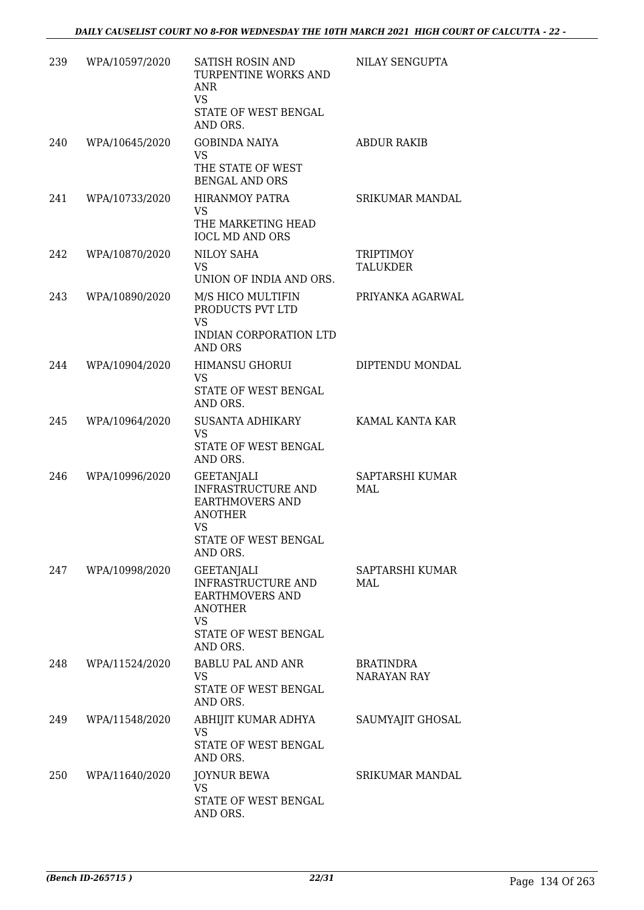| 239 | WPA/10597/2020 | <b>SATISH ROSIN AND</b><br>TURPENTINE WORKS AND<br>ANR<br><b>VS</b><br>STATE OF WEST BENGAL<br>AND ORS.                       | NILAY SENGUPTA                  |
|-----|----------------|-------------------------------------------------------------------------------------------------------------------------------|---------------------------------|
| 240 | WPA/10645/2020 | <b>GOBINDA NAIYA</b><br><b>VS</b><br>THE STATE OF WEST<br><b>BENGAL AND ORS</b>                                               | <b>ABDUR RAKIB</b>              |
| 241 | WPA/10733/2020 | HIRANMOY PATRA<br>VS<br>THE MARKETING HEAD<br><b>IOCL MD AND ORS</b>                                                          | <b>SRIKUMAR MANDAL</b>          |
| 242 | WPA/10870/2020 | <b>NILOY SAHA</b><br>VS.<br>UNION OF INDIA AND ORS.                                                                           | <b>TRIPTIMOY</b><br>TALUKDER    |
| 243 | WPA/10890/2020 | M/S HICO MULTIFIN<br>PRODUCTS PVT LTD<br><b>VS</b><br>INDIAN CORPORATION LTD<br><b>AND ORS</b>                                | PRIYANKA AGARWAL                |
| 244 | WPA/10904/2020 | <b>HIMANSU GHORUI</b><br>VS<br>STATE OF WEST BENGAL<br>AND ORS.                                                               | DIPTENDU MONDAL                 |
| 245 | WPA/10964/2020 | SUSANTA ADHIKARY<br><b>VS</b><br>STATE OF WEST BENGAL<br>AND ORS.                                                             | KAMAL KANTA KAR                 |
| 246 | WPA/10996/2020 | GEETANJALI<br><b>INFRASTRUCTURE AND</b><br>EARTHMOVERS AND<br><b>ANOTHER</b><br><b>VS</b><br>STATE OF WEST BENGAL<br>AND ORS. | SAPTARSHI KUMAR<br>MAL          |
| 247 | WPA/10998/2020 | <b>GEETANJALI</b><br><b>INFRASTRUCTURE AND</b><br>EARTHMOVERS AND<br><b>ANOTHER</b><br>VS<br>STATE OF WEST BENGAL<br>AND ORS. | SAPTARSHI KUMAR<br>MAL          |
| 248 | WPA/11524/2020 | BABLU PAL AND ANR<br>VS.<br>STATE OF WEST BENGAL<br>AND ORS.                                                                  | BRATINDRA<br><b>NARAYAN RAY</b> |
| 249 | WPA/11548/2020 | ABHIJIT KUMAR ADHYA<br>VS.<br>STATE OF WEST BENGAL<br>AND ORS.                                                                | SAUMYAJIT GHOSAL                |
| 250 | WPA/11640/2020 | <b>JOYNUR BEWA</b><br>VS<br>STATE OF WEST BENGAL<br>AND ORS.                                                                  | <b>SRIKUMAR MANDAL</b>          |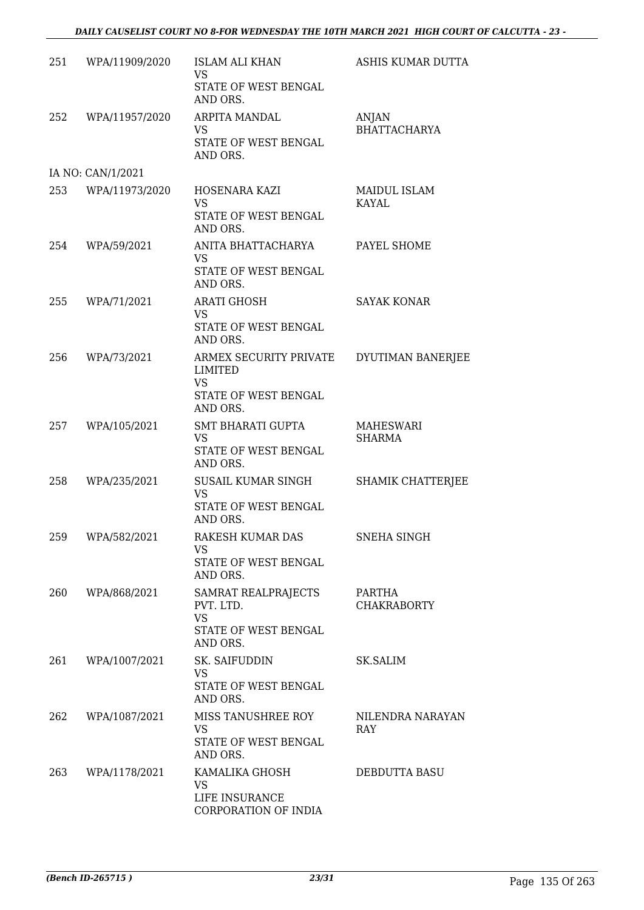# *DAILY CAUSELIST COURT NO 8-FOR WEDNESDAY THE 10TH MARCH 2021 HIGH COURT OF CALCUTTA - 23 -*

| 251 | WPA/11909/2020     | <b>ISLAM ALI KHAN</b><br><b>VS</b>                                 | ASHIS KUMAR DUTTA              |
|-----|--------------------|--------------------------------------------------------------------|--------------------------------|
|     |                    | STATE OF WEST BENGAL<br>AND ORS.                                   |                                |
| 252 | WPA/11957/2020     | ARPITA MANDAL<br>VS                                                | ANJAN<br><b>BHATTACHARYA</b>   |
|     |                    | STATE OF WEST BENGAL<br>AND ORS.                                   |                                |
|     | IA NO: CAN/1/2021  |                                                                    |                                |
|     | 253 WPA/11973/2020 | HOSENARA KAZI<br><b>VS</b><br>STATE OF WEST BENGAL<br>AND ORS.     | MAIDUL ISLAM<br>KAYAL          |
| 254 | WPA/59/2021        | ANITA BHATTACHARYA<br><b>VS</b>                                    | PAYEL SHOME                    |
|     |                    | STATE OF WEST BENGAL<br>AND ORS.                                   |                                |
| 255 | WPA/71/2021        | <b>ARATI GHOSH</b><br><b>VS</b>                                    | <b>SAYAK KONAR</b>             |
|     |                    | STATE OF WEST BENGAL<br>AND ORS.                                   |                                |
| 256 | WPA/73/2021        | ARMEX SECURITY PRIVATE<br>LIMITED<br><b>VS</b>                     | DYUTIMAN BANERJEE              |
|     |                    | STATE OF WEST BENGAL<br>AND ORS.                                   |                                |
| 257 | WPA/105/2021       | SMT BHARATI GUPTA<br><b>VS</b><br>STATE OF WEST BENGAL<br>AND ORS. | MAHESWARI<br><b>SHARMA</b>     |
| 258 | WPA/235/2021       | SUSAIL KUMAR SINGH                                                 | SHAMIK CHATTERJEE              |
|     |                    | <b>VS</b><br>STATE OF WEST BENGAL<br>AND ORS.                      |                                |
|     | 259 WPA/582/2021   | RAKESH KUMAR DAS<br>VS                                             | SNEHA SINGH                    |
|     |                    | STATE OF WEST BENGAL<br>AND ORS.                                   |                                |
| 260 | WPA/868/2021       | SAMRAT REALPRAJECTS<br>PVT. LTD.                                   | PARTHA<br><b>CHAKRABORTY</b>   |
|     |                    | <b>VS</b><br>STATE OF WEST BENGAL<br>AND ORS.                      |                                |
| 261 | WPA/1007/2021      | SK. SAIFUDDIN<br><b>VS</b>                                         | SK.SALIM                       |
|     |                    | STATE OF WEST BENGAL<br>AND ORS.                                   |                                |
| 262 | WPA/1087/2021      | MISS TANUSHREE ROY<br><b>VS</b>                                    | NILENDRA NARAYAN<br><b>RAY</b> |
|     |                    | STATE OF WEST BENGAL<br>AND ORS.                                   |                                |
| 263 | WPA/1178/2021      | KAMALIKA GHOSH<br>VS                                               | DEBDUTTA BASU                  |
|     |                    | LIFE INSURANCE<br>CORPORATION OF INDIA                             |                                |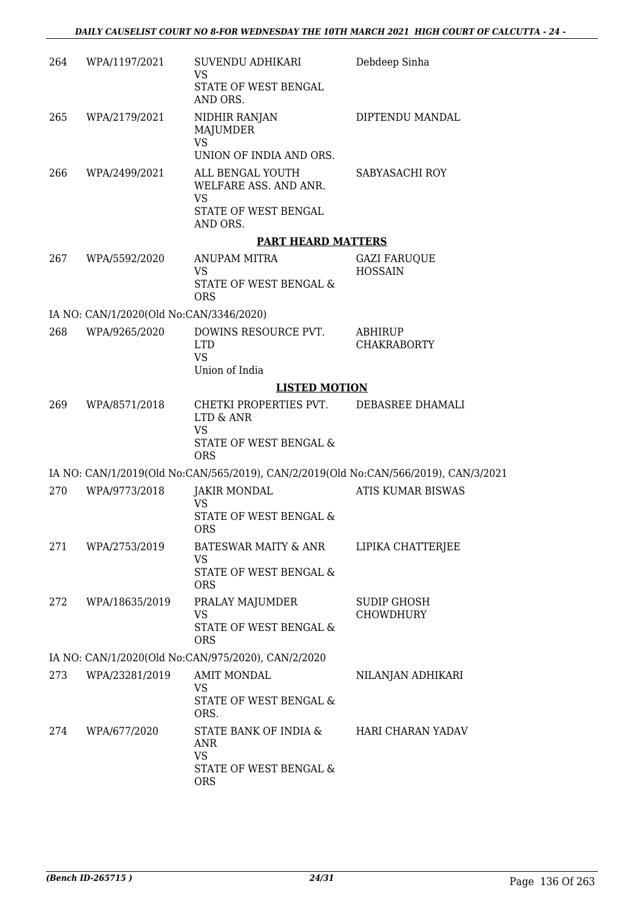| 264 | WPA/1197/2021                           | SUVENDU ADHIKARI<br>VS<br>STATE OF WEST BENGAL<br>AND ORS.                               | Debdeep Sinha                   |
|-----|-----------------------------------------|------------------------------------------------------------------------------------------|---------------------------------|
| 265 | WPA/2179/2021                           | NIDHIR RANJAN<br>MAJUMDER<br><b>VS</b><br>UNION OF INDIA AND ORS.                        | DIPTENDU MANDAL                 |
| 266 | WPA/2499/2021                           | ALL BENGAL YOUTH<br>WELFARE ASS. AND ANR.<br><b>VS</b><br>STATE OF WEST BENGAL           | SABYASACHI ROY                  |
|     |                                         | AND ORS.                                                                                 |                                 |
| 267 | WPA/5592/2020                           | <b>PART HEARD MATTERS</b><br>ANUPAM MITRA                                                | <b>GAZI FARUQUE</b>             |
|     |                                         | <b>VS</b><br>STATE OF WEST BENGAL &<br><b>ORS</b>                                        | <b>HOSSAIN</b>                  |
|     | IA NO: CAN/1/2020(Old No:CAN/3346/2020) |                                                                                          |                                 |
| 268 | WPA/9265/2020                           | DOWINS RESOURCE PVT.<br><b>LTD</b><br><b>VS</b><br>Union of India                        | ABHIRUP<br><b>CHAKRABORTY</b>   |
|     |                                         | <b>LISTED MOTION</b>                                                                     |                                 |
| 269 | WPA/8571/2018                           | CHETKI PROPERTIES PVT.<br>LTD & ANR<br><b>VS</b><br>STATE OF WEST BENGAL &<br><b>ORS</b> | DEBASREE DHAMALI                |
|     |                                         | IA NO: CAN/1/2019(Old No:CAN/565/2019), CAN/2/2019(Old No:CAN/566/2019), CAN/3/2021      |                                 |
| 270 | WPA/9773/2018                           | <b>JAKIR MONDAL</b><br><b>VS</b><br>STATE OF WEST BENGAL &<br><b>ORS</b>                 | <b>ATIS KUMAR BISWAS</b>        |
| 271 | WPA/2753/2019                           | BATESWAR MAITY & ANR<br>VS<br>STATE OF WEST BENGAL &<br><b>ORS</b>                       | LIPIKA CHATTERJEE               |
| 272 | WPA/18635/2019                          | PRALAY MAJUMDER<br><b>VS</b><br>STATE OF WEST BENGAL &<br><b>ORS</b>                     | SUDIP GHOSH<br><b>CHOWDHURY</b> |
|     |                                         | IA NO: CAN/1/2020(Old No:CAN/975/2020), CAN/2/2020                                       |                                 |
| 273 | WPA/23281/2019                          | <b>AMIT MONDAL</b><br><b>VS</b><br>STATE OF WEST BENGAL &<br>ORS.                        | NILANJAN ADHIKARI               |
| 274 | WPA/677/2020                            | STATE BANK OF INDIA &<br>ANR<br><b>VS</b><br>STATE OF WEST BENGAL &<br><b>ORS</b>        | HARI CHARAN YADAV               |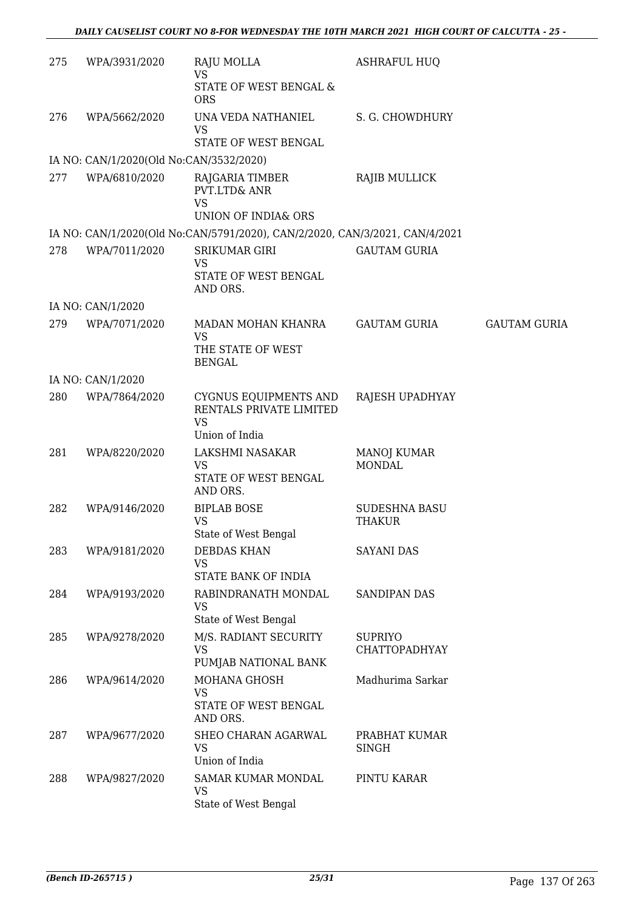| 275 | WPA/3931/2020                           | RAJU MOLLA<br><b>VS</b>                                                         | <b>ASHRAFUL HUQ</b>                    |                     |
|-----|-----------------------------------------|---------------------------------------------------------------------------------|----------------------------------------|---------------------|
|     |                                         | STATE OF WEST BENGAL &<br><b>ORS</b>                                            |                                        |                     |
| 276 | WPA/5662/2020                           | UNA VEDA NATHANIEL                                                              | S. G. CHOWDHURY                        |                     |
|     |                                         | <b>VS</b><br>STATE OF WEST BENGAL                                               |                                        |                     |
|     | IA NO: CAN/1/2020(Old No:CAN/3532/2020) |                                                                                 |                                        |                     |
| 277 | WPA/6810/2020                           | RAJGARIA TIMBER<br>PVT.LTD& ANR<br><b>VS</b><br>UNION OF INDIA& ORS             | RAJIB MULLICK                          |                     |
|     |                                         |                                                                                 |                                        |                     |
|     |                                         | IA NO: CAN/1/2020(Old No:CAN/5791/2020), CAN/2/2020, CAN/3/2021, CAN/4/2021     |                                        |                     |
| 278 | WPA/7011/2020                           | <b>SRIKUMAR GIRI</b><br><b>VS</b><br>STATE OF WEST BENGAL<br>AND ORS.           | <b>GAUTAM GURIA</b>                    |                     |
|     | IA NO: CAN/1/2020                       |                                                                                 |                                        |                     |
| 279 | WPA/7071/2020                           | MADAN MOHAN KHANRA                                                              | GAUTAM GURIA                           | <b>GAUTAM GURIA</b> |
|     |                                         | <b>VS</b><br>THE STATE OF WEST<br><b>BENGAL</b>                                 |                                        |                     |
|     | IA NO: CAN/1/2020                       |                                                                                 |                                        |                     |
| 280 | WPA/7864/2020                           | CYGNUS EQUIPMENTS AND<br>RENTALS PRIVATE LIMITED<br><b>VS</b><br>Union of India | RAJESH UPADHYAY                        |                     |
| 281 | WPA/8220/2020                           | LAKSHMI NASAKAR<br><b>VS</b><br>STATE OF WEST BENGAL                            | <b>MANOJ KUMAR</b><br><b>MONDAL</b>    |                     |
| 282 | WPA/9146/2020                           | AND ORS.<br><b>BIPLAB BOSE</b><br><b>VS</b>                                     | <b>SUDESHNA BASU</b><br>THAKUR         |                     |
|     |                                         | State of West Bengal                                                            |                                        |                     |
| 283 | WPA/9181/2020                           | <b>DEBDAS KHAN</b><br><b>VS</b><br>STATE BANK OF INDIA                          | SAYANI DAS                             |                     |
| 284 | WPA/9193/2020                           | RABINDRANATH MONDAL                                                             | <b>SANDIPAN DAS</b>                    |                     |
|     |                                         | <b>VS</b><br>State of West Bengal                                               |                                        |                     |
| 285 | WPA/9278/2020                           | M/S. RADIANT SECURITY<br><b>VS</b>                                              | <b>SUPRIYO</b><br><b>CHATTOPADHYAY</b> |                     |
|     |                                         | PUMJAB NATIONAL BANK                                                            |                                        |                     |
| 286 | WPA/9614/2020                           | <b>MOHANA GHOSH</b><br><b>VS</b><br>STATE OF WEST BENGAL<br>AND ORS.            | Madhurima Sarkar                       |                     |
| 287 | WPA/9677/2020                           | SHEO CHARAN AGARWAL<br><b>VS</b><br>Union of India                              | PRABHAT KUMAR<br><b>SINGH</b>          |                     |
| 288 | WPA/9827/2020                           | <b>SAMAR KUMAR MONDAL</b><br>VS<br>State of West Bengal                         | PINTU KARAR                            |                     |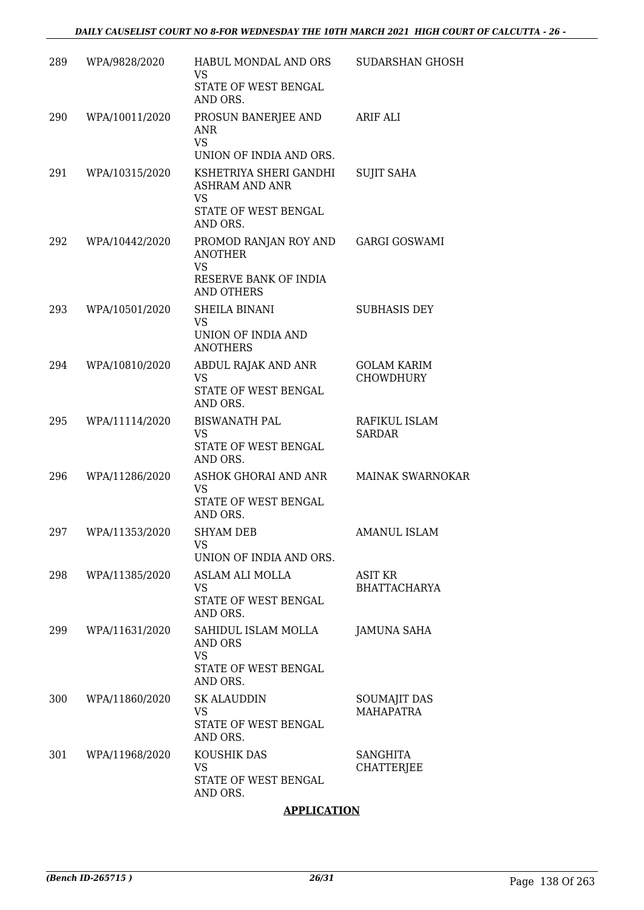| 289 | WPA/9828/2020  | HABUL MONDAL AND ORS<br><b>VS</b>                            | SUDARSHAN GHOSH                       |
|-----|----------------|--------------------------------------------------------------|---------------------------------------|
|     |                | STATE OF WEST BENGAL<br>AND ORS.                             |                                       |
| 290 | WPA/10011/2020 | PROSUN BANERJEE AND<br><b>ANR</b><br><b>VS</b>               | ARIF ALI                              |
|     |                | UNION OF INDIA AND ORS.                                      |                                       |
| 291 | WPA/10315/2020 | KSHETRIYA SHERI GANDHI<br><b>ASHRAM AND ANR</b><br><b>VS</b> | <b>SUJIT SAHA</b>                     |
|     |                | STATE OF WEST BENGAL<br>AND ORS.                             |                                       |
| 292 | WPA/10442/2020 | PROMOD RANJAN ROY AND<br><b>ANOTHER</b><br><b>VS</b>         | <b>GARGI GOSWAMI</b>                  |
|     |                | RESERVE BANK OF INDIA<br><b>AND OTHERS</b>                   |                                       |
| 293 | WPA/10501/2020 | <b>SHEILA BINANI</b><br>VS                                   | <b>SUBHASIS DEY</b>                   |
|     |                | UNION OF INDIA AND<br><b>ANOTHERS</b>                        |                                       |
| 294 | WPA/10810/2020 | ABDUL RAJAK AND ANR<br><b>VS</b>                             | <b>GOLAM KARIM</b><br>CHOWDHURY       |
|     |                | STATE OF WEST BENGAL<br>AND ORS.                             |                                       |
| 295 | WPA/11114/2020 | <b>BISWANATH PAL</b><br><b>VS</b>                            | RAFIKUL ISLAM<br><b>SARDAR</b>        |
|     |                | STATE OF WEST BENGAL<br>AND ORS.                             |                                       |
| 296 | WPA/11286/2020 | ASHOK GHORAI AND ANR<br>VS.                                  | MAINAK SWARNOKAR                      |
|     |                | STATE OF WEST BENGAL<br>AND ORS.                             |                                       |
| 297 | WPA/11353/2020 | <b>SHYAM DEB</b><br>VS                                       | AMANUL ISLAM                          |
|     |                | UNION OF INDIA AND ORS.                                      |                                       |
| 298 | WPA/11385/2020 | ASLAM ALI MOLLA<br>VS                                        | <b>ASIT KR</b><br><b>BHATTACHARYA</b> |
|     |                | STATE OF WEST BENGAL<br>AND ORS.                             |                                       |
| 299 | WPA/11631/2020 | SAHIDUL ISLAM MOLLA<br>AND ORS<br><b>VS</b>                  | <b>JAMUNA SAHA</b>                    |
|     |                | STATE OF WEST BENGAL<br>AND ORS.                             |                                       |
| 300 | WPA/11860/2020 | <b>SK ALAUDDIN</b><br><b>VS</b>                              | SOUMAJIT DAS<br><b>MAHAPATRA</b>      |
|     |                | STATE OF WEST BENGAL<br>AND ORS.                             |                                       |
| 301 | WPA/11968/2020 | KOUSHIK DAS<br>VS                                            | <b>SANGHITA</b><br><b>CHATTERJEE</b>  |
|     |                | STATE OF WEST BENGAL<br>AND ORS.                             |                                       |

# **APPLICATION**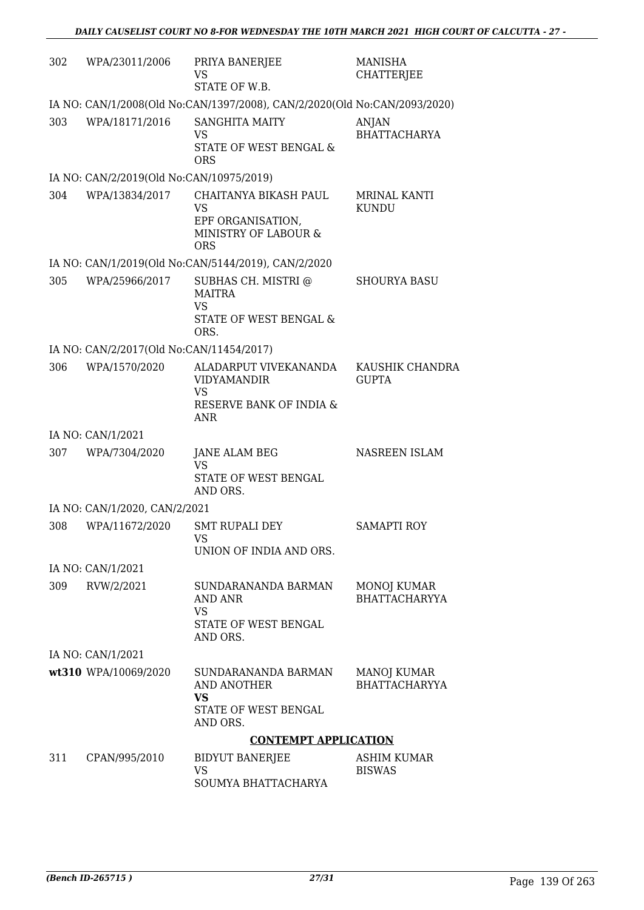| 302 | WPA/23011/2006                           | PRIYA BANERJEE<br>VS<br>STATE OF W.B.                                                             | <b>MANISHA</b><br><b>CHATTERJEE</b> |
|-----|------------------------------------------|---------------------------------------------------------------------------------------------------|-------------------------------------|
|     |                                          | IA NO: CAN/1/2008(Old No:CAN/1397/2008), CAN/2/2020(Old No:CAN/2093/2020)                         |                                     |
| 303 | WPA/18171/2016                           | <b>SANGHITA MAITY</b><br><b>VS</b><br>STATE OF WEST BENGAL &<br><b>ORS</b>                        | ANJAN<br><b>BHATTACHARYA</b>        |
|     | IA NO: CAN/2/2019(Old No:CAN/10975/2019) |                                                                                                   |                                     |
| 304 | WPA/13834/2017                           | CHAITANYA BIKASH PAUL<br>VS<br>EPF ORGANISATION,<br>MINISTRY OF LABOUR &<br><b>ORS</b>            | MRINAL KANTI<br><b>KUNDU</b>        |
|     |                                          | IA NO: CAN/1/2019(Old No:CAN/5144/2019), CAN/2/2020                                               |                                     |
| 305 | WPA/25966/2017                           | SUBHAS CH. MISTRI @<br><b>MAITRA</b><br><b>VS</b><br>STATE OF WEST BENGAL &<br>ORS.               | <b>SHOURYA BASU</b>                 |
|     | IA NO: CAN/2/2017(Old No:CAN/11454/2017) |                                                                                                   |                                     |
| 306 | WPA/1570/2020                            | ALADARPUT VIVEKANANDA<br><b>VIDYAMANDIR</b><br><b>VS</b><br>RESERVE BANK OF INDIA &<br><b>ANR</b> | KAUSHIK CHANDRA<br><b>GUPTA</b>     |
|     | IA NO: CAN/1/2021                        |                                                                                                   |                                     |
| 307 | WPA/7304/2020                            | JANE ALAM BEG<br><b>VS</b><br>STATE OF WEST BENGAL<br>AND ORS.                                    | NASREEN ISLAM                       |
|     | IA NO: CAN/1/2020, CAN/2/2021            |                                                                                                   |                                     |
| 308 | WPA/11672/2020                           | <b>SMT RUPALI DEY</b><br><b>VS</b><br>UNION OF INDIA AND ORS.                                     | <b>SAMAPTI ROY</b>                  |
|     | IA NO: CAN/1/2021                        |                                                                                                   |                                     |
| 309 | RVW/2/2021                               | SUNDARANANDA BARMAN<br>AND ANR<br>VS<br>STATE OF WEST BENGAL<br>AND ORS.                          | MONOJ KUMAR<br><b>BHATTACHARYYA</b> |
|     | IA NO: CAN/1/2021                        |                                                                                                   |                                     |
|     | wt310 WPA/10069/2020                     | SUNDARANANDA BARMAN<br>AND ANOTHER<br><b>VS</b><br>STATE OF WEST BENGAL<br>AND ORS.               | MANOJ KUMAR<br><b>BHATTACHARYYA</b> |
|     |                                          | <b>CONTEMPT APPLICATION</b>                                                                       |                                     |
| 311 | CPAN/995/2010                            | <b>BIDYUT BANERJEE</b><br>VS<br>SOUMYA BHATTACHARYA                                               | ASHIM KUMAR<br><b>BISWAS</b>        |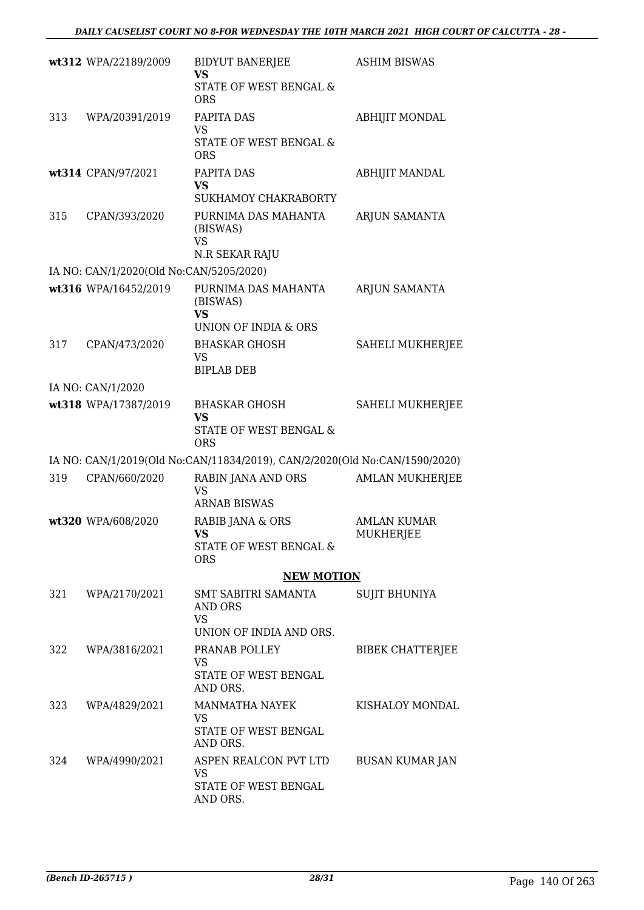|     | wt312 WPA/22189/2009                                            | <b>BIDYUT BANERJEE</b><br><b>VS</b>                                        | <b>ASHIM BISWAS</b>                    |
|-----|-----------------------------------------------------------------|----------------------------------------------------------------------------|----------------------------------------|
|     |                                                                 | STATE OF WEST BENGAL &<br><b>ORS</b>                                       |                                        |
| 313 | WPA/20391/2019                                                  | PAPITA DAS                                                                 | <b>ABHIJIT MONDAL</b>                  |
|     |                                                                 | VS<br>STATE OF WEST BENGAL &<br><b>ORS</b>                                 |                                        |
|     | wt314 CPAN/97/2021                                              | PAPITA DAS<br><b>VS</b><br>SUKHAMOY CHAKRABORTY                            | <b>ABHIJIT MANDAL</b>                  |
| 315 | CPAN/393/2020                                                   | PURNIMA DAS MAHANTA<br>(BISWAS)<br><b>VS</b>                               | ARJUN SAMANTA                          |
|     |                                                                 | N.R SEKAR RAJU                                                             |                                        |
|     | IA NO: CAN/1/2020(Old No:CAN/5205/2020)<br>wt316 WPA/16452/2019 | PURNIMA DAS MAHANTA                                                        | ARJUN SAMANTA                          |
|     |                                                                 | (BISWAS)<br><b>VS</b>                                                      |                                        |
|     |                                                                 | UNION OF INDIA & ORS                                                       |                                        |
| 317 | CPAN/473/2020                                                   | <b>BHASKAR GHOSH</b><br>VS<br><b>BIPLAB DEB</b>                            | SAHELI MUKHERJEE                       |
|     | IA NO: CAN/1/2020                                               |                                                                            |                                        |
|     | wt318 WPA/17387/2019                                            | <b>BHASKAR GHOSH</b><br><b>VS</b><br>STATE OF WEST BENGAL &                | <b>SAHELI MUKHERJEE</b>                |
|     |                                                                 | <b>ORS</b>                                                                 |                                        |
|     |                                                                 | IA NO: CAN/1/2019(Old No:CAN/11834/2019), CAN/2/2020(Old No:CAN/1590/2020) |                                        |
| 319 | CPAN/660/2020                                                   | RABIN JANA AND ORS<br>VS<br><b>ARNAB BISWAS</b>                            | <b>AMLAN MUKHERJEE</b>                 |
|     | wt320 WPA/608/2020                                              | RABIB JANA & ORS<br>VS.<br>STATE OF WEST BENGAL &                          | <b>AMLAN KUMAR</b><br><b>MUKHERJEE</b> |
|     |                                                                 | <b>ORS</b><br><b>NEW MOTION</b>                                            |                                        |
|     | 321 WPA/2170/2021                                               | SMT SABITRI SAMANTA<br>AND ORS                                             | <b>SUJIT BHUNIYA</b>                   |
|     |                                                                 | <b>VS</b><br>UNION OF INDIA AND ORS.                                       |                                        |
|     | 322 WPA/3816/2021                                               | PRANAB POLLEY<br>VS                                                        | BIBEK CHATTERJEE                       |
|     |                                                                 | STATE OF WEST BENGAL<br>AND ORS.                                           |                                        |
| 323 | WPA/4829/2021                                                   | MANMATHA NAYEK<br>VS<br>STATE OF WEST BENGAL<br>AND ORS.                   | KISHALOY MONDAL                        |
| 324 | WPA/4990/2021                                                   | ASPEN REALCON PVT LTD<br>VS.<br>STATE OF WEST BENGAL                       | BUSAN KUMAR JAN                        |
|     |                                                                 | AND ORS.                                                                   |                                        |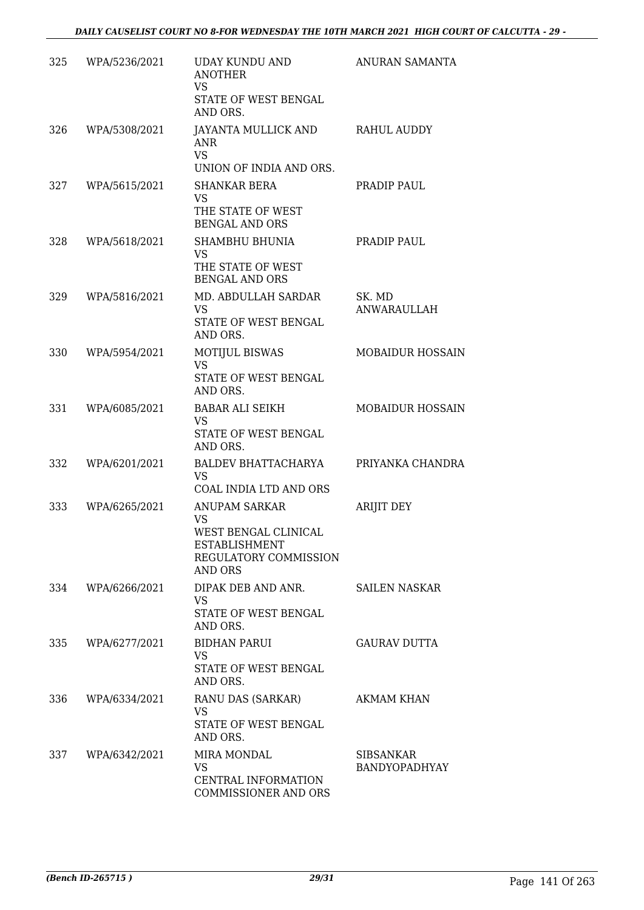| 325 | WPA/5236/2021 | UDAY KUNDU AND<br><b>ANOTHER</b><br><b>VS</b><br>STATE OF WEST BENGAL<br>AND ORS.                                     | ANURAN SAMANTA                    |
|-----|---------------|-----------------------------------------------------------------------------------------------------------------------|-----------------------------------|
| 326 | WPA/5308/2021 | JAYANTA MULLICK AND<br>ANR<br><b>VS</b><br>UNION OF INDIA AND ORS.                                                    | RAHUL AUDDY                       |
| 327 | WPA/5615/2021 | <b>SHANKAR BERA</b><br>VS<br>THE STATE OF WEST<br><b>BENGAL AND ORS</b>                                               | PRADIP PAUL                       |
| 328 | WPA/5618/2021 | SHAMBHU BHUNIA<br>VS.<br>THE STATE OF WEST<br><b>BENGAL AND ORS</b>                                                   | PRADIP PAUL                       |
| 329 | WPA/5816/2021 | MD. ABDULLAH SARDAR<br><b>VS</b><br>STATE OF WEST BENGAL<br>AND ORS.                                                  | SK. MD<br><b>ANWARAULLAH</b>      |
| 330 | WPA/5954/2021 | <b>MOTIJUL BISWAS</b><br><b>VS</b><br>STATE OF WEST BENGAL<br>AND ORS.                                                | <b>MOBAIDUR HOSSAIN</b>           |
| 331 | WPA/6085/2021 | <b>BABAR ALI SEIKH</b><br>VS.<br>STATE OF WEST BENGAL<br>AND ORS.                                                     | <b>MOBAIDUR HOSSAIN</b>           |
| 332 | WPA/6201/2021 | BALDEV BHATTACHARYA<br>VS<br>COAL INDIA LTD AND ORS                                                                   | PRIYANKA CHANDRA                  |
| 333 | WPA/6265/2021 | <b>ANUPAM SARKAR</b><br>VS<br>WEST BENGAL CLINICAL<br><b>ESTABLISHMENT</b><br>REGULATORY COMMISSION<br><b>AND ORS</b> | <b>ARIJIT DEY</b>                 |
| 334 | WPA/6266/2021 | DIPAK DEB AND ANR.<br>VS<br>STATE OF WEST BENGAL<br>AND ORS.                                                          | SAILEN NASKAR                     |
| 335 | WPA/6277/2021 | <b>BIDHAN PARUI</b><br>VS.<br>STATE OF WEST BENGAL<br>AND ORS.                                                        | <b>GAURAV DUTTA</b>               |
| 336 | WPA/6334/2021 | RANU DAS (SARKAR)<br><b>VS</b><br>STATE OF WEST BENGAL<br>AND ORS.                                                    | <b>AKMAM KHAN</b>                 |
| 337 | WPA/6342/2021 | <b>MIRA MONDAL</b><br>VS<br>CENTRAL INFORMATION<br>COMMISSIONER AND ORS                                               | SIBSANKAR<br><b>BANDYOPADHYAY</b> |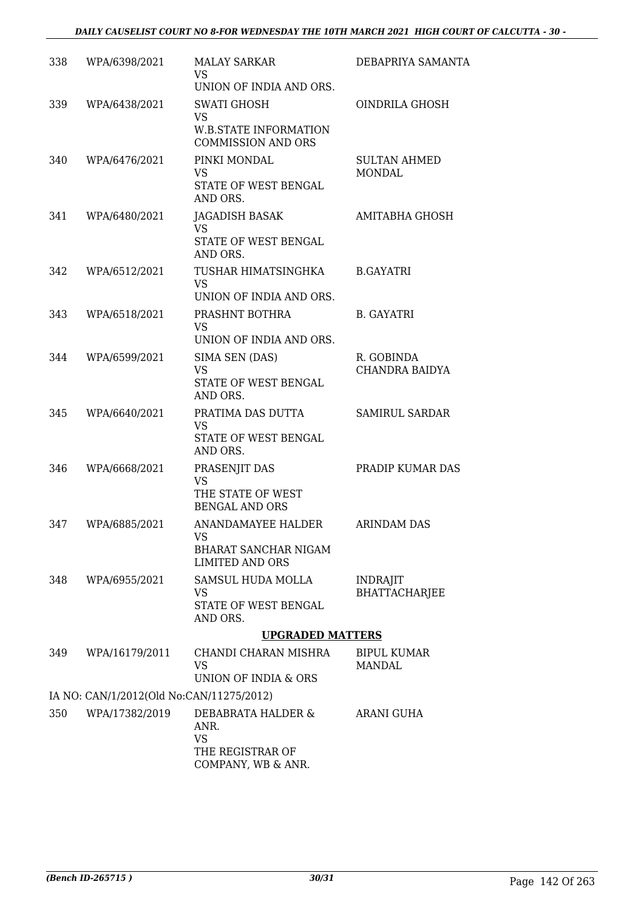| 338 | WPA/6398/2021                            | <b>MALAY SARKAR</b>                                       | DEBAPRIYA SAMANTA                       |
|-----|------------------------------------------|-----------------------------------------------------------|-----------------------------------------|
|     |                                          | <b>VS</b>                                                 |                                         |
|     |                                          | UNION OF INDIA AND ORS.                                   |                                         |
| 339 | WPA/6438/2021                            | SWATI GHOSH<br><b>VS</b>                                  | OINDRILA GHOSH                          |
|     |                                          | <b>W.B.STATE INFORMATION</b><br><b>COMMISSION AND ORS</b> |                                         |
| 340 | WPA/6476/2021                            | PINKI MONDAL                                              | <b>SULTAN AHMED</b>                     |
|     |                                          | VS<br>STATE OF WEST BENGAL<br>AND ORS.                    | <b>MONDAL</b>                           |
| 341 | WPA/6480/2021                            | JAGADISH BASAK                                            | AMITABHA GHOSH                          |
|     |                                          | <b>VS</b><br>STATE OF WEST BENGAL<br>AND ORS.             |                                         |
| 342 | WPA/6512/2021                            | TUSHAR HIMATSINGHKA                                       | <b>B.GAYATRI</b>                        |
|     |                                          | <b>VS</b><br>UNION OF INDIA AND ORS.                      |                                         |
| 343 | WPA/6518/2021                            | PRASHNT BOTHRA                                            | <b>B. GAYATRI</b>                       |
|     |                                          | <b>VS</b>                                                 |                                         |
|     | WPA/6599/2021                            | UNION OF INDIA AND ORS.                                   | R. GOBINDA                              |
| 344 |                                          | SIMA SEN (DAS)<br>VS                                      | CHANDRA BAIDYA                          |
|     |                                          | STATE OF WEST BENGAL<br>AND ORS.                          |                                         |
| 345 | WPA/6640/2021                            | PRATIMA DAS DUTTA<br>VS                                   | <b>SAMIRUL SARDAR</b>                   |
|     |                                          | STATE OF WEST BENGAL<br>AND ORS.                          |                                         |
| 346 | WPA/6668/2021                            | PRASENJIT DAS                                             | PRADIP KUMAR DAS                        |
|     |                                          | <b>VS</b><br>THE STATE OF WEST                            |                                         |
|     |                                          | <b>BENGAL AND ORS</b>                                     |                                         |
| 347 | WPA/6885/2021                            | ANANDAMAYEE HALDER<br><b>VS</b>                           | <b>ARINDAM DAS</b>                      |
|     |                                          | BHARAT SANCHAR NIGAM                                      |                                         |
|     |                                          | LIMITED AND ORS                                           |                                         |
| 348 | WPA/6955/2021                            | SAMSUL HUDA MOLLA<br>VS                                   | <b>INDRAJIT</b><br><b>BHATTACHARJEE</b> |
|     |                                          | STATE OF WEST BENGAL<br>AND ORS.                          |                                         |
|     |                                          | <b>UPGRADED MATTERS</b>                                   |                                         |
| 349 | WPA/16179/2011                           | CHANDI CHARAN MISHRA<br>VS                                | <b>BIPUL KUMAR</b><br><b>MANDAL</b>     |
|     | IA NO: CAN/1/2012(Old No:CAN/11275/2012) | UNION OF INDIA & ORS                                      |                                         |
| 350 | WPA/17382/2019                           | DEBABRATA HALDER &                                        | ARANI GUHA                              |
|     |                                          | ANR.<br><b>VS</b>                                         |                                         |
|     |                                          | THE REGISTRAR OF<br>COMPANY, WB & ANR.                    |                                         |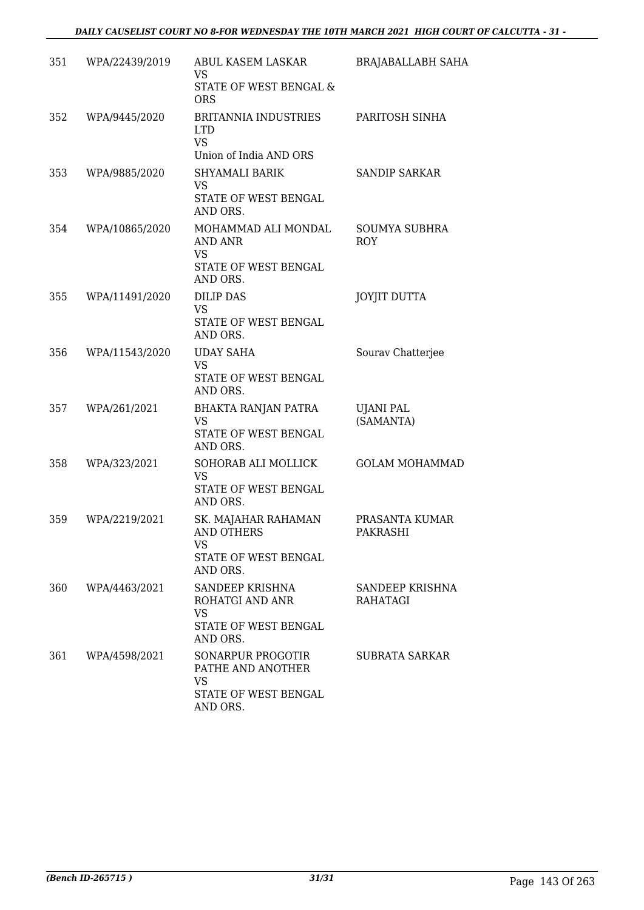| 351 | WPA/22439/2019 | ABUL KASEM LASKAR<br>VS<br>STATE OF WEST BENGAL &                                           | <b>BRAJABALLABH SAHA</b>    |
|-----|----------------|---------------------------------------------------------------------------------------------|-----------------------------|
| 352 | WPA/9445/2020  | <b>ORS</b><br><b>BRITANNIA INDUSTRIES</b><br><b>LTD</b><br><b>VS</b>                        | PARITOSH SINHA              |
| 353 | WPA/9885/2020  | Union of India AND ORS<br>SHYAMALI BARIK<br><b>VS</b><br>STATE OF WEST BENGAL               | <b>SANDIP SARKAR</b>        |
| 354 | WPA/10865/2020 | AND ORS.<br>MOHAMMAD ALI MONDAL<br>AND ANR<br><b>VS</b><br>STATE OF WEST BENGAL<br>AND ORS. | SOUMYA SUBHRA<br><b>ROY</b> |
| 355 | WPA/11491/2020 | <b>DILIP DAS</b><br><b>VS</b><br>STATE OF WEST BENGAL<br>AND ORS.                           | <b>JOYJIT DUTTA</b>         |
| 356 | WPA/11543/2020 | <b>UDAY SAHA</b><br><b>VS</b><br>STATE OF WEST BENGAL<br>AND ORS.                           | Sourav Chatterjee           |
| 357 | WPA/261/2021   | BHAKTA RANJAN PATRA<br><b>VS</b><br>STATE OF WEST BENGAL<br>AND ORS.                        | UJANI PAL<br>(SAMANTA)      |
| 358 | WPA/323/2021   | SOHORAB ALI MOLLICK<br><b>VS</b><br>STATE OF WEST BENGAL<br>AND ORS.                        | <b>GOLAM MOHAMMAD</b>       |
| 359 | WPA/2219/2021  | SK. MAJAHAR RAHAMAN<br>AND OTHERS<br><b>VS</b><br>STATE OF WEST BENGAL<br>AND ORS.          | PRASANTA KUMAR<br>PAKRASHI  |
| 360 | WPA/4463/2021  | SANDEEP KRISHNA<br>ROHATGI AND ANR<br>VS<br>STATE OF WEST BENGAL<br>AND ORS.                | SANDEEP KRISHNA<br>RAHATAGI |
| 361 | WPA/4598/2021  | SONARPUR PROGOTIR<br>PATHE AND ANOTHER<br><b>VS</b><br>STATE OF WEST BENGAL<br>AND ORS.     | SUBRATA SARKAR              |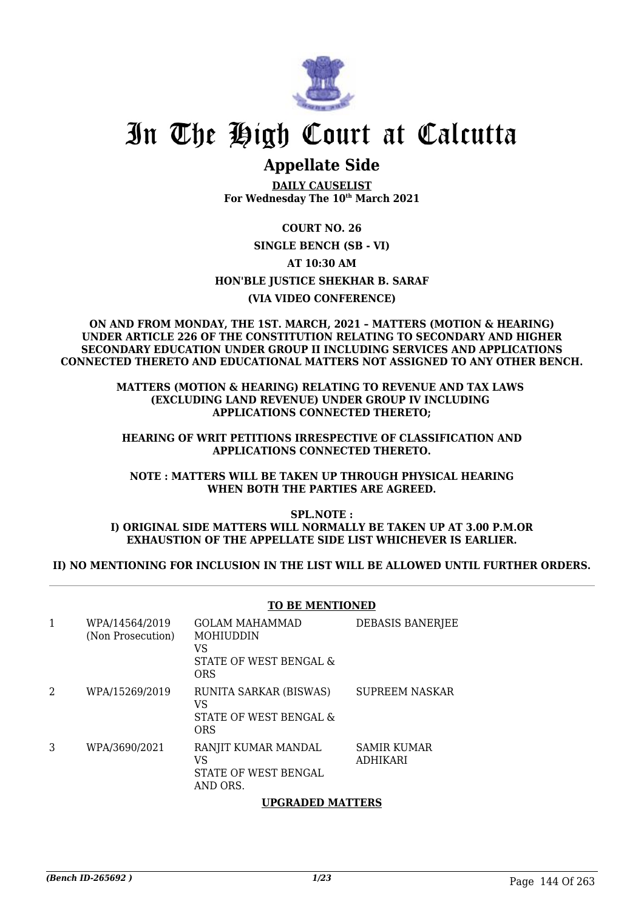

# In The High Court at Calcutta

# **Appellate Side**

**DAILY CAUSELIST For Wednesday The 10th March 2021**

#### **COURT NO. 26**

**SINGLE BENCH (SB - VI)**

## **AT 10:30 AM**

## **HON'BLE JUSTICE SHEKHAR B. SARAF**

#### **(VIA VIDEO CONFERENCE)**

#### **ON AND FROM MONDAY, THE 1ST. MARCH, 2021 – MATTERS (MOTION & HEARING) UNDER ARTICLE 226 OF THE CONSTITUTION RELATING TO SECONDARY AND HIGHER SECONDARY EDUCATION UNDER GROUP II INCLUDING SERVICES AND APPLICATIONS CONNECTED THERETO AND EDUCATIONAL MATTERS NOT ASSIGNED TO ANY OTHER BENCH.**

#### **MATTERS (MOTION & HEARING) RELATING TO REVENUE AND TAX LAWS (EXCLUDING LAND REVENUE) UNDER GROUP IV INCLUDING APPLICATIONS CONNECTED THERETO;**

#### **HEARING OF WRIT PETITIONS IRRESPECTIVE OF CLASSIFICATION AND APPLICATIONS CONNECTED THERETO.**

#### **NOTE : MATTERS WILL BE TAKEN UP THROUGH PHYSICAL HEARING WHEN BOTH THE PARTIES ARE AGREED.**

#### **SPL.NOTE : I) ORIGINAL SIDE MATTERS WILL NORMALLY BE TAKEN UP AT 3.00 P.M.OR EXHAUSTION OF THE APPELLATE SIDE LIST WHICHEVER IS EARLIER.**

### **II) NO MENTIONING FOR INCLUSION IN THE LIST WILL BE ALLOWED UNTIL FURTHER ORDERS.**

# **TO BE MENTIONED**

| 1 | WPA/14564/2019<br>(Non Prosecution) | <b>GOLAM MAHAMMAD</b><br><b>MOHIUDDIN</b><br>VS<br>STATE OF WEST BENGAL &<br>ORS | DEBASIS BANERJEE               |
|---|-------------------------------------|----------------------------------------------------------------------------------|--------------------------------|
| 2 | WPA/15269/2019                      | RUNITA SARKAR (BISWAS)<br>VS<br>STATE OF WEST BENGAL &<br><b>ORS</b>             | SUPREEM NASKAR                 |
| 3 | WPA/3690/2021                       | RANJIT KUMAR MANDAL<br>VS<br>STATE OF WEST BENGAL<br>AND ORS.                    | SAMIR KUMAR<br><b>ADHIKARI</b> |

#### **UPGRADED MATTERS**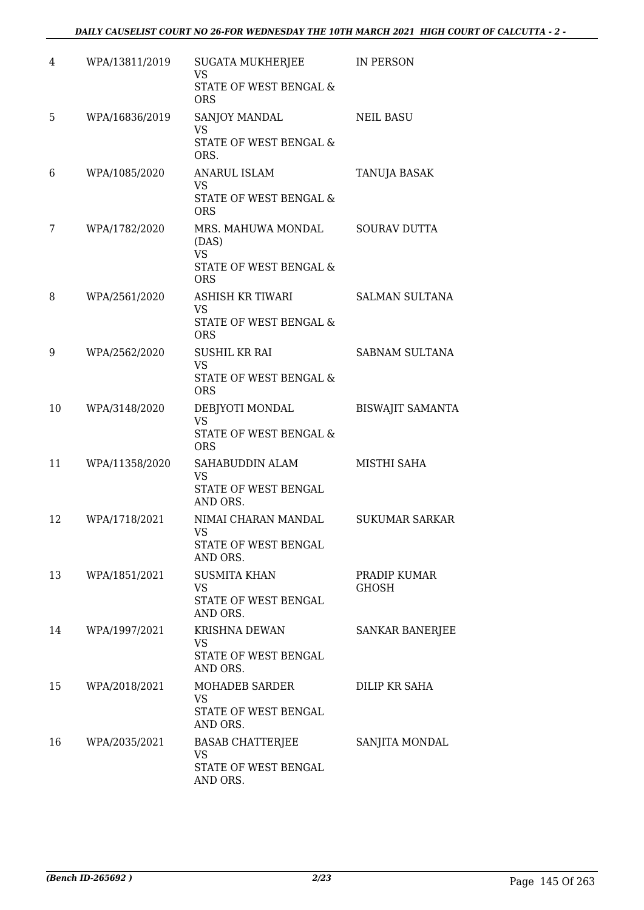| 4  | WPA/13811/2019 | SUGATA MUKHERJEE<br><b>VS</b><br>STATE OF WEST BENGAL &                          | IN PERSON                    |
|----|----------------|----------------------------------------------------------------------------------|------------------------------|
|    |                | <b>ORS</b>                                                                       |                              |
| 5  | WPA/16836/2019 | SANJOY MANDAL<br><b>VS</b><br>STATE OF WEST BENGAL &<br>ORS.                     | <b>NEIL BASU</b>             |
| 6  | WPA/1085/2020  | <b>ANARUL ISLAM</b><br><b>VS</b><br>STATE OF WEST BENGAL &<br><b>ORS</b>         | TANUJA BASAK                 |
| 7  | WPA/1782/2020  | MRS. MAHUWA MONDAL<br>(DAS)<br><b>VS</b><br>STATE OF WEST BENGAL &<br><b>ORS</b> | <b>SOURAV DUTTA</b>          |
| 8  | WPA/2561/2020  | ASHISH KR TIWARI<br><b>VS</b><br>STATE OF WEST BENGAL &<br><b>ORS</b>            | SALMAN SULTANA               |
| 9  | WPA/2562/2020  | <b>SUSHIL KR RAI</b><br><b>VS</b><br>STATE OF WEST BENGAL &<br><b>ORS</b>        | SABNAM SULTANA               |
| 10 | WPA/3148/2020  | DEBJYOTI MONDAL<br><b>VS</b><br>STATE OF WEST BENGAL &<br><b>ORS</b>             | <b>BISWAJIT SAMANTA</b>      |
| 11 | WPA/11358/2020 | SAHABUDDIN ALAM<br><b>VS</b><br>STATE OF WEST BENGAL<br>AND ORS.                 | MISTHI SAHA                  |
| 12 | WPA/1718/2021  | NIMAI CHARAN MANDAL<br><b>VS</b><br>STATE OF WEST BENGAL<br>AND ORS.             | <b>SUKUMAR SARKAR</b>        |
| 13 | WPA/1851/2021  | <b>SUSMITA KHAN</b><br>VS<br>STATE OF WEST BENGAL<br>AND ORS.                    | PRADIP KUMAR<br><b>GHOSH</b> |
| 14 | WPA/1997/2021  | KRISHNA DEWAN<br>VS.<br>STATE OF WEST BENGAL<br>AND ORS.                         | <b>SANKAR BANERJEE</b>       |
| 15 | WPA/2018/2021  | MOHADEB SARDER<br>VS<br>STATE OF WEST BENGAL<br>AND ORS.                         | DILIP KR SAHA                |
| 16 | WPA/2035/2021  | BASAB CHATTERJEE<br>VS<br>STATE OF WEST BENGAL<br>AND ORS.                       | SANJITA MONDAL               |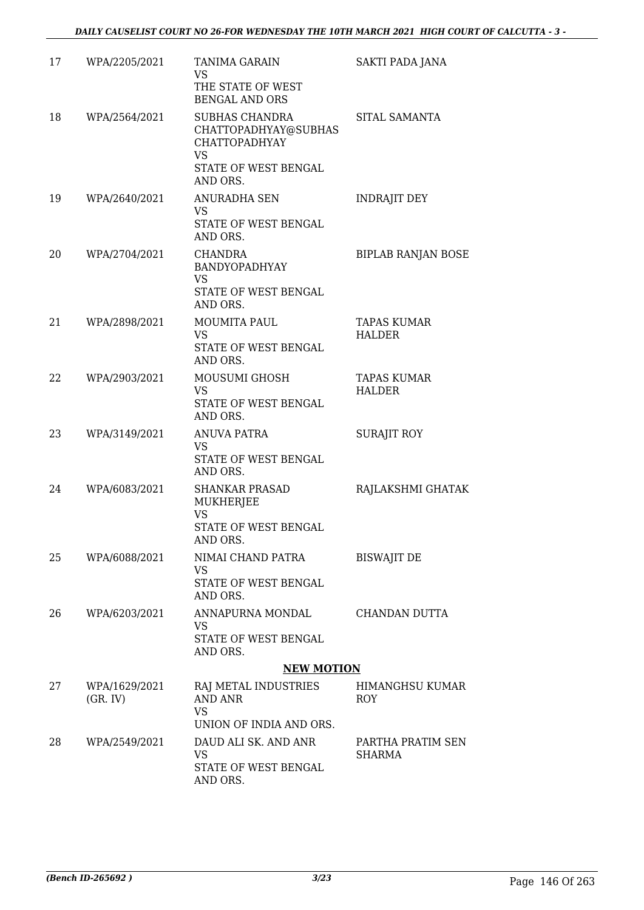| 17 | WPA/2205/2021             | <b>TANIMA GARAIN</b><br><b>VS</b><br>THE STATE OF WEST<br><b>BENGAL AND ORS</b>                 | <b>SAKTI PADA JANA</b>              |
|----|---------------------------|-------------------------------------------------------------------------------------------------|-------------------------------------|
| 18 | WPA/2564/2021             | <b>SUBHAS CHANDRA</b><br>CHATTOPADHYAY@SUBHAS<br><b>CHATTOPADHYAY</b><br><b>VS</b>              | SITAL SAMANTA                       |
|    |                           | STATE OF WEST BENGAL<br>AND ORS.                                                                |                                     |
| 19 | WPA/2640/2021             | <b>ANURADHA SEN</b><br><b>VS</b><br>STATE OF WEST BENGAL<br>AND ORS.                            | <b>INDRAJIT DEY</b>                 |
| 20 | WPA/2704/2021             | CHANDRA<br>BANDYOPADHYAY<br><b>VS</b>                                                           | <b>BIPLAB RANJAN BOSE</b>           |
|    |                           | STATE OF WEST BENGAL<br>AND ORS.                                                                |                                     |
| 21 | WPA/2898/2021             | MOUMITA PAUL<br>VS<br>STATE OF WEST BENGAL<br>AND ORS.                                          | <b>TAPAS KUMAR</b><br>HALDER        |
| 22 | WPA/2903/2021             | MOUSUMI GHOSH<br>VS.<br>STATE OF WEST BENGAL<br>AND ORS.                                        | <b>TAPAS KUMAR</b><br><b>HALDER</b> |
| 23 | WPA/3149/2021             | <b>ANUVA PATRA</b><br>VS<br>STATE OF WEST BENGAL                                                | <b>SURAJIT ROY</b>                  |
| 24 | WPA/6083/2021             | AND ORS.<br><b>SHANKAR PRASAD</b><br>MUKHERJEE<br><b>VS</b><br>STATE OF WEST BENGAL<br>AND ORS. | RAJLAKSHMI GHATAK                   |
| 25 | WPA/6088/2021             | NIMAI CHAND PATRA<br>VS<br>STATE OF WEST BENGAL                                                 | <b>BISWAJIT DE</b>                  |
|    |                           | AND ORS.                                                                                        |                                     |
| 26 | WPA/6203/2021             | ANNAPURNA MONDAL<br>VS<br>STATE OF WEST BENGAL<br>AND ORS.                                      | CHANDAN DUTTA                       |
|    |                           | <b>NEW MOTION</b>                                                                               |                                     |
| 27 | WPA/1629/2021<br>(GR, IV) | RAJ METAL INDUSTRIES<br><b>AND ANR</b><br><b>VS</b>                                             | HIMANGHSU KUMAR<br>ROY              |
|    |                           | UNION OF INDIA AND ORS.                                                                         |                                     |
| 28 | WPA/2549/2021             | DAUD ALI SK. AND ANR<br>VS<br>STATE OF WEST BENGAL                                              | PARTHA PRATIM SEN<br><b>SHARMA</b>  |
|    |                           | AND ORS.                                                                                        |                                     |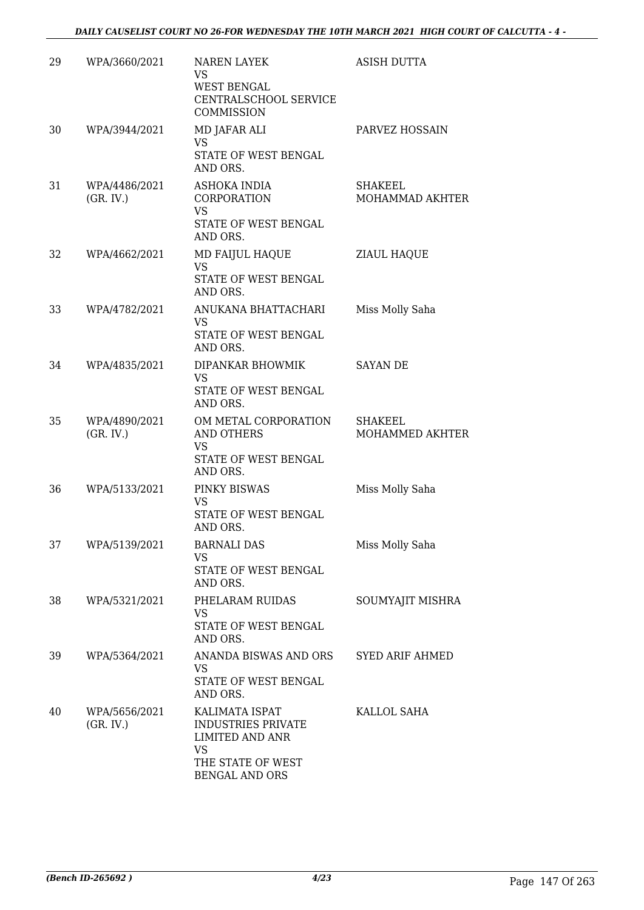| 29 | WPA/3660/2021              | <b>NAREN LAYEK</b><br>VS<br><b>WEST BENGAL</b><br>CENTRALSCHOOL SERVICE<br>COMMISSION                                            | <b>ASISH DUTTA</b>                |
|----|----------------------------|----------------------------------------------------------------------------------------------------------------------------------|-----------------------------------|
| 30 | WPA/3944/2021              | MD JAFAR ALI<br><b>VS</b><br>STATE OF WEST BENGAL<br>AND ORS.                                                                    | PARVEZ HOSSAIN                    |
| 31 | WPA/4486/2021<br>(GR, IV.) | ASHOKA INDIA<br>CORPORATION<br><b>VS</b><br>STATE OF WEST BENGAL<br>AND ORS.                                                     | <b>SHAKEEL</b><br>MOHAMMAD AKHTER |
| 32 | WPA/4662/2021              | MD FAIJUL HAQUE<br><b>VS</b><br>STATE OF WEST BENGAL<br>AND ORS.                                                                 | <b>ZIAUL HAQUE</b>                |
| 33 | WPA/4782/2021              | ANUKANA BHATTACHARI<br>VS<br>STATE OF WEST BENGAL<br>AND ORS.                                                                    | Miss Molly Saha                   |
| 34 | WPA/4835/2021              | DIPANKAR BHOWMIK<br><b>VS</b><br>STATE OF WEST BENGAL<br>AND ORS.                                                                | <b>SAYAN DE</b>                   |
| 35 | WPA/4890/2021<br>(GR, IV.) | OM METAL CORPORATION<br><b>AND OTHERS</b><br>VS<br>STATE OF WEST BENGAL<br>AND ORS.                                              | <b>SHAKEEL</b><br>MOHAMMED AKHTER |
| 36 | WPA/5133/2021              | PINKY BISWAS<br>VS<br>STATE OF WEST BENGAL<br>AND ORS.                                                                           | Miss Molly Saha                   |
| 37 | WPA/5139/2021              | <b>BARNALI DAS</b><br><b>VS</b><br>STATE OF WEST BENGAL<br>AND ORS.                                                              | Miss Molly Saha                   |
| 38 | WPA/5321/2021              | PHELARAM RUIDAS<br>VS<br>STATE OF WEST BENGAL<br>AND ORS.                                                                        | SOUMYAJIT MISHRA                  |
| 39 | WPA/5364/2021              | ANANDA BISWAS AND ORS<br>VS.<br>STATE OF WEST BENGAL<br>AND ORS.                                                                 | <b>SYED ARIF AHMED</b>            |
| 40 | WPA/5656/2021<br>(GR, IV.) | KALIMATA ISPAT<br><b>INDUSTRIES PRIVATE</b><br><b>LIMITED AND ANR</b><br><b>VS</b><br>THE STATE OF WEST<br><b>BENGAL AND ORS</b> | KALLOL SAHA                       |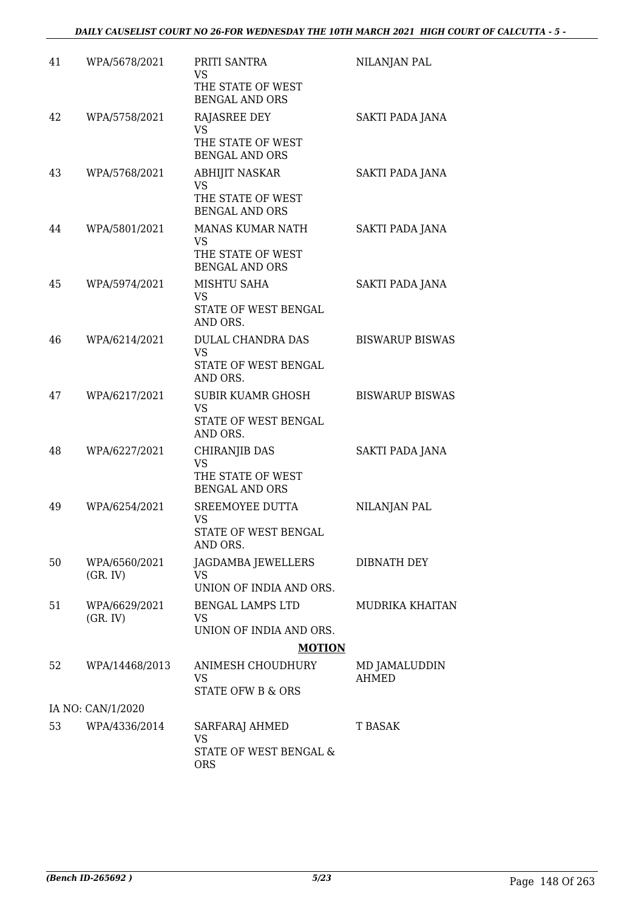| 41 | WPA/5678/2021             | PRITI SANTRA<br>VS                         | NILANJAN PAL           |
|----|---------------------------|--------------------------------------------|------------------------|
|    |                           | THE STATE OF WEST<br>BENGAL AND ORS        |                        |
| 42 | WPA/5758/2021             | RAJASREE DEY<br><b>VS</b>                  | SAKTI PADA JANA        |
|    |                           | THE STATE OF WEST<br><b>BENGAL AND ORS</b> |                        |
| 43 | WPA/5768/2021             | <b>ABHIJIT NASKAR</b><br><b>VS</b>         | SAKTI PADA JANA        |
|    |                           | THE STATE OF WEST<br><b>BENGAL AND ORS</b> |                        |
| 44 | WPA/5801/2021             | MANAS KUMAR NATH<br><b>VS</b>              | SAKTI PADA JANA        |
|    |                           | THE STATE OF WEST<br><b>BENGAL AND ORS</b> |                        |
| 45 | WPA/5974/2021             | MISHTU SAHA<br>VS                          | SAKTI PADA JANA        |
|    |                           | STATE OF WEST BENGAL<br>AND ORS.           |                        |
| 46 | WPA/6214/2021             | DULAL CHANDRA DAS<br><b>VS</b>             | <b>BISWARUP BISWAS</b> |
|    |                           | STATE OF WEST BENGAL<br>AND ORS.           |                        |
| 47 | WPA/6217/2021             | <b>SUBIR KUAMR GHOSH</b><br><b>VS</b>      | <b>BISWARUP BISWAS</b> |
|    |                           | STATE OF WEST BENGAL<br>AND ORS.           |                        |
| 48 | WPA/6227/2021             | CHIRANJIB DAS<br><b>VS</b>                 | SAKTI PADA JANA        |
|    |                           | THE STATE OF WEST<br><b>BENGAL AND ORS</b> |                        |
| 49 | WPA/6254/2021             | SREEMOYEE DUTTA<br><b>VS</b>               | NILANJAN PAL           |
|    |                           | STATE OF WEST BENGAL<br>AND ORS.           |                        |
| 50 | WPA/6560/2021<br>(GR, IV) | JAGDAMBA JEWELLERS<br><b>VS</b>            | DIBNATH DEY            |
|    |                           | UNION OF INDIA AND ORS.                    |                        |
| 51 | WPA/6629/2021<br>(GR, IV) | BENGAL LAMPS LTD<br>VS                     | MUDRIKA KHAITAN        |
|    |                           | UNION OF INDIA AND ORS.                    |                        |
|    |                           | <b>MOTION</b>                              |                        |
| 52 | WPA/14468/2013            | ANIMESH CHOUDHURY<br>VS                    | MD JAMALUDDIN<br>AHMED |
|    | IA NO: CAN/1/2020         | STATE OFW B & ORS                          |                        |
| 53 | WPA/4336/2014             | SARFARAJ AHMED                             | T BASAK                |
|    |                           | <b>VS</b>                                  |                        |
|    |                           | STATE OF WEST BENGAL &<br><b>ORS</b>       |                        |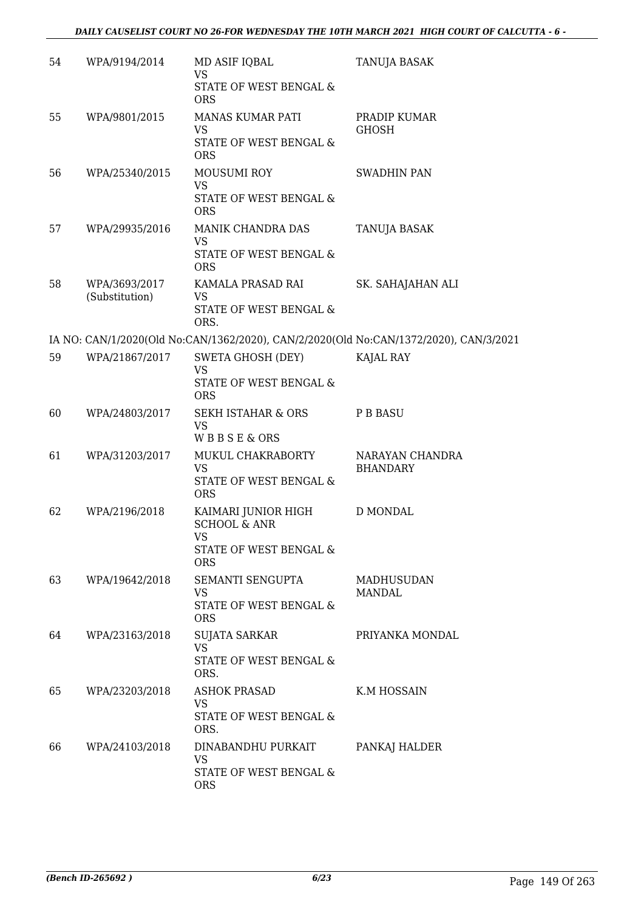| 54 | WPA/9194/2014                   | MD ASIF IQBAL<br><b>VS</b><br>STATE OF WEST BENGAL &<br><b>ORS</b>                                  | TANUJA BASAK                                                                          |
|----|---------------------------------|-----------------------------------------------------------------------------------------------------|---------------------------------------------------------------------------------------|
| 55 | WPA/9801/2015                   | MANAS KUMAR PATI<br>VS<br>STATE OF WEST BENGAL &<br><b>ORS</b>                                      | PRADIP KUMAR<br><b>GHOSH</b>                                                          |
| 56 | WPA/25340/2015                  | <b>MOUSUMI ROY</b><br><b>VS</b><br>STATE OF WEST BENGAL &<br><b>ORS</b>                             | <b>SWADHIN PAN</b>                                                                    |
| 57 | WPA/29935/2016                  | MANIK CHANDRA DAS<br>VS<br>STATE OF WEST BENGAL &<br><b>ORS</b>                                     | TANUJA BASAK                                                                          |
| 58 | WPA/3693/2017<br>(Substitution) | KAMALA PRASAD RAI<br><b>VS</b><br>STATE OF WEST BENGAL &<br>ORS.                                    | SK. SAHAJAHAN ALI                                                                     |
|    |                                 |                                                                                                     | IA NO: CAN/1/2020(Old No:CAN/1362/2020), CAN/2/2020(Old No:CAN/1372/2020), CAN/3/2021 |
| 59 | WPA/21867/2017                  | SWETA GHOSH (DEY)<br><b>VS</b><br>STATE OF WEST BENGAL &<br><b>ORS</b>                              | KAJAL RAY                                                                             |
| 60 | WPA/24803/2017                  | <b>SEKH ISTAHAR &amp; ORS</b><br><b>VS</b><br>WBBSE&ORS                                             | P B BASU                                                                              |
| 61 | WPA/31203/2017                  | MUKUL CHAKRABORTY<br><b>VS</b><br>STATE OF WEST BENGAL &<br><b>ORS</b>                              | NARAYAN CHANDRA<br><b>BHANDARY</b>                                                    |
| 62 | WPA/2196/2018                   | KAIMARI JUNIOR HIGH<br><b>SCHOOL &amp; ANR</b><br><b>VS</b><br>STATE OF WEST BENGAL &<br><b>ORS</b> | <b>D MONDAL</b>                                                                       |
| 63 | WPA/19642/2018                  | SEMANTI SENGUPTA<br>VS<br>STATE OF WEST BENGAL &<br><b>ORS</b>                                      | MADHUSUDAN<br><b>MANDAL</b>                                                           |
| 64 | WPA/23163/2018                  | <b>SUJATA SARKAR</b><br><b>VS</b><br>STATE OF WEST BENGAL &<br>ORS.                                 | PRIYANKA MONDAL                                                                       |
| 65 | WPA/23203/2018                  | <b>ASHOK PRASAD</b><br><b>VS</b><br>STATE OF WEST BENGAL &<br>ORS.                                  | K.M HOSSAIN                                                                           |
| 66 | WPA/24103/2018                  | DINABANDHU PURKAIT<br>VS<br>STATE OF WEST BENGAL &<br><b>ORS</b>                                    | PANKAJ HALDER                                                                         |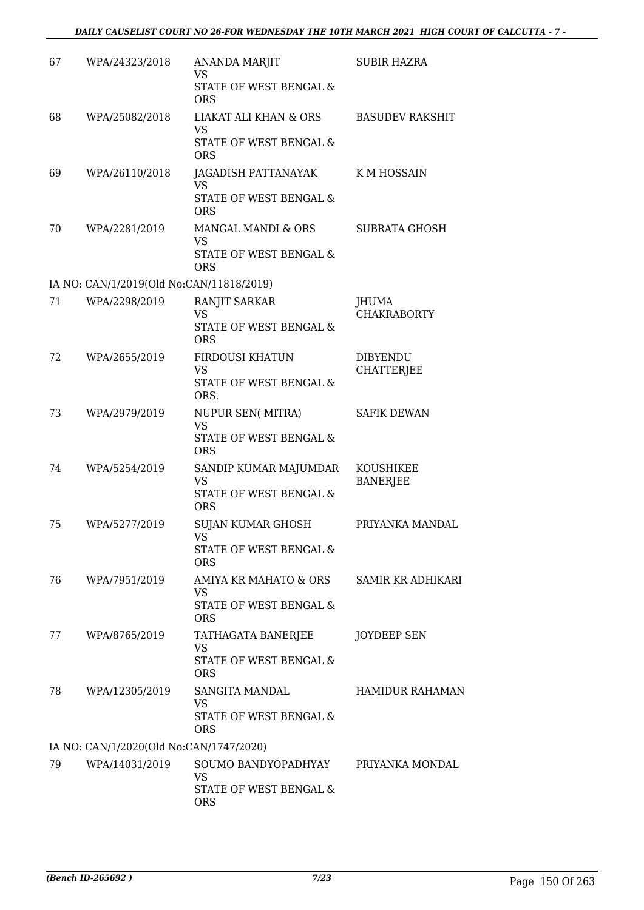| 67 | WPA/24323/2018                           | <b>ANANDA MARJIT</b><br>VS                                              | <b>SUBIR HAZRA</b>           |
|----|------------------------------------------|-------------------------------------------------------------------------|------------------------------|
|    |                                          | STATE OF WEST BENGAL &<br><b>ORS</b>                                    |                              |
| 68 | WPA/25082/2018                           | LIAKAT ALI KHAN & ORS                                                   | <b>BASUDEV RAKSHIT</b>       |
|    |                                          | VS<br>STATE OF WEST BENGAL &<br><b>ORS</b>                              |                              |
| 69 | WPA/26110/2018                           | JAGADISH PATTANAYAK<br><b>VS</b>                                        | K M HOSSAIN                  |
|    |                                          | STATE OF WEST BENGAL &<br><b>ORS</b>                                    |                              |
| 70 | WPA/2281/2019                            | MANGAL MANDI & ORS<br><b>VS</b><br>STATE OF WEST BENGAL &<br><b>ORS</b> | <b>SUBRATA GHOSH</b>         |
|    | IA NO: CAN/1/2019(Old No:CAN/11818/2019) |                                                                         |                              |
| 71 | WPA/2298/2019                            | RANJIT SARKAR                                                           | JHUMA                        |
|    |                                          | <b>VS</b><br>STATE OF WEST BENGAL &<br><b>ORS</b>                       | <b>CHAKRABORTY</b>           |
| 72 | WPA/2655/2019                            | FIRDOUSI KHATUN                                                         | <b>DIBYENDU</b>              |
|    |                                          | VS<br>STATE OF WEST BENGAL &<br>ORS.                                    | <b>CHATTERJEE</b>            |
| 73 | WPA/2979/2019                            | NUPUR SEN(MITRA)<br><b>VS</b>                                           | <b>SAFIK DEWAN</b>           |
|    |                                          | STATE OF WEST BENGAL &<br><b>ORS</b>                                    |                              |
| 74 | WPA/5254/2019                            | SANDIP KUMAR MAJUMDAR<br><b>VS</b>                                      | KOUSHIKEE<br><b>BANERJEE</b> |
|    |                                          | STATE OF WEST BENGAL &<br><b>ORS</b>                                    |                              |
| 75 | WPA/5277/2019                            | SUJAN KUMAR GHOSH<br>vs                                                 | PRIYANKA MANDAL              |
|    |                                          | STATE OF WEST BENGAL &<br><b>ORS</b>                                    |                              |
| 76 | WPA/7951/2019                            | AMIYA KR MAHATO & ORS<br><b>VS</b>                                      | <b>SAMIR KR ADHIKARI</b>     |
|    |                                          | STATE OF WEST BENGAL &<br><b>ORS</b>                                    |                              |
| 77 | WPA/8765/2019                            | TATHAGATA BANERJEE<br>VS                                                | JOYDEEP SEN                  |
|    |                                          | STATE OF WEST BENGAL &<br><b>ORS</b>                                    |                              |
| 78 | WPA/12305/2019                           | SANGITA MANDAL<br>VS                                                    | <b>HAMIDUR RAHAMAN</b>       |
|    |                                          | STATE OF WEST BENGAL &<br><b>ORS</b>                                    |                              |
|    | IA NO: CAN/1/2020(Old No:CAN/1747/2020)  |                                                                         |                              |
| 79 | WPA/14031/2019                           | SOUMO BANDYOPADHYAY<br><b>VS</b>                                        | PRIYANKA MONDAL              |
|    |                                          | STATE OF WEST BENGAL &<br><b>ORS</b>                                    |                              |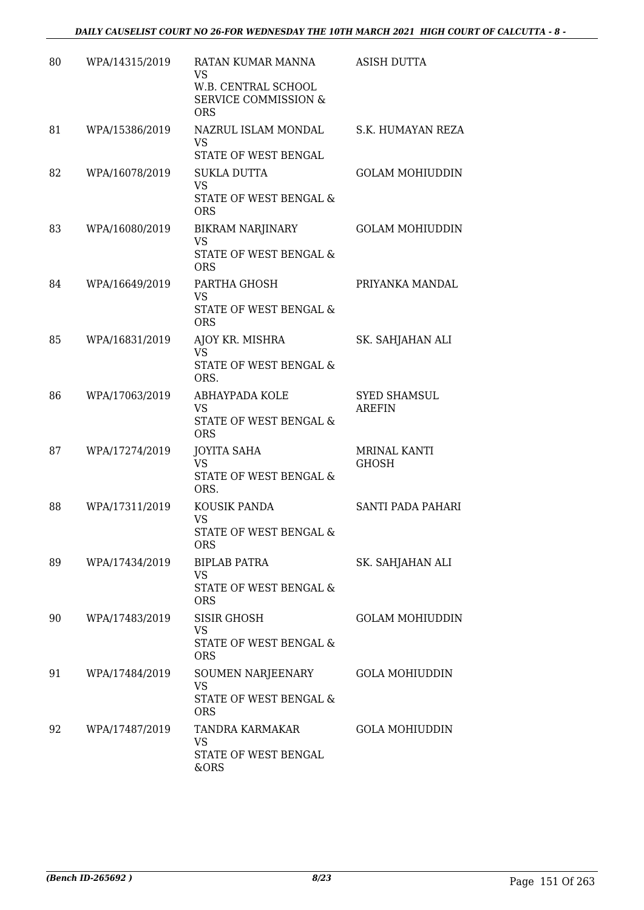| 80 | WPA/14315/2019 | RATAN KUMAR MANNA<br>VS<br>W.B. CENTRAL SCHOOL<br><b>SERVICE COMMISSION &amp;</b><br><b>ORS</b> | <b>ASISH DUTTA</b>                   |
|----|----------------|-------------------------------------------------------------------------------------------------|--------------------------------------|
| 81 | WPA/15386/2019 | NAZRUL ISLAM MONDAL<br><b>VS</b><br>STATE OF WEST BENGAL                                        | S.K. HUMAYAN REZA                    |
| 82 | WPA/16078/2019 | <b>SUKLA DUTTA</b><br><b>VS</b><br>STATE OF WEST BENGAL &<br><b>ORS</b>                         | <b>GOLAM MOHIUDDIN</b>               |
| 83 | WPA/16080/2019 | <b>BIKRAM NARJINARY</b><br>VS<br>STATE OF WEST BENGAL &<br><b>ORS</b>                           | <b>GOLAM MOHIUDDIN</b>               |
| 84 | WPA/16649/2019 | PARTHA GHOSH<br>VS<br>STATE OF WEST BENGAL &<br><b>ORS</b>                                      | PRIYANKA MANDAL                      |
| 85 | WPA/16831/2019 | AJOY KR. MISHRA<br><b>VS</b><br>STATE OF WEST BENGAL &<br>ORS.                                  | SK. SAHJAHAN ALI                     |
| 86 | WPA/17063/2019 | ABHAYPADA KOLE<br><b>VS</b><br>STATE OF WEST BENGAL &<br><b>ORS</b>                             | <b>SYED SHAMSUL</b><br><b>AREFIN</b> |
| 87 | WPA/17274/2019 | <b>JOYITA SAHA</b><br><b>VS</b><br>STATE OF WEST BENGAL &<br>ORS.                               | <b>MRINAL KANTI</b><br>GHOSH         |
| 88 | WPA/17311/2019 | KOUSIK PANDA<br><b>VS</b><br>STATE OF WEST BENGAL &<br><b>ORS</b>                               | SANTI PADA PAHARI                    |
| 89 | WPA/17434/2019 | <b>BIPLAB PATRA</b><br>VS<br>STATE OF WEST BENGAL &<br><b>ORS</b>                               | SK. SAHJAHAN ALI                     |
| 90 | WPA/17483/2019 | SISIR GHOSH<br>VS<br>STATE OF WEST BENGAL &<br><b>ORS</b>                                       | <b>GOLAM MOHIUDDIN</b>               |
| 91 | WPA/17484/2019 | SOUMEN NARJEENARY<br><b>VS</b><br>STATE OF WEST BENGAL &<br><b>ORS</b>                          | <b>GOLA MOHIUDDIN</b>                |
| 92 | WPA/17487/2019 | TANDRA KARMAKAR<br>VS<br>STATE OF WEST BENGAL<br>&ORS                                           | <b>GOLA MOHIUDDIN</b>                |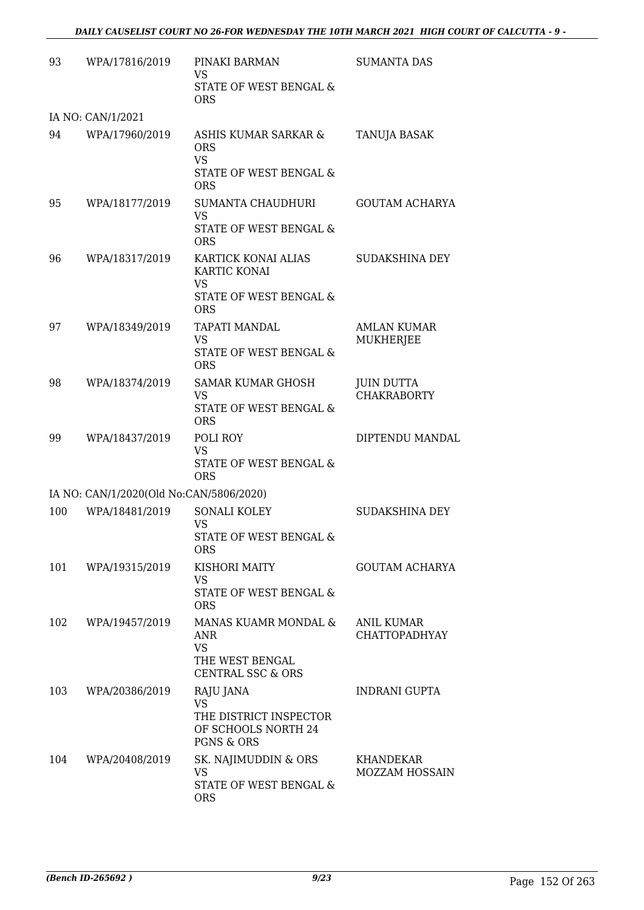| 93  | WPA/17816/2019                          | PINAKI BARMAN<br><b>VS</b><br>STATE OF WEST BENGAL &<br><b>ORS</b>                               | <b>SUMANTA DAS</b>                        |
|-----|-----------------------------------------|--------------------------------------------------------------------------------------------------|-------------------------------------------|
|     | IA NO: CAN/1/2021                       |                                                                                                  |                                           |
| 94  | WPA/17960/2019                          | ASHIS KUMAR SARKAR &<br><b>ORS</b><br><b>VS</b><br>STATE OF WEST BENGAL &                        | TANUJA BASAK                              |
|     |                                         | <b>ORS</b>                                                                                       |                                           |
| 95  | WPA/18177/2019                          | SUMANTA CHAUDHURI<br><b>VS</b><br>STATE OF WEST BENGAL &<br><b>ORS</b>                           | <b>GOUTAM ACHARYA</b>                     |
| 96  | WPA/18317/2019                          | KARTICK KONAI ALIAS<br>KARTIC KONAI<br><b>VS</b><br>STATE OF WEST BENGAL &                       | SUDAKSHINA DEY                            |
|     |                                         | <b>ORS</b>                                                                                       |                                           |
| 97  | WPA/18349/2019                          | TAPATI MANDAL<br>VS<br>STATE OF WEST BENGAL &<br><b>ORS</b>                                      | AMLAN KUMAR<br>MUKHERJEE                  |
| 98  | WPA/18374/2019                          | <b>SAMAR KUMAR GHOSH</b><br>VS.<br>STATE OF WEST BENGAL &                                        | <b>JUIN DUTTA</b><br><b>CHAKRABORTY</b>   |
| 99  | WPA/18437/2019                          | <b>ORS</b><br>POLI ROY                                                                           | DIPTENDU MANDAL                           |
|     |                                         | <b>VS</b><br>STATE OF WEST BENGAL &<br><b>ORS</b>                                                |                                           |
|     | IA NO: CAN/1/2020(Old No:CAN/5806/2020) |                                                                                                  |                                           |
| 100 | WPA/18481/2019                          | SONALI KOLEY<br><b>VS</b><br>STATE OF WEST BENGAL &                                              | <b>SUDAKSHINA DEY</b>                     |
|     |                                         | <b>ORS</b>                                                                                       |                                           |
| 101 | WPA/19315/2019                          | KISHORI MAITY<br>VS                                                                              | GOUTAM ACHARYA                            |
|     |                                         | STATE OF WEST BENGAL &<br><b>ORS</b>                                                             |                                           |
| 102 | WPA/19457/2019                          | MANAS KUAMR MONDAL &<br><b>ANR</b><br><b>VS</b><br>THE WEST BENGAL                               | <b>ANIL KUMAR</b><br><b>CHATTOPADHYAY</b> |
| 103 |                                         | <b>CENTRAL SSC &amp; ORS</b>                                                                     |                                           |
|     | WPA/20386/2019                          | RAJU JANA<br><b>VS</b><br>THE DISTRICT INSPECTOR<br>OF SCHOOLS NORTH 24<br><b>PGNS &amp; ORS</b> | INDRANI GUPTA                             |
| 104 | WPA/20408/2019                          | SK. NAJIMUDDIN & ORS<br>VS<br>STATE OF WEST BENGAL &<br><b>ORS</b>                               | KHANDEKAR<br><b>MOZZAM HOSSAIN</b>        |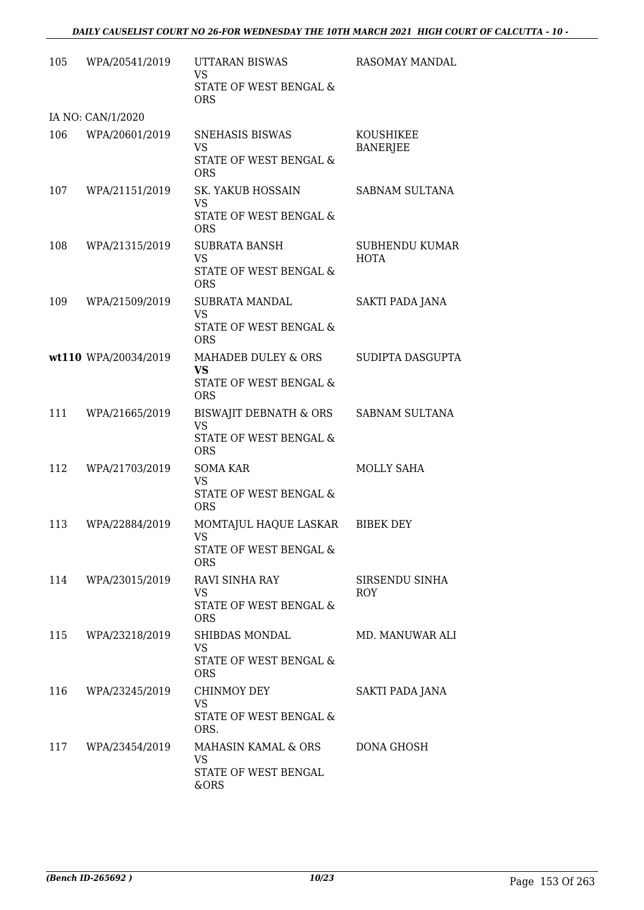| 105 | WPA/20541/2019       | <b>UTTARAN BISWAS</b><br><b>VS</b>                     | RASOMAY MANDAL                      |
|-----|----------------------|--------------------------------------------------------|-------------------------------------|
|     |                      | STATE OF WEST BENGAL &<br><b>ORS</b>                   |                                     |
|     | IA NO: CAN/1/2020    |                                                        |                                     |
| 106 | WPA/20601/2019       | SNEHASIS BISWAS<br><b>VS</b><br>STATE OF WEST BENGAL & | <b>KOUSHIKEE</b><br><b>BANERJEE</b> |
|     |                      | <b>ORS</b>                                             |                                     |
| 107 | WPA/21151/2019       | SK. YAKUB HOSSAIN<br><b>VS</b>                         | SABNAM SULTANA                      |
|     |                      | STATE OF WEST BENGAL &<br><b>ORS</b>                   |                                     |
| 108 | WPA/21315/2019       | <b>SUBRATA BANSH</b>                                   | <b>SUBHENDU KUMAR</b>               |
|     |                      | <b>VS</b><br>STATE OF WEST BENGAL &<br><b>ORS</b>      | <b>HOTA</b>                         |
| 109 | WPA/21509/2019       | SUBRATA MANDAL<br><b>VS</b>                            | SAKTI PADA JANA                     |
|     |                      | STATE OF WEST BENGAL &<br><b>ORS</b>                   |                                     |
|     | wt110 WPA/20034/2019 | MAHADEB DULEY & ORS                                    | SUDIPTA DASGUPTA                    |
|     |                      | <b>VS</b><br>STATE OF WEST BENGAL &<br><b>ORS</b>      |                                     |
| 111 | WPA/21665/2019       | BISWAJIT DEBNATH & ORS                                 | SABNAM SULTANA                      |
|     |                      | <b>VS</b><br>STATE OF WEST BENGAL &<br><b>ORS</b>      |                                     |
| 112 | WPA/21703/2019       | <b>SOMA KAR</b>                                        | <b>MOLLY SAHA</b>                   |
|     |                      | <b>VS</b><br>STATE OF WEST BENGAL &<br><b>ORS</b>      |                                     |
| 113 | WPA/22884/2019       | MOMTAJUL HAQUE LASKAR<br>VS.                           | <b>BIBEK DEY</b>                    |
|     |                      | STATE OF WEST BENGAL &<br><b>ORS</b>                   |                                     |
| 114 | WPA/23015/2019       | <b>RAVI SINHA RAY</b><br>VS.                           | SIRSENDU SINHA<br>ROY               |
|     |                      | <b>STATE OF WEST BENGAL &amp;</b><br><b>ORS</b>        |                                     |
| 115 | WPA/23218/2019       | SHIBDAS MONDAL<br><b>VS</b>                            | MD. MANUWAR ALI                     |
|     |                      | STATE OF WEST BENGAL &<br><b>ORS</b>                   |                                     |
| 116 | WPA/23245/2019       | CHINMOY DEY                                            | SAKTI PADA JANA                     |
|     |                      | VS<br>STATE OF WEST BENGAL &<br>ORS.                   |                                     |
| 117 | WPA/23454/2019       | MAHASIN KAMAL & ORS<br>VS                              | DONA GHOSH                          |
|     |                      | STATE OF WEST BENGAL<br>&ORS                           |                                     |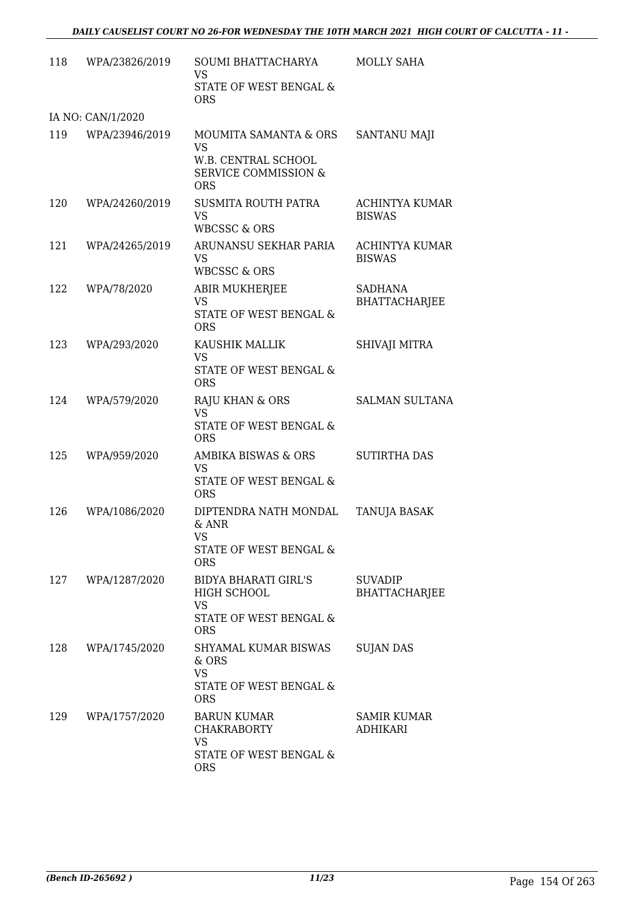| 118 | WPA/23826/2019    | SOUMI BHATTACHARYA<br>VS<br>STATE OF WEST BENGAL &<br><b>ORS</b>                                           | MOLLY SAHA                             |
|-----|-------------------|------------------------------------------------------------------------------------------------------------|----------------------------------------|
|     | IA NO: CAN/1/2020 |                                                                                                            |                                        |
| 119 | WPA/23946/2019    | MOUMITA SAMANTA & ORS<br><b>VS</b><br>W.B. CENTRAL SCHOOL<br><b>SERVICE COMMISSION &amp;</b><br><b>ORS</b> | SANTANU MAJI                           |
| 120 | WPA/24260/2019    | SUSMITA ROUTH PATRA<br><b>VS</b><br><b>WBCSSC &amp; ORS</b>                                                | <b>ACHINTYA KUMAR</b><br><b>BISWAS</b> |
| 121 | WPA/24265/2019    | ARUNANSU SEKHAR PARIA<br><b>VS</b><br><b>WBCSSC &amp; ORS</b>                                              | <b>ACHINTYA KUMAR</b><br><b>BISWAS</b> |
| 122 | WPA/78/2020       | ABIR MUKHERJEE<br><b>VS</b><br>STATE OF WEST BENGAL &<br><b>ORS</b>                                        | <b>SADHANA</b><br><b>BHATTACHARJEE</b> |
| 123 | WPA/293/2020      | KAUSHIK MALLIK<br><b>VS</b><br>STATE OF WEST BENGAL &<br><b>ORS</b>                                        | SHIVAJI MITRA                          |
| 124 | WPA/579/2020      | <b>RAJU KHAN &amp; ORS</b><br><b>VS</b><br>STATE OF WEST BENGAL &<br><b>ORS</b>                            | <b>SALMAN SULTANA</b>                  |
| 125 | WPA/959/2020      | AMBIKA BISWAS & ORS<br><b>VS</b><br><b>STATE OF WEST BENGAL &amp;</b><br><b>ORS</b>                        | <b>SUTIRTHA DAS</b>                    |
| 126 | WPA/1086/2020     | DIPTENDRA NATH MONDAL<br>$&$ ANR<br>VS<br>STATE OF WEST BENGAL &<br><b>ORS</b>                             | TANUJA BASAK                           |
| 127 | WPA/1287/2020     | <b>BIDYA BHARATI GIRL'S</b><br>HIGH SCHOOL<br><b>VS</b><br>STATE OF WEST BENGAL &<br><b>ORS</b>            | <b>SUVADIP</b><br><b>BHATTACHARJEE</b> |
| 128 | WPA/1745/2020     | SHYAMAL KUMAR BISWAS<br>& ORS<br><b>VS</b><br>STATE OF WEST BENGAL &<br><b>ORS</b>                         | <b>SUJAN DAS</b>                       |
| 129 | WPA/1757/2020     | <b>BARUN KUMAR</b><br><b>CHAKRABORTY</b><br><b>VS</b><br>STATE OF WEST BENGAL &<br><b>ORS</b>              | SAMIR KUMAR<br>ADHIKARI                |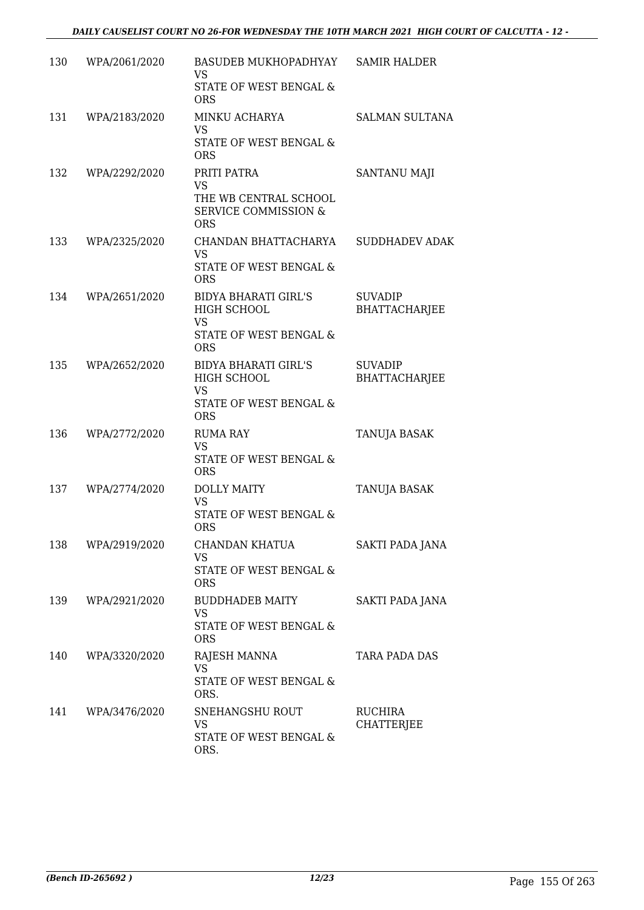| 130 | WPA/2061/2020 | BASUDEB MUKHOPADHYAY<br>VS<br>STATE OF WEST BENGAL &                                               | <b>SAMIR HALDER</b>                    |
|-----|---------------|----------------------------------------------------------------------------------------------------|----------------------------------------|
|     |               | <b>ORS</b>                                                                                         |                                        |
| 131 | WPA/2183/2020 | MINKU ACHARYA<br><b>VS</b>                                                                         | <b>SALMAN SULTANA</b>                  |
|     |               | STATE OF WEST BENGAL &<br><b>ORS</b>                                                               |                                        |
| 132 | WPA/2292/2020 | PRITI PATRA<br><b>VS</b><br>THE WB CENTRAL SCHOOL<br><b>SERVICE COMMISSION &amp;</b><br><b>ORS</b> | SANTANU MAJI                           |
| 133 | WPA/2325/2020 | CHANDAN BHATTACHARYA<br><b>VS</b>                                                                  | <b>SUDDHADEV ADAK</b>                  |
|     |               | STATE OF WEST BENGAL &<br><b>ORS</b>                                                               |                                        |
| 134 | WPA/2651/2020 | <b>BIDYA BHARATI GIRL'S</b><br>HIGH SCHOOL<br><b>VS</b>                                            | <b>SUVADIP</b><br><b>BHATTACHARJEE</b> |
|     |               | STATE OF WEST BENGAL &<br><b>ORS</b>                                                               |                                        |
| 135 | WPA/2652/2020 | <b>BIDYA BHARATI GIRL'S</b><br>HIGH SCHOOL<br><b>VS</b><br>STATE OF WEST BENGAL &                  | <b>SUVADIP</b><br><b>BHATTACHARJEE</b> |
|     |               | <b>ORS</b>                                                                                         |                                        |
| 136 | WPA/2772/2020 | <b>RUMA RAY</b><br>VS<br>STATE OF WEST BENGAL &<br><b>ORS</b>                                      | TANUJA BASAK                           |
| 137 | WPA/2774/2020 | <b>DOLLY MAITY</b><br><b>VS</b>                                                                    | TANUJA BASAK                           |
|     |               | STATE OF WEST BENGAL &<br><b>ORS</b>                                                               |                                        |
| 138 | WPA/2919/2020 | CHANDAN KHATUA<br><b>VS</b>                                                                        | SAKTI PADA JANA                        |
|     |               | STATE OF WEST BENGAL &<br><b>ORS</b>                                                               |                                        |
| 139 | WPA/2921/2020 | <b>BUDDHADEB MAITY</b><br>VS<br>STATE OF WEST BENGAL &                                             | SAKTI PADA JANA                        |
|     |               | <b>ORS</b>                                                                                         |                                        |
| 140 | WPA/3320/2020 | RAJESH MANNA<br><b>VS</b><br>STATE OF WEST BENGAL &<br>ORS.                                        | TARA PADA DAS                          |
| 141 | WPA/3476/2020 | SNEHANGSHU ROUT<br>VS<br>STATE OF WEST BENGAL &<br>ORS.                                            | RUCHIRA<br><b>CHATTERJEE</b>           |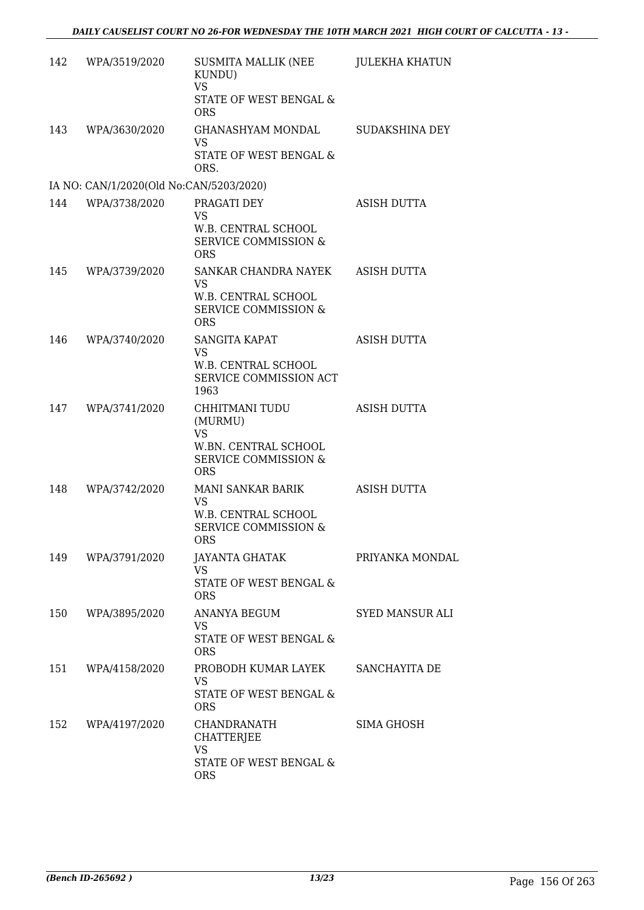| 142 | WPA/3519/2020                           | SUSMITA MALLIK (NEE<br>KUNDU)<br><b>VS</b><br>STATE OF WEST BENGAL &<br><b>ORS</b>                              | <b>JULEKHA KHATUN</b> |
|-----|-----------------------------------------|-----------------------------------------------------------------------------------------------------------------|-----------------------|
| 143 | WPA/3630/2020                           | GHANASHYAM MONDAL<br><b>VS</b><br>STATE OF WEST BENGAL &<br>ORS.                                                | <b>SUDAKSHINA DEY</b> |
|     | IA NO: CAN/1/2020(Old No:CAN/5203/2020) |                                                                                                                 |                       |
| 144 | WPA/3738/2020                           | PRAGATI DEY<br><b>VS</b>                                                                                        | ASISH DUTTA           |
|     |                                         | W.B. CENTRAL SCHOOL<br><b>SERVICE COMMISSION &amp;</b><br><b>ORS</b>                                            |                       |
| 145 | WPA/3739/2020                           | SANKAR CHANDRA NAYEK<br>VS<br>W.B. CENTRAL SCHOOL<br>SERVICE COMMISSION &<br><b>ORS</b>                         | <b>ASISH DUTTA</b>    |
| 146 | WPA/3740/2020                           | <b>SANGITA KAPAT</b><br><b>VS</b><br>W.B. CENTRAL SCHOOL<br>SERVICE COMMISSION ACT<br>1963                      | <b>ASISH DUTTA</b>    |
| 147 | WPA/3741/2020                           | CHHITMANI TUDU<br>(MURMU)<br><b>VS</b><br>W.BN. CENTRAL SCHOOL<br><b>SERVICE COMMISSION &amp;</b><br><b>ORS</b> | ASISH DUTTA           |
| 148 | WPA/3742/2020                           | MANI SANKAR BARIK<br><b>VS</b><br>W.B. CENTRAL SCHOOL<br><b>SERVICE COMMISSION &amp;</b><br><b>ORS</b>          | <b>ASISH DUTTA</b>    |
| 149 | WPA/3791/2020                           | JAYANTA GHATAK<br><b>VS</b><br>STATE OF WEST BENGAL &<br><b>ORS</b>                                             | PRIYANKA MONDAL       |
| 150 | WPA/3895/2020                           | ANANYA BEGUM<br><b>VS</b><br>STATE OF WEST BENGAL &<br><b>ORS</b>                                               | SYED MANSUR ALI       |
| 151 | WPA/4158/2020                           | PROBODH KUMAR LAYEK<br>VS<br>STATE OF WEST BENGAL &<br><b>ORS</b>                                               | SANCHAYITA DE         |
| 152 | WPA/4197/2020                           | CHANDRANATH<br>CHATTERJEE<br><b>VS</b><br>STATE OF WEST BENGAL &<br><b>ORS</b>                                  | SIMA GHOSH            |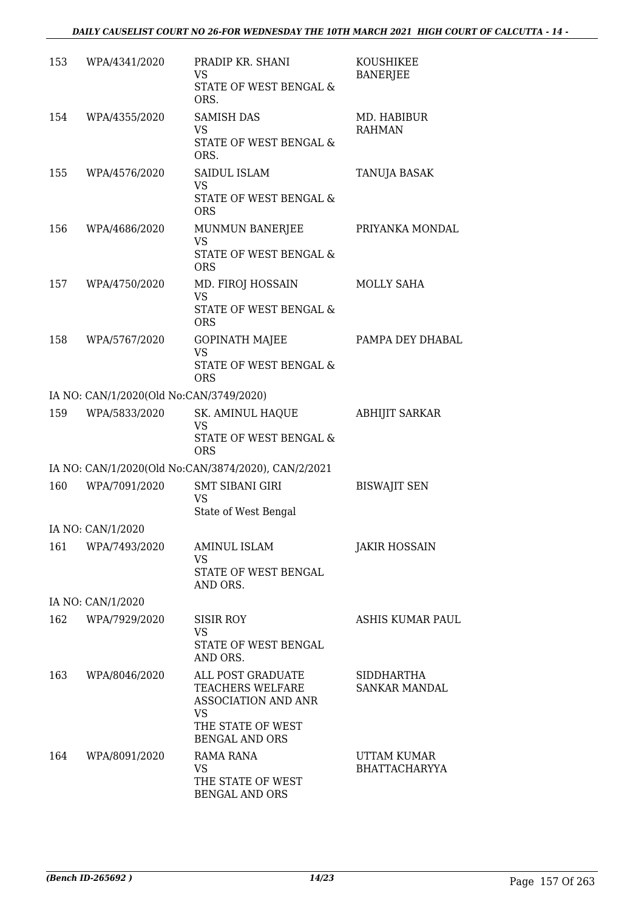| 153 | WPA/4341/2020                           | PRADIP KR. SHANI<br><b>VS</b><br>STATE OF WEST BENGAL &<br>ORS.                                                  | <b>KOUSHIKEE</b><br><b>BANERJEE</b>        |
|-----|-----------------------------------------|------------------------------------------------------------------------------------------------------------------|--------------------------------------------|
| 154 | WPA/4355/2020                           | <b>SAMISH DAS</b><br>VS<br>STATE OF WEST BENGAL &<br>ORS.                                                        | MD. HABIBUR<br><b>RAHMAN</b>               |
| 155 | WPA/4576/2020                           | SAIDUL ISLAM<br><b>VS</b><br>STATE OF WEST BENGAL &<br><b>ORS</b>                                                | TANUJA BASAK                               |
| 156 | WPA/4686/2020                           | MUNMUN BANERJEE<br>VS<br>STATE OF WEST BENGAL &<br><b>ORS</b>                                                    | PRIYANKA MONDAL                            |
| 157 | WPA/4750/2020                           | MD. FIROJ HOSSAIN<br>VS<br>STATE OF WEST BENGAL &<br><b>ORS</b>                                                  | MOLLY SAHA                                 |
| 158 | WPA/5767/2020                           | <b>GOPINATH MAJEE</b><br><b>VS</b><br>STATE OF WEST BENGAL &<br><b>ORS</b>                                       | PAMPA DEY DHABAL                           |
|     | IA NO: CAN/1/2020(Old No:CAN/3749/2020) |                                                                                                                  |                                            |
| 159 | WPA/5833/2020                           | SK. AMINUL HAQUE<br><b>VS</b><br>STATE OF WEST BENGAL &<br><b>ORS</b>                                            | <b>ABHIJIT SARKAR</b>                      |
|     |                                         | IA NO: CAN/1/2020(Old No:CAN/3874/2020), CAN/2/2021                                                              |                                            |
| 160 | WPA/7091/2020                           | <b>SMT SIBANI GIRI</b><br><b>VS</b><br>State of West Bengal                                                      | <b>BISWAJIT SEN</b>                        |
|     | IA NO: CAN/1/2020                       |                                                                                                                  |                                            |
| 161 | WPA/7493/2020                           | <b>AMINUL ISLAM</b><br>VS<br>STATE OF WEST BENGAL<br>AND ORS.                                                    | <b>JAKIR HOSSAIN</b>                       |
|     | IA NO: CAN/1/2020                       |                                                                                                                  |                                            |
| 162 | WPA/7929/2020                           | <b>SISIR ROY</b><br>VS.<br>STATE OF WEST BENGAL<br>AND ORS.                                                      | ASHIS KUMAR PAUL                           |
| 163 | WPA/8046/2020                           | ALL POST GRADUATE<br>TEACHERS WELFARE<br><b>ASSOCIATION AND ANR</b><br>VS<br>THE STATE OF WEST<br>BENGAL AND ORS | SIDDHARTHA<br><b>SANKAR MANDAL</b>         |
| 164 | WPA/8091/2020                           | <b>RAMA RANA</b><br>VS<br>THE STATE OF WEST<br><b>BENGAL AND ORS</b>                                             | <b>UTTAM KUMAR</b><br><b>BHATTACHARYYA</b> |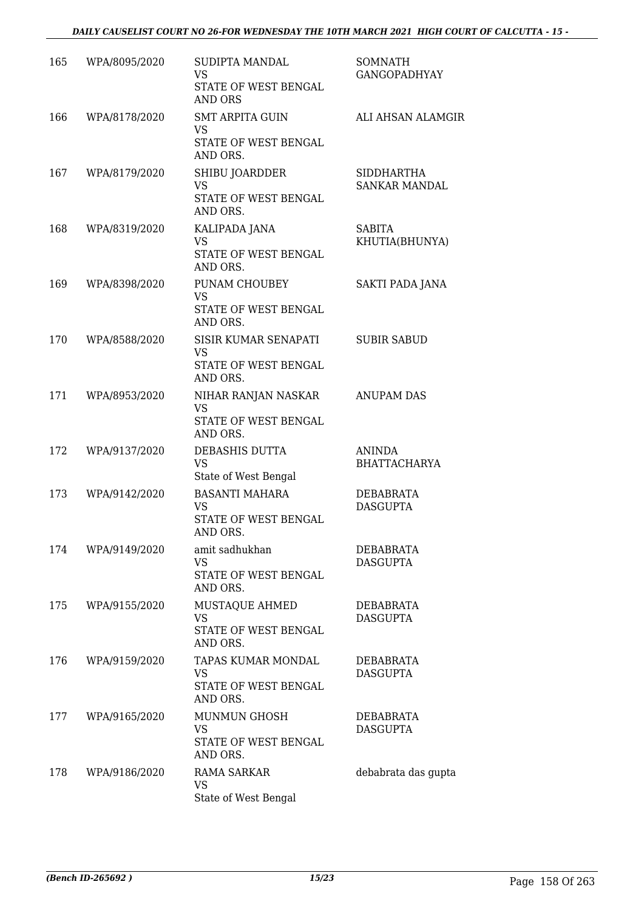| 165 | WPA/8095/2020 | SUDIPTA MANDAL<br>VS<br>STATE OF WEST BENGAL<br>AND ORS                 | <b>SOMNATH</b><br><b>GANGOPADHYAY</b> |
|-----|---------------|-------------------------------------------------------------------------|---------------------------------------|
| 166 | WPA/8178/2020 | <b>SMT ARPITA GUIN</b><br><b>VS</b><br>STATE OF WEST BENGAL<br>AND ORS. | ALI AHSAN ALAMGIR                     |
| 167 | WPA/8179/2020 | SHIBU JOARDDER<br>VS<br>STATE OF WEST BENGAL<br>AND ORS.                | SIDDHARTHA<br><b>SANKAR MANDAL</b>    |
| 168 | WPA/8319/2020 | KALIPADA JANA<br><b>VS</b><br>STATE OF WEST BENGAL<br>AND ORS.          | <b>SABITA</b><br>KHUTIA(BHUNYA)       |
| 169 | WPA/8398/2020 | PUNAM CHOUBEY<br><b>VS</b><br>STATE OF WEST BENGAL<br>AND ORS.          | SAKTI PADA JANA                       |
| 170 | WPA/8588/2020 | SISIR KUMAR SENAPATI<br><b>VS</b><br>STATE OF WEST BENGAL<br>AND ORS.   | <b>SUBIR SABUD</b>                    |
| 171 | WPA/8953/2020 | NIHAR RANJAN NASKAR<br>VS<br>STATE OF WEST BENGAL<br>AND ORS.           | <b>ANUPAM DAS</b>                     |
| 172 | WPA/9137/2020 | DEBASHIS DUTTA<br><b>VS</b><br>State of West Bengal                     | <b>ANINDA</b><br><b>BHATTACHARYA</b>  |
| 173 | WPA/9142/2020 | <b>BASANTI MAHARA</b><br><b>VS</b><br>STATE OF WEST BENGAL<br>AND ORS.  | <b>DEBABRATA</b><br><b>DASGUPTA</b>   |
| 174 | WPA/9149/2020 | amit sadhukhan<br><b>VS</b><br>STATE OF WEST BENGAL<br>AND ORS.         | DEBABRATA<br><b>DASGUPTA</b>          |
| 175 | WPA/9155/2020 | MUSTAQUE AHMED<br><b>VS</b><br>STATE OF WEST BENGAL<br>AND ORS.         | DEBABRATA<br><b>DASGUPTA</b>          |
| 176 | WPA/9159/2020 | TAPAS KUMAR MONDAL<br>VS<br>STATE OF WEST BENGAL<br>AND ORS.            | DEBABRATA<br><b>DASGUPTA</b>          |
| 177 | WPA/9165/2020 | <b>MUNMUN GHOSH</b><br>VS<br>STATE OF WEST BENGAL<br>AND ORS.           | DEBABRATA<br><b>DASGUPTA</b>          |
| 178 | WPA/9186/2020 | RAMA SARKAR<br><b>VS</b><br>State of West Bengal                        | debabrata das gupta                   |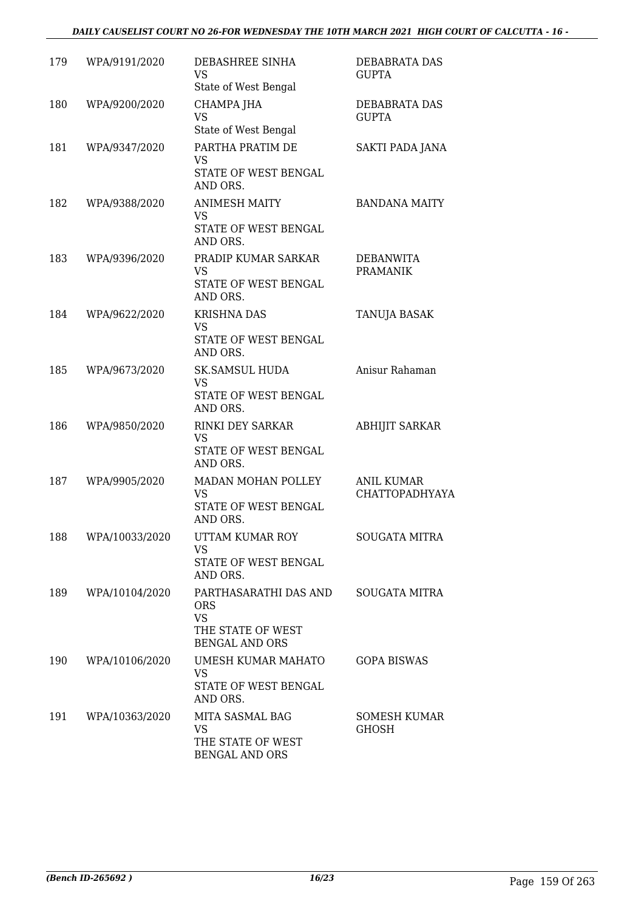#### *DAILY CAUSELIST COURT NO 26-FOR WEDNESDAY THE 10TH MARCH 2021 HIGH COURT OF CALCUTTA - 16 -*

| 179 | WPA/9191/2020  | DEBASHREE SINHA<br>VS                                                                          | DEBABRATA DAS<br><b>GUPTA</b>        |
|-----|----------------|------------------------------------------------------------------------------------------------|--------------------------------------|
| 180 | WPA/9200/2020  | State of West Bengal<br>CHAMPA JHA<br>VS<br>State of West Bengal                               | <b>DEBABRATA DAS</b><br><b>GUPTA</b> |
| 181 | WPA/9347/2020  | PARTHA PRATIM DE<br>VS<br>STATE OF WEST BENGAL<br>AND ORS.                                     | SAKTI PADA JANA                      |
| 182 | WPA/9388/2020  | <b>ANIMESH MAITY</b><br>VS<br>STATE OF WEST BENGAL<br>AND ORS.                                 | <b>BANDANA MAITY</b>                 |
| 183 | WPA/9396/2020  | PRADIP KUMAR SARKAR<br><b>VS</b><br>STATE OF WEST BENGAL<br>AND ORS.                           | DEBANWITA<br><b>PRAMANIK</b>         |
| 184 | WPA/9622/2020  | <b>KRISHNA DAS</b><br>VS<br>STATE OF WEST BENGAL<br>AND ORS.                                   | TANUJA BASAK                         |
| 185 | WPA/9673/2020  | <b>SK.SAMSUL HUDA</b><br>VS<br>STATE OF WEST BENGAL<br>AND ORS.                                | Anisur Rahaman                       |
| 186 | WPA/9850/2020  | RINKI DEY SARKAR<br><b>VS</b><br>STATE OF WEST BENGAL<br>AND ORS.                              | <b>ABHIJIT SARKAR</b>                |
| 187 | WPA/9905/2020  | MADAN MOHAN POLLEY<br>VS<br>STATE OF WEST BENGAL<br>AND ORS.                                   | <b>ANIL KUMAR</b><br>CHATTOPADHYAYA  |
| 188 | WPA/10033/2020 | UTTAM KUMAR ROY<br>VS<br>STATE OF WEST BENGAL<br>AND ORS.                                      | <b>SOUGATA MITRA</b>                 |
| 189 | WPA/10104/2020 | PARTHASARATHI DAS AND<br><b>ORS</b><br><b>VS</b><br>THE STATE OF WEST<br><b>BENGAL AND ORS</b> | <b>SOUGATA MITRA</b>                 |
| 190 | WPA/10106/2020 | UMESH KUMAR MAHATO<br><b>VS</b><br>STATE OF WEST BENGAL<br>AND ORS.                            | GOPA BISWAS                          |
| 191 | WPA/10363/2020 | MITA SASMAL BAG<br>VS<br>THE STATE OF WEST<br><b>BENGAL AND ORS</b>                            | <b>SOMESH KUMAR</b><br><b>GHOSH</b>  |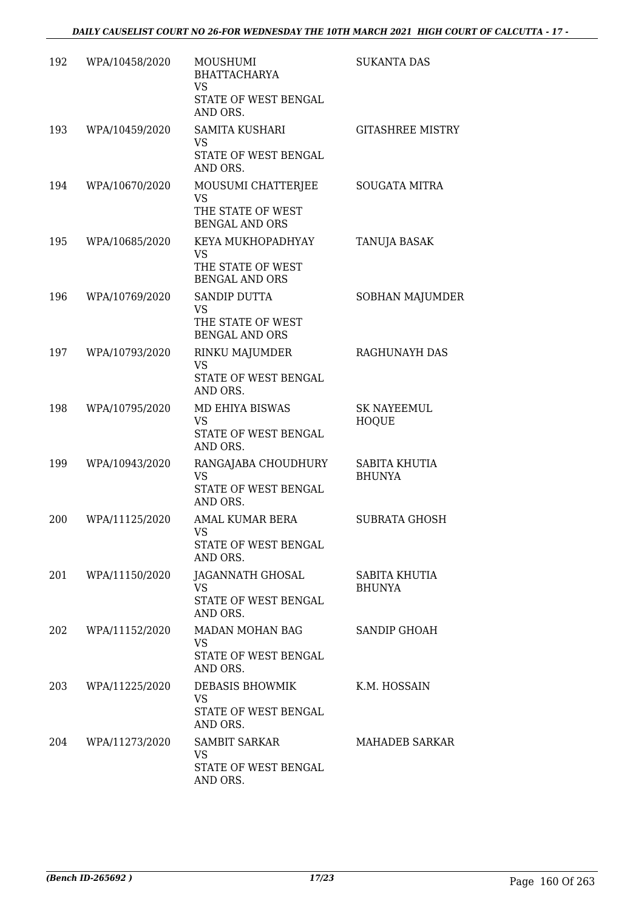| 192 | WPA/10458/2020 | MOUSHUMI<br><b>BHATTACHARYA</b><br><b>VS</b><br>STATE OF WEST BENGAL<br>AND ORS. | <b>SUKANTA DAS</b>                 |
|-----|----------------|----------------------------------------------------------------------------------|------------------------------------|
| 193 | WPA/10459/2020 | <b>SAMITA KUSHARI</b><br><b>VS</b><br>STATE OF WEST BENGAL<br>AND ORS.           | <b>GITASHREE MISTRY</b>            |
| 194 | WPA/10670/2020 | MOUSUMI CHATTERJEE<br><b>VS</b><br>THE STATE OF WEST<br><b>BENGAL AND ORS</b>    | <b>SOUGATA MITRA</b>               |
| 195 | WPA/10685/2020 | KEYA MUKHOPADHYAY<br>VS<br>THE STATE OF WEST<br><b>BENGAL AND ORS</b>            | TANUJA BASAK                       |
| 196 | WPA/10769/2020 | <b>SANDIP DUTTA</b><br><b>VS</b><br>THE STATE OF WEST<br><b>BENGAL AND ORS</b>   | <b>SOBHAN MAJUMDER</b>             |
| 197 | WPA/10793/2020 | RINKU MAJUMDER<br><b>VS</b><br>STATE OF WEST BENGAL<br>AND ORS.                  | RAGHUNAYH DAS                      |
| 198 | WPA/10795/2020 | MD EHIYA BISWAS<br><b>VS</b><br>STATE OF WEST BENGAL<br>AND ORS.                 | <b>SK NAYEEMUL</b><br><b>HOQUE</b> |
| 199 | WPA/10943/2020 | RANGAJABA CHOUDHURY<br><b>VS</b><br>STATE OF WEST BENGAL<br>AND ORS.             | SABITA KHUTIA<br><b>BHUNYA</b>     |
| 200 | WPA/11125/2020 | AMAL KUMAR BERA<br><b>VS</b><br>STATE OF WEST BENGAL<br>AND ORS.                 | <b>SUBRATA GHOSH</b>               |
| 201 | WPA/11150/2020 | JAGANNATH GHOSAL<br>VS<br>STATE OF WEST BENGAL<br>AND ORS.                       | SABITA KHUTIA<br><b>BHUNYA</b>     |
| 202 | WPA/11152/2020 | MADAN MOHAN BAG<br>VS<br>STATE OF WEST BENGAL<br>AND ORS.                        | <b>SANDIP GHOAH</b>                |
| 203 | WPA/11225/2020 | DEBASIS BHOWMIK<br><b>VS</b><br>STATE OF WEST BENGAL<br>AND ORS.                 | K.M. HOSSAIN                       |
| 204 | WPA/11273/2020 | SAMBIT SARKAR<br>VS<br>STATE OF WEST BENGAL<br>AND ORS.                          | MAHADEB SARKAR                     |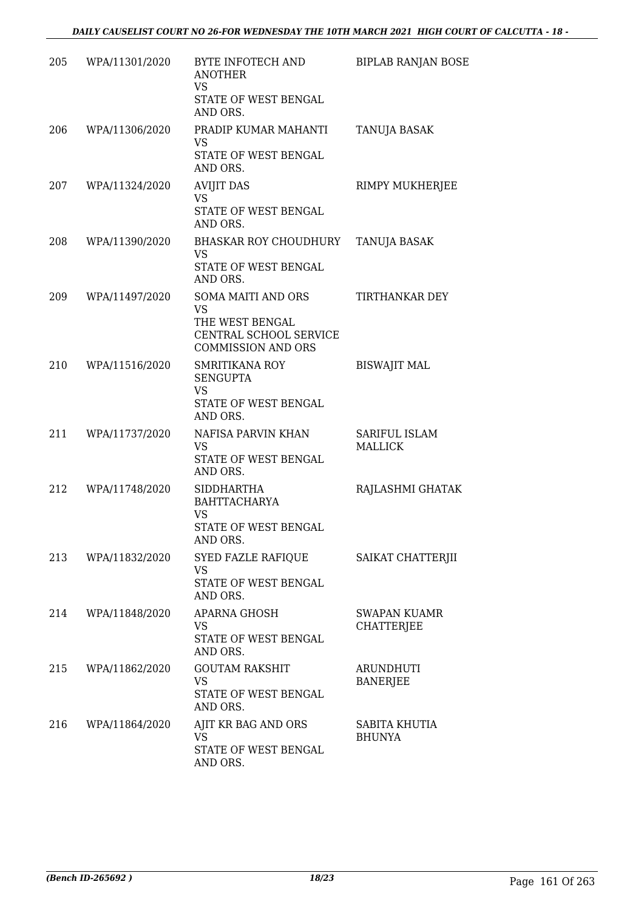| 205 | WPA/11301/2020 | BYTE INFOTECH AND<br><b>ANOTHER</b><br>VS<br>STATE OF WEST BENGAL<br>AND ORS.                                    | <b>BIPLAB RANJAN BOSE</b>                |
|-----|----------------|------------------------------------------------------------------------------------------------------------------|------------------------------------------|
| 206 | WPA/11306/2020 | PRADIP KUMAR MAHANTI<br><b>VS</b><br>STATE OF WEST BENGAL<br>AND ORS.                                            | TANUJA BASAK                             |
| 207 | WPA/11324/2020 | <b>AVIJIT DAS</b><br><b>VS</b><br>STATE OF WEST BENGAL<br>AND ORS.                                               | RIMPY MUKHERJEE                          |
| 208 | WPA/11390/2020 | BHASKAR ROY CHOUDHURY<br>VS<br>STATE OF WEST BENGAL<br>AND ORS.                                                  | TANUJA BASAK                             |
| 209 | WPA/11497/2020 | <b>SOMA MAITI AND ORS</b><br><b>VS</b><br>THE WEST BENGAL<br>CENTRAL SCHOOL SERVICE<br><b>COMMISSION AND ORS</b> | <b>TIRTHANKAR DEY</b>                    |
| 210 | WPA/11516/2020 | SMRITIKANA ROY<br><b>SENGUPTA</b><br><b>VS</b><br>STATE OF WEST BENGAL<br>AND ORS.                               | <b>BISWAJIT MAL</b>                      |
| 211 | WPA/11737/2020 | NAFISA PARVIN KHAN<br><b>VS</b><br>STATE OF WEST BENGAL<br>AND ORS.                                              | SARIFUL ISLAM<br><b>MALLICK</b>          |
| 212 | WPA/11748/2020 | <b>SIDDHARTHA</b><br><b>BAHTTACHARYA</b><br>VS<br>STATE OF WEST BENGAL<br>AND ORS.                               | RAJLASHMI GHATAK                         |
| 213 | WPA/11832/2020 | SYED FAZLE RAFIQUE<br>VS<br>STATE OF WEST BENGAL<br>AND ORS.                                                     | SAIKAT CHATTERJII                        |
| 214 | WPA/11848/2020 | <b>APARNA GHOSH</b><br>VS<br>STATE OF WEST BENGAL<br>AND ORS.                                                    | <b>SWAPAN KUAMR</b><br><b>CHATTERJEE</b> |
| 215 | WPA/11862/2020 | <b>GOUTAM RAKSHIT</b><br>VS<br>STATE OF WEST BENGAL<br>AND ORS.                                                  | <b>ARUNDHUTI</b><br><b>BANERJEE</b>      |
| 216 | WPA/11864/2020 | AJIT KR BAG AND ORS<br><b>VS</b><br>STATE OF WEST BENGAL<br>AND ORS.                                             | SABITA KHUTIA<br><b>BHUNYA</b>           |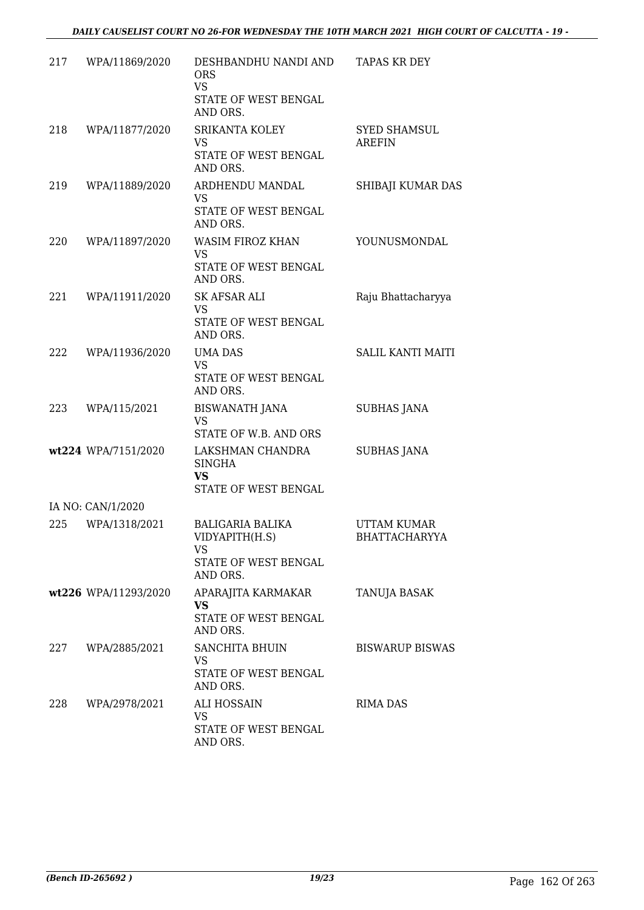| 217 | WPA/11869/2020       | DESHBANDHU NANDI AND<br><b>ORS</b><br><b>VS</b><br>STATE OF WEST BENGAL<br>AND ORS. | <b>TAPAS KR DEY</b>                  |
|-----|----------------------|-------------------------------------------------------------------------------------|--------------------------------------|
| 218 | WPA/11877/2020       | SRIKANTA KOLEY<br>VS.<br>STATE OF WEST BENGAL<br>AND ORS.                           | <b>SYED SHAMSUL</b><br><b>AREFIN</b> |
| 219 | WPA/11889/2020       | ARDHENDU MANDAL<br>VS<br>STATE OF WEST BENGAL<br>AND ORS.                           | SHIBAJI KUMAR DAS                    |
| 220 | WPA/11897/2020       | WASIM FIROZ KHAN<br><b>VS</b><br>STATE OF WEST BENGAL<br>AND ORS.                   | YOUNUSMONDAL                         |
| 221 | WPA/11911/2020       | <b>SK AFSAR ALI</b><br>VS<br>STATE OF WEST BENGAL<br>AND ORS.                       | Raju Bhattacharyya                   |
| 222 | WPA/11936/2020       | <b>UMA DAS</b><br><b>VS</b><br>STATE OF WEST BENGAL<br>AND ORS.                     | SALIL KANTI MAITI                    |
| 223 | WPA/115/2021         | <b>BISWANATH JANA</b><br><b>VS</b><br>STATE OF W.B. AND ORS                         | <b>SUBHAS JANA</b>                   |
|     | wt224 WPA/7151/2020  | LAKSHMAN CHANDRA<br><b>SINGHA</b><br>VS<br>STATE OF WEST BENGAL                     | <b>SUBHAS JANA</b>                   |
|     | IA NO: CAN/1/2020    |                                                                                     |                                      |
| 225 | WPA/1318/2021        | <b>BALIGARIA BALIKA</b><br>VIDYAPITH(H.S)<br>VS<br>STATE OF WEST BENGAL<br>AND ORS. | <b>UTTAM KUMAR</b><br>BHATTACHARYYA  |
|     | wt226 WPA/11293/2020 | APARAJITA KARMAKAR<br><b>VS</b><br>STATE OF WEST BENGAL<br>AND ORS.                 | TANUJA BASAK                         |
| 227 | WPA/2885/2021        | <b>SANCHITA BHUIN</b><br>VS.<br>STATE OF WEST BENGAL<br>AND ORS.                    | <b>BISWARUP BISWAS</b>               |
| 228 | WPA/2978/2021        | ALI HOSSAIN<br>VS<br>STATE OF WEST BENGAL<br>AND ORS.                               | RIMA DAS                             |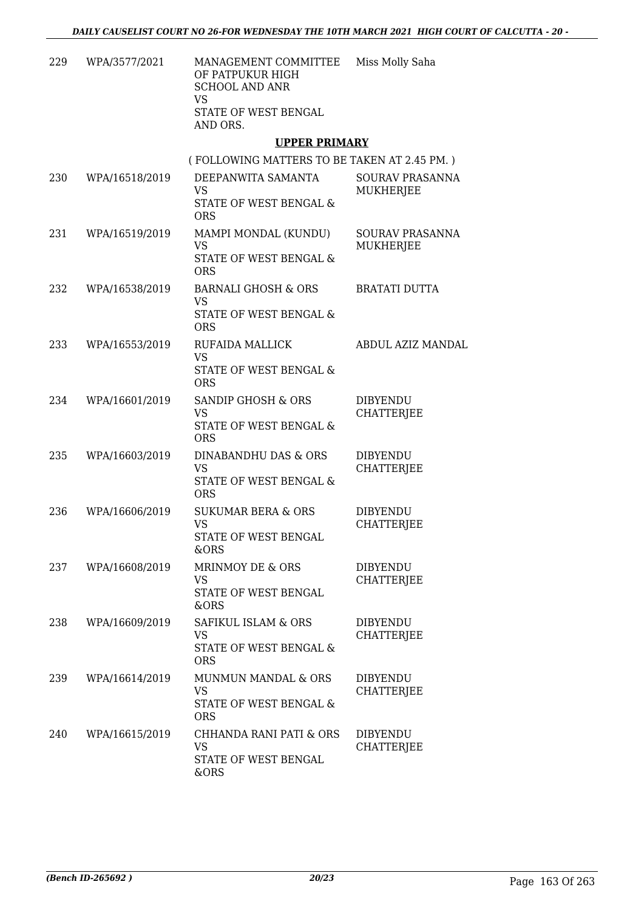| 229 | WPA/3577/2021  | MANAGEMENT COMMITTEE<br>OF PATPUKUR HIGH<br><b>SCHOOL AND ANR</b><br><b>VS</b><br>STATE OF WEST BENGAL<br>AND ORS. | Miss Molly Saha                      |
|-----|----------------|--------------------------------------------------------------------------------------------------------------------|--------------------------------------|
|     |                | <b>UPPER PRIMARY</b>                                                                                               |                                      |
|     |                | (FOLLOWING MATTERS TO BE TAKEN AT 2.45 PM.)                                                                        |                                      |
| 230 | WPA/16518/2019 | DEEPANWITA SAMANTA<br><b>VS</b><br>STATE OF WEST BENGAL &<br><b>ORS</b>                                            | SOURAV PRASANNA<br>MUKHERJEE         |
| 231 | WPA/16519/2019 | MAMPI MONDAL (KUNDU)<br><b>VS</b><br>STATE OF WEST BENGAL &<br><b>ORS</b>                                          | SOURAV PRASANNA<br>MUKHERJEE         |
| 232 | WPA/16538/2019 | <b>BARNALI GHOSH &amp; ORS</b><br><b>VS</b><br>STATE OF WEST BENGAL &<br><b>ORS</b>                                | <b>BRATATI DUTTA</b>                 |
| 233 | WPA/16553/2019 | RUFAIDA MALLICK<br><b>VS</b><br>STATE OF WEST BENGAL &<br><b>ORS</b>                                               | ABDUL AZIZ MANDAL                    |
| 234 | WPA/16601/2019 | SANDIP GHOSH & ORS<br>VS<br>STATE OF WEST BENGAL &<br><b>ORS</b>                                                   | <b>DIBYENDU</b><br><b>CHATTERJEE</b> |
| 235 | WPA/16603/2019 | DINABANDHU DAS & ORS<br><b>VS</b><br>STATE OF WEST BENGAL &<br><b>ORS</b>                                          | <b>DIBYENDU</b><br><b>CHATTERJEE</b> |
| 236 | WPA/16606/2019 | <b>SUKUMAR BERA &amp; ORS</b><br><b>VS</b><br>STATE OF WEST BENGAL<br>&ORS                                         | <b>DIBYENDU</b><br><b>CHATTERJEE</b> |
| 237 | WPA/16608/2019 | MRINMOY DE & ORS<br><b>VS</b><br>STATE OF WEST BENGAL<br>&ORS                                                      | <b>DIBYENDU</b><br><b>CHATTERJEE</b> |
| 238 | WPA/16609/2019 | SAFIKUL ISLAM & ORS<br><b>VS</b><br>STATE OF WEST BENGAL &<br><b>ORS</b>                                           | <b>DIBYENDU</b><br><b>CHATTERJEE</b> |
| 239 | WPA/16614/2019 | MUNMUN MANDAL & ORS<br>VS<br>STATE OF WEST BENGAL &<br><b>ORS</b>                                                  | <b>DIBYENDU</b><br>CHATTERJEE        |
| 240 | WPA/16615/2019 | CHHANDA RANI PATI & ORS<br>VS<br>STATE OF WEST BENGAL                                                              | <b>DIBYENDU</b><br><b>CHATTERJEE</b> |

&ORS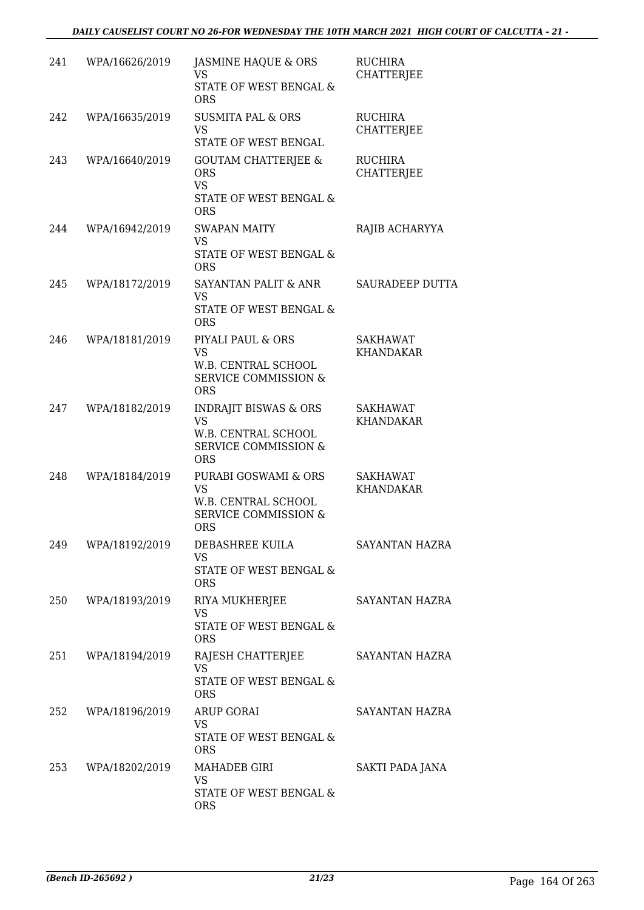| 241 | WPA/16626/2019 | <b>JASMINE HAQUE &amp; ORS</b><br><b>VS</b><br>STATE OF WEST BENGAL &<br><b>ORS</b>                                   | <b>RUCHIRA</b><br><b>CHATTERJEE</b> |
|-----|----------------|-----------------------------------------------------------------------------------------------------------------------|-------------------------------------|
| 242 | WPA/16635/2019 | <b>SUSMITA PAL &amp; ORS</b><br><b>VS</b><br>STATE OF WEST BENGAL                                                     | <b>RUCHIRA</b><br><b>CHATTERJEE</b> |
| 243 | WPA/16640/2019 | <b>GOUTAM CHATTERJEE &amp;</b><br><b>ORS</b><br><b>VS</b><br>STATE OF WEST BENGAL &<br><b>ORS</b>                     | <b>RUCHIRA</b><br><b>CHATTERJEE</b> |
| 244 | WPA/16942/2019 | <b>SWAPAN MAITY</b><br><b>VS</b><br>STATE OF WEST BENGAL &<br><b>ORS</b>                                              | RAJIB ACHARYYA                      |
| 245 | WPA/18172/2019 | SAYANTAN PALIT & ANR<br><b>VS</b><br><b>STATE OF WEST BENGAL &amp;</b><br><b>ORS</b>                                  | <b>SAURADEEP DUTTA</b>              |
| 246 | WPA/18181/2019 | PIYALI PAUL & ORS<br><b>VS</b><br>W.B. CENTRAL SCHOOL<br><b>SERVICE COMMISSION &amp;</b><br><b>ORS</b>                | <b>SAKHAWAT</b><br>KHANDAKAR        |
| 247 | WPA/18182/2019 | <b>INDRAJIT BISWAS &amp; ORS</b><br><b>VS</b><br>W.B. CENTRAL SCHOOL<br><b>SERVICE COMMISSION &amp;</b><br><b>ORS</b> | <b>SAKHAWAT</b><br><b>KHANDAKAR</b> |
| 248 | WPA/18184/2019 | PURABI GOSWAMI & ORS<br><b>VS</b><br>W.B. CENTRAL SCHOOL<br>SERVICE COMMISSION &<br><b>ORS</b>                        | <b>SAKHAWAT</b><br>KHANDAKAR        |
| 249 | WPA/18192/2019 | DEBASHREE KUILA<br><b>VS</b><br>STATE OF WEST BENGAL &<br><b>ORS</b>                                                  | SAYANTAN HAZRA                      |
| 250 | WPA/18193/2019 | RIYA MUKHERJEE<br><b>VS</b><br>STATE OF WEST BENGAL &<br><b>ORS</b>                                                   | SAYANTAN HAZRA                      |
| 251 | WPA/18194/2019 | RAJESH CHATTERJEE<br>VS<br>STATE OF WEST BENGAL &<br><b>ORS</b>                                                       | SAYANTAN HAZRA                      |
| 252 | WPA/18196/2019 | <b>ARUP GORAI</b><br><b>VS</b><br>STATE OF WEST BENGAL &<br><b>ORS</b>                                                | SAYANTAN HAZRA                      |
| 253 | WPA/18202/2019 | MAHADEB GIRI<br>VS<br>STATE OF WEST BENGAL &<br><b>ORS</b>                                                            | SAKTI PADA JANA                     |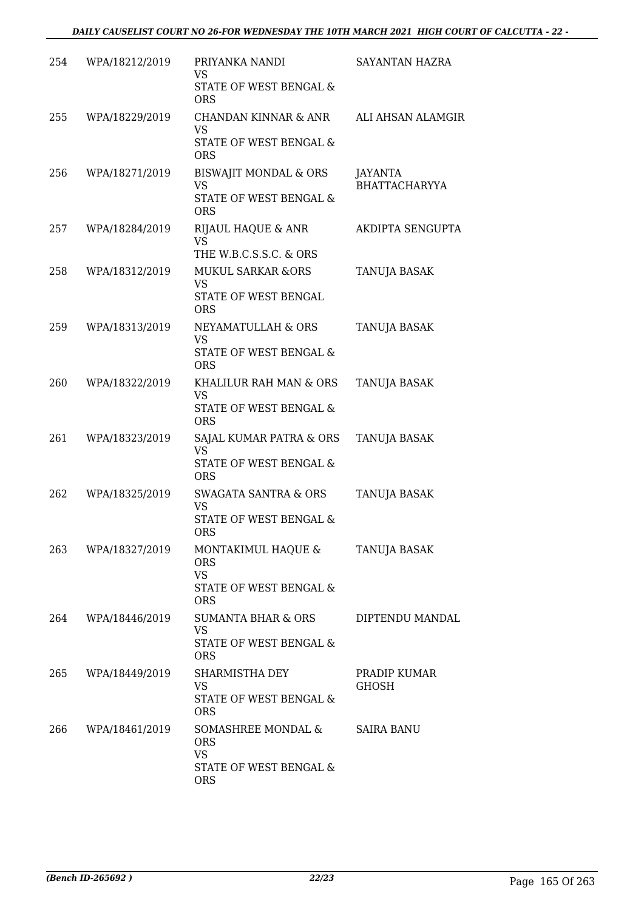| 254 | WPA/18212/2019 | PRIYANKA NANDI<br>VS<br>STATE OF WEST BENGAL &<br><b>ORS</b>                             | SAYANTAN HAZRA                  |
|-----|----------------|------------------------------------------------------------------------------------------|---------------------------------|
| 255 | WPA/18229/2019 | CHANDAN KINNAR & ANR<br>VS<br>STATE OF WEST BENGAL &<br><b>ORS</b>                       | ALI AHSAN ALAMGIR               |
| 256 | WPA/18271/2019 | BISWAJIT MONDAL & ORS<br><b>VS</b><br>STATE OF WEST BENGAL &<br><b>ORS</b>               | JAYANTA<br><b>BHATTACHARYYA</b> |
| 257 | WPA/18284/2019 | RIJAUL HAQUE & ANR<br>VS<br>THE W.B.C.S.S.C. & ORS                                       | AKDIPTA SENGUPTA                |
| 258 | WPA/18312/2019 | <b>MUKUL SARKAR &amp;ORS</b><br>VS<br>STATE OF WEST BENGAL<br><b>ORS</b>                 | <b>TANUJA BASAK</b>             |
| 259 | WPA/18313/2019 | NEYAMATULLAH & ORS<br><b>VS</b><br>STATE OF WEST BENGAL &<br><b>ORS</b>                  | TANUJA BASAK                    |
| 260 | WPA/18322/2019 | KHALILUR RAH MAN & ORS<br>VS<br>STATE OF WEST BENGAL &<br><b>ORS</b>                     | TANUJA BASAK                    |
| 261 | WPA/18323/2019 | SAJAL KUMAR PATRA & ORS<br><b>VS</b><br>STATE OF WEST BENGAL &<br><b>ORS</b>             | TANUJA BASAK                    |
| 262 | WPA/18325/2019 | <b>SWAGATA SANTRA &amp; ORS</b><br><b>VS</b><br><b>STATE OF WEST BENGAL &amp;</b><br>ORS | TANUJA BASAK                    |
| 263 | WPA/18327/2019 | MONTAKIMUL HAQUE &<br><b>ORS</b><br><b>VS</b><br>STATE OF WEST BENGAL &<br><b>ORS</b>    | TANUJA BASAK                    |
| 264 | WPA/18446/2019 | SUMANTA BHAR & ORS<br>VS<br>STATE OF WEST BENGAL &<br><b>ORS</b>                         | DIPTENDU MANDAL                 |
| 265 | WPA/18449/2019 | SHARMISTHA DEY<br>VS<br>STATE OF WEST BENGAL &<br><b>ORS</b>                             | PRADIP KUMAR<br><b>GHOSH</b>    |
| 266 | WPA/18461/2019 | SOMASHREE MONDAL &<br><b>ORS</b><br><b>VS</b><br>STATE OF WEST BENGAL &<br><b>ORS</b>    | SAIRA BANU                      |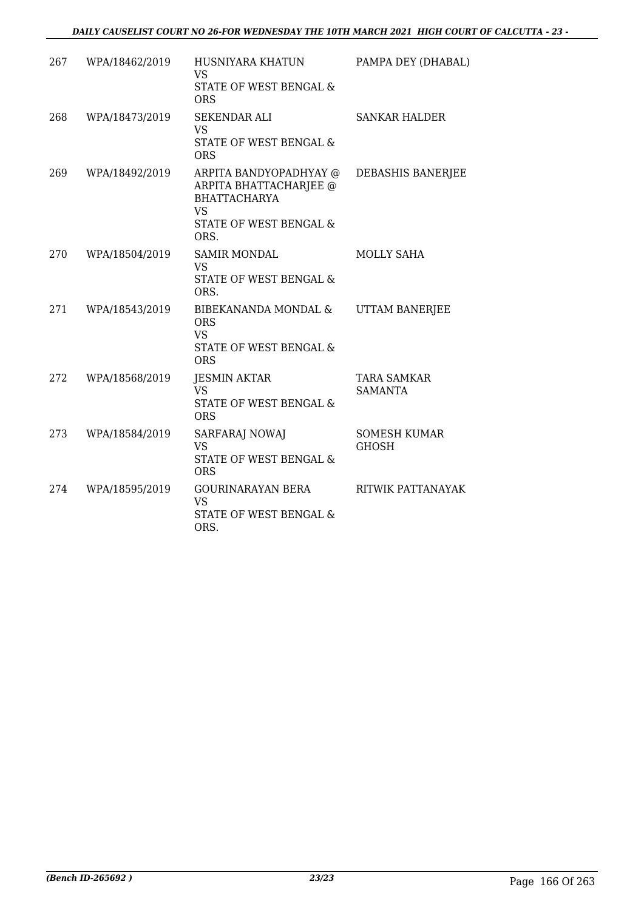| 267 | WPA/18462/2019 | HUSNIYARA KHATUN<br><b>VS</b><br>STATE OF WEST BENGAL &<br><b>ORS</b>                                                  | PAMPA DEY (DHABAL)                  |
|-----|----------------|------------------------------------------------------------------------------------------------------------------------|-------------------------------------|
| 268 | WPA/18473/2019 | <b>SEKENDAR ALI</b><br><b>VS</b><br>STATE OF WEST BENGAL &<br><b>ORS</b>                                               | <b>SANKAR HALDER</b>                |
| 269 | WPA/18492/2019 | ARPITA BANDYOPADHYAY @<br>ARPITA BHATTACHARJEE @<br><b>BHATTACHARYA</b><br><b>VS</b><br>STATE OF WEST BENGAL &<br>ORS. | DEBASHIS BANERJEE                   |
| 270 | WPA/18504/2019 | <b>SAMIR MONDAL</b><br><b>VS</b><br>STATE OF WEST BENGAL &<br>ORS.                                                     | MOLLY SAHA                          |
| 271 | WPA/18543/2019 | BIBEKANANDA MONDAL &<br><b>ORS</b><br><b>VS</b><br>STATE OF WEST BENGAL &<br><b>ORS</b>                                | <b>UTTAM BANERJEE</b>               |
| 272 | WPA/18568/2019 | <b>JESMIN AKTAR</b><br><b>VS</b><br>STATE OF WEST BENGAL &<br><b>ORS</b>                                               | TARA SAMKAR<br><b>SAMANTA</b>       |
| 273 | WPA/18584/2019 | SARFARAJ NOWAJ<br><b>VS</b><br>STATE OF WEST BENGAL &<br><b>ORS</b>                                                    | <b>SOMESH KUMAR</b><br><b>GHOSH</b> |
| 274 | WPA/18595/2019 | GOURINARAYAN BERA<br><b>VS</b><br>STATE OF WEST BENGAL &<br>ORS.                                                       | RITWIK PATTANAYAK                   |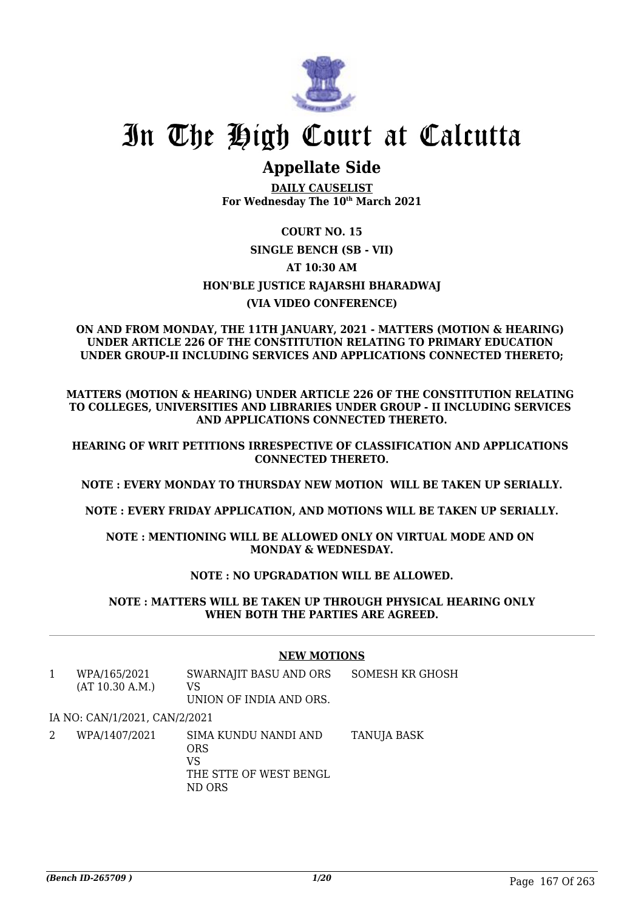

# In The High Court at Calcutta

# **Appellate Side**

**DAILY CAUSELIST For Wednesday The 10th March 2021**

# **COURT NO. 15 SINGLE BENCH (SB - VII) AT 10:30 AM HON'BLE JUSTICE RAJARSHI BHARADWAJ (VIA VIDEO CONFERENCE)**

#### **ON AND FROM MONDAY, THE 11TH JANUARY, 2021 - MATTERS (MOTION & HEARING) UNDER ARTICLE 226 OF THE CONSTITUTION RELATING TO PRIMARY EDUCATION UNDER GROUP-II INCLUDING SERVICES AND APPLICATIONS CONNECTED THERETO;**

**MATTERS (MOTION & HEARING) UNDER ARTICLE 226 OF THE CONSTITUTION RELATING TO COLLEGES, UNIVERSITIES AND LIBRARIES UNDER GROUP - II INCLUDING SERVICES AND APPLICATIONS CONNECTED THERETO.**

**HEARING OF WRIT PETITIONS IRRESPECTIVE OF CLASSIFICATION AND APPLICATIONS CONNECTED THERETO.**

**NOTE : EVERY MONDAY TO THURSDAY NEW MOTION WILL BE TAKEN UP SERIALLY.**

**NOTE : EVERY FRIDAY APPLICATION, AND MOTIONS WILL BE TAKEN UP SERIALLY.**

**NOTE : MENTIONING WILL BE ALLOWED ONLY ON VIRTUAL MODE AND ON MONDAY & WEDNESDAY.**

### **NOTE : NO UPGRADATION WILL BE ALLOWED.**

**NOTE : MATTERS WILL BE TAKEN UP THROUGH PHYSICAL HEARING ONLY WHEN BOTH THE PARTIES ARE AGREED.**

|   |                                 | <b>NEW MOTIONS</b>                                                           |                 |
|---|---------------------------------|------------------------------------------------------------------------------|-----------------|
| 1 | WPA/165/2021<br>(AT 10.30 A.M.) | SWARNAJIT BASU AND ORS<br>VS<br>UNION OF INDIA AND ORS.                      | SOMESH KR GHOSH |
|   | IA NO: CAN/1/2021, CAN/2/2021   |                                                                              |                 |
| 2 | WPA/1407/2021                   | SIMA KUNDU NANDI AND<br><b>ORS</b><br>VS<br>THE STTE OF WEST BENGL<br>ND ORS | TANUJA BASK     |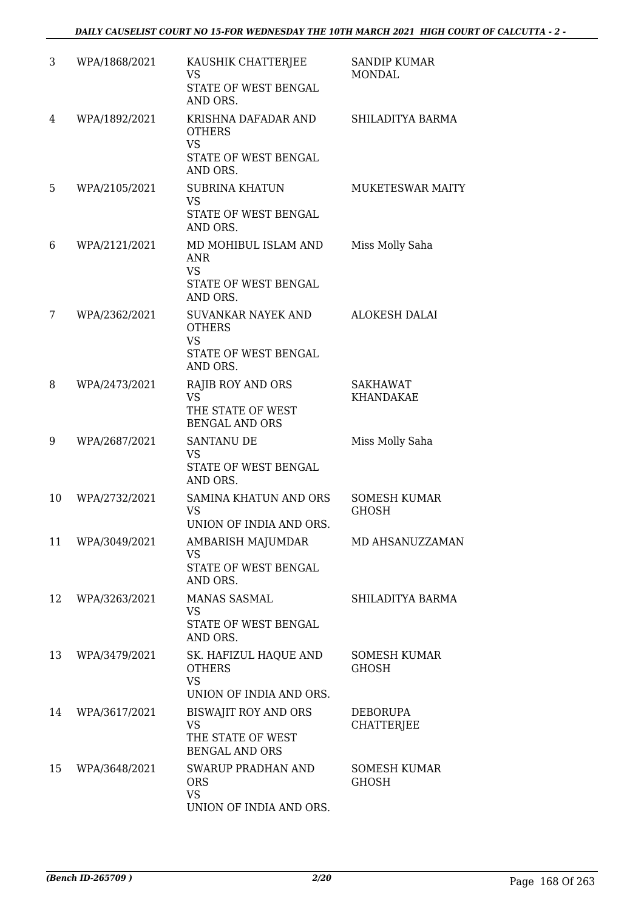| 3  | WPA/1868/2021 | KAUSHIK CHATTERJEE<br><b>VS</b><br>STATE OF WEST BENGAL<br>AND ORS.                    | <b>SANDIP KUMAR</b><br><b>MONDAL</b> |
|----|---------------|----------------------------------------------------------------------------------------|--------------------------------------|
| 4  | WPA/1892/2021 | KRISHNA DAFADAR AND<br><b>OTHERS</b><br><b>VS</b><br>STATE OF WEST BENGAL<br>AND ORS.  | SHILADITYA BARMA                     |
| 5  | WPA/2105/2021 | <b>SUBRINA KHATUN</b><br><b>VS</b><br>STATE OF WEST BENGAL<br>AND ORS.                 | MUKETESWAR MAITY                     |
| 6  | WPA/2121/2021 | MD MOHIBUL ISLAM AND<br><b>ANR</b><br><b>VS</b><br>STATE OF WEST BENGAL<br>AND ORS.    | Miss Molly Saha                      |
| 7  | WPA/2362/2021 | SUVANKAR NAYEK AND<br><b>OTHERS</b><br><b>VS</b><br>STATE OF WEST BENGAL<br>AND ORS.   | <b>ALOKESH DALAI</b>                 |
| 8  | WPA/2473/2021 | <b>RAJIB ROY AND ORS</b><br><b>VS</b><br>THE STATE OF WEST<br><b>BENGAL AND ORS</b>    | SAKHAWAT<br><b>KHANDAKAE</b>         |
| 9  | WPA/2687/2021 | <b>SANTANU DE</b><br><b>VS</b><br>STATE OF WEST BENGAL<br>AND ORS.                     | Miss Molly Saha                      |
| 10 | WPA/2732/2021 | SAMINA KHATUN AND ORS<br><b>VS</b><br>UNION OF INDIA AND ORS.                          | <b>SOMESH KUMAR</b><br><b>GHOSH</b>  |
| 11 | WPA/3049/2021 | AMBARISH MAJUMDAR<br><b>VS</b><br>STATE OF WEST BENGAL<br>AND ORS.                     | MD AHSANUZZAMAN                      |
| 12 | WPA/3263/2021 | MANAS SASMAL<br>VS.<br>STATE OF WEST BENGAL<br>AND ORS.                                | SHILADITYA BARMA                     |
| 13 | WPA/3479/2021 | SK. HAFIZUL HAQUE AND<br><b>OTHERS</b><br><b>VS</b><br>UNION OF INDIA AND ORS.         | <b>SOMESH KUMAR</b><br><b>GHOSH</b>  |
| 14 | WPA/3617/2021 | <b>BISWAJIT ROY AND ORS</b><br><b>VS</b><br>THE STATE OF WEST<br><b>BENGAL AND ORS</b> | <b>DEBORUPA</b><br><b>CHATTERJEE</b> |
| 15 | WPA/3648/2021 | <b>SWARUP PRADHAN AND</b><br><b>ORS</b><br><b>VS</b><br>UNION OF INDIA AND ORS.        | <b>SOMESH KUMAR</b><br><b>GHOSH</b>  |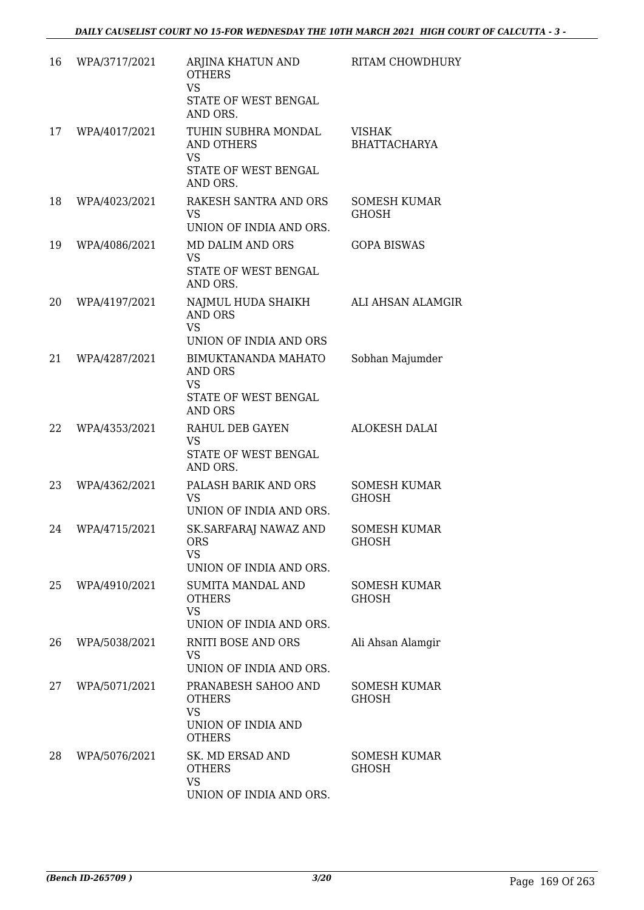| 16 | WPA/3717/2021 | ARJINA KHATUN AND<br><b>OTHERS</b><br><b>VS</b><br>STATE OF WEST BENGAL<br>AND ORS.                 | RITAM CHOWDHURY                      |
|----|---------------|-----------------------------------------------------------------------------------------------------|--------------------------------------|
| 17 | WPA/4017/2021 | TUHIN SUBHRA MONDAL<br><b>AND OTHERS</b><br><b>VS</b><br>STATE OF WEST BENGAL<br>AND ORS.           | <b>VISHAK</b><br><b>BHATTACHARYA</b> |
| 18 | WPA/4023/2021 | RAKESH SANTRA AND ORS<br><b>VS</b><br>UNION OF INDIA AND ORS.                                       | <b>SOMESH KUMAR</b><br><b>GHOSH</b>  |
| 19 | WPA/4086/2021 | MD DALIM AND ORS<br><b>VS</b><br>STATE OF WEST BENGAL<br>AND ORS.                                   | <b>GOPA BISWAS</b>                   |
| 20 | WPA/4197/2021 | NAJMUL HUDA SHAIKH<br><b>AND ORS</b><br><b>VS</b><br>UNION OF INDIA AND ORS                         | ALI AHSAN ALAMGIR                    |
| 21 | WPA/4287/2021 | <b>BIMUKTANANDA MAHATO</b><br><b>AND ORS</b><br><b>VS</b><br>STATE OF WEST BENGAL<br><b>AND ORS</b> | Sobhan Majumder                      |
| 22 | WPA/4353/2021 | RAHUL DEB GAYEN<br><b>VS</b><br>STATE OF WEST BENGAL<br>AND ORS.                                    | <b>ALOKESH DALAI</b>                 |
| 23 | WPA/4362/2021 | PALASH BARIK AND ORS<br><b>VS</b><br>UNION OF INDIA AND ORS.                                        | <b>SOMESH KUMAR</b><br><b>GHOSH</b>  |
| 24 | WPA/4715/2021 | SK.SARFARAJ NAWAZ AND<br><b>ORS</b><br><b>VS</b><br>UNION OF INDIA AND ORS.                         | <b>SOMESH KUMAR</b><br><b>GHOSH</b>  |
| 25 | WPA/4910/2021 | <b>SUMITA MANDAL AND</b><br><b>OTHERS</b><br><b>VS</b><br>UNION OF INDIA AND ORS.                   | <b>SOMESH KUMAR</b><br><b>GHOSH</b>  |
| 26 | WPA/5038/2021 | <b>RNITI BOSE AND ORS</b><br><b>VS</b><br>UNION OF INDIA AND ORS.                                   | Ali Ahsan Alamgir                    |
| 27 | WPA/5071/2021 | PRANABESH SAHOO AND<br><b>OTHERS</b><br><b>VS</b><br>UNION OF INDIA AND<br><b>OTHERS</b>            | <b>SOMESH KUMAR</b><br><b>GHOSH</b>  |
| 28 | WPA/5076/2021 | SK. MD ERSAD AND<br><b>OTHERS</b><br><b>VS</b><br>UNION OF INDIA AND ORS.                           | <b>SOMESH KUMAR</b><br><b>GHOSH</b>  |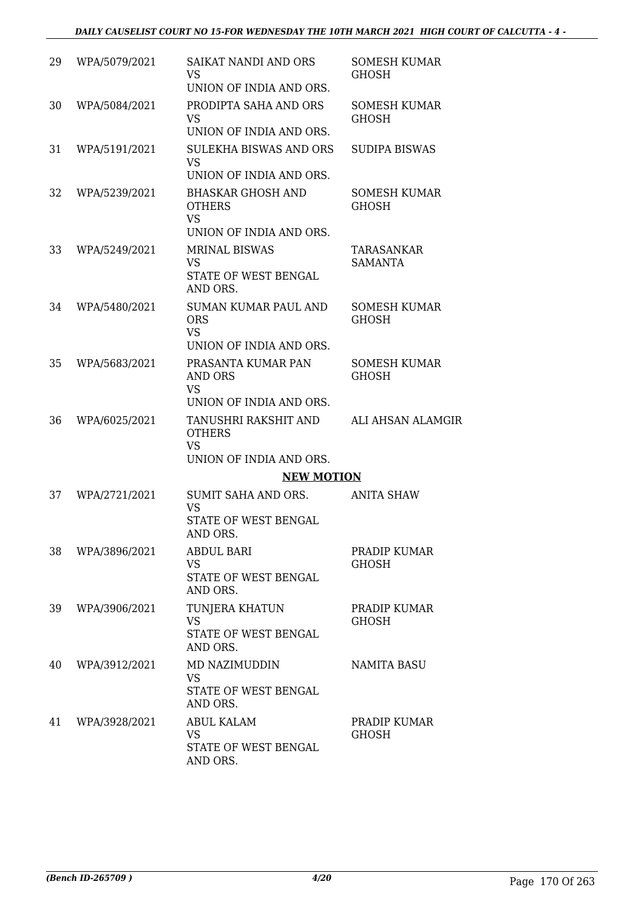| 29 | WPA/5079/2021 | SAIKAT NANDI AND ORS<br><b>VS</b><br>UNION OF INDIA AND ORS.                                            | <b>SOMESH KUMAR</b><br><b>GHOSH</b> |
|----|---------------|---------------------------------------------------------------------------------------------------------|-------------------------------------|
| 30 | WPA/5084/2021 | PRODIPTA SAHA AND ORS<br><b>VS</b><br>UNION OF INDIA AND ORS.                                           | <b>SOMESH KUMAR</b><br><b>GHOSH</b> |
| 31 | WPA/5191/2021 | SULEKHA BISWAS AND ORS<br><b>VS</b><br>UNION OF INDIA AND ORS.                                          | SUDIPA BISWAS                       |
| 32 | WPA/5239/2021 | <b>BHASKAR GHOSH AND</b><br><b>OTHERS</b><br><b>VS</b><br>UNION OF INDIA AND ORS.                       | <b>SOMESH KUMAR</b><br><b>GHOSH</b> |
| 33 | WPA/5249/2021 | <b>MRINAL BISWAS</b><br><b>VS</b><br>STATE OF WEST BENGAL<br>AND ORS.                                   | TARASANKAR<br><b>SAMANTA</b>        |
| 34 | WPA/5480/2021 | <b>SUMAN KUMAR PAUL AND</b><br><b>ORS</b><br><b>VS</b>                                                  | <b>SOMESH KUMAR</b><br>GHOSH        |
| 35 | WPA/5683/2021 | UNION OF INDIA AND ORS.<br>PRASANTA KUMAR PAN<br><b>AND ORS</b><br><b>VS</b><br>UNION OF INDIA AND ORS. | <b>SOMESH KUMAR</b><br><b>GHOSH</b> |
| 36 | WPA/6025/2021 | TANUSHRI RAKSHIT AND<br><b>OTHERS</b><br><b>VS</b><br>UNION OF INDIA AND ORS.                           | ALI AHSAN ALAMGIR                   |
|    |               | <b>NEW MOTION</b>                                                                                       |                                     |
| 37 | WPA/2721/2021 | SUMIT SAHA AND ORS.<br><b>VS</b><br>STATE OF WEST BENGAL<br>AND ORS.                                    | <b>ANITA SHAW</b>                   |
| 38 | WPA/3896/2021 | <b>ABDUL BARI</b><br><b>VS</b><br>STATE OF WEST BENGAL<br>AND ORS.                                      | PRADIP KUMAR<br><b>GHOSH</b>        |
| 39 | WPA/3906/2021 | TUNJERA KHATUN<br><b>VS</b><br>STATE OF WEST BENGAL<br>AND ORS.                                         | PRADIP KUMAR<br><b>GHOSH</b>        |
| 40 | WPA/3912/2021 | MD NAZIMUDDIN<br><b>VS</b><br>STATE OF WEST BENGAL<br>AND ORS.                                          | <b>NAMITA BASU</b>                  |
| 41 | WPA/3928/2021 | <b>ABUL KALAM</b><br><b>VS</b><br>STATE OF WEST BENGAL<br>AND ORS.                                      | PRADIP KUMAR<br><b>GHOSH</b>        |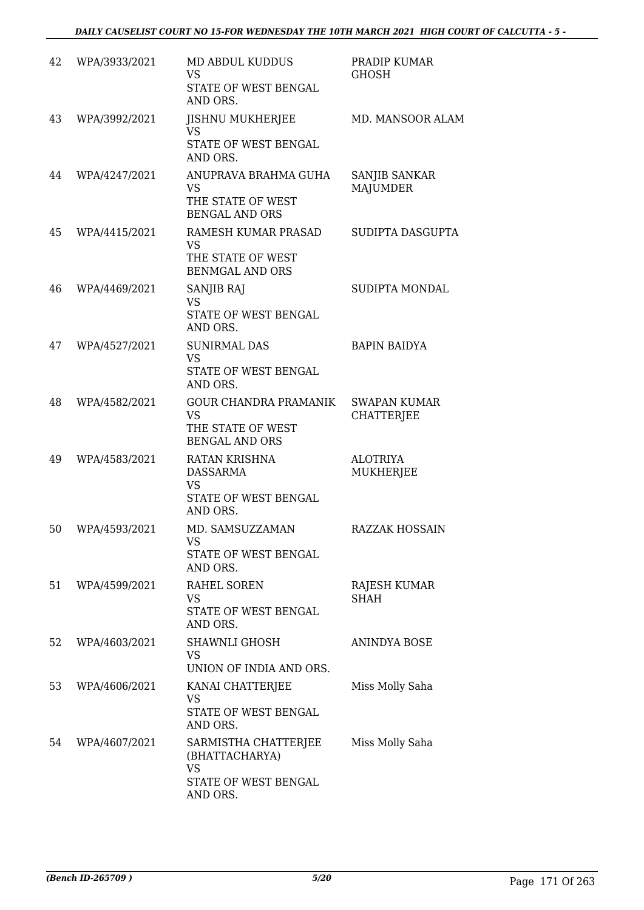| 42 | WPA/3933/2021 | MD ABDUL KUDDUS<br><b>VS</b><br>STATE OF WEST BENGAL<br>AND ORS.                         | PRADIP KUMAR<br><b>GHOSH</b>             |
|----|---------------|------------------------------------------------------------------------------------------|------------------------------------------|
| 43 | WPA/3992/2021 | <b>JISHNU MUKHERJEE</b><br><b>VS</b><br>STATE OF WEST BENGAL<br>AND ORS.                 | MD. MANSOOR ALAM                         |
| 44 | WPA/4247/2021 | ANUPRAVA BRAHMA GUHA<br><b>VS</b><br>THE STATE OF WEST<br><b>BENGAL AND ORS</b>          | SANJIB SANKAR<br><b>MAJUMDER</b>         |
| 45 | WPA/4415/2021 | RAMESH KUMAR PRASAD<br><b>VS</b><br>THE STATE OF WEST<br><b>BENMGAL AND ORS</b>          | SUDIPTA DASGUPTA                         |
| 46 | WPA/4469/2021 | SANJIB RAJ<br><b>VS</b><br>STATE OF WEST BENGAL<br>AND ORS.                              | SUDIPTA MONDAL                           |
| 47 | WPA/4527/2021 | <b>SUNIRMAL DAS</b><br><b>VS</b><br>STATE OF WEST BENGAL<br>AND ORS.                     | <b>BAPIN BAIDYA</b>                      |
| 48 | WPA/4582/2021 | <b>GOUR CHANDRA PRAMANIK</b><br><b>VS</b><br>THE STATE OF WEST<br><b>BENGAL AND ORS</b>  | <b>SWAPAN KUMAR</b><br><b>CHATTERJEE</b> |
| 49 | WPA/4583/2021 | <b>RATAN KRISHNA</b><br><b>DASSARMA</b><br><b>VS</b><br>STATE OF WEST BENGAL<br>AND ORS. | <b>ALOTRIYA</b><br><b>MUKHERJEE</b>      |
| 50 | WPA/4593/2021 | MD. SAMSUZZAMAN<br><b>VS</b><br>STATE OF WEST BENGAL<br>AND ORS.                         | <b>RAZZAK HOSSAIN</b>                    |
| 51 | WPA/4599/2021 | RAHEL SOREN<br>VS<br>STATE OF WEST BENGAL<br>AND ORS.                                    | RAJESH KUMAR<br><b>SHAH</b>              |
| 52 | WPA/4603/2021 | <b>SHAWNLI GHOSH</b><br><b>VS</b><br>UNION OF INDIA AND ORS.                             | <b>ANINDYA BOSE</b>                      |
| 53 | WPA/4606/2021 | KANAI CHATTERJEE<br>VS<br>STATE OF WEST BENGAL<br>AND ORS.                               | Miss Molly Saha                          |
| 54 | WPA/4607/2021 | SARMISTHA CHATTERJEE<br>(BHATTACHARYA)<br><b>VS</b><br>STATE OF WEST BENGAL<br>AND ORS.  | Miss Molly Saha                          |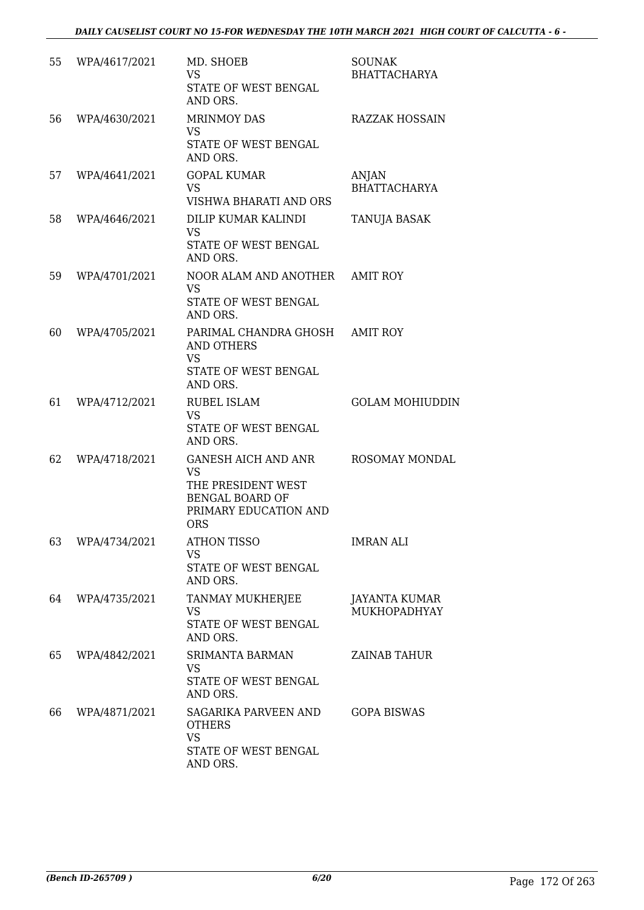| 55 | WPA/4617/2021 | MD. SHOEB<br><b>VS</b><br>STATE OF WEST BENGAL<br>AND ORS.                                                              | <b>SOUNAK</b><br><b>BHATTACHARYA</b> |
|----|---------------|-------------------------------------------------------------------------------------------------------------------------|--------------------------------------|
| 56 | WPA/4630/2021 | <b>MRINMOY DAS</b><br><b>VS</b><br>STATE OF WEST BENGAL<br>AND ORS.                                                     | <b>RAZZAK HOSSAIN</b>                |
| 57 | WPA/4641/2021 | <b>GOPAL KUMAR</b><br><b>VS</b><br>VISHWA BHARATI AND ORS                                                               | <b>ANJAN</b><br><b>BHATTACHARYA</b>  |
| 58 | WPA/4646/2021 | DILIP KUMAR KALINDI<br><b>VS</b><br>STATE OF WEST BENGAL<br>AND ORS.                                                    | TANUJA BASAK                         |
| 59 | WPA/4701/2021 | NOOR ALAM AND ANOTHER AMIT ROY<br><b>VS</b><br>STATE OF WEST BENGAL<br>AND ORS.                                         |                                      |
| 60 | WPA/4705/2021 | PARIMAL CHANDRA GHOSH<br><b>AND OTHERS</b><br><b>VS</b><br>STATE OF WEST BENGAL<br>AND ORS.                             | <b>AMIT ROY</b>                      |
| 61 | WPA/4712/2021 | RUBEL ISLAM<br><b>VS</b><br>STATE OF WEST BENGAL<br>AND ORS.                                                            | <b>GOLAM MOHIUDDIN</b>               |
| 62 | WPA/4718/2021 | <b>GANESH AICH AND ANR</b><br><b>VS</b><br>THE PRESIDENT WEST<br><b>BENGAL BOARD OF</b><br>PRIMARY EDUCATION AND<br>ORS | ROSOMAY MONDAL                       |
| 63 | WPA/4734/2021 | <b>ATHON TISSO</b><br><b>VS</b><br>STATE OF WEST BENGAL<br>AND ORS.                                                     | <b>IMRAN ALI</b>                     |
| 64 | WPA/4735/2021 | TANMAY MUKHERJEE<br><b>VS</b><br>STATE OF WEST BENGAL<br>AND ORS.                                                       | JAYANTA KUMAR<br>MUKHOPADHYAY        |
| 65 | WPA/4842/2021 | <b>SRIMANTA BARMAN</b><br><b>VS</b><br>STATE OF WEST BENGAL<br>AND ORS.                                                 | <b>ZAINAB TAHUR</b>                  |
| 66 | WPA/4871/2021 | SAGARIKA PARVEEN AND<br><b>OTHERS</b><br><b>VS</b><br>STATE OF WEST BENGAL<br>AND ORS.                                  | <b>GOPA BISWAS</b>                   |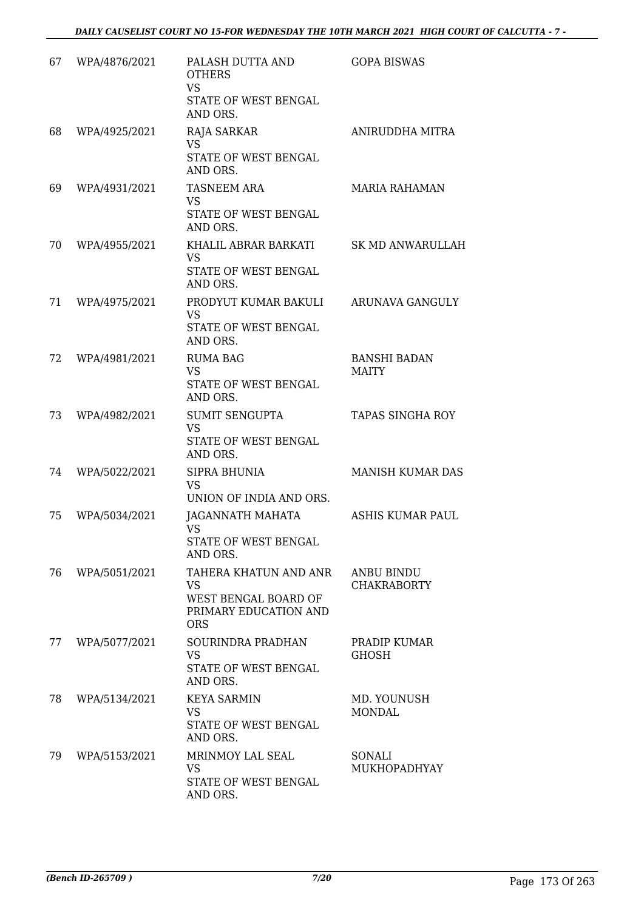| 67 | WPA/4876/2021 | PALASH DUTTA AND<br><b>OTHERS</b><br><b>VS</b><br>STATE OF WEST BENGAL<br>AND ORS.                | <b>GOPA BISWAS</b>                      |
|----|---------------|---------------------------------------------------------------------------------------------------|-----------------------------------------|
| 68 | WPA/4925/2021 | RAJA SARKAR<br><b>VS</b><br>STATE OF WEST BENGAL<br>AND ORS.                                      | ANIRUDDHA MITRA                         |
| 69 | WPA/4931/2021 | <b>TASNEEM ARA</b><br><b>VS</b><br>STATE OF WEST BENGAL<br>AND ORS.                               | <b>MARIA RAHAMAN</b>                    |
| 70 | WPA/4955/2021 | KHALIL ABRAR BARKATI<br><b>VS</b><br>STATE OF WEST BENGAL<br>AND ORS.                             | <b>SK MD ANWARULLAH</b>                 |
| 71 | WPA/4975/2021 | PRODYUT KUMAR BAKULI<br><b>VS</b><br>STATE OF WEST BENGAL<br>AND ORS.                             | ARUNAVA GANGULY                         |
| 72 | WPA/4981/2021 | <b>RUMA BAG</b><br><b>VS</b><br>STATE OF WEST BENGAL<br>AND ORS.                                  | <b>BANSHI BADAN</b><br><b>MAITY</b>     |
| 73 | WPA/4982/2021 | <b>SUMIT SENGUPTA</b><br><b>VS</b><br>STATE OF WEST BENGAL<br>AND ORS.                            | <b>TAPAS SINGHA ROY</b>                 |
| 74 | WPA/5022/2021 | <b>SIPRA BHUNIA</b><br><b>VS</b><br>UNION OF INDIA AND ORS.                                       | <b>MANISH KUMAR DAS</b>                 |
| 75 | WPA/5034/2021 | JAGANNATH MAHATA<br><b>VS</b><br>STATE OF WEST BENGAL<br>AND ORS.                                 | ASHIS KUMAR PAUL                        |
| 76 | WPA/5051/2021 | TAHERA KHATUN AND ANR<br><b>VS</b><br>WEST BENGAL BOARD OF<br>PRIMARY EDUCATION AND<br><b>ORS</b> | <b>ANBU BINDU</b><br><b>CHAKRABORTY</b> |
| 77 | WPA/5077/2021 | SOURINDRA PRADHAN<br><b>VS</b><br>STATE OF WEST BENGAL<br>AND ORS.                                | PRADIP KUMAR<br><b>GHOSH</b>            |
| 78 | WPA/5134/2021 | <b>KEYA SARMIN</b><br><b>VS</b><br>STATE OF WEST BENGAL<br>AND ORS.                               | MD. YOUNUSH<br><b>MONDAL</b>            |
| 79 | WPA/5153/2021 | MRINMOY LAL SEAL<br><b>VS</b><br>STATE OF WEST BENGAL<br>AND ORS.                                 | SONALI<br>MUKHOPADHYAY                  |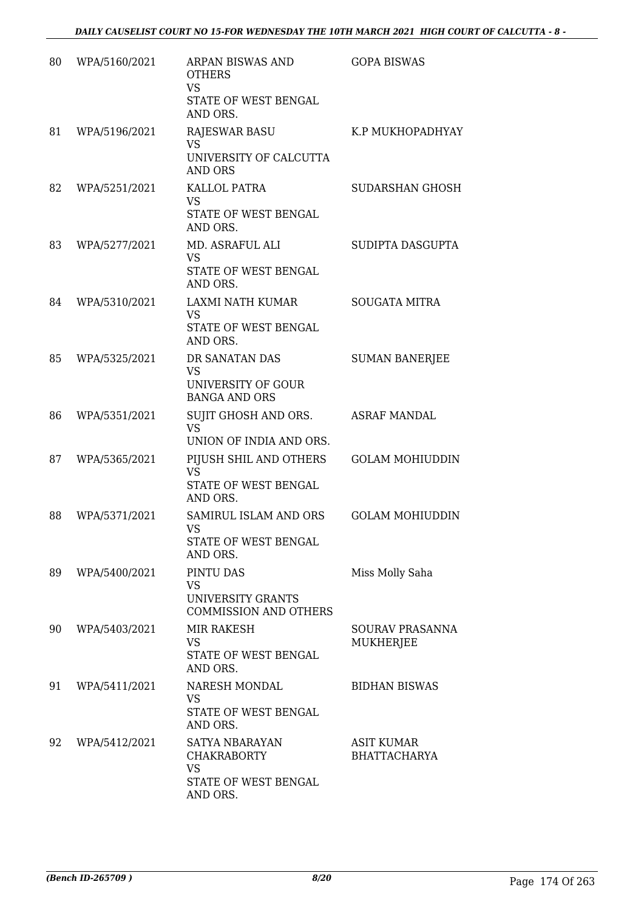| 80 | WPA/5160/2021 | ARPAN BISWAS AND<br><b>OTHERS</b><br><b>VS</b><br>STATE OF WEST BENGAL<br>AND ORS.    | <b>GOPA BISWAS</b>                |
|----|---------------|---------------------------------------------------------------------------------------|-----------------------------------|
| 81 | WPA/5196/2021 | <b>RAJESWAR BASU</b><br><b>VS</b><br>UNIVERSITY OF CALCUTTA                           | K.P MUKHOPADHYAY                  |
| 82 | WPA/5251/2021 | <b>AND ORS</b><br>KALLOL PATRA<br><b>VS</b><br>STATE OF WEST BENGAL<br>AND ORS.       | SUDARSHAN GHOSH                   |
| 83 | WPA/5277/2021 | MD. ASRAFUL ALI<br><b>VS</b><br>STATE OF WEST BENGAL<br>AND ORS.                      | SUDIPTA DASGUPTA                  |
| 84 | WPA/5310/2021 | LAXMI NATH KUMAR<br><b>VS</b><br>STATE OF WEST BENGAL<br>AND ORS.                     | <b>SOUGATA MITRA</b>              |
| 85 | WPA/5325/2021 | DR SANATAN DAS<br><b>VS</b><br>UNIVERSITY OF GOUR<br><b>BANGA AND ORS</b>             | <b>SUMAN BANERJEE</b>             |
| 86 | WPA/5351/2021 | SUJIT GHOSH AND ORS.<br><b>VS</b><br>UNION OF INDIA AND ORS.                          | <b>ASRAF MANDAL</b>               |
| 87 | WPA/5365/2021 | PIJUSH SHIL AND OTHERS<br><b>VS</b><br>STATE OF WEST BENGAL<br>AND ORS.               | <b>GOLAM MOHIUDDIN</b>            |
| 88 | WPA/5371/2021 | SAMIRUL ISLAM AND ORS<br>VS<br>STATE OF WEST BENGAL<br>AND ORS.                       | <b>GOLAM MOHIUDDIN</b>            |
| 89 | WPA/5400/2021 | PINTU DAS<br><b>VS</b><br>UNIVERSITY GRANTS<br><b>COMMISSION AND OTHERS</b>           | Miss Molly Saha                   |
| 90 | WPA/5403/2021 | MIR RAKESH<br>VS<br>STATE OF WEST BENGAL<br>AND ORS.                                  | SOURAV PRASANNA<br>MUKHERJEE      |
| 91 | WPA/5411/2021 | NARESH MONDAL<br><b>VS</b><br>STATE OF WEST BENGAL<br>AND ORS.                        | <b>BIDHAN BISWAS</b>              |
| 92 | WPA/5412/2021 | SATYA NBARAYAN<br><b>CHAKRABORTY</b><br><b>VS</b><br>STATE OF WEST BENGAL<br>AND ORS. | ASIT KUMAR<br><b>BHATTACHARYA</b> |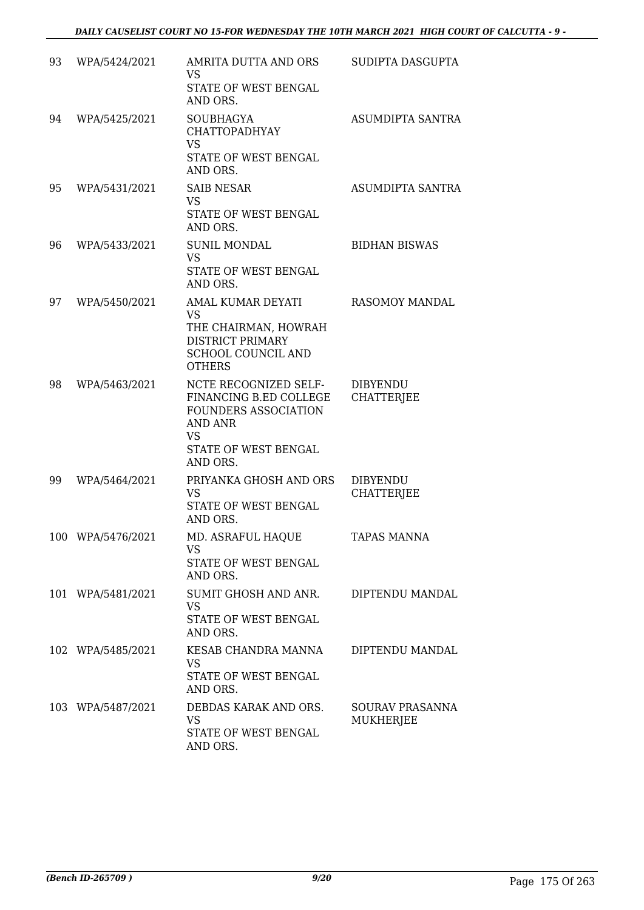| 93 | WPA/5424/2021     | AMRITA DUTTA AND ORS<br>VS<br>STATE OF WEST BENGAL<br>AND ORS.                                                                             | SUDIPTA DASGUPTA                     |
|----|-------------------|--------------------------------------------------------------------------------------------------------------------------------------------|--------------------------------------|
| 94 | WPA/5425/2021     | <b>SOUBHAGYA</b><br><b>CHATTOPADHYAY</b><br><b>VS</b><br><b>STATE OF WEST BENGAL</b><br>AND ORS.                                           | ASUMDIPTA SANTRA                     |
| 95 | WPA/5431/2021     | <b>SAIB NESAR</b><br><b>VS</b><br>STATE OF WEST BENGAL<br>AND ORS.                                                                         | ASUMDIPTA SANTRA                     |
| 96 | WPA/5433/2021     | <b>SUNIL MONDAL</b><br><b>VS</b><br>STATE OF WEST BENGAL<br>AND ORS.                                                                       | <b>BIDHAN BISWAS</b>                 |
| 97 | WPA/5450/2021     | AMAL KUMAR DEYATI<br><b>VS</b><br>THE CHAIRMAN, HOWRAH<br><b>DISTRICT PRIMARY</b><br>SCHOOL COUNCIL AND<br><b>OTHERS</b>                   | <b>RASOMOY MANDAL</b>                |
| 98 | WPA/5463/2021     | NCTE RECOGNIZED SELF-<br>FINANCING B.ED COLLEGE<br><b>FOUNDERS ASSOCIATION</b><br>AND ANR<br><b>VS</b><br>STATE OF WEST BENGAL<br>AND ORS. | <b>DIBYENDU</b><br><b>CHATTERJEE</b> |
| 99 | WPA/5464/2021     | PRIYANKA GHOSH AND ORS<br><b>VS</b><br>STATE OF WEST BENGAL<br>AND ORS.                                                                    | <b>DIBYENDU</b><br><b>CHATTERJEE</b> |
|    | 100 WPA/5476/2021 | MD. ASRAFUL HAQUE<br><b>VS</b><br><b>STATE OF WEST BENGAL</b><br>AND ORS.                                                                  | <b>TAPAS MANNA</b>                   |
|    | 101 WPA/5481/2021 | SUMIT GHOSH AND ANR.<br><b>VS</b><br>STATE OF WEST BENGAL<br>AND ORS.                                                                      | DIPTENDU MANDAL                      |
|    | 102 WPA/5485/2021 | KESAB CHANDRA MANNA<br><b>VS</b><br>STATE OF WEST BENGAL<br>AND ORS.                                                                       | DIPTENDU MANDAL                      |
|    | 103 WPA/5487/2021 | DEBDAS KARAK AND ORS.<br><b>VS</b><br>STATE OF WEST BENGAL<br>AND ORS.                                                                     | <b>SOURAV PRASANNA</b><br>MUKHERJEE  |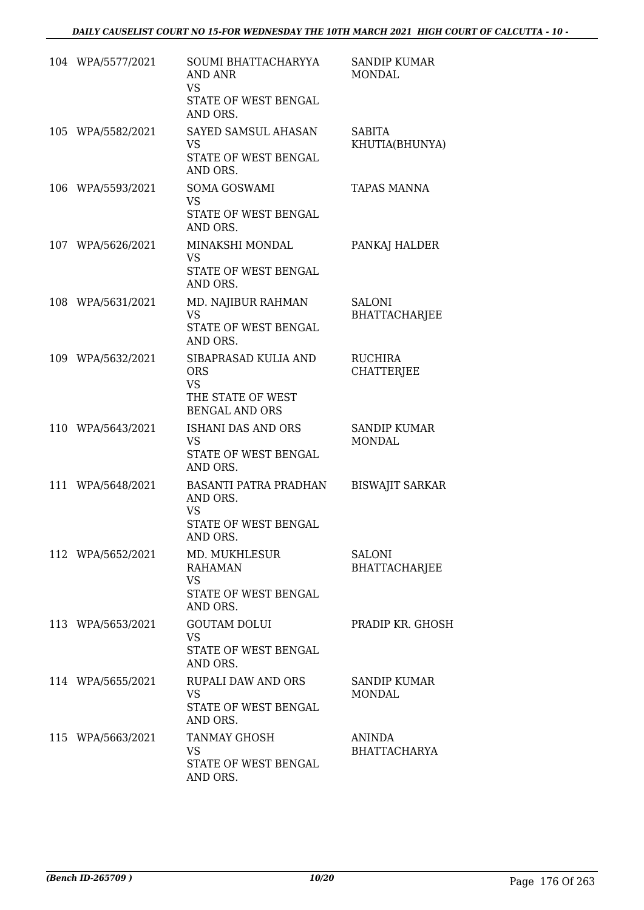| 104 WPA/5577/2021 | SOUMI BHATTACHARYYA<br><b>AND ANR</b><br>VS.<br>STATE OF WEST BENGAL<br>AND ORS.              | <b>SANDIP KUMAR</b><br><b>MONDAL</b>  |
|-------------------|-----------------------------------------------------------------------------------------------|---------------------------------------|
| 105 WPA/5582/2021 | SAYED SAMSUL AHASAN<br><b>VS</b><br>STATE OF WEST BENGAL<br>AND ORS.                          | <b>SABITA</b><br>KHUTIA(BHUNYA)       |
| 106 WPA/5593/2021 | <b>SOMA GOSWAMI</b><br><b>VS</b><br>STATE OF WEST BENGAL<br>AND ORS.                          | <b>TAPAS MANNA</b>                    |
| 107 WPA/5626/2021 | MINAKSHI MONDAL<br><b>VS</b><br>STATE OF WEST BENGAL<br>AND ORS.                              | PANKAJ HALDER                         |
| 108 WPA/5631/2021 | MD. NAJIBUR RAHMAN<br><b>VS</b><br>STATE OF WEST BENGAL<br>AND ORS.                           | <b>SALONI</b><br><b>BHATTACHARJEE</b> |
| 109 WPA/5632/2021 | SIBAPRASAD KULIA AND<br><b>ORS</b><br><b>VS</b><br>THE STATE OF WEST<br><b>BENGAL AND ORS</b> | <b>RUCHIRA</b><br><b>CHATTERJEE</b>   |
| 110 WPA/5643/2021 | ISHANI DAS AND ORS<br><b>VS</b><br>STATE OF WEST BENGAL<br>AND ORS.                           | <b>SANDIP KUMAR</b><br><b>MONDAL</b>  |
| 111 WPA/5648/2021 | BASANTI PATRA PRADHAN<br>AND ORS.<br><b>VS</b><br>STATE OF WEST BENGAL<br>AND ORS.            | <b>BISWAJIT SARKAR</b>                |
| 112 WPA/5652/2021 | MD. MUKHLESUR<br><b>RAHAMAN</b><br><b>VS</b><br>STATE OF WEST BENGAL<br>AND ORS.              | <b>SALONI</b><br><b>BHATTACHARJEE</b> |
| 113 WPA/5653/2021 | <b>GOUTAM DOLUI</b><br><b>VS</b><br>STATE OF WEST BENGAL<br>AND ORS.                          | PRADIP KR. GHOSH                      |
| 114 WPA/5655/2021 | <b>RUPALI DAW AND ORS</b><br><b>VS</b><br>STATE OF WEST BENGAL<br>AND ORS.                    | SANDIP KUMAR<br><b>MONDAL</b>         |
| 115 WPA/5663/2021 | <b>TANMAY GHOSH</b><br><b>VS</b><br>STATE OF WEST BENGAL<br>AND ORS.                          | <b>ANINDA</b><br><b>BHATTACHARYA</b>  |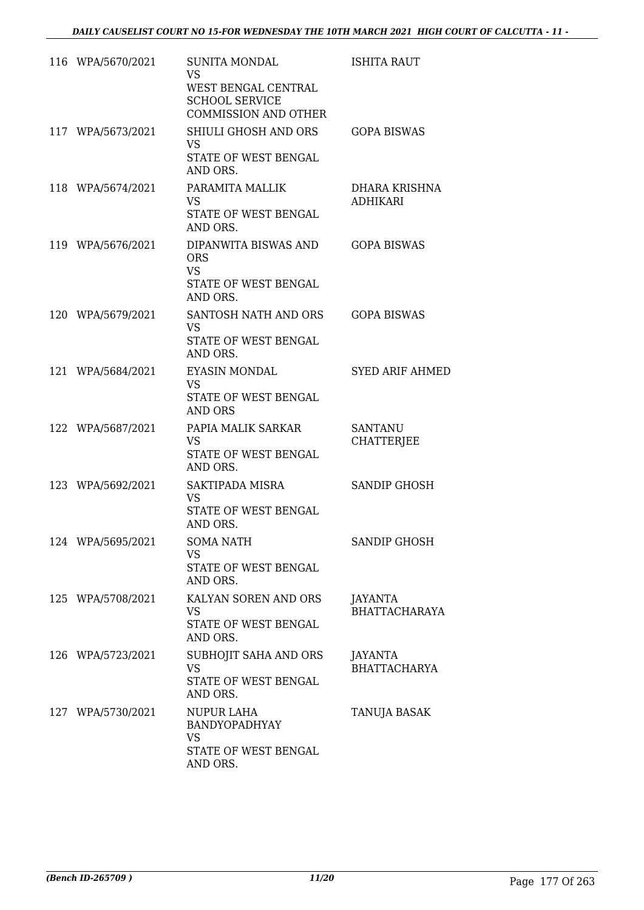| 116 WPA/5670/2021 | <b>SUNITA MONDAL</b><br><b>VS</b><br>WEST BENGAL CENTRAL<br><b>SCHOOL SERVICE</b><br><b>COMMISSION AND OTHER</b> | <b>ISHITA RAUT</b>                    |
|-------------------|------------------------------------------------------------------------------------------------------------------|---------------------------------------|
| 117 WPA/5673/2021 | SHIULI GHOSH AND ORS<br>VS.<br>STATE OF WEST BENGAL<br>AND ORS.                                                  | <b>GOPA BISWAS</b>                    |
| 118 WPA/5674/2021 | PARAMITA MALLIK<br><b>VS</b><br>STATE OF WEST BENGAL<br>AND ORS.                                                 | DHARA KRISHNA<br><b>ADHIKARI</b>      |
| 119 WPA/5676/2021 | DIPANWITA BISWAS AND<br><b>ORS</b><br><b>VS</b><br>STATE OF WEST BENGAL<br>AND ORS.                              | <b>GOPA BISWAS</b>                    |
| 120 WPA/5679/2021 | SANTOSH NATH AND ORS<br><b>VS</b><br>STATE OF WEST BENGAL<br>AND ORS.                                            | <b>GOPA BISWAS</b>                    |
| 121 WPA/5684/2021 | EYASIN MONDAL<br><b>VS</b><br>STATE OF WEST BENGAL<br><b>AND ORS</b>                                             | <b>SYED ARIF AHMED</b>                |
| 122 WPA/5687/2021 | PAPIA MALIK SARKAR<br><b>VS</b><br>STATE OF WEST BENGAL<br>AND ORS.                                              | <b>SANTANU</b><br><b>CHATTERJEE</b>   |
| 123 WPA/5692/2021 | SAKTIPADA MISRA<br><b>VS</b><br>STATE OF WEST BENGAL<br>AND ORS.                                                 | SANDIP GHOSH                          |
| 124 WPA/5695/2021 | <b>SOMA NATH</b><br>VS.<br>STATE OF WEST BENGAL<br>AND ORS.                                                      | <b>SANDIP GHOSH</b>                   |
| 125 WPA/5708/2021 | KALYAN SOREN AND ORS<br><b>VS</b><br>STATE OF WEST BENGAL<br>AND ORS.                                            | JAYANTA<br><b>BHATTACHARAYA</b>       |
| 126 WPA/5723/2021 | SUBHOJIT SAHA AND ORS<br><b>VS</b><br>STATE OF WEST BENGAL<br>AND ORS.                                           | <b>JAYANTA</b><br><b>BHATTACHARYA</b> |
| 127 WPA/5730/2021 | NUPUR LAHA<br>BANDYOPADHYAY<br><b>VS</b><br>STATE OF WEST BENGAL<br>AND ORS.                                     | <b>TANUJA BASAK</b>                   |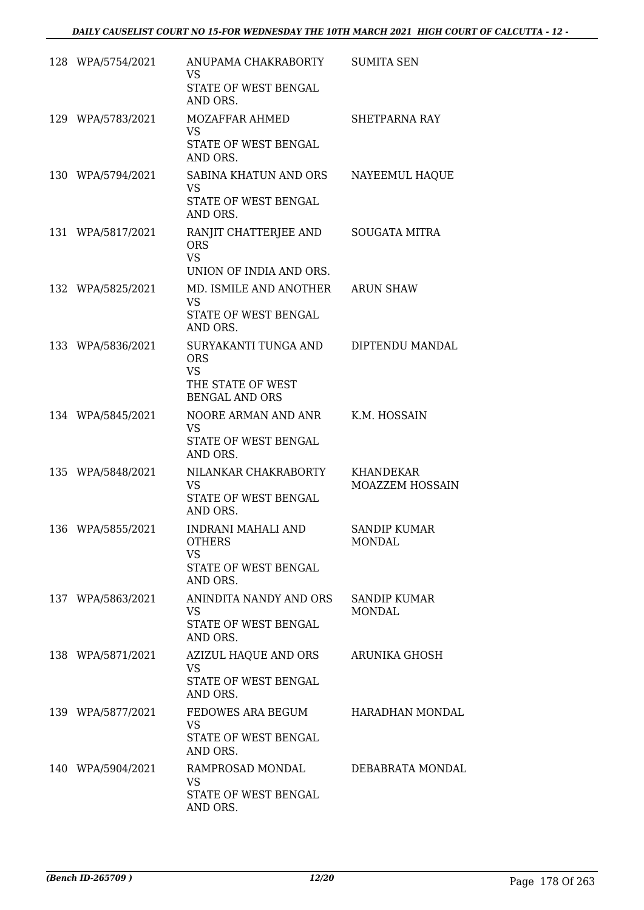| 128 WPA/5754/2021 | ANUPAMA CHAKRABORTY<br>VS<br>STATE OF WEST BENGAL<br>AND ORS.                                 | <b>SUMITA SEN</b>                    |
|-------------------|-----------------------------------------------------------------------------------------------|--------------------------------------|
| 129 WPA/5783/2021 | MOZAFFAR AHMED<br><b>VS</b><br>STATE OF WEST BENGAL<br>AND ORS.                               | SHETPARNA RAY                        |
| 130 WPA/5794/2021 | SABINA KHATUN AND ORS<br><b>VS</b><br>STATE OF WEST BENGAL<br>AND ORS.                        | NAYEEMUL HAQUE                       |
| 131 WPA/5817/2021 | RANJIT CHATTERJEE AND<br><b>ORS</b><br><b>VS</b><br>UNION OF INDIA AND ORS.                   | <b>SOUGATA MITRA</b>                 |
| 132 WPA/5825/2021 | MD. ISMILE AND ANOTHER ARUN SHAW<br><b>VS</b><br>STATE OF WEST BENGAL<br>AND ORS.             |                                      |
| 133 WPA/5836/2021 | SURYAKANTI TUNGA AND<br><b>ORS</b><br><b>VS</b><br>THE STATE OF WEST<br><b>BENGAL AND ORS</b> | DIPTENDU MANDAL                      |
| 134 WPA/5845/2021 | NOORE ARMAN AND ANR<br><b>VS</b><br>STATE OF WEST BENGAL<br>AND ORS.                          | K.M. HOSSAIN                         |
| 135 WPA/5848/2021 | NILANKAR CHAKRABORTY<br><b>VS</b><br>STATE OF WEST BENGAL<br>AND ORS.                         | KHANDEKAR<br>MOAZZEM HOSSAIN         |
| 136 WPA/5855/2021 | INDRANI MAHALI AND<br><b>OTHERS</b><br>VS.<br>STATE OF WEST BENGAL<br>AND ORS.                | <b>SANDIP KUMAR</b><br><b>MONDAL</b> |
| 137 WPA/5863/2021 | ANINDITA NANDY AND ORS<br><b>VS</b><br>STATE OF WEST BENGAL<br>AND ORS.                       | <b>SANDIP KUMAR</b><br><b>MONDAL</b> |
| 138 WPA/5871/2021 | AZIZUL HAQUE AND ORS<br><b>VS</b><br>STATE OF WEST BENGAL<br>AND ORS.                         | <b>ARUNIKA GHOSH</b>                 |
| 139 WPA/5877/2021 | FEDOWES ARA BEGUM<br><b>VS</b><br>STATE OF WEST BENGAL<br>AND ORS.                            | HARADHAN MONDAL                      |
| 140 WPA/5904/2021 | RAMPROSAD MONDAL<br><b>VS</b><br>STATE OF WEST BENGAL<br>AND ORS.                             | DEBABRATA MONDAL                     |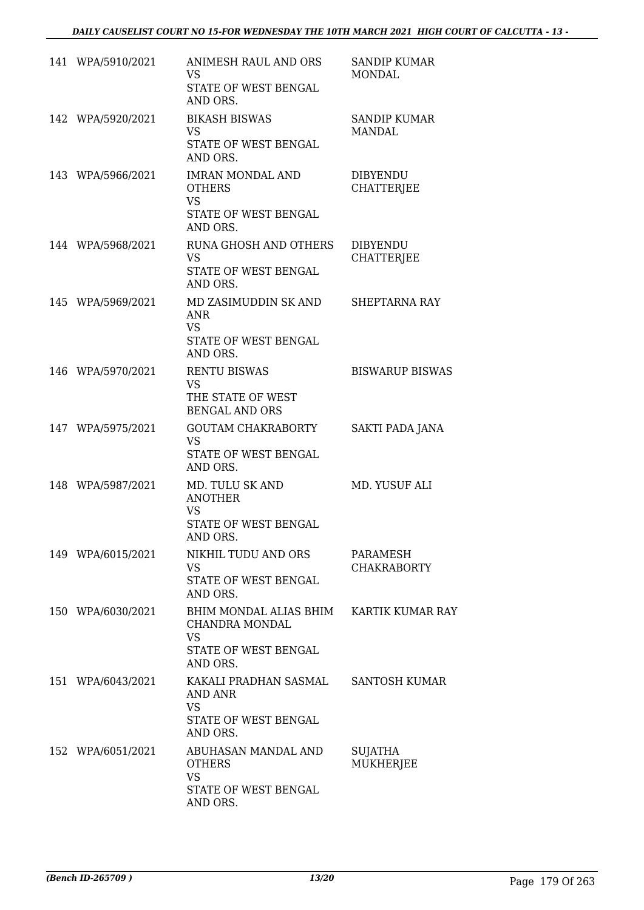| 141 WPA/5910/2021 | ANIMESH RAUL AND ORS<br><b>VS</b><br>STATE OF WEST BENGAL<br>AND ORS.                     | <b>SANDIP KUMAR</b><br><b>MONDAL</b> |
|-------------------|-------------------------------------------------------------------------------------------|--------------------------------------|
| 142 WPA/5920/2021 | <b>BIKASH BISWAS</b><br>VS.<br>STATE OF WEST BENGAL<br>AND ORS.                           | <b>SANDIP KUMAR</b><br><b>MANDAL</b> |
| 143 WPA/5966/2021 | <b>IMRAN MONDAL AND</b><br><b>OTHERS</b><br><b>VS</b><br>STATE OF WEST BENGAL<br>AND ORS. | <b>DIBYENDU</b><br><b>CHATTERJEE</b> |
| 144 WPA/5968/2021 | RUNA GHOSH AND OTHERS<br><b>VS</b><br>STATE OF WEST BENGAL<br>AND ORS.                    | <b>DIBYENDU</b><br><b>CHATTERJEE</b> |
| 145 WPA/5969/2021 | MD ZASIMUDDIN SK AND<br><b>ANR</b><br><b>VS</b><br>STATE OF WEST BENGAL<br>AND ORS.       | SHEPTARNA RAY                        |
| 146 WPA/5970/2021 | <b>RENTU BISWAS</b><br><b>VS</b><br>THE STATE OF WEST<br><b>BENGAL AND ORS</b>            | <b>BISWARUP BISWAS</b>               |
| 147 WPA/5975/2021 | <b>GOUTAM CHAKRABORTY</b><br><b>VS</b><br>STATE OF WEST BENGAL<br>AND ORS.                | SAKTI PADA JANA                      |
| 148 WPA/5987/2021 | MD. TULU SK AND<br><b>ANOTHER</b><br><b>VS</b><br>STATE OF WEST BENGAL<br>AND ORS.        | MD. YUSUF ALI                        |
| 149 WPA/6015/2021 | NIKHIL TUDU AND ORS<br><b>VS</b><br>STATE OF WEST BENGAL<br>AND ORS.                      | PARAMESH<br><b>CHAKRABORTY</b>       |
| 150 WPA/6030/2021 | BHIM MONDAL ALIAS BHIM<br>CHANDRA MONDAL<br><b>VS</b><br>STATE OF WEST BENGAL<br>AND ORS. | <b>KARTIK KUMAR RAY</b>              |
| 151 WPA/6043/2021 | KAKALI PRADHAN SASMAL<br><b>AND ANR</b><br><b>VS</b><br>STATE OF WEST BENGAL<br>AND ORS.  | <b>SANTOSH KUMAR</b>                 |
| 152 WPA/6051/2021 | ABUHASAN MANDAL AND<br><b>OTHERS</b><br><b>VS</b><br>STATE OF WEST BENGAL<br>AND ORS.     | SUJATHA<br>MUKHERJEE                 |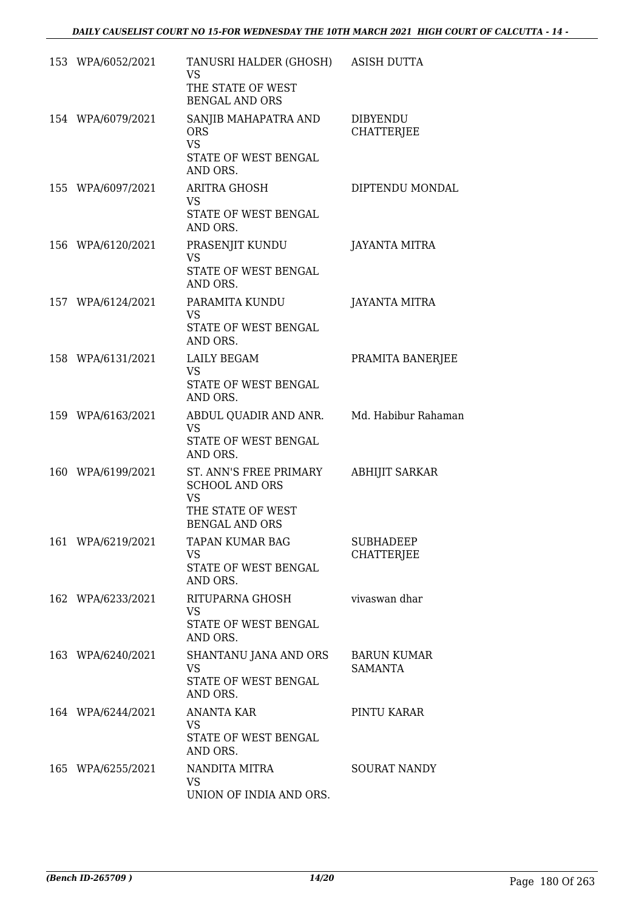| 153 WPA/6052/2021 | TANUSRI HALDER (GHOSH) ASISH DUTTA<br><b>VS</b><br>THE STATE OF WEST<br><b>BENGAL AND ORS</b>              |                                       |
|-------------------|------------------------------------------------------------------------------------------------------------|---------------------------------------|
| 154 WPA/6079/2021 | SANJIB MAHAPATRA AND<br><b>ORS</b><br><b>VS</b><br>STATE OF WEST BENGAL                                    | <b>DIBYENDU</b><br><b>CHATTERJEE</b>  |
| 155 WPA/6097/2021 | AND ORS.<br>ARITRA GHOSH<br><b>VS</b><br>STATE OF WEST BENGAL<br>AND ORS.                                  | DIPTENDU MONDAL                       |
| 156 WPA/6120/2021 | PRASENJIT KUNDU<br><b>VS</b><br>STATE OF WEST BENGAL<br>AND ORS.                                           | <b>JAYANTA MITRA</b>                  |
| 157 WPA/6124/2021 | PARAMITA KUNDU<br>VS.<br>STATE OF WEST BENGAL<br>AND ORS.                                                  | <b>JAYANTA MITRA</b>                  |
| 158 WPA/6131/2021 | LAILY BEGAM<br><b>VS</b><br>STATE OF WEST BENGAL<br>AND ORS.                                               | PRAMITA BANERJEE                      |
| 159 WPA/6163/2021 | ABDUL QUADIR AND ANR. Md. Habibur Rahaman<br><b>VS</b><br>STATE OF WEST BENGAL<br>AND ORS.                 |                                       |
| 160 WPA/6199/2021 | ST. ANN'S FREE PRIMARY<br><b>SCHOOL AND ORS</b><br><b>VS</b><br>THE STATE OF WEST<br><b>BENGAL AND ORS</b> | <b>ABHIJIT SARKAR</b>                 |
| 161 WPA/6219/2021 | TAPAN KUMAR BAG<br><b>VS</b><br>STATE OF WEST BENGAL<br>AND ORS.                                           | <b>SUBHADEEP</b><br><b>CHATTERJEE</b> |
| 162 WPA/6233/2021 | RITUPARNA GHOSH<br><b>VS</b><br>STATE OF WEST BENGAL<br>AND ORS.                                           | vivaswan dhar                         |
| 163 WPA/6240/2021 | SHANTANU JANA AND ORS<br><b>VS</b><br>STATE OF WEST BENGAL<br>AND ORS.                                     | <b>BARUN KUMAR</b><br>SAMANTA         |
| 164 WPA/6244/2021 | <b>ANANTA KAR</b><br>VS.<br>STATE OF WEST BENGAL<br>AND ORS.                                               | PINTU KARAR                           |
| 165 WPA/6255/2021 | NANDITA MITRA<br>VS.<br>UNION OF INDIA AND ORS.                                                            | <b>SOURAT NANDY</b>                   |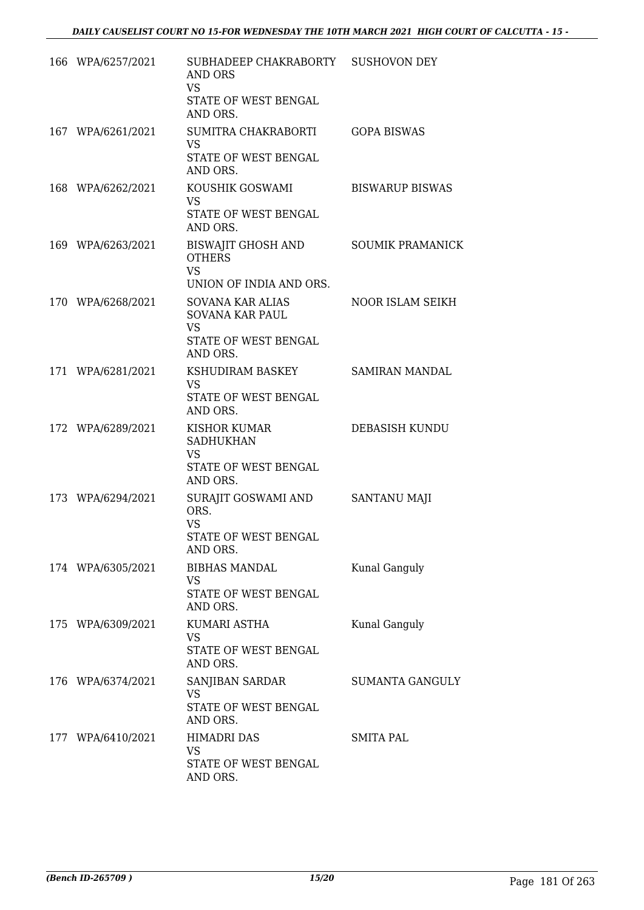| 166 WPA/6257/2021 | SUBHADEEP CHAKRABORTY SUSHOVON DEY<br>AND ORS<br><b>VS</b><br>STATE OF WEST BENGAL<br>AND ORS. |                         |
|-------------------|------------------------------------------------------------------------------------------------|-------------------------|
| 167 WPA/6261/2021 | SUMITRA CHAKRABORTI<br><b>VS</b><br>STATE OF WEST BENGAL<br>AND ORS.                           | <b>GOPA BISWAS</b>      |
| 168 WPA/6262/2021 | KOUSHIK GOSWAMI<br><b>VS</b><br>STATE OF WEST BENGAL<br>AND ORS.                               | <b>BISWARUP BISWAS</b>  |
| 169 WPA/6263/2021 | BISWAJIT GHOSH AND<br><b>OTHERS</b><br><b>VS</b><br>UNION OF INDIA AND ORS.                    | <b>SOUMIK PRAMANICK</b> |
| 170 WPA/6268/2021 | SOVANA KAR ALIAS<br><b>SOVANA KAR PAUL</b><br><b>VS</b><br>STATE OF WEST BENGAL<br>AND ORS.    | <b>NOOR ISLAM SEIKH</b> |
| 171 WPA/6281/2021 | KSHUDIRAM BASKEY<br><b>VS</b><br>STATE OF WEST BENGAL<br>AND ORS.                              | SAMIRAN MANDAL          |
| 172 WPA/6289/2021 | <b>KISHOR KUMAR</b><br><b>SADHUKHAN</b><br><b>VS</b><br>STATE OF WEST BENGAL<br>AND ORS.       | DEBASISH KUNDU          |
| 173 WPA/6294/2021 | SURAJIT GOSWAMI AND<br>ORS.<br><b>VS</b><br>STATE OF WEST BENGAL<br>AND ORS.                   | <b>SANTANU MAJI</b>     |
| 174 WPA/6305/2021 | BIBHAS MANDAL<br><b>VS</b><br>STATE OF WEST BENGAL<br>AND ORS.                                 | Kunal Ganguly           |
| 175 WPA/6309/2021 | KUMARI ASTHA<br><b>VS</b><br>STATE OF WEST BENGAL<br>AND ORS.                                  | Kunal Ganguly           |
| 176 WPA/6374/2021 | SANJIBAN SARDAR<br><b>VS</b><br>STATE OF WEST BENGAL<br>AND ORS.                               | SUMANTA GANGULY         |
| 177 WPA/6410/2021 | <b>HIMADRI DAS</b><br><b>VS</b><br>STATE OF WEST BENGAL<br>AND ORS.                            | <b>SMITA PAL</b>        |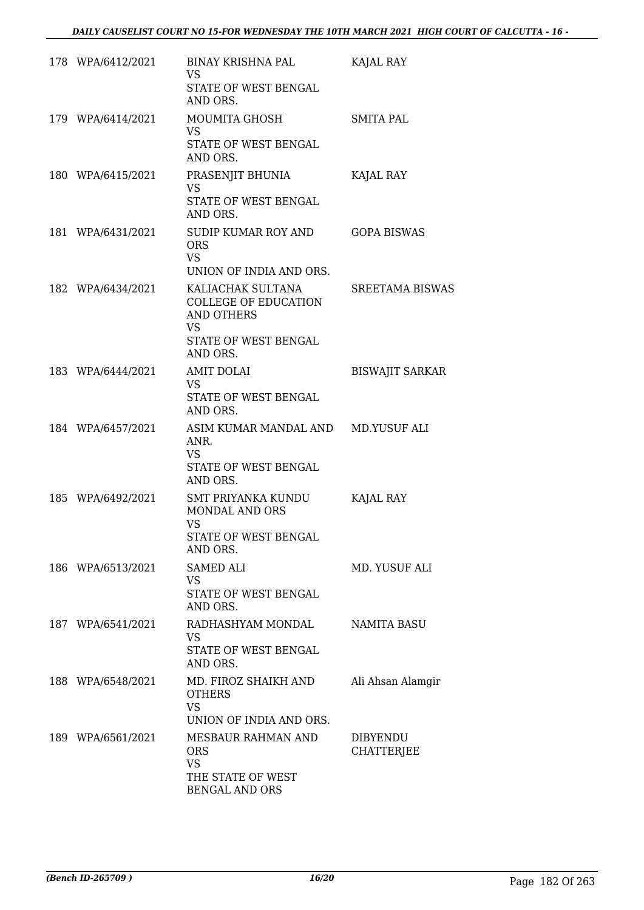| 178 WPA/6412/2021 | BINAY KRISHNA PAL<br>VS<br>STATE OF WEST BENGAL<br>AND ORS.                                                            | KAJAL RAY              |
|-------------------|------------------------------------------------------------------------------------------------------------------------|------------------------|
| 179 WPA/6414/2021 | MOUMITA GHOSH<br><b>VS</b><br>STATE OF WEST BENGAL<br>AND ORS.                                                         | <b>SMITA PAL</b>       |
| 180 WPA/6415/2021 | PRASENJIT BHUNIA<br><b>VS</b><br>STATE OF WEST BENGAL<br>AND ORS.                                                      | KAJAL RAY              |
| 181 WPA/6431/2021 | SUDIP KUMAR ROY AND<br><b>ORS</b><br><b>VS</b><br>UNION OF INDIA AND ORS.                                              | <b>GOPA BISWAS</b>     |
| 182 WPA/6434/2021 | KALIACHAK SULTANA<br><b>COLLEGE OF EDUCATION</b><br><b>AND OTHERS</b><br><b>VS</b><br>STATE OF WEST BENGAL<br>AND ORS. | <b>SREETAMA BISWAS</b> |
| 183 WPA/6444/2021 | <b>AMIT DOLAI</b><br><b>VS</b><br>STATE OF WEST BENGAL<br>AND ORS.                                                     | <b>BISWAJIT SARKAR</b> |
| 184 WPA/6457/2021 | ASIM KUMAR MANDAL AND MD.YUSUF ALI<br>ANR.<br><b>VS</b><br>STATE OF WEST BENGAL<br>AND ORS.                            |                        |
| 185 WPA/6492/2021 | SMT PRIYANKA KUNDU<br>MONDAL AND ORS<br>VS<br>STATE OF WEST BENGAL<br>AND ORS.                                         | KAJAL RAY              |
| 186 WPA/6513/2021 | <b>SAMED ALI</b><br><b>VS</b><br>STATE OF WEST BENGAL<br>AND ORS.                                                      | MD. YUSUF ALI          |
| 187 WPA/6541/2021 | RADHASHYAM MONDAL<br>VS.<br>STATE OF WEST BENGAL<br>AND ORS.                                                           | <b>NAMITA BASU</b>     |
| 188 WPA/6548/2021 | MD. FIROZ SHAIKH AND<br><b>OTHERS</b><br><b>VS</b><br>UNION OF INDIA AND ORS.                                          | Ali Ahsan Alamgir      |
| 189 WPA/6561/2021 | MESBAUR RAHMAN AND<br><b>ORS</b><br><b>VS</b><br>THE STATE OF WEST<br><b>BENGAL AND ORS</b>                            | DIBYENDU<br>CHATTERJEE |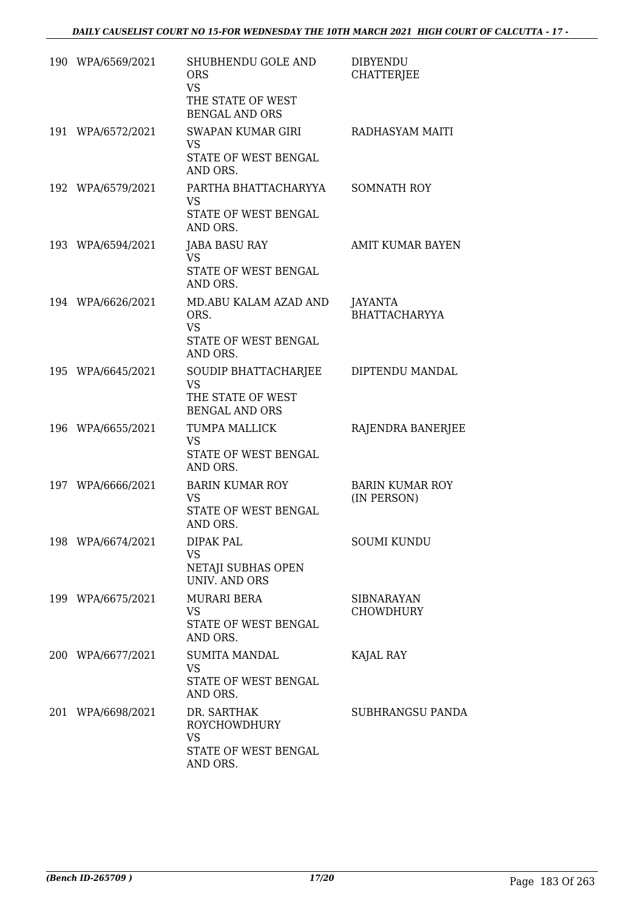| 190 WPA/6569/2021 | SHUBHENDU GOLE AND<br><b>ORS</b><br><b>VS</b><br>THE STATE OF WEST              | <b>DIBYENDU</b><br><b>CHATTERJEE</b>  |
|-------------------|---------------------------------------------------------------------------------|---------------------------------------|
| 191 WPA/6572/2021 | <b>BENGAL AND ORS</b><br><b>SWAPAN KUMAR GIRI</b><br><b>VS</b>                  | RADHASYAM MAITI                       |
|                   | STATE OF WEST BENGAL<br>AND ORS.                                                |                                       |
| 192 WPA/6579/2021 | PARTHA BHATTACHARYYA<br>VS<br>STATE OF WEST BENGAL<br>AND ORS.                  | <b>SOMNATH ROY</b>                    |
| 193 WPA/6594/2021 | <b>JABA BASU RAY</b><br>VS<br>STATE OF WEST BENGAL<br>AND ORS.                  | <b>AMIT KUMAR BAYEN</b>               |
| 194 WPA/6626/2021 | MD.ABU KALAM AZAD AND<br>ORS.<br><b>VS</b><br>STATE OF WEST BENGAL<br>AND ORS.  | JAYANTA<br><b>BHATTACHARYYA</b>       |
| 195 WPA/6645/2021 | SOUDIP BHATTACHARJEE<br><b>VS</b><br>THE STATE OF WEST<br><b>BENGAL AND ORS</b> | DIPTENDU MANDAL                       |
| 196 WPA/6655/2021 | TUMPA MALLICK<br><b>VS</b><br>STATE OF WEST BENGAL<br>AND ORS.                  | RAJENDRA BANERJEE                     |
| 197 WPA/6666/2021 | <b>BARIN KUMAR ROY</b><br>VS<br>STATE OF WEST BENGAL<br>AND ORS.                | <b>BARIN KUMAR ROY</b><br>(IN PERSON) |
| 198 WPA/6674/2021 | DIPAK PAL<br><b>VS</b><br>NETAJI SUBHAS OPEN<br><b>UNIV. AND ORS</b>            | <b>SOUMI KUNDU</b>                    |
| 199 WPA/6675/2021 | <b>MURARI BERA</b><br><b>VS</b><br>STATE OF WEST BENGAL<br>AND ORS.             | <b>SIBNARAYAN</b><br><b>CHOWDHURY</b> |
| 200 WPA/6677/2021 | <b>SUMITA MANDAL</b><br>VS<br>STATE OF WEST BENGAL<br>AND ORS.                  | KAJAL RAY                             |
| 201 WPA/6698/2021 | DR. SARTHAK<br>ROYCHOWDHURY<br><b>VS</b><br>STATE OF WEST BENGAL<br>AND ORS.    | <b>SUBHRANGSU PANDA</b>               |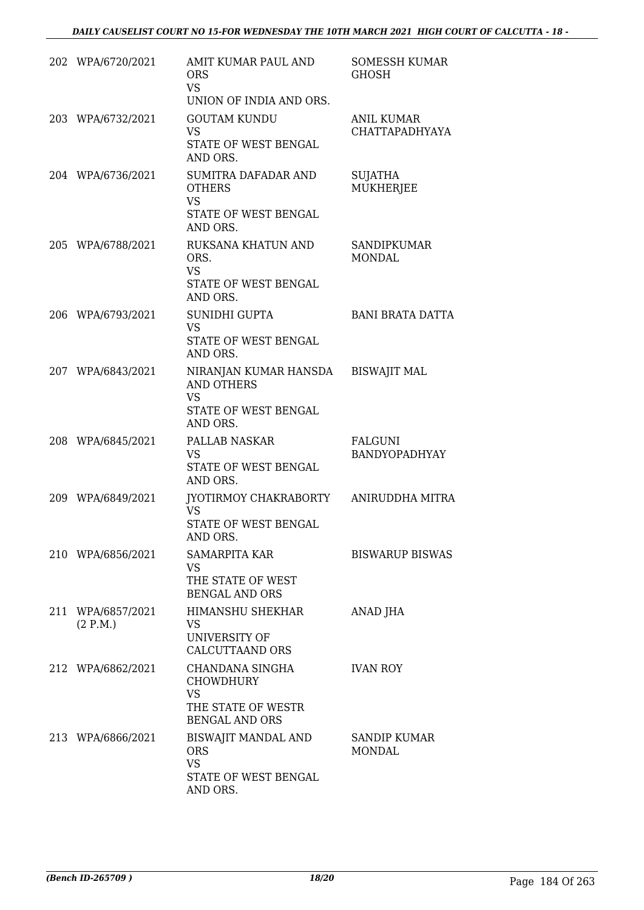|     | 202 WPA/6720/2021             | AMIT KUMAR PAUL AND<br><b>ORS</b><br><b>VS</b><br>UNION OF INDIA AND ORS.                                | <b>SOMESSH KUMAR</b><br><b>GHOSH</b>       |
|-----|-------------------------------|----------------------------------------------------------------------------------------------------------|--------------------------------------------|
|     | 203 WPA/6732/2021             | <b>GOUTAM KUNDU</b><br><b>VS</b><br>STATE OF WEST BENGAL<br>AND ORS.                                     | <b>ANIL KUMAR</b><br><b>CHATTAPADHYAYA</b> |
|     | 204 WPA/6736/2021             | SUMITRA DAFADAR AND<br><b>OTHERS</b><br><b>VS</b><br>STATE OF WEST BENGAL<br>AND ORS.                    | <b>SUJATHA</b><br><b>MUKHERJEE</b>         |
|     | 205 WPA/6788/2021             | RUKSANA KHATUN AND<br>ORS.<br><b>VS</b><br>STATE OF WEST BENGAL<br>AND ORS.                              | <b>SANDIPKUMAR</b><br><b>MONDAL</b>        |
| 206 | WPA/6793/2021                 | SUNIDHI GUPTA<br><b>VS</b><br>STATE OF WEST BENGAL<br>AND ORS.                                           | <b>BANI BRATA DATTA</b>                    |
|     | 207 WPA/6843/2021             | NIRANJAN KUMAR HANSDA BISWAJIT MAL<br><b>AND OTHERS</b><br><b>VS</b><br>STATE OF WEST BENGAL<br>AND ORS. |                                            |
|     | 208 WPA/6845/2021             | PALLAB NASKAR<br><b>VS</b><br>STATE OF WEST BENGAL<br>AND ORS.                                           | <b>FALGUNI</b><br><b>BANDYOPADHYAY</b>     |
|     | 209 WPA/6849/2021             | JYOTIRMOY CHAKRABORTY ANIRUDDHA MITRA<br><b>VS</b><br>STATE OF WEST BENGAL<br>AND ORS.                   |                                            |
|     | 210 WPA/6856/2021             | <b>SAMARPITA KAR</b><br><b>VS</b><br>THE STATE OF WEST<br><b>BENGAL AND ORS</b>                          | <b>BISWARUP BISWAS</b>                     |
|     | 211 WPA/6857/2021<br>(2 P.M.) | <b>HIMANSHU SHEKHAR</b><br><b>VS</b><br>UNIVERSITY OF<br><b>CALCUTTAAND ORS</b>                          | ANAD JHA                                   |
|     | 212 WPA/6862/2021             | CHANDANA SINGHA<br><b>CHOWDHURY</b><br><b>VS</b><br>THE STATE OF WESTR<br><b>BENGAL AND ORS</b>          | <b>IVAN ROY</b>                            |
|     | 213 WPA/6866/2021             | BISWAJIT MANDAL AND<br><b>ORS</b><br><b>VS</b><br>STATE OF WEST BENGAL<br>AND ORS.                       | <b>SANDIP KUMAR</b><br><b>MONDAL</b>       |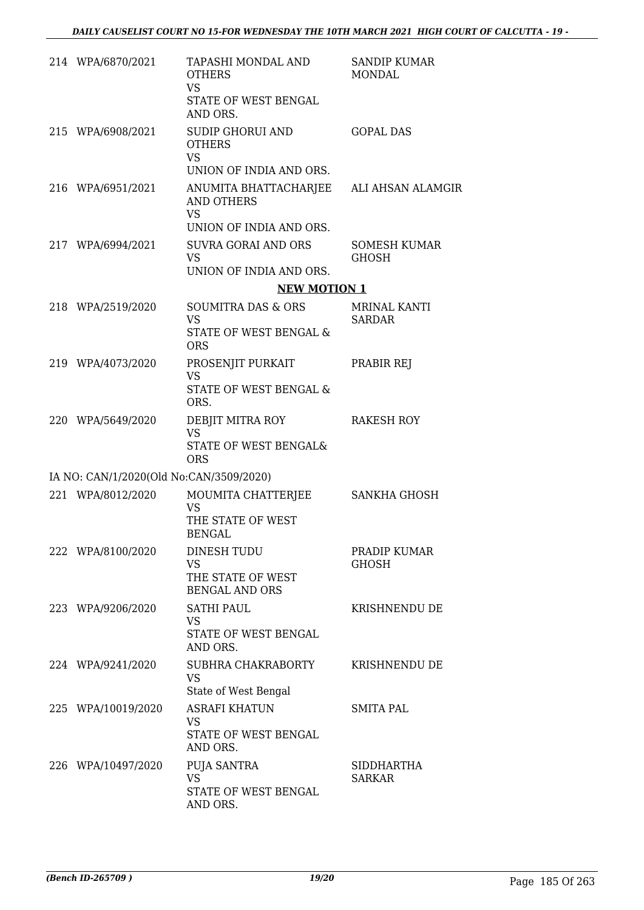| 214 WPA/6870/2021                       | <b>TAPASHI MONDAL AND</b><br><b>OTHERS</b><br><b>VS</b><br>STATE OF WEST BENGAL<br>AND ORS.          | <b>SANDIP KUMAR</b><br><b>MONDAL</b> |
|-----------------------------------------|------------------------------------------------------------------------------------------------------|--------------------------------------|
| 215 WPA/6908/2021                       | <b>SUDIP GHORUI AND</b><br><b>OTHERS</b><br><b>VS</b><br>UNION OF INDIA AND ORS.                     | <b>GOPAL DAS</b>                     |
| 216 WPA/6951/2021                       | ANUMITA BHATTACHARJEE ALI AHSAN ALAMGIR<br><b>AND OTHERS</b><br><b>VS</b><br>UNION OF INDIA AND ORS. |                                      |
| 217 WPA/6994/2021                       | <b>SUVRA GORAI AND ORS</b><br><b>VS</b><br>UNION OF INDIA AND ORS.                                   | <b>SOMESH KUMAR</b><br><b>GHOSH</b>  |
|                                         | <b>NEW MOTION 1</b>                                                                                  |                                      |
| 218 WPA/2519/2020                       | <b>SOUMITRA DAS &amp; ORS</b><br><b>VS</b>                                                           | <b>MRINAL KANTI</b><br><b>SARDAR</b> |
|                                         | STATE OF WEST BENGAL &<br><b>ORS</b>                                                                 |                                      |
| 219 WPA/4073/2020                       | PROSENJIT PURKAIT<br><b>VS</b><br>STATE OF WEST BENGAL &                                             | PRABIR REJ                           |
| 220 WPA/5649/2020                       | ORS.<br>DEBJIT MITRA ROY<br><b>VS</b><br>STATE OF WEST BENGAL&<br><b>ORS</b>                         | <b>RAKESH ROY</b>                    |
| IA NO: CAN/1/2020(Old No:CAN/3509/2020) |                                                                                                      |                                      |
| 221 WPA/8012/2020                       | MOUMITA CHATTERJEE<br><b>VS</b><br>THE STATE OF WEST<br><b>BENGAL</b>                                | SANKHA GHOSH                         |
| 222 WPA/8100/2020                       | DINESH TUDU<br><b>VS</b><br>THE STATE OF WEST<br><b>BENGAL AND ORS</b>                               | PRADIP KUMAR<br><b>GHOSH</b>         |
| 223 WPA/9206/2020                       | <b>SATHI PAUL</b><br><b>VS</b><br>STATE OF WEST BENGAL<br>AND ORS.                                   | KRISHNENDU DE                        |
| 224 WPA/9241/2020                       | SUBHRA CHAKRABORTY<br><b>VS</b><br>State of West Bengal                                              | KRISHNENDU DE                        |
| 225 WPA/10019/2020                      | <b>ASRAFI KHATUN</b><br><b>VS</b><br>STATE OF WEST BENGAL<br>AND ORS.                                | <b>SMITA PAL</b>                     |
| 226 WPA/10497/2020                      | PUJA SANTRA<br><b>VS</b><br>STATE OF WEST BENGAL<br>AND ORS.                                         | SIDDHARTHA<br><b>SARKAR</b>          |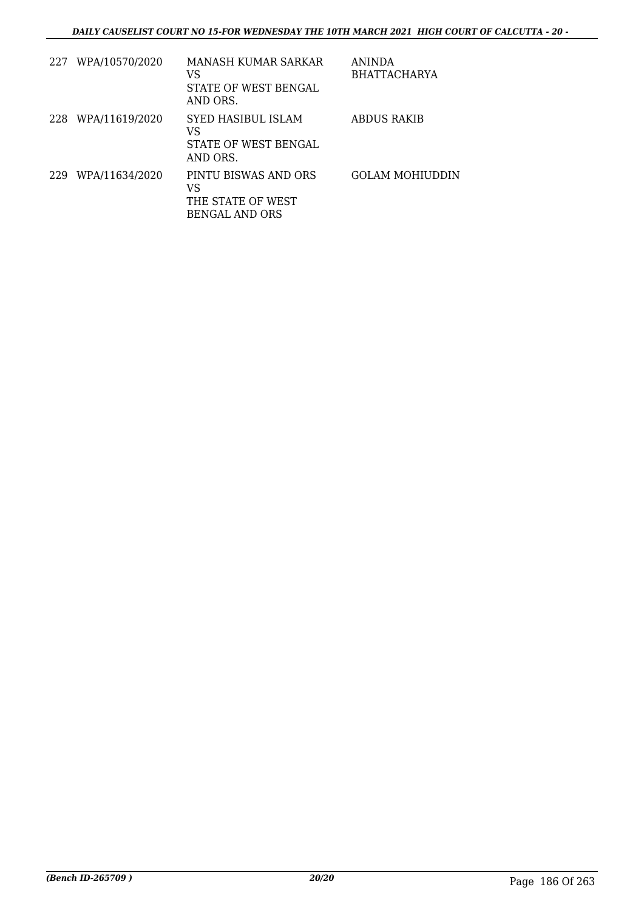|     | 227 WPA/10570/2020 | MANASH KUMAR SARKAR<br>VS<br>STATE OF WEST BENGAL<br>AND ORS.            | ANINDA<br><b>BHATTACHARYA</b> |
|-----|--------------------|--------------------------------------------------------------------------|-------------------------------|
| 228 | WPA/11619/2020     | SYED HASIBUL ISLAM<br>VS<br>STATE OF WEST BENGAL<br>AND ORS.             | ABDUS RAKIB                   |
| 229 | WPA/11634/2020     | PINTU BISWAS AND ORS<br>VS<br>THE STATE OF WEST<br><b>BENGAL AND ORS</b> | <b>GOLAM MOHIUDDIN</b>        |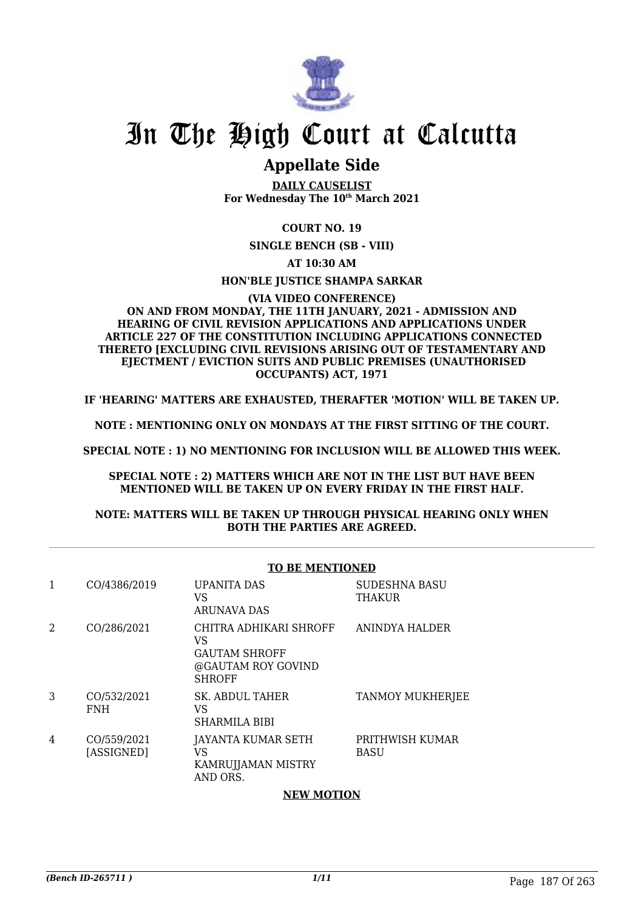

### **Appellate Side**

**DAILY CAUSELIST For Wednesday The 10th March 2021**

#### **COURT NO. 19**

**SINGLE BENCH (SB - VIII)**

**AT 10:30 AM**

#### **HON'BLE JUSTICE SHAMPA SARKAR**

#### **(VIA VIDEO CONFERENCE) ON AND FROM MONDAY, THE 11TH JANUARY, 2021 - ADMISSION AND HEARING OF CIVIL REVISION APPLICATIONS AND APPLICATIONS UNDER ARTICLE 227 OF THE CONSTITUTION INCLUDING APPLICATIONS CONNECTED THERETO [EXCLUDING CIVIL REVISIONS ARISING OUT OF TESTAMENTARY AND EJECTMENT / EVICTION SUITS AND PUBLIC PREMISES (UNAUTHORISED OCCUPANTS) ACT, 1971**

**IF 'HEARING' MATTERS ARE EXHAUSTED, THERAFTER 'MOTION' WILL BE TAKEN UP.**

**NOTE : MENTIONING ONLY ON MONDAYS AT THE FIRST SITTING OF THE COURT.**

**SPECIAL NOTE : 1) NO MENTIONING FOR INCLUSION WILL BE ALLOWED THIS WEEK.**

**SPECIAL NOTE : 2) MATTERS WHICH ARE NOT IN THE LIST BUT HAVE BEEN MENTIONED WILL BE TAKEN UP ON EVERY FRIDAY IN THE FIRST HALF.**

#### **NOTE: MATTERS WILL BE TAKEN UP THROUGH PHYSICAL HEARING ONLY WHEN BOTH THE PARTIES ARE AGREED.**

|   |                           | <b>TO BE MENTIONED</b>                                                                      |                                       |  |
|---|---------------------------|---------------------------------------------------------------------------------------------|---------------------------------------|--|
|   | CO/4386/2019              | <b>UPANITA DAS</b><br>VS<br><b>ARUNAVA DAS</b>                                              | <b>SUDESHNA BASU</b><br><b>THAKUR</b> |  |
| 2 | CO/286/2021               | CHITRA ADHIKARI SHROFF<br>VS<br><b>GAUTAM SHROFF</b><br>@GAUTAM ROY GOVIND<br><b>SHROFF</b> | <b>ANINDYA HALDER</b>                 |  |
| 3 | CO/532/2021<br><b>FNH</b> | <b>SK. ABDUL TAHER</b><br>VS<br><b>SHARMILA BIBI</b>                                        | TANMOY MUKHERJEE                      |  |
| 4 | CO/559/2021<br>[ASSIGNED] | JAYANTA KUMAR SETH<br>VS<br>KAMRUJJAMAN MISTRY<br>AND ORS.                                  | PRITHWISH KUMAR<br><b>BASU</b>        |  |

#### **NEW MOTION**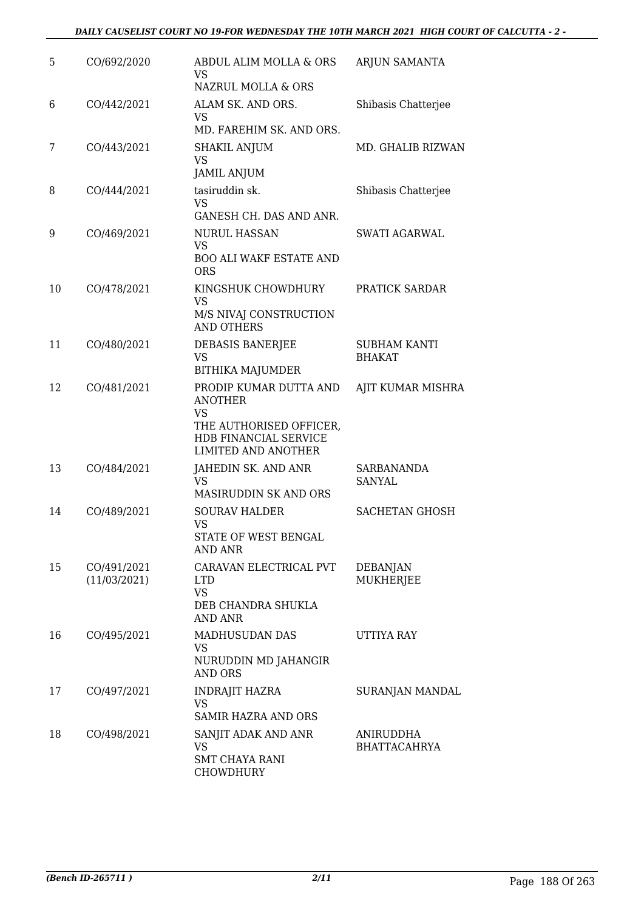#### *DAILY CAUSELIST COURT NO 19-FOR WEDNESDAY THE 10TH MARCH 2021 HIGH COURT OF CALCUTTA - 2 -*

| 5  | CO/692/2020                 | ABDUL ALIM MOLLA & ORS<br>VS.<br>NAZRUL MOLLA & ORS                                                                                     | ARJUN SAMANTA                        |
|----|-----------------------------|-----------------------------------------------------------------------------------------------------------------------------------------|--------------------------------------|
| 6  | CO/442/2021                 | ALAM SK. AND ORS.<br>VS<br>MD. FAREHIM SK. AND ORS.                                                                                     | Shibasis Chatterjee                  |
| 7  | CO/443/2021                 | <b>SHAKIL ANJUM</b><br><b>VS</b><br><b>JAMIL ANJUM</b>                                                                                  | MD. GHALIB RIZWAN                    |
| 8  | CO/444/2021                 | tasiruddin sk.<br><b>VS</b><br>GANESH CH. DAS AND ANR.                                                                                  | Shibasis Chatterjee                  |
| 9  | CO/469/2021                 | <b>NURUL HASSAN</b><br><b>VS</b><br><b>BOO ALI WAKF ESTATE AND</b><br><b>ORS</b>                                                        | SWATI AGARWAL                        |
| 10 | CO/478/2021                 | KINGSHUK CHOWDHURY<br><b>VS</b><br>M/S NIVAJ CONSTRUCTION<br><b>AND OTHERS</b>                                                          | PRATICK SARDAR                       |
| 11 | CO/480/2021                 | DEBASIS BANERJEE<br>VS<br><b>BITHIKA MAJUMDER</b>                                                                                       | <b>SUBHAM KANTI</b><br><b>BHAKAT</b> |
| 12 | CO/481/2021                 | PRODIP KUMAR DUTTA AND<br><b>ANOTHER</b><br><b>VS</b><br>THE AUTHORISED OFFICER,<br>HDB FINANCIAL SERVICE<br><b>LIMITED AND ANOTHER</b> | AJIT KUMAR MISHRA                    |
| 13 | CO/484/2021                 | JAHEDIN SK. AND ANR<br><b>VS</b><br>MASIRUDDIN SK AND ORS                                                                               | SARBANANDA<br><b>SANYAL</b>          |
| 14 | CO/489/2021                 | <b>SOURAV HALDER</b><br>VS<br>STATE OF WEST BENGAL<br>AND ANR                                                                           | <b>SACHETAN GHOSH</b>                |
| 15 | CO/491/2021<br>(11/03/2021) | CARAVAN ELECTRICAL PVT<br><b>LTD</b><br><b>VS</b><br>DEB CHANDRA SHUKLA<br><b>AND ANR</b>                                               | <b>DEBANJAN</b><br>MUKHERJEE         |
| 16 | CO/495/2021                 | MADHUSUDAN DAS<br>VS<br>NURUDDIN MD JAHANGIR<br><b>AND ORS</b>                                                                          | UTTIYA RAY                           |
| 17 | CO/497/2021                 | <b>INDRAJIT HAZRA</b><br>VS<br>SAMIR HAZRA AND ORS                                                                                      | SURANJAN MANDAL                      |
| 18 | CO/498/2021                 | SANJIT ADAK AND ANR<br><b>VS</b><br><b>SMT CHAYA RANI</b><br>CHOWDHURY                                                                  | ANIRUDDHA<br><b>BHATTACAHRYA</b>     |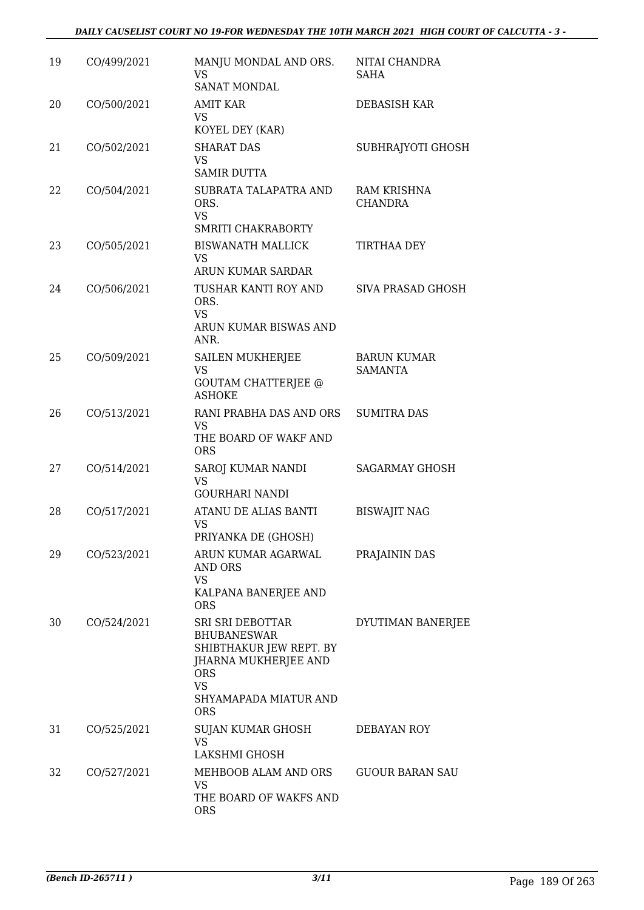| 19 | CO/499/2021 | MANJU MONDAL AND ORS.<br>VS.<br><b>SANAT MONDAL</b>                                                                                                         | NITAI CHANDRA<br>SAHA                |
|----|-------------|-------------------------------------------------------------------------------------------------------------------------------------------------------------|--------------------------------------|
| 20 | CO/500/2021 | AMIT KAR<br>VS<br>KOYEL DEY (KAR)                                                                                                                           | DEBASISH KAR                         |
| 21 | CO/502/2021 | <b>SHARAT DAS</b><br><b>VS</b><br><b>SAMIR DUTTA</b>                                                                                                        | SUBHRAJYOTI GHOSH                    |
| 22 | CO/504/2021 | SUBRATA TALAPATRA AND<br>ORS.<br><b>VS</b><br>SMRITI CHAKRABORTY                                                                                            | RAM KRISHNA<br><b>CHANDRA</b>        |
| 23 | CO/505/2021 | <b>BISWANATH MALLICK</b><br>VS<br>ARUN KUMAR SARDAR                                                                                                         | TIRTHAA DEY                          |
| 24 | CO/506/2021 | TUSHAR KANTI ROY AND<br>ORS.<br><b>VS</b><br>ARUN KUMAR BISWAS AND<br>ANR.                                                                                  | SIVA PRASAD GHOSH                    |
| 25 | CO/509/2021 | <b>SAILEN MUKHERJEE</b><br><b>VS</b><br><b>GOUTAM CHATTERJEE @</b><br><b>ASHOKE</b>                                                                         | <b>BARUN KUMAR</b><br><b>SAMANTA</b> |
| 26 | CO/513/2021 | RANI PRABHA DAS AND ORS<br>VS<br>THE BOARD OF WAKF AND<br><b>ORS</b>                                                                                        | <b>SUMITRA DAS</b>                   |
| 27 | CO/514/2021 | SAROJ KUMAR NANDI<br><b>VS</b><br><b>GOURHARI NANDI</b>                                                                                                     | <b>SAGARMAY GHOSH</b>                |
| 28 | CO/517/2021 | ATANU DE ALIAS BANTI<br><b>VS</b><br>PRIYANKA DE (GHOSH)                                                                                                    | <b>BISWAJIT NAG</b>                  |
| 29 | CO/523/2021 | ARUN KUMAR AGARWAL<br>AND ORS<br>VS<br>KALPANA BANERJEE AND<br><b>ORS</b>                                                                                   | PRAJAININ DAS                        |
| 30 | CO/524/2021 | SRI SRI DEBOTTAR<br><b>BHUBANESWAR</b><br>SHIBTHAKUR JEW REPT. BY<br>JHARNA MUKHERJEE AND<br><b>ORS</b><br><b>VS</b><br>SHYAMAPADA MIATUR AND<br><b>ORS</b> | DYUTIMAN BANERJEE                    |
| 31 | CO/525/2021 | SUJAN KUMAR GHOSH<br>VS.<br>LAKSHMI GHOSH                                                                                                                   | DEBAYAN ROY                          |
| 32 | CO/527/2021 | MEHBOOB ALAM AND ORS<br>VS<br>THE BOARD OF WAKFS AND<br><b>ORS</b>                                                                                          | <b>GUOUR BARAN SAU</b>               |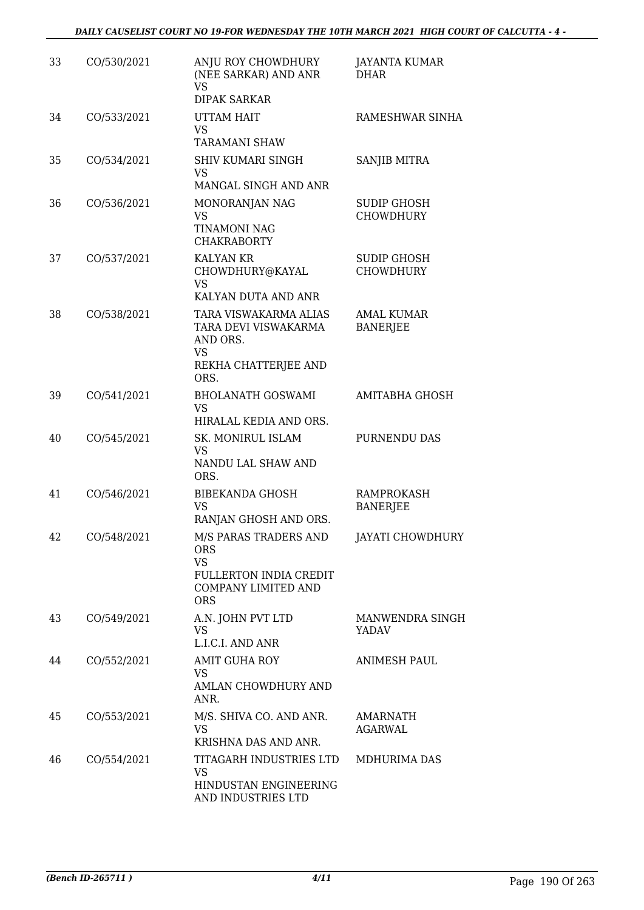| 33 | CO/530/2021 | ANJU ROY CHOWDHURY<br>(NEE SARKAR) AND ANR<br><b>VS</b><br><b>DIPAK SARKAR</b>                                         | <b>JAYANTA KUMAR</b><br><b>DHAR</b>    |
|----|-------------|------------------------------------------------------------------------------------------------------------------------|----------------------------------------|
| 34 | CO/533/2021 | <b>UTTAM HAIT</b><br><b>VS</b><br><b>TARAMANI SHAW</b>                                                                 | RAMESHWAR SINHA                        |
| 35 | CO/534/2021 | <b>SHIV KUMARI SINGH</b><br><b>VS</b><br>MANGAL SINGH AND ANR                                                          | SANJIB MITRA                           |
| 36 | CO/536/2021 | MONORANJAN NAG<br><b>VS</b><br><b>TINAMONI NAG</b><br><b>CHAKRABORTY</b>                                               | <b>SUDIP GHOSH</b><br><b>CHOWDHURY</b> |
| 37 | CO/537/2021 | <b>KALYAN KR</b><br>CHOWDHURY@KAYAL<br>VS<br>KALYAN DUTA AND ANR                                                       | <b>SUDIP GHOSH</b><br><b>CHOWDHURY</b> |
| 38 | CO/538/2021 | TARA VISWAKARMA ALIAS<br>TARA DEVI VISWAKARMA<br>AND ORS.<br><b>VS</b><br>REKHA CHATTERJEE AND<br>ORS.                 | <b>AMAL KUMAR</b><br><b>BANERJEE</b>   |
| 39 | CO/541/2021 | <b>BHOLANATH GOSWAMI</b><br><b>VS</b><br>HIRALAL KEDIA AND ORS.                                                        | <b>AMITABHA GHOSH</b>                  |
| 40 | CO/545/2021 | SK. MONIRUL ISLAM<br><b>VS</b><br>NANDU LAL SHAW AND<br>ORS.                                                           | PURNENDU DAS                           |
| 41 | CO/546/2021 | <b>BIBEKANDA GHOSH</b><br><b>VS</b><br>RANJAN GHOSH AND ORS.                                                           | <b>RAMPROKASH</b><br><b>BANERJEE</b>   |
| 42 | CO/548/2021 | M/S PARAS TRADERS AND<br><b>ORS</b><br><b>VS</b><br>FULLERTON INDIA CREDIT<br><b>COMPANY LIMITED AND</b><br><b>ORS</b> | <b>JAYATI CHOWDHURY</b>                |
| 43 | CO/549/2021 | A.N. JOHN PVT LTD<br>VS<br>L.I.C.I. AND ANR                                                                            | MANWENDRA SINGH<br>YADAV               |
| 44 | CO/552/2021 | AMIT GUHA ROY<br><b>VS</b><br>AMLAN CHOWDHURY AND<br>ANR.                                                              | <b>ANIMESH PAUL</b>                    |
| 45 | CO/553/2021 | M/S. SHIVA CO. AND ANR.<br><b>VS</b><br>KRISHNA DAS AND ANR.                                                           | AMARNATH<br>AGARWAL                    |
| 46 | CO/554/2021 | TITAGARH INDUSTRIES LTD<br>VS<br>HINDUSTAN ENGINEERING<br>AND INDUSTRIES LTD                                           | MDHURIMA DAS                           |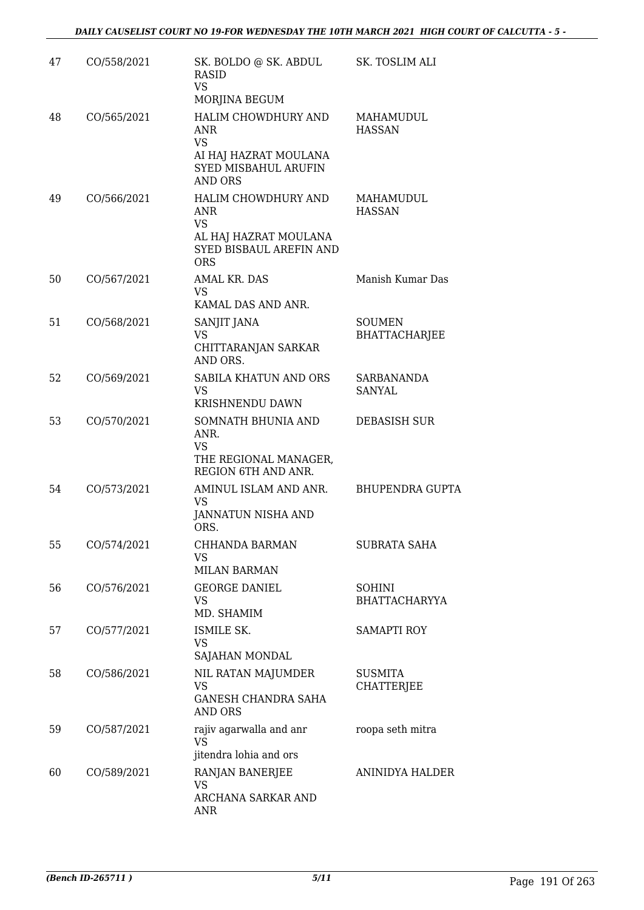| 47 | CO/558/2021 | SK. BOLDO @ SK. ABDUL<br><b>RASID</b><br><b>VS</b><br>MORJINA BEGUM                                               | SK. TOSLIM ALI                        |
|----|-------------|-------------------------------------------------------------------------------------------------------------------|---------------------------------------|
| 48 | CO/565/2021 | HALIM CHOWDHURY AND<br><b>ANR</b><br><b>VS</b><br>AI HAJ HAZRAT MOULANA<br>SYED MISBAHUL ARUFIN<br><b>AND ORS</b> | MAHAMUDUL<br><b>HASSAN</b>            |
| 49 | CO/566/2021 | HALIM CHOWDHURY AND<br><b>ANR</b><br><b>VS</b><br>AL HAJ HAZRAT MOULANA<br>SYED BISBAUL AREFIN AND<br><b>ORS</b>  | MAHAMUDUL<br><b>HASSAN</b>            |
| 50 | CO/567/2021 | AMAL KR. DAS<br><b>VS</b><br>KAMAL DAS AND ANR.                                                                   | Manish Kumar Das                      |
| 51 | CO/568/2021 | SANJIT JANA<br>VS<br>CHITTARANJAN SARKAR<br>AND ORS.                                                              | <b>SOUMEN</b><br><b>BHATTACHARJEE</b> |
| 52 | CO/569/2021 | SABILA KHATUN AND ORS<br><b>VS</b><br>KRISHNENDU DAWN                                                             | SARBANANDA<br>SANYAL                  |
| 53 | CO/570/2021 | SOMNATH BHUNIA AND<br>ANR.<br><b>VS</b><br>THE REGIONAL MANAGER,<br>REGION 6TH AND ANR.                           | <b>DEBASISH SUR</b>                   |
| 54 | CO/573/2021 | AMINUL ISLAM AND ANR.<br>VS<br>JANNATUN NISHA AND<br>ORS.                                                         | <b>BHUPENDRA GUPTA</b>                |
| 55 | CO/574/2021 | <b>CHHANDA BARMAN</b><br><b>VS</b><br><b>MILAN BARMAN</b>                                                         | <b>SUBRATA SAHA</b>                   |
| 56 | CO/576/2021 | <b>GEORGE DANIEL</b><br>VS<br>MD. SHAMIM                                                                          | <b>SOHINI</b><br><b>BHATTACHARYYA</b> |
| 57 | CO/577/2021 | ISMILE SK.<br><b>VS</b><br>SAJAHAN MONDAL                                                                         | <b>SAMAPTI ROY</b>                    |
| 58 | CO/586/2021 | NIL RATAN MAJUMDER<br><b>VS</b><br><b>GANESH CHANDRA SAHA</b><br>AND ORS                                          | <b>SUSMITA</b><br><b>CHATTERJEE</b>   |
| 59 | CO/587/2021 | rajiv agarwalla and anr<br><b>VS</b><br>jitendra lohia and ors                                                    | roopa seth mitra                      |
| 60 | CO/589/2021 | RANJAN BANERJEE<br><b>VS</b><br>ARCHANA SARKAR AND<br>ANR                                                         | ANINIDYA HALDER                       |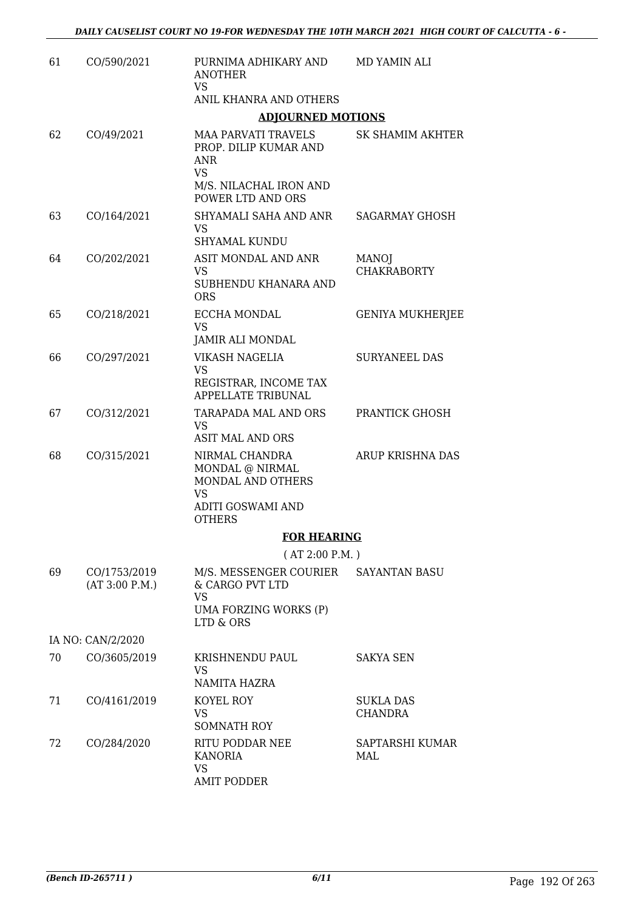| 61 | CO/590/2021                    | PURNIMA ADHIKARY AND<br><b>ANOTHER</b>                                                                     | MD YAMIN ALI                       |
|----|--------------------------------|------------------------------------------------------------------------------------------------------------|------------------------------------|
|    |                                | <b>VS</b><br>ANIL KHANRA AND OTHERS                                                                        |                                    |
|    |                                | <b>ADJOURNED MOTIONS</b>                                                                                   |                                    |
| 62 | CO/49/2021                     | <b>MAA PARVATI TRAVELS</b><br>PROP. DILIP KUMAR AND<br><b>ANR</b><br><b>VS</b>                             | SK SHAMIM AKHTER                   |
|    |                                | M/S. NILACHAL IRON AND<br>POWER LTD AND ORS                                                                |                                    |
| 63 | CO/164/2021                    | SHYAMALI SAHA AND ANR<br>VS.<br><b>SHYAMAL KUNDU</b>                                                       | <b>SAGARMAY GHOSH</b>              |
| 64 | CO/202/2021                    | ASIT MONDAL AND ANR<br><b>VS</b><br>SUBHENDU KHANARA AND<br><b>ORS</b>                                     | <b>MANOJ</b><br><b>CHAKRABORTY</b> |
| 65 | CO/218/2021                    | <b>ECCHA MONDAL</b><br><b>VS</b><br>JAMIR ALI MONDAL                                                       | <b>GENIYA MUKHERJEE</b>            |
| 66 | CO/297/2021                    | VIKASH NAGELIA<br><b>VS</b><br>REGISTRAR, INCOME TAX<br>APPELLATE TRIBUNAL                                 | <b>SURYANEEL DAS</b>               |
| 67 | CO/312/2021                    | TARAPADA MAL AND ORS<br>VS<br><b>ASIT MAL AND ORS</b>                                                      | PRANTICK GHOSH                     |
| 68 | CO/315/2021                    | NIRMAL CHANDRA<br>MONDAL @ NIRMAL<br>MONDAL AND OTHERS<br><b>VS</b><br>ADITI GOSWAMI AND<br><b>OTHERS</b>  | ARUP KRISHNA DAS                   |
|    |                                | <b>FOR HEARING</b>                                                                                         |                                    |
|    |                                | (AT 2:00 P.M.)                                                                                             |                                    |
| 69 | CO/1753/2019<br>(AT 3:00 P.M.) | M/S. MESSENGER COURIER SAYANTAN BASU<br>& CARGO PVT LTD<br><b>VS</b><br>UMA FORZING WORKS (P)<br>LTD & ORS |                                    |
|    | IA NO: CAN/2/2020              |                                                                                                            |                                    |
| 70 | CO/3605/2019                   | KRISHNENDU PAUL<br>VS<br>NAMITA HAZRA                                                                      | SAKYA SEN                          |
| 71 | CO/4161/2019                   | KOYEL ROY<br>VS<br><b>SOMNATH ROY</b>                                                                      | <b>SUKLA DAS</b><br>CHANDRA        |
| 72 | CO/284/2020                    | RITU PODDAR NEE<br><b>KANORIA</b><br><b>VS</b><br><b>AMIT PODDER</b>                                       | SAPTARSHI KUMAR<br>MAL             |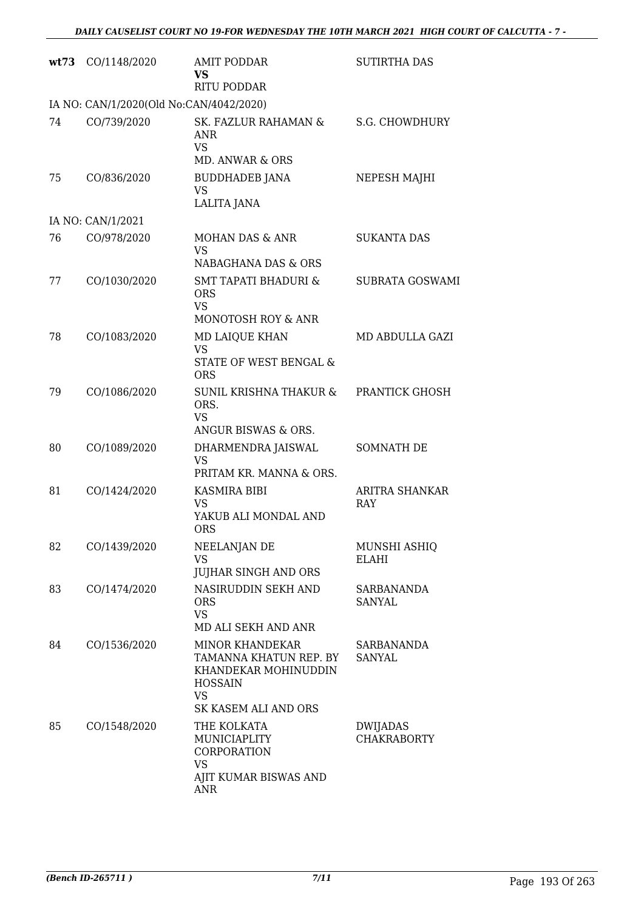| wt73 | CO/1148/2020                            | <b>AMIT PODDAR</b><br><b>VS</b><br><b>RITU PODDAR</b>                                                                           | <b>SUTIRTHA DAS</b>            |
|------|-----------------------------------------|---------------------------------------------------------------------------------------------------------------------------------|--------------------------------|
|      | IA NO: CAN/1/2020(Old No:CAN/4042/2020) |                                                                                                                                 |                                |
| 74   | CO/739/2020                             | SK. FAZLUR RAHAMAN &<br><b>ANR</b><br><b>VS</b><br>MD. ANWAR & ORS                                                              | <b>S.G. CHOWDHURY</b>          |
| 75   | CO/836/2020                             | BUDDHADEB JANA<br><b>VS</b><br><b>LALITA JANA</b>                                                                               | NEPESH MAJHI                   |
|      | IA NO: CAN/1/2021                       |                                                                                                                                 |                                |
| 76   | CO/978/2020                             | MOHAN DAS & ANR<br><b>VS</b><br>NABAGHANA DAS & ORS                                                                             | <b>SUKANTA DAS</b>             |
| 77   | CO/1030/2020                            | <b>SMT TAPATI BHADURI &amp;</b><br><b>ORS</b><br><b>VS</b><br>MONOTOSH ROY & ANR                                                | SUBRATA GOSWAMI                |
| 78   | CO/1083/2020                            | MD LAIQUE KHAN<br><b>VS</b><br>STATE OF WEST BENGAL &<br><b>ORS</b>                                                             | MD ABDULLA GAZI                |
| 79   | CO/1086/2020                            | SUNIL KRISHNA THAKUR &<br>ORS.<br><b>VS</b><br>ANGUR BISWAS & ORS.                                                              | PRANTICK GHOSH                 |
| 80   | CO/1089/2020                            | DHARMENDRA JAISWAL<br>VS<br>PRITAM KR. MANNA & ORS.                                                                             | <b>SOMNATH DE</b>              |
| 81   | CO/1424/2020                            | KASMIRA BIBI<br>VS<br>YAKUB ALI MONDAL AND<br><b>ORS</b>                                                                        | ARITRA SHANKAR<br>RAY          |
| 82   | CO/1439/2020                            | NEELANJAN DE<br><b>VS</b><br><b>JUJHAR SINGH AND ORS</b>                                                                        | MUNSHI ASHIQ<br>ELAHI          |
| 83   | CO/1474/2020                            | NASIRUDDIN SEKH AND<br><b>ORS</b><br><b>VS</b><br>MD ALI SEKH AND ANR                                                           | SARBANANDA<br>SANYAL           |
| 84   | CO/1536/2020                            | <b>MINOR KHANDEKAR</b><br>TAMANNA KHATUN REP. BY<br>KHANDEKAR MOHINUDDIN<br><b>HOSSAIN</b><br><b>VS</b><br>SK KASEM ALI AND ORS | SARBANANDA<br><b>SANYAL</b>    |
| 85   | CO/1548/2020                            | THE KOLKATA<br>MUNICIAPLITY<br>CORPORATION<br><b>VS</b><br>AJIT KUMAR BISWAS AND<br><b>ANR</b>                                  | DWIJADAS<br><b>CHAKRABORTY</b> |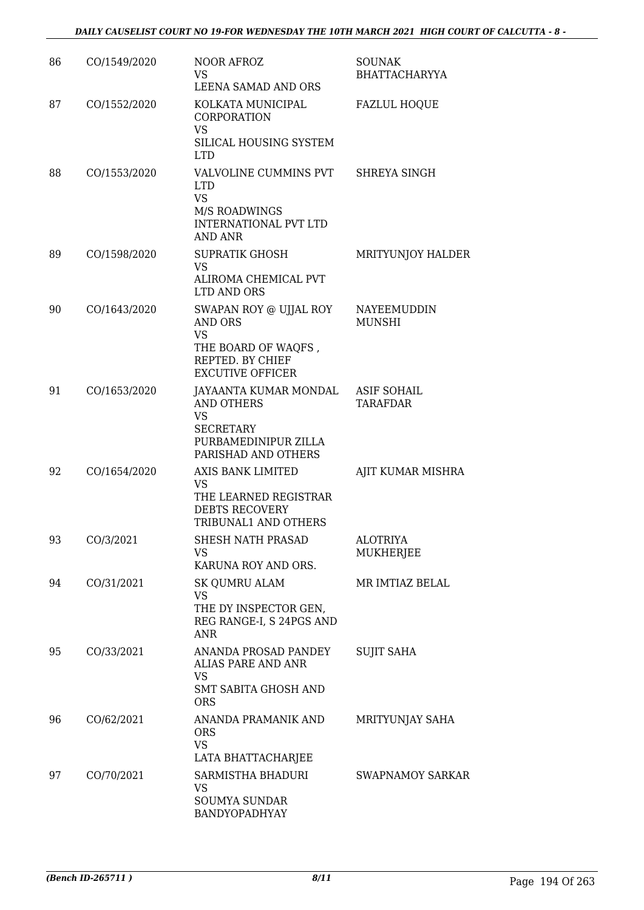| 86 | CO/1549/2020 | <b>NOOR AFROZ</b><br>VS.<br>LEENA SAMAD AND ORS                                                                            | <b>SOUNAK</b><br>BHATTACHARYYA      |
|----|--------------|----------------------------------------------------------------------------------------------------------------------------|-------------------------------------|
| 87 | CO/1552/2020 | KOLKATA MUNICIPAL<br>CORPORATION<br><b>VS</b>                                                                              | <b>FAZLUL HOQUE</b>                 |
|    |              | SILICAL HOUSING SYSTEM<br><b>LTD</b>                                                                                       |                                     |
| 88 | CO/1553/2020 | VALVOLINE CUMMINS PVT<br><b>LTD</b><br><b>VS</b><br><b>M/S ROADWINGS</b><br><b>INTERNATIONAL PVT LTD</b><br><b>AND ANR</b> | SHREYA SINGH                        |
| 89 | CO/1598/2020 | <b>SUPRATIK GHOSH</b><br><b>VS</b><br>ALIROMA CHEMICAL PVT<br>LTD AND ORS                                                  | MRITYUNJOY HALDER                   |
| 90 | CO/1643/2020 | SWAPAN ROY @ UJJAL ROY<br><b>AND ORS</b><br><b>VS</b><br>THE BOARD OF WAQFS,<br>REPTED. BY CHIEF                           | <b>NAYEEMUDDIN</b><br><b>MUNSHI</b> |
|    |              | <b>EXCUTIVE OFFICER</b>                                                                                                    |                                     |
| 91 | CO/1653/2020 | JAYAANTA KUMAR MONDAL<br><b>AND OTHERS</b><br><b>VS</b><br><b>SECRETARY</b><br>PURBAMEDINIPUR ZILLA<br>PARISHAD AND OTHERS | <b>ASIF SOHAIL</b><br>TARAFDAR      |
| 92 | CO/1654/2020 | AXIS BANK LIMITED<br><b>VS</b><br>THE LEARNED REGISTRAR<br><b>DEBTS RECOVERY</b><br>TRIBUNAL1 AND OTHERS                   | AJIT KUMAR MISHRA                   |
| 93 | CO/3/2021    | SHESH NATH PRASAD<br>VS<br>KARUNA ROY AND ORS.                                                                             | ALOTRIYA<br><b>MUKHERJEE</b>        |
| 94 | CO/31/2021   | SK QUMRU ALAM<br><b>VS</b><br>THE DY INSPECTOR GEN,<br>REG RANGE-I, S 24PGS AND<br><b>ANR</b>                              | MR IMTIAZ BELAL                     |
| 95 | CO/33/2021   | ANANDA PROSAD PANDEY<br><b>ALIAS PARE AND ANR</b><br>VS.<br><b>SMT SABITA GHOSH AND</b><br><b>ORS</b>                      | <b>SUJIT SAHA</b>                   |
| 96 | CO/62/2021   | ANANDA PRAMANIK AND<br><b>ORS</b><br><b>VS</b><br>LATA BHATTACHARJEE                                                       | MRITYUNJAY SAHA                     |
| 97 | CO/70/2021   | SARMISTHA BHADURI<br>VS.<br><b>SOUMYA SUNDAR</b><br>BANDYOPADHYAY                                                          | <b>SWAPNAMOY SARKAR</b>             |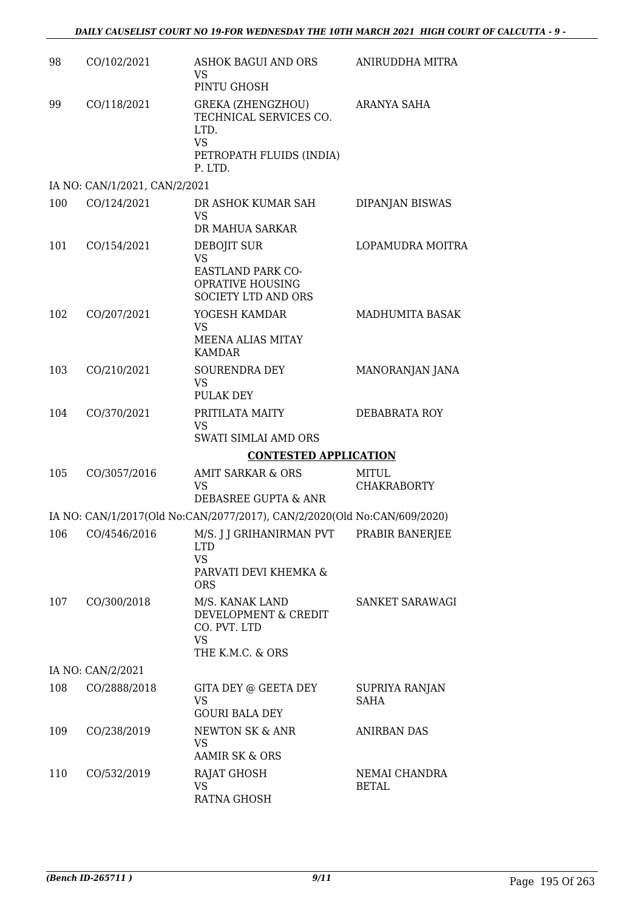| 98  | CO/102/2021                   | ASHOK BAGUI AND ORS<br><b>VS</b><br>PINTU GHOSH                                                                       | ANIRUDDHA MITRA                    |
|-----|-------------------------------|-----------------------------------------------------------------------------------------------------------------------|------------------------------------|
| 99  | CO/118/2021                   | <b>GREKA (ZHENGZHOU)</b><br>TECHNICAL SERVICES CO.<br>LTD.<br><b>VS</b><br>PETROPATH FLUIDS (INDIA)<br>P. LTD.        | ARANYA SAHA                        |
|     | IA NO: CAN/1/2021, CAN/2/2021 |                                                                                                                       |                                    |
| 100 | CO/124/2021                   | DR ASHOK KUMAR SAH<br>VS<br>DR MAHUA SARKAR                                                                           | DIPANJAN BISWAS                    |
| 101 | CO/154/2021                   | DEBOJIT SUR<br><b>VS</b><br>EASTLAND PARK CO-<br><b>OPRATIVE HOUSING</b><br>SOCIETY LTD AND ORS                       | LOPAMUDRA MOITRA                   |
| 102 | CO/207/2021                   | YOGESH KAMDAR<br><b>VS</b><br><b>MEENA ALIAS MITAY</b><br><b>KAMDAR</b>                                               | MADHUMITA BASAK                    |
| 103 | CO/210/2021                   | SOURENDRA DEY<br><b>VS</b><br>PULAK DEY                                                                               | MANORANJAN JANA                    |
| 104 | CO/370/2021                   | PRITILATA MAITY<br><b>VS</b><br>SWATI SIMLAI AMD ORS                                                                  | DEBABRATA ROY                      |
|     |                               | <b>CONTESTED APPLICATION</b>                                                                                          |                                    |
| 105 | CO/3057/2016                  | AMIT SARKAR & ORS<br><b>VS</b><br>DEBASREE GUPTA & ANR                                                                | <b>MITUL</b><br><b>CHAKRABORTY</b> |
|     |                               | IA NO: CAN/1/2017(Old No:CAN/2077/2017), CAN/2/2020(Old No:CAN/609/2020)                                              |                                    |
|     |                               | 106 CO/4546/2016 M/S. J J GRIHANIRMAN PVT PRABIR BANERJEE<br>LTD.<br><b>VS</b><br>PARVATI DEVI KHEMKA &<br><b>ORS</b> |                                    |
| 107 | CO/300/2018                   | M/S. KANAK LAND<br>DEVELOPMENT & CREDIT<br>CO. PVT. LTD<br><b>VS</b><br>THE K.M.C. & ORS                              | SANKET SARAWAGI                    |
|     | IA NO: CAN/2/2021             |                                                                                                                       |                                    |
| 108 | CO/2888/2018                  | GITA DEY @ GEETA DEY<br><b>VS</b><br><b>GOURI BALA DEY</b>                                                            | SUPRIYA RANJAN<br><b>SAHA</b>      |
| 109 | CO/238/2019                   | NEWTON SK & ANR<br>VS<br><b>AAMIR SK &amp; ORS</b>                                                                    | <b>ANIRBAN DAS</b>                 |
| 110 | CO/532/2019                   | RAJAT GHOSH<br><b>VS</b><br><b>RATNA GHOSH</b>                                                                        | NEMAI CHANDRA<br><b>BETAL</b>      |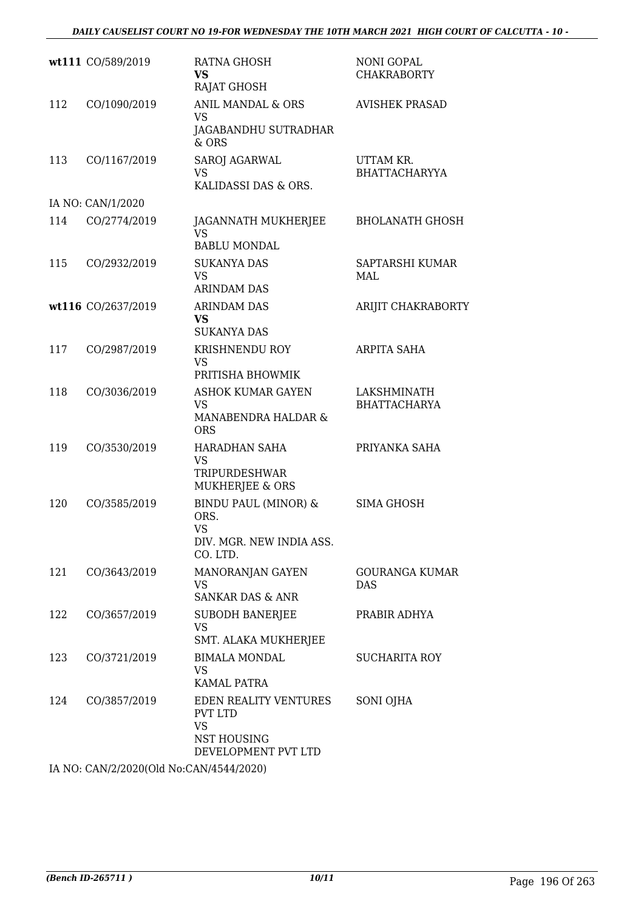|     | wt111 CO/589/2019  | RATNA GHOSH<br>VS<br><b>RAJAT GHOSH</b>                                                           | <b>NONI GOPAL</b><br><b>CHAKRABORTY</b> |
|-----|--------------------|---------------------------------------------------------------------------------------------------|-----------------------------------------|
| 112 | CO/1090/2019       | ANIL MANDAL & ORS<br><b>VS</b><br>JAGABANDHU SUTRADHAR<br>$&$ ORS                                 | <b>AVISHEK PRASAD</b>                   |
| 113 | CO/1167/2019       | SAROJ AGARWAL<br>VS<br>KALIDASSI DAS & ORS.                                                       | UTTAM KR.<br><b>BHATTACHARYYA</b>       |
|     | IA NO: CAN/1/2020  |                                                                                                   |                                         |
| 114 | CO/2774/2019       | JAGANNATH MUKHERJEE<br><b>VS</b><br><b>BABLU MONDAL</b>                                           | <b>BHOLANATH GHOSH</b>                  |
| 115 | CO/2932/2019       | <b>SUKANYA DAS</b><br><b>VS</b><br><b>ARINDAM DAS</b>                                             | SAPTARSHI KUMAR<br>MAL                  |
|     | wt116 CO/2637/2019 | <b>ARINDAM DAS</b><br><b>VS</b><br><b>SUKANYA DAS</b>                                             | ARIJIT CHAKRABORTY                      |
| 117 | CO/2987/2019       | <b>KRISHNENDU ROY</b><br><b>VS</b><br>PRITISHA BHOWMIK                                            | <b>ARPITA SAHA</b>                      |
| 118 | CO/3036/2019       | <b>ASHOK KUMAR GAYEN</b><br>VS<br>MANABENDRA HALDAR &<br><b>ORS</b>                               | LAKSHMINATH<br><b>BHATTACHARYA</b>      |
| 119 | CO/3530/2019       | HARADHAN SAHA<br>VS<br>TRIPURDESHWAR<br>MUKHERJEE & ORS                                           | PRIYANKA SAHA                           |
| 120 | CO/3585/2019       | <b>BINDU PAUL (MINOR) &amp;</b><br>ORS.<br>VS<br>DIV. MGR. NEW INDIA ASS.<br>CO. LTD.             | SIMA GHOSH                              |
| 121 | CO/3643/2019       | MANORANJAN GAYEN<br>VS<br><b>SANKAR DAS &amp; ANR</b>                                             | <b>GOURANGA KUMAR</b><br>DAS            |
| 122 | CO/3657/2019       | <b>SUBODH BANERJEE</b><br><b>VS</b><br>SMT. ALAKA MUKHERJEE                                       | PRABIR ADHYA                            |
| 123 | CO/3721/2019       | <b>BIMALA MONDAL</b><br>VS<br>KAMAL PATRA                                                         | SUCHARITA ROY                           |
| 124 | CO/3857/2019       | EDEN REALITY VENTURES<br><b>PVT LTD</b><br><b>VS</b><br><b>NST HOUSING</b><br>DEVELOPMENT PVT LTD | SONI OJHA                               |

IA NO: CAN/2/2020(Old No:CAN/4544/2020)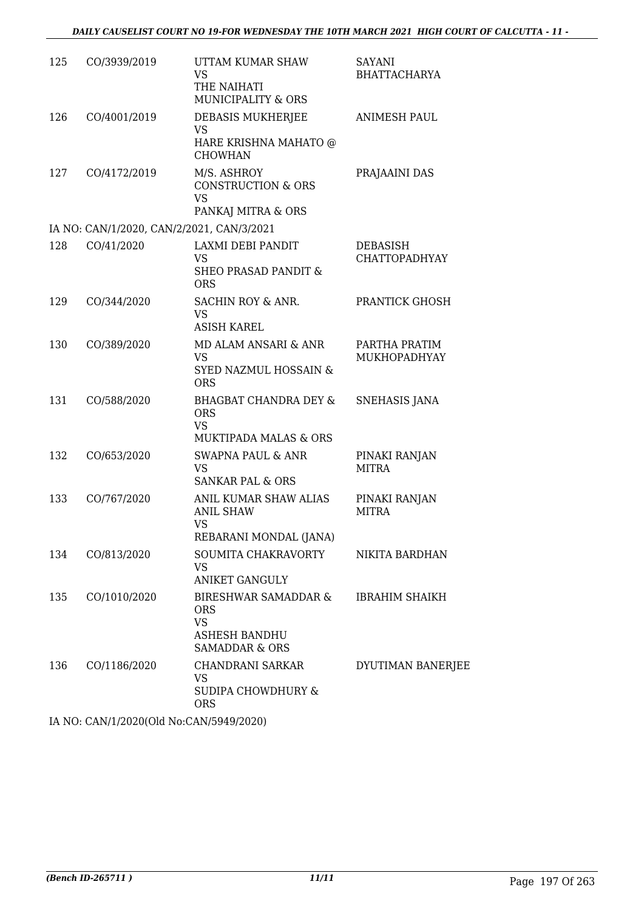| 125 | CO/3939/2019                              | UTTAM KUMAR SHAW<br>VS<br>THE NAIHATI<br><b>MUNICIPALITY &amp; ORS</b>                          | SAYANI<br><b>BHATTACHARYA</b>    |
|-----|-------------------------------------------|-------------------------------------------------------------------------------------------------|----------------------------------|
| 126 | CO/4001/2019                              | DEBASIS MUKHERJEE<br><b>VS</b><br>HARE KRISHNA MAHATO @<br><b>CHOWHAN</b>                       | ANIMESH PAUL                     |
| 127 | CO/4172/2019                              | M/S. ASHROY<br><b>CONSTRUCTION &amp; ORS</b><br><b>VS</b><br>PANKAJ MITRA & ORS                 | PRAJAAINI DAS                    |
|     | IA NO: CAN/1/2020, CAN/2/2021, CAN/3/2021 |                                                                                                 |                                  |
| 128 | CO/41/2020                                | LAXMI DEBI PANDIT<br><b>VS</b><br><b>SHEO PRASAD PANDIT &amp;</b><br><b>ORS</b>                 | DEBASISH<br><b>CHATTOPADHYAY</b> |
| 129 | CO/344/2020                               | SACHIN ROY & ANR.<br><b>VS</b><br><b>ASISH KAREL</b>                                            | PRANTICK GHOSH                   |
| 130 | CO/389/2020                               | MD ALAM ANSARI & ANR<br><b>VS</b><br><b>SYED NAZMUL HOSSAIN &amp;</b><br><b>ORS</b>             | PARTHA PRATIM<br>MUKHOPADHYAY    |
| 131 | CO/588/2020                               | <b>BHAGBAT CHANDRA DEY &amp;</b><br><b>ORS</b><br><b>VS</b><br><b>MUKTIPADA MALAS &amp; ORS</b> | SNEHASIS JANA                    |
| 132 | CO/653/2020                               | SWAPNA PAUL & ANR<br><b>VS</b><br>SANKAR PAL & ORS                                              | PINAKI RANJAN<br><b>MITRA</b>    |
| 133 | CO/767/2020                               | ANIL KUMAR SHAW ALIAS<br><b>ANIL SHAW</b><br>VS<br>REBARANI MONDAL (JANA)                       | PINAKI RANJAN<br><b>MITRA</b>    |
| 134 | CO/813/2020                               | SOUMITA CHAKRAVORTY<br><b>VS</b><br><b>ANIKET GANGULY</b>                                       | NIKITA BARDHAN                   |
| 135 | CO/1010/2020                              | BIRESHWAR SAMADDAR &<br>ORS<br><b>VS</b><br>ASHESH BANDHU<br><b>SAMADDAR &amp; ORS</b>          | <b>IBRAHIM SHAIKH</b>            |
| 136 | CO/1186/2020                              | CHANDRANI SARKAR<br>VS<br><b>SUDIPA CHOWDHURY &amp;</b><br><b>ORS</b>                           | DYUTIMAN BANERJEE                |
|     |                                           |                                                                                                 |                                  |

IA NO: CAN/1/2020(Old No:CAN/5949/2020)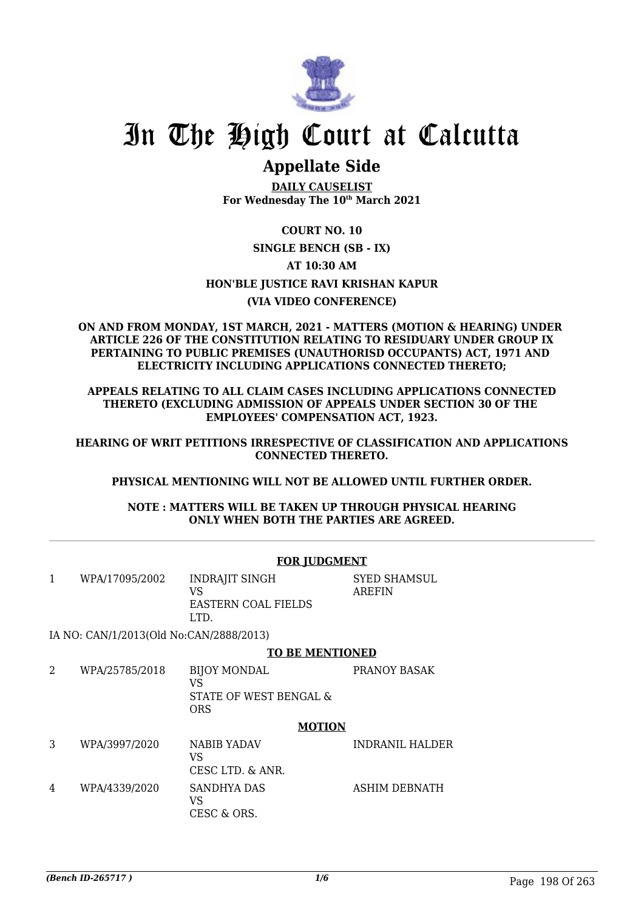

## **Appellate Side**

**DAILY CAUSELIST For Wednesday The 10th March 2021**

### **COURT NO. 10 SINGLE BENCH (SB - IX) AT 10:30 AM HON'BLE JUSTICE RAVI KRISHAN KAPUR (VIA VIDEO CONFERENCE)**

#### **ON AND FROM MONDAY, 1ST MARCH, 2021 - MATTERS (MOTION & HEARING) UNDER ARTICLE 226 OF THE CONSTITUTION RELATING TO RESIDUARY UNDER GROUP IX PERTAINING TO PUBLIC PREMISES (UNAUTHORISD OCCUPANTS) ACT, 1971 AND ELECTRICITY INCLUDING APPLICATIONS CONNECTED THERETO;**

**APPEALS RELATING TO ALL CLAIM CASES INCLUDING APPLICATIONS CONNECTED THERETO (EXCLUDING ADMISSION OF APPEALS UNDER SECTION 30 OF THE EMPLOYEES' COMPENSATION ACT, 1923.**

**HEARING OF WRIT PETITIONS IRRESPECTIVE OF CLASSIFICATION AND APPLICATIONS CONNECTED THERETO.**

#### **PHYSICAL MENTIONING WILL NOT BE ALLOWED UNTIL FURTHER ORDER.**

**NOTE : MATTERS WILL BE TAKEN UP THROUGH PHYSICAL HEARING ONLY WHEN BOTH THE PARTIES ARE AGREED.**

|   |                                         | <b>FOR JUDGMENT</b>                                               |                               |
|---|-----------------------------------------|-------------------------------------------------------------------|-------------------------------|
| 1 | WPA/17095/2002                          | <b>INDRAJIT SINGH</b><br>VS<br>EASTERN COAL FIELDS<br>LTD.        | <b>SYED SHAMSUL</b><br>AREFIN |
|   | IA NO: CAN/1/2013(Old No:CAN/2888/2013) |                                                                   |                               |
|   |                                         | <b>TO BE MENTIONED</b>                                            |                               |
| 2 | WPA/25785/2018                          | <b>BIJOY MONDAL</b><br>VS<br>STATE OF WEST BENGAL &<br><b>ORS</b> | PRANOY BASAK                  |
|   |                                         | <b>MOTION</b>                                                     |                               |
| 3 | WPA/3997/2020                           | <b>NABIB YADAV</b><br>VS<br>CESC LTD. & ANR.                      | <b>INDRANIL HALDER</b>        |
| 4 | WPA/4339/2020                           | SANDHYA DAS<br>VS<br>CESC & ORS.                                  | <b>ASHIM DEBNATH</b>          |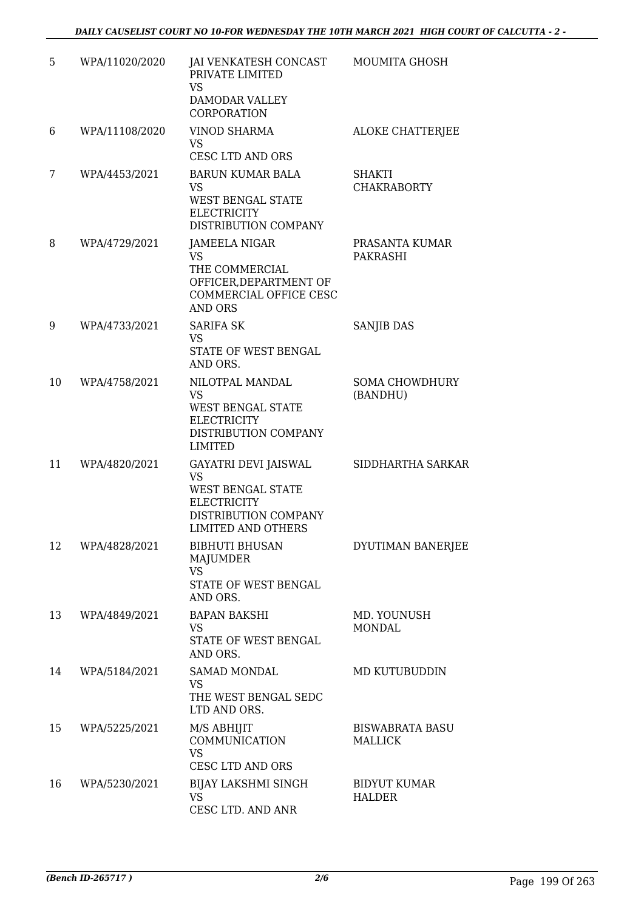| 5  | WPA/11020/2020 | JAI VENKATESH CONCAST<br>PRIVATE LIMITED<br><b>VS</b><br>DAMODAR VALLEY<br>CORPORATION                                            | <b>MOUMITA GHOSH</b>                     |
|----|----------------|-----------------------------------------------------------------------------------------------------------------------------------|------------------------------------------|
| 6  | WPA/11108/2020 | <b>VINOD SHARMA</b><br><b>VS</b><br><b>CESC LTD AND ORS</b>                                                                       | <b>ALOKE CHATTERJEE</b>                  |
| 7  | WPA/4453/2021  | <b>BARUN KUMAR BALA</b><br><b>VS</b><br>WEST BENGAL STATE<br><b>ELECTRICITY</b><br>DISTRIBUTION COMPANY                           | SHAKTI<br><b>CHAKRABORTY</b>             |
| 8  | WPA/4729/2021  | JAMEELA NIGAR<br><b>VS</b><br>THE COMMERCIAL<br>OFFICER, DEPARTMENT OF<br>COMMERCIAL OFFICE CESC<br><b>AND ORS</b>                | PRASANTA KUMAR<br>PAKRASHI               |
| 9  | WPA/4733/2021  | <b>SARIFA SK</b><br><b>VS</b><br>STATE OF WEST BENGAL<br>AND ORS.                                                                 | SANJIB DAS                               |
| 10 | WPA/4758/2021  | NILOTPAL MANDAL<br><b>VS</b><br><b>WEST BENGAL STATE</b><br><b>ELECTRICITY</b><br>DISTRIBUTION COMPANY<br><b>LIMITED</b>          | <b>SOMA CHOWDHURY</b><br>(BANDHU)        |
| 11 | WPA/4820/2021  | GAYATRI DEVI JAISWAL<br><b>VS</b><br>WEST BENGAL STATE<br><b>ELECTRICITY</b><br>DISTRIBUTION COMPANY<br><b>LIMITED AND OTHERS</b> | SIDDHARTHA SARKAR                        |
| 12 | WPA/4828/2021  | <b>BIBHUTI BHUSAN</b><br><b>MAJUMDER</b><br><b>VS</b><br>STATE OF WEST BENGAL<br>AND ORS.                                         | DYUTIMAN BANERJEE                        |
| 13 | WPA/4849/2021  | <b>BAPAN BAKSHI</b><br><b>VS</b><br>STATE OF WEST BENGAL<br>AND ORS.                                                              | MD. YOUNUSH<br><b>MONDAL</b>             |
| 14 | WPA/5184/2021  | <b>SAMAD MONDAL</b><br><b>VS</b><br>THE WEST BENGAL SEDC<br>LTD AND ORS.                                                          | MD KUTUBUDDIN                            |
| 15 | WPA/5225/2021  | M/S ABHIJIT<br><b>COMMUNICATION</b><br><b>VS</b><br><b>CESC LTD AND ORS</b>                                                       | <b>BISWABRATA BASU</b><br><b>MALLICK</b> |
| 16 | WPA/5230/2021  | <b>BIJAY LAKSHMI SINGH</b><br><b>VS</b><br>CESC LTD. AND ANR                                                                      | <b>BIDYUT KUMAR</b><br><b>HALDER</b>     |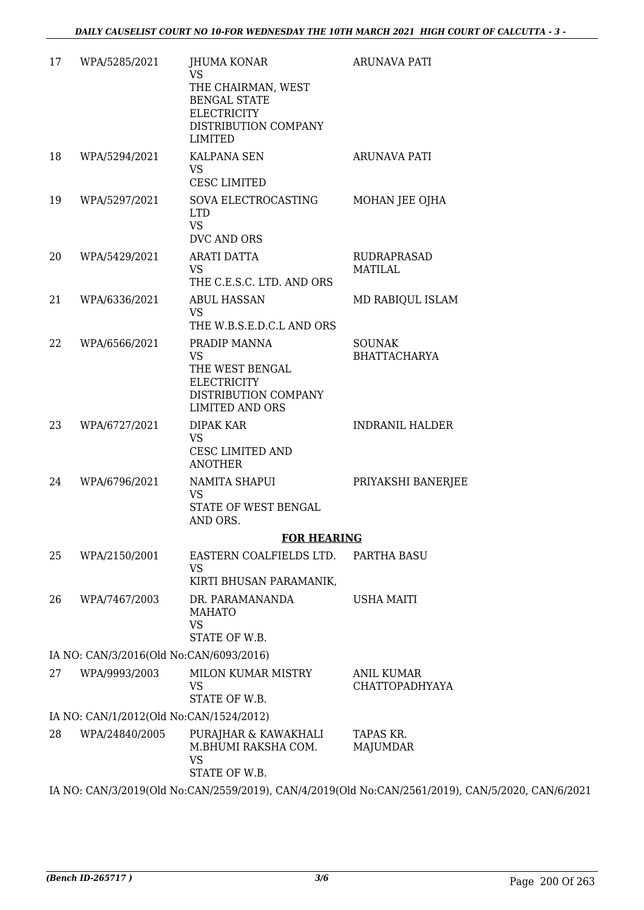| <b>ELECTRICITY</b><br>DISTRIBUTION COMPANY<br><b>LIMITED</b>                                                                                                                        |
|-------------------------------------------------------------------------------------------------------------------------------------------------------------------------------------|
|                                                                                                                                                                                     |
| 18<br>WPA/5294/2021<br><b>KALPANA SEN</b><br><b>ARUNAVA PATI</b><br><b>VS</b><br>CESC LIMITED                                                                                       |
| WPA/5297/2021<br>19<br>SOVA ELECTROCASTING<br>MOHAN JEE OJHA<br><b>LTD</b><br><b>VS</b><br>DVC AND ORS                                                                              |
| 20<br>WPA/5429/2021<br><b>ARATI DATTA</b><br><b>RUDRAPRASAD</b><br>VS<br><b>MATILAL</b><br>THE C.E.S.C. LTD. AND ORS                                                                |
| WPA/6336/2021<br>21<br><b>ABUL HASSAN</b><br>MD RABIQUL ISLAM<br><b>VS</b><br>THE W.B.S.E.D.C.L AND ORS                                                                             |
| 22<br>WPA/6566/2021<br>PRADIP MANNA<br><b>SOUNAK</b><br><b>VS</b><br><b>BHATTACHARYA</b><br>THE WEST BENGAL<br><b>ELECTRICITY</b><br>DISTRIBUTION COMPANY<br><b>LIMITED AND ORS</b> |
| WPA/6727/2021<br>23<br><b>DIPAK KAR</b><br><b>INDRANIL HALDER</b><br><b>VS</b><br>CESC LIMITED AND<br><b>ANOTHER</b>                                                                |
| 24<br>WPA/6796/2021<br>NAMITA SHAPUI<br>PRIYAKSHI BANERJEE<br><b>VS</b><br>STATE OF WEST BENGAL<br>AND ORS.                                                                         |
| <b>FOR HEARING</b>                                                                                                                                                                  |
| EASTERN COALFIELDS LTD.<br>25<br>WPA/2150/2001<br>PARTHA BASU<br><b>VS</b>                                                                                                          |
| KIRTI BHUSAN PARAMANIK,                                                                                                                                                             |
| 26<br>WPA/7467/2003<br>DR. PARAMANANDA<br><b>USHA MAITI</b><br><b>MAHATO</b><br><b>VS</b>                                                                                           |
| STATE OF W.B.                                                                                                                                                                       |
| IA NO: CAN/3/2016(Old No:CAN/6093/2016)<br>27<br>WPA/9993/2003<br>MILON KUMAR MISTRY<br><b>ANIL KUMAR</b>                                                                           |
| <b>VS</b><br><b>CHATTOPADHYAYA</b><br>STATE OF W.B.                                                                                                                                 |
| IA NO: CAN/1/2012(Old No:CAN/1524/2012)                                                                                                                                             |
| TAPAS KR.<br>28<br>WPA/24840/2005<br>PURAJHAR & KAWAKHALI<br>M.BHUMI RAKSHA COM.<br>MAJUMDAR<br><b>VS</b><br>STATE OF W.B.                                                          |
| IA NO: CAN/3/2019(Old No:CAN/2559/2019), CAN/4/2019(Old No:CAN/2561/2019), CAN/5/2020, CAN/6/2021                                                                                   |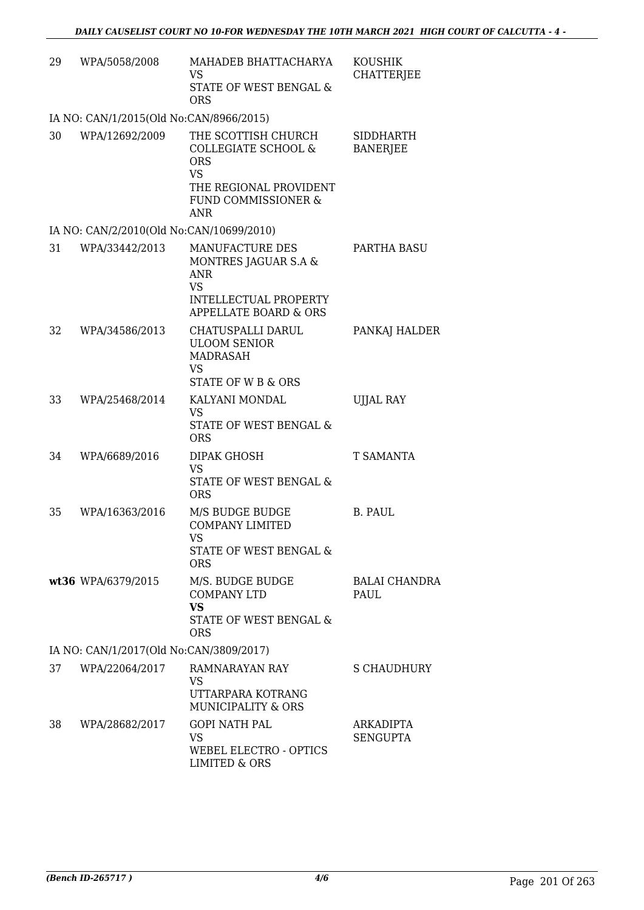| 29 | WPA/5058/2008                            | MAHADEB BHATTACHARYA<br>VS                                                                                                                      | <b>KOUSHIK</b><br><b>CHATTERJEE</b> |
|----|------------------------------------------|-------------------------------------------------------------------------------------------------------------------------------------------------|-------------------------------------|
|    |                                          | STATE OF WEST BENGAL &<br><b>ORS</b>                                                                                                            |                                     |
|    | IA NO: CAN/1/2015(Old No:CAN/8966/2015)  |                                                                                                                                                 |                                     |
| 30 | WPA/12692/2009                           | THE SCOTTISH CHURCH<br><b>COLLEGIATE SCHOOL &amp;</b><br><b>ORS</b><br><b>VS</b><br>THE REGIONAL PROVIDENT<br>FUND COMMISSIONER &<br><b>ANR</b> | SIDDHARTH<br><b>BANERJEE</b>        |
|    | IA NO: CAN/2/2010(Old No:CAN/10699/2010) |                                                                                                                                                 |                                     |
| 31 | WPA/33442/2013                           | MANUFACTURE DES<br>MONTRES JAGUAR S.A &<br><b>ANR</b><br><b>VS</b>                                                                              | PARTHA BASU                         |
|    |                                          | <b>INTELLECTUAL PROPERTY</b><br><b>APPELLATE BOARD &amp; ORS</b>                                                                                |                                     |
| 32 | WPA/34586/2013                           | CHATUSPALLI DARUL<br><b>ULOOM SENIOR</b><br><b>MADRASAH</b><br><b>VS</b><br>STATE OF W B & ORS                                                  | PANKAJ HALDER                       |
| 33 | WPA/25468/2014                           | KALYANI MONDAL<br><b>VS</b>                                                                                                                     | <b>UJJAL RAY</b>                    |
|    |                                          | STATE OF WEST BENGAL &<br><b>ORS</b>                                                                                                            |                                     |
| 34 | WPA/6689/2016                            | <b>DIPAK GHOSH</b><br><b>VS</b><br>STATE OF WEST BENGAL &<br><b>ORS</b>                                                                         | T SAMANTA                           |
| 35 | WPA/16363/2016                           | M/S BUDGE BUDGE<br><b>COMPANY LIMITED</b><br>VS<br>STATE OF WEST BENGAL &<br><b>ORS</b>                                                         | B. PAUL                             |
|    | wt36 WPA/6379/2015                       | M/S. BUDGE BUDGE<br><b>COMPANY LTD</b><br><b>VS</b><br>STATE OF WEST BENGAL &<br><b>ORS</b>                                                     | <b>BALAI CHANDRA</b><br>PAUL        |
|    | IA NO: CAN/1/2017(Old No:CAN/3809/2017)  |                                                                                                                                                 |                                     |
| 37 | WPA/22064/2017                           | RAMNARAYAN RAY<br><b>VS</b><br>UTTARPARA KOTRANG<br>MUNICIPALITY & ORS                                                                          | <b>S CHAUDHURY</b>                  |
| 38 | WPA/28682/2017                           | <b>GOPI NATH PAL</b><br><b>VS</b><br>WEBEL ELECTRO - OPTICS<br><b>LIMITED &amp; ORS</b>                                                         | <b>ARKADIPTA</b><br>SENGUPTA        |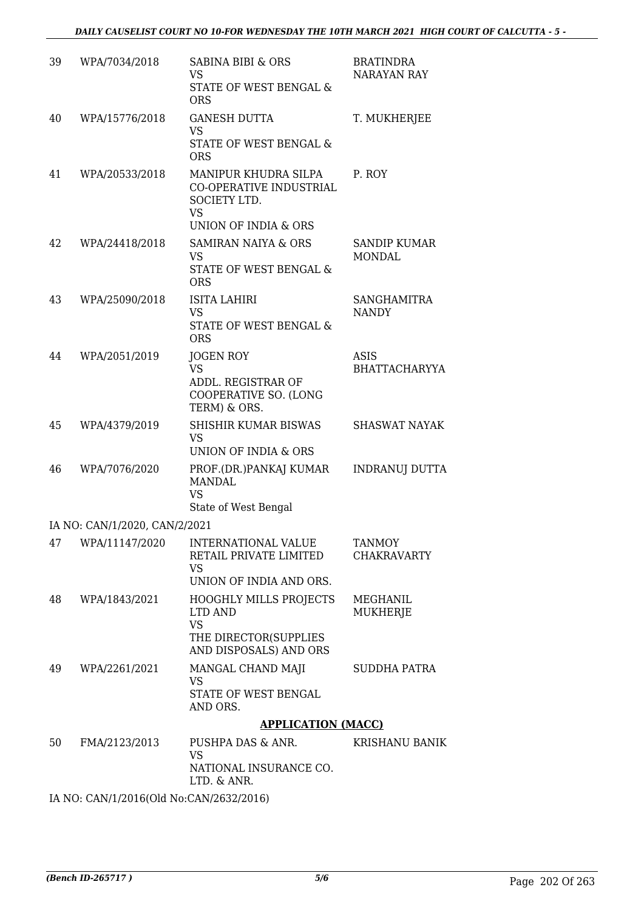| 39 | WPA/7034/2018                 | <b>SABINA BIBI &amp; ORS</b><br>VS<br>STATE OF WEST BENGAL &<br><b>ORS</b>                           | <b>BRATINDRA</b><br>NARAYAN RAY     |
|----|-------------------------------|------------------------------------------------------------------------------------------------------|-------------------------------------|
| 40 | WPA/15776/2018                | <b>GANESH DUTTA</b><br><b>VS</b><br>STATE OF WEST BENGAL &<br><b>ORS</b>                             | T. MUKHERJEE                        |
| 41 | WPA/20533/2018                | MANIPUR KHUDRA SILPA<br>CO-OPERATIVE INDUSTRIAL<br>SOCIETY LTD.<br><b>VS</b><br>UNION OF INDIA & ORS | P. ROY                              |
| 42 | WPA/24418/2018                | <b>SAMIRAN NAIYA &amp; ORS</b><br>VS<br>STATE OF WEST BENGAL &<br><b>ORS</b>                         | SANDIP KUMAR<br><b>MONDAL</b>       |
| 43 | WPA/25090/2018                | ISITA LAHIRI<br><b>VS</b><br>STATE OF WEST BENGAL &<br><b>ORS</b>                                    | <b>SANGHAMITRA</b><br><b>NANDY</b>  |
| 44 | WPA/2051/2019                 | JOGEN ROY<br><b>VS</b><br>ADDL. REGISTRAR OF<br>COOPERATIVE SO. (LONG<br>TERM) & ORS.                | ASIS<br><b>BHATTACHARYYA</b>        |
| 45 | WPA/4379/2019                 | SHISHIR KUMAR BISWAS<br>VS<br>UNION OF INDIA & ORS                                                   | SHASWAT NAYAK                       |
| 46 | WPA/7076/2020                 | PROF.(DR.)PANKAJ KUMAR<br><b>MANDAL</b><br><b>VS</b><br>State of West Bengal                         | <b>INDRANUJ DUTTA</b>               |
|    | IA NO: CAN/1/2020, CAN/2/2021 |                                                                                                      |                                     |
| 47 | WPA/11147/2020                | INTERNATIONAL VALUE<br>RETAIL PRIVATE LIMITED<br><b>VS</b><br>UNION OF INDIA AND ORS.                | <b>TANMOY</b><br><b>CHAKRAVARTY</b> |
| 48 | WPA/1843/2021                 | <b>HOOGHLY MILLS PROJECTS</b><br>LTD AND<br><b>VS</b><br>THE DIRECTOR(SUPPLIES                       | MEGHANIL<br>MUKHERJE                |
| 49 | WPA/2261/2021                 | AND DISPOSALS) AND ORS<br>MANGAL CHAND MAJI<br><b>VS</b><br>STATE OF WEST BENGAL<br>AND ORS.         | SUDDHA PATRA                        |
|    |                               | <b>APPLICATION (MACC)</b>                                                                            |                                     |
| 50 | FMA/2123/2013                 | PUSHPA DAS & ANR.<br>VS<br>NATIONAL INSURANCE CO.<br>LTD. & ANR.                                     | <b>KRISHANU BANIK</b>               |
|    |                               |                                                                                                      |                                     |

IA NO: CAN/1/2016(Old No:CAN/2632/2016)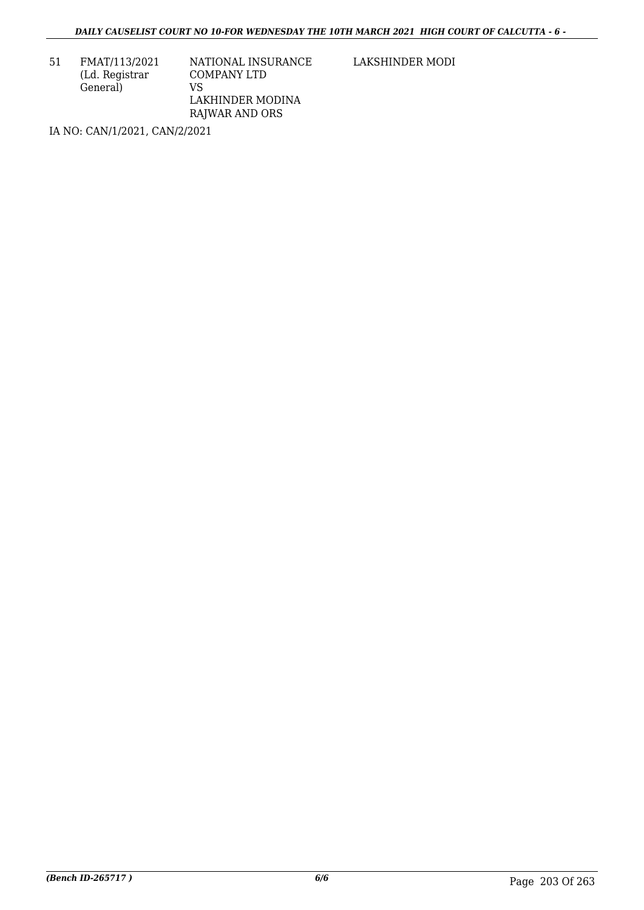51 FMAT/113/2021 (Ld. Registrar General)

NATIONAL INSURANCE COMPANY LTD VS LAKHINDER MODINA RAJWAR AND ORS

LAKSHINDER MODI

IA NO: CAN/1/2021, CAN/2/2021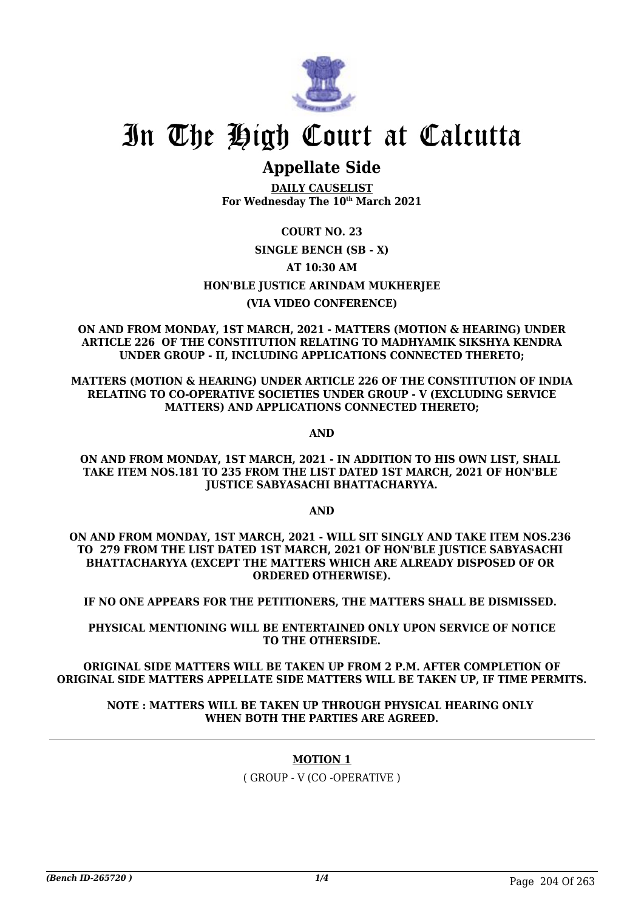

## **Appellate Side**

**DAILY CAUSELIST For Wednesday The 10th March 2021**

### **COURT NO. 23 SINGLE BENCH (SB - X) AT 10:30 AM HON'BLE JUSTICE ARINDAM MUKHERJEE (VIA VIDEO CONFERENCE)**

**ON AND FROM MONDAY, 1ST MARCH, 2021 - MATTERS (MOTION & HEARING) UNDER ARTICLE 226 OF THE CONSTITUTION RELATING TO MADHYAMIK SIKSHYA KENDRA UNDER GROUP - II, INCLUDING APPLICATIONS CONNECTED THERETO;**

**MATTERS (MOTION & HEARING) UNDER ARTICLE 226 OF THE CONSTITUTION OF INDIA RELATING TO CO-OPERATIVE SOCIETIES UNDER GROUP - V (EXCLUDING SERVICE MATTERS) AND APPLICATIONS CONNECTED THERETO;**

**AND**

**ON AND FROM MONDAY, 1ST MARCH, 2021 - IN ADDITION TO HIS OWN LIST, SHALL TAKE ITEM NOS.181 TO 235 FROM THE LIST DATED 1ST MARCH, 2021 OF HON'BLE JUSTICE SABYASACHI BHATTACHARYYA.**

**AND**

**ON AND FROM MONDAY, 1ST MARCH, 2021 - WILL SIT SINGLY AND TAKE ITEM NOS.236 TO 279 FROM THE LIST DATED 1ST MARCH, 2021 OF HON'BLE JUSTICE SABYASACHI BHATTACHARYYA (EXCEPT THE MATTERS WHICH ARE ALREADY DISPOSED OF OR ORDERED OTHERWISE).**

**IF NO ONE APPEARS FOR THE PETITIONERS, THE MATTERS SHALL BE DISMISSED.** 

**PHYSICAL MENTIONING WILL BE ENTERTAINED ONLY UPON SERVICE OF NOTICE TO THE OTHERSIDE.**

**ORIGINAL SIDE MATTERS WILL BE TAKEN UP FROM 2 P.M. AFTER COMPLETION OF ORIGINAL SIDE MATTERS APPELLATE SIDE MATTERS WILL BE TAKEN UP, IF TIME PERMITS.**

#### **NOTE : MATTERS WILL BE TAKEN UP THROUGH PHYSICAL HEARING ONLY WHEN BOTH THE PARTIES ARE AGREED.**

#### **MOTION 1**

( GROUP - V (CO -OPERATIVE )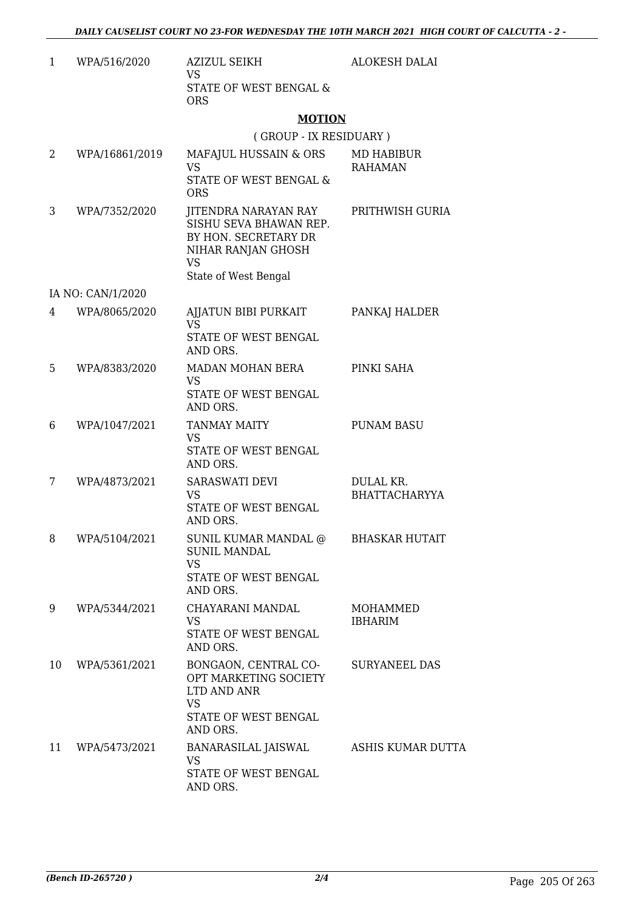| 1  | WPA/516/2020      | <b>AZIZUL SEIKH</b><br>VS.                                                                                                                        | <b>ALOKESH DALAI</b>              |
|----|-------------------|---------------------------------------------------------------------------------------------------------------------------------------------------|-----------------------------------|
|    |                   | STATE OF WEST BENGAL &<br><b>ORS</b>                                                                                                              |                                   |
|    |                   | <b>MOTION</b>                                                                                                                                     |                                   |
|    |                   | (GROUP - IX RESIDUARY)                                                                                                                            |                                   |
| 2  | WPA/16861/2019    | MAFAJUL HUSSAIN & ORS<br>VS.<br>STATE OF WEST BENGAL &<br><b>ORS</b>                                                                              | MD HABIBUR<br><b>RAHAMAN</b>      |
| 3  | WPA/7352/2020     | JITENDRA NARAYAN RAY PRITHWISH GURIA<br>SISHU SEVA BHAWAN REP.<br>BY HON. SECRETARY DR<br>NIHAR RANJAN GHOSH<br><b>VS</b><br>State of West Bengal |                                   |
|    | IA NO: CAN/1/2020 |                                                                                                                                                   |                                   |
| 4  | WPA/8065/2020     | AJJATUN BIBI PURKAIT<br><b>VS</b><br>STATE OF WEST BENGAL<br>AND ORS.                                                                             | PANKAJ HALDER                     |
| 5  | WPA/8383/2020     | MADAN MOHAN BERA<br><b>VS</b><br>STATE OF WEST BENGAL<br>AND ORS.                                                                                 | PINKI SAHA                        |
| 6  | WPA/1047/2021     | <b>TANMAY MAITY</b><br><b>VS</b><br>STATE OF WEST BENGAL<br>AND ORS.                                                                              | <b>PUNAM BASU</b>                 |
| 7  | WPA/4873/2021     | SARASWATI DEVI<br><b>VS</b><br>STATE OF WEST BENGAL<br>AND ORS.                                                                                   | DULAL KR.<br><b>BHATTACHARYYA</b> |
| 8  | WPA/5104/2021     | SUNIL KUMAR MANDAL @ BHASKAR HUTAIT<br><b>SUNIL MANDAL</b><br><b>VS</b><br>STATE OF WEST BENGAL<br>AND ORS.                                       |                                   |
| 9  | WPA/5344/2021     | CHAYARANI MANDAL<br><b>VS</b><br>STATE OF WEST BENGAL<br>AND ORS.                                                                                 | MOHAMMED<br><b>IBHARIM</b>        |
| 10 | WPA/5361/2021     | BONGAON, CENTRAL CO-<br>OPT MARKETING SOCIETY<br>LTD AND ANR<br><b>VS</b><br>STATE OF WEST BENGAL<br>AND ORS.                                     | <b>SURYANEEL DAS</b>              |
| 11 | WPA/5473/2021     | BANARASILAL JAISWAL<br><b>VS</b><br>STATE OF WEST BENGAL<br>AND ORS.                                                                              | ASHIS KUMAR DUTTA                 |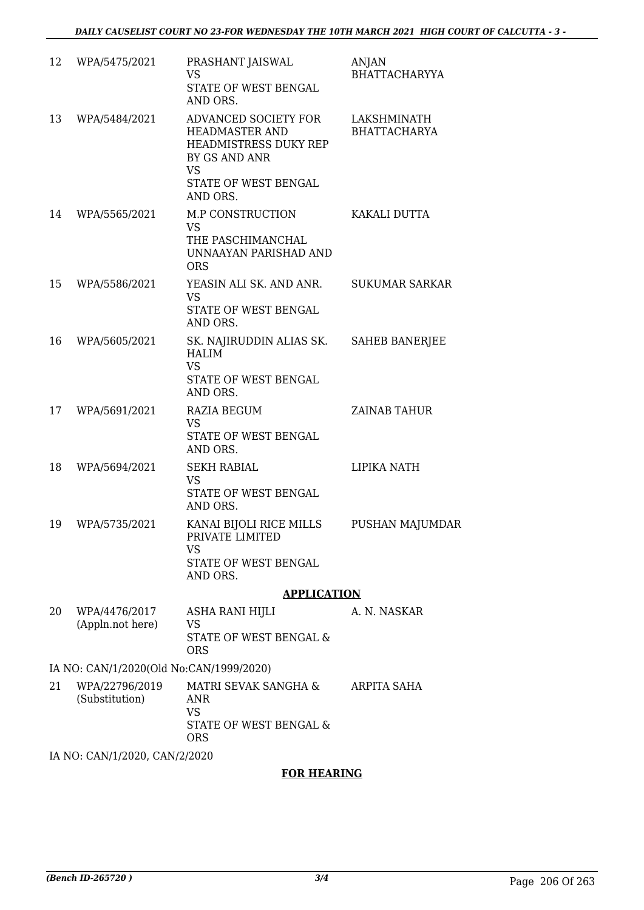| 12                                      | WPA/5475/2021                                          | PRASHANT JAISWAL<br>VS<br>STATE OF WEST BENGAL<br>AND ORS.                                                                                      | <b>ANJAN</b><br><b>BHATTACHARYYA</b> |  |  |
|-----------------------------------------|--------------------------------------------------------|-------------------------------------------------------------------------------------------------------------------------------------------------|--------------------------------------|--|--|
| 13                                      | WPA/5484/2021                                          | ADVANCED SOCIETY FOR<br><b>HEADMASTER AND</b><br><b>HEADMISTRESS DUKY REP</b><br>BY GS AND ANR<br><b>VS</b><br>STATE OF WEST BENGAL<br>AND ORS. | LAKSHMINATH<br><b>BHATTACHARYA</b>   |  |  |
| 14                                      | WPA/5565/2021                                          | M.P CONSTRUCTION<br><b>VS</b><br>THE PASCHIMANCHAL<br>UNNAAYAN PARISHAD AND<br><b>ORS</b>                                                       | KAKALI DUTTA                         |  |  |
| 15                                      | WPA/5586/2021                                          | YEASIN ALI SK. AND ANR.<br><b>VS</b><br>STATE OF WEST BENGAL<br>AND ORS.                                                                        | <b>SUKUMAR SARKAR</b>                |  |  |
| 16                                      | WPA/5605/2021                                          | SK. NAJIRUDDIN ALIAS SK.<br><b>HALIM</b><br><b>VS</b><br>STATE OF WEST BENGAL<br>AND ORS.                                                       | <b>SAHEB BANERJEE</b>                |  |  |
| 17                                      | WPA/5691/2021                                          | <b>RAZIA BEGUM</b><br><b>VS</b><br>STATE OF WEST BENGAL<br>AND ORS.                                                                             | <b>ZAINAB TAHUR</b>                  |  |  |
| 18                                      | WPA/5694/2021                                          | <b>SEKH RABIAL</b><br><b>VS</b><br>STATE OF WEST BENGAL<br>AND ORS.                                                                             | LIPIKA NATH                          |  |  |
| 19                                      | WPA/5735/2021                                          | KANAI BIJOLI RICE MILLS<br>PRIVATE LIMITED<br><b>VS</b><br>STATE OF WEST BENGAL<br>AND ORS.                                                     | <b>PUSHAN MAJUMDAR</b>               |  |  |
|                                         |                                                        | <b>APPLICATION</b>                                                                                                                              |                                      |  |  |
| 20                                      | WPA/4476/2017<br>(Appln.not here)                      | ASHA RANI HIJLI<br>VS<br><b>STATE OF WEST BENGAL &amp;</b><br><b>ORS</b>                                                                        | A. N. NASKAR                         |  |  |
| IA NO: CAN/1/2020(Old No:CAN/1999/2020) |                                                        |                                                                                                                                                 |                                      |  |  |
| 21                                      | WPA/22796/2019<br>(Substitution)                       | MATRI SEVAK SANGHA &<br><b>ANR</b><br><b>VS</b><br>STATE OF WEST BENGAL &<br><b>ORS</b>                                                         | ARPITA SAHA                          |  |  |
|                                         | $Q$ $\lambda$ $\lambda$ $\Gamma$ $D$ $\Omega$ $\Omega$ |                                                                                                                                                 |                                      |  |  |

IA NO: CAN/1/2020, CAN/2/2020

#### **FOR HEARING**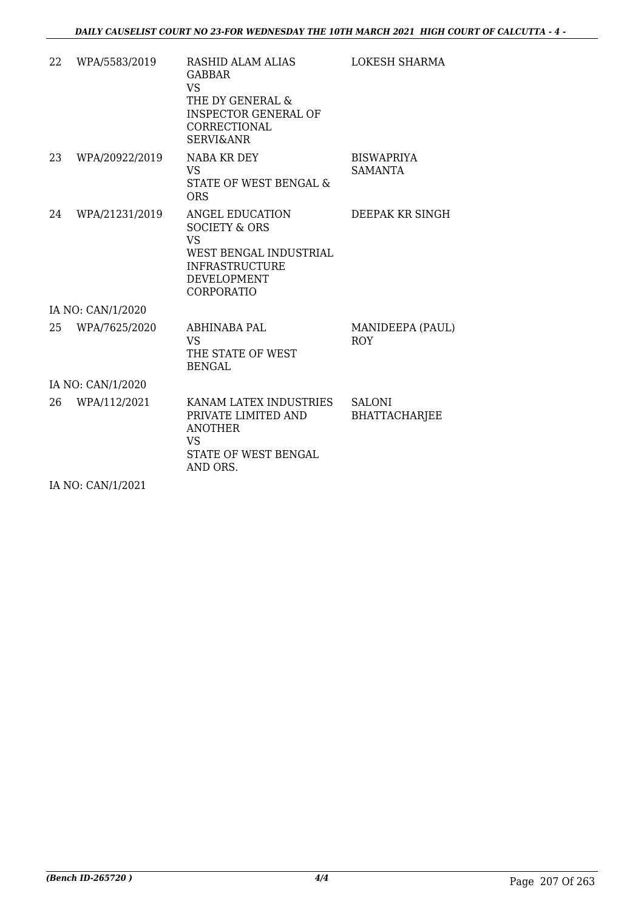| 22 | WPA/5583/2019     | <b>RASHID ALAM ALIAS</b><br><b>GABBAR</b><br><b>VS</b><br>THE DY GENERAL &<br><b>INSPECTOR GENERAL OF</b><br>CORRECTIONAL<br><b>SERVI&amp;ANR</b> | <b>LOKESH SHARMA</b>                  |  |  |
|----|-------------------|---------------------------------------------------------------------------------------------------------------------------------------------------|---------------------------------------|--|--|
| 23 | WPA/20922/2019    | NABA KR DEY<br><b>VS</b><br>STATE OF WEST BENGAL &<br><b>ORS</b>                                                                                  | <b>BISWAPRIYA</b><br><b>SAMANTA</b>   |  |  |
| 24 | WPA/21231/2019    | ANGEL EDUCATION<br><b>SOCIETY &amp; ORS</b><br><b>VS</b><br>WEST BENGAL INDUSTRIAL<br><b>INFRASTRUCTURE</b><br><b>DEVELOPMENT</b><br>CORPORATIO   | DEEPAK KR SINGH                       |  |  |
|    | IA NO: CAN/1/2020 |                                                                                                                                                   |                                       |  |  |
| 25 | WPA/7625/2020     | ABHINABA PAL<br>VS <sub>1</sub><br>THE STATE OF WEST<br><b>BENGAL</b>                                                                             | MANIDEEPA (PAUL)<br><b>ROY</b>        |  |  |
|    | IA NO: CAN/1/2020 |                                                                                                                                                   |                                       |  |  |
| 26 | WPA/112/2021      | KANAM LATEX INDUSTRIES<br>PRIVATE LIMITED AND<br><b>ANOTHER</b><br><b>VS</b><br>STATE OF WEST BENGAL<br>AND ORS.                                  | <b>SALONI</b><br><b>BHATTACHARJEE</b> |  |  |

IA NO: CAN/1/2021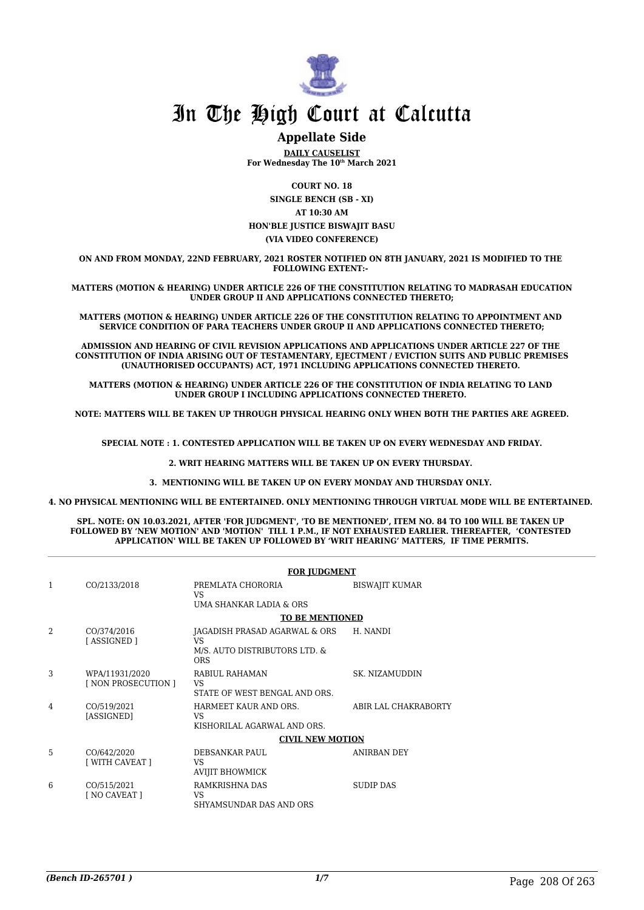

#### **Appellate Side**

**DAILY CAUSELIST For Wednesday The 10th March 2021**

**COURT NO. 18**

**SINGLE BENCH (SB - XI) AT 10:30 AM HON'BLE JUSTICE BISWAJIT BASU (VIA VIDEO CONFERENCE)**

**ON AND FROM MONDAY, 22ND FEBRUARY, 2021 ROSTER NOTIFIED ON 8TH JANUARY, 2021 IS MODIFIED TO THE FOLLOWING EXTENT:-** 

**MATTERS (MOTION & HEARING) UNDER ARTICLE 226 OF THE CONSTITUTION RELATING TO MADRASAH EDUCATION UNDER GROUP II AND APPLICATIONS CONNECTED THERETO;**

**MATTERS (MOTION & HEARING) UNDER ARTICLE 226 OF THE CONSTITUTION RELATING TO APPOINTMENT AND SERVICE CONDITION OF PARA TEACHERS UNDER GROUP II AND APPLICATIONS CONNECTED THERETO;**

**ADMISSION AND HEARING OF CIVIL REVISION APPLICATIONS AND APPLICATIONS UNDER ARTICLE 227 OF THE CONSTITUTION OF INDIA ARISING OUT OF TESTAMENTARY, EJECTMENT / EVICTION SUITS AND PUBLIC PREMISES (UNAUTHORISED OCCUPANTS) ACT, 1971 INCLUDING APPLICATIONS CONNECTED THERETO.** 

**MATTERS (MOTION & HEARING) UNDER ARTICLE 226 OF THE CONSTITUTION OF INDIA RELATING TO LAND UNDER GROUP I INCLUDING APPLICATIONS CONNECTED THERETO.** 

**NOTE: MATTERS WILL BE TAKEN UP THROUGH PHYSICAL HEARING ONLY WHEN BOTH THE PARTIES ARE AGREED.**

**SPECIAL NOTE : 1. CONTESTED APPLICATION WILL BE TAKEN UP ON EVERY WEDNESDAY AND FRIDAY.**

**2. WRIT HEARING MATTERS WILL BE TAKEN UP ON EVERY THURSDAY.** 

**3. MENTIONING WILL BE TAKEN UP ON EVERY MONDAY AND THURSDAY ONLY.** 

**4. NO PHYSICAL MENTIONING WILL BE ENTERTAINED. ONLY MENTIONING THROUGH VIRTUAL MODE WILL BE ENTERTAINED.** 

**SPL. NOTE: ON 10.03.2021, AFTER 'FOR JUDGMENT', 'TO BE MENTIONED', ITEM NO. 84 TO 100 WILL BE TAKEN UP FOLLOWED BY 'NEW MOTION' AND 'MOTION' TILL 1 P.M., IF NOT EXHAUSTED EARLIER. THEREAFTER, 'CONTESTED APPLICATION' WILL BE TAKEN UP FOLLOWED BY 'WRIT HEARING' MATTERS, IF TIME PERMITS.**

|   |                                       | <b>FOR JUDGMENT</b>                                                                 |                       |
|---|---------------------------------------|-------------------------------------------------------------------------------------|-----------------------|
| 1 | CO/2133/2018                          | PREMLATA CHORORIA<br>VS.<br>UMA SHANKAR LADIA & ORS                                 | <b>BISWAJIT KUMAR</b> |
|   |                                       | <b>TO BE MENTIONED</b>                                                              |                       |
| 2 | CO/374/2016<br>[ASSIGNED]             | JAGADISH PRASAD AGARWAL & ORS<br>VS.<br>M/S. AUTO DISTRIBUTORS LTD. &<br><b>ORS</b> | H. NANDI              |
| 3 | WPA/11931/2020<br>[ NON PROSECUTION ] | RABIUL RAHAMAN<br>VS<br>STATE OF WEST BENGAL AND ORS.                               | SK. NIZAMUDDIN        |
| 4 | CO/519/2021<br>[ASSIGNED]             | HARMEET KAUR AND ORS.<br>VS<br>KISHORILAL AGARWAL AND ORS.                          | ABIR LAL CHAKRABORTY  |
|   |                                       | <b>CIVIL NEW MOTION</b>                                                             |                       |
| 5 | CO/642/2020<br>[ WITH CAVEAT ]        | DEBSANKAR PAUL<br>VS<br>AVIJIT BHOWMICK                                             | ANIRBAN DEY           |
| 6 | CO/515/2021<br>[ NO CAVEAT ]          | RAMKRISHNA DAS<br>VS<br>SHYAMSUNDAR DAS AND ORS                                     | <b>SUDIP DAS</b>      |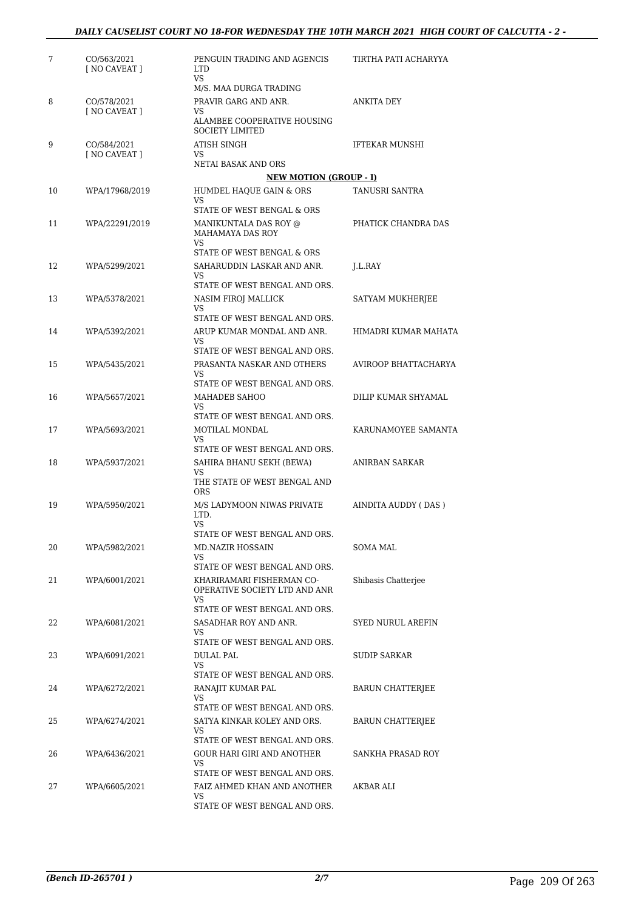| 7  | CO/563/2021<br>[ NO CAVEAT ]        | PENGUIN TRADING AND AGENCIS<br>LTD.<br>VS                          | TIRTHA PATI ACHARYYA     |
|----|-------------------------------------|--------------------------------------------------------------------|--------------------------|
|    |                                     | M/S. MAA DURGA TRADING                                             |                          |
| 8  | CO/578/2021<br><b>I NO CAVEAT 1</b> | PRAVIR GARG AND ANR.<br>VS<br>ALAMBEE COOPERATIVE HOUSING          | ANKITA DEY               |
|    |                                     | <b>SOCIETY LIMITED</b>                                             |                          |
| 9  | CO/584/2021<br>[ NO CAVEAT ]        | <b>ATISH SINGH</b><br>VS                                           | <b>IFTEKAR MUNSHI</b>    |
|    |                                     | NETAI BASAK AND ORS                                                |                          |
|    |                                     | <b>NEW MOTION (GROUP - I)</b>                                      |                          |
| 10 | WPA/17968/2019                      | HUMDEL HAQUE GAIN & ORS<br>VS.<br>STATE OF WEST BENGAL & ORS       | TANUSRI SANTRA           |
| 11 | WPA/22291/2019                      | MANIKUNTALA DAS ROY @<br><b>MAHAMAYA DAS ROY</b>                   | PHATICK CHANDRA DAS      |
|    |                                     | VS.<br>STATE OF WEST BENGAL & ORS                                  |                          |
| 12 | WPA/5299/2021                       | SAHARUDDIN LASKAR AND ANR.                                         | J.L.RAY                  |
|    |                                     | VS.                                                                |                          |
|    |                                     | STATE OF WEST BENGAL AND ORS.                                      |                          |
| 13 | WPA/5378/2021                       | NASIM FIROJ MALLICK<br>VS.                                         | SATYAM MUKHERJEE         |
|    |                                     | STATE OF WEST BENGAL AND ORS.                                      |                          |
| 14 | WPA/5392/2021                       | ARUP KUMAR MONDAL AND ANR.<br>VS.                                  | HIMADRI KUMAR MAHATA     |
|    |                                     | STATE OF WEST BENGAL AND ORS.                                      |                          |
| 15 | WPA/5435/2021                       | PRASANTA NASKAR AND OTHERS<br>VS.<br>STATE OF WEST BENGAL AND ORS. | AVIROOP BHATTACHARYA     |
| 16 | WPA/5657/2021                       | MAHADEB SAHOO                                                      | DILIP KUMAR SHYAMAL      |
|    |                                     | VS<br>STATE OF WEST BENGAL AND ORS.                                |                          |
| 17 | WPA/5693/2021                       | MOTILAL MONDAL<br>VS                                               | KARUNAMOYEE SAMANTA      |
|    |                                     | STATE OF WEST BENGAL AND ORS.                                      |                          |
| 18 | WPA/5937/2021                       | SAHIRA BHANU SEKH (BEWA)<br>VS.<br>THE STATE OF WEST BENGAL AND    | ANIRBAN SARKAR           |
|    |                                     | <b>ORS</b>                                                         |                          |
| 19 | WPA/5950/2021                       | M/S LADYMOON NIWAS PRIVATE<br>LTD.<br>VS                           | AINDITA AUDDY (DAS)      |
|    |                                     | STATE OF WEST BENGAL AND ORS.                                      |                          |
| 20 | WPA/5982/2021                       | MD.NAZIR HOSSAIN<br>VS                                             | SOMA MAL                 |
|    |                                     | STATE OF WEST BENGAL AND ORS.                                      |                          |
| 21 | WPA/6001/2021                       | KHARIRAMARI FISHERMAN CO-<br>OPERATIVE SOCIETY LTD AND ANR<br>VS.  | Shibasis Chatterjee      |
|    |                                     | STATE OF WEST BENGAL AND ORS.                                      |                          |
| 22 | WPA/6081/2021                       | SASADHAR ROY AND ANR.<br>VS.                                       | <b>SYED NURUL AREFIN</b> |
|    |                                     | STATE OF WEST BENGAL AND ORS.                                      |                          |
| 23 | WPA/6091/2021                       | DULAL PAL<br>VS                                                    | <b>SUDIP SARKAR</b>      |
|    |                                     | STATE OF WEST BENGAL AND ORS.                                      |                          |
| 24 | WPA/6272/2021                       | RANAJIT KUMAR PAL<br>VS                                            | <b>BARUN CHATTERJEE</b>  |
|    |                                     | STATE OF WEST BENGAL AND ORS.                                      |                          |
| 25 | WPA/6274/2021                       | SATYA KINKAR KOLEY AND ORS.<br>VS                                  | <b>BARUN CHATTERJEE</b>  |
|    |                                     | STATE OF WEST BENGAL AND ORS.                                      |                          |
| 26 | WPA/6436/2021                       | GOUR HARI GIRI AND ANOTHER<br>VS<br>STATE OF WEST BENGAL AND ORS.  | SANKHA PRASAD ROY        |
| 27 | WPA/6605/2021                       | FAIZ AHMED KHAN AND ANOTHER                                        | AKBAR ALI                |
|    |                                     | VS<br>STATE OF WEST BENGAL AND ORS.                                |                          |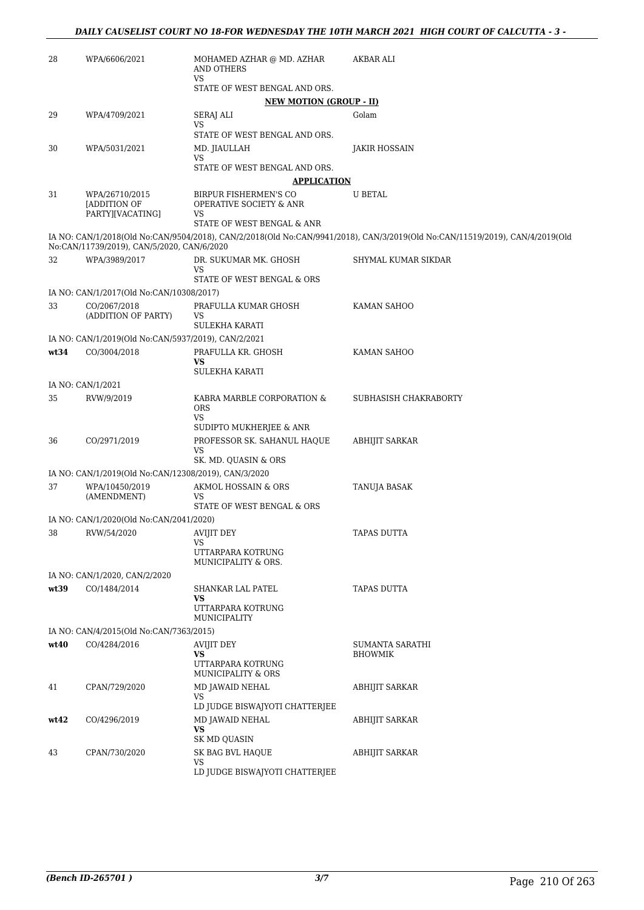| 28   | WPA/6606/2021                                        | MOHAMED AZHAR @ MD. AZHAR<br><b>AND OTHERS</b>                            | AKBAR ALI                                                                                                                    |
|------|------------------------------------------------------|---------------------------------------------------------------------------|------------------------------------------------------------------------------------------------------------------------------|
|      |                                                      | VS<br>STATE OF WEST BENGAL AND ORS.                                       |                                                                                                                              |
|      |                                                      | <b>NEW MOTION (GROUP - II)</b>                                            |                                                                                                                              |
| 29   | WPA/4709/2021                                        | SERAJ ALI<br>VS                                                           | Golam                                                                                                                        |
|      |                                                      | STATE OF WEST BENGAL AND ORS.                                             |                                                                                                                              |
| 30   | WPA/5031/2021                                        | MD. JIAULLAH<br>VS                                                        | <b>JAKIR HOSSAIN</b>                                                                                                         |
|      |                                                      | STATE OF WEST BENGAL AND ORS.                                             |                                                                                                                              |
|      |                                                      | <b>APPLICATION</b>                                                        |                                                                                                                              |
| 31   | WPA/26710/2015<br>[ADDITION OF<br>PARTY][VACATING]   | BIRPUR FISHERMEN'S CO<br><b>OPERATIVE SOCIETY &amp; ANR</b><br>VS         | <b>U BETAL</b>                                                                                                               |
|      |                                                      | STATE OF WEST BENGAL & ANR                                                |                                                                                                                              |
|      | No:CAN/11739/2019), CAN/5/2020, CAN/6/2020           |                                                                           | IA NO: CAN/1/2018(Old No:CAN/9504/2018), CAN/2/2018(Old No:CAN/9941/2018), CAN/3/2019(Old No:CAN/11519/2019), CAN/4/2019(Old |
| 32   | WPA/3989/2017                                        | DR. SUKUMAR MK. GHOSH<br>VS                                               | SHYMAL KUMAR SIKDAR                                                                                                          |
|      |                                                      | STATE OF WEST BENGAL & ORS                                                |                                                                                                                              |
|      | IA NO: CAN/1/2017(Old No:CAN/10308/2017)             |                                                                           |                                                                                                                              |
| 33   | CO/2067/2018<br>(ADDITION OF PARTY)                  | PRAFULLA KUMAR GHOSH<br>VS<br><b>SULEKHA KARATI</b>                       | KAMAN SAHOO                                                                                                                  |
|      | IA NO: CAN/1/2019(Old No:CAN/5937/2019), CAN/2/2021  |                                                                           |                                                                                                                              |
| wt34 | CO/3004/2018                                         | PRAFULLA KR. GHOSH<br>VS                                                  | KAMAN SAHOO                                                                                                                  |
|      |                                                      | SULEKHA KARATI                                                            |                                                                                                                              |
|      | IA NO: CAN/1/2021                                    |                                                                           |                                                                                                                              |
| 35   | RVW/9/2019                                           | KABRA MARBLE CORPORATION &<br><b>ORS</b><br>VS<br>SUDIPTO MUKHERJEE & ANR | SUBHASISH CHAKRABORTY                                                                                                        |
| 36   | CO/2971/2019                                         | PROFESSOR SK. SAHANUL HAQUE<br>VS<br>SK. MD. QUASIN & ORS                 | ABHIJIT SARKAR                                                                                                               |
|      | IA NO: CAN/1/2019(Old No:CAN/12308/2019), CAN/3/2020 |                                                                           |                                                                                                                              |
| 37   | WPA/10450/2019<br>(AMENDMENT)                        | AKMOL HOSSAIN & ORS<br>VS<br>STATE OF WEST BENGAL & ORS                   | TANUJA BASAK                                                                                                                 |
|      | IA NO: CAN/1/2020(Old No:CAN/2041/2020)              |                                                                           |                                                                                                                              |
| 38   | RVW/54/2020                                          | AVIJIT DEY                                                                | TAPAS DUTTA                                                                                                                  |
|      |                                                      | VS<br>UTTARPARA KOTRUNG<br>MUNICIPALITY & ORS.                            |                                                                                                                              |
|      | IA NO: CAN/1/2020, CAN/2/2020                        |                                                                           |                                                                                                                              |
| wt39 | CO/1484/2014                                         | SHANKAR LAL PATEL<br>VS                                                   | <b>TAPAS DUTTA</b>                                                                                                           |
|      |                                                      | UTTARPARA KOTRUNG<br>MUNICIPALITY                                         |                                                                                                                              |
|      | IA NO: CAN/4/2015(Old No:CAN/7363/2015)              |                                                                           |                                                                                                                              |
| wt40 | CO/4284/2016                                         | AVIJIT DEY<br>VS                                                          | SUMANTA SARATHI<br><b>BHOWMIK</b>                                                                                            |
|      |                                                      | UTTARPARA KOTRUNG<br>MUNICIPALITY & ORS                                   |                                                                                                                              |
| 41   | CPAN/729/2020                                        | MD JAWAID NEHAL<br>VS                                                     | <b>ABHIJIT SARKAR</b>                                                                                                        |
|      |                                                      | LD JUDGE BISWAJYOTI CHATTERJEE                                            |                                                                                                                              |
| wt42 | CO/4296/2019                                         | MD JAWAID NEHAL<br>VS.<br>SK MD QUASIN                                    | ABHIJIT SARKAR                                                                                                               |
| 43   | CPAN/730/2020                                        | SK BAG BVL HAQUE                                                          | <b>ABHIJIT SARKAR</b>                                                                                                        |
|      |                                                      | <b>VS</b><br>LD JUDGE BISWAJYOTI CHATTERJEE                               |                                                                                                                              |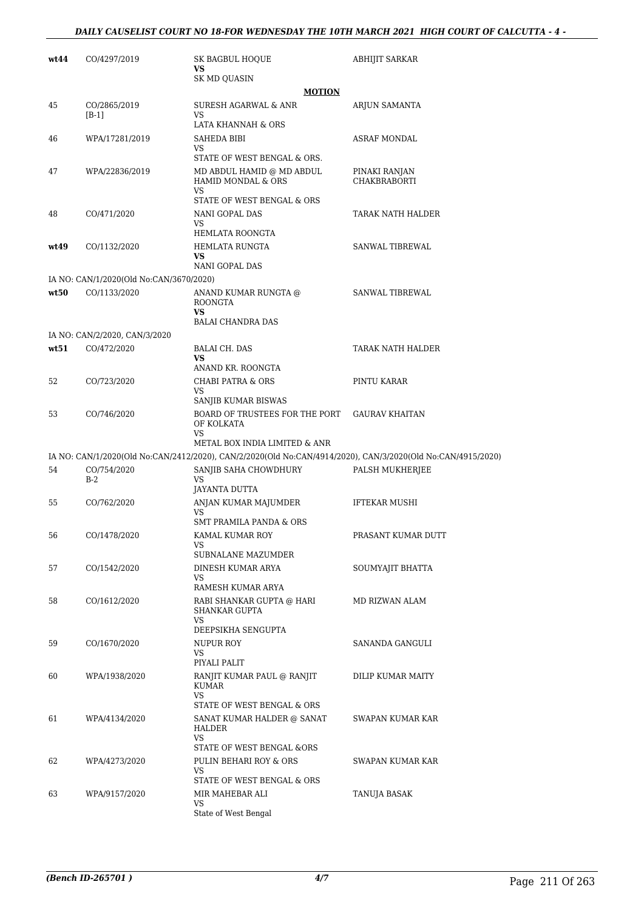| wt44 | CO/4297/2019                            | SK BAGBUL HOQUE                                                                                             | <b>ABHIJIT SARKAR</b>         |
|------|-----------------------------------------|-------------------------------------------------------------------------------------------------------------|-------------------------------|
|      |                                         | VS<br>SK MD QUASIN                                                                                          |                               |
|      |                                         | <b>MOTION</b>                                                                                               |                               |
| 45   | CO/2865/2019<br>$[B-1]$                 | SURESH AGARWAL & ANR<br>VS                                                                                  | ARJUN SAMANTA                 |
|      |                                         | LATA KHANNAH & ORS<br>SAHEDA BIBI                                                                           | <b>ASRAF MONDAL</b>           |
| 46   | WPA/17281/2019                          | VS                                                                                                          |                               |
|      |                                         | STATE OF WEST BENGAL & ORS.                                                                                 |                               |
| 47   | WPA/22836/2019                          | MD ABDUL HAMID @ MD ABDUL<br><b>HAMID MONDAL &amp; ORS</b><br>VS                                            | PINAKI RANJAN<br>CHAKBRABORTI |
|      |                                         | STATE OF WEST BENGAL & ORS                                                                                  |                               |
| 48   | CO/471/2020                             | NANI GOPAL DAS<br>VS<br>HEMLATA ROONGTA                                                                     | TARAK NATH HALDER             |
| wt49 | CO/1132/2020                            | HEMLATA RUNGTA                                                                                              | SANWAL TIBREWAL               |
|      |                                         | VS<br>NANI GOPAL DAS                                                                                        |                               |
|      | IA NO: CAN/1/2020(Old No:CAN/3670/2020) |                                                                                                             |                               |
| wt50 | CO/1133/2020                            | ANAND KUMAR RUNGTA @<br><b>ROONGTA</b><br>VS                                                                | SANWAL TIBREWAL               |
|      |                                         | <b>BALAI CHANDRA DAS</b>                                                                                    |                               |
|      | IA NO: CAN/2/2020, CAN/3/2020           |                                                                                                             |                               |
| wt51 | CO/472/2020                             | <b>BALAI CH. DAS</b><br>VS                                                                                  | TARAK NATH HALDER             |
| 52   | CO/723/2020                             | ANAND KR. ROONGTA<br><b>CHABI PATRA &amp; ORS</b>                                                           | PINTU KARAR                   |
|      |                                         | VS<br>SANJIB KUMAR BISWAS                                                                                   |                               |
| 53   | CO/746/2020                             | BOARD OF TRUSTEES FOR THE PORT<br>OF KOLKATA<br>VS                                                          | <b>GAURAV KHAITAN</b>         |
|      |                                         | METAL BOX INDIA LIMITED & ANR                                                                               |                               |
|      |                                         | IA NO: CAN/1/2020(Old No:CAN/2412/2020), CAN/2/2020(Old No:CAN/4914/2020), CAN/3/2020(Old No:CAN/4915/2020) |                               |
| 54   | CO/754/2020<br>$B-2$                    | SANJIB SAHA CHOWDHURY<br>VS<br>JAYANTA DUTTA                                                                | PALSH MUKHERJEE               |
| 55   | CO/762/2020                             | ANJAN KUMAR MAJUMDER                                                                                        | <b>IFTEKAR MUSHI</b>          |
|      |                                         | VS<br>SMT PRAMILA PANDA & ORS                                                                               |                               |
| 56   | CO/1478/2020                            | KAMAL KUMAR ROY                                                                                             | PRASANT KUMAR DUTT            |
|      |                                         | VS<br>SUBNALANE MAZUMDER                                                                                    |                               |
| 57   | CO/1542/2020                            | DINESH KUMAR ARYA<br>VS                                                                                     | SOUMYAJIT BHATTA              |
|      |                                         | RAMESH KUMAR ARYA                                                                                           |                               |
| 58   | CO/1612/2020                            | RABI SHANKAR GUPTA @ HARI<br><b>SHANKAR GUPTA</b><br>VS.                                                    | MD RIZWAN ALAM                |
|      |                                         | DEEPSIKHA SENGUPTA                                                                                          |                               |
| 59   | CO/1670/2020                            | NUPUR ROY<br>VS<br>PIYALI PALIT                                                                             | SANANDA GANGULI               |
| 60   | WPA/1938/2020                           | RANJIT KUMAR PAUL @ RANJIT<br><b>KUMAR</b><br>VS                                                            | DILIP KUMAR MAITY             |
|      |                                         | STATE OF WEST BENGAL & ORS                                                                                  |                               |
| 61   | WPA/4134/2020                           | SANAT KUMAR HALDER @ SANAT<br>HALDER                                                                        | SWAPAN KUMAR KAR              |
|      |                                         | VS<br>STATE OF WEST BENGAL &ORS                                                                             |                               |
| 62   | WPA/4273/2020                           | PULIN BEHARI ROY & ORS<br>VS                                                                                | SWAPAN KUMAR KAR              |
|      |                                         | STATE OF WEST BENGAL & ORS                                                                                  |                               |
| 63   | WPA/9157/2020                           | MIR MAHEBAR ALI<br>VS.<br>State of West Bengal                                                              | TANUJA BASAK                  |
|      |                                         |                                                                                                             |                               |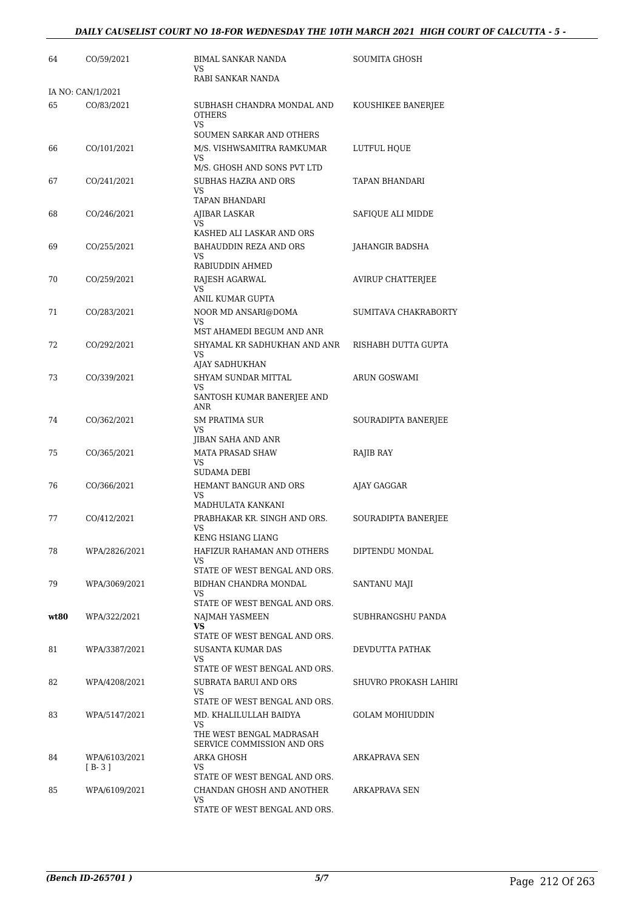| 64   | CO/59/2021        | <b>BIMAL SANKAR NANDA</b><br>VS                              | SOUMITA GHOSH            |
|------|-------------------|--------------------------------------------------------------|--------------------------|
|      |                   | RABI SANKAR NANDA                                            |                          |
|      | IA NO: CAN/1/2021 |                                                              |                          |
| 65   | CO/83/2021        | SUBHASH CHANDRA MONDAL AND<br><b>OTHERS</b><br><b>VS</b>     | KOUSHIKEE BANERJEE       |
|      |                   | <b>SOUMEN SARKAR AND OTHERS</b>                              |                          |
| 66   | CO/101/2021       | M/S. VISHWSAMITRA RAMKUMAR<br><b>VS</b>                      | LUTFUL HQUE              |
|      |                   | M/S. GHOSH AND SONS PVT LTD                                  |                          |
| 67   | CO/241/2021       | SUBHAS HAZRA AND ORS                                         | TAPAN BHANDARI           |
|      |                   | VS<br>TAPAN BHANDARI                                         |                          |
| 68   | CO/246/2021       | AJIBAR LASKAR                                                | SAFIQUE ALI MIDDE        |
|      |                   | VS<br>KASHED ALI LASKAR AND ORS                              |                          |
| 69   | CO/255/2021       | BAHAUDDIN REZA AND ORS<br>VS                                 | JAHANGIR BADSHA          |
|      |                   | RABIUDDIN AHMED                                              |                          |
| 70   | CO/259/2021       | RAJESH AGARWAL<br><b>VS</b>                                  | <b>AVIRUP CHATTERJEE</b> |
|      |                   | ANIL KUMAR GUPTA                                             |                          |
| 71   | CO/283/2021       | NOOR MD ANSARI@DOMA                                          | SUMITAVA CHAKRABORTY     |
|      |                   | VS<br>MST AHAMEDI BEGUM AND ANR                              |                          |
| 72   | CO/292/2021       | SHYAMAL KR SADHUKHAN AND ANR                                 | RISHABH DUTTA GUPTA      |
|      |                   | VS<br>AJAY SADHUKHAN                                         |                          |
| 73   | CO/339/2021       | SHYAM SUNDAR MITTAL                                          | <b>ARUN GOSWAMI</b>      |
|      |                   | VS<br>SANTOSH KUMAR BANERJEE AND<br><b>ANR</b>               |                          |
| 74   | CO/362/2021       | <b>SM PRATIMA SUR</b>                                        | SOURADIPTA BANERJEE      |
|      |                   | VS.<br>JIBAN SAHA AND ANR                                    |                          |
| 75   | CO/365/2021       | <b>MATA PRASAD SHAW</b>                                      | RAJIB RAY                |
|      |                   | VS<br><b>SUDAMA DEBI</b>                                     |                          |
| 76   | CO/366/2021       | HEMANT BANGUR AND ORS                                        | AJAY GAGGAR              |
|      |                   | VS<br>MADHULATA KANKANI                                      |                          |
| 77   | CO/412/2021       | PRABHAKAR KR. SINGH AND ORS.                                 | SOURADIPTA BANERJEE      |
|      |                   | <b>VS</b><br>KENG HSIANG LIANG                               |                          |
| 78   | WPA/2826/2021     | HAFIZUR RAHAMAN AND OTHERS                                   | DIPTENDU MONDAL          |
|      |                   | VS.<br>STATE OF WEST BENGAL AND ORS.                         |                          |
| 79   | WPA/3069/2021     | BIDHAN CHANDRA MONDAL                                        | SANTANU MAJI             |
|      |                   | VS                                                           |                          |
| wt80 | WPA/322/2021      | STATE OF WEST BENGAL AND ORS.<br>NAJMAH YASMEEN              | SUBHRANGSHU PANDA        |
|      |                   | VS                                                           |                          |
|      |                   | STATE OF WEST BENGAL AND ORS.                                | DEVDUTTA PATHAK          |
| 81   | WPA/3387/2021     | <b>SUSANTA KUMAR DAS</b><br>VS.                              |                          |
|      |                   | STATE OF WEST BENGAL AND ORS.                                |                          |
| 82   | WPA/4208/2021     | SUBRATA BARUI AND ORS<br>VS<br>STATE OF WEST BENGAL AND ORS. | SHUVRO PROKASH LAHIRI    |
| 83   | WPA/5147/2021     | MD. KHALILULLAH BAIDYA                                       | <b>GOLAM MOHIUDDIN</b>   |
|      |                   | VS<br>THE WEST BENGAL MADRASAH                               |                          |
| 84   | WPA/6103/2021     | SERVICE COMMISSION AND ORS<br>ARKA GHOSH                     | ARKAPRAVA SEN            |
|      | $[B-3]$           | VS                                                           |                          |
| 85   | WPA/6109/2021     | STATE OF WEST BENGAL AND ORS.<br>CHANDAN GHOSH AND ANOTHER   | ARKAPRAVA SEN            |
|      |                   | VS                                                           |                          |
|      |                   | STATE OF WEST BENGAL AND ORS.                                |                          |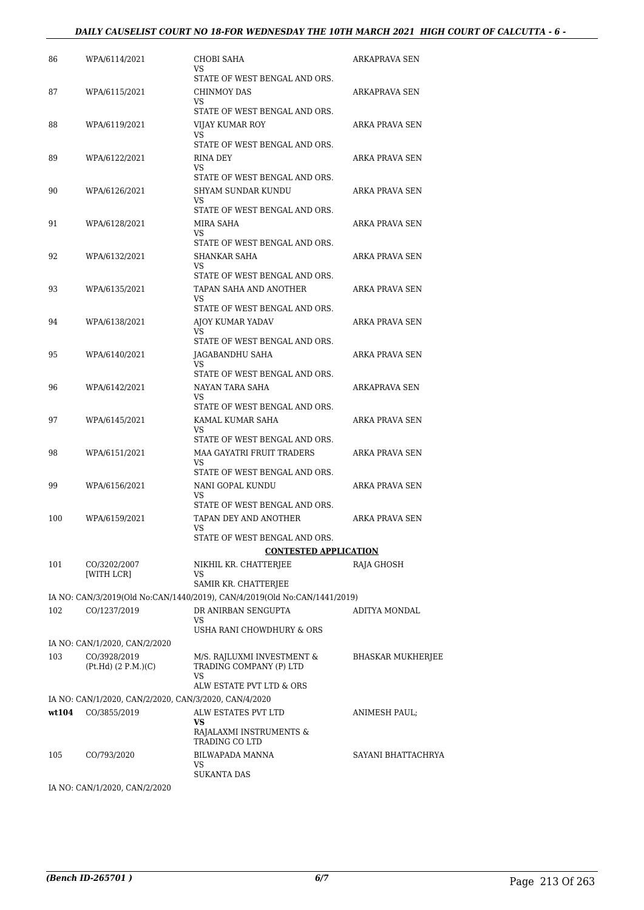#### *DAILY CAUSELIST COURT NO 18-FOR WEDNESDAY THE 10TH MARCH 2021 HIGH COURT OF CALCUTTA - 6 -*

| 86    | WPA/6114/2021                                                         | CHOBI SAHA<br>VS                                                          | ARKAPRAVA SEN         |
|-------|-----------------------------------------------------------------------|---------------------------------------------------------------------------|-----------------------|
| 87    | WPA/6115/2021                                                         | STATE OF WEST BENGAL AND ORS.<br>CHINMOY DAS<br>VS                        | ARKAPRAVA SEN         |
| 88    | WPA/6119/2021                                                         | STATE OF WEST BENGAL AND ORS.<br>VIJAY KUMAR ROY                          | <b>ARKA PRAVA SEN</b> |
|       |                                                                       | VS.<br>STATE OF WEST BENGAL AND ORS.                                      |                       |
| 89    | WPA/6122/2021                                                         | RINA DEY<br>VS                                                            | ARKA PRAVA SEN        |
| 90    | WPA/6126/2021                                                         | STATE OF WEST BENGAL AND ORS.<br>SHYAM SUNDAR KUNDU                       | ARKA PRAVA SEN        |
|       |                                                                       | VS<br>STATE OF WEST BENGAL AND ORS.                                       |                       |
| 91    | WPA/6128/2021                                                         | MIRA SAHA                                                                 | ARKA PRAVA SEN        |
|       |                                                                       | VS<br>STATE OF WEST BENGAL AND ORS.                                       |                       |
| 92    | WPA/6132/2021                                                         | SHANKAR SAHA                                                              | ARKA PRAVA SEN        |
|       |                                                                       | VS                                                                        |                       |
| 93    | WPA/6135/2021                                                         | STATE OF WEST BENGAL AND ORS.<br>TAPAN SAHA AND ANOTHER                   | ARKA PRAVA SEN        |
|       |                                                                       | VS                                                                        |                       |
|       |                                                                       | STATE OF WEST BENGAL AND ORS.                                             |                       |
| 94    | WPA/6138/2021                                                         | AJOY KUMAR YADAV<br>VS                                                    | ARKA PRAVA SEN        |
|       |                                                                       | STATE OF WEST BENGAL AND ORS.                                             |                       |
| 95    | WPA/6140/2021                                                         | JAGABANDHU SAHA<br>VS                                                     | <b>ARKA PRAVA SEN</b> |
|       |                                                                       | STATE OF WEST BENGAL AND ORS.                                             |                       |
| 96    | WPA/6142/2021                                                         | NAYAN TARA SAHA<br>VS                                                     | ARKAPRAVA SEN         |
| 97    | WPA/6145/2021                                                         | STATE OF WEST BENGAL AND ORS.<br>KAMAL KUMAR SAHA                         | ARKA PRAVA SEN        |
|       |                                                                       | VS.<br>STATE OF WEST BENGAL AND ORS.                                      |                       |
| 98    | WPA/6151/2021                                                         | MAA GAYATRI FRUIT TRADERS                                                 | ARKA PRAVA SEN        |
|       |                                                                       | VS<br>STATE OF WEST BENGAL AND ORS.                                       |                       |
| 99    | WPA/6156/2021                                                         | NANI GOPAL KUNDU                                                          | ARKA PRAVA SEN        |
|       |                                                                       | VS                                                                        |                       |
|       |                                                                       | STATE OF WEST BENGAL AND ORS.                                             |                       |
| 100   | WPA/6159/2021                                                         | TAPAN DEY AND ANOTHER<br>VS                                               | <b>ARKA PRAVA SEN</b> |
|       |                                                                       | STATE OF WEST BENGAL AND ORS.                                             |                       |
|       |                                                                       | <b>CONTESTED APPLICATION</b>                                              |                       |
| 101   | CO/3202/2007<br>[WITH LCR]                                            | NIKHIL KR. CHATTERJEE<br>VS                                               | RAJA GHOSH            |
|       |                                                                       | SAMIR KR. CHATTERJEE                                                      |                       |
|       |                                                                       | IA NO: CAN/3/2019(Old No:CAN/1440/2019), CAN/4/2019(Old No:CAN/1441/2019) |                       |
| 102   | CO/1237/2019                                                          | DR ANIRBAN SENGUPTA<br>VS                                                 | ADITYA MONDAL         |
|       |                                                                       | USHA RANI CHOWDHURY & ORS                                                 |                       |
|       | IA NO: CAN/1/2020, CAN/2/2020                                         |                                                                           |                       |
| 103   | CO/3928/2019<br>(Pt.Hd) (2 P.M.)(C)                                   | M/S. RAJLUXMI INVESTMENT &<br>TRADING COMPANY (P) LTD<br>VS               | BHASKAR MUKHERJEE     |
|       |                                                                       | ALW ESTATE PVT LTD & ORS                                                  |                       |
| wt104 | IA NO: CAN/1/2020, CAN/2/2020, CAN/3/2020, CAN/4/2020<br>CO/3855/2019 | ALW ESTATES PVT LTD                                                       | ANIMESH PAUL;         |
|       |                                                                       | VS<br>RAJALAXMI INSTRUMENTS &                                             |                       |
|       |                                                                       | TRADING CO LTD                                                            |                       |
| 105   | CO/793/2020                                                           | BILWAPADA MANNA<br>VS<br><b>SUKANTA DAS</b>                               | SAYANI BHATTACHRYA    |
|       | IA NO: CAN/1/2020, CAN/2/2020                                         |                                                                           |                       |
|       |                                                                       |                                                                           |                       |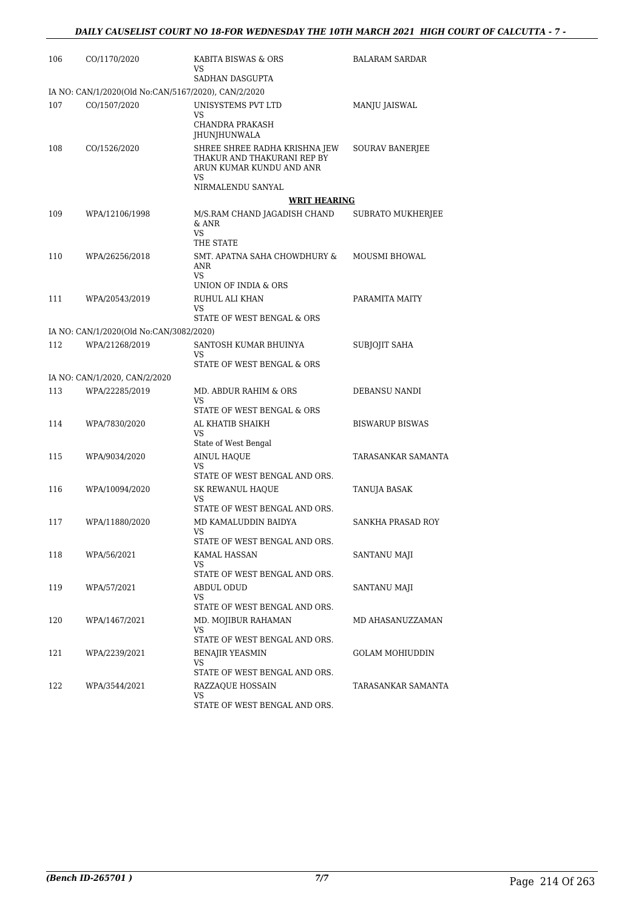| 106 | CO/1170/2020                                        | KABITA BISWAS & ORS<br>VS                                                                                           | <b>BALARAM SARDAR</b>  |
|-----|-----------------------------------------------------|---------------------------------------------------------------------------------------------------------------------|------------------------|
|     |                                                     | SADHAN DASGUPTA                                                                                                     |                        |
|     | IA NO: CAN/1/2020(Old No:CAN/5167/2020), CAN/2/2020 |                                                                                                                     |                        |
| 107 | CO/1507/2020                                        | UNISYSTEMS PVT LTD<br>VS                                                                                            | MANJU JAISWAL          |
|     |                                                     | <b>CHANDRA PRAKASH</b><br>JHUNJHUNWALA                                                                              |                        |
| 108 | CO/1526/2020                                        | SHREE SHREE RADHA KRISHNA JEW<br>THAKUR AND THAKURANI REP BY<br>ARUN KUMAR KUNDU AND ANR<br>VS<br>NIRMALENDU SANYAL | SOURAV BANERJEE        |
|     |                                                     | <b>WRIT HEARING</b>                                                                                                 |                        |
| 109 | WPA/12106/1998                                      | M/S.RAM CHAND JAGADISH CHAND<br>& ANR<br>VS<br>THE STATE                                                            | SUBRATO MUKHERJEE      |
| 110 | WPA/26256/2018                                      | SMT. APATNA SAHA CHOWDHURY &<br>ANR<br>VS                                                                           | MOUSMI BHOWAL          |
|     |                                                     | UNION OF INDIA & ORS                                                                                                |                        |
| 111 | WPA/20543/2019                                      | RUHUL ALI KHAN<br>VS                                                                                                | PARAMITA MAITY         |
|     |                                                     | STATE OF WEST BENGAL & ORS                                                                                          |                        |
|     | IA NO: CAN/1/2020(Old No:CAN/3082/2020)             |                                                                                                                     |                        |
| 112 | WPA/21268/2019                                      | SANTOSH KUMAR BHUINYA<br>VS<br>STATE OF WEST BENGAL & ORS                                                           | SUBJOJIT SAHA          |
|     | IA NO: CAN/1/2020, CAN/2/2020                       |                                                                                                                     |                        |
| 113 | WPA/22285/2019                                      | MD. ABDUR RAHIM & ORS<br>VS                                                                                         | DEBANSU NANDI          |
|     |                                                     | STATE OF WEST BENGAL & ORS                                                                                          |                        |
| 114 | WPA/7830/2020                                       | AL KHATIB SHAIKH<br>VS                                                                                              | <b>BISWARUP BISWAS</b> |
|     |                                                     | State of West Bengal                                                                                                |                        |
| 115 | WPA/9034/2020                                       | AINUL HAQUE<br>VS<br>STATE OF WEST BENGAL AND ORS.                                                                  | TARASANKAR SAMANTA     |
| 116 | WPA/10094/2020                                      | SK REWANUL HAQUE<br>VS                                                                                              | TANUJA BASAK           |
|     |                                                     | STATE OF WEST BENGAL AND ORS.                                                                                       |                        |
| 117 | WPA/11880/2020                                      | MD KAMALUDDIN BAIDYA<br>VS<br>STATE OF WEST BENGAL AND ORS.                                                         | SANKHA PRASAD ROY      |
| 118 | WPA/56/2021                                         | KAMAL HASSAN                                                                                                        | SANTANU MAJI           |
|     |                                                     | VS<br>STATE OF WEST BENGAL AND ORS.                                                                                 |                        |
| 119 | WPA/57/2021                                         | <b>ABDUL ODUD</b><br>VS                                                                                             | SANTANU MAJI           |
|     |                                                     | STATE OF WEST BENGAL AND ORS.                                                                                       |                        |
| 120 | WPA/1467/2021                                       | MD. MOJIBUR RAHAMAN<br>VS<br>STATE OF WEST BENGAL AND ORS.                                                          | MD AHASANUZZAMAN       |
| 121 | WPA/2239/2021                                       | <b>BENAJIR YEASMIN</b>                                                                                              | GOLAM MOHIUDDIN        |
|     |                                                     | VS<br>STATE OF WEST BENGAL AND ORS.                                                                                 |                        |
| 122 | WPA/3544/2021                                       | RAZZAQUE HOSSAIN<br>VS                                                                                              | TARASANKAR SAMANTA     |
|     |                                                     | STATE OF WEST BENGAL AND ORS.                                                                                       |                        |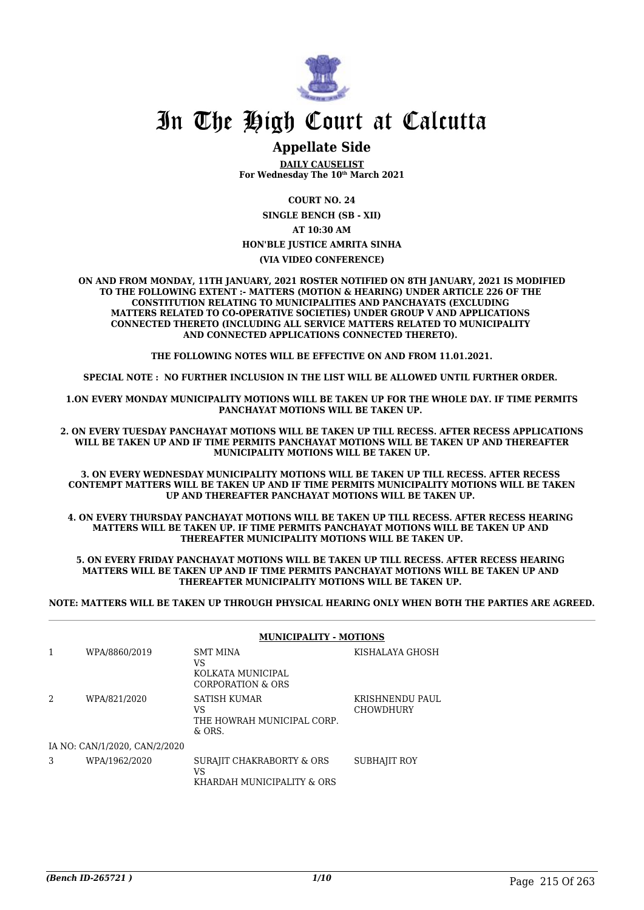

### **Appellate Side**

**DAILY CAUSELIST For Wednesday The 10th March 2021**

**COURT NO. 24**

**SINGLE BENCH (SB - XII)**

**AT 10:30 AM**

#### **HON'BLE JUSTICE AMRITA SINHA**

**(VIA VIDEO CONFERENCE)**

**ON AND FROM MONDAY, 11TH JANUARY, 2021 ROSTER NOTIFIED ON 8TH JANUARY, 2021 IS MODIFIED TO THE FOLLOWING EXTENT :- MATTERS (MOTION & HEARING) UNDER ARTICLE 226 OF THE CONSTITUTION RELATING TO MUNICIPALITIES AND PANCHAYATS (EXCLUDING MATTERS RELATED TO CO-OPERATIVE SOCIETIES) UNDER GROUP V AND APPLICATIONS CONNECTED THERETO (INCLUDING ALL SERVICE MATTERS RELATED TO MUNICIPALITY AND CONNECTED APPLICATIONS CONNECTED THERETO).** 

**THE FOLLOWING NOTES WILL BE EFFECTIVE ON AND FROM 11.01.2021.**

**SPECIAL NOTE : NO FURTHER INCLUSION IN THE LIST WILL BE ALLOWED UNTIL FURTHER ORDER.** 

**1.ON EVERY MONDAY MUNICIPALITY MOTIONS WILL BE TAKEN UP FOR THE WHOLE DAY. IF TIME PERMITS PANCHAYAT MOTIONS WILL BE TAKEN UP.** 

**2. ON EVERY TUESDAY PANCHAYAT MOTIONS WILL BE TAKEN UP TILL RECESS. AFTER RECESS APPLICATIONS WILL BE TAKEN UP AND IF TIME PERMITS PANCHAYAT MOTIONS WILL BE TAKEN UP AND THEREAFTER MUNICIPALITY MOTIONS WILL BE TAKEN UP.**

**3. ON EVERY WEDNESDAY MUNICIPALITY MOTIONS WILL BE TAKEN UP TILL RECESS. AFTER RECESS CONTEMPT MATTERS WILL BE TAKEN UP AND IF TIME PERMITS MUNICIPALITY MOTIONS WILL BE TAKEN UP AND THEREAFTER PANCHAYAT MOTIONS WILL BE TAKEN UP.** 

**4. ON EVERY THURSDAY PANCHAYAT MOTIONS WILL BE TAKEN UP TILL RECESS. AFTER RECESS HEARING MATTERS WILL BE TAKEN UP. IF TIME PERMITS PANCHAYAT MOTIONS WILL BE TAKEN UP AND THEREAFTER MUNICIPALITY MOTIONS WILL BE TAKEN UP.**

**5. ON EVERY FRIDAY PANCHAYAT MOTIONS WILL BE TAKEN UP TILL RECESS. AFTER RECESS HEARING MATTERS WILL BE TAKEN UP AND IF TIME PERMITS PANCHAYAT MOTIONS WILL BE TAKEN UP AND THEREAFTER MUNICIPALITY MOTIONS WILL BE TAKEN UP.** 

**NOTE: MATTERS WILL BE TAKEN UP THROUGH PHYSICAL HEARING ONLY WHEN BOTH THE PARTIES ARE AGREED.**

**MUNICIPALITY MOTIONS** 

|   |                               | момон анти-монома                                                   |                                     |
|---|-------------------------------|---------------------------------------------------------------------|-------------------------------------|
|   | WPA/8860/2019                 | <b>SMT MINA</b><br>VS<br>KOLKATA MUNICIPAL<br>CORPORATION & ORS     | KISHALAYA GHOSH                     |
| 2 | WPA/821/2020                  | <b>SATISH KUMAR</b><br>VS<br>THE HOWRAH MUNICIPAL CORP.<br>$&$ ORS. | KRISHNENDU PAUL<br><b>CHOWDHURY</b> |
|   | IA NO: CAN/1/2020, CAN/2/2020 |                                                                     |                                     |
| 3 | WPA/1962/2020                 | SURAJIT CHAKRABORTY & ORS<br>VS<br>KHARDAH MUNICIPALITY & ORS       | SUBHAJIT ROY                        |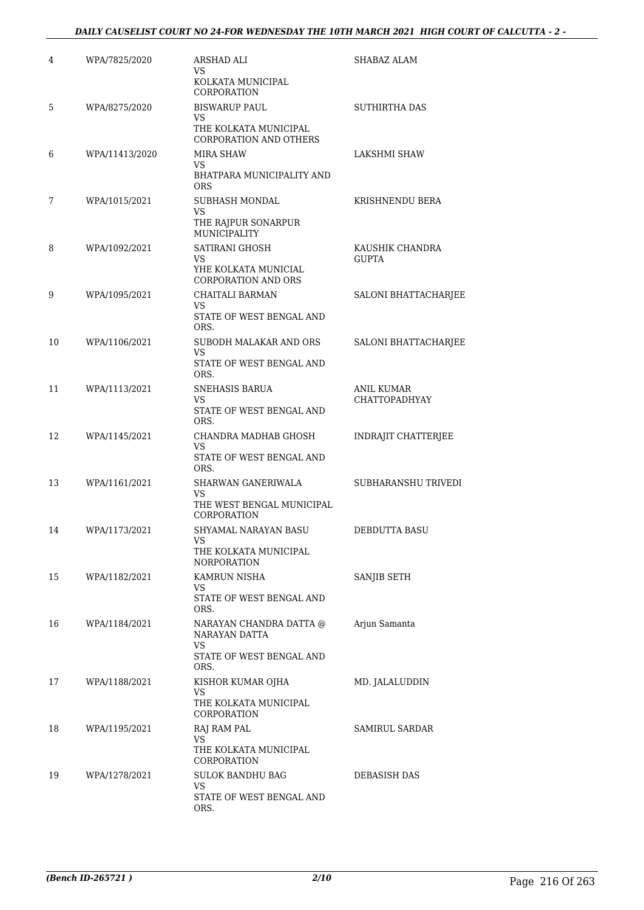#### *DAILY CAUSELIST COURT NO 24-FOR WEDNESDAY THE 10TH MARCH 2021 HIGH COURT OF CALCUTTA - 2 -*

| 4  | WPA/7825/2020  | ARSHAD ALI<br>VS<br>KOLKATA MUNICIPAL<br>CORPORATION                                 | SHABAZ ALAM                               |
|----|----------------|--------------------------------------------------------------------------------------|-------------------------------------------|
| 5  | WPA/8275/2020  | <b>BISWARUP PAUL</b><br>VS<br>THE KOLKATA MUNICIPAL<br><b>CORPORATION AND OTHERS</b> | <b>SUTHIRTHA DAS</b>                      |
| 6  | WPA/11413/2020 | MIRA SHAW<br>VS.<br>BHATPARA MUNICIPALITY AND<br><b>ORS</b>                          | <b>LAKSHMI SHAW</b>                       |
| 7  | WPA/1015/2021  | <b>SUBHASH MONDAL</b><br><b>VS</b><br>THE RAJPUR SONARPUR<br>MUNICIPALITY            | KRISHNENDU BERA                           |
| 8  | WPA/1092/2021  | SATIRANI GHOSH<br>VS<br>YHE KOLKATA MUNICIAL<br><b>CORPORATION AND ORS</b>           | KAUSHIK CHANDRA<br><b>GUPTA</b>           |
| 9  | WPA/1095/2021  | CHAITALI BARMAN<br>VS<br>STATE OF WEST BENGAL AND<br>ORS.                            | SALONI BHATTACHARJEE                      |
| 10 | WPA/1106/2021  | SUBODH MALAKAR AND ORS<br>VS.<br>STATE OF WEST BENGAL AND<br>ORS.                    | <b>SALONI BHATTACHARJEE</b>               |
| 11 | WPA/1113/2021  | SNEHASIS BARUA<br>VS<br>STATE OF WEST BENGAL AND<br>ORS.                             | <b>ANIL KUMAR</b><br><b>CHATTOPADHYAY</b> |
| 12 | WPA/1145/2021  | CHANDRA MADHAB GHOSH<br>VS<br>STATE OF WEST BENGAL AND<br>ORS.                       | <b>INDRAJIT CHATTERJEE</b>                |
| 13 | WPA/1161/2021  | SHARWAN GANERIWALA<br>VS<br>THE WEST BENGAL MUNICIPAL<br>CORPORATION                 | SUBHARANSHU TRIVEDI                       |
| 14 | WPA/1173/2021  | SHYAMAL NARAYAN BASU<br>VS<br>THE KOLKATA MUNICIPAL<br><b>NORPORATION</b>            | DEBDUTTA BASU                             |
| 15 | WPA/1182/2021  | KAMRUN NISHA<br>VS.<br>STATE OF WEST BENGAL AND<br>ORS.                              | SANJIB SETH                               |
| 16 | WPA/1184/2021  | NARAYAN CHANDRA DATTA @<br>NARAYAN DATTA<br>VS.<br>STATE OF WEST BENGAL AND<br>ORS.  | Arjun Samanta                             |
| 17 | WPA/1188/2021  | KISHOR KUMAR OJHA<br>VS<br>THE KOLKATA MUNICIPAL<br>CORPORATION                      | MD. JALALUDDIN                            |
| 18 | WPA/1195/2021  | RAJ RAM PAL<br>VS.<br>THE KOLKATA MUNICIPAL<br>CORPORATION                           | SAMIRUL SARDAR                            |
| 19 | WPA/1278/2021  | <b>SULOK BANDHU BAG</b><br>VS.<br>STATE OF WEST BENGAL AND<br>ORS.                   | DEBASISH DAS                              |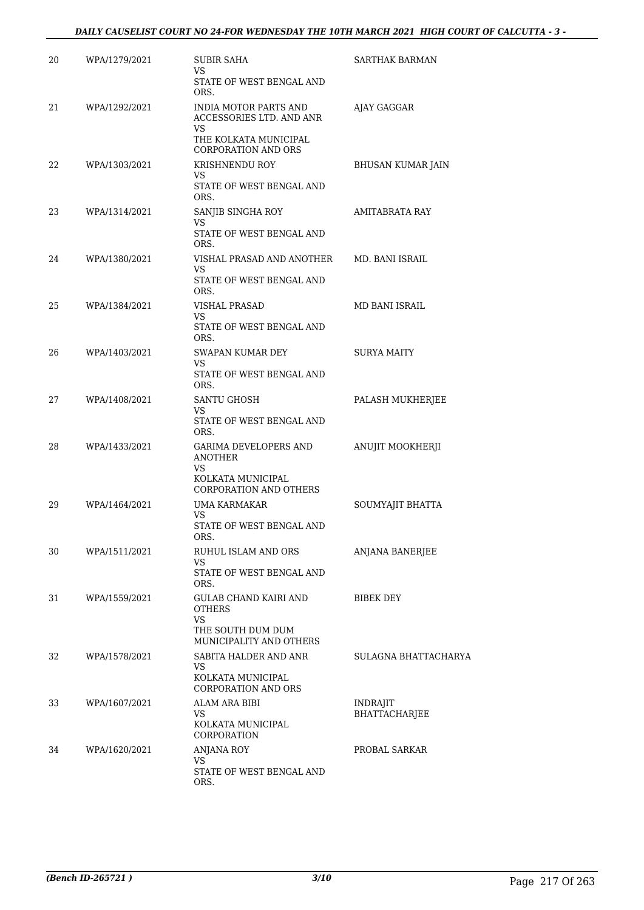| 20 | WPA/1279/2021 | <b>SUBIR SAHA</b><br>VS                                             | <b>SARTHAK BARMAN</b>                   |
|----|---------------|---------------------------------------------------------------------|-----------------------------------------|
|    |               | STATE OF WEST BENGAL AND<br>ORS.                                    |                                         |
| 21 | WPA/1292/2021 | INDIA MOTOR PARTS AND<br>ACCESSORIES LTD. AND ANR<br>VS.            | AJAY GAGGAR                             |
|    |               | THE KOLKATA MUNICIPAL<br><b>CORPORATION AND ORS</b>                 |                                         |
| 22 | WPA/1303/2021 | KRISHNENDU ROY<br>VS                                                | BHUSAN KUMAR JAIN                       |
|    |               | STATE OF WEST BENGAL AND<br>ORS.                                    |                                         |
| 23 | WPA/1314/2021 | SANJIB SINGHA ROY<br>VS<br>STATE OF WEST BENGAL AND<br>ORS.         | AMITABRATA RAY                          |
| 24 | WPA/1380/2021 | VISHAL PRASAD AND ANOTHER<br>VS<br>STATE OF WEST BENGAL AND<br>ORS. | MD. BANI ISRAIL                         |
| 25 | WPA/1384/2021 | VISHAL PRASAD                                                       | MD BANI ISRAIL                          |
|    |               | VS.<br>STATE OF WEST BENGAL AND<br>ORS.                             |                                         |
| 26 | WPA/1403/2021 | SWAPAN KUMAR DEY<br>VS                                              | SURYA MAITY                             |
|    |               | STATE OF WEST BENGAL AND<br>ORS.                                    |                                         |
| 27 | WPA/1408/2021 | SANTU GHOSH<br>VS.                                                  | PALASH MUKHERJEE                        |
|    |               | STATE OF WEST BENGAL AND<br>ORS.                                    |                                         |
| 28 | WPA/1433/2021 | <b>GARIMA DEVELOPERS AND</b><br>ANOTHER<br>VS.                      | ANUJIT MOOKHERJI                        |
|    |               | KOLKATA MUNICIPAL<br><b>CORPORATION AND OTHERS</b>                  |                                         |
| 29 | WPA/1464/2021 | UMA KARMAKAR<br>VS.                                                 | SOUMYAJIT BHATTA                        |
|    |               | STATE OF WEST BENGAL AND<br>ORS.                                    |                                         |
| 30 | WPA/1511/2021 | RUHUL ISLAM AND ORS<br>VS.                                          | ANJANA BANERJEE                         |
|    |               | STATE OF WEST BENGAL AND<br>ORS.                                    |                                         |
| 31 | WPA/1559/2021 | <b>GULAB CHAND KAIRI AND</b><br><b>OTHERS</b>                       | <b>BIBEK DEY</b>                        |
|    |               | <b>VS</b><br>THE SOUTH DUM DUM<br>MUNICIPALITY AND OTHERS           |                                         |
| 32 | WPA/1578/2021 | SABITA HALDER AND ANR<br>VS                                         | SULAGNA BHATTACHARYA                    |
|    |               | KOLKATA MUNICIPAL<br><b>CORPORATION AND ORS</b>                     |                                         |
| 33 | WPA/1607/2021 | ALAM ARA BIBI<br>VS.                                                | <b>INDRAJIT</b><br><b>BHATTACHARJEE</b> |
|    |               | KOLKATA MUNICIPAL<br>CORPORATION                                    |                                         |
| 34 | WPA/1620/2021 | ANJANA ROY<br>VS                                                    | PROBAL SARKAR                           |
|    |               | STATE OF WEST BENGAL AND<br>ORS.                                    |                                         |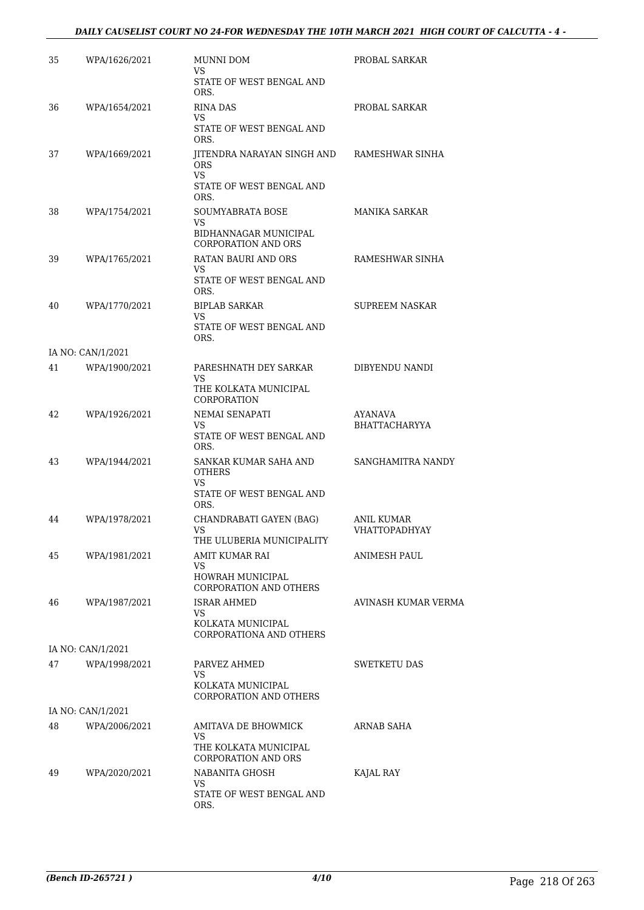#### *DAILY CAUSELIST COURT NO 24-FOR WEDNESDAY THE 10TH MARCH 2021 HIGH COURT OF CALCUTTA - 4 -*

| 35 | WPA/1626/2021     | MUNNI DOM<br>VS                                            | PROBAL SARKAR                   |
|----|-------------------|------------------------------------------------------------|---------------------------------|
|    |                   | STATE OF WEST BENGAL AND<br>ORS.                           |                                 |
| 36 | WPA/1654/2021     | <b>RINA DAS</b><br>VS.                                     | PROBAL SARKAR                   |
|    |                   | STATE OF WEST BENGAL AND<br>ORS.                           |                                 |
| 37 | WPA/1669/2021     | JITENDRA NARAYAN SINGH AND<br><b>ORS</b><br>VS.            | RAMESHWAR SINHA                 |
|    |                   | STATE OF WEST BENGAL AND<br>ORS.                           |                                 |
| 38 | WPA/1754/2021     | SOUMYABRATA BOSE<br>VS.                                    | MANIKA SARKAR                   |
|    |                   | BIDHANNAGAR MUNICIPAL<br><b>CORPORATION AND ORS</b>        |                                 |
| 39 | WPA/1765/2021     | RATAN BAURI AND ORS<br>VS.                                 | RAMESHWAR SINHA                 |
|    |                   | STATE OF WEST BENGAL AND<br>ORS.                           |                                 |
| 40 | WPA/1770/2021     | <b>BIPLAB SARKAR</b><br>VS                                 | <b>SUPREEM NASKAR</b>           |
|    |                   | STATE OF WEST BENGAL AND<br>ORS.                           |                                 |
|    | IA NO: CAN/1/2021 |                                                            |                                 |
| 41 | WPA/1900/2021     | PARESHNATH DEY SARKAR<br>VS.                               | DIBYENDU NANDI                  |
|    |                   | THE KOLKATA MUNICIPAL<br>CORPORATION                       |                                 |
| 42 | WPA/1926/2021     | NEMAI SENAPATI<br>VS.                                      | AYANAVA<br><b>BHATTACHARYYA</b> |
|    |                   | STATE OF WEST BENGAL AND<br>ORS.                           |                                 |
| 43 | WPA/1944/2021     | SANKAR KUMAR SAHA AND<br><b>OTHERS</b>                     | SANGHAMITRA NANDY               |
|    |                   | VS<br>STATE OF WEST BENGAL AND<br>ORS.                     |                                 |
| 44 | WPA/1978/2021     | CHANDRABATI GAYEN (BAG)<br>VS<br>THE ULUBERIA MUNICIPALITY | ANIL KUMAR<br>VHATTOPADHYAY     |
| 45 | WPA/1981/2021     | AMIT KUMAR RAI<br>VS                                       | ANIMESH PAUL                    |
|    |                   | HOWRAH MUNICIPAL<br><b>CORPORATION AND OTHERS</b>          |                                 |
| 46 | WPA/1987/2021     | <b>ISRAR AHMED</b><br>VS.                                  | AVINASH KUMAR VERMA             |
|    |                   | KOLKATA MUNICIPAL<br>CORPORATIONA AND OTHERS               |                                 |
|    | IA NO: CAN/1/2021 |                                                            |                                 |
| 47 | WPA/1998/2021     | PARVEZ AHMED<br>VS.                                        | SWETKETU DAS                    |
|    |                   | KOLKATA MUNICIPAL<br>CORPORATION AND OTHERS                |                                 |
|    | IA NO: CAN/1/2021 |                                                            |                                 |
| 48 | WPA/2006/2021     | AMITAVA DE BHOWMICK<br>VS                                  | ARNAB SAHA                      |
|    |                   | THE KOLKATA MUNICIPAL<br><b>CORPORATION AND ORS</b>        |                                 |
| 49 | WPA/2020/2021     | NABANITA GHOSH<br>VS.                                      | KAJAL RAY                       |
|    |                   | STATE OF WEST BENGAL AND<br>ORS.                           |                                 |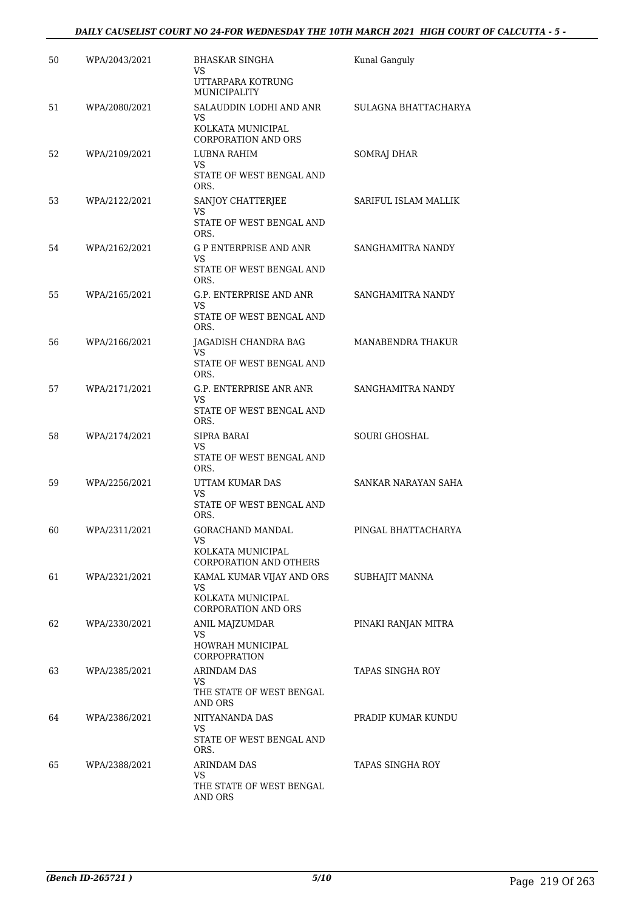#### *DAILY CAUSELIST COURT NO 24-FOR WEDNESDAY THE 10TH MARCH 2021 HIGH COURT OF CALCUTTA - 5 -*

| 50 | WPA/2043/2021 | BHASKAR SINGHA<br>VS.<br>UTTARPARA KOTRUNG<br>MUNICIPALITY                         | Kunal Ganguly        |
|----|---------------|------------------------------------------------------------------------------------|----------------------|
| 51 | WPA/2080/2021 | SALAUDDIN LODHI AND ANR<br>VS.<br>KOLKATA MUNICIPAL<br><b>CORPORATION AND ORS</b>  | SULAGNA BHATTACHARYA |
| 52 | WPA/2109/2021 | LUBNA RAHIM<br>VS.<br>STATE OF WEST BENGAL AND<br>ORS.                             | SOMRAJ DHAR          |
| 53 | WPA/2122/2021 | SANJOY CHATTERJEE<br>VS<br>STATE OF WEST BENGAL AND<br>ORS.                        | SARIFUL ISLAM MALLIK |
| 54 | WPA/2162/2021 | G P ENTERPRISE AND ANR<br>VS<br>STATE OF WEST BENGAL AND<br>ORS.                   | SANGHAMITRA NANDY    |
| 55 | WPA/2165/2021 | G.P. ENTERPRISE AND ANR<br>VS<br>STATE OF WEST BENGAL AND<br>ORS.                  | SANGHAMITRA NANDY    |
| 56 | WPA/2166/2021 | JAGADISH CHANDRA BAG<br>VS.<br>STATE OF WEST BENGAL AND<br>ORS.                    | MANABENDRA THAKUR    |
| 57 | WPA/2171/2021 | G.P. ENTERPRISE ANR ANR<br>VS<br>STATE OF WEST BENGAL AND<br>ORS.                  | SANGHAMITRA NANDY    |
| 58 | WPA/2174/2021 | SIPRA BARAI<br>VS.<br>STATE OF WEST BENGAL AND<br>ORS.                             | <b>SOURI GHOSHAL</b> |
| 59 | WPA/2256/2021 | UTTAM KUMAR DAS<br><b>VS</b><br>STATE OF WEST BENGAL AND<br>ORS.                   | SANKAR NARAYAN SAHA  |
| 60 | WPA/2311/2021 | GORACHAND MANDAL<br>VS<br>KOLKATA MUNICIPAL<br><b>CORPORATION AND OTHERS</b>       | PINGAL BHATTACHARYA  |
| 61 | WPA/2321/2021 | KAMAL KUMAR VIJAY AND ORS<br>VS<br>KOLKATA MUNICIPAL<br><b>CORPORATION AND ORS</b> | SUBHAJIT MANNA       |
| 62 | WPA/2330/2021 | ANIL MAJZUMDAR<br>VS.<br>HOWRAH MUNICIPAL<br><b>CORPOPRATION</b>                   | PINAKI RANJAN MITRA  |
| 63 | WPA/2385/2021 | <b>ARINDAM DAS</b><br>VS.<br>THE STATE OF WEST BENGAL<br>AND ORS                   | TAPAS SINGHA ROY     |
| 64 | WPA/2386/2021 | NITYANANDA DAS<br>VS.<br>STATE OF WEST BENGAL AND<br>ORS.                          | PRADIP KUMAR KUNDU   |
| 65 | WPA/2388/2021 | ARINDAM DAS<br>VS.<br>THE STATE OF WEST BENGAL<br>AND ORS                          | TAPAS SINGHA ROY     |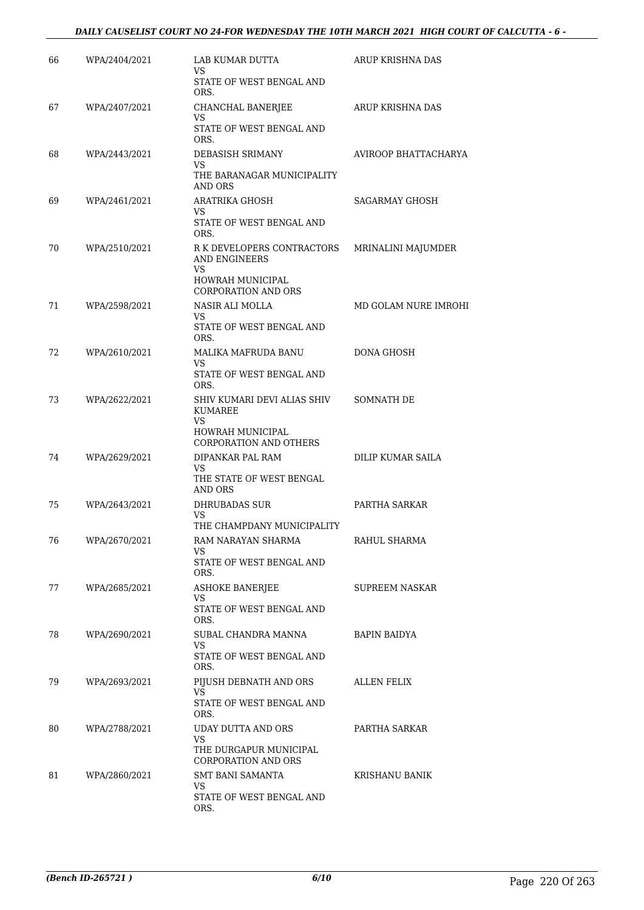| 66 | WPA/2404/2021 | LAB KUMAR DUTTA<br>VS.                                                                                            | ARUP KRISHNA DAS     |
|----|---------------|-------------------------------------------------------------------------------------------------------------------|----------------------|
|    |               | STATE OF WEST BENGAL AND<br>ORS.                                                                                  |                      |
| 67 | WPA/2407/2021 | CHANCHAL BANERJEE<br>VS<br>STATE OF WEST BENGAL AND<br>ORS.                                                       | ARUP KRISHNA DAS     |
| 68 | WPA/2443/2021 | DEBASISH SRIMANY<br>VS.<br>THE BARANAGAR MUNICIPALITY<br>AND ORS                                                  | AVIROOP BHATTACHARYA |
| 69 | WPA/2461/2021 | <b>ARATRIKA GHOSH</b><br>VS<br>STATE OF WEST BENGAL AND<br>ORS.                                                   | SAGARMAY GHOSH       |
| 70 | WPA/2510/2021 | R K DEVELOPERS CONTRACTORS<br>AND ENGINEERS<br>VS.<br>HOWRAH MUNICIPAL                                            | MRINALINI MAJUMDER   |
| 71 | WPA/2598/2021 | <b>CORPORATION AND ORS</b><br>NASIR ALI MOLLA<br>VS<br>STATE OF WEST BENGAL AND                                   | MD GOLAM NURE IMROHI |
| 72 | WPA/2610/2021 | ORS.<br>MALIKA MAFRUDA BANU<br>VS.<br>STATE OF WEST BENGAL AND                                                    | <b>DONA GHOSH</b>    |
| 73 | WPA/2622/2021 | ORS.<br>SHIV KUMARI DEVI ALIAS SHIV<br>KUMAREE<br>VS.<br><b>HOWRAH MUNICIPAL</b><br><b>CORPORATION AND OTHERS</b> | SOMNATH DE           |
| 74 | WPA/2629/2021 | DIPANKAR PAL RAM<br>VS.<br>THE STATE OF WEST BENGAL<br>AND ORS                                                    | DILIP KUMAR SAILA    |
| 75 | WPA/2643/2021 | <b>DHRUBADAS SUR</b><br>VS<br>THE CHAMPDANY MUNICIPALITY                                                          | PARTHA SARKAR        |
| 76 | WPA/2670/2021 | RAM NARAYAN SHARMA<br>VS.<br>STATE OF WEST BENGAL AND<br>ORS.                                                     | RAHUL SHARMA         |
| 77 | WPA/2685/2021 | <b>ASHOKE BANERJEE</b><br>VS.<br>STATE OF WEST BENGAL AND<br>ORS.                                                 | SUPREEM NASKAR       |
| 78 | WPA/2690/2021 | SUBAL CHANDRA MANNA<br>VS<br>STATE OF WEST BENGAL AND<br>ORS.                                                     | <b>BAPIN BAIDYA</b>  |
| 79 | WPA/2693/2021 | PIJUSH DEBNATH AND ORS<br>VS<br>STATE OF WEST BENGAL AND<br>ORS.                                                  | <b>ALLEN FELIX</b>   |
| 80 | WPA/2788/2021 | UDAY DUTTA AND ORS<br>VS.<br>THE DURGAPUR MUNICIPAL<br><b>CORPORATION AND ORS</b>                                 | PARTHA SARKAR        |
| 81 | WPA/2860/2021 | <b>SMT BANI SAMANTA</b><br>VS<br>STATE OF WEST BENGAL AND<br>ORS.                                                 | KRISHANU BANIK       |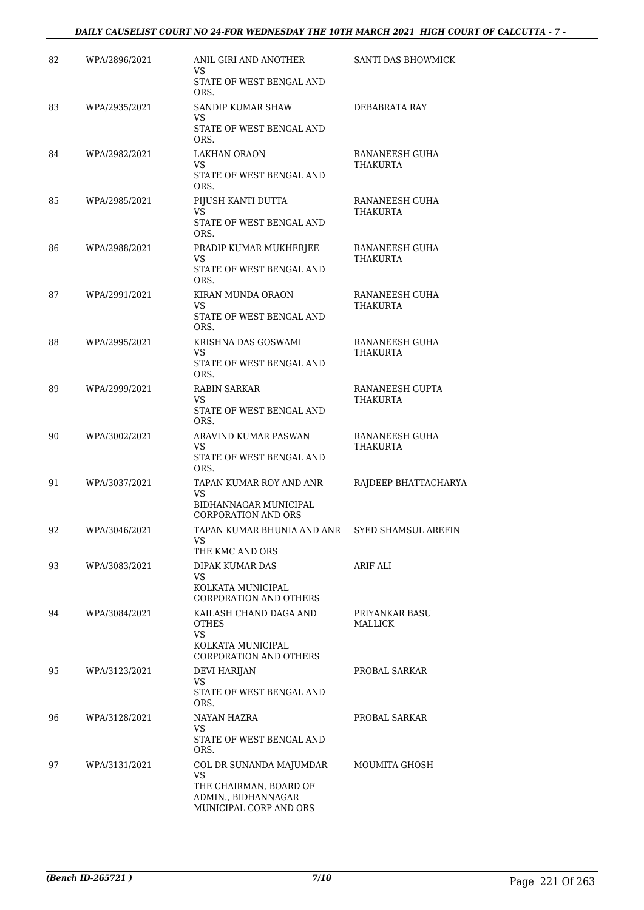#### *DAILY CAUSELIST COURT NO 24-FOR WEDNESDAY THE 10TH MARCH 2021 HIGH COURT OF CALCUTTA - 7 -*

| 82 | WPA/2896/2021 | ANIL GIRI AND ANOTHER<br>VS                                             | SANTI DAS BHOWMICK                |
|----|---------------|-------------------------------------------------------------------------|-----------------------------------|
|    |               | STATE OF WEST BENGAL AND<br>ORS.                                        |                                   |
| 83 | WPA/2935/2021 | SANDIP KUMAR SHAW<br>VS                                                 | DEBABRATA RAY                     |
|    |               | STATE OF WEST BENGAL AND<br>ORS.                                        |                                   |
| 84 | WPA/2982/2021 | LAKHAN ORAON<br>VS.                                                     | RANANEESH GUHA<br>THAKURTA        |
|    |               | STATE OF WEST BENGAL AND<br>ORS.                                        |                                   |
| 85 | WPA/2985/2021 | PIJUSH KANTI DUTTA<br>VS                                                | RANANEESH GUHA<br>THAKURTA        |
|    |               | STATE OF WEST BENGAL AND<br>ORS.                                        |                                   |
| 86 | WPA/2988/2021 | PRADIP KUMAR MUKHERJEE<br>VS.                                           | RANANEESH GUHA<br>THAKURTA        |
|    |               | STATE OF WEST BENGAL AND<br>ORS.                                        |                                   |
| 87 | WPA/2991/2021 | KIRAN MUNDA ORAON<br>VS                                                 | RANANEESH GUHA<br>THAKURTA        |
|    |               | STATE OF WEST BENGAL AND<br>ORS.                                        |                                   |
| 88 | WPA/2995/2021 | KRISHNA DAS GOSWAMI<br>VS                                               | RANANEESH GUHA<br><b>THAKURTA</b> |
|    |               | STATE OF WEST BENGAL AND<br>ORS.                                        |                                   |
| 89 | WPA/2999/2021 | <b>RABIN SARKAR</b><br>VS.                                              | RANANEESH GUPTA<br>THAKURTA       |
|    |               | STATE OF WEST BENGAL AND<br>ORS.                                        |                                   |
| 90 | WPA/3002/2021 | ARAVIND KUMAR PASWAN<br>VS                                              | RANANEESH GUHA<br>THAKURTA        |
|    |               | STATE OF WEST BENGAL AND<br>ORS.                                        |                                   |
| 91 | WPA/3037/2021 | TAPAN KUMAR ROY AND ANR<br>VS                                           | RAJDEEP BHATTACHARYA              |
|    |               | BIDHANNAGAR MUNICIPAL<br><b>CORPORATION AND ORS</b>                     |                                   |
| 92 | WPA/3046/2021 | TAPAN KUMAR BHUNIA AND ANR<br>VS                                        | SYED SHAMSUL AREFIN               |
|    |               | THE KMC AND ORS                                                         |                                   |
| 93 | WPA/3083/2021 | DIPAK KUMAR DAS<br>VS                                                   | ARIF ALI                          |
|    |               | KOLKATA MUNICIPAL<br>CORPORATION AND OTHERS                             |                                   |
| 94 | WPA/3084/2021 | KAILASH CHAND DAGA AND<br><b>OTHES</b><br><b>VS</b>                     | PRIYANKAR BASU<br>MALLICK         |
|    |               | KOLKATA MUNICIPAL<br><b>CORPORATION AND OTHERS</b>                      |                                   |
| 95 | WPA/3123/2021 | <b>DEVI HARIJAN</b><br>VS                                               | PROBAL SARKAR                     |
|    |               | STATE OF WEST BENGAL AND<br>ORS.                                        |                                   |
| 96 | WPA/3128/2021 | NAYAN HAZRA<br>VS.                                                      | PROBAL SARKAR                     |
|    |               | STATE OF WEST BENGAL AND<br>ORS.                                        |                                   |
| 97 | WPA/3131/2021 | COL DR SUNANDA MAJUMDAR<br>VS.                                          | MOUMITA GHOSH                     |
|    |               | THE CHAIRMAN, BOARD OF<br>ADMIN., BIDHANNAGAR<br>MUNICIPAL CORP AND ORS |                                   |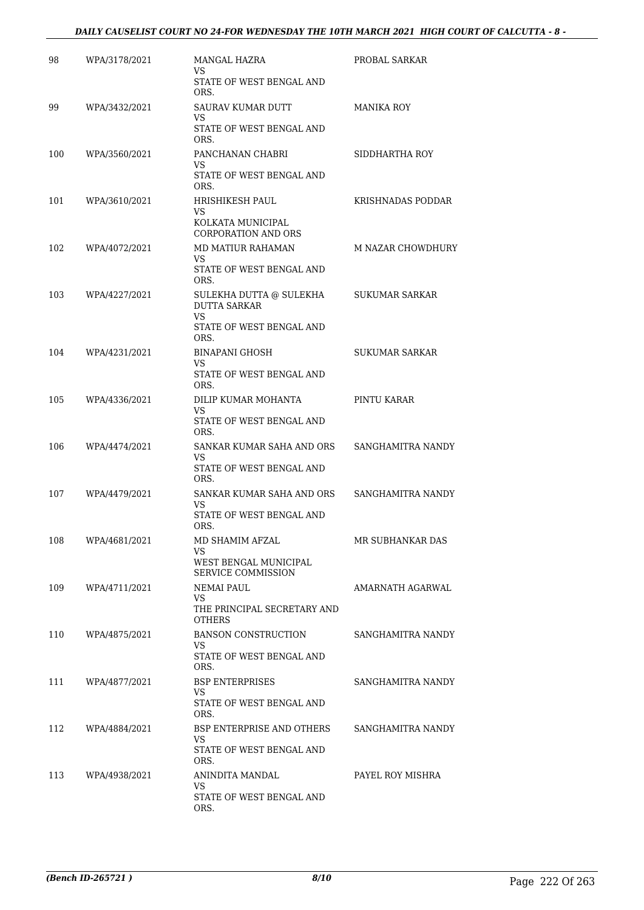#### *DAILY CAUSELIST COURT NO 24-FOR WEDNESDAY THE 10TH MARCH 2021 HIGH COURT OF CALCUTTA - 8 -*

| 98  | WPA/3178/2021 | MANGAL HAZRA<br>VS.<br>STATE OF WEST BENGAL AND | PROBAL SARKAR         |
|-----|---------------|-------------------------------------------------|-----------------------|
|     |               | ORS.                                            |                       |
| 99  | WPA/3432/2021 | SAURAV KUMAR DUTT<br>VS                         | <b>MANIKA ROY</b>     |
|     |               | STATE OF WEST BENGAL AND<br>ORS.                |                       |
| 100 | WPA/3560/2021 | PANCHANAN CHABRI<br>VS                          | SIDDHARTHA ROY        |
|     |               | STATE OF WEST BENGAL AND<br>ORS.                |                       |
| 101 | WPA/3610/2021 | HRISHIKESH PAUL<br>VS                           | KRISHNADAS PODDAR     |
|     |               | KOLKATA MUNICIPAL<br><b>CORPORATION AND ORS</b> |                       |
| 102 | WPA/4072/2021 | <b>MD MATIUR RAHAMAN</b><br>VS                  | M NAZAR CHOWDHURY     |
|     |               | STATE OF WEST BENGAL AND<br>ORS.                |                       |
| 103 | WPA/4227/2021 | SULEKHA DUTTA @ SULEKHA<br><b>DUTTA SARKAR</b>  | SUKUMAR SARKAR        |
|     |               | VS.<br>STATE OF WEST BENGAL AND<br>ORS.         |                       |
| 104 | WPA/4231/2021 | <b>BINAPANI GHOSH</b>                           | <b>SUKUMAR SARKAR</b> |
|     |               | VS<br>STATE OF WEST BENGAL AND<br>ORS.          |                       |
| 105 | WPA/4336/2021 | DILIP KUMAR MOHANTA                             | PINTU KARAR           |
|     |               | VS<br>STATE OF WEST BENGAL AND<br>ORS.          |                       |
| 106 | WPA/4474/2021 | SANKAR KUMAR SAHA AND ORS                       | SANGHAMITRA NANDY     |
|     |               | VS<br>STATE OF WEST BENGAL AND<br>ORS.          |                       |
| 107 | WPA/4479/2021 | SANKAR KUMAR SAHA AND ORS<br>VS.                | SANGHAMITRA NANDY     |
|     |               | STATE OF WEST BENGAL AND<br>ORS.                |                       |
| 108 | WPA/4681/2021 | MD SHAMIM AFZAL<br>VS                           | MR SUBHANKAR DAS      |
|     |               | WEST BENGAL MUNICIPAL<br>SERVICE COMMISSION     |                       |
| 109 | WPA/4711/2021 | NEMAI PAUL<br>VS.                               | AMARNATH AGARWAL      |
|     |               | THE PRINCIPAL SECRETARY AND<br><b>OTHERS</b>    |                       |
| 110 | WPA/4875/2021 | <b>BANSON CONSTRUCTION</b><br>VS.               | SANGHAMITRA NANDY     |
|     |               | STATE OF WEST BENGAL AND<br>ORS.                |                       |
| 111 | WPA/4877/2021 | <b>BSP ENTERPRISES</b><br>VS.                   | SANGHAMITRA NANDY     |
|     |               | STATE OF WEST BENGAL AND<br>ORS.                |                       |
| 112 | WPA/4884/2021 | BSP ENTERPRISE AND OTHERS<br>VS.                | SANGHAMITRA NANDY     |
|     |               | STATE OF WEST BENGAL AND<br>ORS.                |                       |
| 113 | WPA/4938/2021 | ANINDITA MANDAL<br>VS                           | PAYEL ROY MISHRA      |
|     |               | STATE OF WEST BENGAL AND<br>ORS.                |                       |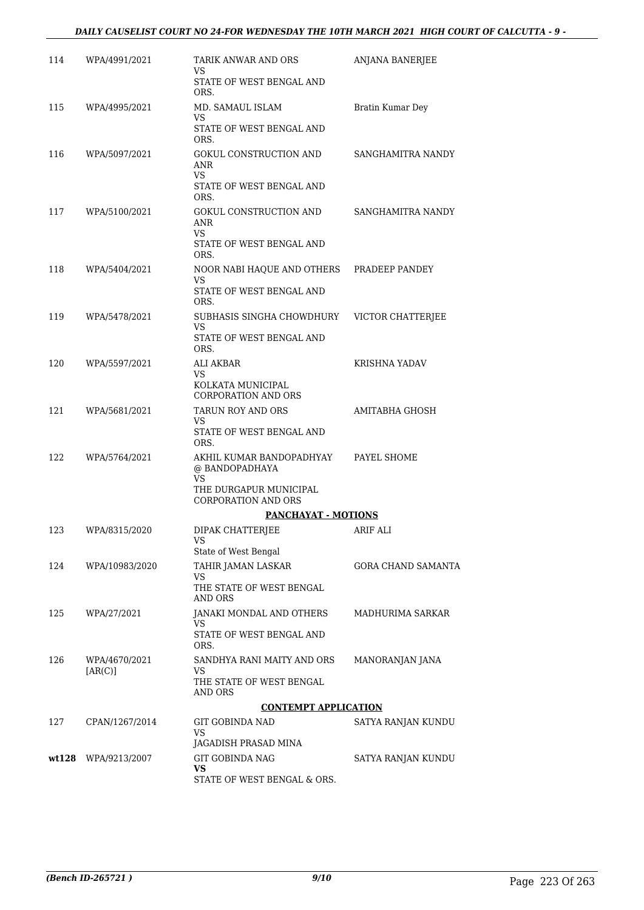#### *DAILY CAUSELIST COURT NO 24-FOR WEDNESDAY THE 10TH MARCH 2021 HIGH COURT OF CALCUTTA - 9 -*

| 114   | WPA/4991/2021            | TARIK ANWAR AND ORS<br>VS                                                           | ANJANA BANERJEE    |
|-------|--------------------------|-------------------------------------------------------------------------------------|--------------------|
|       |                          | STATE OF WEST BENGAL AND<br>ORS.                                                    |                    |
| 115   | WPA/4995/2021            | MD. SAMAUL ISLAM<br>VS                                                              | Bratin Kumar Dey   |
|       |                          | STATE OF WEST BENGAL AND<br>ORS.                                                    |                    |
| 116   | WPA/5097/2021            | GOKUL CONSTRUCTION AND<br>ANR<br>VS.<br>STATE OF WEST BENGAL AND                    | SANGHAMITRA NANDY  |
|       |                          | ORS.                                                                                |                    |
| 117   | WPA/5100/2021            | GOKUL CONSTRUCTION AND<br>ANR<br>VS<br>STATE OF WEST BENGAL AND                     | SANGHAMITRA NANDY  |
|       |                          | ORS.                                                                                |                    |
| 118   | WPA/5404/2021            | NOOR NABI HAQUE AND OTHERS PRADEEP PANDEY<br>VS<br>STATE OF WEST BENGAL AND<br>ORS. |                    |
| 119   | WPA/5478/2021            | SUBHASIS SINGHA CHOWDHURY                                                           | VICTOR CHATTERJEE  |
|       |                          | VS<br>STATE OF WEST BENGAL AND<br>ORS.                                              |                    |
| 120   | WPA/5597/2021            | ALI AKBAR<br>VS<br>KOLKATA MUNICIPAL                                                | KRISHNA YADAV      |
|       |                          | <b>CORPORATION AND ORS</b>                                                          |                    |
| 121   | WPA/5681/2021            | TARUN ROY AND ORS<br>VS.<br>STATE OF WEST BENGAL AND<br>ORS.                        | AMITABHA GHOSH     |
| 122   | WPA/5764/2021            | AKHIL KUMAR BANDOPADHYAY<br>@ BANDOPADHAYA<br>VS                                    | PAYEL SHOME        |
|       |                          | THE DURGAPUR MUNICIPAL<br><b>CORPORATION AND ORS</b>                                |                    |
|       |                          | PANCHAYAT - MOTIONS                                                                 |                    |
| 123   | WPA/8315/2020            | DIPAK CHATTERJEE<br>VS                                                              | <b>ARIF ALI</b>    |
| 124   | WPA/10983/2020           | State of West Bengal<br>TAHIR JAMAN LASKAR                                          | GORA CHAND SAMANTA |
|       |                          | VS<br>THE STATE OF WEST BENGAL<br>AND ORS                                           |                    |
| 125   | WPA/27/2021              | JANAKI MONDAL AND OTHERS<br>VS                                                      | MADHURIMA SARKAR   |
|       |                          | STATE OF WEST BENGAL AND<br>ORS.                                                    |                    |
| 126   | WPA/4670/2021<br>[AR(C)] | SANDHYA RANI MAITY AND ORS<br>VS<br>THE STATE OF WEST BENGAL                        | MANORANJAN JANA    |
|       |                          | AND ORS                                                                             |                    |
|       |                          | <b>CONTEMPT APPLICATION</b>                                                         |                    |
| 127   | CPAN/1267/2014           | GIT GOBINDA NAD<br>VS<br>JAGADISH PRASAD MINA                                       | SATYA RANJAN KUNDU |
| wt128 | WPA/9213/2007            | <b>GIT GOBINDA NAG</b>                                                              | SATYA RANJAN KUNDU |
|       |                          | VS<br>STATE OF WEST BENGAL & ORS.                                                   |                    |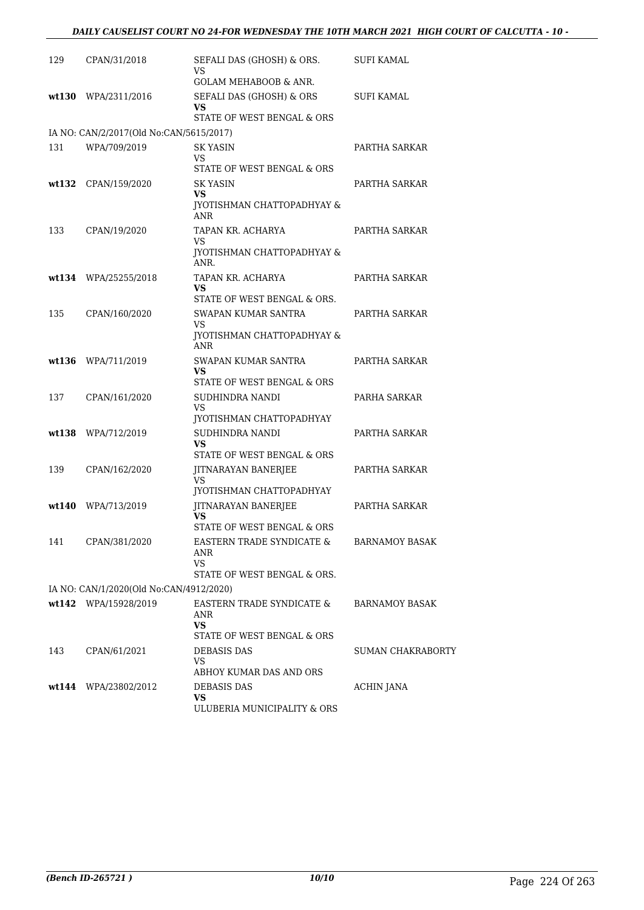| 129 | CPAN/31/2018                            | SEFALI DAS (GHOSH) & ORS.<br>VS                              | SUFI KAMAL               |
|-----|-----------------------------------------|--------------------------------------------------------------|--------------------------|
|     |                                         | <b>GOLAM MEHABOOB &amp; ANR.</b>                             |                          |
|     | $wt130$ WPA/2311/2016                   | SEFALI DAS (GHOSH) & ORS<br>VS<br>STATE OF WEST BENGAL & ORS | SUFI KAMAL               |
|     | IA NO: CAN/2/2017(Old No:CAN/5615/2017) |                                                              |                          |
| 131 | WPA/709/2019                            | <b>SK YASIN</b>                                              | PARTHA SARKAR            |
|     |                                         | VS.                                                          |                          |
|     |                                         | STATE OF WEST BENGAL & ORS                                   |                          |
|     | wt132 CPAN/159/2020                     | SK YASIN<br><b>VS</b>                                        | PARTHA SARKAR            |
|     |                                         | <b>IYOTISHMAN CHATTOPADHYAY &amp;</b><br>ANR                 |                          |
| 133 | CPAN/19/2020                            | TAPAN KR. ACHARYA                                            | PARTHA SARKAR            |
|     |                                         | VS.<br><b>JYOTISHMAN CHATTOPADHYAY &amp;</b><br>ANR.         |                          |
|     | wt134 WPA/25255/2018                    | TAPAN KR. ACHARYA                                            | PARTHA SARKAR            |
|     |                                         | VS<br>STATE OF WEST BENGAL & ORS.                            |                          |
| 135 | CPAN/160/2020                           | SWAPAN KUMAR SANTRA                                          | PARTHA SARKAR            |
|     |                                         | VS.                                                          |                          |
|     |                                         | JYOTISHMAN CHATTOPADHYAY &<br>ANR                            |                          |
|     | wt136 WPA/711/2019                      | SWAPAN KUMAR SANTRA                                          | PARTHA SARKAR            |
|     |                                         | VS.<br>STATE OF WEST BENGAL & ORS                            |                          |
| 137 | CPAN/161/2020                           | SUDHINDRA NANDI                                              | PARHA SARKAR             |
|     |                                         | VS.                                                          |                          |
|     | wt138 WPA/712/2019                      | JYOTISHMAN CHATTOPADHYAY<br>SUDHINDRA NANDI                  | PARTHA SARKAR            |
|     |                                         | VS                                                           |                          |
|     |                                         | STATE OF WEST BENGAL & ORS                                   |                          |
| 139 | CPAN/162/2020                           | JITNARAYAN BANERJEE<br>VS.                                   | PARTHA SARKAR            |
|     |                                         | JYOTISHMAN CHATTOPADHYAY                                     |                          |
|     | wt140 WPA/713/2019                      | JITNARAYAN BANERJEE                                          | PARTHA SARKAR            |
|     |                                         | VS<br>STATE OF WEST BENGAL & ORS                             |                          |
| 141 | CPAN/381/2020                           | EASTERN TRADE SYNDICATE &                                    | <b>BARNAMOY BASAK</b>    |
|     |                                         | ANR                                                          |                          |
|     |                                         | <b>VS</b><br>STATE OF WEST BENGAL & ORS.                     |                          |
|     | IA NO: CAN/1/2020(Old No:CAN/4912/2020) |                                                              |                          |
|     | wt142 WPA/15928/2019                    | EASTERN TRADE SYNDICATE &                                    | <b>BARNAMOY BASAK</b>    |
|     |                                         | ANR<br><b>VS</b>                                             |                          |
|     |                                         | STATE OF WEST BENGAL & ORS                                   |                          |
| 143 | CPAN/61/2021                            | DEBASIS DAS                                                  | <b>SUMAN CHAKRABORTY</b> |
|     |                                         | VS.<br>ABHOY KUMAR DAS AND ORS                               |                          |
|     | wt144 WPA/23802/2012                    | <b>DEBASIS DAS</b>                                           | ACHIN JANA               |
|     |                                         | <b>VS</b>                                                    |                          |
|     |                                         | ULUBERIA MUNICIPALITY & ORS                                  |                          |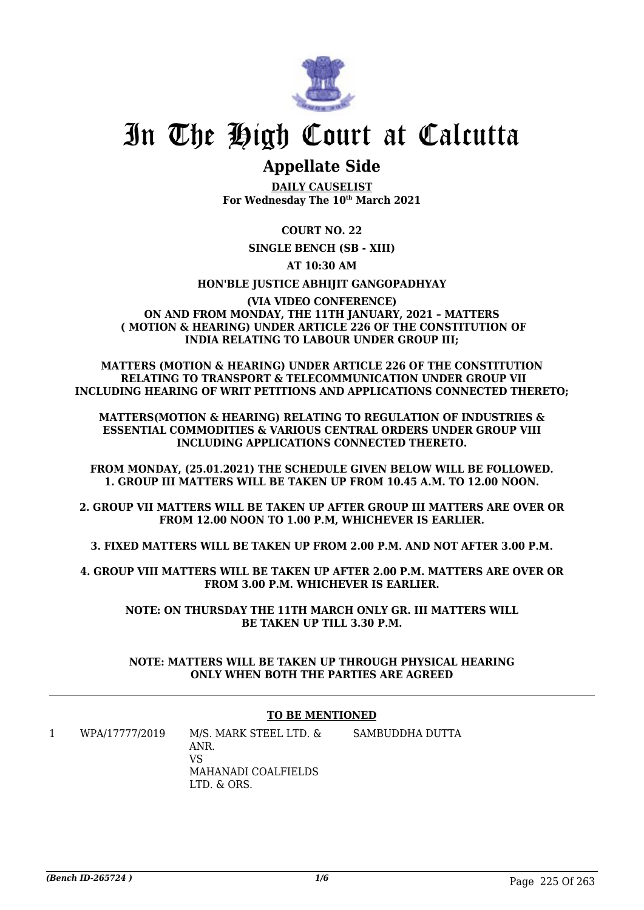

### **Appellate Side**

**DAILY CAUSELIST For Wednesday The 10th March 2021**

#### **COURT NO. 22**

#### **SINGLE BENCH (SB - XIII)**

#### **AT 10:30 AM**

#### **HON'BLE JUSTICE ABHIJIT GANGOPADHYAY**

#### **(VIA VIDEO CONFERENCE) ON AND FROM MONDAY, THE 11TH JANUARY, 2021 – MATTERS ( MOTION & HEARING) UNDER ARTICLE 226 OF THE CONSTITUTION OF INDIA RELATING TO LABOUR UNDER GROUP III;**

**MATTERS (MOTION & HEARING) UNDER ARTICLE 226 OF THE CONSTITUTION RELATING TO TRANSPORT & TELECOMMUNICATION UNDER GROUP VII INCLUDING HEARING OF WRIT PETITIONS AND APPLICATIONS CONNECTED THERETO;**

**MATTERS(MOTION & HEARING) RELATING TO REGULATION OF INDUSTRIES & ESSENTIAL COMMODITIES & VARIOUS CENTRAL ORDERS UNDER GROUP VIII INCLUDING APPLICATIONS CONNECTED THERETO.**

**FROM MONDAY, (25.01.2021) THE SCHEDULE GIVEN BELOW WILL BE FOLLOWED. 1. GROUP III MATTERS WILL BE TAKEN UP FROM 10.45 A.M. TO 12.00 NOON.**

**2. GROUP VII MATTERS WILL BE TAKEN UP AFTER GROUP III MATTERS ARE OVER OR FROM 12.00 NOON TO 1.00 P.M, WHICHEVER IS EARLIER.**

**3. FIXED MATTERS WILL BE TAKEN UP FROM 2.00 P.M. AND NOT AFTER 3.00 P.M.**

**4. GROUP VIII MATTERS WILL BE TAKEN UP AFTER 2.00 P.M. MATTERS ARE OVER OR FROM 3.00 P.M. WHICHEVER IS EARLIER.**

**NOTE: ON THURSDAY THE 11TH MARCH ONLY GR. III MATTERS WILL BE TAKEN UP TILL 3.30 P.M.**

**NOTE: MATTERS WILL BE TAKEN UP THROUGH PHYSICAL HEARING ONLY WHEN BOTH THE PARTIES ARE AGREED**

#### **TO BE MENTIONED**

1 WPA/17777/2019 M/S. MARK STEEL LTD. & ANR. VS MAHANADI COALFIELDS LTD. & ORS. SAMBUDDHA DUTTA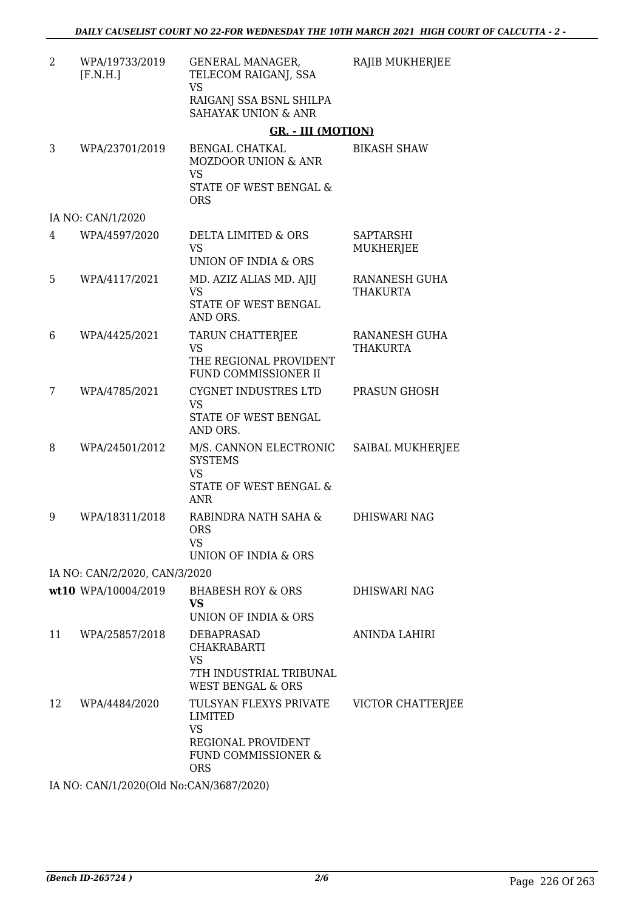| $\overline{2}$ | WPA/19733/2019<br>[F.N.H.]    | <b>GENERAL MANAGER,</b><br>TELECOM RAIGANJ, SSA<br><b>VS</b>                                                     | RAJIB MUKHERJEE                      |
|----------------|-------------------------------|------------------------------------------------------------------------------------------------------------------|--------------------------------------|
|                |                               | RAIGANJ SSA BSNL SHILPA<br><b>SAHAYAK UNION &amp; ANR</b>                                                        |                                      |
|                |                               | <b>GR. - III (MOTION)</b>                                                                                        |                                      |
| 3              | WPA/23701/2019                | BENGAL CHATKAL<br><b>MOZDOOR UNION &amp; ANR</b><br><b>VS</b><br>STATE OF WEST BENGAL &<br><b>ORS</b>            | <b>BIKASH SHAW</b>                   |
|                | IA NO: CAN/1/2020             |                                                                                                                  |                                      |
| 4              | WPA/4597/2020                 | DELTA LIMITED & ORS<br><b>VS</b><br>UNION OF INDIA & ORS                                                         | <b>SAPTARSHI</b><br><b>MUKHERJEE</b> |
| 5              | WPA/4117/2021                 | MD. AZIZ ALIAS MD. AJIJ<br><b>VS</b><br><b>STATE OF WEST BENGAL</b><br>AND ORS.                                  | RANANESH GUHA<br><b>THAKURTA</b>     |
| 6              | WPA/4425/2021                 | TARUN CHATTERJEE<br><b>VS</b><br>THE REGIONAL PROVIDENT<br>FUND COMMISSIONER II                                  | RANANESH GUHA<br><b>THAKURTA</b>     |
| 7              | WPA/4785/2021                 | CYGNET INDUSTRES LTD<br><b>VS</b><br>STATE OF WEST BENGAL<br>AND ORS.                                            | PRASUN GHOSH                         |
| 8              | WPA/24501/2012                | M/S. CANNON ELECTRONIC<br><b>SYSTEMS</b><br><b>VS</b><br>STATE OF WEST BENGAL &<br><b>ANR</b>                    | SAIBAL MUKHERJEE                     |
| 9              | WPA/18311/2018                | RABINDRA NATH SAHA &<br><b>ORS</b><br><b>VS</b><br>UNION OF INDIA & ORS                                          | <b>DHISWARI NAG</b>                  |
|                | IA NO: CAN/2/2020, CAN/3/2020 |                                                                                                                  |                                      |
|                | wt10 WPA/10004/2019           | <b>BHABESH ROY &amp; ORS</b><br><b>VS</b><br>UNION OF INDIA & ORS                                                | DHISWARI NAG                         |
| 11             | WPA/25857/2018                | DEBAPRASAD<br><b>CHAKRABARTI</b><br>VS<br>7TH INDUSTRIAL TRIBUNAL<br><b>WEST BENGAL &amp; ORS</b>                | ANINDA LAHIRI                        |
| 12             | WPA/4484/2020                 | TULSYAN FLEXYS PRIVATE<br><b>LIMITED</b><br><b>VS</b><br>REGIONAL PROVIDENT<br>FUND COMMISSIONER &<br><b>ORS</b> | VICTOR CHATTERJEE                    |
|                | OMIIBROO(A1JN, CANIOCO7000    |                                                                                                                  |                                      |

IA NO: CAN/1/2020(Old No:CAN/3687/2020)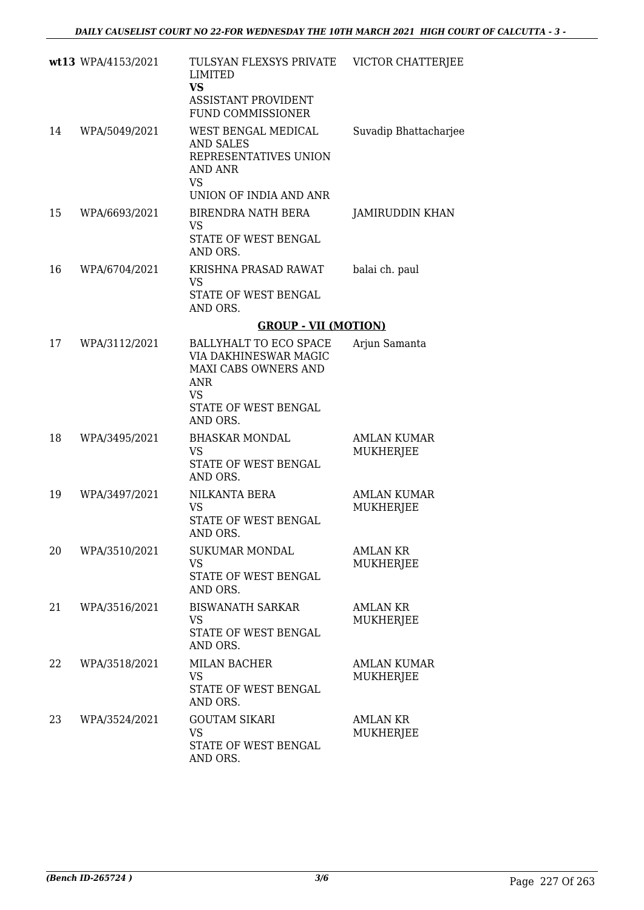|    | wt13 WPA/4153/2021 | TULSYAN FLEXSYS PRIVATE<br>LIMITED<br><b>VS</b><br><b>ASSISTANT PROVIDENT</b><br><b>FUND COMMISSIONER</b>                       | VICTOR CHATTERJEE                   |
|----|--------------------|---------------------------------------------------------------------------------------------------------------------------------|-------------------------------------|
| 14 | WPA/5049/2021      | WEST BENGAL MEDICAL<br><b>AND SALES</b><br>REPRESENTATIVES UNION<br>AND ANR<br>VS                                               | Suvadip Bhattacharjee               |
|    |                    | UNION OF INDIA AND ANR                                                                                                          |                                     |
| 15 | WPA/6693/2021      | BIRENDRA NATH BERA<br><b>VS</b><br>STATE OF WEST BENGAL<br>AND ORS.                                                             | JAMIRUDDIN KHAN                     |
| 16 | WPA/6704/2021      | KRISHNA PRASAD RAWAT<br><b>VS</b><br>STATE OF WEST BENGAL<br>AND ORS.                                                           | balai ch. paul                      |
|    |                    | <b>GROUP - VII (MOTION)</b>                                                                                                     |                                     |
| 17 | WPA/3112/2021      | BALLYHALT TO ECO SPACE<br>VIA DAKHINESWAR MAGIC<br>MAXI CABS OWNERS AND<br><b>ANR</b><br>VS<br>STATE OF WEST BENGAL<br>AND ORS. | Arjun Samanta                       |
| 18 | WPA/3495/2021      | <b>BHASKAR MONDAL</b><br><b>VS</b><br>STATE OF WEST BENGAL<br>AND ORS.                                                          | <b>AMLAN KUMAR</b><br>MUKHERJEE     |
| 19 | WPA/3497/2021      | NILKANTA BERA<br><b>VS</b><br>STATE OF WEST BENGAL<br>AND ORS.                                                                  | <b>AMLAN KUMAR</b><br>MUKHERJEE     |
| 20 | WPA/3510/2021      | <b>SUKUMAR MONDAL</b><br><b>VS</b><br>STATE OF WEST BENGAL<br>AND ORS.                                                          | <b>AMLAN KR</b><br><b>MUKHERJEE</b> |
| 21 | WPA/3516/2021      | <b>BISWANATH SARKAR</b><br>VS<br>STATE OF WEST BENGAL<br>AND ORS.                                                               | <b>AMLAN KR</b><br>MUKHERJEE        |
| 22 | WPA/3518/2021      | <b>MILAN BACHER</b><br><b>VS</b><br>STATE OF WEST BENGAL<br>AND ORS.                                                            | <b>AMLAN KUMAR</b><br>MUKHERJEE     |
| 23 | WPA/3524/2021      | <b>GOUTAM SIKARI</b><br><b>VS</b><br>STATE OF WEST BENGAL<br>AND ORS.                                                           | <b>AMLAN KR</b><br>MUKHERJEE        |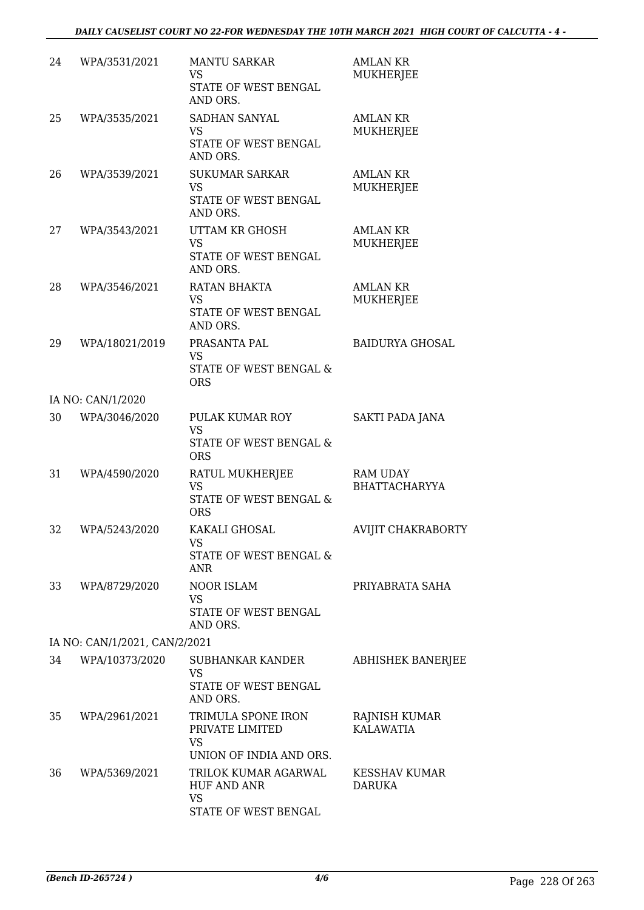| 24 | WPA/3531/2021                 | <b>MANTU SARKAR</b>                                                                       | <b>AMLAN KR</b>                         |
|----|-------------------------------|-------------------------------------------------------------------------------------------|-----------------------------------------|
|    |                               | <b>VS</b><br>STATE OF WEST BENGAL<br>AND ORS.                                             | MUKHERJEE                               |
| 25 | WPA/3535/2021                 | SADHAN SANYAL<br><b>VS</b><br>STATE OF WEST BENGAL<br>AND ORS.                            | <b>AMLAN KR</b><br>MUKHERJEE            |
| 26 | WPA/3539/2021                 | <b>SUKUMAR SARKAR</b><br><b>VS</b><br>STATE OF WEST BENGAL<br>AND ORS.                    | <b>AMLAN KR</b><br>MUKHERJEE            |
| 27 | WPA/3543/2021                 | UTTAM KR GHOSH<br><b>VS</b><br>STATE OF WEST BENGAL<br>AND ORS.                           | <b>AMLAN KR</b><br>MUKHERJEE            |
| 28 | WPA/3546/2021                 | RATAN BHAKTA<br><b>VS</b><br>STATE OF WEST BENGAL<br>AND ORS.                             | <b>AMLAN KR</b><br>MUKHERJEE            |
| 29 | WPA/18021/2019                | PRASANTA PAL<br><b>VS</b><br>STATE OF WEST BENGAL &<br><b>ORS</b>                         | <b>BAIDURYA GHOSAL</b>                  |
|    | IA NO: CAN/1/2020             |                                                                                           |                                         |
| 30 | WPA/3046/2020                 | PULAK KUMAR ROY<br><b>VS</b><br>STATE OF WEST BENGAL &<br><b>ORS</b>                      | SAKTI PADA JANA                         |
| 31 | WPA/4590/2020                 | RATUL MUKHERJEE<br><b>VS</b><br>STATE OF WEST BENGAL &<br><b>ORS</b>                      | <b>RAM UDAY</b><br><b>BHATTACHARYYA</b> |
| 32 | WPA/5243/2020                 | KAKALI GHOSAL<br><b>VS</b><br>STATE OF WEST BENGAL &<br><b>ANR</b>                        | AVIJIT CHAKRABORTY                      |
| 33 | WPA/8729/2020                 | <b>NOOR ISLAM</b><br><b>VS</b><br>STATE OF WEST BENGAL<br>AND ORS.                        | PRIYABRATA SAHA                         |
|    | IA NO: CAN/1/2021, CAN/2/2021 |                                                                                           |                                         |
| 34 | WPA/10373/2020                | SUBHANKAR KANDER<br>VS<br>STATE OF WEST BENGAL                                            | ABHISHEK BANERJEE                       |
| 35 | WPA/2961/2021                 | AND ORS.<br>TRIMULA SPONE IRON<br>PRIVATE LIMITED<br><b>VS</b><br>UNION OF INDIA AND ORS. | RAJNISH KUMAR<br><b>KALAWATIA</b>       |
| 36 | WPA/5369/2021                 | TRILOK KUMAR AGARWAL<br><b>HUF AND ANR</b><br><b>VS</b><br>STATE OF WEST BENGAL           | <b>KESSHAV KUMAR</b><br>DARUKA          |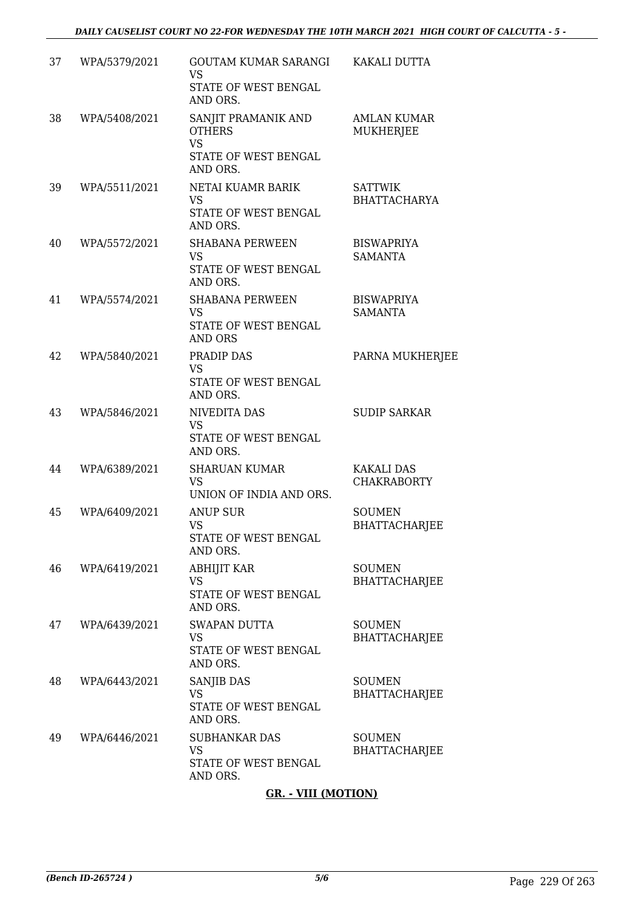|    |               | <b>GR. - VIII (MOTION)</b>                                                            |                                         |
|----|---------------|---------------------------------------------------------------------------------------|-----------------------------------------|
| 49 | WPA/6446/2021 | <b>SUBHANKAR DAS</b><br><b>VS</b><br>STATE OF WEST BENGAL<br>AND ORS.                 | <b>SOUMEN</b><br><b>BHATTACHARJEE</b>   |
| 48 | WPA/6443/2021 | SANJIB DAS<br><b>VS</b><br>STATE OF WEST BENGAL<br>AND ORS.                           | <b>SOUMEN</b><br><b>BHATTACHARJEE</b>   |
| 47 | WPA/6439/2021 | <b>SWAPAN DUTTA</b><br><b>VS</b><br>STATE OF WEST BENGAL<br>AND ORS.                  | <b>SOUMEN</b><br><b>BHATTACHARJEE</b>   |
| 46 | WPA/6419/2021 | <b>ABHIJIT KAR</b><br>VS.<br>STATE OF WEST BENGAL<br>AND ORS.                         | <b>SOUMEN</b><br><b>BHATTACHARJEE</b>   |
| 45 | WPA/6409/2021 | <b>ANUP SUR</b><br><b>VS</b><br>STATE OF WEST BENGAL<br>AND ORS.                      | <b>SOUMEN</b><br><b>BHATTACHARJEE</b>   |
| 44 | WPA/6389/2021 | <b>SHARUAN KUMAR</b><br><b>VS</b><br>UNION OF INDIA AND ORS.                          | <b>KAKALI DAS</b><br><b>CHAKRABORTY</b> |
| 43 | WPA/5846/2021 | NIVEDITA DAS<br><b>VS</b><br>STATE OF WEST BENGAL<br>AND ORS.                         | <b>SUDIP SARKAR</b>                     |
| 42 | WPA/5840/2021 | PRADIP DAS<br><b>VS</b><br>STATE OF WEST BENGAL<br>AND ORS.                           | PARNA MUKHERJEE                         |
| 41 | WPA/5574/2021 | <b>SHABANA PERWEEN</b><br><b>VS</b><br>STATE OF WEST BENGAL<br><b>AND ORS</b>         | <b>BISWAPRIYA</b><br><b>SAMANTA</b>     |
| 40 | WPA/5572/2021 | <b>SHABANA PERWEEN</b><br><b>VS</b><br>STATE OF WEST BENGAL<br>AND ORS.               | <b>BISWAPRIYA</b><br><b>SAMANTA</b>     |
| 39 | WPA/5511/2021 | NETAI KUAMR BARIK<br><b>VS</b><br>STATE OF WEST BENGAL<br>AND ORS.                    | <b>SATTWIK</b><br><b>BHATTACHARYA</b>   |
| 38 | WPA/5408/2021 | SANJIT PRAMANIK AND<br><b>OTHERS</b><br><b>VS</b><br>STATE OF WEST BENGAL<br>AND ORS. | <b>AMLAN KUMAR</b><br>MUKHERJEE         |
|    |               | <b>VS</b><br>STATE OF WEST BENGAL<br>AND ORS.                                         |                                         |
| 37 | WPA/5379/2021 | <b>GOUTAM KUMAR SARANGI</b>                                                           | KAKALI DUTTA                            |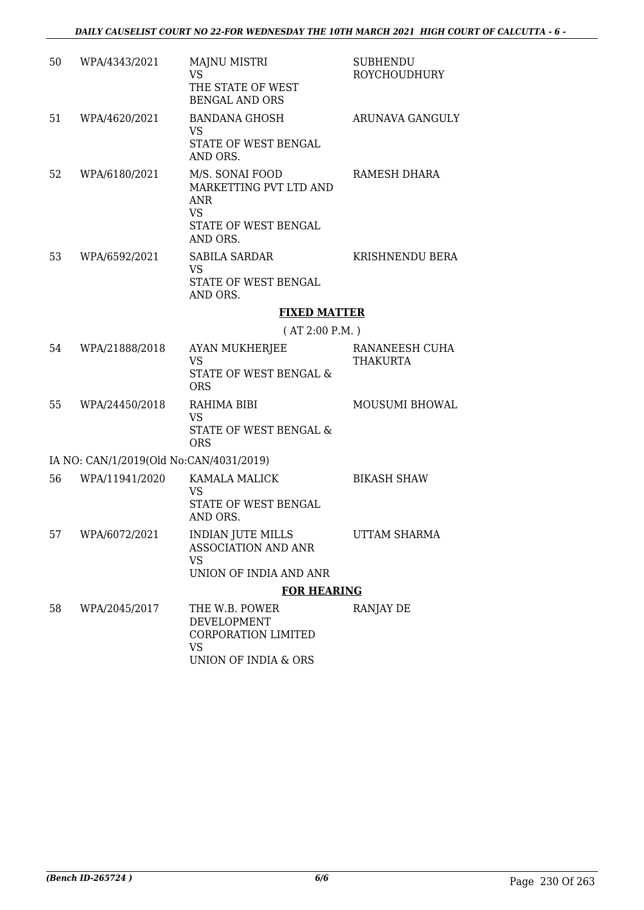| 50 | WPA/4343/2021                           | <b>MAJNU MISTRI</b><br><b>VS</b><br>THE STATE OF WEST<br><b>BENGAL AND ORS</b>                           | <b>SUBHENDU</b><br><b>ROYCHOUDHURY</b> |
|----|-----------------------------------------|----------------------------------------------------------------------------------------------------------|----------------------------------------|
| 51 | WPA/4620/2021                           | <b>BANDANA GHOSH</b><br><b>VS</b><br>STATE OF WEST BENGAL<br>AND ORS.                                    | ARUNAVA GANGULY                        |
| 52 | WPA/6180/2021                           | M/S. SONAI FOOD<br>MARKETTING PVT LTD AND<br><b>ANR</b><br><b>VS</b><br>STATE OF WEST BENGAL<br>AND ORS. | RAMESH DHARA                           |
| 53 | WPA/6592/2021                           | <b>SABILA SARDAR</b><br><b>VS</b><br>STATE OF WEST BENGAL<br>AND ORS.                                    | KRISHNENDU BERA                        |
|    |                                         | <b>FIXED MATTER</b><br>(AT 2:00 P.M.)                                                                    |                                        |
|    |                                         |                                                                                                          |                                        |
| 54 | WPA/21888/2018                          | <b>AYAN MUKHERJEE</b><br><b>VS</b><br>STATE OF WEST BENGAL &<br><b>ORS</b>                               | RANANEESH CUHA<br><b>THAKURTA</b>      |
| 55 | WPA/24450/2018                          | RAHIMA BIBI<br><b>VS</b><br>STATE OF WEST BENGAL &<br><b>ORS</b>                                         | MOUSUMI BHOWAL                         |
|    | IA NO: CAN/1/2019(Old No:CAN/4031/2019) |                                                                                                          |                                        |
| 56 | WPA/11941/2020                          | <b>KAMALA MALICK</b><br>VS<br>STATE OF WEST BENGAL<br>AND ORS.                                           | <b>BIKASH SHAW</b>                     |
| 57 | WPA/6072/2021                           | <b>INDIAN JUTE MILLS</b><br><b>ASSOCIATION AND ANR</b><br><b>VS</b><br>UNION OF INDIA AND ANR            | UTTAM SHARMA                           |
|    |                                         | <b>FOR HEARING</b>                                                                                       |                                        |
| 58 | WPA/2045/2017                           | THE W.B. POWER<br>DEVELOPMENT<br><b>CORPORATION LIMITED</b><br>VS<br>UNION OF INDIA & ORS                | RANJAY DE                              |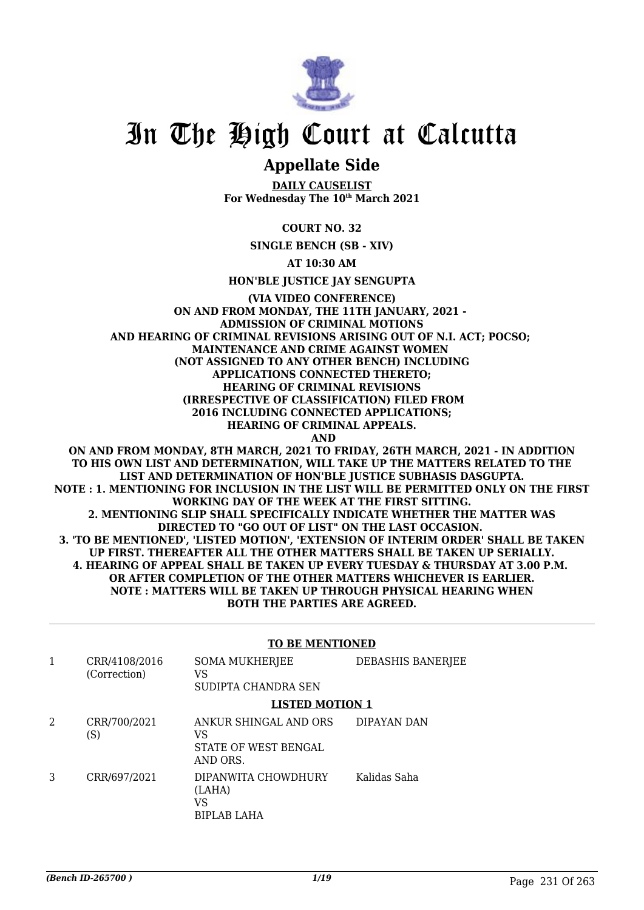

### **Appellate Side**

**DAILY CAUSELIST For Wednesday The 10th March 2021**

**COURT NO. 32**

**SINGLE BENCH (SB - XIV)**

**AT 10:30 AM**

**HON'BLE JUSTICE JAY SENGUPTA**

**(VIA VIDEO CONFERENCE) ON AND FROM MONDAY, THE 11TH JANUARY, 2021 - ADMISSION OF CRIMINAL MOTIONS AND HEARING OF CRIMINAL REVISIONS ARISING OUT OF N.I. ACT; POCSO; MAINTENANCE AND CRIME AGAINST WOMEN (NOT ASSIGNED TO ANY OTHER BENCH) INCLUDING APPLICATIONS CONNECTED THERETO; HEARING OF CRIMINAL REVISIONS (IRRESPECTIVE OF CLASSIFICATION) FILED FROM 2016 INCLUDING CONNECTED APPLICATIONS; HEARING OF CRIMINAL APPEALS. AND**

**ON AND FROM MONDAY, 8TH MARCH, 2021 TO FRIDAY, 26TH MARCH, 2021 - IN ADDITION TO HIS OWN LIST AND DETERMINATION, WILL TAKE UP THE MATTERS RELATED TO THE LIST AND DETERMINATION OF HON'BLE JUSTICE SUBHASIS DASGUPTA. NOTE : 1. MENTIONING FOR INCLUSION IN THE LIST WILL BE PERMITTED ONLY ON THE FIRST WORKING DAY OF THE WEEK AT THE FIRST SITTING. 2. MENTIONING SLIP SHALL SPECIFICALLY INDICATE WHETHER THE MATTER WAS DIRECTED TO "GO OUT OF LIST" ON THE LAST OCCASION. 3. 'TO BE MENTIONED', 'LISTED MOTION', 'EXTENSION OF INTERIM ORDER' SHALL BE TAKEN UP FIRST. THEREAFTER ALL THE OTHER MATTERS SHALL BE TAKEN UP SERIALLY. 4. HEARING OF APPEAL SHALL BE TAKEN UP EVERY TUESDAY & THURSDAY AT 3.00 P.M. OR AFTER COMPLETION OF THE OTHER MATTERS WHICHEVER IS EARLIER. NOTE : MATTERS WILL BE TAKEN UP THROUGH PHYSICAL HEARING WHEN BOTH THE PARTIES ARE AGREED.**

#### **TO BE MENTIONED**

|   | CRR/4108/2016<br>(Correction) | <b>SOMA MUKHERJEE</b><br>VS<br>SUDIPTA CHANDRA SEN              | DEBASHIS BANERJEE |
|---|-------------------------------|-----------------------------------------------------------------|-------------------|
|   |                               | <b>LISTED MOTION 1</b>                                          |                   |
| 2 | CRR/700/2021<br>(S)           | ANKUR SHINGAL AND ORS<br>VS<br>STATE OF WEST BENGAL<br>AND ORS. | DIPAYAN DAN       |
| 3 | CRR/697/2021                  | DIPANWITA CHOWDHURY<br>(LAHA)<br>VS<br>BIPLAB LAHA              | Kalidas Saha      |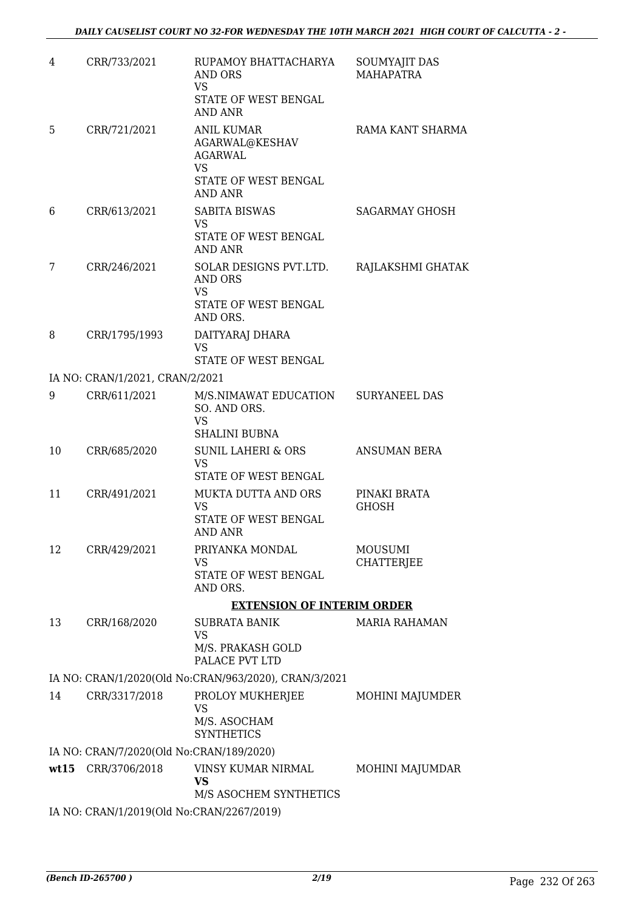| 4    | CRR/733/2021                              | RUPAMOY BHATTACHARYA<br>AND ORS<br><b>VS</b><br>STATE OF WEST BENGAL<br><b>AND ANR</b>                | <b>SOUMYAJIT DAS</b><br><b>MAHAPATRA</b> |
|------|-------------------------------------------|-------------------------------------------------------------------------------------------------------|------------------------------------------|
| 5.   | CRR/721/2021                              | <b>ANIL KUMAR</b><br>AGARWAL@KESHAV<br>AGARWAL<br><b>VS</b><br>STATE OF WEST BENGAL<br><b>AND ANR</b> | RAMA KANT SHARMA                         |
| 6    | CRR/613/2021                              | <b>SABITA BISWAS</b><br>VS<br>STATE OF WEST BENGAL<br>AND ANR                                         | <b>SAGARMAY GHOSH</b>                    |
| 7    | CRR/246/2021                              | SOLAR DESIGNS PVT.LTD.<br><b>AND ORS</b><br><b>VS</b><br>STATE OF WEST BENGAL<br>AND ORS.             | RAJLAKSHMI GHATAK                        |
| 8    | CRR/1795/1993                             | DAITYARAJ DHARA<br><b>VS</b><br>STATE OF WEST BENGAL                                                  |                                          |
|      | IA NO: CRAN/1/2021, CRAN/2/2021           |                                                                                                       |                                          |
| 9    | CRR/611/2021                              | M/S.NIMAWAT EDUCATION<br>SO. AND ORS.<br><b>VS</b><br><b>SHALINI BUBNA</b>                            | <b>SURYANEEL DAS</b>                     |
| 10   | CRR/685/2020                              | <b>SUNIL LAHERI &amp; ORS</b><br><b>VS</b><br>STATE OF WEST BENGAL                                    | <b>ANSUMAN BERA</b>                      |
| 11   | CRR/491/2021                              | MUKTA DUTTA AND ORS<br><b>VS</b><br>STATE OF WEST BENGAL<br>AND ANR                                   | PINAKI BRATA<br><b>GHOSH</b>             |
| 12   | CRR/429/2021                              | PRIYANKA MONDAL<br>VS<br>STATE OF WEST BENGAL<br>AND ORS.                                             | <b>MOUSUMI</b><br><b>CHATTERJEE</b>      |
|      |                                           |                                                                                                       |                                          |
| 13   | CRR/168/2020                              | <b>EXTENSION OF INTERIM ORDER</b><br><b>SUBRATA BANIK</b>                                             | <b>MARIA RAHAMAN</b>                     |
|      |                                           | <b>VS</b><br>M/S. PRAKASH GOLD<br>PALACE PVT LTD                                                      |                                          |
|      |                                           | IA NO: CRAN/1/2020(Old No:CRAN/963/2020), CRAN/3/2021                                                 |                                          |
| 14   | CRR/3317/2018                             | PROLOY MUKHERJEE<br>VS                                                                                | MOHINI MAJUMDER                          |
|      |                                           | M/S. ASOCHAM<br><b>SYNTHETICS</b>                                                                     |                                          |
|      | IA NO: CRAN/7/2020(Old No:CRAN/189/2020)  |                                                                                                       |                                          |
| wt15 | CRR/3706/2018                             | VINSY KUMAR NIRMAL<br>VS<br>M/S ASOCHEM SYNTHETICS                                                    | MOHINI MAJUMDAR                          |
|      | IA NO: CRAN/1/2019(Old No:CRAN/2267/2019) |                                                                                                       |                                          |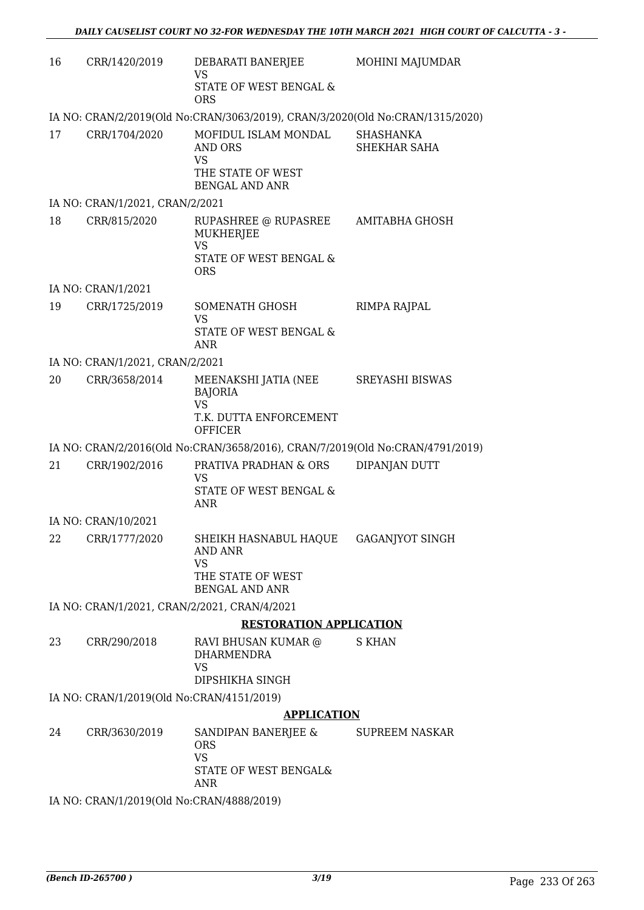| 16 | CRR/1420/2019                                | DEBARATI BANERJEE<br><b>VS</b><br>STATE OF WEST BENGAL &                                                             | MOHINI MAJUMDAR                  |
|----|----------------------------------------------|----------------------------------------------------------------------------------------------------------------------|----------------------------------|
|    |                                              | <b>ORS</b><br>IA NO: CRAN/2/2019(Old No:CRAN/3063/2019), CRAN/3/2020(Old No:CRAN/1315/2020)                          |                                  |
| 17 | CRR/1704/2020                                | MOFIDUL ISLAM MONDAL<br>AND ORS<br><b>VS</b><br>THE STATE OF WEST<br><b>BENGAL AND ANR</b>                           | <b>SHASHANKA</b><br>SHEKHAR SAHA |
|    | IA NO: CRAN/1/2021, CRAN/2/2021              |                                                                                                                      |                                  |
| 18 | CRR/815/2020                                 | RUPASHREE @ RUPASREE<br><b>MUKHERJEE</b><br><b>VS</b><br>STATE OF WEST BENGAL &<br><b>ORS</b>                        | AMITABHA GHOSH                   |
|    | IA NO: CRAN/1/2021                           |                                                                                                                      |                                  |
| 19 | CRR/1725/2019                                | SOMENATH GHOSH<br><b>VS</b><br>STATE OF WEST BENGAL &<br><b>ANR</b>                                                  | RIMPA RAJPAL                     |
|    | IA NO: CRAN/1/2021, CRAN/2/2021              |                                                                                                                      |                                  |
| 20 | CRR/3658/2014                                | MEENAKSHI JATIA (NEE<br><b>BAJORIA</b><br><b>VS</b><br>T.K. DUTTA ENFORCEMENT<br><b>OFFICER</b>                      | <b>SREYASHI BISWAS</b>           |
|    |                                              | IA NO: CRAN/2/2016(Old No:CRAN/3658/2016), CRAN/7/2019(Old No:CRAN/4791/2019)                                        |                                  |
| 21 | CRR/1902/2016                                | PRATIVA PRADHAN & ORS<br><b>VS</b><br>STATE OF WEST BENGAL &<br>ANR                                                  | DIPANJAN DUTT                    |
|    | IA NO: CRAN/10/2021                          |                                                                                                                      |                                  |
|    | 22 CRR/1777/2020                             | SHEIKH HASNABUL HAQUE   GAGANJYOT SINGH<br><b>AND ANR</b><br><b>VS</b><br>THE STATE OF WEST<br><b>BENGAL AND ANR</b> |                                  |
|    | IA NO: CRAN/1/2021, CRAN/2/2021, CRAN/4/2021 |                                                                                                                      |                                  |
|    |                                              | <b>RESTORATION APPLICATION</b>                                                                                       |                                  |
| 23 | CRR/290/2018                                 | RAVI BHUSAN KUMAR @<br><b>DHARMENDRA</b><br><b>VS</b><br>DIPSHIKHA SINGH                                             | <b>S KHAN</b>                    |
|    | IA NO: CRAN/1/2019(Old No:CRAN/4151/2019)    |                                                                                                                      |                                  |
|    |                                              | <b>APPLICATION</b>                                                                                                   |                                  |
| 24 | CRR/3630/2019                                | SANDIPAN BANERJEE & SUPREEM NASKAR<br><b>ORS</b><br><b>VS</b><br>STATE OF WEST BENGAL&<br>ANR                        |                                  |
|    |                                              | $\frac{1}{4}$ $(2010(013)$ $\frac{1}{4}$ $\frac{1}{2}$ $(20111(000)(2010))$                                          |                                  |

IA NO: CRAN/1/2019(Old No:CRAN/4888/2019)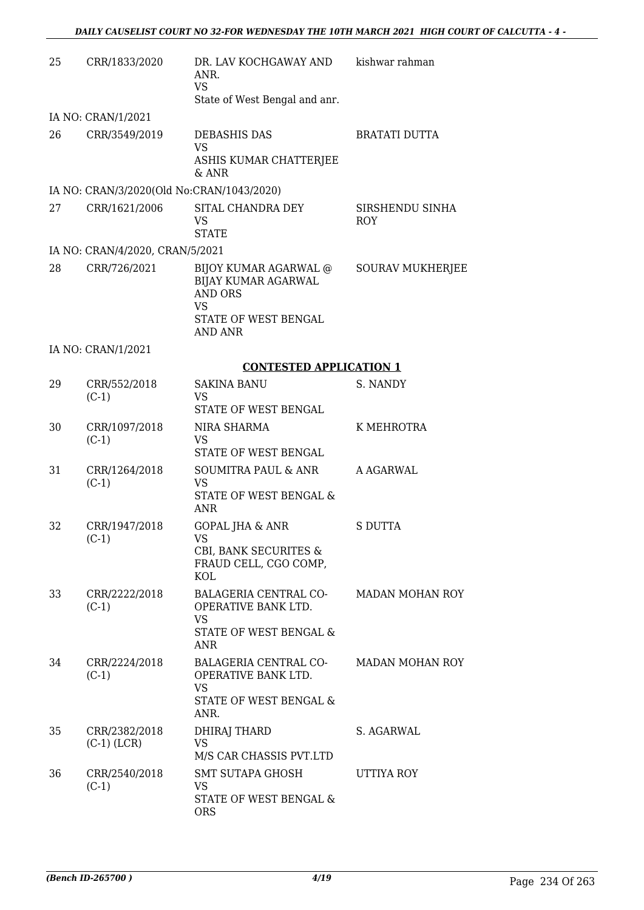| 25 | CRR/1833/2020                             | DR. LAV KOCHGAWAY AND<br>ANR.<br><b>VS</b><br>State of West Bengal and anr.                                                  | kishwar rahman                |
|----|-------------------------------------------|------------------------------------------------------------------------------------------------------------------------------|-------------------------------|
|    | IA NO: CRAN/1/2021                        |                                                                                                                              |                               |
| 26 | CRR/3549/2019                             | DEBASHIS DAS<br><b>VS</b><br>ASHIS KUMAR CHATTERJEE<br>$&$ ANR                                                               | <b>BRATATI DUTTA</b>          |
|    | IA NO: CRAN/3/2020(Old No:CRAN/1043/2020) |                                                                                                                              |                               |
| 27 | CRR/1621/2006                             | SITAL CHANDRA DEY<br><b>VS</b><br><b>STATE</b>                                                                               | SIRSHENDU SINHA<br><b>ROY</b> |
|    | IA NO: CRAN/4/2020, CRAN/5/2021           |                                                                                                                              |                               |
| 28 | CRR/726/2021                              | BIJOY KUMAR AGARWAL @<br><b>BIJAY KUMAR AGARWAL</b><br><b>AND ORS</b><br><b>VS</b><br>STATE OF WEST BENGAL<br><b>AND ANR</b> | <b>SOURAV MUKHERJEE</b>       |
|    | IA NO: CRAN/1/2021                        |                                                                                                                              |                               |
|    |                                           | <b>CONTESTED APPLICATION 1</b>                                                                                               |                               |
| 29 | CRR/552/2018<br>$(C-1)$                   | <b>SAKINA BANU</b><br><b>VS</b><br>STATE OF WEST BENGAL                                                                      | S. NANDY                      |
| 30 | CRR/1097/2018<br>$(C-1)$                  | NIRA SHARMA<br><b>VS</b><br>STATE OF WEST BENGAL                                                                             | K MEHROTRA                    |
| 31 | CRR/1264/2018<br>$(C-1)$                  | SOUMITRA PAUL & ANR<br>VS<br>STATE OF WEST BENGAL &<br>ANR                                                                   | A AGARWAL                     |
| 32 | CRR/1947/2018<br>$(C-1)$                  | <b>GOPAL JHA &amp; ANR</b><br>VS.<br>CBI, BANK SECURITES &<br>FRAUD CELL, CGO COMP,<br>KOL                                   | <b>S DUTTA</b>                |
| 33 | CRR/2222/2018<br>$(C-1)$                  | BALAGERIA CENTRAL CO-<br>OPERATIVE BANK LTD.<br><b>VS</b><br>STATE OF WEST BENGAL &<br>ANR                                   | <b>MADAN MOHAN ROY</b>        |
| 34 | CRR/2224/2018<br>$(C-1)$                  | BALAGERIA CENTRAL CO-<br>OPERATIVE BANK LTD.<br><b>VS</b><br>STATE OF WEST BENGAL &<br>ANR.                                  | <b>MADAN MOHAN ROY</b>        |
| 35 | CRR/2382/2018<br>$(C-1)$ (LCR)            | DHIRAJ THARD<br><b>VS</b><br>M/S CAR CHASSIS PVT.LTD                                                                         | S. AGARWAL                    |
| 36 | CRR/2540/2018<br>$(C-1)$                  | SMT SUTAPA GHOSH<br><b>VS</b><br>STATE OF WEST BENGAL &<br><b>ORS</b>                                                        | UTTIYA ROY                    |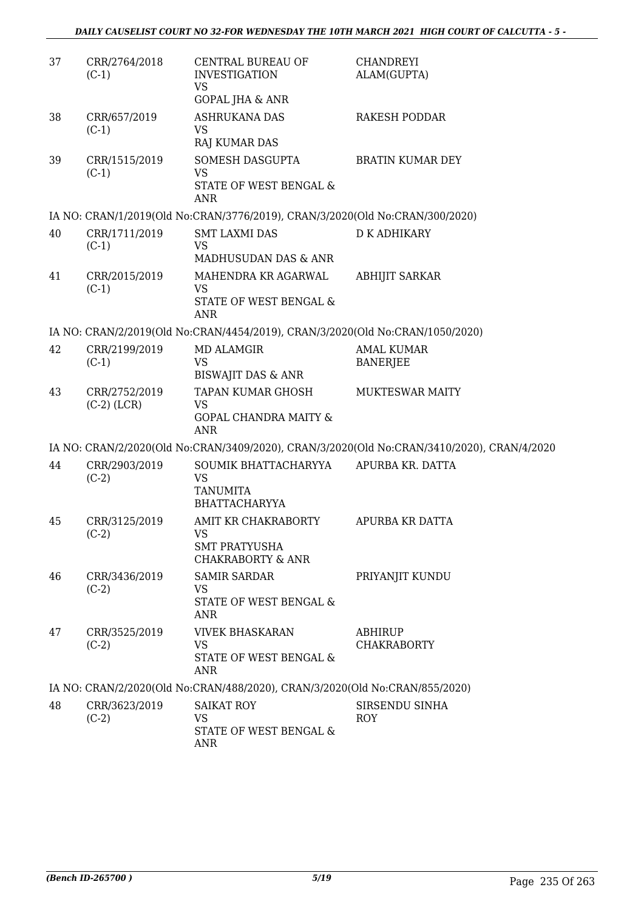| 37 | CRR/2764/2018<br>$(C-1)$       | CENTRAL BUREAU OF<br><b>INVESTIGATION</b><br><b>VS</b><br><b>GOPAL JHA &amp; ANR</b>     | <b>CHANDREYI</b><br>ALAM(GUPTA)                                                            |
|----|--------------------------------|------------------------------------------------------------------------------------------|--------------------------------------------------------------------------------------------|
| 38 | CRR/657/2019<br>$(C-1)$        | <b>ASHRUKANA DAS</b><br>VS<br>RAJ KUMAR DAS                                              | RAKESH PODDAR                                                                              |
| 39 | CRR/1515/2019<br>$(C-1)$       | SOMESH DASGUPTA<br><b>VS</b><br>STATE OF WEST BENGAL &<br><b>ANR</b>                     | <b>BRATIN KUMAR DEY</b>                                                                    |
|    |                                | IA NO: CRAN/1/2019(Old No:CRAN/3776/2019), CRAN/3/2020(Old No:CRAN/300/2020)             |                                                                                            |
| 40 | CRR/1711/2019<br>$(C-1)$       | <b>SMT LAXMI DAS</b><br><b>VS</b><br>MADHUSUDAN DAS & ANR                                | <b>D K ADHIKARY</b>                                                                        |
| 41 | CRR/2015/2019<br>$(C-1)$       | MAHENDRA KR AGARWAL<br><b>VS</b><br>STATE OF WEST BENGAL &<br><b>ANR</b>                 | <b>ABHIJIT SARKAR</b>                                                                      |
|    |                                | IA NO: CRAN/2/2019(Old No:CRAN/4454/2019), CRAN/3/2020(Old No:CRAN/1050/2020)            |                                                                                            |
| 42 | CRR/2199/2019<br>$(C-1)$       | <b>MD ALAMGIR</b><br><b>VS</b><br><b>BISWAJIT DAS &amp; ANR</b>                          | <b>AMAL KUMAR</b><br><b>BANERJEE</b>                                                       |
| 43 | CRR/2752/2019<br>$(C-2)$ (LCR) | TAPAN KUMAR GHOSH<br><b>VS</b><br><b>GOPAL CHANDRA MAITY &amp;</b><br><b>ANR</b>         | <b>MUKTESWAR MAITY</b>                                                                     |
|    |                                |                                                                                          | IA NO: CRAN/2/2020(Old No:CRAN/3409/2020), CRAN/3/2020(Old No:CRAN/3410/2020), CRAN/4/2020 |
| 44 | CRR/2903/2019<br>$(C-2)$       | SOUMIK BHATTACHARYYA<br><b>VS</b><br><b>TANUMITA</b><br><b>BHATTACHARYYA</b>             | APURBA KR. DATTA                                                                           |
| 45 | CRR/3125/2019<br>$(C-2)$       | AMIT KR CHAKRABORTY<br><b>VS</b><br><b>SMT PRATYUSHA</b><br><b>CHAKRABORTY &amp; ANR</b> | <b>APURBA KR DATTA</b>                                                                     |
| 46 | CRR/3436/2019<br>$(C-2)$       | <b>SAMIR SARDAR</b><br>VS<br>STATE OF WEST BENGAL &<br>ANR                               | PRIYANJIT KUNDU                                                                            |
| 47 | CRR/3525/2019<br>$(C-2)$       | <b>VIVEK BHASKARAN</b><br><b>VS</b><br>STATE OF WEST BENGAL &<br>ANR                     | ABHIRUP<br><b>CHAKRABORTY</b>                                                              |
|    |                                | IA NO: CRAN/2/2020(Old No:CRAN/488/2020), CRAN/3/2020(Old No:CRAN/855/2020)              |                                                                                            |
| 48 | CRR/3623/2019<br>$(C-2)$       | <b>SAIKAT ROY</b><br>VS<br>STATE OF WEST BENGAL &<br>ANR                                 | SIRSENDU SINHA<br><b>ROY</b>                                                               |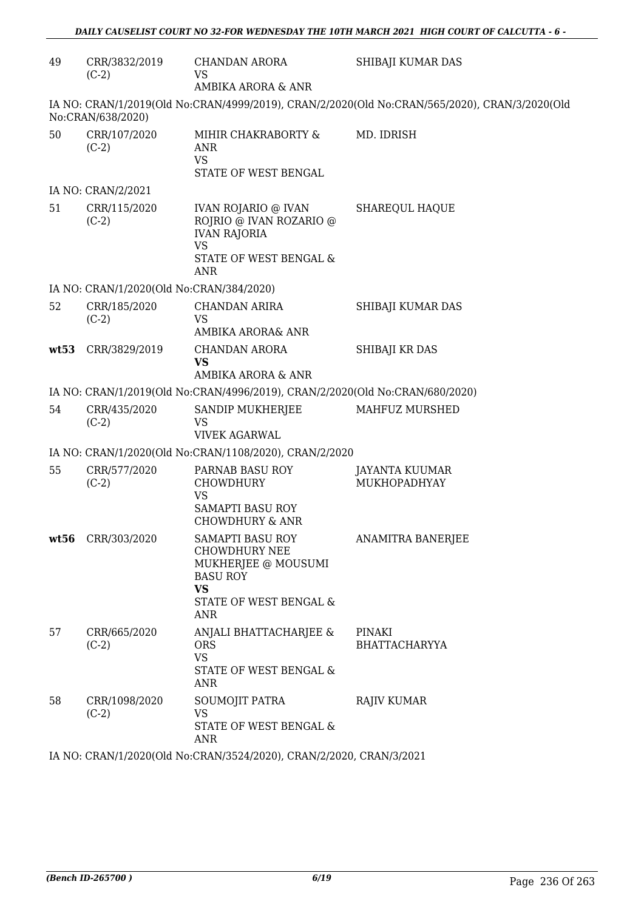| CRR/3832/2019<br>$(C-2)$ | CHANDAN ARORA<br><b>VS</b><br>AMBIKA ARORA & ANR                                                                                 | SHIBAJI KUMAR DAS                                                                                                                                                                                                                                                                   |
|--------------------------|----------------------------------------------------------------------------------------------------------------------------------|-------------------------------------------------------------------------------------------------------------------------------------------------------------------------------------------------------------------------------------------------------------------------------------|
| No:CRAN/638/2020)        |                                                                                                                                  |                                                                                                                                                                                                                                                                                     |
| CRR/107/2020<br>$(C-2)$  | MIHIR CHAKRABORTY &<br><b>ANR</b><br><b>VS</b><br>STATE OF WEST BENGAL                                                           | MD. IDRISH                                                                                                                                                                                                                                                                          |
| IA NO: CRAN/2/2021       |                                                                                                                                  |                                                                                                                                                                                                                                                                                     |
| CRR/115/2020<br>$(C-2)$  | IVAN ROJARIO @ IVAN<br>ROJRIO @ IVAN ROZARIO @<br><b>IVAN RAJORIA</b><br><b>VS</b><br>STATE OF WEST BENGAL &<br><b>ANR</b>       | <b>SHAREQUL HAQUE</b>                                                                                                                                                                                                                                                               |
|                          |                                                                                                                                  |                                                                                                                                                                                                                                                                                     |
| CRR/185/2020<br>$(C-2)$  | <b>CHANDAN ARIRA</b><br><b>VS</b><br>AMBIKA ARORA& ANR                                                                           | SHIBAJI KUMAR DAS                                                                                                                                                                                                                                                                   |
| CRR/3829/2019            | <b>CHANDAN ARORA</b><br><b>VS</b><br>AMBIKA ARORA & ANR                                                                          | SHIBAJI KR DAS                                                                                                                                                                                                                                                                      |
|                          |                                                                                                                                  |                                                                                                                                                                                                                                                                                     |
| CRR/435/2020<br>$(C-2)$  | SANDIP MUKHERJEE<br>VS<br><b>VIVEK AGARWAL</b>                                                                                   | MAHFUZ MURSHED                                                                                                                                                                                                                                                                      |
|                          |                                                                                                                                  |                                                                                                                                                                                                                                                                                     |
| CRR/577/2020<br>$(C-2)$  | PARNAB BASU ROY<br><b>CHOWDHURY</b><br><b>VS</b><br><b>SAMAPTI BASU ROY</b><br><b>CHOWDHURY &amp; ANR</b>                        | <b>JAYANTA KUUMAR</b><br>MUKHOPADHYAY                                                                                                                                                                                                                                               |
| wt56 CRR/303/2020        | SAMAPTI BASU ROY<br><b>CHOWDHURY NEE</b><br>MUKHERJEE @ MOUSUMI<br><b>BASU ROY</b><br><b>VS</b><br>STATE OF WEST BENGAL &<br>ANR | <b>ANAMITRA BANERJEE</b>                                                                                                                                                                                                                                                            |
| CRR/665/2020<br>$(C-2)$  | ANJALI BHATTACHARJEE &<br><b>ORS</b><br><b>VS</b><br>STATE OF WEST BENGAL &<br>ANR                                               | PINAKI<br><b>BHATTACHARYYA</b>                                                                                                                                                                                                                                                      |
| CRR/1098/2020<br>$(C-2)$ | SOUMOJIT PATRA<br><b>VS</b><br>STATE OF WEST BENGAL &<br>ANR                                                                     | RAJIV KUMAR                                                                                                                                                                                                                                                                         |
|                          |                                                                                                                                  | IA NO: CRAN/1/2019(Old No:CRAN/4999/2019), CRAN/2/2020(Old No:CRAN/565/2020), CRAN/3/2020(Old<br>IA NO: CRAN/1/2020(Old No:CRAN/384/2020)<br>IA NO: CRAN/1/2019(Old No:CRAN/4996/2019), CRAN/2/2020(Old No:CRAN/680/2020)<br>IA NO: CRAN/1/2020(Old No:CRAN/1108/2020), CRAN/2/2020 |

IA NO: CRAN/1/2020(Old No:CRAN/3524/2020), CRAN/2/2020, CRAN/3/2021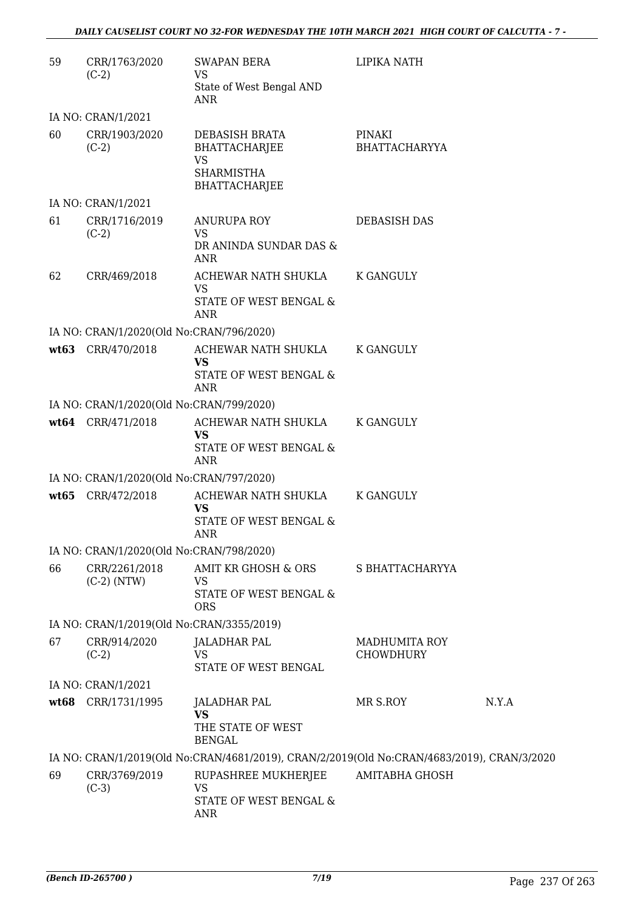| 59 | CRR/1763/2020<br>$(C-2)$                  | <b>SWAPAN BERA</b><br><b>VS</b>                                                            | LIPIKA NATH                       |       |
|----|-------------------------------------------|--------------------------------------------------------------------------------------------|-----------------------------------|-------|
|    |                                           | State of West Bengal AND<br>ANR                                                            |                                   |       |
|    | IA NO: CRAN/1/2021                        |                                                                                            |                                   |       |
| 60 | CRR/1903/2020<br>$(C-2)$                  | DEBASISH BRATA<br><b>BHATTACHARJEE</b><br><b>VS</b><br><b>SHARMISTHA</b><br>BHATTACHARJEE  | PINAKI<br><b>BHATTACHARYYA</b>    |       |
|    | IA NO: CRAN/1/2021                        |                                                                                            |                                   |       |
| 61 | CRR/1716/2019<br>$(C-2)$                  | <b>ANURUPA ROY</b><br><b>VS</b><br>DR ANINDA SUNDAR DAS &<br>ANR                           | <b>DEBASISH DAS</b>               |       |
| 62 | CRR/469/2018                              | ACHEWAR NATH SHUKLA<br>VS<br>STATE OF WEST BENGAL &<br><b>ANR</b>                          | <b>K GANGULY</b>                  |       |
|    | IA NO: CRAN/1/2020(Old No:CRAN/796/2020)  |                                                                                            |                                   |       |
|    | wt63 CRR/470/2018                         | ACHEWAR NATH SHUKLA<br>VS.<br>STATE OF WEST BENGAL &<br><b>ANR</b>                         | <b>K GANGULY</b>                  |       |
|    | IA NO: CRAN/1/2020(Old No:CRAN/799/2020)  |                                                                                            |                                   |       |
|    | wt64 CRR/471/2018                         | ACHEWAR NATH SHUKLA<br><b>VS</b><br>STATE OF WEST BENGAL &<br>ANR                          | K GANGULY                         |       |
|    | IA NO: CRAN/1/2020(Old No:CRAN/797/2020)  |                                                                                            |                                   |       |
|    | wt65 CRR/472/2018                         | ACHEWAR NATH SHUKLA<br><b>VS</b><br>STATE OF WEST BENGAL &<br>ANR                          | <b>K GANGULY</b>                  |       |
|    | IA NO: CRAN/1/2020(Old No:CRAN/798/2020)  |                                                                                            |                                   |       |
| 66 | CRR/2261/2018<br>$(C-2)$ (NTW)            | <b>AMIT KR GHOSH &amp; ORS</b><br>VS<br>STATE OF WEST BENGAL &<br><b>ORS</b>               | S BHATTACHARYYA                   |       |
|    | IA NO: CRAN/1/2019(Old No:CRAN/3355/2019) |                                                                                            |                                   |       |
| 67 | CRR/914/2020<br>$(C-2)$                   | <b>JALADHAR PAL</b><br><b>VS</b><br>STATE OF WEST BENGAL                                   | <b>MADHUMITA ROY</b><br>CHOWDHURY |       |
|    | IA NO: CRAN/1/2021                        |                                                                                            |                                   |       |
|    | wt68 CRR/1731/1995                        | <b>JALADHAR PAL</b><br><b>VS</b><br>THE STATE OF WEST<br><b>BENGAL</b>                     | MR S.ROY                          | N.Y.A |
|    |                                           | IA NO: CRAN/1/2019(Old No:CRAN/4681/2019), CRAN/2/2019(Old No:CRAN/4683/2019), CRAN/3/2020 |                                   |       |
| 69 | CRR/3769/2019<br>$(C-3)$                  | RUPASHREE MUKHERJEE<br><b>VS</b><br>STATE OF WEST BENGAL &<br><b>ANR</b>                   | <b>AMITABHA GHOSH</b>             |       |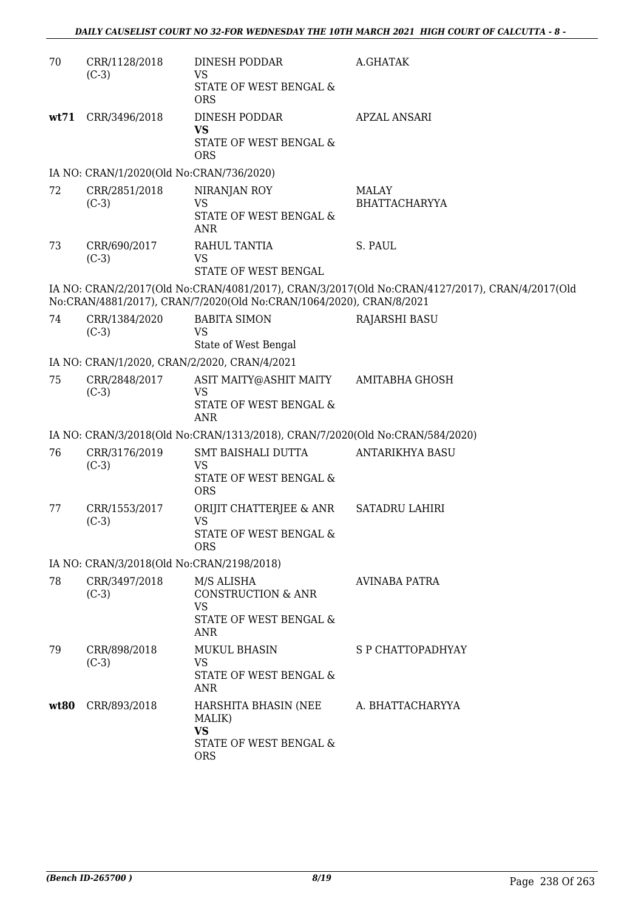| 70   | CRR/1128/2018<br>$(C-3)$                     | <b>DINESH PODDAR</b><br><b>VS</b><br>STATE OF WEST BENGAL &<br><b>ORS</b>                        | A.GHATAK                                                                                       |
|------|----------------------------------------------|--------------------------------------------------------------------------------------------------|------------------------------------------------------------------------------------------------|
| wt71 | CRR/3496/2018                                | DINESH PODDAR<br><b>VS</b><br>STATE OF WEST BENGAL &<br><b>ORS</b>                               | <b>APZAL ANSARI</b>                                                                            |
|      | IA NO: CRAN/1/2020(Old No:CRAN/736/2020)     |                                                                                                  |                                                                                                |
| 72   | CRR/2851/2018<br>$(C-3)$                     | NIRANJAN ROY<br><b>VS</b><br>STATE OF WEST BENGAL &<br><b>ANR</b>                                | <b>MALAY</b><br><b>BHATTACHARYYA</b>                                                           |
| 73   | CRR/690/2017<br>$(C-3)$                      | RAHUL TANTIA<br><b>VS</b><br>STATE OF WEST BENGAL                                                | S. PAUL                                                                                        |
|      |                                              | No:CRAN/4881/2017), CRAN/7/2020(Old No:CRAN/1064/2020), CRAN/8/2021                              | IA NO: CRAN/2/2017(Old No:CRAN/4081/2017), CRAN/3/2017(Old No:CRAN/4127/2017), CRAN/4/2017(Old |
| 74   | CRR/1384/2020<br>$(C-3)$                     | <b>BABITA SIMON</b><br><b>VS</b><br>State of West Bengal                                         | <b>RAJARSHI BASU</b>                                                                           |
|      | IA NO: CRAN/1/2020, CRAN/2/2020, CRAN/4/2021 |                                                                                                  |                                                                                                |
| 75   | CRR/2848/2017<br>$(C-3)$                     | ASIT MAITY@ASHIT MAITY<br><b>VS</b><br>STATE OF WEST BENGAL &<br><b>ANR</b>                      | AMITABHA GHOSH                                                                                 |
|      |                                              | IA NO: CRAN/3/2018(Old No:CRAN/1313/2018), CRAN/7/2020(Old No:CRAN/584/2020)                     |                                                                                                |
| 76   | CRR/3176/2019<br>$(C-3)$                     | SMT BAISHALI DUTTA<br><b>VS</b><br>STATE OF WEST BENGAL &<br><b>ORS</b>                          | ANTARIKHYA BASU                                                                                |
| 77   | CRR/1553/2017<br>$(C-3)$                     | ORIJIT CHATTERJEE & ANR<br><b>VS</b><br>STATE OF WEST BENGAL &<br><b>ORS</b>                     | <b>SATADRU LAHIRI</b>                                                                          |
|      | IA NO: CRAN/3/2018(Old No:CRAN/2198/2018)    |                                                                                                  |                                                                                                |
| 78   | CRR/3497/2018<br>$(C-3)$                     | M/S ALISHA<br><b>CONSTRUCTION &amp; ANR</b><br><b>VS</b><br>STATE OF WEST BENGAL &<br><b>ANR</b> | AVINABA PATRA                                                                                  |
| 79   | CRR/898/2018<br>$(C-3)$                      | <b>MUKUL BHASIN</b><br><b>VS</b><br>STATE OF WEST BENGAL &<br>ANR                                | S P CHATTOPADHYAY                                                                              |
| wt80 | CRR/893/2018                                 | HARSHITA BHASIN (NEE<br>MALIK)<br><b>VS</b><br>STATE OF WEST BENGAL &<br><b>ORS</b>              | A. BHATTACHARYYA                                                                               |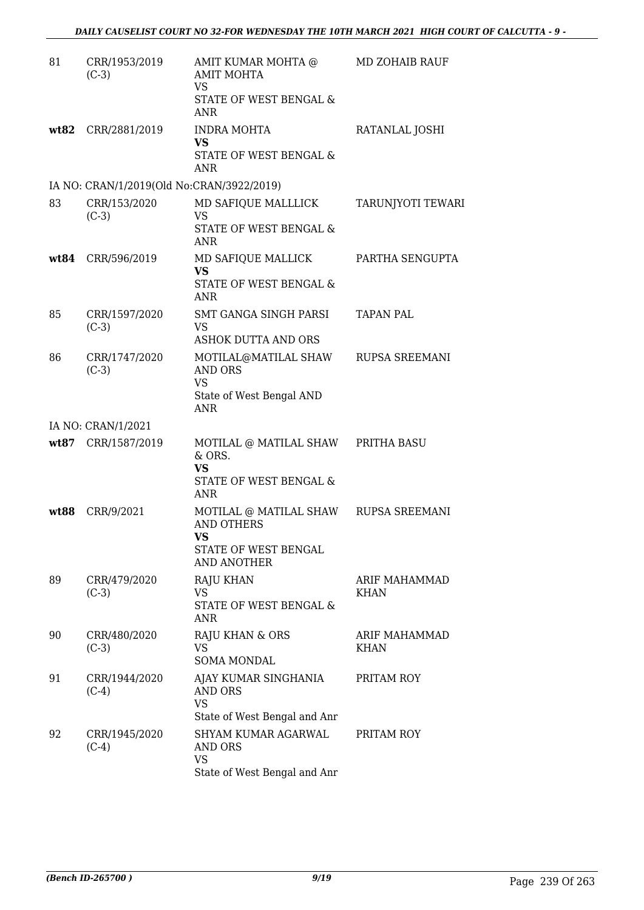| 81   | CRR/1953/2019<br>$(C-3)$                  | AMIT KUMAR MOHTA @<br><b>AMIT MOHTA</b><br><b>VS</b><br>STATE OF WEST BENGAL &<br><b>ANR</b>             | <b>MD ZOHAIB RAUF</b>        |
|------|-------------------------------------------|----------------------------------------------------------------------------------------------------------|------------------------------|
|      | wt82 CRR/2881/2019                        | <b>INDRA MOHTA</b><br><b>VS</b><br>STATE OF WEST BENGAL &<br>ANR                                         | RATANLAL JOSHI               |
|      | IA NO: CRAN/1/2019(Old No:CRAN/3922/2019) |                                                                                                          |                              |
| 83   | CRR/153/2020<br>$(C-3)$                   | MD SAFIQUE MALLLICK<br><b>VS</b><br>STATE OF WEST BENGAL &<br><b>ANR</b>                                 | <b>TARUNJYOTI TEWARI</b>     |
| wt84 | CRR/596/2019                              | MD SAFIQUE MALLICK<br><b>VS</b><br><b>STATE OF WEST BENGAL &amp;</b><br>ANR                              | PARTHA SENGUPTA              |
| 85   | CRR/1597/2020<br>$(C-3)$                  | SMT GANGA SINGH PARSI<br><b>VS</b><br><b>ASHOK DUTTA AND ORS</b>                                         | <b>TAPAN PAL</b>             |
| 86   | CRR/1747/2020<br>$(C-3)$                  | MOTILAL@MATILAL SHAW<br><b>AND ORS</b><br>VS<br>State of West Bengal AND<br><b>ANR</b>                   | RUPSA SREEMANI               |
|      | IA NO: CRAN/1/2021                        |                                                                                                          |                              |
| wt87 | CRR/1587/2019                             | MOTILAL @ MATILAL SHAW<br>& ORS.<br><b>VS</b><br>STATE OF WEST BENGAL &<br><b>ANR</b>                    | PRITHA BASU                  |
| wt88 | CRR/9/2021                                | MOTILAL @ MATILAL SHAW RUPSA SREEMANI<br><b>AND OTHERS</b><br>VS.<br>STATE OF WEST BENGAL<br>AND ANOTHER |                              |
| 89   | CRR/479/2020<br>$(C-3)$                   | RAJU KHAN<br>VS<br>STATE OF WEST BENGAL &<br>ANR                                                         | ARIF MAHAMMAD<br><b>KHAN</b> |
| 90   | CRR/480/2020<br>$(C-3)$                   | RAJU KHAN & ORS<br>VS<br><b>SOMA MONDAL</b>                                                              | ARIF MAHAMMAD<br><b>KHAN</b> |
| 91   | CRR/1944/2020<br>$(C-4)$                  | AJAY KUMAR SINGHANIA<br>AND ORS<br><b>VS</b><br>State of West Bengal and Anr                             | PRITAM ROY                   |
| 92   | CRR/1945/2020<br>$(C-4)$                  | SHYAM KUMAR AGARWAL<br><b>AND ORS</b><br>VS<br>State of West Bengal and Anr                              | PRITAM ROY                   |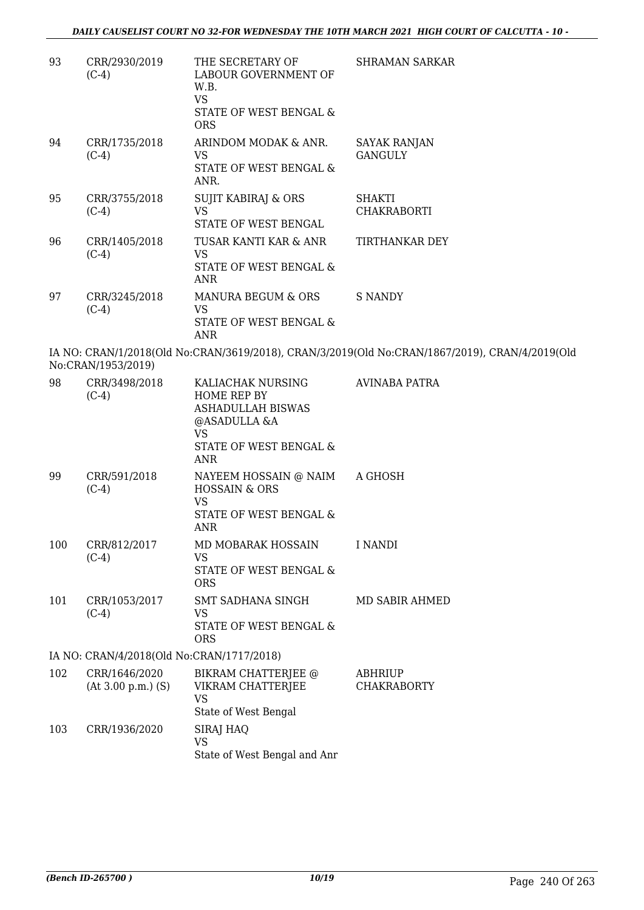| 93  | CRR/2930/2019<br>$(C-4)$                  | THE SECRETARY OF<br>LABOUR GOVERNMENT OF<br>W.B.<br><b>VS</b><br>STATE OF WEST BENGAL &<br><b>ORS</b>                             | <b>SHRAMAN SARKAR</b>                                                                          |
|-----|-------------------------------------------|-----------------------------------------------------------------------------------------------------------------------------------|------------------------------------------------------------------------------------------------|
| 94  | CRR/1735/2018<br>$(C-4)$                  | ARINDOM MODAK & ANR.<br>VS.<br><b>STATE OF WEST BENGAL &amp;</b><br>ANR.                                                          | SAYAK RANJAN<br><b>GANGULY</b>                                                                 |
| 95  | CRR/3755/2018<br>$(C-4)$                  | <b>SUJIT KABIRAJ &amp; ORS</b><br><b>VS</b><br>STATE OF WEST BENGAL                                                               | <b>SHAKTI</b><br><b>CHAKRABORTI</b>                                                            |
| 96  | CRR/1405/2018<br>$(C-4)$                  | TUSAR KANTI KAR & ANR<br><b>VS</b><br>STATE OF WEST BENGAL &<br><b>ANR</b>                                                        | TIRTHANKAR DEY                                                                                 |
| 97  | CRR/3245/2018<br>$(C-4)$                  | MANURA BEGUM & ORS<br>VS<br>STATE OF WEST BENGAL &<br><b>ANR</b>                                                                  | <b>S NANDY</b>                                                                                 |
|     | No:CRAN/1953/2019)                        |                                                                                                                                   | IA NO: CRAN/1/2018(Old No:CRAN/3619/2018), CRAN/3/2019(Old No:CRAN/1867/2019), CRAN/4/2019(Old |
| 98  | CRR/3498/2018<br>$(C-4)$                  | KALIACHAK NURSING<br>HOME REP BY<br><b>ASHADULLAH BISWAS</b><br>@ASADULLA &A<br><b>VS</b><br>STATE OF WEST BENGAL &<br><b>ANR</b> | <b>AVINABA PATRA</b>                                                                           |
| 99  | CRR/591/2018<br>$(C-4)$                   | NAYEEM HOSSAIN @ NAIM<br><b>HOSSAIN &amp; ORS</b><br><b>VS</b><br>STATE OF WEST BENGAL &<br><b>ANR</b>                            | A GHOSH                                                                                        |
| 100 | CRR/812/2017<br>$(C-4)$                   | MD MOBARAK HOSSAIN<br>VS<br>STATE OF WEST BENGAL &<br><b>ORS</b>                                                                  | I NANDI                                                                                        |
| 101 | CRR/1053/2017<br>$(C-4)$                  | <b>SMT SADHANA SINGH</b><br>VS<br>STATE OF WEST BENGAL &<br><b>ORS</b>                                                            | MD SABIR AHMED                                                                                 |
|     | IA NO: CRAN/4/2018(Old No:CRAN/1717/2018) |                                                                                                                                   |                                                                                                |
| 102 | CRR/1646/2020<br>$(At 3.00 p.m.)$ $(S)$   | BIKRAM CHATTERJEE @<br>VIKRAM CHATTERJEE<br><b>VS</b><br>State of West Bengal                                                     | ABHRIUP<br><b>CHAKRABORTY</b>                                                                  |
| 103 | CRR/1936/2020                             | SIRAJ HAQ<br><b>VS</b><br>State of West Bengal and Anr                                                                            |                                                                                                |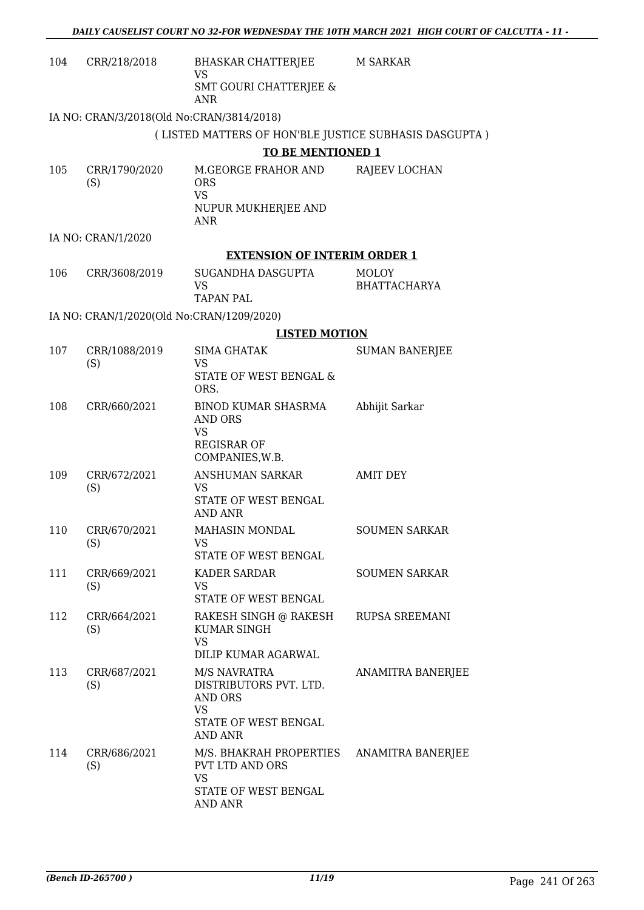| 104 | CRR/218/2018                              | BHASKAR CHATTERJEE<br><b>VS</b>                                                                          | <b>M SARKAR</b>              |
|-----|-------------------------------------------|----------------------------------------------------------------------------------------------------------|------------------------------|
|     |                                           | <b>SMT GOURI CHATTERJEE &amp;</b><br>ANR                                                                 |                              |
|     | IA NO: CRAN/3/2018(Old No:CRAN/3814/2018) |                                                                                                          |                              |
|     |                                           | (LISTED MATTERS OF HON'BLE JUSTICE SUBHASIS DASGUPTA)                                                    |                              |
|     |                                           | <b>TO BE MENTIONED 1</b>                                                                                 |                              |
| 105 | CRR/1790/2020<br>(S)                      | M.GEORGE FRAHOR AND<br><b>ORS</b><br><b>VS</b>                                                           | RAJEEV LOCHAN                |
|     |                                           | NUPUR MUKHERJEE AND<br>ANR                                                                               |                              |
|     | IA NO: CRAN/1/2020                        |                                                                                                          |                              |
|     |                                           | <b>EXTENSION OF INTERIM ORDER 1</b>                                                                      |                              |
| 106 | CRR/3608/2019                             | SUGANDHA DASGUPTA<br><b>VS</b>                                                                           | MOLOY<br><b>BHATTACHARYA</b> |
|     |                                           | <b>TAPAN PAL</b>                                                                                         |                              |
|     | IA NO: CRAN/1/2020(Old No:CRAN/1209/2020) |                                                                                                          |                              |
|     |                                           | <b>LISTED MOTION</b>                                                                                     |                              |
| 107 | CRR/1088/2019<br>(S)                      | <b>SIMA GHATAK</b><br><b>VS</b><br>STATE OF WEST BENGAL &                                                | <b>SUMAN BANERJEE</b>        |
|     |                                           | ORS.                                                                                                     |                              |
| 108 | CRR/660/2021                              | BINOD KUMAR SHASRMA<br><b>AND ORS</b><br><b>VS</b><br><b>REGISRAR OF</b>                                 | Abhijit Sarkar               |
|     |                                           | COMPANIES, W.B.                                                                                          |                              |
| 109 | CRR/672/2021<br>(S)                       | ANSHUMAN SARKAR<br>VS.<br>STATE OF WEST BENGAL<br><b>AND ANR</b>                                         | <b>AMIT DEY</b>              |
| 110 | CRR/670/2021                              | MAHASIN MONDAL                                                                                           | <b>SOUMEN SARKAR</b>         |
|     | (S)                                       | VS<br>STATE OF WEST BENGAL                                                                               |                              |
| 111 | CRR/669/2021<br>(S)                       | KADER SARDAR<br>VS.<br>STATE OF WEST BENGAL                                                              | <b>SOUMEN SARKAR</b>         |
| 112 | CRR/664/2021<br>(S)                       | RAKESH SINGH @ RAKESH<br>KUMAR SINGH<br><b>VS</b><br>DILIP KUMAR AGARWAL                                 | RUPSA SREEMANI               |
| 113 | CRR/687/2021<br>(S)                       | M/S NAVRATRA<br>DISTRIBUTORS PVT. LTD.<br>AND ORS<br><b>VS</b><br>STATE OF WEST BENGAL<br><b>AND ANR</b> | ANAMITRA BANERJEE            |
| 114 | CRR/686/2021<br>(S)                       | M/S. BHAKRAH PROPERTIES<br><b>PVT LTD AND ORS</b><br><b>VS</b><br>STATE OF WEST BENGAL<br>AND ANR        | ANAMITRA BANERJEE            |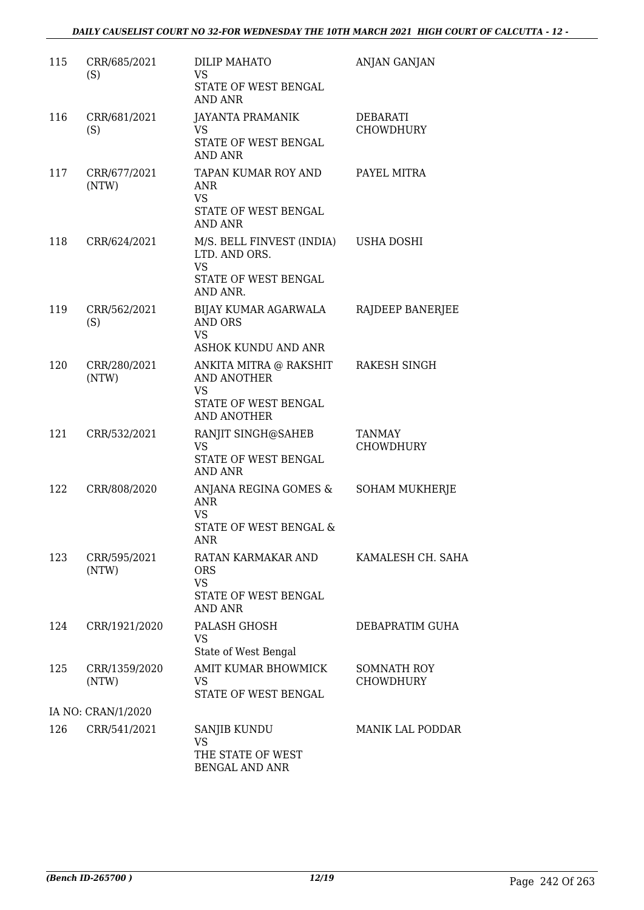| 115 | CRR/685/2021<br>(S)    | <b>DILIP MAHATO</b><br>VS.<br>STATE OF WEST BENGAL<br>AND ANR                                          | <b>ANJAN GANJAN</b>                    |
|-----|------------------------|--------------------------------------------------------------------------------------------------------|----------------------------------------|
| 116 | CRR/681/2021<br>(S)    | <b>JAYANTA PRAMANIK</b><br><b>VS</b><br>STATE OF WEST BENGAL<br>AND ANR                                | DEBARATI<br><b>CHOWDHURY</b>           |
| 117 | CRR/677/2021<br>(NTW)  | TAPAN KUMAR ROY AND<br>ANR<br><b>VS</b><br>STATE OF WEST BENGAL<br>AND ANR                             | PAYEL MITRA                            |
| 118 | CRR/624/2021           | M/S. BELL FINVEST (INDIA) USHA DOSHI<br>LTD. AND ORS.<br><b>VS</b><br>STATE OF WEST BENGAL<br>AND ANR. |                                        |
| 119 | CRR/562/2021<br>(S)    | BIJAY KUMAR AGARWALA<br><b>AND ORS</b><br>VS<br><b>ASHOK KUNDU AND ANR</b>                             | RAJDEEP BANERJEE                       |
| 120 | CRR/280/2021<br>(NTW)  | ANKITA MITRA @ RAKSHIT<br><b>AND ANOTHER</b><br><b>VS</b><br>STATE OF WEST BENGAL<br>AND ANOTHER       | RAKESH SINGH                           |
| 121 | CRR/532/2021           | RANJIT SINGH@SAHEB<br><b>VS</b><br>STATE OF WEST BENGAL<br>AND ANR                                     | TANMAY<br><b>CHOWDHURY</b>             |
| 122 | CRR/808/2020           | ANJANA REGINA GOMES &<br><b>ANR</b><br><b>VS</b><br><b>STATE OF WEST BENGAL &amp;</b><br><b>ANR</b>    | <b>SOHAM MUKHERJE</b>                  |
| 123 | CRR/595/2021<br>(NTW)  | RATAN KARMAKAR AND<br><b>ORS</b><br><b>VS</b><br>STATE OF WEST BENGAL<br><b>AND ANR</b>                | KAMALESH CH. SAHA                      |
| 124 | CRR/1921/2020          | PALASH GHOSH<br>VS.<br>State of West Bengal                                                            | DEBAPRATIM GUHA                        |
| 125 | CRR/1359/2020<br>(NTW) | AMIT KUMAR BHOWMICK<br><b>VS</b><br>STATE OF WEST BENGAL                                               | <b>SOMNATH ROY</b><br><b>CHOWDHURY</b> |
|     | IA NO: CRAN/1/2020     |                                                                                                        |                                        |
| 126 | CRR/541/2021           | <b>SANJIB KUNDU</b><br>VS<br>THE STATE OF WEST<br><b>BENGAL AND ANR</b>                                | <b>MANIK LAL PODDAR</b>                |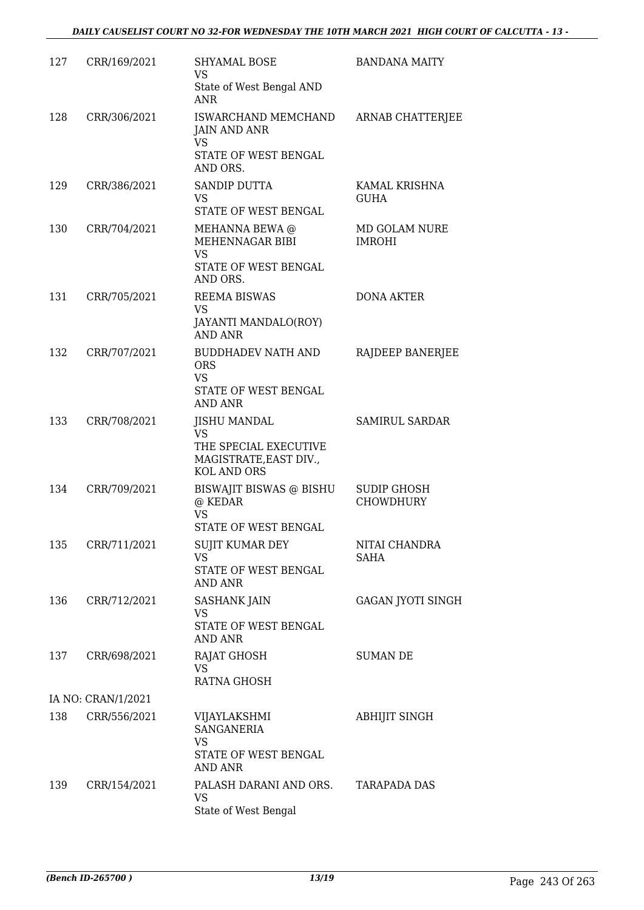| 127 | CRR/169/2021       | <b>SHYAMAL BOSE</b><br><b>VS</b>                                                                          | <b>BANDANA MAITY</b>            |
|-----|--------------------|-----------------------------------------------------------------------------------------------------------|---------------------------------|
|     |                    | State of West Bengal AND<br><b>ANR</b>                                                                    |                                 |
| 128 | CRR/306/2021       | ISWARCHAND MEMCHAND<br><b>JAIN AND ANR</b><br>VS                                                          | ARNAB CHATTERJEE                |
|     |                    | STATE OF WEST BENGAL<br>AND ORS.                                                                          |                                 |
| 129 | CRR/386/2021       | <b>SANDIP DUTTA</b><br>VS<br>STATE OF WEST BENGAL                                                         | KAMAL KRISHNA<br><b>GUHA</b>    |
| 130 | CRR/704/2021       | MEHANNA BEWA @<br>MEHENNAGAR BIBI<br><b>VS</b>                                                            | MD GOLAM NURE<br><b>IMROHI</b>  |
|     |                    | STATE OF WEST BENGAL<br>AND ORS.                                                                          |                                 |
| 131 | CRR/705/2021       | <b>REEMA BISWAS</b><br>VS<br>JAYANTI MANDALO(ROY)                                                         | <b>DONA AKTER</b>               |
|     |                    | <b>AND ANR</b>                                                                                            |                                 |
| 132 | CRR/707/2021       | <b>BUDDHADEV NATH AND</b><br><b>ORS</b><br>VS                                                             | RAJDEEP BANERJEE                |
|     |                    | STATE OF WEST BENGAL<br><b>AND ANR</b>                                                                    |                                 |
| 133 | CRR/708/2021       | <b>JISHU MANDAL</b><br><b>VS</b><br>THE SPECIAL EXECUTIVE<br>MAGISTRATE, EAST DIV.,<br><b>KOL AND ORS</b> | <b>SAMIRUL SARDAR</b>           |
| 134 | CRR/709/2021       | BISWAJIT BISWAS @ BISHU<br>@ KEDAR<br><b>VS</b><br>STATE OF WEST BENGAL                                   | <b>SUDIP GHOSH</b><br>CHOWDHURY |
| 135 | CRR/711/2021       | SUJIT KUMAR DEY                                                                                           | NITAI CHANDRA                   |
|     |                    | <b>VS</b><br>STATE OF WEST BENGAL<br><b>AND ANR</b>                                                       | <b>SAHA</b>                     |
| 136 | CRR/712/2021       | <b>SASHANK JAIN</b><br>VS<br>STATE OF WEST BENGAL<br><b>AND ANR</b>                                       | GAGAN JYOTI SINGH               |
| 137 | CRR/698/2021       | RAJAT GHOSH<br><b>VS</b>                                                                                  | <b>SUMAN DE</b>                 |
|     | IA NO: CRAN/1/2021 | RATNA GHOSH                                                                                               |                                 |
| 138 | CRR/556/2021       | VIJAYLAKSHMI                                                                                              | <b>ABHIJIT SINGH</b>            |
|     |                    | <b>SANGANERIA</b><br>VS<br>STATE OF WEST BENGAL<br>AND ANR                                                |                                 |
| 139 | CRR/154/2021       | PALASH DARANI AND ORS.<br>VS<br>State of West Bengal                                                      | <b>TARAPADA DAS</b>             |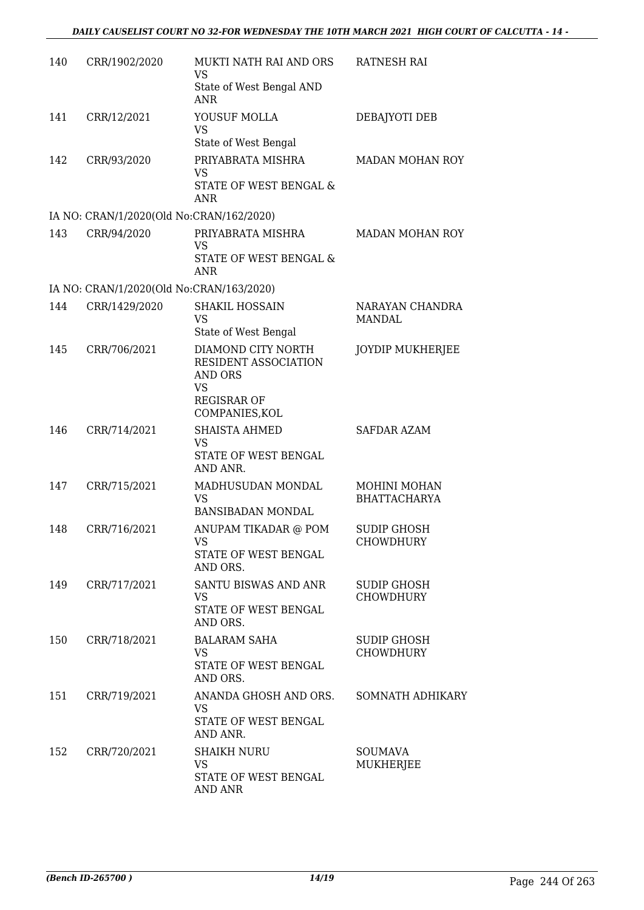| 140 | CRR/1902/2020                            | MUKTI NATH RAI AND ORS<br>VS<br>State of West Bengal AND<br>ANR                                            | <b>RATNESH RAI</b>                         |
|-----|------------------------------------------|------------------------------------------------------------------------------------------------------------|--------------------------------------------|
| 141 | CRR/12/2021                              | YOUSUF MOLLA<br>VS<br>State of West Bengal                                                                 | DEBAJYOTI DEB                              |
| 142 | CRR/93/2020                              | PRIYABRATA MISHRA<br><b>VS</b><br>STATE OF WEST BENGAL &                                                   | <b>MADAN MOHAN ROY</b>                     |
|     |                                          | ANR                                                                                                        |                                            |
| 143 | IA NO: CRAN/1/2020(Old No:CRAN/162/2020) | PRIYABRATA MISHRA                                                                                          | MADAN MOHAN ROY                            |
|     | CRR/94/2020                              | VS<br>STATE OF WEST BENGAL &<br>ANR                                                                        |                                            |
|     | IA NO: CRAN/1/2020(Old No:CRAN/163/2020) |                                                                                                            |                                            |
| 144 | CRR/1429/2020                            | <b>SHAKIL HOSSAIN</b><br><b>VS</b><br>State of West Bengal                                                 | NARAYAN CHANDRA<br>MANDAL                  |
| 145 | CRR/706/2021                             | DIAMOND CITY NORTH<br>RESIDENT ASSOCIATION<br>AND ORS<br><b>VS</b><br><b>REGISRAR OF</b><br>COMPANIES, KOL | <b>JOYDIP MUKHERJEE</b>                    |
| 146 | CRR/714/2021                             | <b>SHAISTA AHMED</b><br>VS<br>STATE OF WEST BENGAL<br>AND ANR.                                             | <b>SAFDAR AZAM</b>                         |
| 147 | CRR/715/2021                             | MADHUSUDAN MONDAL<br><b>VS</b><br><b>BANSIBADAN MONDAL</b>                                                 | <b>MOHINI MOHAN</b><br><b>BHATTACHARYA</b> |
| 148 | CRR/716/2021                             | ANUPAM TIKADAR @ POM<br><b>VS</b><br>STATE OF WEST BENGAL<br>AND ORS.                                      | <b>SUDIP GHOSH</b><br><b>CHOWDHURY</b>     |
| 149 | CRR/717/2021                             | SANTU BISWAS AND ANR<br><b>VS</b><br>STATE OF WEST BENGAL<br>AND ORS.                                      | SUDIP GHOSH<br><b>CHOWDHURY</b>            |
| 150 | CRR/718/2021                             | <b>BALARAM SAHA</b><br>VS<br>STATE OF WEST BENGAL<br>AND ORS.                                              | <b>SUDIP GHOSH</b><br><b>CHOWDHURY</b>     |
| 151 | CRR/719/2021                             | ANANDA GHOSH AND ORS.<br>VS<br>STATE OF WEST BENGAL<br>AND ANR.                                            | SOMNATH ADHIKARY                           |
| 152 | CRR/720/2021                             | <b>SHAIKH NURU</b><br><b>VS</b><br>STATE OF WEST BENGAL<br><b>AND ANR</b>                                  | <b>SOUMAVA</b><br>MUKHERJEE                |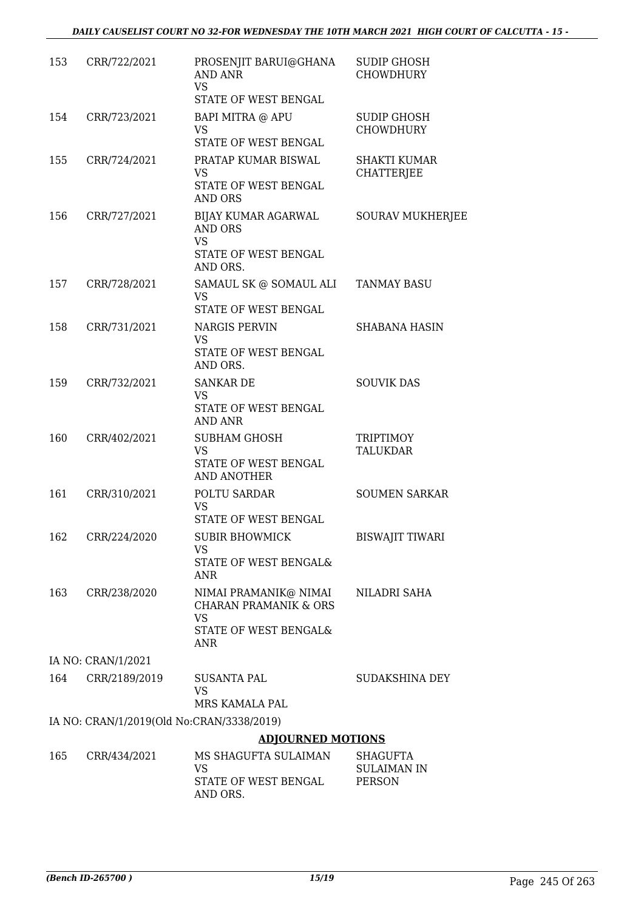| 153 | CRR/722/2021                              | PROSENJIT BARUI@GHANA<br>AND ANR<br><b>VS</b><br>STATE OF WEST BENGAL                                         | <b>SUDIP GHOSH</b><br><b>CHOWDHURY</b>          |
|-----|-------------------------------------------|---------------------------------------------------------------------------------------------------------------|-------------------------------------------------|
| 154 | CRR/723/2021                              | BAPI MITRA @ APU                                                                                              | <b>SUDIP GHOSH</b>                              |
|     |                                           | <b>VS</b><br>STATE OF WEST BENGAL                                                                             | <b>CHOWDHURY</b>                                |
| 155 | CRR/724/2021                              | PRATAP KUMAR BISWAL<br><b>VS</b>                                                                              | <b>SHAKTI KUMAR</b><br>CHATTERJEE               |
|     |                                           | STATE OF WEST BENGAL<br><b>AND ORS</b>                                                                        |                                                 |
| 156 | CRR/727/2021                              | BIJAY KUMAR AGARWAL<br>AND ORS<br><b>VS</b><br>STATE OF WEST BENGAL<br>AND ORS.                               | <b>SOURAV MUKHERJEE</b>                         |
| 157 | CRR/728/2021                              | SAMAUL SK @ SOMAUL ALI<br><b>VS</b><br>STATE OF WEST BENGAL                                                   | <b>TANMAY BASU</b>                              |
|     |                                           |                                                                                                               |                                                 |
| 158 | CRR/731/2021                              | <b>NARGIS PERVIN</b><br><b>VS</b><br>STATE OF WEST BENGAL<br>AND ORS.                                         | <b>SHABANA HASIN</b>                            |
| 159 | CRR/732/2021                              | <b>SANKAR DE</b><br><b>VS</b><br>STATE OF WEST BENGAL<br><b>AND ANR</b>                                       | <b>SOUVIK DAS</b>                               |
| 160 | CRR/402/2021                              | <b>SUBHAM GHOSH</b><br><b>VS</b><br>STATE OF WEST BENGAL<br><b>AND ANOTHER</b>                                | <b>TRIPTIMOY</b><br><b>TALUKDAR</b>             |
| 161 | CRR/310/2021                              | POLTU SARDAR<br><b>VS</b><br>STATE OF WEST BENGAL                                                             | <b>SOUMEN SARKAR</b>                            |
|     | 162 CRR/224/2020                          | <b>SUBIR BHOWMICK</b><br>VS<br>STATE OF WEST BENGAL&                                                          | <b>BISWAJIT TIWARI</b>                          |
| 163 | CRR/238/2020                              | ANR<br>NIMAI PRAMANIK@ NIMAI<br><b>CHARAN PRAMANIK &amp; ORS</b><br><b>VS</b><br>STATE OF WEST BENGAL&<br>ANR | NILADRI SAHA                                    |
|     | IA NO: CRAN/1/2021                        |                                                                                                               |                                                 |
| 164 | CRR/2189/2019                             | SUSANTA PAL<br><b>VS</b>                                                                                      | SUDAKSHINA DEY                                  |
|     |                                           | MRS KAMALA PAL                                                                                                |                                                 |
|     | IA NO: CRAN/1/2019(Old No:CRAN/3338/2019) |                                                                                                               |                                                 |
|     |                                           | <b>ADJOURNED MOTIONS</b>                                                                                      |                                                 |
| 165 | CRR/434/2021                              | MS SHAGUFTA SULAIMAN<br>VS<br>STATE OF WEST BENGAL<br>AND ORS.                                                | SHAGUFTA<br><b>SULAIMAN IN</b><br><b>PERSON</b> |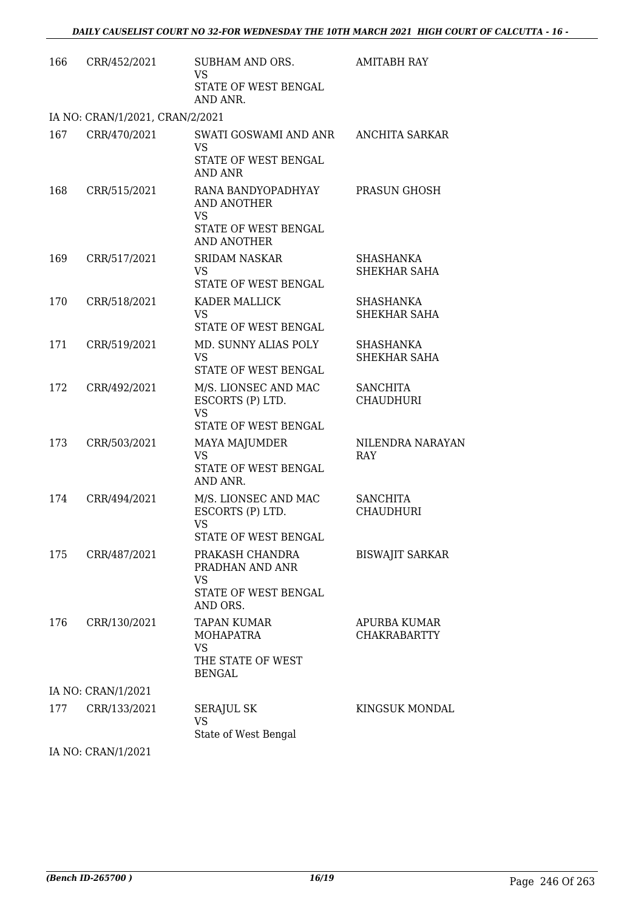| 166 | CRR/452/2021                    | SUBHAM AND ORS.<br><b>VS</b><br>STATE OF WEST BENGAL<br>AND ANR.                            | <b>AMITABH RAY</b>                      |
|-----|---------------------------------|---------------------------------------------------------------------------------------------|-----------------------------------------|
|     | IA NO: CRAN/1/2021, CRAN/2/2021 |                                                                                             |                                         |
| 167 | CRR/470/2021                    | SWATI GOSWAMI AND ANR ANCHITA SARKAR<br><b>VS</b><br>STATE OF WEST BENGAL<br><b>AND ANR</b> |                                         |
| 168 | CRR/515/2021                    | RANA BANDYOPADHYAY<br>AND ANOTHER<br><b>VS</b><br>STATE OF WEST BENGAL<br>AND ANOTHER       | PRASUN GHOSH                            |
| 169 | CRR/517/2021                    | <b>SRIDAM NASKAR</b><br><b>VS</b><br>STATE OF WEST BENGAL                                   | <b>SHASHANKA</b><br>SHEKHAR SAHA        |
| 170 | CRR/518/2021                    | KADER MALLICK<br><b>VS</b><br>STATE OF WEST BENGAL                                          | <b>SHASHANKA</b><br><b>SHEKHAR SAHA</b> |
| 171 | CRR/519/2021                    | MD. SUNNY ALIAS POLY<br>VS<br>STATE OF WEST BENGAL                                          | SHASHANKA<br>SHEKHAR SAHA               |
| 172 | CRR/492/2021                    | M/S. LIONSEC AND MAC<br>ESCORTS (P) LTD.<br><b>VS</b><br>STATE OF WEST BENGAL               | <b>SANCHITA</b><br><b>CHAUDHURI</b>     |
| 173 | CRR/503/2021                    | <b>MAYA MAJUMDER</b><br><b>VS</b><br>STATE OF WEST BENGAL<br>AND ANR.                       | NILENDRA NARAYAN<br>RAY                 |
| 174 | CRR/494/2021                    | M/S. LIONSEC AND MAC<br>ESCORTS (P) LTD.<br>VS<br>STATE OF WEST BENGAL                      | <b>SANCHITA</b><br><b>CHAUDHURI</b>     |
| 175 | CRR/487/2021                    | PRAKASH CHANDRA<br>PRADHAN AND ANR<br><b>VS</b><br>STATE OF WEST BENGAL<br>AND ORS.         | <b>BISWAJIT SARKAR</b>                  |
| 176 | CRR/130/2021                    | TAPAN KUMAR<br>MOHAPATRA<br><b>VS</b><br>THE STATE OF WEST<br><b>BENGAL</b>                 | APURBA KUMAR<br><b>CHAKRABARTTY</b>     |
|     | IA NO: CRAN/1/2021              |                                                                                             |                                         |
| 177 | CRR/133/2021                    | <b>SERAJUL SK</b><br><b>VS</b><br>State of West Bengal                                      | <b>KINGSUK MONDAL</b>                   |

IA NO: CRAN/1/2021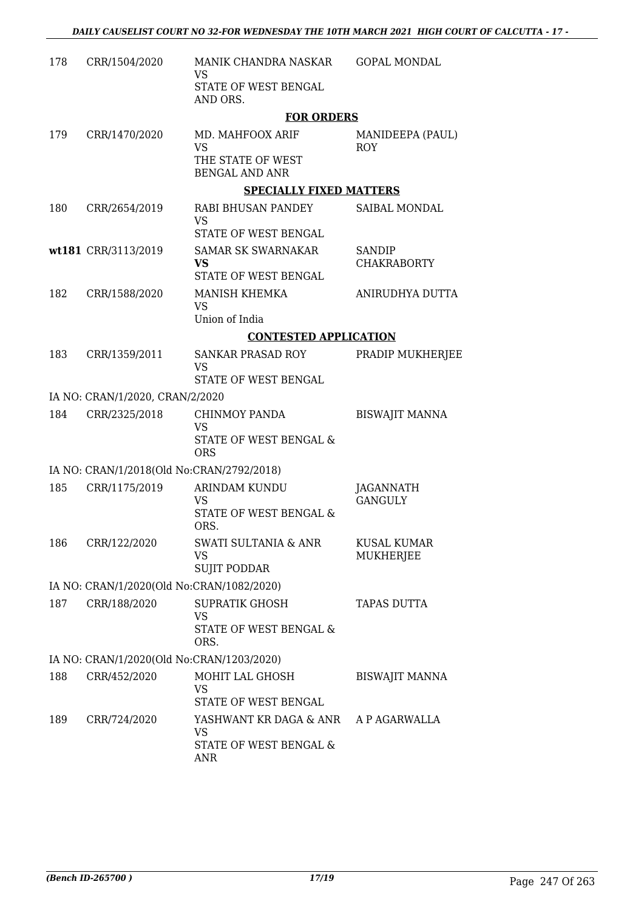| 178 | CRR/1504/2020                             | MANIK CHANDRA NASKAR<br>VS                                     | <b>GOPAL MONDAL</b>                    |
|-----|-------------------------------------------|----------------------------------------------------------------|----------------------------------------|
|     |                                           | STATE OF WEST BENGAL<br>AND ORS.                               |                                        |
|     |                                           | <b>FOR ORDERS</b>                                              |                                        |
| 179 | CRR/1470/2020                             | MD. MAHFOOX ARIF<br><b>VS</b>                                  | MANIDEEPA (PAUL)<br><b>ROY</b>         |
|     |                                           | THE STATE OF WEST<br><b>BENGAL AND ANR</b>                     |                                        |
|     |                                           | <b>SPECIALLY FIXED MATTERS</b>                                 |                                        |
| 180 | CRR/2654/2019                             | RABI BHUSAN PANDEY<br>VS                                       | SAIBAL MONDAL                          |
|     |                                           | STATE OF WEST BENGAL                                           |                                        |
|     | wt181 CRR/3113/2019                       | <b>SAMAR SK SWARNAKAR</b><br><b>VS</b><br>STATE OF WEST BENGAL | SANDIP<br><b>CHAKRABORTY</b>           |
| 182 | CRR/1588/2020                             | MANISH KHEMKA                                                  | ANIRUDHYA DUTTA                        |
|     |                                           | <b>VS</b><br>Union of India                                    |                                        |
|     |                                           | <b>CONTESTED APPLICATION</b>                                   |                                        |
| 183 | CRR/1359/2011                             | SANKAR PRASAD ROY                                              | PRADIP MUKHERJEE                       |
|     |                                           | <b>VS</b><br>STATE OF WEST BENGAL                              |                                        |
|     | IA NO: CRAN/1/2020, CRAN/2/2020           |                                                                |                                        |
| 184 | CRR/2325/2018                             | CHINMOY PANDA<br>VS                                            | <b>BISWAJIT MANNA</b>                  |
|     |                                           | STATE OF WEST BENGAL &<br><b>ORS</b>                           |                                        |
|     | IA NO: CRAN/1/2018(Old No:CRAN/2792/2018) |                                                                |                                        |
| 185 | CRR/1175/2019                             | <b>ARINDAM KUNDU</b>                                           | JAGANNATH                              |
|     |                                           | VS<br>STATE OF WEST BENGAL &<br>ORS.                           | <b>GANGULY</b>                         |
| 186 | CRR/122/2020                              | <b>SWATI SULTANIA &amp; ANR</b><br>VS                          | <b>KUSAL KUMAR</b><br><b>MUKHERJEE</b> |
|     |                                           | <b>SUJIT PODDAR</b>                                            |                                        |
|     | IA NO: CRAN/1/2020(Old No:CRAN/1082/2020) |                                                                |                                        |
| 187 | CRR/188/2020                              | <b>SUPRATIK GHOSH</b><br>VS                                    | <b>TAPAS DUTTA</b>                     |
|     |                                           | STATE OF WEST BENGAL &<br>ORS.                                 |                                        |
|     | IA NO: CRAN/1/2020(Old No:CRAN/1203/2020) |                                                                |                                        |
| 188 | CRR/452/2020                              | MOHIT LAL GHOSH<br>VS                                          | <b>BISWAJIT MANNA</b>                  |
|     |                                           | STATE OF WEST BENGAL                                           |                                        |
| 189 | CRR/724/2020                              | YASHWANT KR DAGA & ANR<br>VS                                   | A P AGARWALLA                          |
|     |                                           | STATE OF WEST BENGAL &<br>ANR                                  |                                        |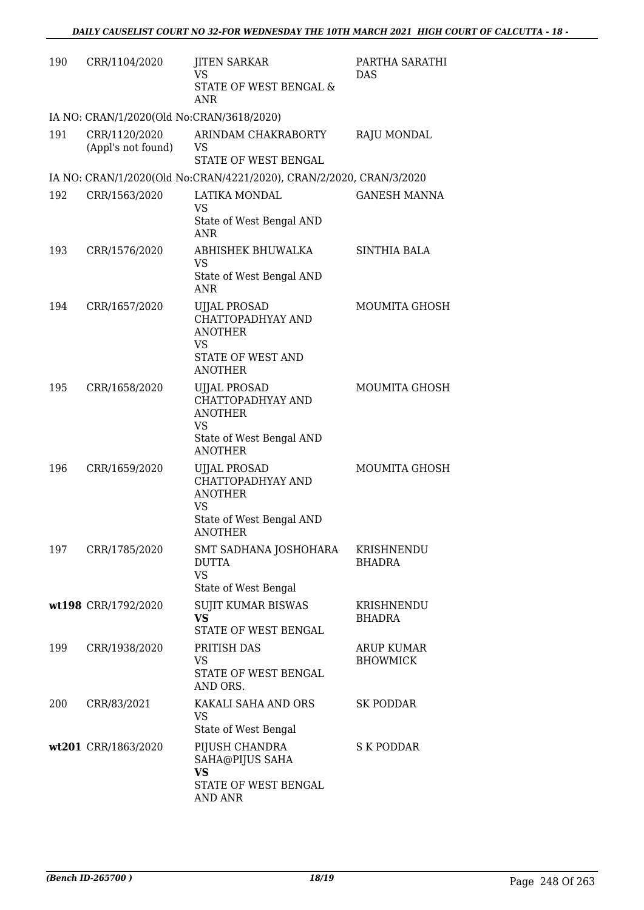| 190 | CRR/1104/2020                             | <b>JITEN SARKAR</b><br><b>VS</b><br>STATE OF WEST BENGAL &<br><b>ANR</b>                     | PARTHA SARATHI<br>DAS         |
|-----|-------------------------------------------|----------------------------------------------------------------------------------------------|-------------------------------|
|     | IA NO: CRAN/1/2020(Old No:CRAN/3618/2020) |                                                                                              |                               |
| 191 | CRR/1120/2020<br>(Appl's not found)       | ARINDAM CHAKRABORTY<br>VS<br>STATE OF WEST BENGAL                                            | RAJU MONDAL                   |
|     |                                           | IA NO: CRAN/1/2020(Old No:CRAN/4221/2020), CRAN/2/2020, CRAN/3/2020                          |                               |
| 192 | CRR/1563/2020                             | LATIKA MONDAL<br><b>VS</b><br>State of West Bengal AND                                       | <b>GANESH MANNA</b>           |
| 193 | CRR/1576/2020                             | <b>ANR</b><br>ABHISHEK BHUWALKA<br><b>VS</b><br>State of West Bengal AND<br><b>ANR</b>       | SINTHIA BALA                  |
| 194 | CRR/1657/2020                             | <b>UJJAL PROSAD</b><br>CHATTOPADHYAY AND<br><b>ANOTHER</b><br>VS                             | MOUMITA GHOSH                 |
|     |                                           | STATE OF WEST AND<br><b>ANOTHER</b>                                                          |                               |
| 195 | CRR/1658/2020                             | <b>UJJAL PROSAD</b><br>CHATTOPADHYAY AND<br><b>ANOTHER</b><br>VS<br>State of West Bengal AND | MOUMITA GHOSH                 |
| 196 | CRR/1659/2020                             | <b>ANOTHER</b><br><b>UJJAL PROSAD</b><br>CHATTOPADHYAY AND<br><b>ANOTHER</b><br>VS           | <b>MOUMITA GHOSH</b>          |
| 197 | CRR/1785/2020                             | State of West Bengal AND<br>ANOTHER<br>SMT SADHANA JOSHOHARA<br><b>DUTTA</b><br><b>VS</b>    | KRISHNENDU<br><b>BHADRA</b>   |
|     |                                           | State of West Bengal                                                                         |                               |
|     | wt198 CRR/1792/2020                       | <b>SUJIT KUMAR BISWAS</b><br><b>VS</b><br>STATE OF WEST BENGAL                               | KRISHNENDU<br><b>BHADRA</b>   |
| 199 | CRR/1938/2020                             | PRITISH DAS<br><b>VS</b><br>STATE OF WEST BENGAL<br>AND ORS.                                 | ARUP KUMAR<br><b>BHOWMICK</b> |
| 200 | CRR/83/2021                               | KAKALI SAHA AND ORS<br>VS<br>State of West Bengal                                            | SK PODDAR                     |
|     | wt201 CRR/1863/2020                       | PIJUSH CHANDRA<br>SAHA@PIJUS SAHA<br>VS<br>STATE OF WEST BENGAL<br><b>AND ANR</b>            | S K PODDAR                    |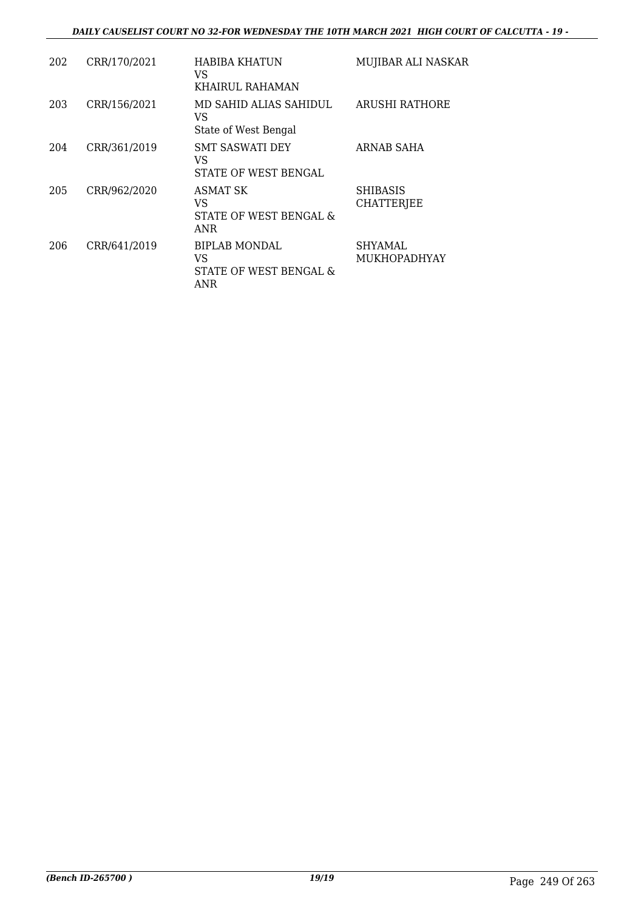#### *DAILY CAUSELIST COURT NO 32-FOR WEDNESDAY THE 10TH MARCH 2021 HIGH COURT OF CALCUTTA - 19 -*

| 202 | CRR/170/2021 | HABIBA KHATUN<br>VS.<br>KHAIRUL RAHAMAN                     | MUJIBAR ALI NASKAR                   |
|-----|--------------|-------------------------------------------------------------|--------------------------------------|
| 203 | CRR/156/2021 | MD SAHID ALIAS SAHIDUL<br>VS<br>State of West Bengal        | ARUSHI RATHORE                       |
| 204 | CRR/361/2019 | <b>SMT SASWATI DEY</b><br>VS<br>STATE OF WEST BENGAL        | ARNAB SAHA                           |
| 205 | CRR/962/2020 | ASMAT SK<br>VS.<br>STATE OF WEST BENGAL &<br>ANR            | <b>SHIBASIS</b><br><b>CHATTERJEE</b> |
| 206 | CRR/641/2019 | <b>BIPLAB MONDAL</b><br>VS<br>STATE OF WEST BENGAL &<br>ANR | SHYAMAL<br><b>MUKHOPADHYAY</b>       |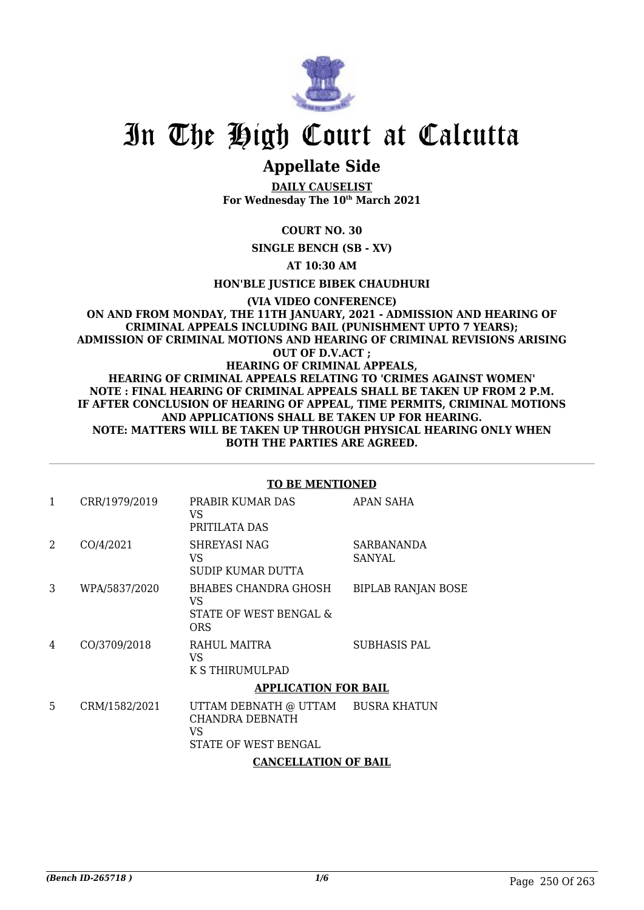

## **Appellate Side**

**DAILY CAUSELIST For Wednesday The 10th March 2021**

**COURT NO. 30**

**SINGLE BENCH (SB - XV)**

**AT 10:30 AM**

**HON'BLE JUSTICE BIBEK CHAUDHURI**

#### **(VIA VIDEO CONFERENCE) ON AND FROM MONDAY, THE 11TH JANUARY, 2021 - ADMISSION AND HEARING OF CRIMINAL APPEALS INCLUDING BAIL (PUNISHMENT UPTO 7 YEARS); ADMISSION OF CRIMINAL MOTIONS AND HEARING OF CRIMINAL REVISIONS ARISING OUT OF D.V.ACT ; HEARING OF CRIMINAL APPEALS, HEARING OF CRIMINAL APPEALS RELATING TO 'CRIMES AGAINST WOMEN' NOTE : FINAL HEARING OF CRIMINAL APPEALS SHALL BE TAKEN UP FROM 2 P.M. IF AFTER CONCLUSION OF HEARING OF APPEAL, TIME PERMITS, CRIMINAL MOTIONS AND APPLICATIONS SHALL BE TAKEN UP FOR HEARING. NOTE: MATTERS WILL BE TAKEN UP THROUGH PHYSICAL HEARING ONLY WHEN BOTH THE PARTIES ARE AGREED.**

#### **TO BE MENTIONED**

| 1              | CRR/1979/2019 | PRABIR KUMAR DAS<br>VS<br>PRITILATA DAS                                              | APAN SAHA                 |
|----------------|---------------|--------------------------------------------------------------------------------------|---------------------------|
| $\overline{2}$ | CO/4/2021     | SHREYASI NAG<br>VS<br>SUDIP KUMAR DUTTA                                              | SARBANANDA<br>SANYAL      |
| 3              | WPA/5837/2020 | BHABES CHANDRA GHOSH<br>VS<br>STATE OF WEST BENGAL &<br><b>ORS</b>                   | <b>BIPLAB RANJAN BOSE</b> |
| 4              | CO/3709/2018  | RAHUL MAITRA<br>VS.<br>K S THIRUMULPAD                                               | <b>SUBHASIS PAL</b>       |
|                |               | <b>APPLICATION FOR BAIL</b>                                                          |                           |
| 5              | CRM/1582/2021 | UTTAM DEBNATH @ UTTAM BUSRA KHATUN<br>CHANDRA DEBNATH<br>VS.<br>STATE OF WEST BENGAL |                           |
|                |               | <b>CANCELLATION OF BAIL</b>                                                          |                           |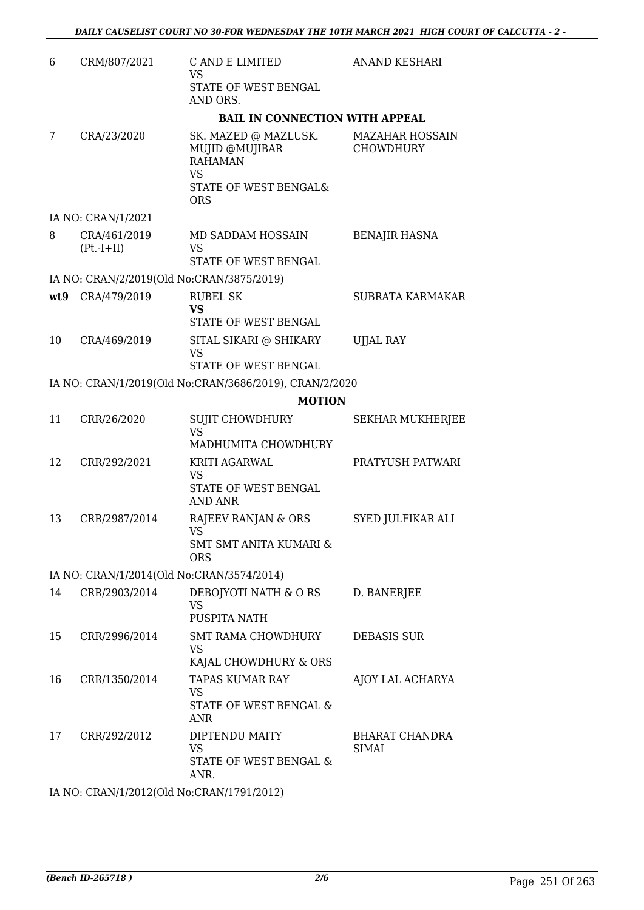| 6   | CRM/807/2021                              | C AND E LIMITED<br><b>VS</b><br>STATE OF WEST BENGAL<br>AND ORS.                                                             | <b>ANAND KESHARI</b>           |
|-----|-------------------------------------------|------------------------------------------------------------------------------------------------------------------------------|--------------------------------|
|     |                                           | <b>BAIL IN CONNECTION WITH APPEAL</b>                                                                                        |                                |
| 7   | CRA/23/2020                               | SK. MAZED @ MAZLUSK. MAZAHAR HOSSAIN<br>MUJID @MUJIBAR<br><b>RAHAMAN</b><br><b>VS</b><br>STATE OF WEST BENGAL&<br><b>ORS</b> | <b>CHOWDHURY</b>               |
|     | IA NO: CRAN/1/2021                        |                                                                                                                              |                                |
| 8   | CRA/461/2019<br>$(Pt.-I+II)$              | MD SADDAM HOSSAIN<br>VS<br>STATE OF WEST BENGAL                                                                              | <b>BENAJIR HASNA</b>           |
|     | IA NO: CRAN/2/2019(Old No:CRAN/3875/2019) |                                                                                                                              |                                |
| wt9 | CRA/479/2019                              | <b>RUBEL SK</b><br><b>VS</b><br>STATE OF WEST BENGAL                                                                         | SUBRATA KARMAKAR               |
| 10  | CRA/469/2019                              | SITAL SIKARI @ SHIKARY<br><b>VS</b><br>STATE OF WEST BENGAL                                                                  | <b>UJJAL RAY</b>               |
|     |                                           | IA NO: CRAN/1/2019(Old No:CRAN/3686/2019), CRAN/2/2020                                                                       |                                |
|     |                                           | <b>MOTION</b>                                                                                                                |                                |
| 11  | CRR/26/2020                               | <b>SUJIT CHOWDHURY</b><br><b>VS</b>                                                                                          | <b>SEKHAR MUKHERJEE</b>        |
|     |                                           | MADHUMITA CHOWDHURY                                                                                                          |                                |
| 12  | CRR/292/2021                              | KRITI AGARWAL<br><b>VS</b><br>STATE OF WEST BENGAL<br><b>AND ANR</b>                                                         | PRATYUSH PATWARI               |
| 13  | CRR/2987/2014                             | RAJEEV RANJAN & ORS<br><b>VS</b><br><b>SMT SMT ANITA KUMARI &amp;</b><br><b>ORS</b>                                          | SYED JULFIKAR ALI              |
|     | IA NO: CRAN/1/2014(Old No:CRAN/3574/2014) |                                                                                                                              |                                |
| 14  | CRR/2903/2014                             | DEBOJYOTI NATH & O RS<br><b>VS</b><br>PUSPITA NATH                                                                           | D. BANERJEE                    |
| 15  | CRR/2996/2014                             | SMT RAMA CHOWDHURY<br>VS<br>KAJAL CHOWDHURY & ORS                                                                            | <b>DEBASIS SUR</b>             |
| 16  | CRR/1350/2014                             | <b>TAPAS KUMAR RAY</b><br>VS<br>STATE OF WEST BENGAL &<br><b>ANR</b>                                                         | AJOY LAL ACHARYA               |
| 17  | CRR/292/2012                              | DIPTENDU MAITY<br>VS.<br>STATE OF WEST BENGAL &<br>ANR.                                                                      | <b>BHARAT CHANDRA</b><br>SIMAI |

IA NO: CRAN/1/2012(Old No:CRAN/1791/2012)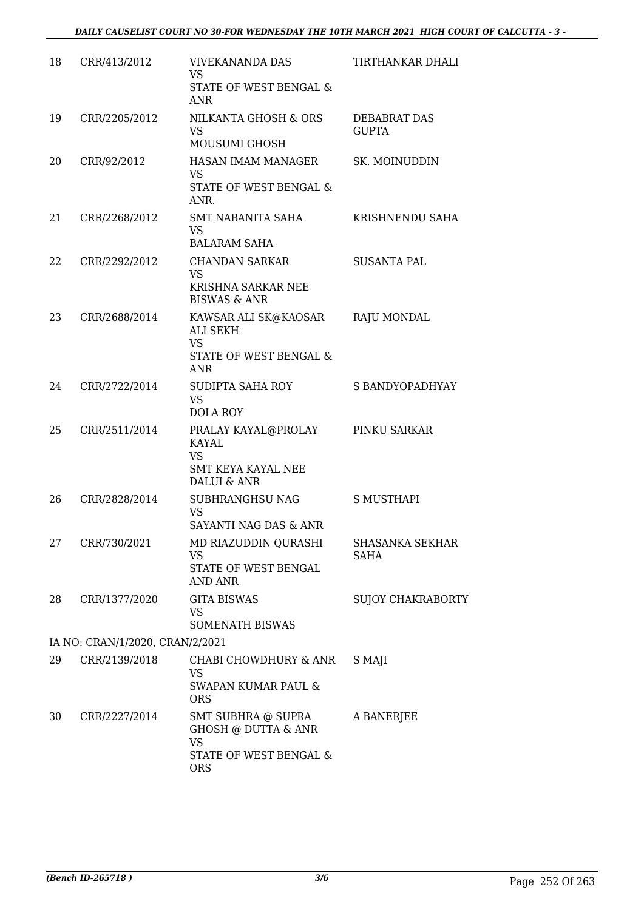| 18 | CRR/413/2012                    | <b>VIVEKANANDA DAS</b><br><b>VS</b><br><b>STATE OF WEST BENGAL &amp;</b><br>ANR                | TIRTHANKAR DHALI                      |
|----|---------------------------------|------------------------------------------------------------------------------------------------|---------------------------------------|
| 19 | CRR/2205/2012                   | NILKANTA GHOSH & ORS<br><b>VS</b><br>MOUSUMI GHOSH                                             | <b>DEBABRAT DAS</b><br><b>GUPTA</b>   |
| 20 | CRR/92/2012                     | HASAN IMAM MANAGER<br><b>VS</b><br>STATE OF WEST BENGAL &<br>ANR.                              | SK. MOINUDDIN                         |
| 21 | CRR/2268/2012                   | SMT NABANITA SAHA<br>VS<br><b>BALARAM SAHA</b>                                                 | KRISHNENDU SAHA                       |
| 22 | CRR/2292/2012                   | <b>CHANDAN SARKAR</b><br><b>VS</b><br>KRISHNA SARKAR NEE<br><b>BISWAS &amp; ANR</b>            | <b>SUSANTA PAL</b>                    |
| 23 | CRR/2688/2014                   | KAWSAR ALI SK@KAOSAR<br>ALI SEKH<br><b>VS</b><br>STATE OF WEST BENGAL &<br><b>ANR</b>          | <b>RAJU MONDAL</b>                    |
| 24 | CRR/2722/2014                   | SUDIPTA SAHA ROY<br><b>VS</b><br><b>DOLA ROY</b>                                               | S BANDYOPADHYAY                       |
| 25 | CRR/2511/2014                   | PRALAY KAYAL@PROLAY<br><b>KAYAL</b><br><b>VS</b><br>SMT KEYA KAYAL NEE<br>DALUI & ANR          | PINKU SARKAR                          |
| 26 | CRR/2828/2014                   | SUBHRANGHSU NAG<br><b>VS</b><br>SAYANTI NAG DAS & ANR                                          | <b>S MUSTHAPI</b>                     |
| 27 | CRR/730/2021                    | MD RIAZUDDIN QURASHI<br><b>VS</b><br>STATE OF WEST BENGAL<br><b>AND ANR</b>                    | <b>SHASANKA SEKHAR</b><br><b>SAHA</b> |
| 28 | CRR/1377/2020                   | <b>GITA BISWAS</b><br><b>VS</b><br>SOMENATH BISWAS                                             | <b>SUJOY CHAKRABORTY</b>              |
|    | IA NO: CRAN/1/2020, CRAN/2/2021 |                                                                                                |                                       |
| 29 | CRR/2139/2018                   | CHABI CHOWDHURY & ANR<br><b>VS</b><br><b>SWAPAN KUMAR PAUL &amp;</b><br><b>ORS</b>             | S MAJI                                |
| 30 | CRR/2227/2014                   | SMT SUBHRA @ SUPRA<br>GHOSH @ DUTTA & ANR<br><b>VS</b><br>STATE OF WEST BENGAL &<br><b>ORS</b> | A BANERJEE                            |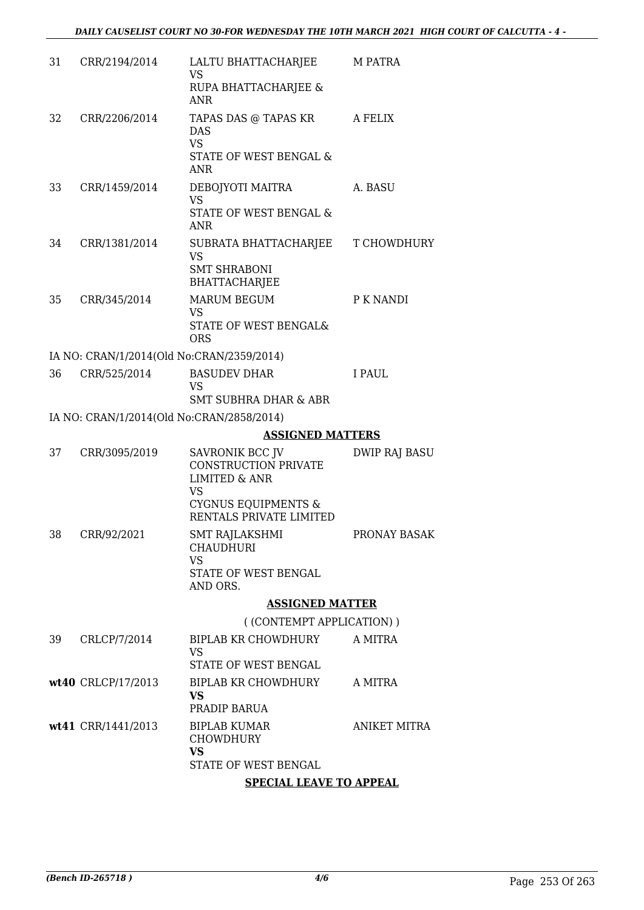| 31 | CRR/2194/2014                             | LALTU BHATTACHARJEE<br><b>VS</b><br>RUPA BHATTACHARJEE &<br>ANR                                                    | M PATRA              |
|----|-------------------------------------------|--------------------------------------------------------------------------------------------------------------------|----------------------|
| 32 | CRR/2206/2014                             | TAPAS DAS @ TAPAS KR<br><b>DAS</b><br><b>VS</b><br>STATE OF WEST BENGAL &<br><b>ANR</b>                            | <b>A FELIX</b>       |
| 33 | CRR/1459/2014                             | DEBOJYOTI MAITRA<br><b>VS</b><br>STATE OF WEST BENGAL &<br><b>ANR</b>                                              | A. BASU              |
| 34 | CRR/1381/2014                             | SUBRATA BHATTACHARJEE<br><b>VS</b><br><b>SMT SHRABONI</b><br><b>BHATTACHARJEE</b>                                  | T CHOWDHURY          |
| 35 | CRR/345/2014                              | <b>MARUM BEGUM</b><br><b>VS</b><br>STATE OF WEST BENGAL&<br><b>ORS</b>                                             | P K NANDI            |
|    | IA NO: CRAN/1/2014(Old No:CRAN/2359/2014) |                                                                                                                    |                      |
| 36 | CRR/525/2014                              | <b>BASUDEV DHAR</b><br>VS                                                                                          | I PAUL               |
|    |                                           | <b>SMT SUBHRA DHAR &amp; ABR</b>                                                                                   |                      |
|    | IA NO: CRAN/1/2014(Old No:CRAN/2858/2014) |                                                                                                                    |                      |
|    |                                           | <b>ASSIGNED MATTERS</b>                                                                                            |                      |
| 37 | CRR/3095/2019                             | SAVRONIK BCC JV<br>CONSTRUCTION PRIVATE<br><b>LIMITED &amp; ANR</b><br><b>VS</b><br><b>CYGNUS EQUIPMENTS &amp;</b> | <b>DWIP RAJ BASU</b> |
| 38 | CRR/92/2021                               | RENTALS PRIVATE LIMITED<br>SMT RAJLAKSHMI                                                                          | PRONAY BASAK         |
|    |                                           | <b>CHAUDHURI</b><br><b>VS</b><br>STATE OF WEST BENGAL                                                              |                      |
|    |                                           | AND ORS.<br><b>ASSIGNED MATTER</b>                                                                                 |                      |
|    |                                           | ((CONTEMPT APPLICATION))                                                                                           |                      |
| 39 | CRLCP/7/2014                              | BIPLAB KR CHOWDHURY                                                                                                | A MITRA              |
|    |                                           | <b>VS</b><br>STATE OF WEST BENGAL                                                                                  |                      |
|    | wt40 CRLCP/17/2013                        | BIPLAB KR CHOWDHURY A MITRA<br><b>VS</b>                                                                           |                      |
|    |                                           | PRADIP BARUA                                                                                                       |                      |
|    | wt41 CRR/1441/2013                        | <b>BIPLAB KUMAR</b><br><b>CHOWDHURY</b><br><b>VS</b>                                                               | <b>ANIKET MITRA</b>  |
|    |                                           | STATE OF WEST BENGAL                                                                                               |                      |
|    |                                           | <b>SPECIAL LEAVE TO APPEAL</b>                                                                                     |                      |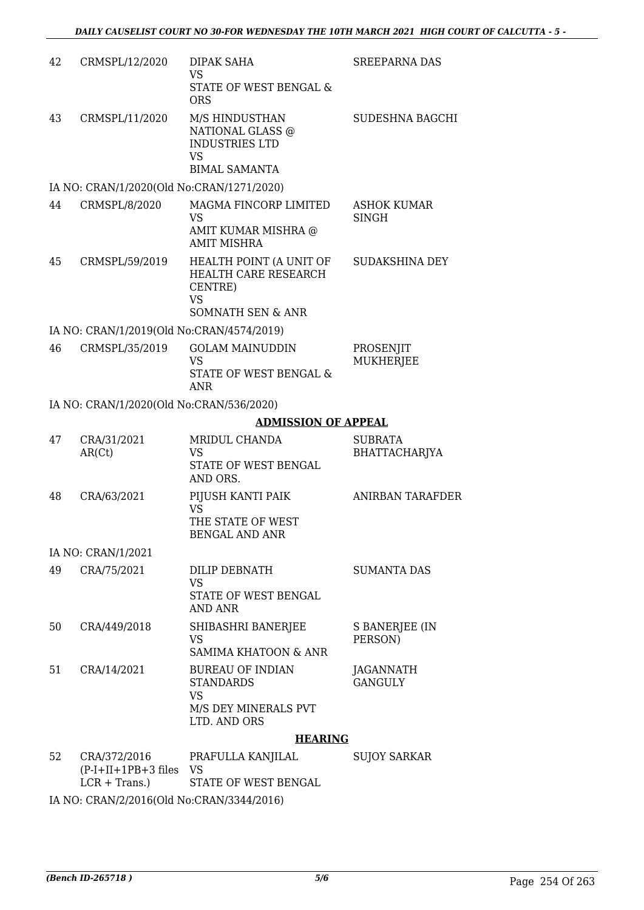| 42 | CRMSPL/12/2020                                                 | DIPAK SAHA<br><b>VS</b><br><b>STATE OF WEST BENGAL &amp;</b><br><b>ORS</b>                              | <b>SREEPARNA DAS</b>          |
|----|----------------------------------------------------------------|---------------------------------------------------------------------------------------------------------|-------------------------------|
| 43 | CRMSPL/11/2020                                                 | M/S HINDUSTHAN<br>NATIONAL GLASS @<br><b>INDUSTRIES LTD</b><br><b>VS</b>                                | SUDESHNA BAGCHI               |
|    |                                                                | <b>BIMAL SAMANTA</b>                                                                                    |                               |
| 44 | IA NO: CRAN/1/2020(Old No:CRAN/1271/2020)<br>CRMSPL/8/2020     | MAGMA FINCORP LIMITED                                                                                   | <b>ASHOK KUMAR</b>            |
|    |                                                                | VS<br>AMIT KUMAR MISHRA @<br><b>AMIT MISHRA</b>                                                         | SINGH                         |
| 45 | CRMSPL/59/2019                                                 | HEALTH POINT (A UNIT OF<br>HEALTH CARE RESEARCH<br>CENTRE)<br><b>VS</b><br><b>SOMNATH SEN &amp; ANR</b> | SUDAKSHINA DEY                |
|    | IA NO: CRAN/1/2019(Old No:CRAN/4574/2019)                      |                                                                                                         |                               |
| 46 | CRMSPL/35/2019                                                 | <b>GOLAM MAINUDDIN</b><br><b>VS</b><br>STATE OF WEST BENGAL &<br><b>ANR</b>                             | PROSENJIT<br><b>MUKHERJEE</b> |
|    | IA NO: CRAN/1/2020(Old No:CRAN/536/2020)                       |                                                                                                         |                               |
|    |                                                                | <b>ADMISSION OF APPEAL</b>                                                                              |                               |
| 47 | CRA/31/2021                                                    | MRIDUL CHANDA                                                                                           | <b>SUBRATA</b>                |
|    | AR(Ct)                                                         | <b>VS</b><br>STATE OF WEST BENGAL<br>AND ORS.                                                           | BHATTACHARJYA                 |
| 48 | CRA/63/2021                                                    | PIJUSH KANTI PAIK<br><b>VS</b><br>THE STATE OF WEST<br><b>BENGAL AND ANR</b>                            | ANIRBAN TARAFDER              |
|    | IA NO: CRAN/1/2021                                             |                                                                                                         |                               |
| 49 | CRA/75/2021                                                    | DILIP DEBNATH<br><b>VS</b><br>STATE OF WEST BENGAL<br><b>AND ANR</b>                                    | <b>SUMANTA DAS</b>            |
| 50 | CRA/449/2018                                                   | SHIBASHRI BANERJEE<br>VS<br><b>SAMIMA KHATOON &amp; ANR</b>                                             | S BANERJEE (IN<br>PERSON)     |
| 51 | CRA/14/2021                                                    | <b>BUREAU OF INDIAN</b><br><b>STANDARDS</b><br><b>VS</b><br>M/S DEY MINERALS PVT<br>LTD. AND ORS        | JAGANNATH<br><b>GANGULY</b>   |
|    |                                                                | <b>HEARING</b>                                                                                          |                               |
| 52 | CRA/372/2016<br>$(P-I+II+1PB+3$ files $VS$<br>$LCR + Trans.$ ) | PRAFULLA KANJILAL<br>STATE OF WEST BENGAL                                                               | <b>SUJOY SARKAR</b>           |
|    |                                                                |                                                                                                         |                               |

IA NO: CRAN/2/2016(Old No:CRAN/3344/2016)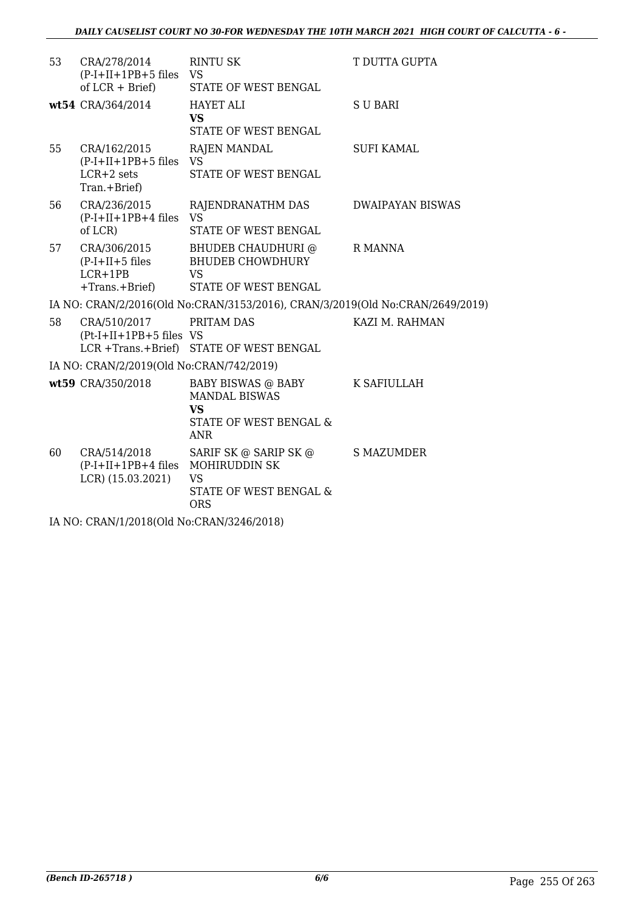| 53                                        | CRA/278/2014<br>$(P-I+II+1PB+5$ files $VS$<br>of $LCR + Brief$           | <b>RINTU SK</b><br>STATE OF WEST BENGAL                                                  | T DUTTA GUPTA           |  |
|-------------------------------------------|--------------------------------------------------------------------------|------------------------------------------------------------------------------------------|-------------------------|--|
|                                           | wt54 CRA/364/2014                                                        | <b>HAYET ALI</b><br><b>VS</b><br>STATE OF WEST BENGAL                                    | <b>SUBARI</b>           |  |
| 55                                        | CRA/162/2015<br>$(P-I+II+1PB+5$ files VS<br>$LCR+2$ sets<br>Tran.+Brief) | <b>RAJEN MANDAL</b><br>STATE OF WEST BENGAL                                              | <b>SUFI KAMAL</b>       |  |
| 56                                        | CRA/236/2015<br>$(P-I+II+1PB+4$ files VS<br>of LCR)                      | RAJENDRANATHM DAS<br>STATE OF WEST BENGAL                                                | <b>DWAIPAYAN BISWAS</b> |  |
| 57                                        | CRA/306/2015<br>$(P-I+II+5$ files<br>$LCR+1PB$<br>$+Trans.+Brief)$       | BHUDEB CHAUDHURI @<br><b>BHUDEB CHOWDHURY</b><br><b>VS</b><br>STATE OF WEST BENGAL       | R MANNA                 |  |
|                                           |                                                                          | IA NO: CRAN/2/2016(Old No:CRAN/3153/2016), CRAN/3/2019(Old No:CRAN/2649/2019)            |                         |  |
| 58                                        | CRA/510/2017<br>$(Pt-I+II+1PB+5$ files VS                                | PRITAM DAS<br>LCR +Trans.+Brief) STATE OF WEST BENGAL                                    | KAZI M. RAHMAN          |  |
|                                           | IA NO: CRAN/2/2019(Old No:CRAN/742/2019)                                 |                                                                                          |                         |  |
|                                           | wt59 CRA/350/2018                                                        | BABY BISWAS @ BABY<br><b>MANDAL BISWAS</b><br>VS<br>STATE OF WEST BENGAL &<br><b>ANR</b> | K SAFIULLAH             |  |
| 60                                        | CRA/514/2018<br>(P-I+II+1PB+4 files MOHIRUDDIN SK<br>LCR) (15.03.2021)   | SARIF SK @ SARIP SK @<br><b>VS</b><br>STATE OF WEST BENGAL &<br><b>ORS</b>               | <b>S MAZUMDER</b>       |  |
| IA NO: CRAN/1/2018(Old No:CRAN/3246/2018) |                                                                          |                                                                                          |                         |  |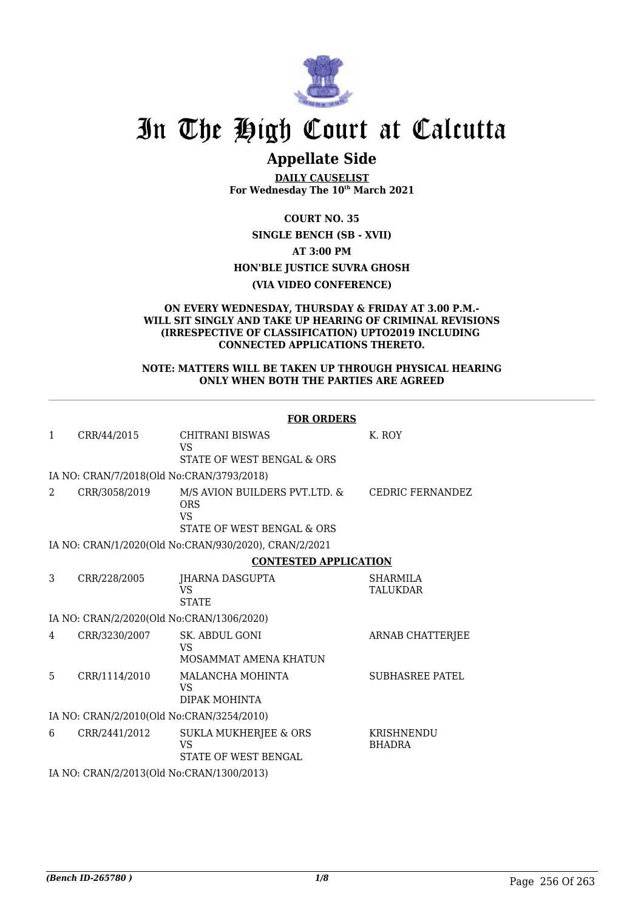

## In The High Court at Calcutta

## **Appellate Side**

**DAILY CAUSELIST For Wednesday The 10th March 2021**

**COURT NO. 35**

**SINGLE BENCH (SB - XVII) AT 3:00 PM HON'BLE JUSTICE SUVRA GHOSH (VIA VIDEO CONFERENCE)**

## **ON EVERY WEDNESDAY, THURSDAY & FRIDAY AT 3.00 P.M.- WILL SIT SINGLY AND TAKE UP HEARING OF CRIMINAL REVISIONS (IRRESPECTIVE OF CLASSIFICATION) UPTO2019 INCLUDING CONNECTED APPLICATIONS THERETO.**

## **NOTE: MATTERS WILL BE TAKEN UP THROUGH PHYSICAL HEARING ONLY WHEN BOTH THE PARTIES ARE AGREED**

|               |                                           | <b>FOR ORDERS</b>                                                                      |                             |
|---------------|-------------------------------------------|----------------------------------------------------------------------------------------|-----------------------------|
| 1             | CRR/44/2015                               | <b>CHITRANI BISWAS</b><br><b>VS</b><br>STATE OF WEST BENGAL & ORS                      | K. ROY                      |
|               | IA NO: CRAN/7/2018(Old No:CRAN/3793/2018) |                                                                                        |                             |
| $\mathcal{L}$ | CRR/3058/2019                             | M/S AVION BUILDERS PVT.LTD. &<br><b>ORS</b><br><b>VS</b><br>STATE OF WEST BENGAL & ORS | <b>CEDRIC FERNANDEZ</b>     |
|               |                                           | IA NO: CRAN/1/2020(Old No:CRAN/930/2020), CRAN/2/2021                                  |                             |
|               |                                           | <b>CONTESTED APPLICATION</b>                                                           |                             |
| 3             | CRR/228/2005                              | JHARNA DASGUPTA<br><b>VS</b><br><b>STATE</b>                                           | <b>SHARMILA</b><br>TALUKDAR |
|               | IA NO: CRAN/2/2020(Old No:CRAN/1306/2020) |                                                                                        |                             |
| 4             | CRR/3230/2007                             | SK. ABDUL GONI<br><b>VS</b><br>MOSAMMAT AMENA KHATUN                                   | ARNAB CHATTERJEE            |
| 5             | CRR/1114/2010                             | MALANCHA MOHINTA<br>VS<br>DIPAK MOHINTA                                                | <b>SUBHASREE PATEL</b>      |
|               | IA NO: CRAN/2/2010(Old No:CRAN/3254/2010) |                                                                                        |                             |
| 6             | CRR/2441/2012                             | <b>SUKLA MUKHERJEE &amp; ORS</b><br><b>VS</b><br>STATE OF WEST BENGAL                  | KRISHNENDU<br><b>BHADRA</b> |
|               | IA NO: CRAN/2/2013(Old No:CRAN/1300/2013) |                                                                                        |                             |
|               |                                           |                                                                                        |                             |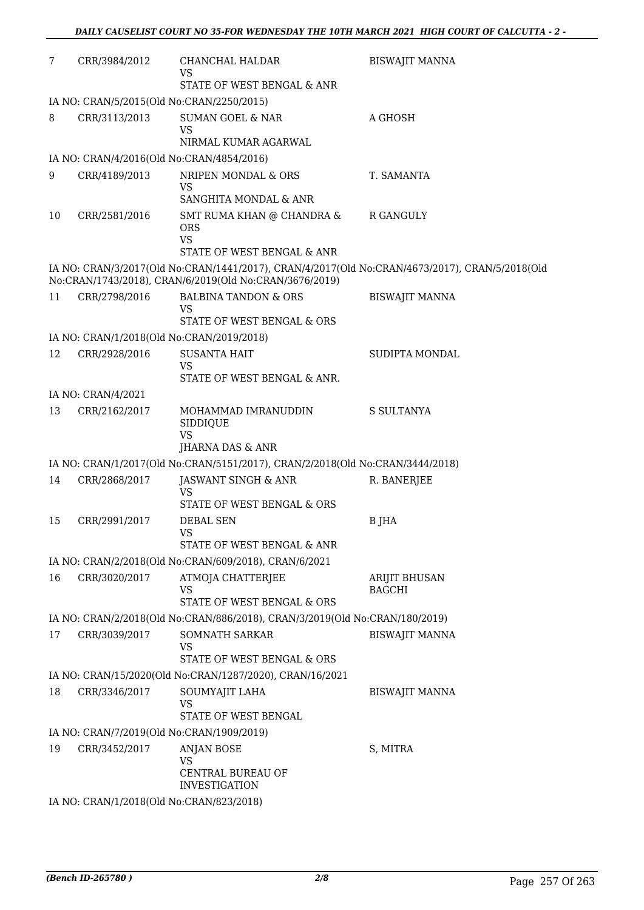| 7  | CRR/3984/2012      | CHANCHAL HALDAR<br>VS<br>STATE OF WEST BENGAL & ANR                           | <b>BISWAJIT MANNA</b>                                                                          |
|----|--------------------|-------------------------------------------------------------------------------|------------------------------------------------------------------------------------------------|
|    |                    | IA NO: CRAN/5/2015(Old No:CRAN/2250/2015)                                     |                                                                                                |
| 8  | CRR/3113/2013      | <b>SUMAN GOEL &amp; NAR</b><br><b>VS</b>                                      | A GHOSH                                                                                        |
|    |                    | NIRMAL KUMAR AGARWAL                                                          |                                                                                                |
|    |                    | IA NO: CRAN/4/2016(Old No:CRAN/4854/2016)                                     |                                                                                                |
| 9  | CRR/4189/2013      | NRIPEN MONDAL & ORS<br>VS<br>SANGHITA MONDAL & ANR                            | T. SAMANTA                                                                                     |
| 10 | CRR/2581/2016      | SMT RUMA KHAN @ CHANDRA &<br><b>ORS</b><br><b>VS</b>                          | R GANGULY                                                                                      |
|    |                    | STATE OF WEST BENGAL & ANR                                                    |                                                                                                |
|    |                    | No:CRAN/1743/2018), CRAN/6/2019(Old No:CRAN/3676/2019)                        | IA NO: CRAN/3/2017(Old No:CRAN/1441/2017), CRAN/4/2017(Old No:CRAN/4673/2017), CRAN/5/2018(Old |
| 11 | CRR/2798/2016      | <b>BALBINA TANDON &amp; ORS</b><br>VS<br>STATE OF WEST BENGAL & ORS           | <b>BISWAJIT MANNA</b>                                                                          |
|    |                    | IA NO: CRAN/1/2018(Old No:CRAN/2019/2018)                                     |                                                                                                |
| 12 | CRR/2928/2016      | <b>SUSANTA HAIT</b><br><b>VS</b>                                              | SUDIPTA MONDAL                                                                                 |
|    |                    | STATE OF WEST BENGAL & ANR.                                                   |                                                                                                |
|    | IA NO: CRAN/4/2021 |                                                                               |                                                                                                |
| 13 | CRR/2162/2017      | MOHAMMAD IMRANUDDIN<br>SIDDIQUE<br><b>VS</b>                                  | S SULTANYA                                                                                     |
|    |                    | JHARNA DAS & ANR                                                              |                                                                                                |
|    |                    | IA NO: CRAN/1/2017(Old No:CRAN/5151/2017), CRAN/2/2018(Old No:CRAN/3444/2018) |                                                                                                |
| 14 | CRR/2868/2017      | JASWANT SINGH & ANR<br>VS<br>STATE OF WEST BENGAL & ORS                       | R. BANERJEE                                                                                    |
| 15 | CRR/2991/2017      | <b>DEBAL SEN</b><br>VS.<br>STATE OF WEST BENGAL & ANR                         | B JHA                                                                                          |
|    |                    | IA NO: CRAN/2/2018(Old No:CRAN/609/2018), CRAN/6/2021                         |                                                                                                |
| 16 | CRR/3020/2017      | ATMOJA CHATTERJEE<br>VS                                                       | <b>ARIJIT BHUSAN</b><br><b>BAGCHI</b>                                                          |
|    |                    | STATE OF WEST BENGAL & ORS                                                    |                                                                                                |
|    |                    | IA NO: CRAN/2/2018(Old No:CRAN/886/2018), CRAN/3/2019(Old No:CRAN/180/2019)   |                                                                                                |
| 17 | CRR/3039/2017      | SOMNATH SARKAR<br>VS<br>STATE OF WEST BENGAL & ORS                            | <b>BISWAJIT MANNA</b>                                                                          |
|    |                    | IA NO: CRAN/15/2020(Old No:CRAN/1287/2020), CRAN/16/2021                      |                                                                                                |
| 18 | CRR/3346/2017      | SOUMYAJIT LAHA                                                                | <b>BISWAJIT MANNA</b>                                                                          |
|    |                    | <b>VS</b><br>STATE OF WEST BENGAL                                             |                                                                                                |
|    |                    | IA NO: CRAN/7/2019(Old No:CRAN/1909/2019)                                     |                                                                                                |
| 19 | CRR/3452/2017      | <b>ANJAN BOSE</b>                                                             | S, MITRA                                                                                       |
|    |                    | <b>VS</b><br>CENTRAL BUREAU OF<br><b>INVESTIGATION</b>                        |                                                                                                |
|    |                    | IA NO: CRAN/1/2018(Old No:CRAN/823/2018)                                      |                                                                                                |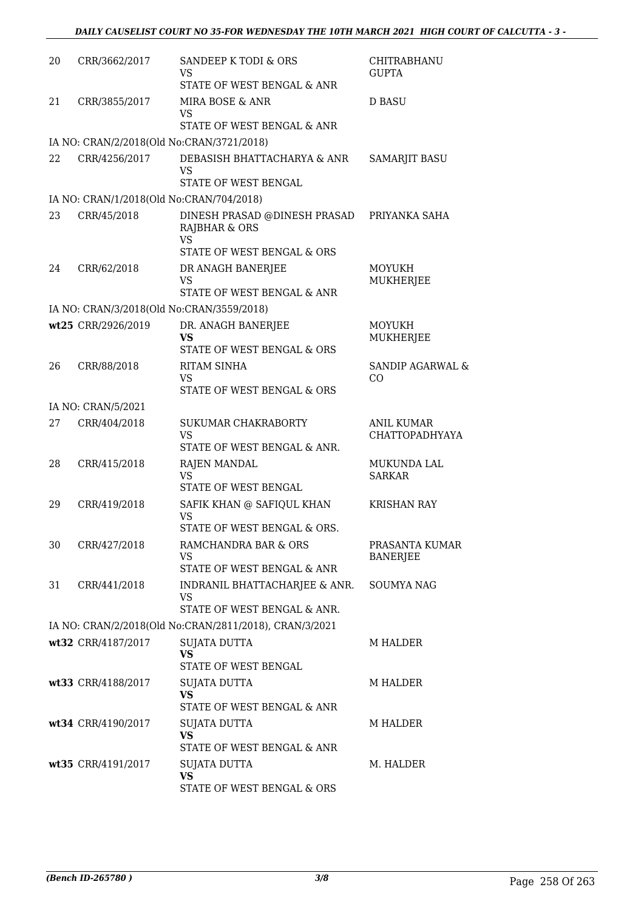| 20 | CRR/3662/2017                            | SANDEEP K TODI & ORS<br>VS<br>STATE OF WEST BENGAL & ANR              | CHITRABHANU<br><b>GUPTA</b>                |
|----|------------------------------------------|-----------------------------------------------------------------------|--------------------------------------------|
| 21 | CRR/3855/2017                            | MIRA BOSE & ANR<br>VS                                                 | <b>D BASU</b>                              |
|    |                                          | STATE OF WEST BENGAL & ANR                                            |                                            |
|    |                                          | IA NO: CRAN/2/2018(Old No:CRAN/3721/2018)                             |                                            |
| 22 | CRR/4256/2017                            | DEBASISH BHATTACHARYA & ANR<br><b>VS</b><br>STATE OF WEST BENGAL      | <b>SAMARJIT BASU</b>                       |
|    | IA NO: CRAN/1/2018(Old No:CRAN/704/2018) |                                                                       |                                            |
| 23 | CRR/45/2018                              | DINESH PRASAD @DINESH PRASAD<br>RAJBHAR & ORS<br><b>VS</b>            | PRIYANKA SAHA                              |
|    |                                          | STATE OF WEST BENGAL & ORS                                            |                                            |
| 24 | CRR/62/2018                              | DR ANAGH BANERJEE<br><b>VS</b><br>STATE OF WEST BENGAL & ANR          | <b>MOYUKH</b><br>MUKHERJEE                 |
|    |                                          | IA NO: CRAN/3/2018(Old No:CRAN/3559/2018)                             |                                            |
|    | wt25 CRR/2926/2019                       | DR. ANAGH BANERJEE                                                    | <b>MOYUKH</b>                              |
|    |                                          | VS<br>STATE OF WEST BENGAL & ORS                                      | MUKHERJEE                                  |
| 26 | CRR/88/2018                              | <b>RITAM SINHA</b>                                                    | <b>SANDIP AGARWAL &amp;</b>                |
|    |                                          | VS<br>STATE OF WEST BENGAL & ORS                                      | CO                                         |
|    | IA NO: CRAN/5/2021                       |                                                                       |                                            |
| 27 | CRR/404/2018                             | SUKUMAR CHAKRABORTY<br><b>VS</b>                                      | <b>ANIL KUMAR</b><br><b>CHATTOPADHYAYA</b> |
|    |                                          | STATE OF WEST BENGAL & ANR.                                           |                                            |
| 28 | CRR/415/2018                             | RAJEN MANDAL<br><b>VS</b><br>STATE OF WEST BENGAL                     | MUKUNDA LAL<br><b>SARKAR</b>               |
| 29 |                                          |                                                                       |                                            |
|    | CRR/419/2018                             | SAFIK KHAN @ SAFIQUL KHAN<br><b>VS</b><br>STATE OF WEST BENGAL & ORS. | <b>KRISHAN RAY</b>                         |
| 30 | CRR/427/2018                             | RAMCHANDRA BAR & ORS                                                  | PRASANTA KUMAR                             |
|    |                                          | VS<br>STATE OF WEST BENGAL & ANR                                      | <b>BANERJEE</b>                            |
| 31 | CRR/441/2018                             | INDRANIL BHATTACHARJEE & ANR.                                         | <b>SOUMYA NAG</b>                          |
|    |                                          | VS<br>STATE OF WEST BENGAL & ANR.                                     |                                            |
|    |                                          | IA NO: CRAN/2/2018(Old No:CRAN/2811/2018), CRAN/3/2021                |                                            |
|    | wt32 CRR/4187/2017                       | SUJATA DUTTA                                                          | <b>M HALDER</b>                            |
|    |                                          | <b>VS</b><br>STATE OF WEST BENGAL                                     |                                            |
|    | wt33 CRR/4188/2017                       | SUJATA DUTTA                                                          | <b>M HALDER</b>                            |
|    |                                          | <b>VS</b><br>STATE OF WEST BENGAL & ANR                               |                                            |
|    | wt34 CRR/4190/2017                       | SUJATA DUTTA                                                          | <b>M HALDER</b>                            |
|    |                                          | <b>VS</b><br>STATE OF WEST BENGAL & ANR                               |                                            |
|    |                                          |                                                                       |                                            |
|    | wt35 CRR/4191/2017                       | SUJATA DUTTA<br><b>VS</b><br>STATE OF WEST BENGAL & ORS               | M. HALDER                                  |
|    |                                          |                                                                       |                                            |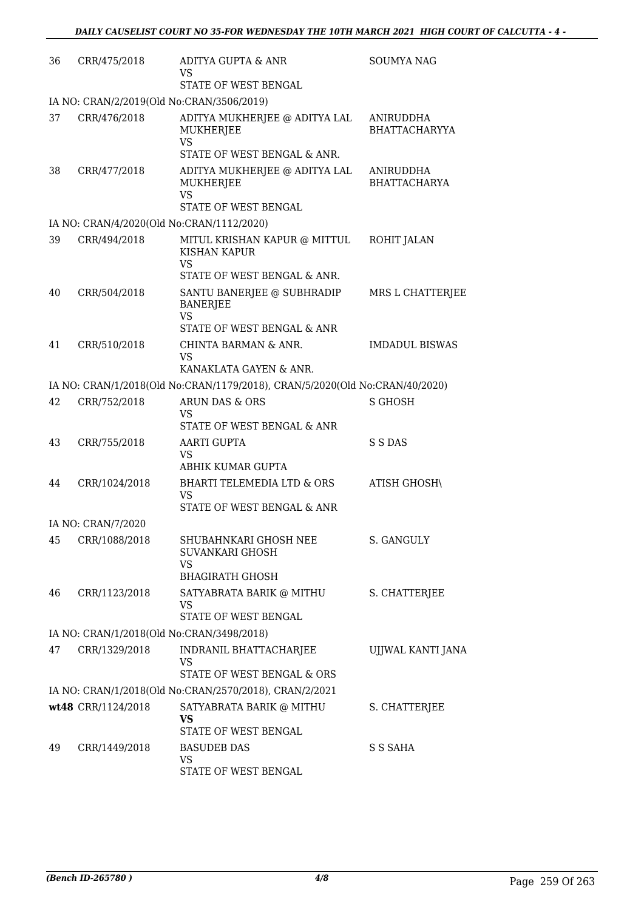| 36 | CRR/475/2018       | ADITYA GUPTA & ANR<br>VS                                                                 | <b>SOUMYA NAG</b>                 |
|----|--------------------|------------------------------------------------------------------------------------------|-----------------------------------|
|    |                    | STATE OF WEST BENGAL                                                                     |                                   |
|    |                    | IA NO: CRAN/2/2019(Old No:CRAN/3506/2019)                                                |                                   |
| 37 | CRR/476/2018       | ADITYA MUKHERJEE @ ADITYA LAL<br><b>MUKHERJEE</b><br>VS                                  | ANIRUDDHA<br><b>BHATTACHARYYA</b> |
|    |                    | STATE OF WEST BENGAL & ANR.                                                              |                                   |
| 38 | CRR/477/2018       | ADITYA MUKHERJEE @ ADITYA LAL<br>MUKHERJEE<br>VS<br>STATE OF WEST BENGAL                 | ANIRUDDHA<br><b>BHATTACHARYA</b>  |
|    |                    | IA NO: CRAN/4/2020(Old No:CRAN/1112/2020)                                                |                                   |
| 39 | CRR/494/2018       | MITUL KRISHAN KAPUR @ MITTUL<br>KISHAN KAPUR                                             | ROHIT JALAN                       |
|    |                    | VS<br>STATE OF WEST BENGAL & ANR.                                                        |                                   |
| 40 | CRR/504/2018       | SANTU BANERJEE @ SUBHRADIP<br><b>BANERJEE</b><br><b>VS</b><br>STATE OF WEST BENGAL & ANR | MRS L CHATTERJEE                  |
| 41 | CRR/510/2018       | CHINTA BARMAN & ANR.<br>VS                                                               | <b>IMDADUL BISWAS</b>             |
|    |                    | KANAKLATA GAYEN & ANR.                                                                   |                                   |
|    |                    | IA NO: CRAN/1/2018(Old No:CRAN/1179/2018), CRAN/5/2020(Old No:CRAN/40/2020)              |                                   |
| 42 | CRR/752/2018       | ARUN DAS & ORS<br>VS<br>STATE OF WEST BENGAL & ANR                                       | S GHOSH                           |
| 43 | CRR/755/2018       | AARTI GUPTA<br>VS<br>ABHIK KUMAR GUPTA                                                   | S S DAS                           |
| 44 | CRR/1024/2018      | <b>BHARTI TELEMEDIA LTD &amp; ORS</b><br><b>VS</b><br>STATE OF WEST BENGAL & ANR         | ATISH GHOSH\                      |
|    | IA NO: CRAN/7/2020 |                                                                                          |                                   |
| 45 | CRR/1088/2018      | SHUBAHNKARI GHOSH NEE<br>SUVANKARI GHOSH<br>VS                                           | S. GANGULY                        |
|    |                    | <b>BHAGIRATH GHOSH</b>                                                                   |                                   |
| 46 | CRR/1123/2018      | SATYABRATA BARIK @ MITHU<br>VS<br>STATE OF WEST BENGAL                                   | S. CHATTERJEE                     |
|    |                    | IA NO: CRAN/1/2018(Old No:CRAN/3498/2018)                                                |                                   |
| 47 | CRR/1329/2018      | INDRANIL BHATTACHARJEE<br>VS<br>STATE OF WEST BENGAL & ORS                               | UJJWAL KANTI JANA                 |
|    |                    | IA NO: CRAN/1/2018(Old No:CRAN/2570/2018), CRAN/2/2021                                   |                                   |
|    | wt48 CRR/1124/2018 | SATYABRATA BARIK @ MITHU<br>VS                                                           | S. CHATTERJEE                     |
|    |                    | STATE OF WEST BENGAL                                                                     |                                   |
| 49 | CRR/1449/2018      | <b>BASUDEB DAS</b><br>VS<br>STATE OF WEST BENGAL                                         | S S SAHA                          |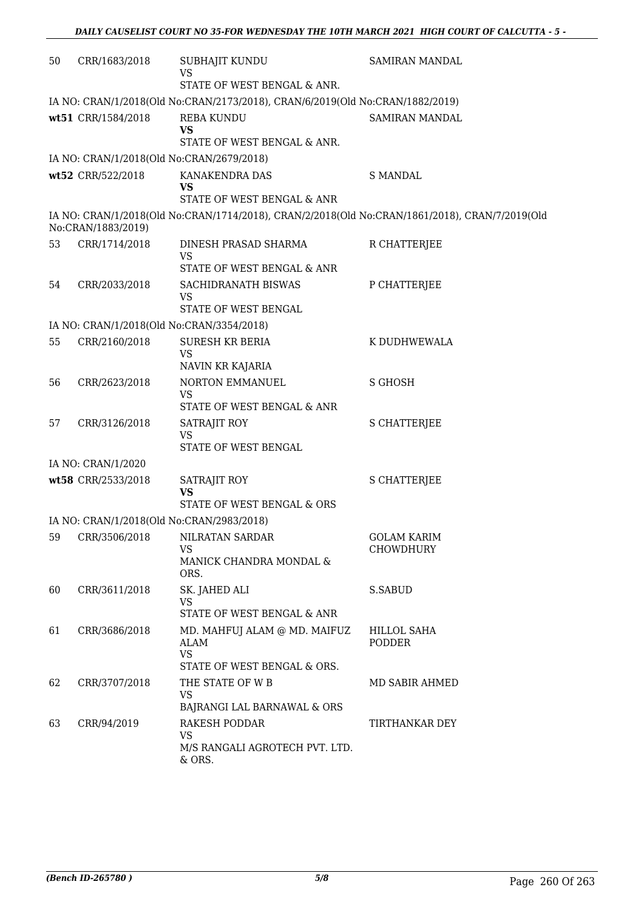| 50 | CRR/1683/2018                             | SUBHAJIT KUNDU<br><b>VS</b>                                                                    | SAMIRAN MANDAL                  |
|----|-------------------------------------------|------------------------------------------------------------------------------------------------|---------------------------------|
|    |                                           | STATE OF WEST BENGAL & ANR.                                                                    |                                 |
|    |                                           | IA NO: CRAN/1/2018(Old No:CRAN/2173/2018), CRAN/6/2019(Old No:CRAN/1882/2019)                  |                                 |
|    | wt51 CRR/1584/2018                        | <b>REBA KUNDU</b><br><b>VS</b>                                                                 | SAMIRAN MANDAL                  |
|    |                                           | STATE OF WEST BENGAL & ANR.                                                                    |                                 |
|    | IA NO: CRAN/1/2018(Old No:CRAN/2679/2018) |                                                                                                |                                 |
|    | wt52 CRR/522/2018                         | KANAKENDRA DAS<br><b>VS</b>                                                                    | <b>S MANDAL</b>                 |
|    |                                           | STATE OF WEST BENGAL & ANR                                                                     |                                 |
|    | No:CRAN/1883/2019)                        | IA NO: CRAN/1/2018(Old No:CRAN/1714/2018), CRAN/2/2018(Old No:CRAN/1861/2018), CRAN/7/2019(Old |                                 |
| 53 | CRR/1714/2018                             | DINESH PRASAD SHARMA<br>VS                                                                     | R CHATTERJEE                    |
|    |                                           | STATE OF WEST BENGAL & ANR                                                                     |                                 |
| 54 | CRR/2033/2018                             | SACHIDRANATH BISWAS<br>VS                                                                      | P CHATTERJEE                    |
|    |                                           | STATE OF WEST BENGAL                                                                           |                                 |
|    | IA NO: CRAN/1/2018(Old No:CRAN/3354/2018) |                                                                                                |                                 |
| 55 | CRR/2160/2018                             | <b>SURESH KR BERIA</b><br><b>VS</b><br>NAVIN KR KAJARIA                                        | K DUDHWEWALA                    |
| 56 | CRR/2623/2018                             | NORTON EMMANUEL                                                                                | S GHOSH                         |
|    |                                           | <b>VS</b><br>STATE OF WEST BENGAL & ANR                                                        |                                 |
| 57 | CRR/3126/2018                             | SATRAJIT ROY<br><b>VS</b>                                                                      | <b>S CHATTERJEE</b>             |
|    |                                           | STATE OF WEST BENGAL                                                                           |                                 |
|    | IA NO: CRAN/1/2020                        |                                                                                                |                                 |
|    | wt58 CRR/2533/2018                        | SATRAJIT ROY<br><b>VS</b>                                                                      | <b>S CHATTERJEE</b>             |
|    |                                           | STATE OF WEST BENGAL & ORS                                                                     |                                 |
|    | IA NO: CRAN/1/2018(Old No:CRAN/2983/2018) |                                                                                                |                                 |
| 59 | CRR/3506/2018                             | NILRATAN SARDAR<br>VS<br>MANICK CHANDRA MONDAL &<br>ORS.                                       | <b>GOLAM KARIM</b><br>CHOWDHURY |
| 60 | CRR/3611/2018                             | SK. JAHED ALI<br>VS                                                                            | S.SABUD                         |
|    |                                           | STATE OF WEST BENGAL & ANR                                                                     |                                 |
| 61 | CRR/3686/2018                             | MD. MAHFUJ ALAM @ MD. MAIFUZ<br><b>ALAM</b><br><b>VS</b><br>STATE OF WEST BENGAL & ORS.        | HILLOL SAHA<br>PODDER           |
| 62 | CRR/3707/2018                             | THE STATE OF W B                                                                               | MD SABIR AHMED                  |
|    |                                           | <b>VS</b><br>BAJRANGI LAL BARNAWAL & ORS                                                       |                                 |
| 63 | CRR/94/2019                               | <b>RAKESH PODDAR</b><br><b>VS</b>                                                              | TIRTHANKAR DEY                  |
|    |                                           | M/S RANGALI AGROTECH PVT. LTD.<br>& ORS.                                                       |                                 |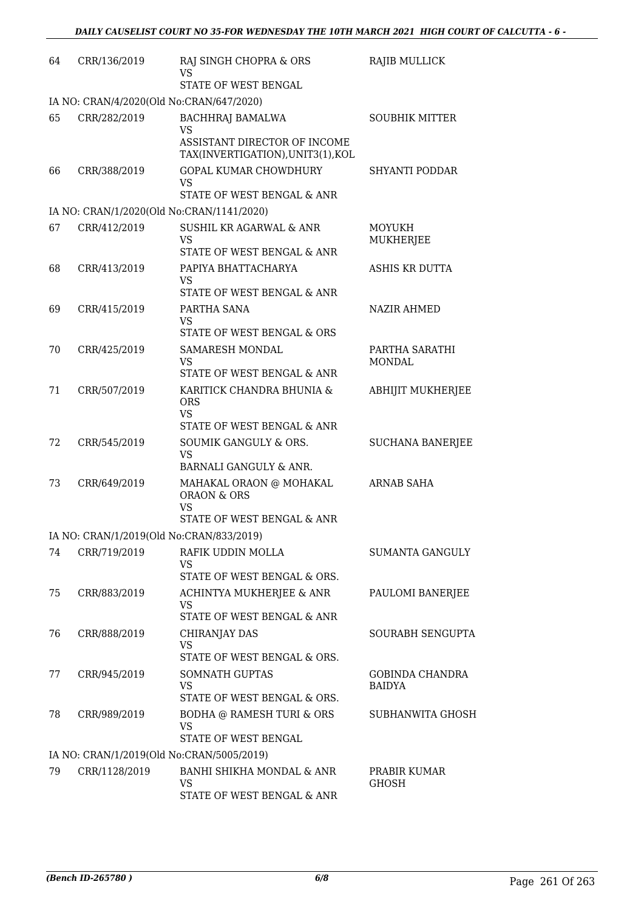| 64 | CRR/136/2019  | RAJ SINGH CHOPRA & ORS<br>VS<br>STATE OF WEST BENGAL                    | RAJIB MULLICK                           |
|----|---------------|-------------------------------------------------------------------------|-----------------------------------------|
|    |               | IA NO: CRAN/4/2020(Old No:CRAN/647/2020)                                |                                         |
| 65 | CRR/282/2019  | BACHHRAJ BAMALWA                                                        | <b>SOUBHIK MITTER</b>                   |
|    |               | <b>VS</b>                                                               |                                         |
|    |               | ASSISTANT DIRECTOR OF INCOME<br>TAX(INVERTIGATION), UNIT3(1), KOL       |                                         |
| 66 | CRR/388/2019  | <b>GOPAL KUMAR CHOWDHURY</b><br><b>VS</b><br>STATE OF WEST BENGAL & ANR | SHYANTI PODDAR                          |
|    |               | IA NO: CRAN/1/2020(Old No:CRAN/1141/2020)                               |                                         |
| 67 | CRR/412/2019  | SUSHIL KR AGARWAL & ANR                                                 | MOYUKH                                  |
|    |               | <b>VS</b>                                                               | MUKHERJEE                               |
|    |               | STATE OF WEST BENGAL & ANR                                              |                                         |
| 68 | CRR/413/2019  | PAPIYA BHATTACHARYA<br>VS                                               | ASHIS KR DUTTA                          |
|    |               | STATE OF WEST BENGAL & ANR                                              |                                         |
| 69 | CRR/415/2019  | PARTHA SANA                                                             | NAZIR AHMED                             |
|    |               | <b>VS</b><br>STATE OF WEST BENGAL & ORS                                 |                                         |
| 70 | CRR/425/2019  | SAMARESH MONDAL                                                         | PARTHA SARATHI                          |
|    |               | <b>VS</b><br>STATE OF WEST BENGAL & ANR                                 | <b>MONDAL</b>                           |
| 71 | CRR/507/2019  |                                                                         |                                         |
|    |               | KARITICK CHANDRA BHUNIA &<br><b>ORS</b><br><b>VS</b>                    | ABHIJIT MUKHERJEE                       |
|    |               | STATE OF WEST BENGAL & ANR                                              |                                         |
| 72 | CRR/545/2019  | SOUMIK GANGULY & ORS.<br><b>VS</b>                                      | <b>SUCHANA BANERJEE</b>                 |
|    |               | BARNALI GANGULY & ANR.                                                  |                                         |
| 73 | CRR/649/2019  | MAHAKAL ORAON @ MOHAKAL<br><b>ORAON &amp; ORS</b>                       | ARNAB SAHA                              |
|    |               | <b>VS</b><br>STATE OF WEST BENGAL & ANR                                 |                                         |
|    |               | IA NO: CRAN/1/2019(Old No:CRAN/833/2019)                                |                                         |
| 74 | CRR/719/2019  | RAFIK UDDIN MOLLA<br>VS                                                 | SUMANTA GANGULY                         |
|    |               | STATE OF WEST BENGAL & ORS.                                             |                                         |
| 75 | CRR/883/2019  | ACHINTYA MUKHERJEE & ANR<br><b>VS</b>                                   | PAULOMI BANERJEE                        |
|    |               | STATE OF WEST BENGAL & ANR                                              |                                         |
| 76 | CRR/888/2019  | CHIRANJAY DAS<br><b>VS</b>                                              | SOURABH SENGUPTA                        |
|    |               | STATE OF WEST BENGAL & ORS.                                             |                                         |
| 77 | CRR/945/2019  | SOMNATH GUPTAS<br><b>VS</b><br>STATE OF WEST BENGAL & ORS.              | <b>GOBINDA CHANDRA</b><br><b>BAIDYA</b> |
| 78 | CRR/989/2019  | BODHA @ RAMESH TURI & ORS                                               | SUBHANWITA GHOSH                        |
|    |               | <b>VS</b><br>STATE OF WEST BENGAL                                       |                                         |
|    |               | IA NO: CRAN/1/2019(Old No:CRAN/5005/2019)                               |                                         |
| 79 | CRR/1128/2019 | BANHI SHIKHA MONDAL & ANR<br>VS                                         | PRABIR KUMAR<br><b>GHOSH</b>            |
|    |               | STATE OF WEST BENGAL & ANR                                              |                                         |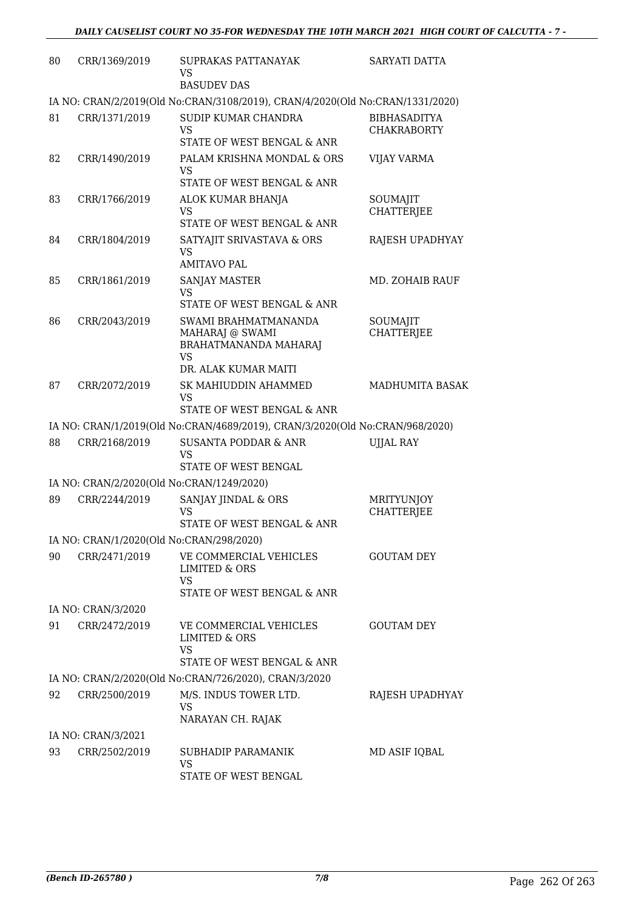| 80 | CRR/1369/2019      | SUPRAKAS PATTANAYAK<br><b>VS</b>                                                                    | SARYATI DATTA                             |
|----|--------------------|-----------------------------------------------------------------------------------------------------|-------------------------------------------|
|    |                    | <b>BASUDEV DAS</b><br>IA NO: CRAN/2/2019(Old No:CRAN/3108/2019), CRAN/4/2020(Old No:CRAN/1331/2020) |                                           |
|    |                    |                                                                                                     |                                           |
| 81 | CRR/1371/2019      | SUDIP KUMAR CHANDRA<br><b>VS</b><br>STATE OF WEST BENGAL & ANR                                      | <b>BIBHASADITYA</b><br><b>CHAKRABORTY</b> |
| 82 | CRR/1490/2019      | PALAM KRISHNA MONDAL & ORS                                                                          | <b>VIJAY VARMA</b>                        |
|    |                    | <b>VS</b><br>STATE OF WEST BENGAL & ANR                                                             |                                           |
| 83 | CRR/1766/2019      | ALOK KUMAR BHANJA                                                                                   | SOUMAJIT                                  |
|    |                    | <b>VS</b><br>STATE OF WEST BENGAL & ANR                                                             | <b>CHATTERJEE</b>                         |
| 84 | CRR/1804/2019      | SATYAJIT SRIVASTAVA & ORS                                                                           | RAJESH UPADHYAY                           |
|    |                    | <b>VS</b><br><b>AMITAVO PAL</b>                                                                     |                                           |
| 85 | CRR/1861/2019      | SANJAY MASTER                                                                                       | MD. ZOHAIB RAUF                           |
|    |                    | VS<br>STATE OF WEST BENGAL & ANR                                                                    |                                           |
| 86 | CRR/2043/2019      | SWAMI BRAHMATMANANDA                                                                                | SOUMAJIT                                  |
|    |                    | MAHARAJ @ SWAMI                                                                                     | <b>CHATTERJEE</b>                         |
|    |                    | BRAHATMANANDA MAHARAJ<br><b>VS</b>                                                                  |                                           |
|    |                    | DR. ALAK KUMAR MAITI                                                                                |                                           |
| 87 | CRR/2072/2019      | SK MAHIUDDIN AHAMMED                                                                                | <b>MADHUMITA BASAK</b>                    |
|    |                    | <b>VS</b><br>STATE OF WEST BENGAL & ANR                                                             |                                           |
|    |                    | IA NO: CRAN/1/2019(Old No:CRAN/4689/2019), CRAN/3/2020(Old No:CRAN/968/2020)                        |                                           |
| 88 | CRR/2168/2019      | <b>SUSANTA PODDAR &amp; ANR</b>                                                                     | <b>UJJAL RAY</b>                          |
|    |                    | VS<br>STATE OF WEST BENGAL                                                                          |                                           |
|    |                    |                                                                                                     |                                           |
|    |                    | IA NO: CRAN/2/2020(Old No:CRAN/1249/2020)                                                           | MRITYUNJOY                                |
| 89 | CRR/2244/2019      | SANJAY JINDAL & ORS<br>VS<br>STATE OF WEST BENGAL & ANR                                             | <b>CHATTERJEE</b>                         |
|    |                    | IA NO: CRAN/1/2020(Old No:CRAN/298/2020)                                                            |                                           |
| 90 | CRR/2471/2019      | VE COMMERCIAL VEHICLES<br><b>LIMITED &amp; ORS</b>                                                  | <b>GOUTAM DEY</b>                         |
|    |                    | <b>VS</b><br>STATE OF WEST BENGAL & ANR                                                             |                                           |
|    | IA NO: CRAN/3/2020 |                                                                                                     |                                           |
| 91 | CRR/2472/2019      | VE COMMERCIAL VEHICLES                                                                              | <b>GOUTAM DEY</b>                         |
|    |                    | <b>LIMITED &amp; ORS</b><br><b>VS</b>                                                               |                                           |
|    |                    | STATE OF WEST BENGAL & ANR                                                                          |                                           |
|    |                    | IA NO: CRAN/2/2020(Old No:CRAN/726/2020), CRAN/3/2020                                               |                                           |
| 92 | CRR/2500/2019      | M/S. INDUS TOWER LTD.<br><b>VS</b><br>NARAYAN CH. RAJAK                                             | RAJESH UPADHYAY                           |
|    | IA NO: CRAN/3/2021 |                                                                                                     |                                           |
| 93 | CRR/2502/2019      | SUBHADIP PARAMANIK                                                                                  | MD ASIF IQBAL                             |
|    |                    | <b>VS</b>                                                                                           |                                           |
|    |                    | STATE OF WEST BENGAL                                                                                |                                           |